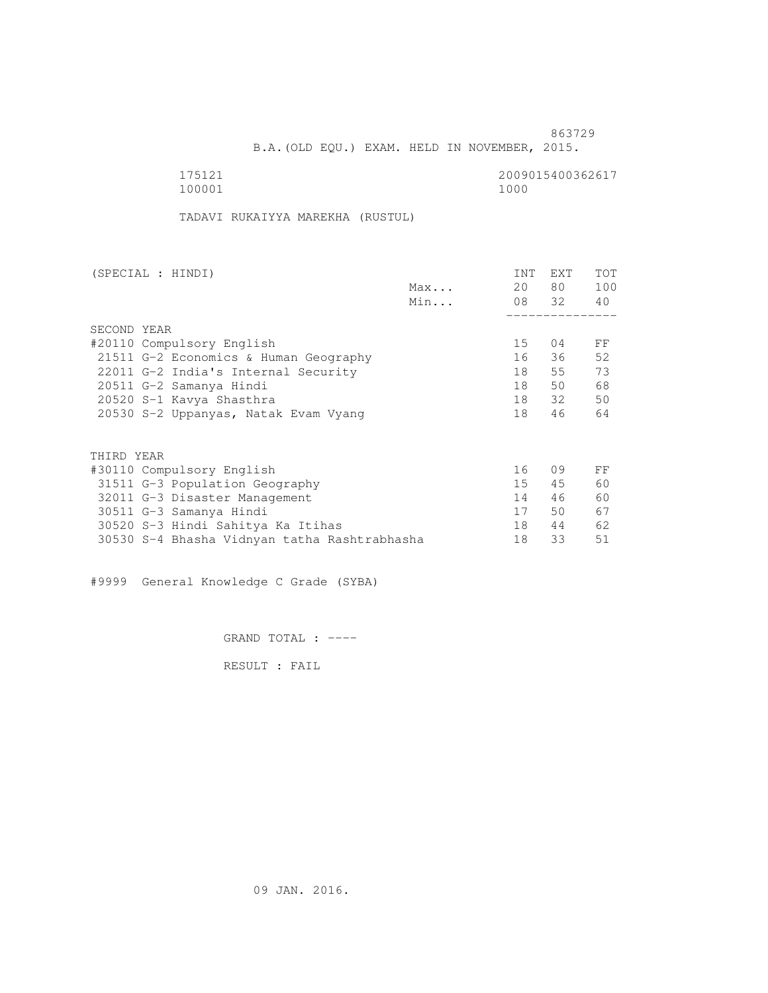B.A.(OLD EQU.) EXAM. HELD IN NOVEMBER, 2015.

100001 1000

175121<br>100001 100001 1000

TADAVI RUKAIYYA MAREKHA (RUSTUL)

| (SPECIAL : HINDI)                            |     | INT | <b>EXT</b> | TOT |
|----------------------------------------------|-----|-----|------------|-----|
|                                              | Max | 20  | 80 —       | 100 |
|                                              | Min |     | 08 32      | 40  |
|                                              |     |     |            |     |
| SECOND YEAR                                  |     |     |            |     |
| #20110 Compulsory English                    |     | 15  | 04         | FF  |
| 21511 G-2 Economics & Human Geography        |     | 16  | 36         | 52  |
| 22011 G-2 India's Internal Security          |     | 18  | 55         | 73  |
| 20511 G-2 Samanya Hindi                      |     | 18  | 50         | 68  |
| 20520 S-1 Kavya Shasthra                     |     | 18  | 32         | 50  |
| 20530 S-2 Uppanyas, Natak Evam Vyang         |     | 18  | 46         | 64  |
|                                              |     |     |            |     |
| THIRD YEAR                                   |     |     |            |     |
| #30110 Compulsory English                    |     | 16  | 09         | FF  |
| 31511 G-3 Population Geography               |     | 15  | 45         | 60  |
| 32011 G-3 Disaster Management                |     | 14  | 46         | 60  |
| 30511 G-3 Samanya Hindi                      |     | 17  | 50         | 67  |
| 30520 S-3 Hindi Sahitya Ka Itihas            |     | 18  | 44         | 62  |
| 30530 S-4 Bhasha Vidnyan tatha Rashtrabhasha |     | 18  | 33         | 51  |
|                                              |     |     |            |     |

#9999 General Knowledge C Grade (SYBA)

GRAND TOTAL : ----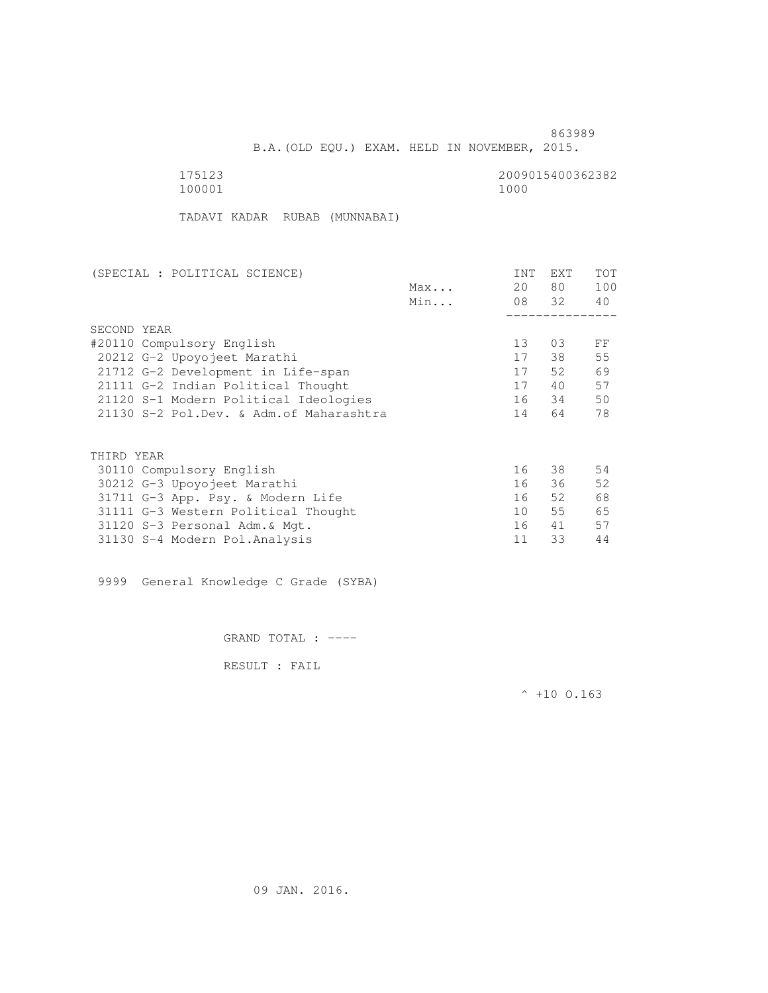B.A.(OLD EQU.) EXAM. HELD IN NOVEMBER, 2015.

100001 1000

175123 2009015400362382

TADAVI KADAR RUBAB (MUNNABAI)

| (SPECIAL : POLITICAL SCIENCE)            |     | INT | EXT   | TOT |
|------------------------------------------|-----|-----|-------|-----|
|                                          | Max | 20  | 80 —  | 100 |
|                                          | Min |     | 08 32 | 40  |
|                                          |     |     |       |     |
| SECOND YEAR                              |     |     |       |     |
| #20110 Compulsory English                |     | 13  | 03    | FF  |
| 20212 G-2 Upoyojeet Marathi              |     | 17  | 38    | 55  |
| 21712 G-2 Development in Life-span       |     | 17  | 52    | 69  |
| 21111 G-2 Indian Political Thought       |     | 17  | 40    | 57  |
| 21120 S-1 Modern Political Ideologies    |     | 16  | 34    | 50  |
| 21130 S-2 Pol.Dev. & Adm. of Maharashtra |     | 14  | 64    | 78  |
|                                          |     |     |       |     |
| THIRD YEAR                               |     |     |       |     |
| 30110 Compulsory English                 |     | 16  | 38    | 54  |
| 30212 G-3 Upoyojeet Marathi              |     | 16  | 36    | 52  |
|                                          |     |     |       |     |
| 31711 G-3 App. Psy. & Modern Life        |     | 16  | 52    | 68  |
| 31111 G-3 Western Political Thought      |     | 10  | 55    | 65  |
| 31120 S-3 Personal Adm. & Mgt.           |     | 16  | 41    | 57  |
| 31130 S-4 Modern Pol. Analysis           |     | 11  | 33    | 44  |

9999 General Knowledge C Grade (SYBA)

GRAND TOTAL : ----

RESULT : FAIL

 $^{\wedge}$  +10 O.163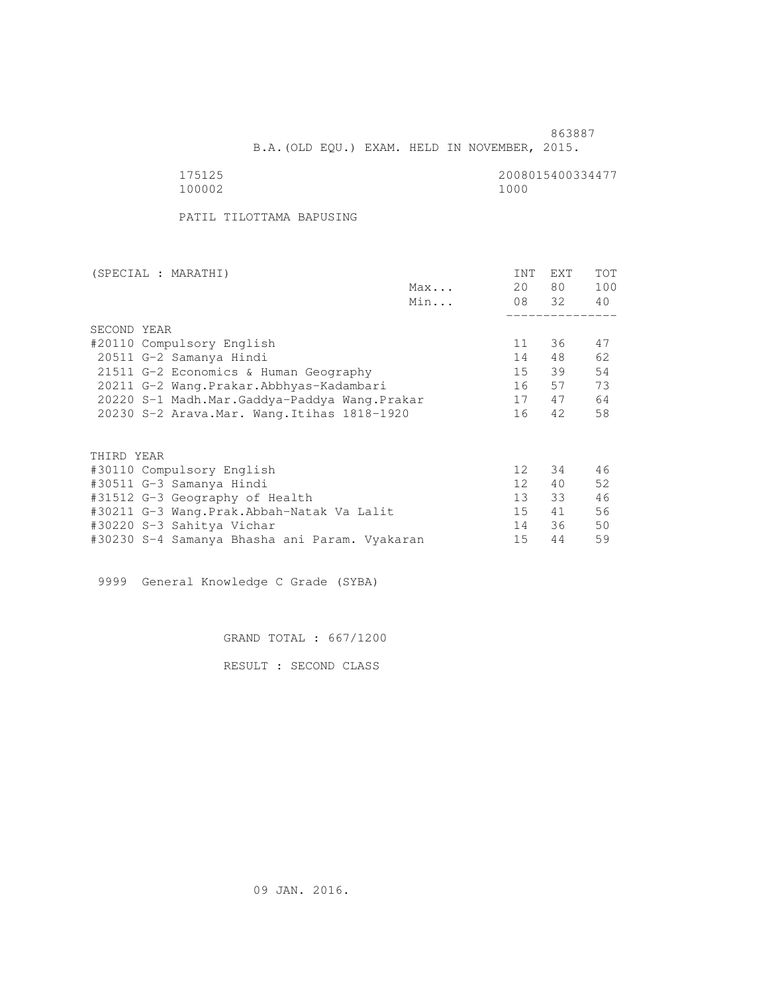B.A.(OLD EQU.) EXAM. HELD IN NOVEMBER, 2015.

175125 2008015400334477<br>100002 10000 100002 1000

PATIL TILOTTAMA BAPUSING

| (SPECIAL : MARATHI) |                                               |     | INT             | EXT   | <b>TOT</b> |
|---------------------|-----------------------------------------------|-----|-----------------|-------|------------|
|                     |                                               | Max | 20              | 80 —  | 100        |
|                     |                                               | Min |                 | 08 32 | 40         |
|                     |                                               |     |                 |       |            |
|                     | SECOND YEAR                                   |     |                 |       |            |
|                     | #20110 Compulsory English                     |     | 11              | 36    | 47         |
|                     | 20511 G-2 Samanya Hindi                       |     | 14              | 48    | 62         |
|                     | 21511 G-2 Economics & Human Geography         |     | 15              | 39    | 54         |
|                     | 20211 G-2 Wang.Prakar.Abbhyas-Kadambari       |     | 16              | 57    | 73         |
|                     | 20220 S-1 Madh.Mar.Gaddya-Paddya Wang.Prakar  |     | 17              | 47    | 64         |
|                     | 20230 S-2 Arava. Mar. Wang. Itihas 1818-1920  |     | 16              | 42    | 58         |
|                     |                                               |     |                 |       |            |
|                     | THIRD YEAR                                    |     |                 |       |            |
|                     | #30110 Compulsory English                     |     | 12 <sup>°</sup> | 34    | 46         |
|                     | #30511 G-3 Samanya Hindi                      |     | 12 <sup>1</sup> | 40    | 52         |
|                     | #31512 G-3 Geography of Health                |     | 13 <sup>7</sup> | 33    | 46         |
|                     | #30211 G-3 Wang.Prak.Abbah-Natak Va Lalit     |     | 15              | 41    | 56         |
|                     | #30220 S-3 Sahitya Vichar                     |     | 14              | 36    | 50         |
|                     | #30230 S-4 Samanya Bhasha ani Param. Vyakaran |     | 15              | 44    | 59         |

9999 General Knowledge C Grade (SYBA)

GRAND TOTAL : 667/1200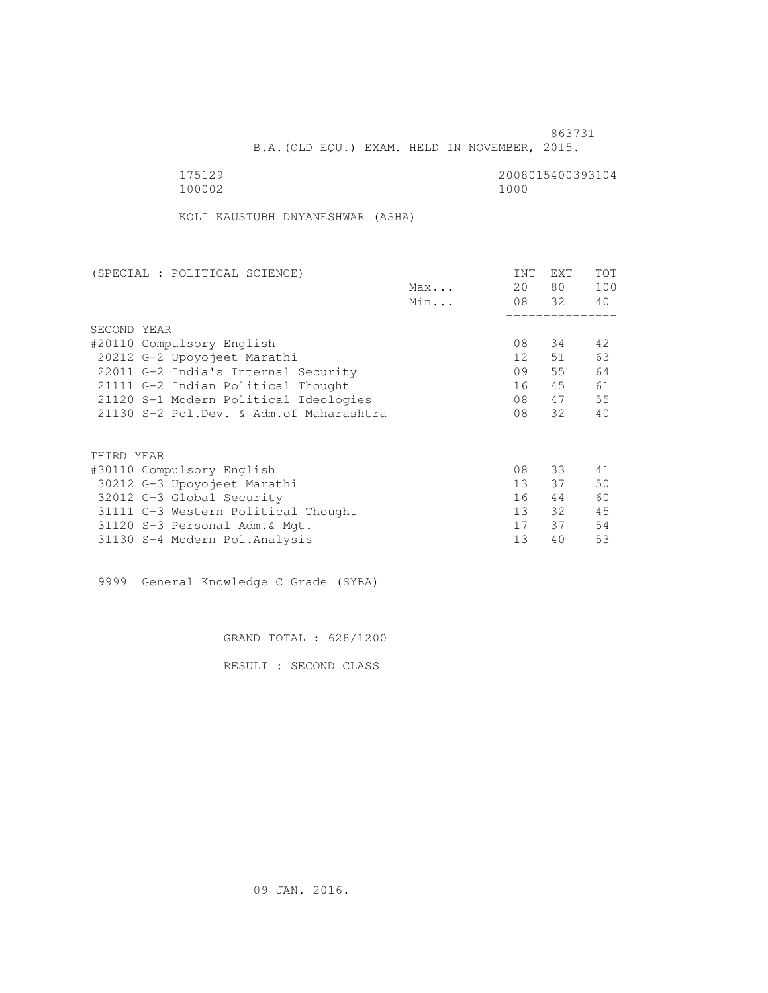B.A.(OLD EQU.) EXAM. HELD IN NOVEMBER, 2015.

175129<br>100002 100002 1000 100002 1000

KOLI KAUSTUBH DNYANESHWAR (ASHA)

| (SPECIAL : POLITICAL SCIENCE)            |     | INT             | EXT   | TOT |
|------------------------------------------|-----|-----------------|-------|-----|
|                                          | Max | 20              | 80 —  | 100 |
|                                          | Min |                 | 08 32 | 40  |
|                                          |     |                 |       |     |
| SECOND YEAR                              |     |                 |       |     |
| #20110 Compulsory English                |     | 08              | 34    | 42  |
| 20212 G-2 Upoyojeet Marathi              |     | 12              | 51    | 63  |
| 22011 G-2 India's Internal Security      |     | 09              | 55    | 64  |
| 21111 G-2 Indian Political Thought       |     | 16              | 45    | 61  |
| 21120 S-1 Modern Political Ideologies    |     | 08              | 47    | 55  |
| 21130 S-2 Pol.Dev. & Adm. of Maharashtra |     | 08              | 32    | 40  |
|                                          |     |                 |       |     |
| THIRD YEAR                               |     |                 |       |     |
| #30110 Compulsory English                |     | 08              | 33    | 41  |
| 30212 G-3 Upoyojeet Marathi              |     | 13 <sup>7</sup> | 37    | 50  |
| 32012 G-3 Global Security                |     | 16              | 44    | 60  |
| 31111 G-3 Western Political Thought      |     | 13              | 32    | 45  |
| 31120 S-3 Personal Adm. & Mgt.           |     | 17              | 37    | 54  |
| 31130 S-4 Modern Pol.Analysis            |     | 13              | 40    | 53  |

9999 General Knowledge C Grade (SYBA)

GRAND TOTAL : 628/1200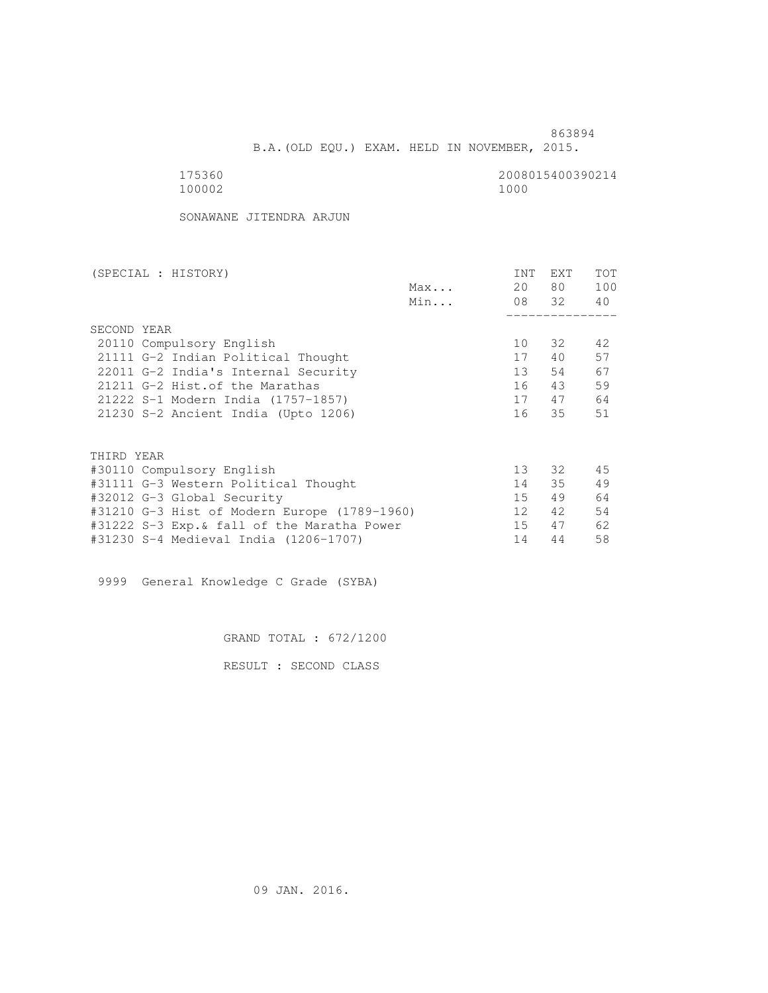B.A.(OLD EQU.) EXAM. HELD IN NOVEMBER, 2015.

175360<br>100002 100002 1000 100002 1000

SONAWANE JITENDRA ARJUN

| (SPECIAL : HISTORY)                          |     | INT             | EXT   | TOT |
|----------------------------------------------|-----|-----------------|-------|-----|
|                                              | Max | 20              | 80 —  | 100 |
|                                              | Min |                 | 08 32 | 40  |
|                                              |     |                 |       |     |
| SECOND YEAR                                  |     |                 |       |     |
| 20110 Compulsory English                     |     | 10              | 32    | 42  |
| 21111 G-2 Indian Political Thought           |     | 17              | 40    | 57  |
| 22011 G-2 India's Internal Security          |     | 13 <sup>°</sup> | 54    | 67  |
| 21211 G-2 Hist. of the Marathas              |     | 16              | 43    | 59  |
| 21222 S-1 Modern India (1757-1857)           |     | 17              | 47    | 64  |
| 21230 S-2 Ancient India (Upto 1206)          |     | 16              | 35    | 51  |
|                                              |     |                 |       |     |
| THIRD YEAR                                   |     |                 |       |     |
| #30110 Compulsory English                    |     | 13 <sup>°</sup> | 32    | 45  |
| #31111 G-3 Western Political Thought         |     | 14              | 35    | 49  |
| #32012 G-3 Global Security                   |     | 15 <sub>1</sub> | 49    | 64  |
| #31210 G-3 Hist of Modern Europe (1789-1960) |     | 12              | 42    | 54  |
| #31222 S-3 Exp.& fall of the Maratha Power   |     | 15              | 47    | 62  |
| #31230 S-4 Medieval India (1206-1707)        |     | 14              | 44    | 58  |
|                                              |     |                 |       |     |

9999 General Knowledge C Grade (SYBA)

GRAND TOTAL : 672/1200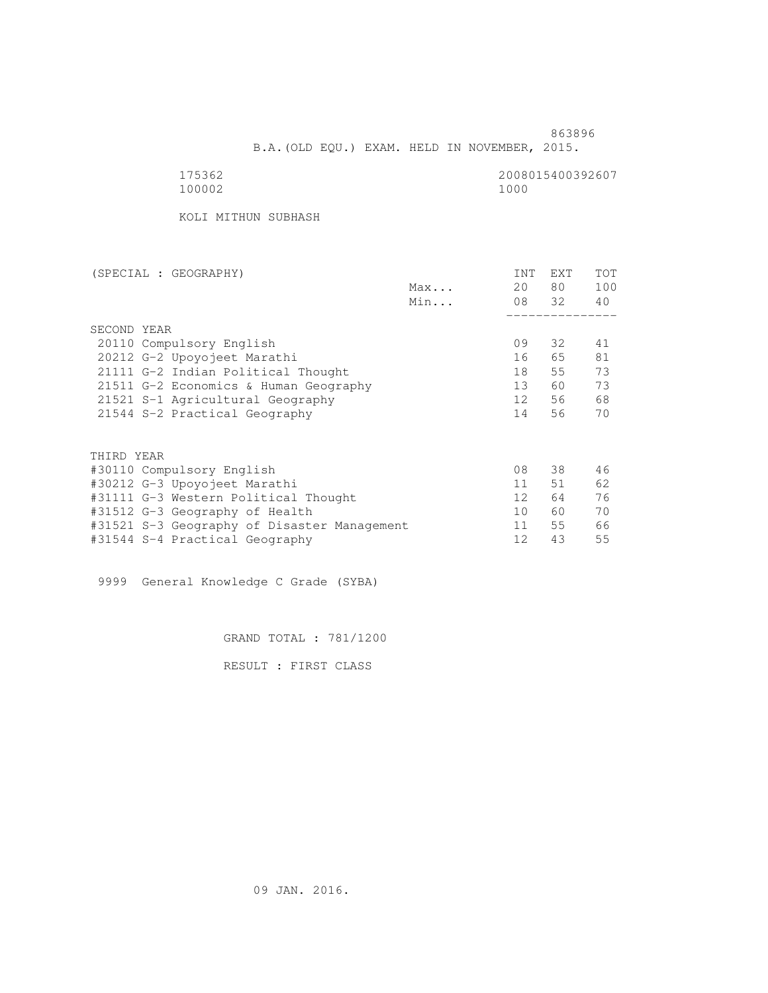B.A.(OLD EQU.) EXAM. HELD IN NOVEMBER, 2015.

175362<br>100002 100002 1000 100002 1000

KOLI MITHUN SUBHASH

| (SPECIAL : GEOGRAPHY)                       |     | INT             | <b>EXT</b> | TOT |
|---------------------------------------------|-----|-----------------|------------|-----|
|                                             | Max | 20              | 80 —       | 100 |
|                                             | Min |                 | 08 32      | 40  |
|                                             |     |                 |            |     |
| SECOND YEAR                                 |     |                 |            |     |
| 20110 Compulsory English                    |     | 09              | 32         | 41  |
| 20212 G-2 Upoyojeet Marathi                 |     | 16              | 65         | 81  |
| 21111 G-2 Indian Political Thought          |     | 18              | 55         | 73  |
| 21511 G-2 Economics & Human Geography       |     | 13              | 60 —       | 73  |
| 21521 S-1 Agricultural Geography            |     | 12              | 56         | 68  |
| 21544 S-2 Practical Geography               |     | 14              | 56         | 70  |
|                                             |     |                 |            |     |
| THIRD YEAR                                  |     |                 |            |     |
| #30110 Compulsory English                   |     | 08              | 38         | 46  |
| #30212 G-3 Upoyojeet Marathi                |     | 11              | 51         | 62  |
| #31111 G-3 Western Political Thought        |     | 12 <sup>°</sup> | 64         | 76  |
| #31512 G-3 Geography of Health              |     | 10              | 60         | 70  |
| #31521 S-3 Geography of Disaster Management |     | 11              | 55         | 66  |
| #31544 S-4 Practical Geography              |     | 12              | 43         | 55  |
|                                             |     |                 |            |     |

9999 General Knowledge C Grade (SYBA)

GRAND TOTAL : 781/1200

RESULT : FIRST CLASS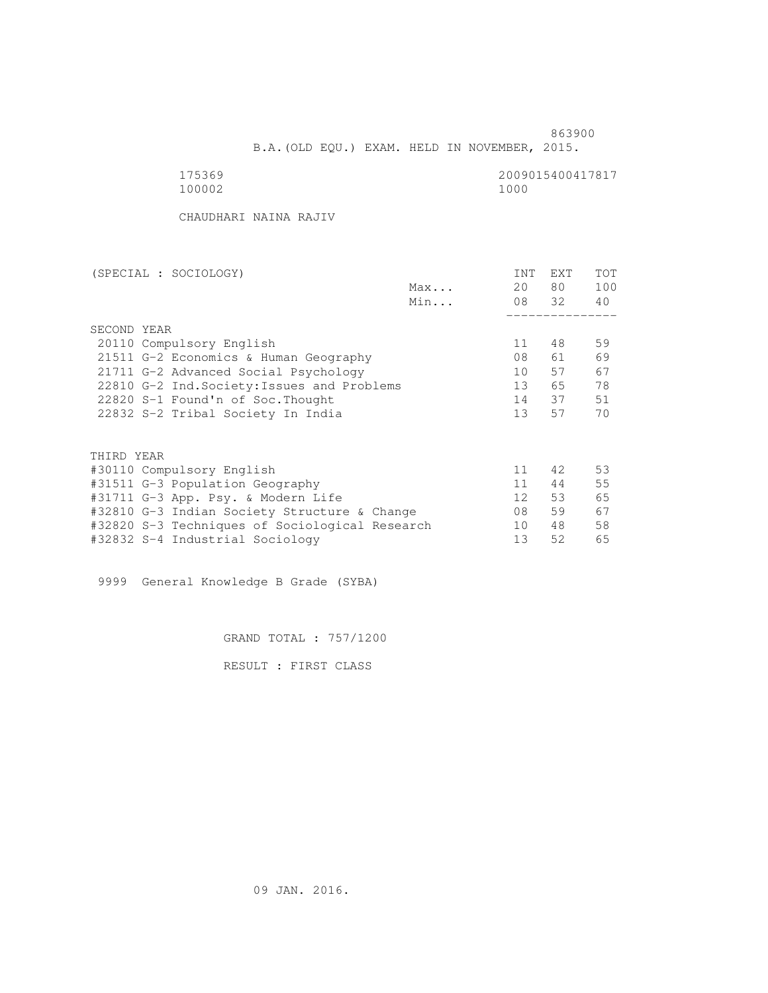B.A.(OLD EQU.) EXAM. HELD IN NOVEMBER, 2015.

175369<br>100002 100002 1000 100002 1000

CHAUDHARI NAINA RAJIV

| (SPECIAL : SOCIOLOGY)                          | INT             | <b>EXT</b> | <b>TOT</b> |
|------------------------------------------------|-----------------|------------|------------|
| Max                                            | 20              | 80 —       | 100        |
| Min                                            |                 | 08 32      | 40         |
|                                                |                 |            |            |
| SECOND YEAR                                    |                 |            |            |
| 20110 Compulsory English                       | 11              | 48         | 59         |
| 21511 G-2 Economics & Human Geography          | 08              | 61         | 69         |
| 21711 G-2 Advanced Social Psychology           | 10              | 57         | 67         |
| 22810 G-2 Ind. Society: Issues and Problems    | 13 <sup>°</sup> | 65         | 78         |
| 22820 S-1 Found'n of Soc. Thought              | 14              | 37         | 51         |
| 22832 S-2 Tribal Society In India              | 13 <sup>7</sup> | 57         | 70         |
|                                                |                 |            |            |
| THIRD YEAR                                     |                 |            |            |
| #30110 Compulsory English                      | 11              | 42         | 53         |
| #31511 G-3 Population Geography                | 11              | 44         | 55         |
| #31711 G-3 App. Psy. & Modern Life             | 12 <sup>°</sup> | 53         | 65         |
| #32810 G-3 Indian Society Structure & Change   | 08              | 59         | 67         |
| #32820 S-3 Techniques of Sociological Research | 10              | 48         | 58         |
| #32832 S-4 Industrial Sociology                | 13              | 52         | 65         |

9999 General Knowledge B Grade (SYBA)

GRAND TOTAL : 757/1200

RESULT : FIRST CLASS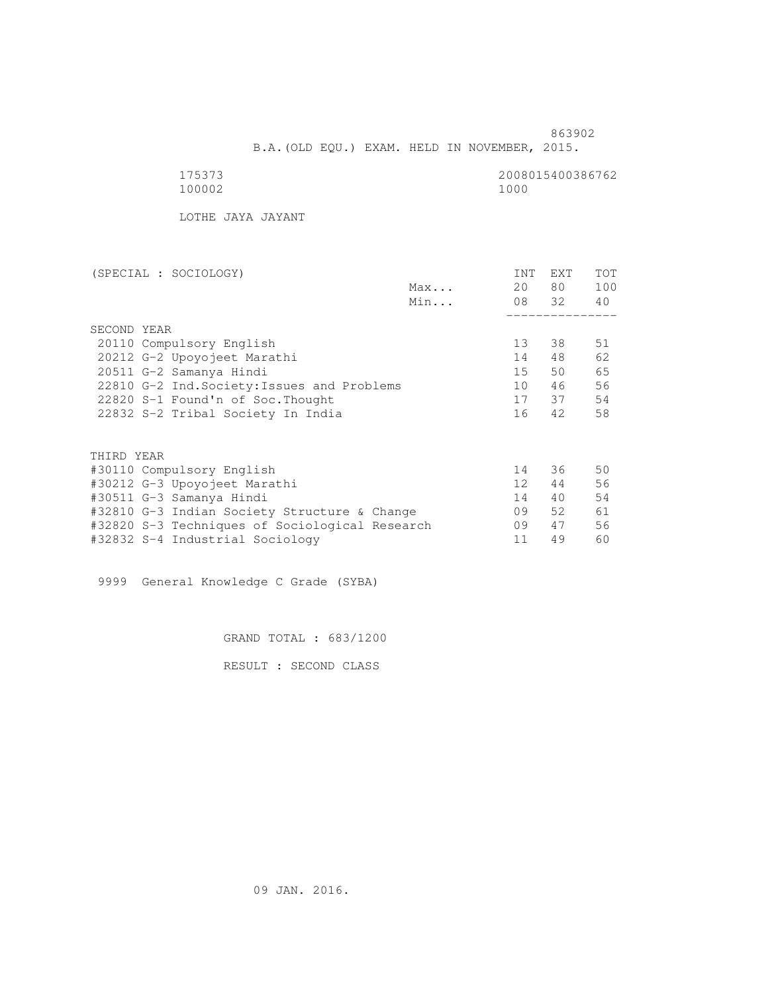B.A.(OLD EQU.) EXAM. HELD IN NOVEMBER, 2015.

 175373 2008015400386762 100002 1000

LOTHE JAYA JAYANT

| (SPECIAL : SOCIOLOGY)                          |                 |       | <b>TOT</b> |
|------------------------------------------------|-----------------|-------|------------|
| Max                                            | 20              | 80    | 100        |
| Min                                            |                 | 08 32 | 40         |
|                                                |                 |       |            |
| SECOND YEAR                                    |                 |       |            |
| 20110 Compulsory English                       | 13              | 38    | 51         |
| 20212 G-2 Upoyojeet Marathi                    | 14              | 48    | 62         |
| 20511 G-2 Samanya Hindi                        | 15 <sup>7</sup> | 50    | 65         |
| 22810 G-2 Ind. Society: Issues and Problems    | 10              | 46    | 56         |
| 22820 S-1 Found'n of Soc. Thought              | 17              | 37    | 54         |
| 22832 S-2 Tribal Society In India              | 16              | 42    | 58         |
|                                                |                 |       |            |
| THIRD YEAR                                     |                 |       |            |
| #30110 Compulsory English                      | 14              | 36    | 50         |
| #30212 G-3 Upoyojeet Marathi                   | 12 <sup>°</sup> | 44    | 56         |
| #30511 G-3 Samanya Hindi                       | 14              | 40    | 54         |
| #32810 G-3 Indian Society Structure & Change   | 09              | 52    | 61         |
| #32820 S-3 Techniques of Sociological Research | 09              | 47    | 56         |

#32832 S-4 Industrial Sociology 11 49 60

9999 General Knowledge C Grade (SYBA)

GRAND TOTAL : 683/1200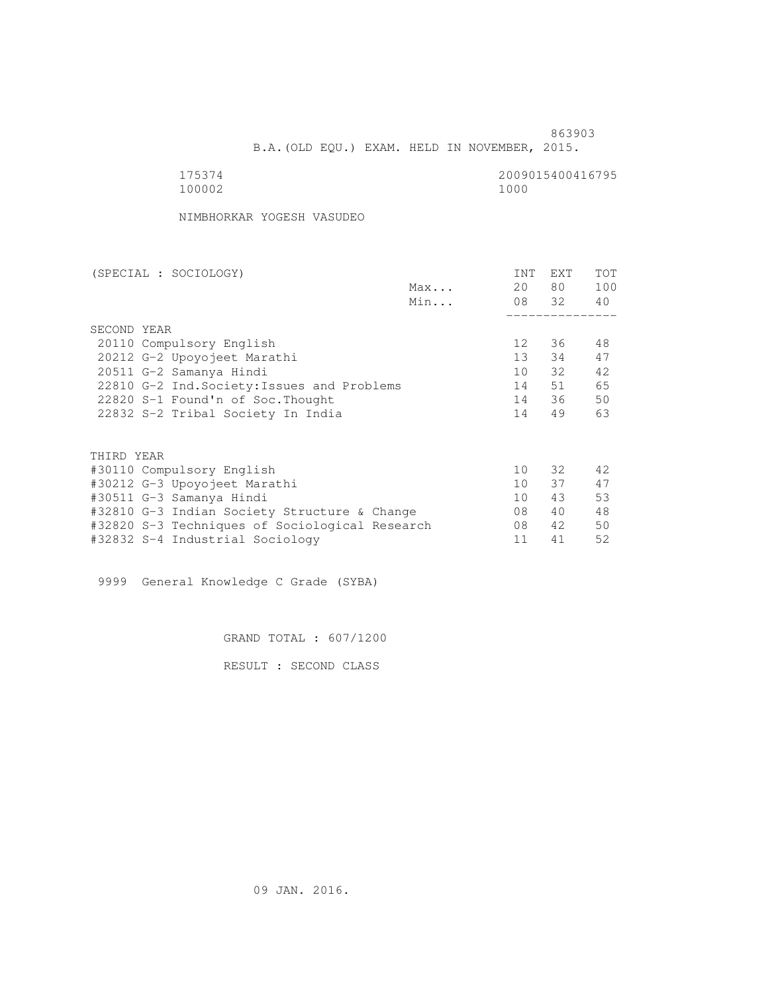B.A.(OLD EQU.) EXAM. HELD IN NOVEMBER, 2015.

175374<br>100002 100002 1000 100002 1000

NIMBHORKAR YOGESH VASUDEO

| (SPECIAL : SOCIOLOGY)                          |     | INT             | EXT      | <b>TOT</b> |
|------------------------------------------------|-----|-----------------|----------|------------|
|                                                | Max | 20              | 80 —     | 100        |
|                                                | Min |                 | 08 32 40 |            |
|                                                |     |                 |          |            |
| SECOND YEAR                                    |     |                 |          |            |
| 20110 Compulsory English                       |     | 12 <sup>°</sup> | 36       | 48         |
| 20212 G-2 Upoyojeet Marathi                    |     | 13 <sup>7</sup> | 34       | 47         |
| 20511 G-2 Samanya Hindi                        |     | 10              | 32       | 42         |
| 22810 G-2 Ind. Society: Issues and Problems    |     | 14              | 51       | 65         |
| 22820 S-1 Found'n of Soc. Thought              |     | 14              | 36       | 50         |
| 22832 S-2 Tribal Society In India              |     | 14              | 49       | 63         |
|                                                |     |                 |          |            |
| THIRD YEAR                                     |     |                 |          |            |
| #30110 Compulsory English                      |     | 10              | 32       | 42         |
| #30212 G-3 Upoyojeet Marathi                   |     | 10 <sup>1</sup> | 37       | 47         |
| #30511 G-3 Samanya Hindi                       |     | 10              | 43       | 53         |
| #32810 G-3 Indian Society Structure & Change   |     | 08              | 40       | 48         |
| #32820 S-3 Techniques of Sociological Research |     | 08              | 42       | 50         |
| #32832 S-4 Industrial Sociology                |     | 11              | 41       | 52         |
|                                                |     |                 |          |            |

9999 General Knowledge C Grade (SYBA)

GRAND TOTAL : 607/1200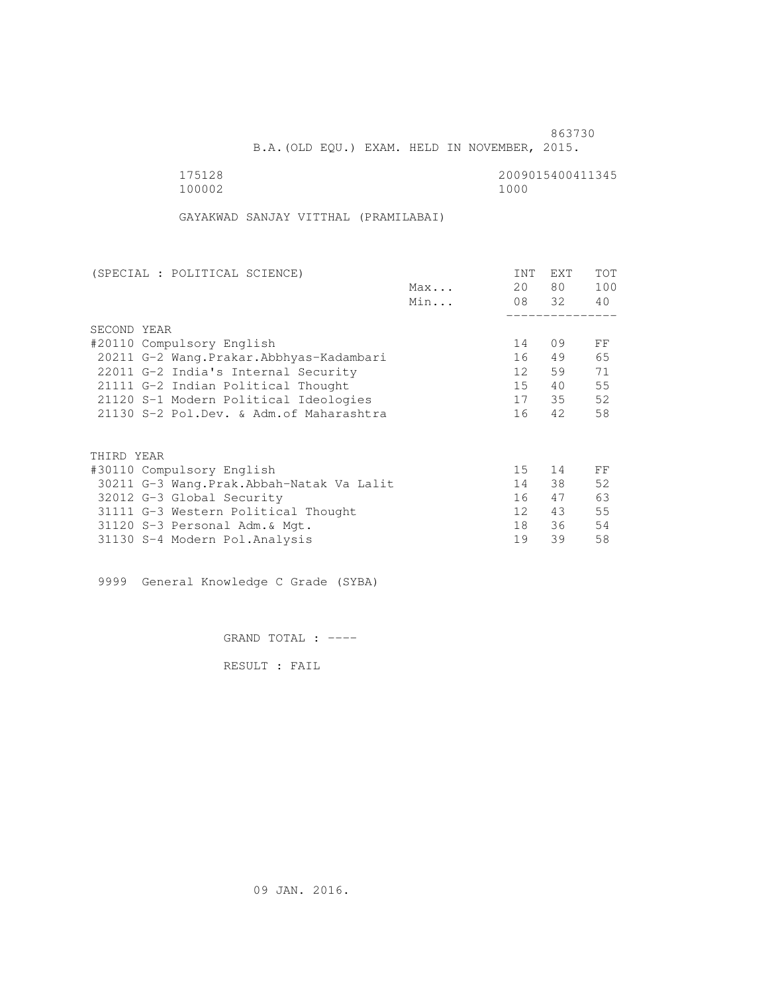B.A.(OLD EQU.) EXAM. HELD IN NOVEMBER, 2015.

 175128 2009015400411345 100002 1000

GAYAKWAD SANJAY VITTHAL (PRAMILABAI)

| INT             | EXT        | TOT         |
|-----------------|------------|-------------|
| 20              | 80         | 100         |
|                 |            | 40          |
|                 |            |             |
|                 |            |             |
| 14              | 09         | FF          |
| 16              | 49         | 65          |
| 12              | 59         | 71          |
| $15 -$          | 40         | 55          |
| 17              |            | 52          |
| 16              | 42         | 58          |
|                 |            |             |
|                 |            |             |
| 15              | 14         | FF          |
| 14              | 38         | 52          |
| 16              | 47         | 63          |
| 12 <sup>°</sup> | 43         | 55          |
| 18              | 36         | 54          |
| 19              | 39         | 58          |
|                 | Max<br>Min | 08 32<br>35 |

9999 General Knowledge C Grade (SYBA)

GRAND TOTAL : ----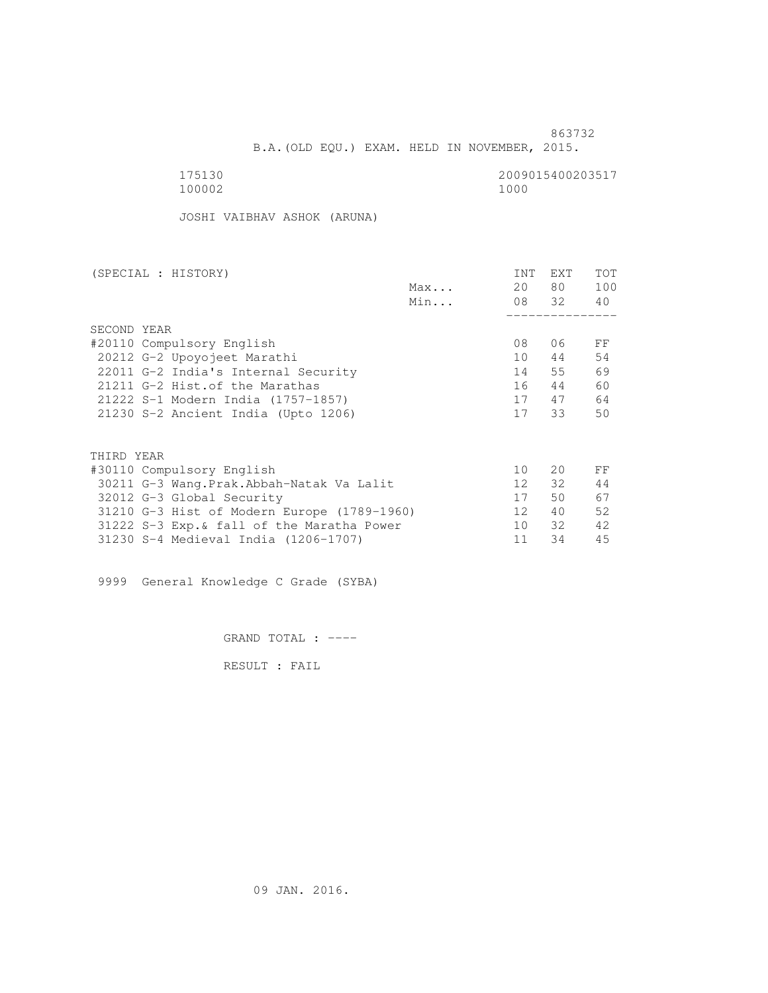B.A.(OLD EQU.) EXAM. HELD IN NOVEMBER, 2015.

175130<br>100002 100002 1000 100002 1000

JOSHI VAIBHAV ASHOK (ARUNA)

| (SPECIAL : HISTORY)         |                                             |     | INT             | EXT      | TOT |
|-----------------------------|---------------------------------------------|-----|-----------------|----------|-----|
|                             |                                             | Max | 20              | 80 —     | 100 |
|                             |                                             | Min |                 | 08 32 40 |     |
|                             |                                             |     |                 |          |     |
| SECOND YEAR                 |                                             |     |                 |          |     |
| #20110 Compulsory English   |                                             |     | 08              | 06       | FF  |
| 20212 G-2 Upoyojeet Marathi |                                             |     | 10              | 44       | 54  |
|                             | 22011 G-2 India's Internal Security         |     | 14              | 55       | 69  |
|                             | 21211 G-2 Hist. of the Marathas             |     | 16              | 44       | 60  |
|                             | 21222 S-1 Modern India (1757-1857)          |     | 17              | 47       | 64  |
|                             | 21230 S-2 Ancient India (Upto 1206)         |     | 17              | 33       | 50  |
|                             |                                             |     |                 |          |     |
| THIRD YEAR                  |                                             |     |                 |          |     |
| #30110 Compulsory English   |                                             |     | 10              | 20       | FF  |
|                             | 30211 G-3 Wang.Prak.Abbah-Natak Va Lalit    |     | 12 <sup>1</sup> | 32       | 44  |
| 32012 G-3 Global Security   |                                             |     | 17              | 50       | 67  |
|                             | 31210 G-3 Hist of Modern Europe (1789-1960) |     | 12 <sup>°</sup> | 40       | 52  |
|                             | 31222 S-3 Exp. & fall of the Maratha Power  |     | 10              | 32       | 42  |
|                             | 31230 S-4 Medieval India (1206-1707)        |     | 11              | 34       | 45  |

9999 General Knowledge C Grade (SYBA)

GRAND TOTAL : ----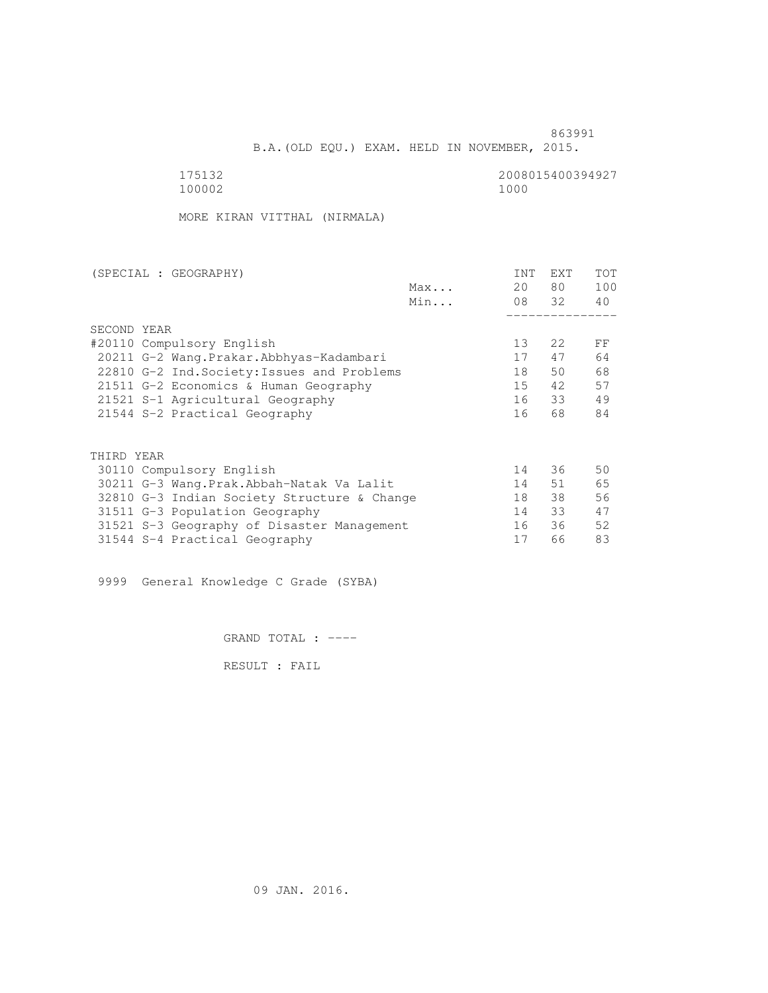B.A.(OLD EQU.) EXAM. HELD IN NOVEMBER, 2015.

175132<br>100002 100002 1000 100002 1000

MORE KIRAN VITTHAL (NIRMALA)

| (SPECIAL : GEOGRAPHY)                       |     | INT | <b>EXT</b> | TOT |
|---------------------------------------------|-----|-----|------------|-----|
|                                             | Max | 20  | 80 —       | 100 |
|                                             | Min |     | 08 32      | 40  |
|                                             |     |     |            |     |
| SECOND YEAR                                 |     |     |            |     |
| #20110 Compulsory English                   |     | 13  | 22         | FF  |
| 20211 G-2 Wang.Prakar.Abbhyas-Kadambari     |     | 17  | 47         | 64  |
| 22810 G-2 Ind. Society: Issues and Problems |     | 18  | 50         | 68  |
| 21511 G-2 Economics & Human Geography       |     | 15  | 42         | 57  |
| 21521 S-1 Agricultural Geography            |     | 16  | 33         | 49  |
| 21544 S-2 Practical Geography               |     | 16  | 68         | 84  |
|                                             |     |     |            |     |
| THIRD YEAR                                  |     |     |            |     |
| 30110 Compulsory English                    |     | 14  | 36         | 50  |
| 30211 G-3 Wang.Prak.Abbah-Natak Va Lalit    |     | 14  | 51         | 65  |
| 32810 G-3 Indian Society Structure & Change |     | 18  | 38         | 56  |
| 31511 G-3 Population Geography              |     | 14  | 33         | 47  |
| 31521 S-3 Geography of Disaster Management  |     | 16  | 36         | 52  |
| 31544 S-4 Practical Geography               |     | 17  | 66         | 83  |
|                                             |     |     |            |     |

9999 General Knowledge C Grade (SYBA)

GRAND TOTAL : ----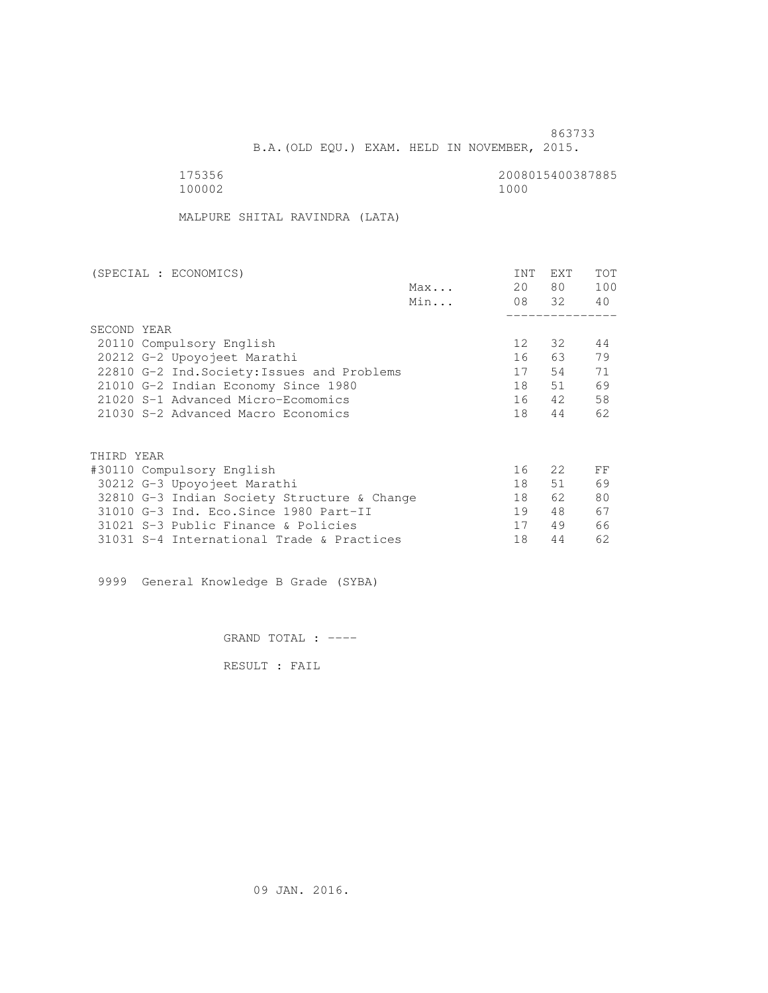B.A.(OLD EQU.) EXAM. HELD IN NOVEMBER, 2015.

 175356 2008015400387885 100002 1000

MALPURE SHITAL RAVINDRA (LATA)

| (SPECIAL : ECONOMICS)                       | INT             | <b>EXT</b> | TOT |
|---------------------------------------------|-----------------|------------|-----|
| Max                                         | 20              | 80 —       | 100 |
| Min                                         |                 | 08 32      | 40  |
|                                             |                 |            |     |
| SECOND YEAR                                 |                 |            |     |
| 20110 Compulsory English                    | 12 <sup>°</sup> | 32         | 44  |
| 20212 G-2 Upoyojeet Marathi                 | 16              | 63         | 79  |
| 22810 G-2 Ind. Society: Issues and Problems | 17              | 54         | 71  |
| 21010 G-2 Indian Economy Since 1980         | 18              | 51         | 69  |
| 21020 S-1 Advanced Micro-Ecomomics          | 16              | 42         | 58  |
| 21030 S-2 Advanced Macro Economics          | 18              | 44         | 62  |
|                                             |                 |            |     |
| THIRD YEAR                                  |                 |            |     |
| #30110 Compulsory English                   | 16              | 2.2        | FF  |
| 30212 G-3 Upoyojeet Marathi                 | 18              | 51         | 69  |
| 32810 G-3 Indian Society Structure & Change | 18              | 62         | 80  |
| 31010 G-3 Ind. Eco. Since 1980 Part-II      | 19              | 48         | 67  |
| 31021 S-3 Public Finance & Policies         | 17              | 49         | 66  |
| 31031 S-4 International Trade & Practices   | 18              | 44         | 62  |

9999 General Knowledge B Grade (SYBA)

GRAND TOTAL : ----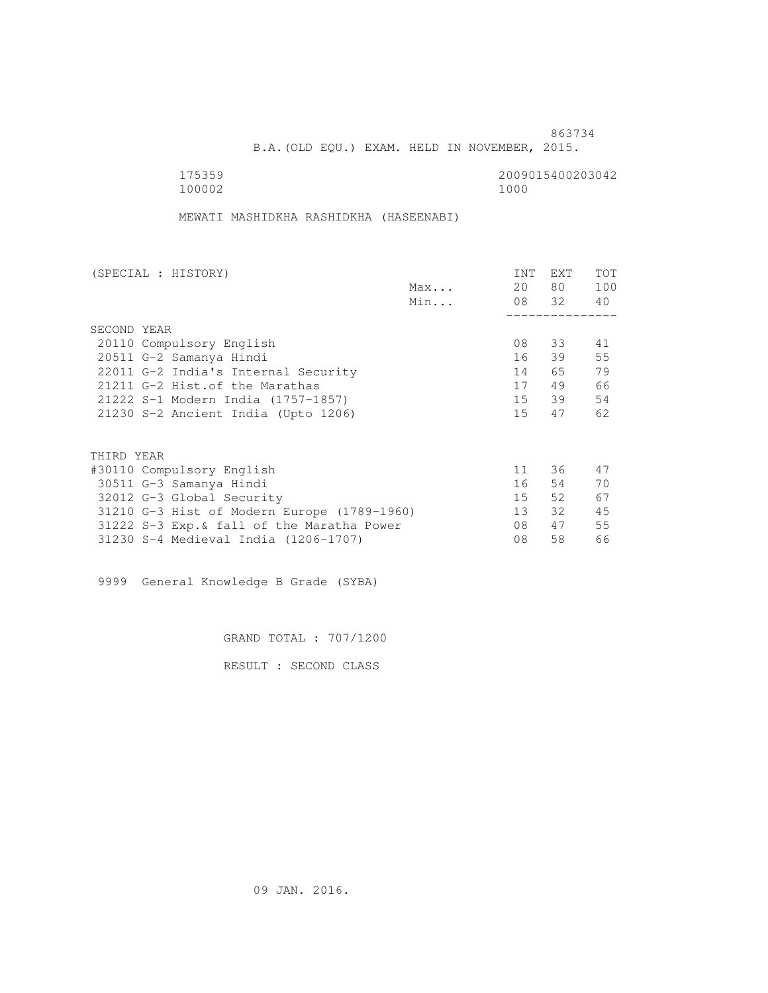B.A.(OLD EQU.) EXAM. HELD IN NOVEMBER, 2015.

 175359 2009015400203042 100002 1000

MEWATI MASHIDKHA RASHIDKHA (HASEENABI)

| (SPECIAL : HISTORY)                         |     | INT    | <b>EXT</b> | TOT |
|---------------------------------------------|-----|--------|------------|-----|
|                                             | Max | 20     | 80 —       | 100 |
|                                             | Min |        | 08 32      | 40  |
|                                             |     |        |            |     |
| SECOND YEAR                                 |     |        |            |     |
| 20110 Compulsory English                    |     | 08     | 33         | 41  |
| 20511 G-2 Samanya Hindi                     |     | 16     | 39         | 55  |
| 22011 G-2 India's Internal Security         |     | 14     | 65 —       | 79  |
| 21211 G-2 Hist. of the Marathas             |     | 17     | 49         | 66  |
| 21222 S-1 Modern India (1757-1857)          |     |        | 15 39      | 54  |
| 21230 S-2 Ancient India (Upto 1206)         |     | 15     | 47         | 62  |
|                                             |     |        |            |     |
| THIRD YEAR                                  |     |        |            |     |
| #30110 Compulsory English                   |     | 11     | 36         | 47  |
| 30511 G-3 Samanya Hindi                     |     | 16     | 54         | 70  |
| 32012 G-3 Global Security                   |     | $15 -$ | 52.        | 67  |
| 31210 G-3 Hist of Modern Europe (1789-1960) |     | 13     | 32         | 45  |
| 31222 S-3 Exp. & fall of the Maratha Power  |     | 08     | 47         | 55  |
| 31230 S-4 Medieval India (1206-1707)        |     | 08     | 58         | 66  |
|                                             |     |        |            |     |

9999 General Knowledge B Grade (SYBA)

GRAND TOTAL : 707/1200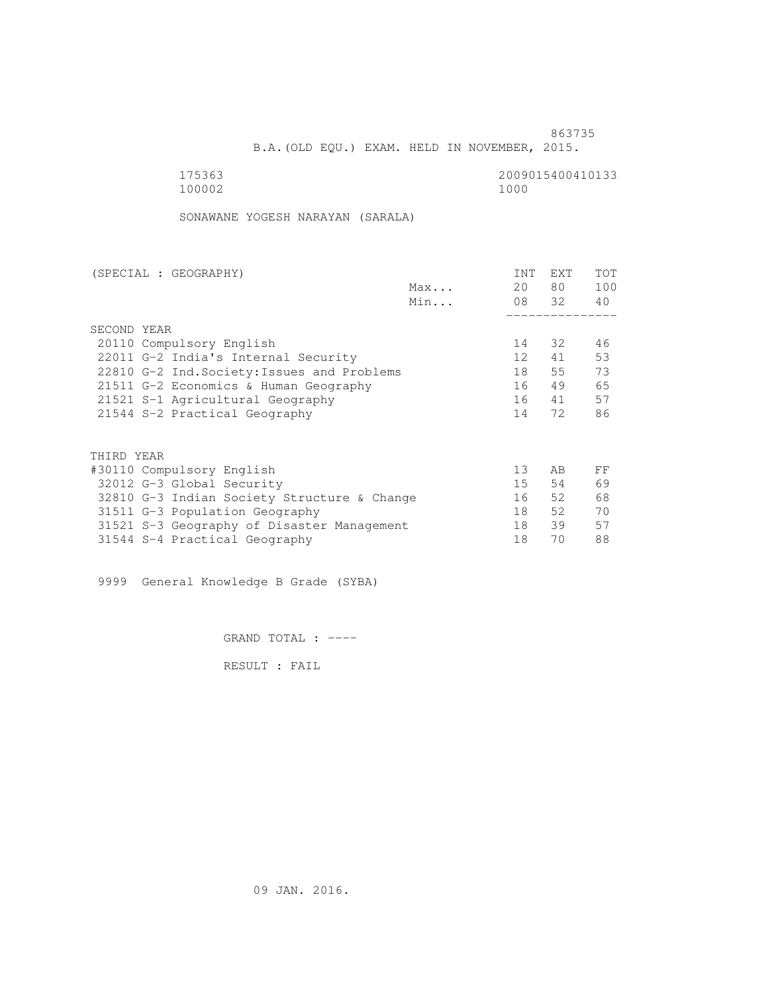B.A.(OLD EQU.) EXAM. HELD IN NOVEMBER, 2015.

175363<br>100002 100002 1000 100002 1000

SONAWANE YOGESH NARAYAN (SARALA)

| (SPECIAL : GEOGRAPHY)                       |     | INT             | <b>EXT</b> | TOT |
|---------------------------------------------|-----|-----------------|------------|-----|
|                                             | Max | 20              | 80 —       | 100 |
|                                             | Min |                 | 08 32      | 40  |
|                                             |     |                 |            |     |
| SECOND YEAR                                 |     |                 |            |     |
| 20110 Compulsory English                    |     | 14              | 32         | 46  |
| 22011 G-2 India's Internal Security         |     | 12 <sup>1</sup> | 41         | 53  |
| 22810 G-2 Ind. Society: Issues and Problems |     | 18              | 55         | 73  |
| 21511 G-2 Economics & Human Geography       |     | 16              | 49         | 65  |
| 21521 S-1 Agricultural Geography            |     | 16              | 41         | 57  |
| 21544 S-2 Practical Geography               |     | 14              | 72         | 86  |
|                                             |     |                 |            |     |
| THIRD YEAR                                  |     |                 |            |     |
| #30110 Compulsory English                   |     | 13              | AB         | FF  |
| 32012 G-3 Global Security                   |     | 15              | 54         | 69  |
| 32810 G-3 Indian Society Structure & Change |     | 16              | 52         | 68  |
| 31511 G-3 Population Geography              |     | 18              | 52         | 70  |
| 31521 S-3 Geography of Disaster Management  |     | 18              | 39         | 57  |
| 31544 S-4 Practical Geography               |     | 18              | 70         | 88  |
|                                             |     |                 |            |     |

9999 General Knowledge B Grade (SYBA)

GRAND TOTAL : ----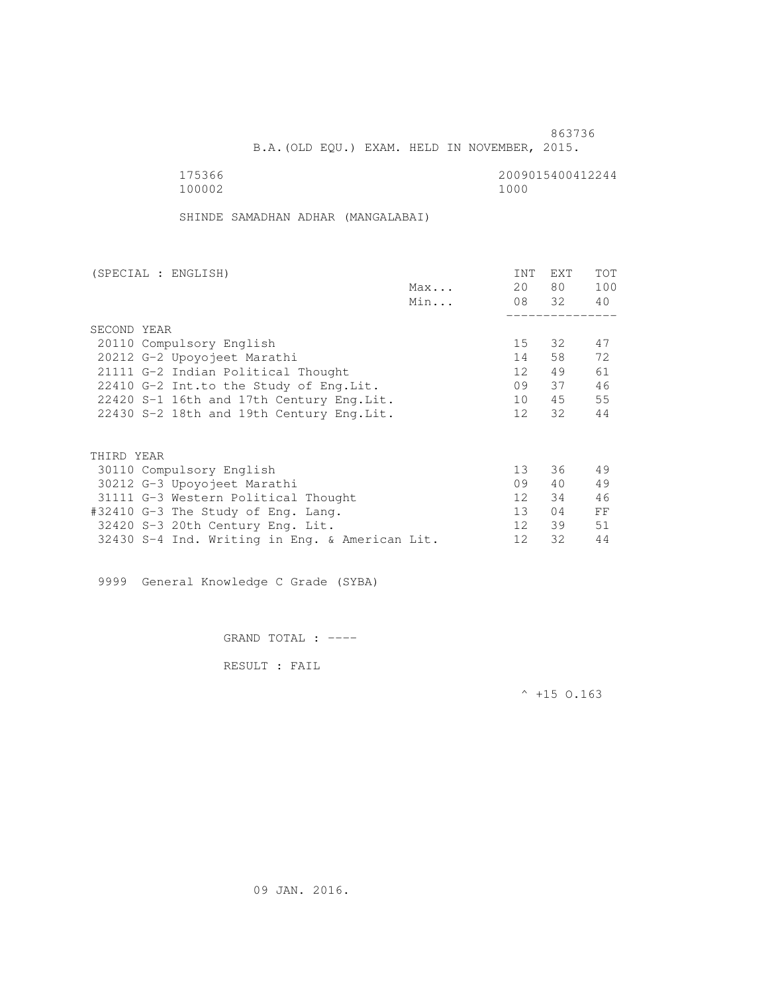B.A.(OLD EQU.) EXAM. HELD IN NOVEMBER, 2015.

 175366 2009015400412244 100002 1000

SHINDE SAMADHAN ADHAR (MANGALABAI)

| (SPECIAL : ENGLISH)                            | INT             | EXT   | TOT |
|------------------------------------------------|-----------------|-------|-----|
| Max                                            | 20              | 80 —  | 100 |
| Min                                            |                 | 08 32 | 40  |
|                                                |                 |       |     |
| SECOND YEAR                                    |                 |       |     |
| 20110 Compulsory English                       | 15              | 32    | 47  |
| 20212 G-2 Upoyojeet Marathi                    | 14              | 58    | 72  |
| 21111 G-2 Indian Political Thought             | 12              | 49    | 61  |
| 22410 G-2 Int.to the Study of Eng. Lit.        | 09              | 37    | 46  |
| 22420 S-1 16th and 17th Century Eng. Lit.      | 10              | 45    | 55  |
| 22430 S-2 18th and 19th Century Eng. Lit.      | 12              | 32    | 44  |
|                                                |                 |       |     |
| THIRD YEAR                                     |                 |       |     |
| 30110 Compulsory English                       | 13 <sup>°</sup> | 36    | 49  |
| 30212 G-3 Upoyojeet Marathi                    | 09              | 40    | 49  |
| 31111 G-3 Western Political Thought            | 12              | 34    | 46  |
| #32410 G-3 The Study of Eng. Lang.             | 13 <sup>7</sup> | 04    | FF  |
| 32420 S-3 20th Century Eng. Lit.               | 12 <sup>1</sup> | 39    | 51  |
| 32430 S-4 Ind. Writing in Eng. & American Lit. | 12              | 32    | 44  |

9999 General Knowledge C Grade (SYBA)

GRAND TOTAL : ----

RESULT : FAIL

 $^{\wedge}$  +15 O.163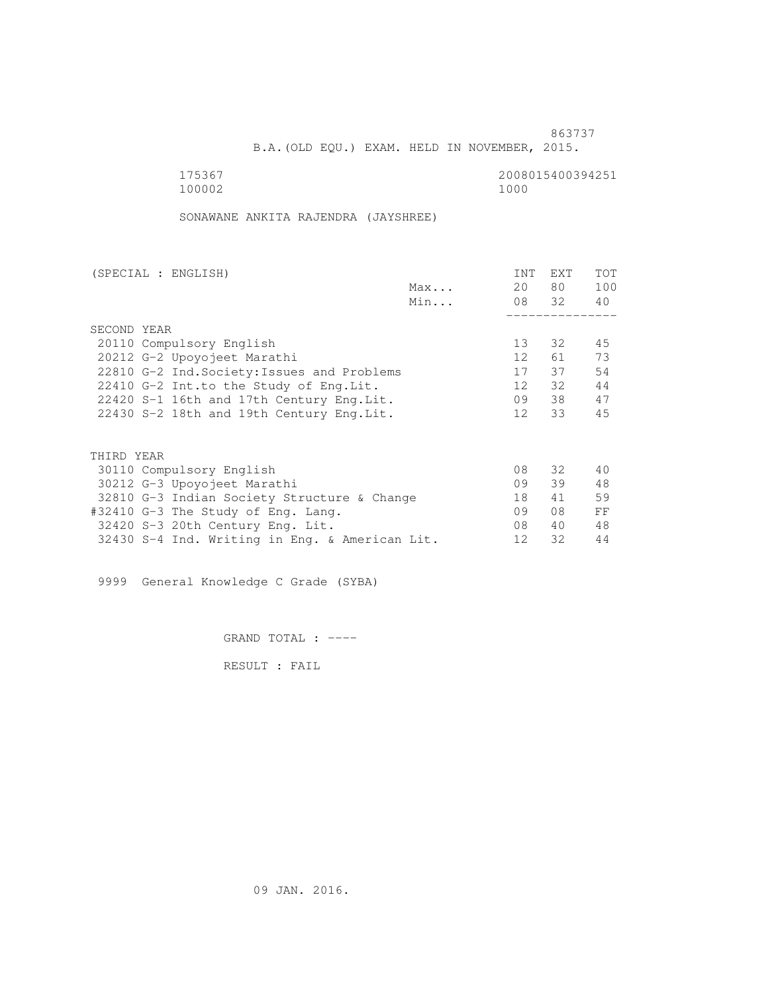B.A.(OLD EQU.) EXAM. HELD IN NOVEMBER, 2015.

 175367 2008015400394251 100002 1000

SONAWANE ANKITA RAJENDRA (JAYSHREE)

| (SPECIAL : ENGLISH)                            |     | INT             | <b>EXT</b> | TOT |
|------------------------------------------------|-----|-----------------|------------|-----|
|                                                | Max | 20              | 80 —       | 100 |
|                                                | Min |                 | 08 32      | 40  |
|                                                |     |                 |            |     |
| SECOND YEAR                                    |     |                 |            |     |
| 20110 Compulsory English                       |     | 13 <sup>°</sup> | 32         | 45  |
| 20212 G-2 Upoyojeet Marathi                    |     | 12 <sup>7</sup> | 61 —       | 73  |
| 22810 G-2 Ind. Society: Issues and Problems    |     | 17              | 37         | 54  |
| 22410 G-2 Int.to the Study of Eng. Lit.        |     | 12              | 32         | 44  |
| 22420 S-1 16th and 17th Century Eng. Lit.      |     | 09              | 38         | 47  |
| 22430 S-2 18th and 19th Century Eng. Lit.      |     | 12              | 33         | 45  |
|                                                |     |                 |            |     |
| THIRD YEAR                                     |     |                 |            |     |
| 30110 Compulsory English                       |     | 08              | 32 F       | 40  |
| 30212 G-3 Upoyojeet Marathi                    |     | 09              | 39         | 48  |
| 32810 G-3 Indian Society Structure & Change    |     | 18              | 41         | 59  |
| #32410 G-3 The Study of Eng. Lang.             |     | 09              | 08         | FF  |
| 32420 S-3 20th Century Eng. Lit.               |     | 08              | 40         | 48  |
| 32430 S-4 Ind. Writing in Eng. & American Lit. |     | 12              | 32         | 44  |
|                                                |     |                 |            |     |

9999 General Knowledge C Grade (SYBA)

GRAND TOTAL : ----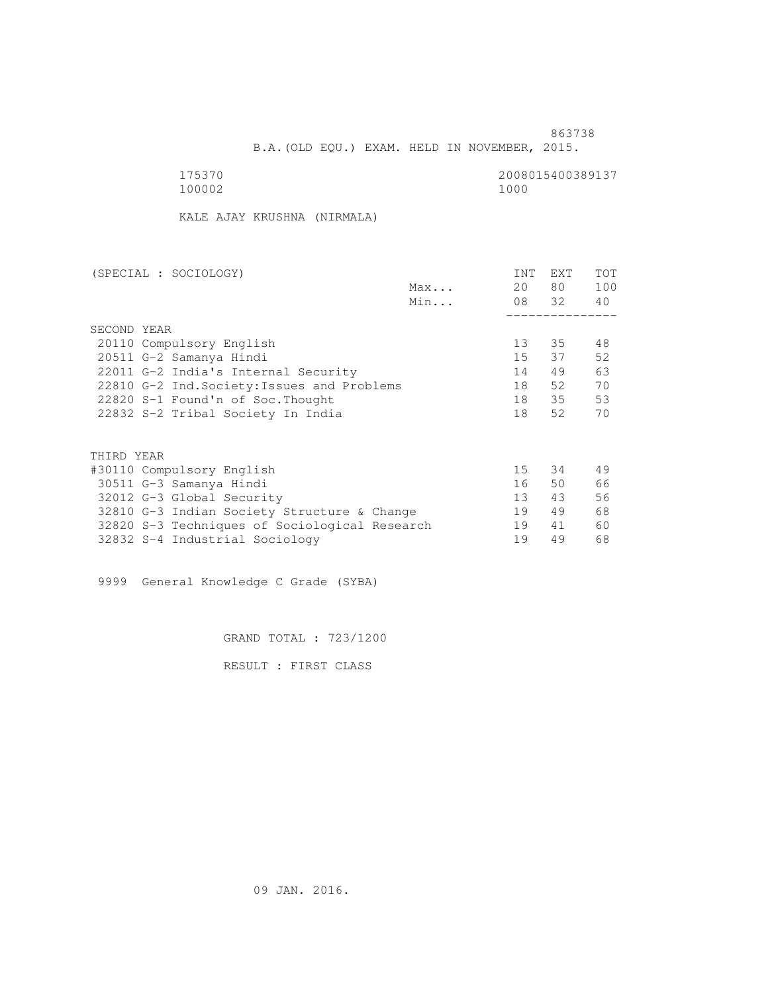B.A.(OLD EQU.) EXAM. HELD IN NOVEMBER, 2015.

175370<br>100002 100002 1000 100002 1000

KALE AJAY KRUSHNA (NIRMALA)

| (SPECIAL : SOCIOLOGY)                         | <b>INT</b> | <b>EXT</b> | <b>TOT</b> |
|-----------------------------------------------|------------|------------|------------|
| Max                                           | 20         | 80         | 100        |
| Min                                           | 08 32      |            | 40         |
|                                               |            |            |            |
| SECOND YEAR                                   |            |            |            |
| 20110 Compulsory English                      | 13         | 35         | 48         |
| 20511 G-2 Samanya Hindi                       | $15 -$     | 37         | 52         |
| 22011 G-2 India's Internal Security           | 14         | 49         | 63         |
| 22810 G-2 Ind. Society: Issues and Problems   | 18         | 52         | 70         |
| 22820 S-1 Found'n of Soc. Thought             | 18         | 35         | 53         |
| 22832 S-2 Tribal Society In India             | 18         | 52         | 70         |
|                                               |            |            |            |
| THIRD YEAR                                    |            |            |            |
| #30110 Compulsory English                     | 15         | 34         | 49         |
| 30511 G-3 Samanya Hindi                       | 16         | 50         | 66         |
| 32012 G-3 Global Security                     | 13         | 43         | 56         |
| 32810 G-3 Indian Society Structure & Change   | 19         | 49         | 68         |
| 32820 S-3 Techniques of Sociological Research | 19         | 41         | 60         |

32832 S-4 Industrial Sociology 19 49 68

9999 General Knowledge C Grade (SYBA)

GRAND TOTAL : 723/1200

RESULT : FIRST CLASS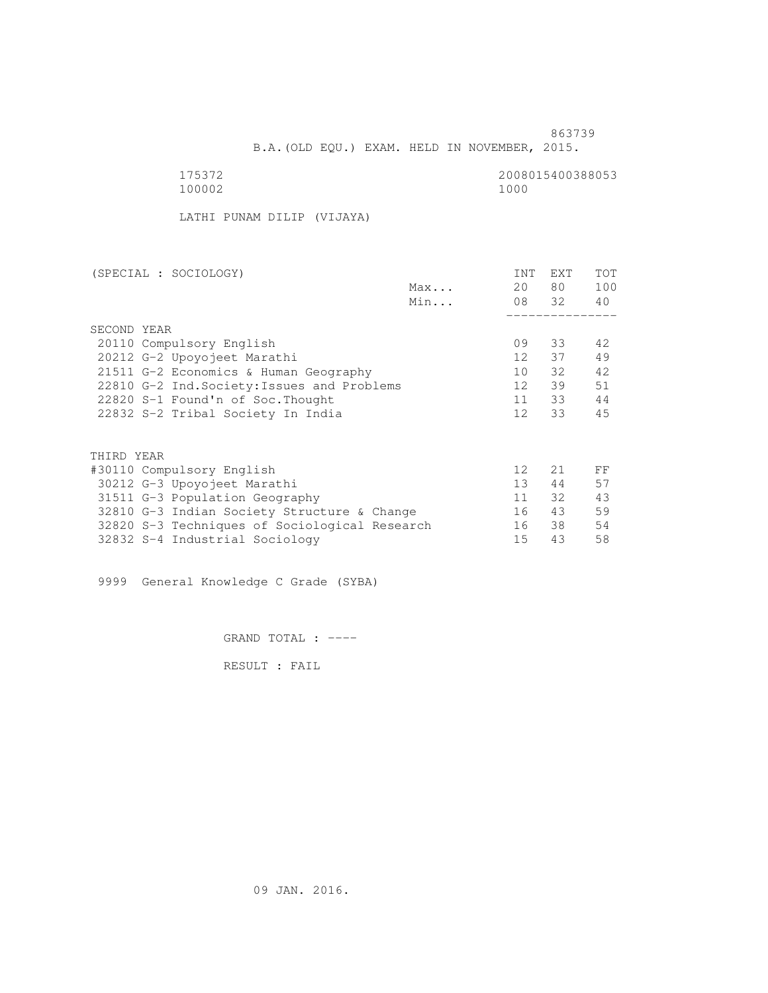B.A.(OLD EQU.) EXAM. HELD IN NOVEMBER, 2015.

 175372 2008015400388053 100002 1000

LATHI PUNAM DILIP (VIJAYA)

| (SPECIAL : SOCIOLOGY)                         |     | INT              | <b>EXT</b> | <b>TOT</b> |
|-----------------------------------------------|-----|------------------|------------|------------|
|                                               | Max | 20               | 80 —       | 100        |
|                                               | Min |                  | 08 32      | 40         |
|                                               |     |                  |            |            |
| SECOND YEAR                                   |     |                  |            |            |
| 20110 Compulsory English                      |     | 09               | 33         | 42         |
| 20212 G-2 Upoyojeet Marathi                   |     | 12 <sup>12</sup> | 37         | 49         |
| 21511 G-2 Economics & Human Geography         |     | 10               | 32         | 42         |
| 22810 G-2 Ind. Society: Issues and Problems   |     | 12 <sup>°</sup>  | 39         | 51         |
| 22820 S-1 Found'n of Soc. Thought             |     | 11               | 33         | 44         |
| 22832 S-2 Tribal Society In India             |     | 12 <sup>12</sup> | 33         | 45         |
|                                               |     |                  |            |            |
| THIRD YEAR                                    |     |                  |            |            |
| #30110 Compulsory English                     |     | 12 <sup>°</sup>  | 21         | FF         |
| 30212 G-3 Upoyojeet Marathi                   |     | 13 <sup>7</sup>  | 44         | 57         |
|                                               |     |                  |            |            |
| 31511 G-3 Population Geography                |     | 11               | 32         | 43         |
| 32810 G-3 Indian Society Structure & Change   |     | 16               | 43         | 59         |
| 32820 S-3 Techniques of Sociological Research |     | 16               | 38         | 54         |
| 32832 S-4 Industrial Sociology                |     | 15               | 43         | 58         |

9999 General Knowledge C Grade (SYBA)

GRAND TOTAL : ----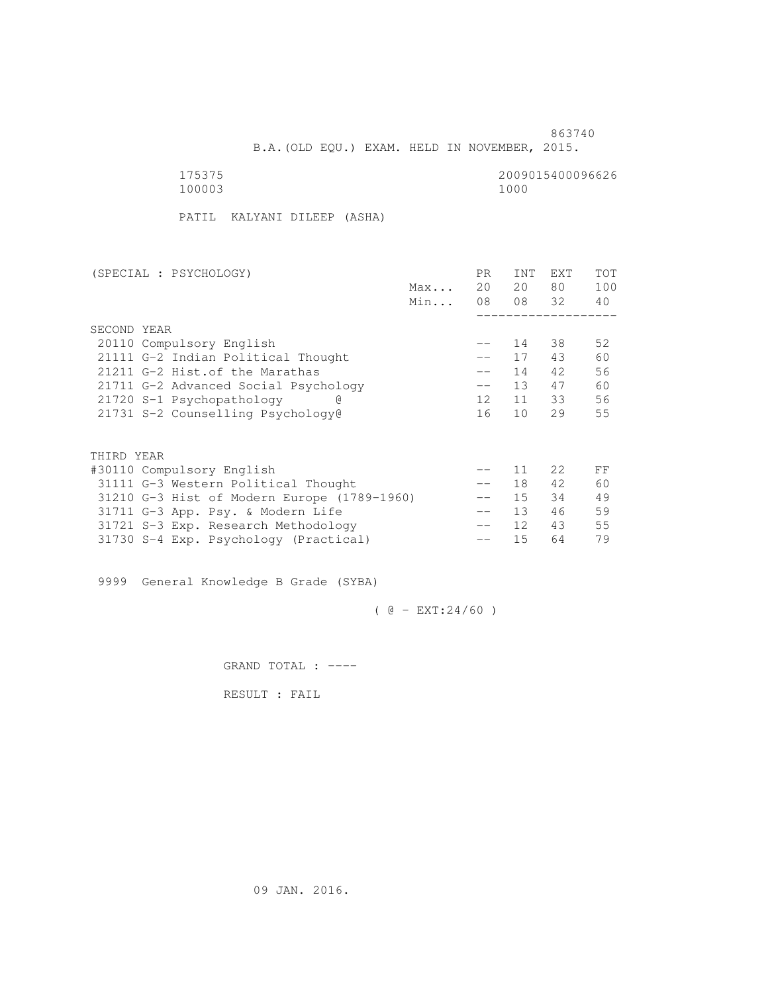B.A.(OLD EQU.) EXAM. HELD IN NOVEMBER, 2015.

 175375 2009015400096626 100003 1000

PATIL KALYANI DILEEP (ASHA)

|                                             | PR.               | <b>INT</b>      | <b>EXT</b> | TOT         |
|---------------------------------------------|-------------------|-----------------|------------|-------------|
|                                             | 20                | 20              | 80         | 100         |
|                                             | 08                |                 |            | 40          |
|                                             |                   |                 |            |             |
|                                             |                   |                 |            |             |
|                                             | $- -$             | 14              | 38         | 52          |
|                                             | $- -$             | 17              | 43         | 60          |
|                                             |                   | 14              | 42         | 56          |
|                                             | $-\,-$            | 13 <sup>7</sup> | 47         | 60          |
|                                             | 12 <sup>°</sup>   | 11              |            | 56          |
|                                             | 16                | 10              | 29         | 55          |
|                                             |                   |                 |            |             |
|                                             |                   |                 |            |             |
|                                             |                   |                 |            |             |
|                                             |                   | 11              | 22         | FF          |
|                                             | $\qquad \qquad -$ | 18              | 42         | 60          |
|                                             | $\qquad \qquad -$ | 15              | 34         | 49          |
|                                             | $\qquad \qquad -$ | 13 <sup>°</sup> | 46         | 59          |
|                                             | $- -$             | 12 <sup>°</sup> | 43         | 55          |
|                                             |                   | 15              | 64         | 79          |
| 31210 G-3 Hist of Modern Europe (1789-1960) | Max<br>Min        |                 |            | 08 32<br>33 |

9999 General Knowledge B Grade (SYBA)

 $( @ - EXT: 24/60 )$ 

GRAND TOTAL : ----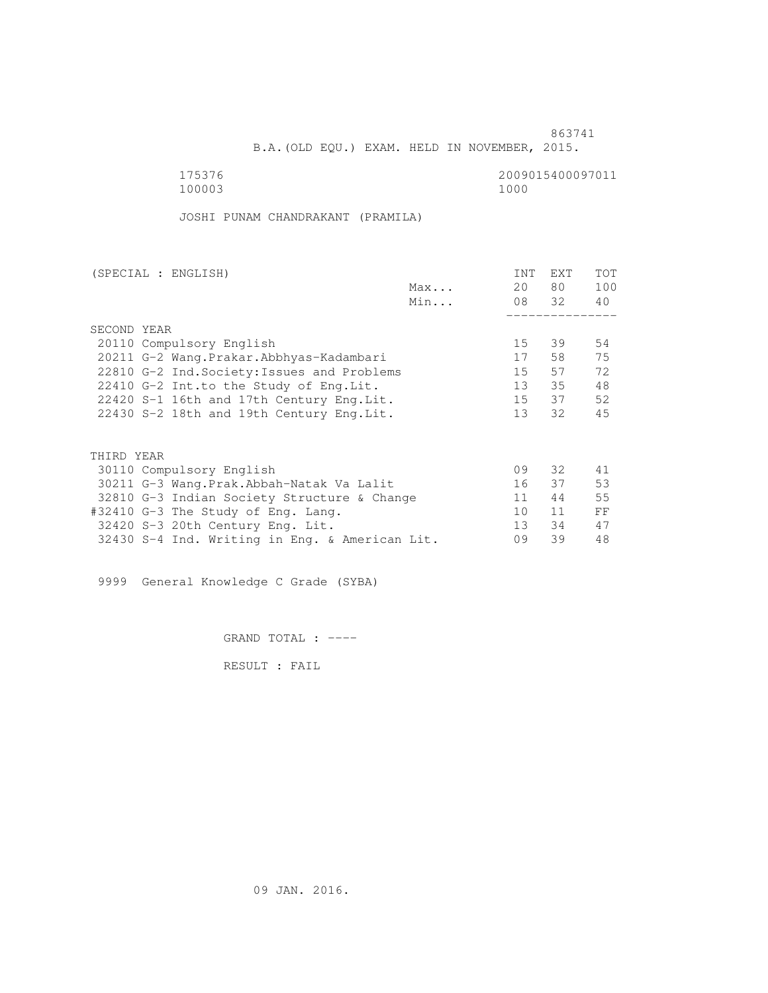B.A.(OLD EQU.) EXAM. HELD IN NOVEMBER, 2015.

175376<br>100003 100003 1000 100003 1000

JOSHI PUNAM CHANDRAKANT (PRAMILA)

|                                                | INT                                                                                     | EXT                                                  | <b>TOT</b>                                                |
|------------------------------------------------|-----------------------------------------------------------------------------------------|------------------------------------------------------|-----------------------------------------------------------|
| Max                                            | 20                                                                                      |                                                      | 100                                                       |
| Min                                            |                                                                                         |                                                      | 40                                                        |
|                                                |                                                                                         |                                                      |                                                           |
|                                                |                                                                                         |                                                      |                                                           |
|                                                | 15                                                                                      | 39                                                   | 54                                                        |
| 20211 G-2 Wang. Prakar. Abbhyas-Kadambari      | 17                                                                                      | 58                                                   | 75                                                        |
| 22810 G-2 Ind. Society: Issues and Problems    | 15                                                                                      | 57                                                   | 72                                                        |
|                                                | 13                                                                                      |                                                      | 48                                                        |
| 22420 S-1 16th and 17th Century Eng.Lit.       | 15                                                                                      |                                                      | 52                                                        |
| 22430 S-2 18th and 19th Century Eng. Lit.      | 13 <sup>7</sup>                                                                         | 32                                                   | 45                                                        |
|                                                |                                                                                         |                                                      |                                                           |
|                                                |                                                                                         |                                                      |                                                           |
|                                                |                                                                                         |                                                      | 41                                                        |
|                                                |                                                                                         |                                                      | 53                                                        |
|                                                |                                                                                         |                                                      | 55                                                        |
|                                                |                                                                                         |                                                      |                                                           |
|                                                |                                                                                         |                                                      | FF                                                        |
|                                                |                                                                                         |                                                      | 47                                                        |
| 32430 S-4 Ind. Writing in Eng. & American Lit. | 09                                                                                      | 39                                                   | 48                                                        |
|                                                | 30211 G-3 Wang.Prak.Abbah-Natak Va Lalit<br>32810 G-3 Indian Society Structure & Change | 09<br>16<br>11<br>10 <sup>°</sup><br>13 <sup>7</sup> | 80 —<br>08 32<br>35<br>37<br>32 F<br>37<br>44<br>11<br>34 |

9999 General Knowledge C Grade (SYBA)

GRAND TOTAL : ----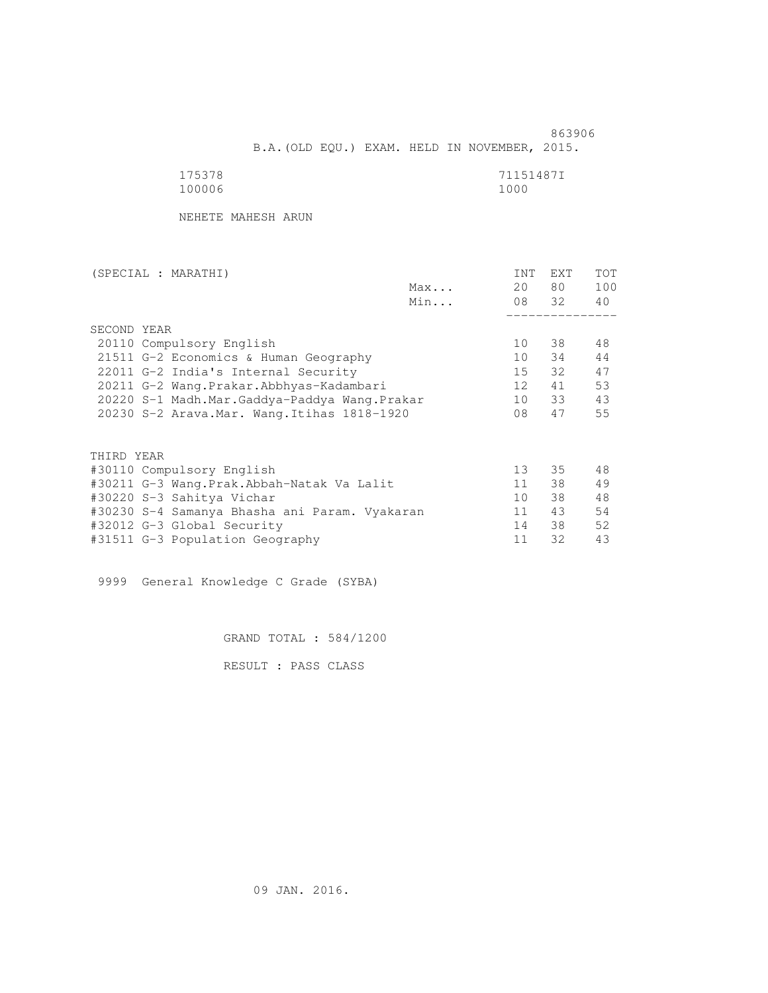863906 B.A.(OLD EQU.) EXAM. HELD IN NOVEMBER, 2015.

| 175378 | 71151487I |
|--------|-----------|
| 100006 | 1000      |

NEHETE MAHESH ARUN

| (SPECIAL : MARATHI) |                                               |     | INT             | EXT   | <b>TOT</b> |
|---------------------|-----------------------------------------------|-----|-----------------|-------|------------|
|                     |                                               | Max | 20              | 80 —  | 100        |
|                     |                                               | Min |                 | 08 32 | 40         |
|                     |                                               |     |                 |       |            |
| SECOND YEAR         |                                               |     |                 |       |            |
|                     | 20110 Compulsory English                      |     | 10              | 38    | 48         |
|                     | 21511 G-2 Economics & Human Geography         |     | 10              | 34    | 44         |
|                     | 22011 G-2 India's Internal Security           |     | 15              | 32    | 47         |
|                     | 20211 G-2 Wang.Prakar.Abbhyas-Kadambari       |     | 12 <sup>1</sup> | 41    | 53         |
|                     | 20220 S-1 Madh.Mar.Gaddya-Paddya Wang.Prakar  |     | 10              | 33    | 43         |
|                     | 20230 S-2 Arava. Mar. Wang. Itihas 1818-1920  |     | 08              | 47    | 55         |
|                     |                                               |     |                 |       |            |
| THIRD YEAR          |                                               |     |                 |       |            |
|                     | #30110 Compulsory English                     |     | 13 <sup>°</sup> | 35    | 48         |
|                     | #30211 G-3 Wang.Prak.Abbah-Natak Va Lalit     |     | 11              | 38    | 49         |
|                     | #30220 S-3 Sahitya Vichar                     |     | 10 <sup>1</sup> | 38    | 48         |
|                     | #30230 S-4 Samanya Bhasha ani Param. Vyakaran |     | 11              | 43    | 54         |
|                     | #32012 G-3 Global Security                    |     | 14              | 38    | 52         |
|                     | #31511 G-3 Population Geography               |     | 11              | 32    | 43         |
|                     |                                               |     |                 |       |            |

9999 General Knowledge C Grade (SYBA)

GRAND TOTAL : 584/1200

RESULT : PASS CLASS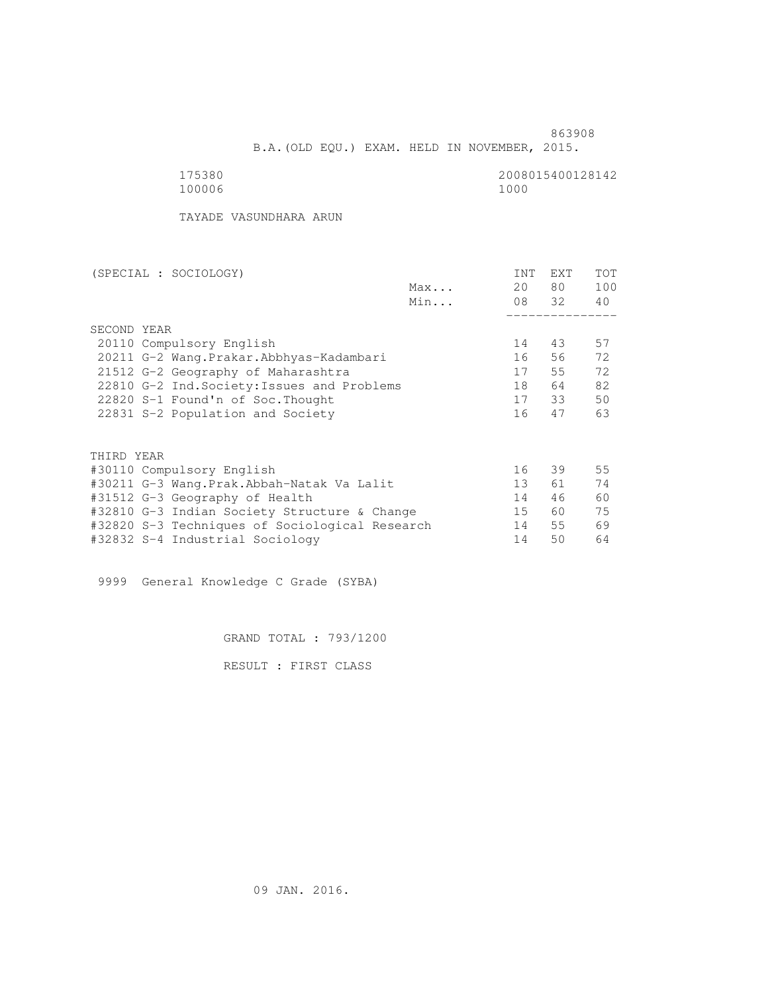B.A.(OLD EQU.) EXAM. HELD IN NOVEMBER, 2015.

 175380 2008015400128142 100006 1000

TAYADE VASUNDHARA ARUN

| (SPECIAL : SOCIOLOGY)                          |     | INT             | <b>EXT</b> | <b>TOT</b> |
|------------------------------------------------|-----|-----------------|------------|------------|
|                                                | Max | 20              | 80         | 100        |
|                                                | Min |                 | 08 32      | 40         |
|                                                |     |                 |            |            |
| SECOND YEAR                                    |     |                 |            |            |
| 20110 Compulsory English                       |     | 14              | 43         | 57         |
| 20211 G-2 Wang. Prakar. Abbhyas-Kadambari      |     | 16              | 56         | 72         |
| 21512 G-2 Geography of Maharashtra             |     | 17              | 55         | 72         |
| 22810 G-2 Ind. Society: Issues and Problems    |     | 18              | 64         | 82         |
| 22820 S-1 Found'n of Soc. Thought              |     | 17              | 33         | 50         |
| 22831 S-2 Population and Society               |     | 16              | 47         | 63         |
|                                                |     |                 |            |            |
| THIRD YEAR                                     |     |                 |            |            |
| #30110 Compulsory English                      |     | 16              | 39         | 55         |
| #30211 G-3 Wang.Prak.Abbah-Natak Va Lalit      |     | 13 <sup>°</sup> | 61         | 74         |
| #31512 G-3 Geography of Health                 |     | 14              | 46         | 60         |
| #32810 G-3 Indian Society Structure & Change   |     | 15              | 60         | 75         |
| #32820 S-3 Techniques of Sociological Research |     | 14              | 55         | 69         |
| #32832 S-4 Industrial Sociology                |     | 14              | 50         | 64         |

9999 General Knowledge C Grade (SYBA)

GRAND TOTAL : 793/1200

RESULT : FIRST CLASS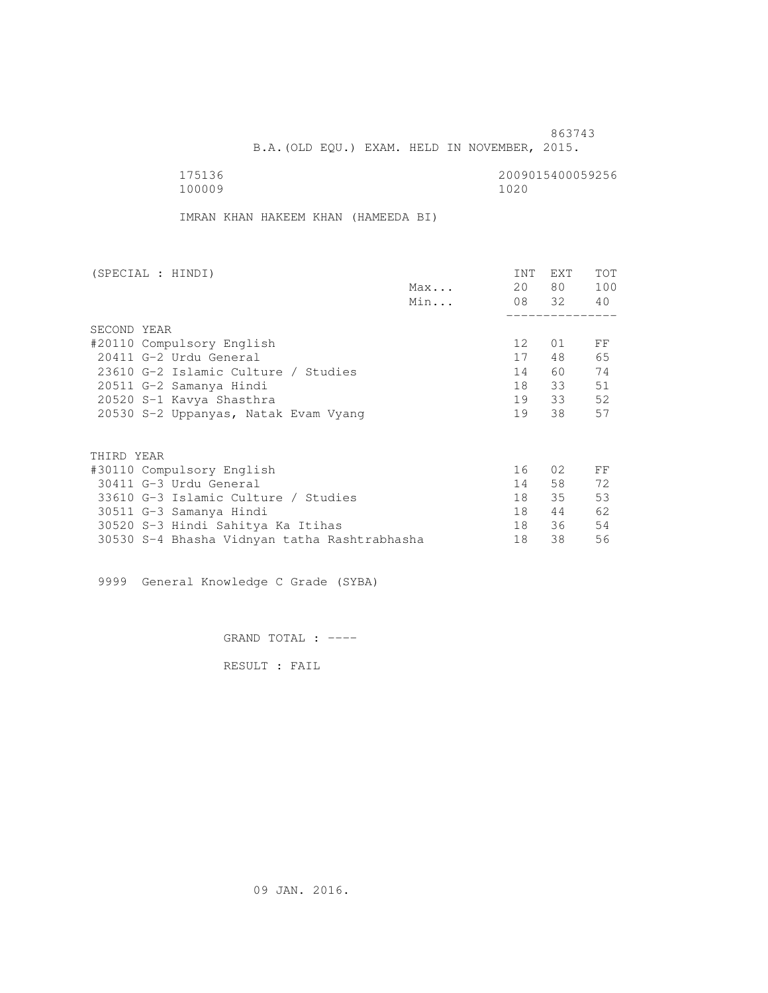B.A.(OLD EQU.) EXAM. HELD IN NOVEMBER, 2015.

 175136 2009015400059256 100009 1020

IMRAN KHAN HAKEEM KHAN (HAMEEDA BI)

| (SPECIAL : HINDI)                            | INT             | EXT   | <b>TOT</b> |
|----------------------------------------------|-----------------|-------|------------|
| Max                                          | 20              | 80 —  | 100        |
| Min                                          |                 | 08 32 | 40         |
|                                              |                 |       |            |
| SECOND YEAR                                  |                 |       |            |
| #20110 Compulsory English                    | 12 <sup>°</sup> | 01    | FF         |
| 20411 G-2 Urdu General                       | 17              | 48    | 65         |
| 23610 G-2 Islamic Culture / Studies          | 14              | 60    | 74         |
| 20511 G-2 Samanya Hindi                      | 18              | 33    | 51         |
| 20520 S-1 Kavya Shasthra                     | 19              | 33    | 52         |
| 20530 S-2 Uppanyas, Natak Evam Vyang         | 19              | 38    | 57         |
|                                              |                 |       |            |
| THIRD YEAR                                   |                 |       |            |
| #30110 Compulsory English                    | 16              | 02    | FF         |
| 30411 G-3 Urdu General                       | 14              | 58    | 72         |
| 33610 G-3 Islamic Culture / Studies          | 18              | 35    | 53         |
| 30511 G-3 Samanya Hindi                      | 18              | 44    | 62         |
| 30520 S-3 Hindi Sahitya Ka Itihas            | 18              | 36    | 54         |
| 30530 S-4 Bhasha Vidnyan tatha Rashtrabhasha | 18              | 38    | 56         |

9999 General Knowledge C Grade (SYBA)

GRAND TOTAL : ----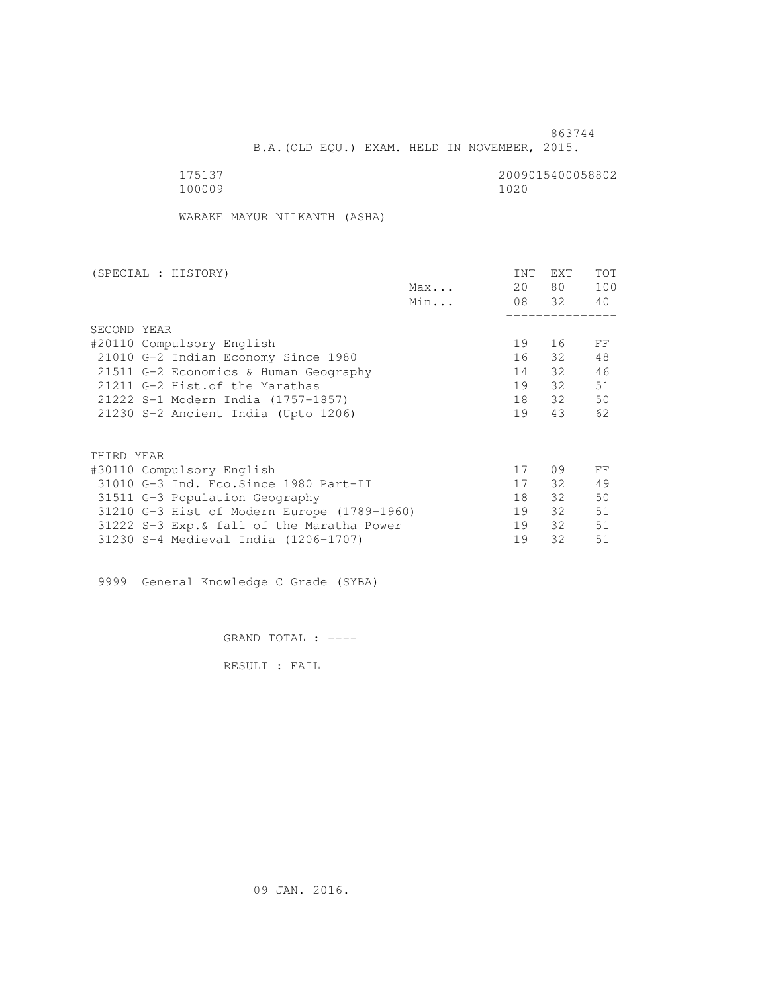B.A.(OLD EQU.) EXAM. HELD IN NOVEMBER, 2015.

 175137 2009015400058802 100009 1020

WARAKE MAYUR NILKANTH (ASHA)

| (SPECIAL : HISTORY)                         |              | INT | <b>EXT</b> | TOT |
|---------------------------------------------|--------------|-----|------------|-----|
|                                             | $Max \ldots$ | 20  | 80 —       | 100 |
|                                             | Min          |     | 08 32      | 40  |
|                                             |              |     |            |     |
| SECOND YEAR                                 |              |     |            |     |
| #20110 Compulsory English                   |              | 19  | 16         | FF  |
| 21010 G-2 Indian Economy Since 1980         |              | 16  | 32         | 48  |
| 21511 G-2 Economics & Human Geography       |              | 14  | 32         | 46  |
| 21211 G-2 Hist. of the Marathas             |              | 19  | 32         | 51  |
| 21222 S-1 Modern India (1757-1857)          |              | 18  | 32         | 50  |
| 21230 S-2 Ancient India (Upto 1206)         |              | 19  | 43         | 62  |
|                                             |              |     |            |     |
| THIRD YEAR                                  |              |     |            |     |
| #30110 Compulsory English                   |              | 17  | 09         | FF  |
| 31010 G-3 Ind. Eco. Since 1980 Part-II      |              | 17  | 32         | 49  |
| 31511 G-3 Population Geography              |              | 18  | $32 -$     | 50  |
| 31210 G-3 Hist of Modern Europe (1789-1960) |              | 19  | 32         | 51  |
| 31222 S-3 Exp. & fall of the Maratha Power  |              | 19  | 32         | 51  |
| 31230 S-4 Medieval India (1206-1707)        |              | 19  | 32         | 51  |
|                                             |              |     |            |     |

9999 General Knowledge C Grade (SYBA)

GRAND TOTAL : ----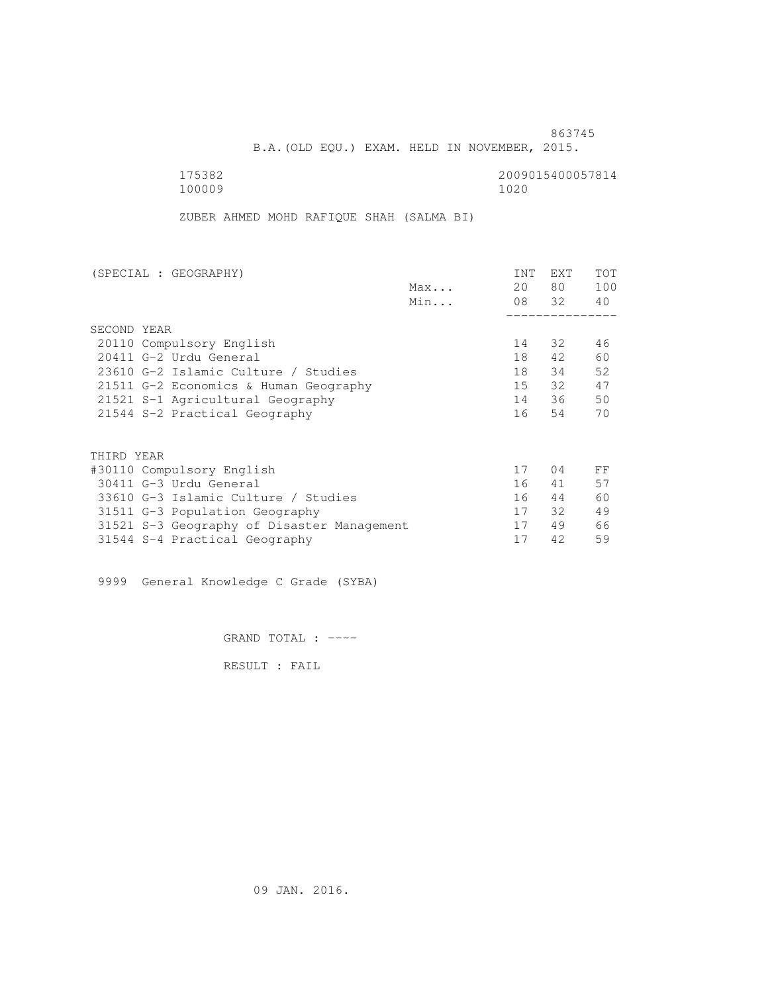B.A.(OLD EQU.) EXAM. HELD IN NOVEMBER, 2015.

 175382 2009015400057814 100009 1020

ZUBER AHMED MOHD RAFIQUE SHAH (SALMA BI)

| (SPECIAL : GEOGRAPHY)                      | <b>INT</b> | <b>EXT</b> | TOT |
|--------------------------------------------|------------|------------|-----|
| Max                                        | 20         | 80         | 100 |
| Min                                        |            | 08 32      | 40  |
|                                            |            |            |     |
| SECOND YEAR                                |            |            |     |
| 20110 Compulsory English                   | 14         | 32         | 46  |
| 20411 G-2 Urdu General                     | 18         | 42         | 60  |
| 23610 G-2 Islamic Culture / Studies        | 18         | 34         | 52  |
| 21511 G-2 Economics & Human Geography      | 15         | 32         | 47  |
| 21521 S-1 Agricultural Geography           | 14         | 36         | 50  |
| 21544 S-2 Practical Geography              | 16         | 54         | 70  |
|                                            |            |            |     |
| THIRD YEAR                                 |            |            |     |
| #30110 Compulsory English                  | 17         | 04         | FF  |
| 30411 G-3 Urdu General                     | 16         | 41         | 57  |
| 33610 G-3 Islamic Culture / Studies        | 16         | 44         | 60  |
| 31511 G-3 Population Geography             | 17         | 32         | 49  |
| 31521 S-3 Geography of Disaster Management | 17         | 49         | 66  |
| 31544 S-4 Practical Geography              | 17         | 42         | 59  |

9999 General Knowledge C Grade (SYBA)

GRAND TOTAL : ----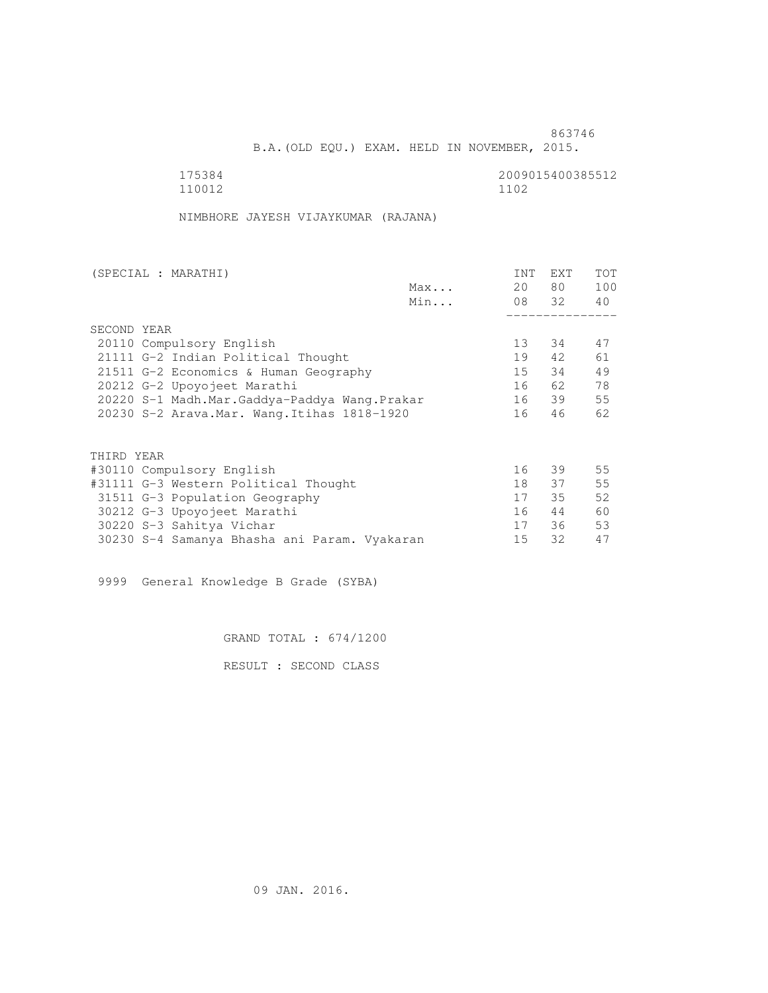B.A.(OLD EQU.) EXAM. HELD IN NOVEMBER, 2015.

175384<br>110012 110012 1102 110012 1102

NIMBHORE JAYESH VIJAYKUMAR (RAJANA)

|     | INT                                                                                                                                                                                                                           | EXT  | <b>TOT</b>  |
|-----|-------------------------------------------------------------------------------------------------------------------------------------------------------------------------------------------------------------------------------|------|-------------|
| Max | 20                                                                                                                                                                                                                            | 80 — | 100         |
| Min |                                                                                                                                                                                                                               |      | 40          |
|     |                                                                                                                                                                                                                               |      |             |
|     |                                                                                                                                                                                                                               |      |             |
|     | 13                                                                                                                                                                                                                            | 34   | 47          |
|     | 19                                                                                                                                                                                                                            | 42   | 61          |
|     | 15                                                                                                                                                                                                                            | 34   | 49          |
|     | 16                                                                                                                                                                                                                            | 62   | 78          |
|     | 16                                                                                                                                                                                                                            |      | 55          |
|     | 16                                                                                                                                                                                                                            | 46   | 62          |
|     |                                                                                                                                                                                                                               |      |             |
|     |                                                                                                                                                                                                                               |      |             |
|     | 16                                                                                                                                                                                                                            | 39   | 55          |
|     | 18                                                                                                                                                                                                                            | 37   | 55          |
|     | 17                                                                                                                                                                                                                            | 35   | 52          |
|     | 16                                                                                                                                                                                                                            | 44   | 60          |
|     | 17                                                                                                                                                                                                                            | 36   | 53          |
|     | 15                                                                                                                                                                                                                            | 32   | 47          |
|     | 21511 G-2 Economics & Human Geography<br>20220 S-1 Madh.Mar.Gaddya-Paddya Wang.Prakar<br>20230 S-2 Arava. Mar. Wang. Itihas 1818-1920<br>#31111 G-3 Western Political Thought<br>30230 S-4 Samanya Bhasha ani Param. Vyakaran |      | 08 32<br>39 |

9999 General Knowledge B Grade (SYBA)

GRAND TOTAL : 674/1200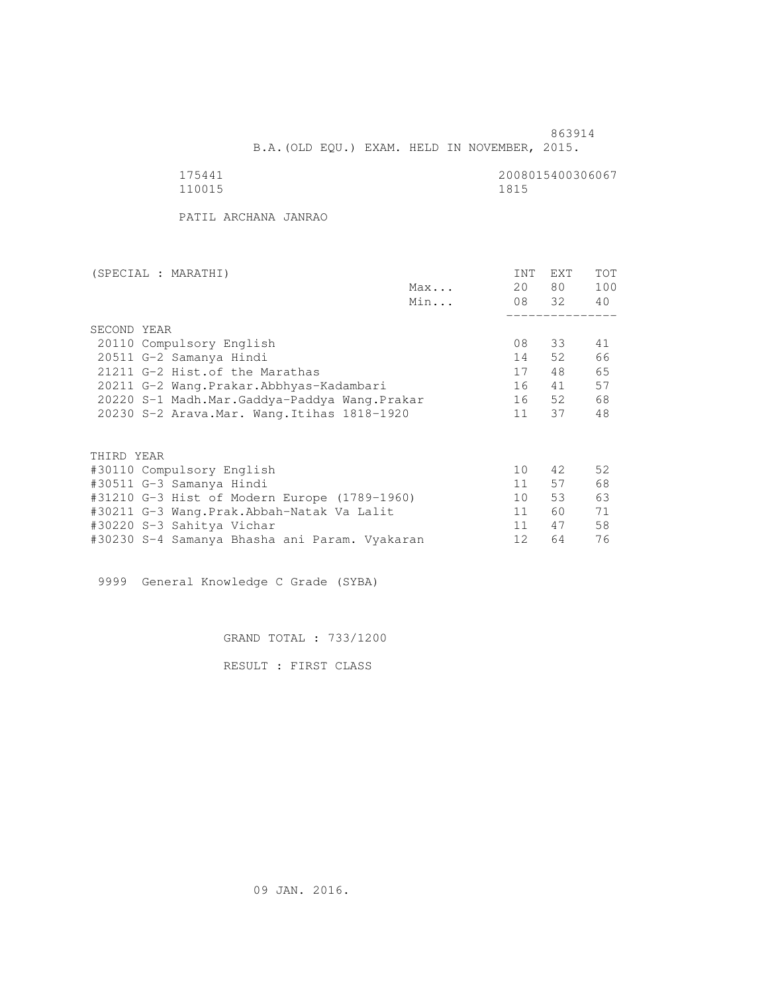B.A.(OLD EQU.) EXAM. HELD IN NOVEMBER, 2015.

| L<br>٠.<br>L |
|--------------|

2008015400306067<br>1815

PATIL ARCHANA JANRAO

| (SPECIAL : MARATHI)                           |     | INT | EXT   | <b>TOT</b> |
|-----------------------------------------------|-----|-----|-------|------------|
|                                               | Max | 20  | 80 —  | 100        |
|                                               | Min |     | 08 32 | 40         |
|                                               |     |     |       |            |
| SECOND YEAR                                   |     |     |       |            |
| 20110 Compulsory English                      |     | 08  | 33    | 41         |
| 20511 G-2 Samanya Hindi                       |     | 14  | 52    | 66         |
| 21211 G-2 Hist. of the Marathas               |     | 17  | 48    | 65         |
| 20211 G-2 Wang.Prakar.Abbhyas-Kadambari       |     | 16  | 41    | 57         |
| 20220 S-1 Madh.Mar.Gaddya-Paddya Wang.Prakar  |     | 16  | 52    | 68         |
| 20230 S-2 Arava. Mar. Wang. Itihas 1818-1920  |     | 11  | 37    | 48         |
|                                               |     |     |       |            |
| THIRD YEAR                                    |     |     |       |            |
| #30110 Compulsory English                     |     | 10  | 42    | 52         |
| #30511 G-3 Samanya Hindi                      |     | 11  | 57    | 68         |
| #31210 G-3 Hist of Modern Europe (1789-1960)  |     | 10  | 53    | 63         |
| #30211 G-3 Wang.Prak.Abbah-Natak Va Lalit     |     | 11  | 60    | 71         |
| #30220 S-3 Sahitya Vichar                     |     | 11  | 47    | 58         |
| #30230 S-4 Samanya Bhasha ani Param. Vyakaran |     | 12  | 64    | 76         |

9999 General Knowledge C Grade (SYBA)

GRAND TOTAL : 733/1200

RESULT : FIRST CLASS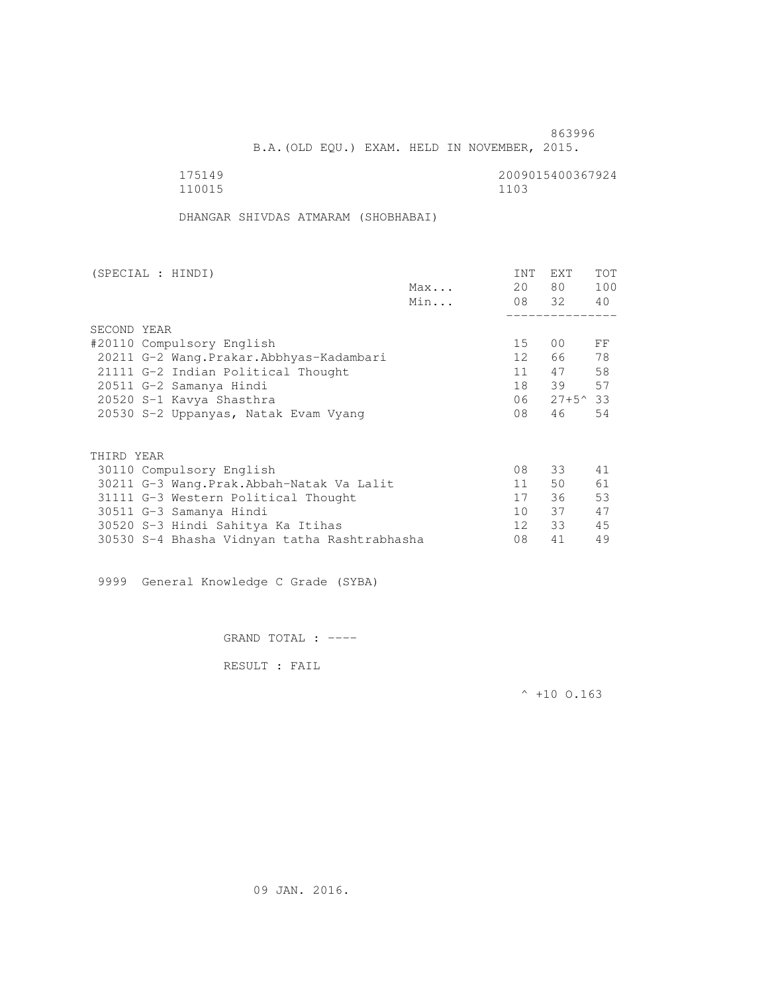B.A.(OLD EQU.) EXAM. HELD IN NOVEMBER, 2015.

| 175149 | 2009015400367924 |
|--------|------------------|
| 110015 | 1103             |

DHANGAR SHIVDAS ATMARAM (SHOBHABAI)

| (SPECIAL : HINDI)                            |     | INT             | EXT             | <b>TOT</b> |
|----------------------------------------------|-----|-----------------|-----------------|------------|
|                                              | Max | 20              | 80 —            | 100        |
|                                              | Min |                 | 08 32           | 40         |
|                                              |     |                 |                 |            |
| SECOND YEAR                                  |     |                 |                 |            |
| #20110 Compulsory English                    |     | 15              | 00              | FF         |
| 20211 G-2 Wang.Prakar.Abbhyas-Kadambari      |     | 12              | 66 —            | 78         |
| 21111 G-2 Indian Political Thought           |     | 11              | 47              | 58         |
| 20511 G-2 Samanya Hindi                      |     | 18              | 39              | 57         |
| 20520 S-1 Kavya Shasthra                     |     | 06              | $27+5^{\sim}33$ |            |
| 20530 S-2 Uppanyas, Natak Evam Vyang         |     | 08              | 46              | 54         |
| THIRD YEAR                                   |     |                 |                 |            |
| 30110 Compulsory English                     |     | 08              | 33              | 41         |
|                                              |     | 11              | 50              | 61         |
| 30211 G-3 Wang.Prak.Abbah-Natak Va Lalit     |     |                 |                 |            |
| 31111 G-3 Western Political Thought          |     | 17              | 36              | 53         |
| 30511 G-3 Samanya Hindi                      |     | 10              | 37              | 47         |
| 30520 S-3 Hindi Sahitya Ka Itihas            |     | 12 <sup>1</sup> | 33              | 45         |
| 30530 S-4 Bhasha Vidnyan tatha Rashtrabhasha |     | 08              | 41              | 49         |

9999 General Knowledge C Grade (SYBA)

GRAND TOTAL : ----

RESULT : FAIL

 $^{\wedge}$  +10 O.163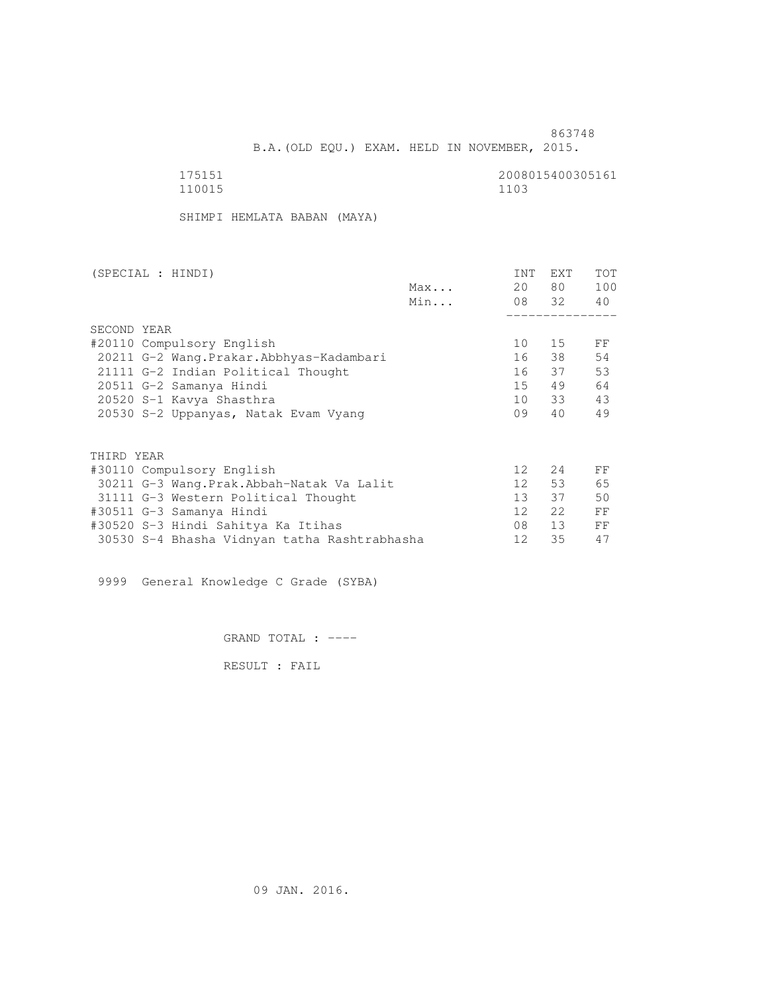B.A.(OLD EQU.) EXAM. HELD IN NOVEMBER, 2015.

| 175151 | 2008015400305161 |
|--------|------------------|
| 110015 | 1103             |

SHIMPI HEMLATA BABAN (MAYA)

| (SPECIAL : HINDI)                            |     | INT             | <b>EXT</b> | TOT |
|----------------------------------------------|-----|-----------------|------------|-----|
|                                              | Max | 20              | 80 —       | 100 |
|                                              | Min |                 | 08 32      | 40  |
|                                              |     |                 |            |     |
| SECOND YEAR                                  |     |                 |            |     |
| #20110 Compulsory English                    |     | 10              | 15         | FF  |
| 20211 G-2 Wang. Prakar. Abbhyas-Kadambari    |     | 16              | 38         | 54  |
| 21111 G-2 Indian Political Thought           |     |                 | 16 37      | 53  |
| 20511 G-2 Samanya Hindi                      |     | 15              | 49         | 64  |
| 20520 S-1 Kavya Shasthra                     |     | 10              | 33         | 43  |
| 20530 S-2 Uppanyas, Natak Evam Vyang         |     | 09              | 40         | 49  |
|                                              |     |                 |            |     |
| THIRD YEAR                                   |     |                 |            |     |
| #30110 Compulsory English                    |     | 12 <sup>°</sup> | 24         | FF  |
| 30211 G-3 Wang.Prak.Abbah-Natak Va Lalit     |     | 12              | 53         | 65  |
| 31111 G-3 Western Political Thought          |     | 13 <sup>7</sup> | 37         | 50  |
| #30511 G-3 Samanya Hindi                     |     | 12              | 2.2        | FF  |
| #30520 S-3 Hindi Sahitya Ka Itihas           |     | 08              | 13         | FF  |
| 30530 S-4 Bhasha Vidnyan tatha Rashtrabhasha |     | 12              | 35         | 47  |
|                                              |     |                 |            |     |

9999 General Knowledge C Grade (SYBA)

GRAND TOTAL : ----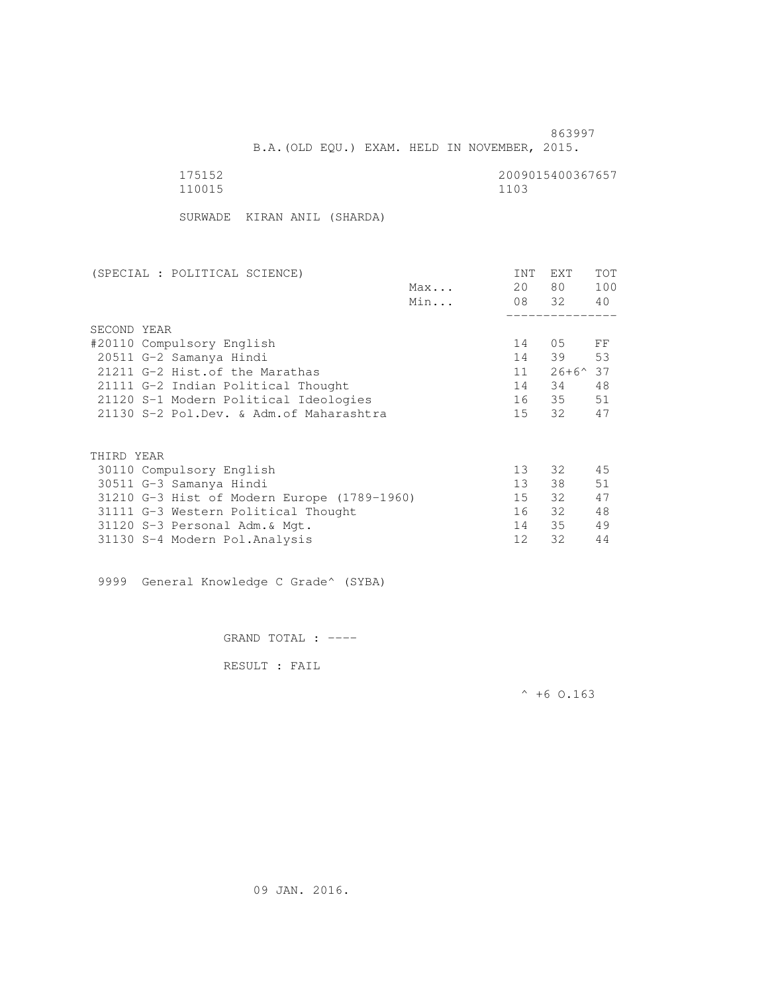B.A.(OLD EQU.) EXAM. HELD IN NOVEMBER, 2015.

| 175152 | 2009015400367657 |
|--------|------------------|
| 110015 | 1103             |

SURWADE KIRAN ANIL (SHARDA)

| (SPECIAL : POLITICAL SCIENCE)               | INT             | EXT              | TOT |
|---------------------------------------------|-----------------|------------------|-----|
| Max                                         | 20              | 80 —             | 100 |
| Min                                         |                 | 08 32 40         |     |
|                                             |                 |                  |     |
| SECOND YEAR                                 |                 |                  |     |
| #20110 Compulsory English                   | 14              | $05$ FF          |     |
| 20511 G-2 Samanya Hindi                     |                 | 14 39 53         |     |
| 21211 G-2 Hist. of the Marathas             | 11              | $26+6^{\circ}37$ |     |
| 21111 G-2 Indian Political Thought          | 14              | 34               | 48  |
| 21120 S-1 Modern Political Ideologies       |                 | 16 35 51         |     |
| 21130 S-2 Pol.Dev. & Adm. of Maharashtra    | 15              | 32               | 47  |
|                                             |                 |                  |     |
| THIRD YEAR                                  |                 |                  |     |
| 30110 Compulsory English                    | 13              | 32               | 45  |
| 30511 G-3 Samanya Hindi                     | 13 <sup>7</sup> | 38               | 51  |
| 31210 G-3 Hist of Modern Europe (1789-1960) | 15              | 32               | 47  |
| 31111 G-3 Western Political Thought         | 16              | 32               | 48  |
| 31120 S-3 Personal Adm. & Mgt.              | 14              | 35               | 49  |
| 31130 S-4 Modern Pol.Analysis               | 12              | 32               | 44  |

9999 General Knowledge C Grade^ (SYBA)

GRAND TOTAL : ----

RESULT : FAIL

 $^{\wedge}$  +6 O.163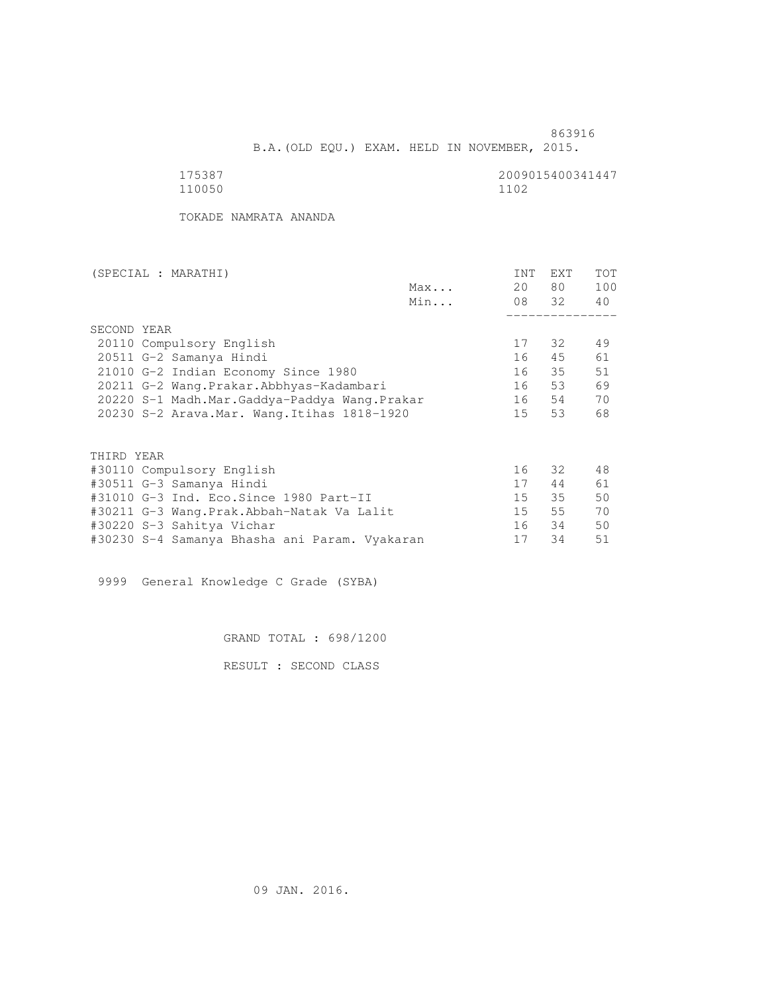B.A.(OLD EQU.) EXAM. HELD IN NOVEMBER, 2015.

 175387 2009015400341447 110050 1102

TOKADE NAMRATA ANANDA

| (SPECIAL : MARATHI)                       |     | INT                                                                                                                                           | EXT  | <b>TOT</b>        |
|-------------------------------------------|-----|-----------------------------------------------------------------------------------------------------------------------------------------------|------|-------------------|
|                                           | Max | 20                                                                                                                                            | 80 — | 100               |
|                                           | Min |                                                                                                                                               |      | 40                |
|                                           |     |                                                                                                                                               |      |                   |
| SECOND YEAR                               |     |                                                                                                                                               |      |                   |
| 20110 Compulsory English                  |     | 17                                                                                                                                            | 32   | 49                |
| 20511 G-2 Samanya Hindi                   |     | 16                                                                                                                                            | 45   | 61                |
| 21010 G-2 Indian Economy Since 1980       |     | 16                                                                                                                                            |      | 51                |
| 20211 G-2 Wang.Prakar.Abbhyas-Kadambari   |     | 16                                                                                                                                            | 53   | 69                |
|                                           |     | 16                                                                                                                                            | 54   | 70                |
|                                           |     | 15                                                                                                                                            | 53   | 68                |
|                                           |     |                                                                                                                                               |      |                   |
| THIRD YEAR                                |     |                                                                                                                                               |      |                   |
| #30110 Compulsory English                 |     | 16                                                                                                                                            |      | 48                |
| #30511 G-3 Samanya Hindi                  |     | 17                                                                                                                                            | 44   | 61                |
| #31010 G-3 Ind. Eco.Since 1980 Part-II    |     | 15                                                                                                                                            | 35   | 50                |
| #30211 G-3 Wang.Prak.Abbah-Natak Va Lalit |     | 15                                                                                                                                            | 55   | 70                |
| #30220 S-3 Sahitya Vichar                 |     | 16                                                                                                                                            | 34   | 50                |
|                                           |     | 17                                                                                                                                            | 34   | 51                |
|                                           |     | 20220 S-1 Madh.Mar.Gaddya-Paddya Wang.Prakar<br>20230 S-2 Arava. Mar. Wang. Itihas 1818-1920<br>#30230 S-4 Samanya Bhasha ani Param. Vyakaran |      | 08 32<br>35<br>32 |

9999 General Knowledge C Grade (SYBA)

GRAND TOTAL : 698/1200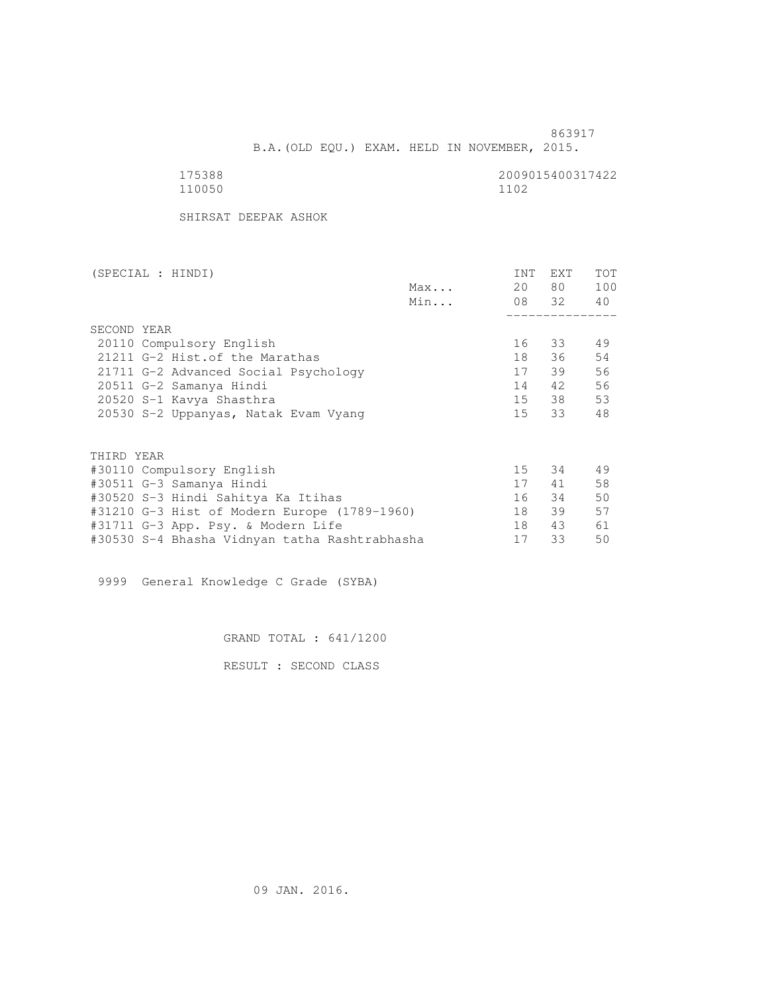B.A.(OLD EQU.) EXAM. HELD IN NOVEMBER, 2015.

| 175388 | 2009015400317422 |
|--------|------------------|
| 110050 | 1102             |

SHIRSAT DEEPAK ASHOK

| (SPECIAL : HINDI) |                                               |     | INT | EXT      | <b>TOT</b> |
|-------------------|-----------------------------------------------|-----|-----|----------|------------|
|                   |                                               | Max | 20  | 80 —     | 100        |
|                   |                                               | Min |     | 08 32 40 |            |
|                   |                                               |     |     |          |            |
| SECOND YEAR       |                                               |     |     |          |            |
|                   | 20110 Compulsory English                      |     | 16  | 33       | 49         |
|                   | 21211 G-2 Hist. of the Marathas               |     | 18  | 36       | 54         |
|                   | 21711 G-2 Advanced Social Psychology          |     | 17  | 39       | 56         |
|                   | 20511 G-2 Samanya Hindi                       |     | 14  | 42       | 56         |
|                   | 20520 S-1 Kavya Shasthra                      |     |     | 15 38    | 53         |
|                   | 20530 S-2 Uppanyas, Natak Evam Vyang          |     |     | 15 33    | 48         |
|                   |                                               |     |     |          |            |
| THIRD YEAR        |                                               |     |     |          |            |
|                   | #30110 Compulsory English                     |     | 15  | 34       | 49         |
|                   | #30511 G-3 Samanya Hindi                      |     | 17  | 41       | 58         |
|                   | #30520 S-3 Hindi Sahitya Ka Itihas            |     | 16  | 34       | 50         |
|                   | #31210 G-3 Hist of Modern Europe (1789-1960)  |     | 18  | 39       | 57         |
|                   | #31711 G-3 App. Psy. & Modern Life            |     | 18  | 43       | 61         |
|                   | #30530 S-4 Bhasha Vidnyan tatha Rashtrabhasha |     | 17  | 33       | 50         |

9999 General Knowledge C Grade (SYBA)

GRAND TOTAL : 641/1200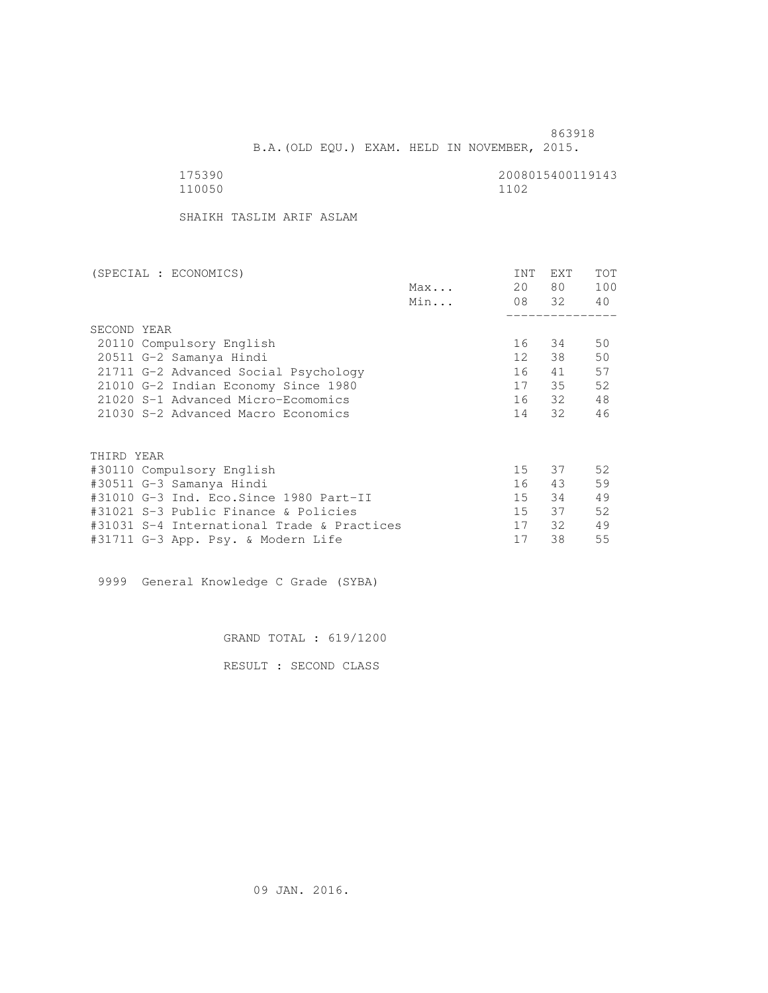B.A.(OLD EQU.) EXAM. HELD IN NOVEMBER, 2015.

 175390 2008015400119143 110050 1102

SHAIKH TASLIM ARIF ASLAM

| (SPECIAL : ECONOMICS)                      |     | INT              | <b>EXT</b> | TOT |
|--------------------------------------------|-----|------------------|------------|-----|
|                                            | Max | 20               | 80         | 100 |
|                                            | Min |                  | 08 32      | 40  |
|                                            |     |                  |            |     |
| SECOND YEAR                                |     |                  |            |     |
| 20110 Compulsory English                   |     | 16               | 34         | 50  |
| 20511 G-2 Samanya Hindi                    |     | 12 <sup>12</sup> | 38         | 50  |
| 21711 G-2 Advanced Social Psychology       |     | 16               | 41         | 57  |
| 21010 G-2 Indian Economy Since 1980        |     | 17               | 35         | 52  |
| 21020 S-1 Advanced Micro-Ecomomics         |     |                  | 16 32      | 48  |
| 21030 S-2 Advanced Macro Economics         |     | 14               | 32         | 46  |
| THIRD YEAR                                 |     |                  |            |     |
| #30110 Compulsory English                  |     | 15               | 37         | 52  |
| #30511 G-3 Samanya Hindi                   |     | 16               | 43         | 59  |
| #31010 G-3 Ind. Eco.Since 1980 Part-II     |     | 15               | 34         | 49  |
| #31021 S-3 Public Finance & Policies       |     | 15               | 37         | 52  |
| #31031 S-4 International Trade & Practices |     | 17               | - 32       | 49  |
| #31711 G-3 App. Psy. & Modern Life         |     | 17               | 38         | 55  |
|                                            |     |                  |            |     |

9999 General Knowledge C Grade (SYBA)

GRAND TOTAL : 619/1200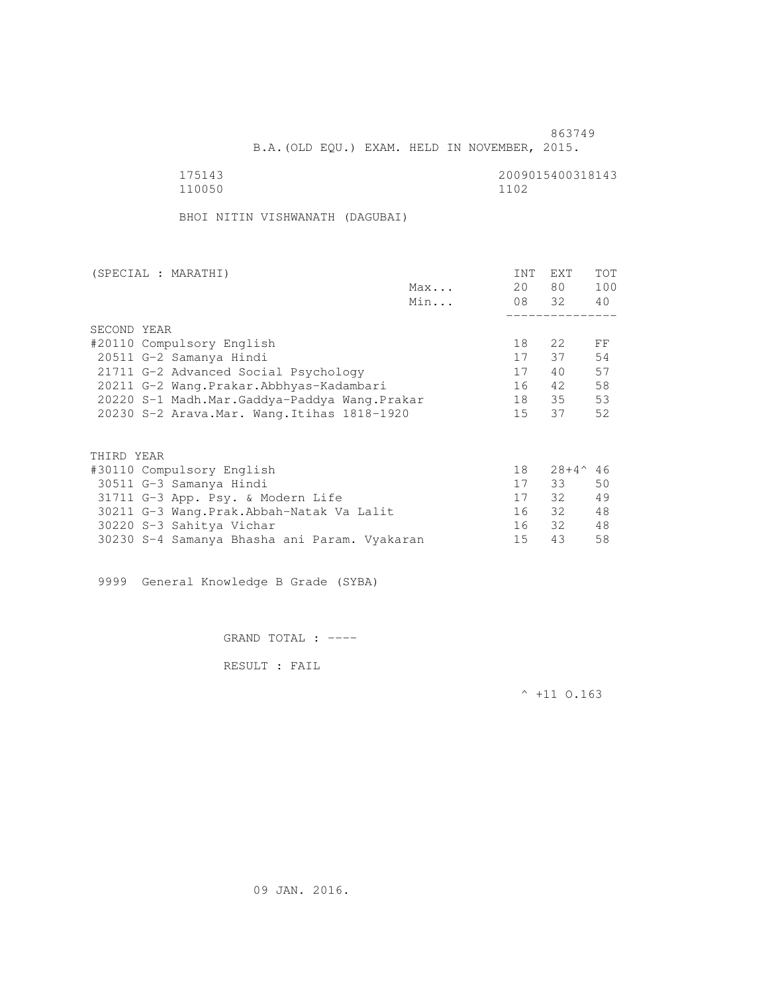B.A.(OLD EQU.) EXAM. HELD IN NOVEMBER, 2015.

 175143 2009015400318143 110050 1102

BHOI NITIN VISHWANATH (DAGUBAI)

| (SPECIAL : MARATHI)                          |     | <b>INT</b>      | <b>EXT</b>     | <b>TOT</b> |
|----------------------------------------------|-----|-----------------|----------------|------------|
|                                              | Max | 20              | 80             | 100        |
|                                              | Min |                 | 08 32          | 40         |
|                                              |     |                 |                |            |
| SECOND YEAR                                  |     |                 |                |            |
| #20110 Compulsory English                    |     | 18              | 2.2            | FF         |
| 20511 G-2 Samanya Hindi                      |     | 17              | 37             | 54         |
| 21711 G-2 Advanced Social Psychology         |     | 17              | 40             | 57         |
| 20211 G-2 Wang.Prakar.Abbhyas-Kadambari      |     | 16              | 42             | 58         |
| 20220 S-1 Madh.Mar.Gaddya-Paddya Wang.Prakar |     | 18              | 35             | 53         |
| 20230 S-2 Arava. Mar. Wang. Itihas 1818-1920 |     | 15 <sub>1</sub> | 37             | 52         |
|                                              |     |                 |                |            |
| THIRD YEAR                                   |     |                 |                |            |
| #30110 Compulsory English                    |     | 18              | $28+4^{\circ}$ | -46        |
| 30511 G-3 Samanya Hindi                      |     | 17              | 33             | 50         |
| 31711 G-3 App. Psy. & Modern Life            |     | 17              | 32             | 49         |
| 30211 G-3 Wang.Prak.Abbah-Natak Va Lalit     |     | 16              | 32             | 48         |
| 30220 S-3 Sahitya Vichar                     |     | 16              | 32             | 48         |
|                                              |     |                 |                |            |

30230 S-4 Samanya Bhasha ani Param. Vyakaran 15 43 58

9999 General Knowledge B Grade (SYBA)

GRAND TOTAL : ----

RESULT : FAIL

 $^{\wedge}$  +11 O.163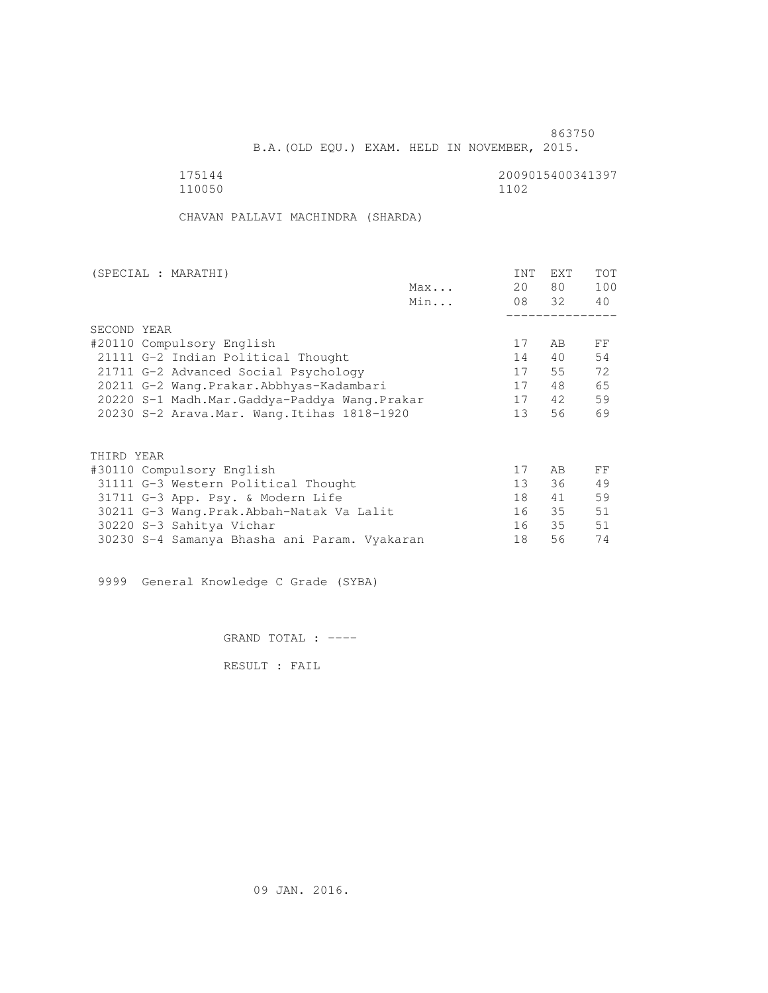B.A.(OLD EQU.) EXAM. HELD IN NOVEMBER, 2015.

 175144 2009015400341397 110050 1102

CHAVAN PALLAVI MACHINDRA (SHARDA)

| (SPECIAL : MARATHI)                          |     | INT             | EXT   | TOT |
|----------------------------------------------|-----|-----------------|-------|-----|
|                                              | Max | 20              | 80 —  | 100 |
|                                              | Min |                 | 08 32 | 40  |
|                                              |     |                 |       |     |
| SECOND YEAR                                  |     |                 |       |     |
| #20110 Compulsory English                    |     | 17              | AB    | FF  |
| 21111 G-2 Indian Political Thought           |     | 14              | 40    | 54  |
| 21711 G-2 Advanced Social Psychology         |     | 17              | 55    | 72  |
| 20211 G-2 Wang. Prakar. Abbhyas-Kadambari    |     | 17              | 48    | 65  |
| 20220 S-1 Madh.Mar.Gaddya-Paddya Wang.Prakar |     | 17              | 42    | 59  |
| 20230 S-2 Arava. Mar. Wang. Itihas 1818-1920 |     | 13 <sup>°</sup> | 56    | 69  |
|                                              |     |                 |       |     |
| THIRD YEAR                                   |     |                 |       |     |
| #30110 Compulsory English                    |     | 17              | AB.   | FF  |
| 31111 G-3 Western Political Thought          |     | $13 -$          | 36    | 49  |
| 31711 G-3 App. Psy. & Modern Life            |     | 18              | 41    | 59  |
| 30211 G-3 Wang.Prak.Abbah-Natak Va Lalit     |     | 16              | 35    | 51  |
| 30220 S-3 Sahitya Vichar                     |     | 16              | 35    | 51  |
| 30230 S-4 Samanya Bhasha ani Param. Vyakaran |     | 18              | 56    | 74  |
|                                              |     |                 |       |     |

9999 General Knowledge C Grade (SYBA)

GRAND TOTAL : ----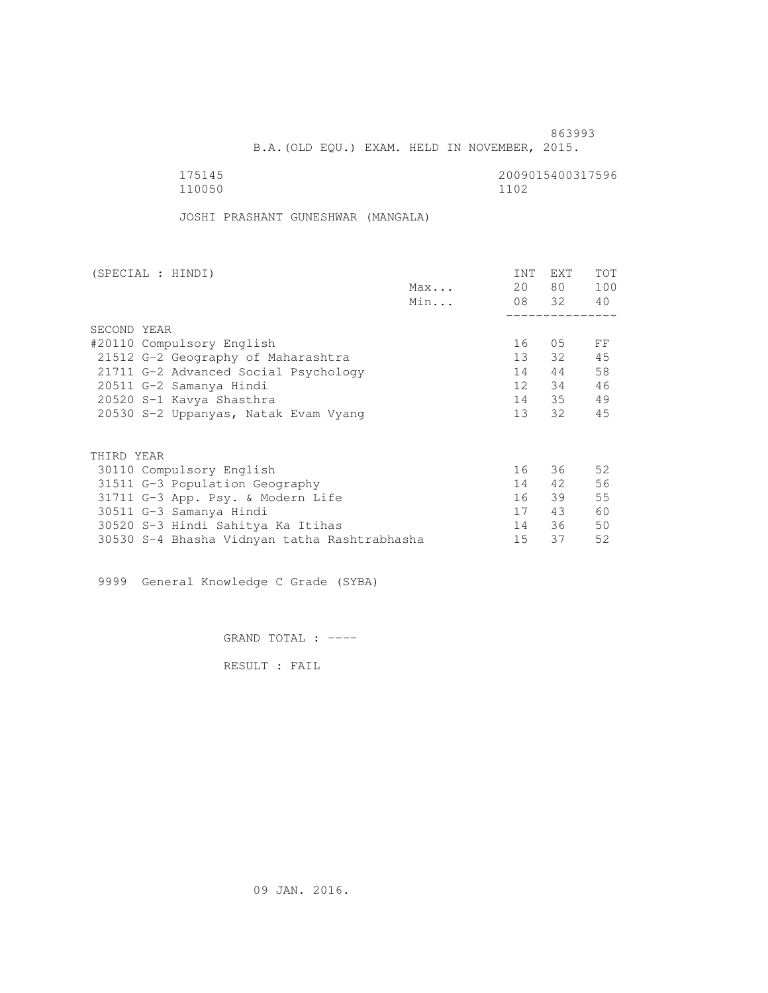B.A.(OLD EQU.) EXAM. HELD IN NOVEMBER, 2015.

| 175145 | 2009015400317596 |
|--------|------------------|
| 110050 | 1102             |

JOSHI PRASHANT GUNESHWAR (MANGALA)

| (SPECIAL : HINDI)         |                                              |     | INT    | EXT      | TOT |
|---------------------------|----------------------------------------------|-----|--------|----------|-----|
|                           |                                              | Max | 20     | 80 —     | 100 |
|                           |                                              | Min |        | 08 32 40 |     |
|                           |                                              |     |        |          |     |
| SECOND YEAR               |                                              |     |        |          |     |
| #20110 Compulsory English |                                              |     | 16     | 05       | FF  |
|                           | 21512 G-2 Geography of Maharashtra           |     | $13 -$ | 32       | 45  |
|                           | 21711 G-2 Advanced Social Psychology         |     | 14     | 44       | 58  |
| 20511 G-2 Samanya Hindi   |                                              |     | 12     | 34       | 46  |
| 20520 S-1 Kavya Shasthra  |                                              |     |        | 14 35    | 49  |
|                           | 20530 S-2 Uppanyas, Natak Evam Vyang         |     | 13     | 32       | 45  |
|                           |                                              |     |        |          |     |
| THIRD YEAR                |                                              |     |        |          |     |
| 30110 Compulsory English  |                                              |     | 16     | 36 —     | 52  |
|                           | 31511 G-3 Population Geography               |     | 14     | 42       | 56  |
|                           | 31711 G-3 App. Psy. & Modern Life            |     | 16     | 39       | 55  |
| 30511 G-3 Samanya Hindi   |                                              |     | 17     | 43       | 60  |
|                           | 30520 S-3 Hindi Sahitya Ka Itihas            |     | 14     | 36       | 50  |
|                           | 30530 S-4 Bhasha Vidnyan tatha Rashtrabhasha |     | 15     | 37       | 52  |
|                           |                                              |     |        |          |     |

9999 General Knowledge C Grade (SYBA)

GRAND TOTAL : ----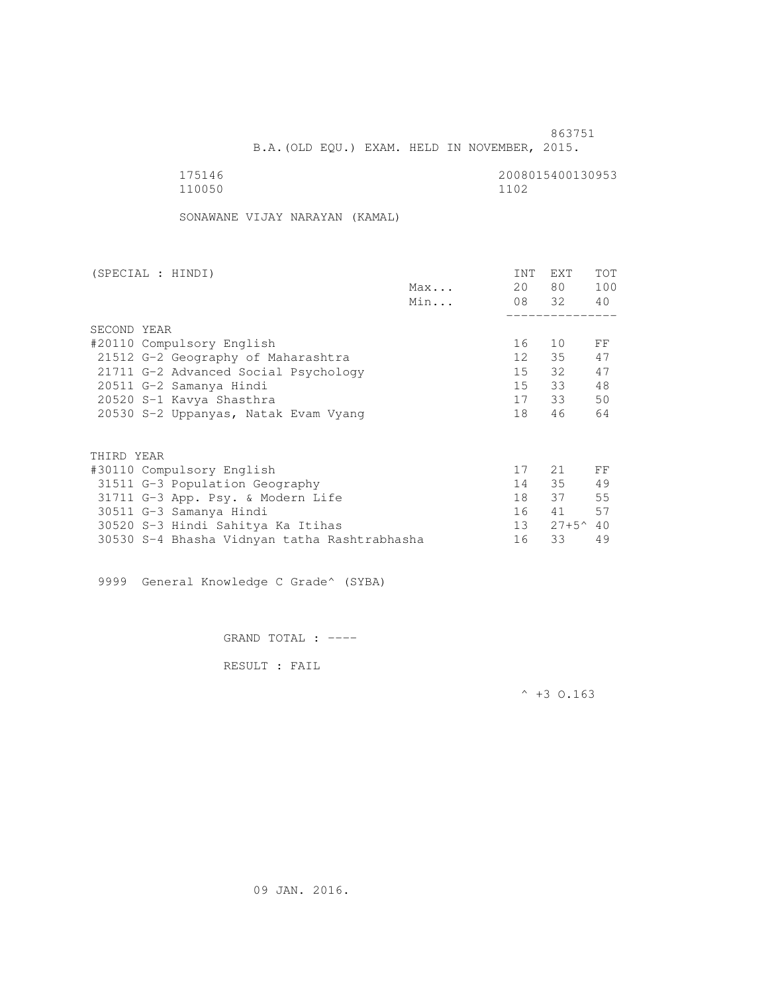B.A.(OLD EQU.) EXAM. HELD IN NOVEMBER, 2015.

| 175146 | 2008015400130953 |
|--------|------------------|
| 110050 | 1102             |

SONAWANE VIJAY NARAYAN (KAMAL)

| (SPECIAL : HINDI)                            |     | INT    | EXT               | <b>TOT</b> |
|----------------------------------------------|-----|--------|-------------------|------------|
|                                              | Max | 20     | 80 —              | 100        |
|                                              | Min |        | 08 32             | 40         |
|                                              |     |        |                   |            |
| SECOND YEAR                                  |     |        |                   |            |
| #20110 Compulsory English                    |     | 16     | 10                | FF         |
| 21512 G-2 Geography of Maharashtra           |     | 12     | 35                | 47         |
| 21711 G-2 Advanced Social Psychology         |     | 15     | 32                | 47         |
| 20511 G-2 Samanya Hindi                      |     | 15     | 33                | 48         |
| 20520 S-1 Kavya Shasthra                     |     |        | 17 33             | 50         |
| 20530 S-2 Uppanyas, Natak Evam Vyang         |     | 18     | 46                | 64         |
| THIRD YEAR                                   |     |        |                   |            |
|                                              |     |        |                   |            |
| #30110 Compulsory English                    |     | 17     | 21                | FF         |
| 31511 G-3 Population Geography               |     | 14     | 35                | 49         |
| 31711 G-3 App. Psy. & Modern Life            |     | 18     | 37                | 55         |
| 30511 G-3 Samanya Hindi                      |     | 16     | 41                | 57         |
| 30520 S-3 Hindi Sahitya Ka Itihas            |     | $13 -$ | $27+5^{\circ}$ 40 |            |
| 30530 S-4 Bhasha Vidnyan tatha Rashtrabhasha |     | 16     | 33                | 49         |

9999 General Knowledge C Grade^ (SYBA)

GRAND TOTAL : ----

RESULT : FAIL

 $^{\wedge}$  +3 O.163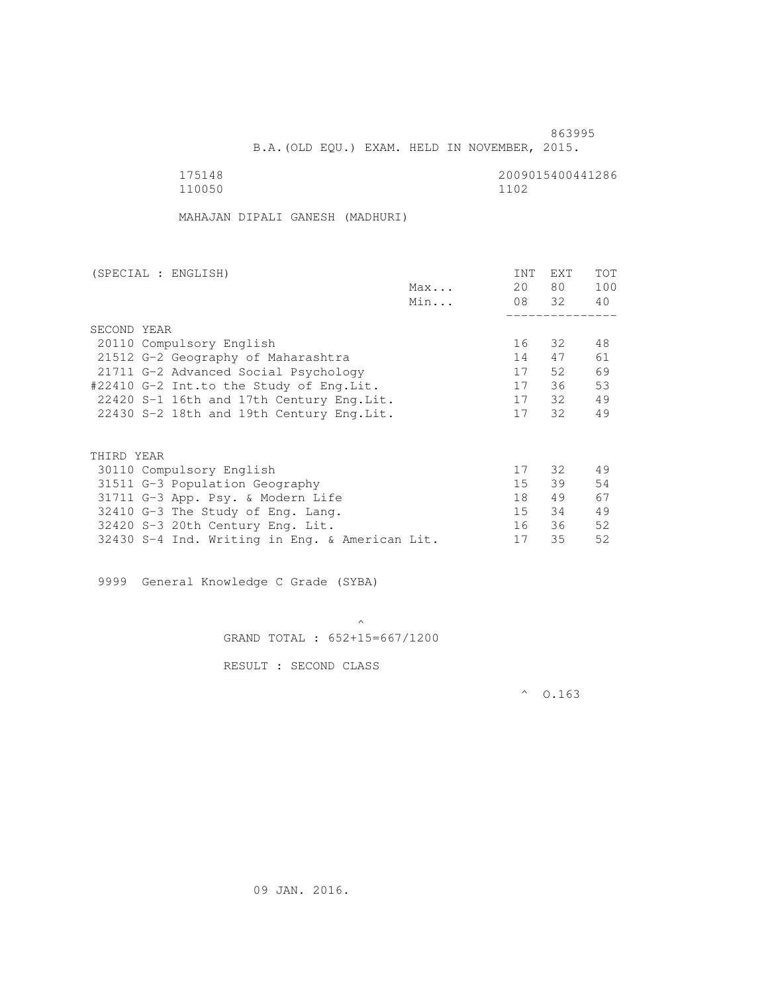B.A.(OLD EQU.) EXAM. HELD IN NOVEMBER, 2015.

 175148 2009015400441286 110050 1102

MAHAJAN DIPALI GANESH (MADHURI)

| (SPECIAL : ENGLISH)                            |     | INT             | <b>EXT</b> | TOT |
|------------------------------------------------|-----|-----------------|------------|-----|
|                                                | Max | 20              | 80 —       | 100 |
|                                                | Min |                 | 08 32      | 40  |
|                                                |     |                 |            |     |
| SECOND YEAR                                    |     |                 |            |     |
| 20110 Compulsory English                       |     | 16              | 32         | 48  |
| 21512 G-2 Geography of Maharashtra             |     | 14              | 47         | 61  |
| 21711 G-2 Advanced Social Psychology           |     | 17              | 52         | 69  |
| #22410 G-2 Int.to the Study of Eng.Lit.        |     | 17              | 36         | 53  |
| 22420 S-1 16th and 17th Century Eng. Lit.      |     | 17              | 32         | 49  |
| 22430 S-2 18th and 19th Century Eng. Lit.      |     | 17              | 32         | 49  |
|                                                |     |                 |            |     |
|                                                |     |                 |            |     |
| THIRD YEAR                                     |     |                 |            |     |
| 30110 Compulsory English                       |     | 17              | 32 ·       | 49  |
| 31511 G-3 Population Geography                 |     | 15 <sub>1</sub> | 39         | 54  |
| 31711 G-3 App. Psy. & Modern Life              |     | 18              | 49         | 67  |
| 32410 G-3 The Study of Eng. Lang.              |     | 15              | 34         | 49  |
| 32420 S-3 20th Century Eng. Lit.               |     | 16              | 36         | 52  |
| 32430 S-4 Ind. Writing in Eng. & American Lit. |     | 17              | 35         | 52  |
|                                                |     |                 |            |     |

9999 General Knowledge C Grade (SYBA)

 $\mathcal{A}$  and  $\mathcal{A}$  are the set of  $\mathcal{A}$ GRAND TOTAL : 652+15=667/1200

RESULT : SECOND CLASS

 $^{\circ}$  0.163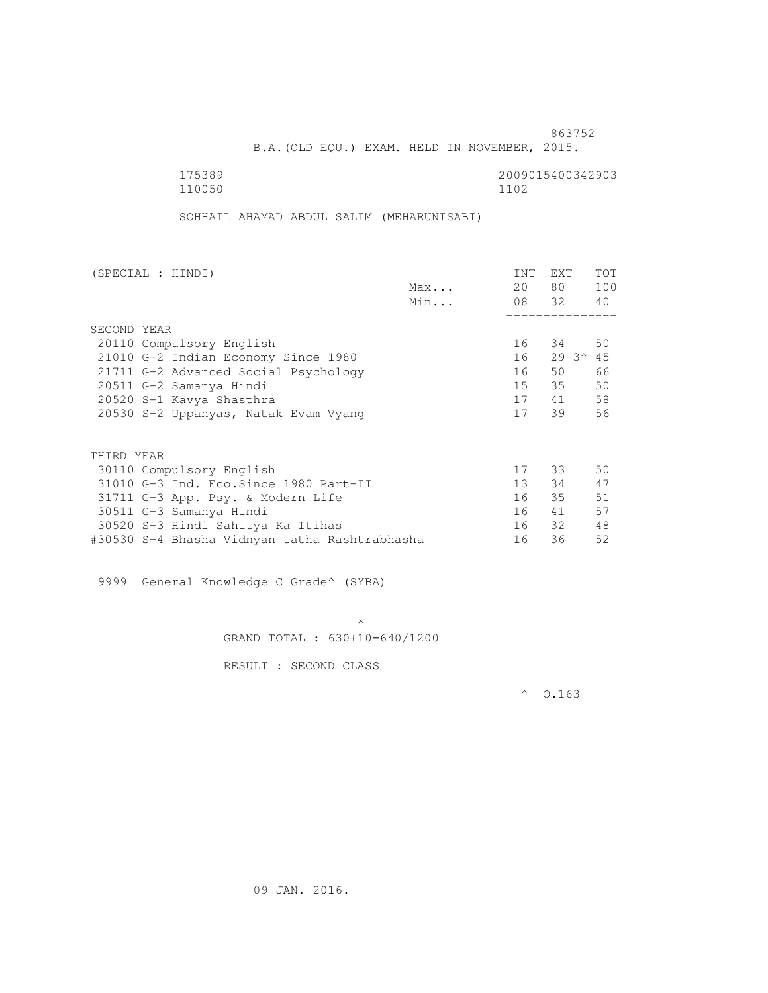B.A.(OLD EQU.) EXAM. HELD IN NOVEMBER, 2015.

 175389 2009015400342903 110050 1102

SOHHAIL AHAMAD ABDUL SALIM (MEHARUNISABI)

| (SPECIAL : HINDI)                             |     | INT    | EXT                 | <b>TOT</b> |
|-----------------------------------------------|-----|--------|---------------------|------------|
|                                               | Max | 20     | 80 —                | 100        |
|                                               | Min |        | 08 32 40            |            |
|                                               |     |        |                     |            |
| SECOND YEAR                                   |     |        |                     |            |
| 20110 Compulsory English                      |     |        | 16 34               | 50         |
| 21010 G-2 Indian Economy Since 1980           |     | 16     | $29 + 3^{\circ}$ 45 |            |
| 21711 G-2 Advanced Social Psychology          |     | 16     | 50                  | 66         |
| 20511 G-2 Samanya Hindi                       |     | 15     | 35                  | 50         |
| 20520 S-1 Kavya Shasthra                      |     | 17     | 41                  | 58         |
| 20530 S-2 Uppanyas, Natak Evam Vyang          |     | 17     | 39                  | 56         |
|                                               |     |        |                     |            |
| THIRD YEAR                                    |     |        |                     |            |
| 30110 Compulsory English                      |     |        | 17 33               | 50         |
| 31010 G-3 Ind. Eco. Since 1980 Part-II        |     | $13 -$ | 34                  | 47         |
| 31711 G-3 App. Psy. & Modern Life             |     | 16     | 35                  | 51         |
| 30511 G-3 Samanya Hindi                       |     | 16     | 41                  | 57         |
| 30520 S-3 Hindi Sahitya Ka Itihas             |     |        | 16 32               | 48         |
| #30530 S-4 Bhasha Vidnyan tatha Rashtrabhasha |     | 16     | 36                  | 52         |

9999 General Knowledge C Grade^ (SYBA)

 $\mathcal{A}$  and  $\mathcal{A}$  are the set of  $\mathcal{A}$ GRAND TOTAL : 630+10=640/1200

RESULT : SECOND CLASS

 $^{\circ}$  0.163

09 JAN. 2016.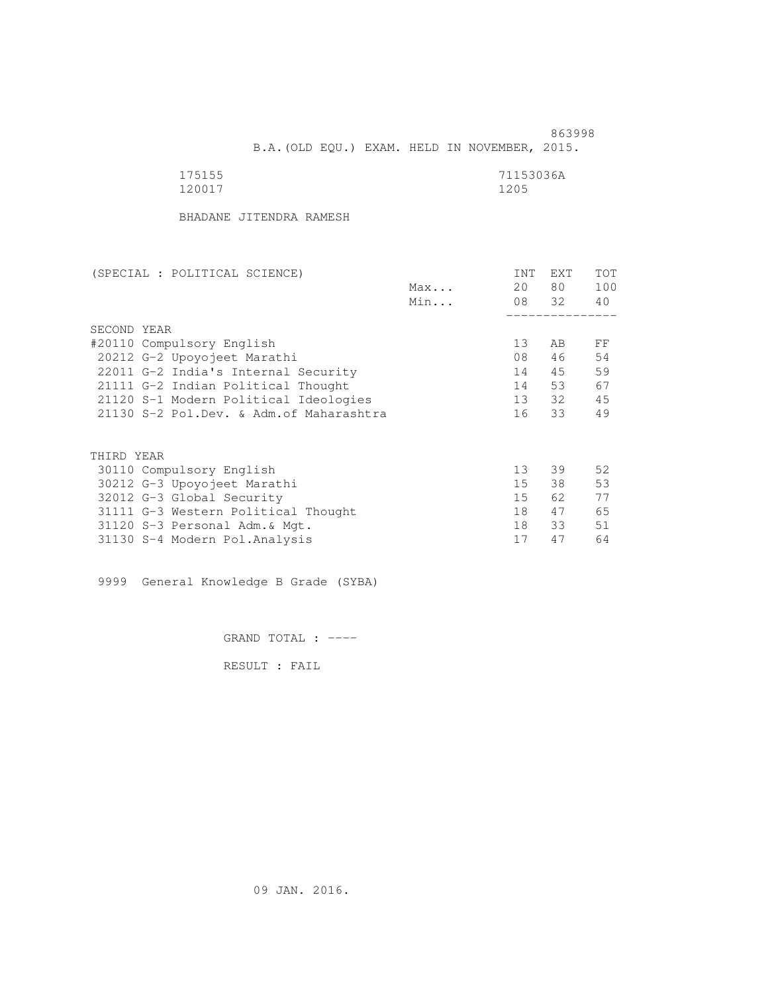863998 B.A.(OLD EQU.) EXAM. HELD IN NOVEMBER, 2015.

| 175155 | 71153036A |
|--------|-----------|
| 120017 | 1205      |

BHADANE JITENDRA RAMESH

| (SPECIAL : POLITICAL SCIENCE)            |     | INT             | EXT   | TOT |
|------------------------------------------|-----|-----------------|-------|-----|
|                                          | Max | 20              | 80 —  | 100 |
|                                          | Min |                 | 08 32 | 40  |
|                                          |     |                 |       |     |
| SECOND YEAR                              |     |                 |       |     |
| #20110 Compulsory English                |     | 13              | AB    | FF  |
| 20212 G-2 Upoyojeet Marathi              |     | 08              | 46    | 54  |
| 22011 G-2 India's Internal Security      |     | 14              | 45    | 59  |
| 21111 G-2 Indian Political Thought       |     | 14              | 53    | 67  |
| 21120 S-1 Modern Political Ideologies    |     |                 | 13 32 | 45  |
| 21130 S-2 Pol.Dev. & Adm. of Maharashtra |     | 16              | 33    | 49  |
|                                          |     |                 |       |     |
| THIRD YEAR                               |     |                 |       |     |
| 30110 Compulsory English                 |     | 13              | 39    | 52  |
| 30212 G-3 Upoyojeet Marathi              |     | 15 <sub>1</sub> | 38    | 53  |
| 32012 G-3 Global Security                |     | 15              | 62    | 77  |
| 31111 G-3 Western Political Thought      |     | 18              | 47    | 65  |
| 31120 S-3 Personal Adm. & Mgt.           |     | 18              | 33    | 51  |
| 31130 S-4 Modern Pol.Analysis            |     | 17              | 47    | 64  |

9999 General Knowledge B Grade (SYBA)

GRAND TOTAL : ----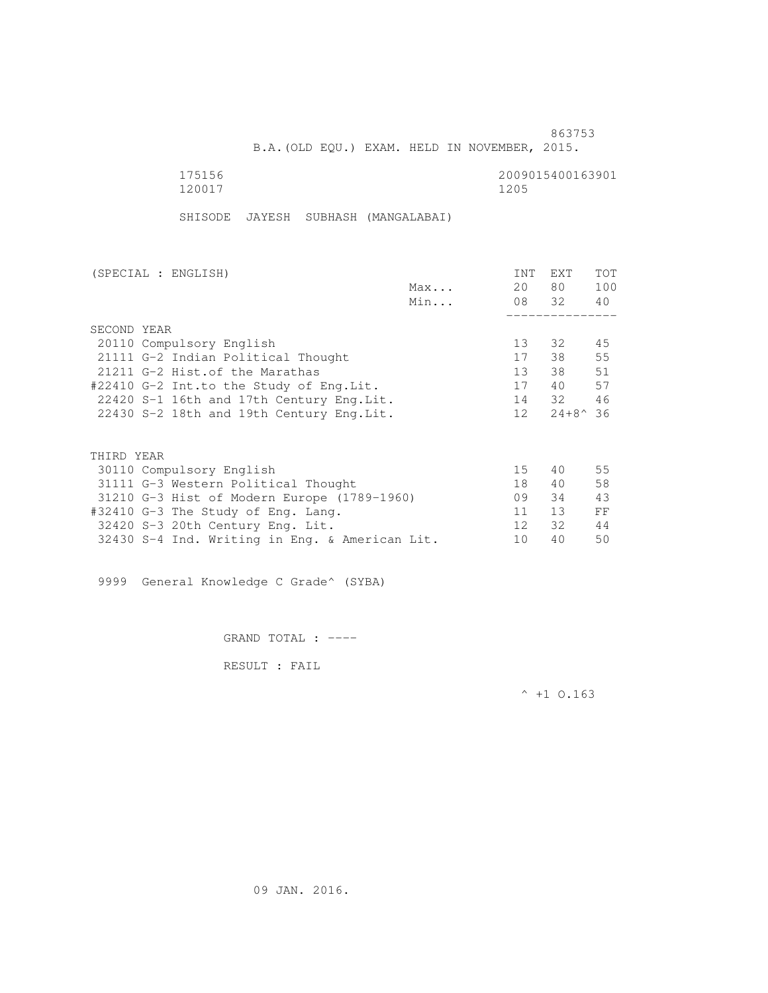B.A.(OLD EQU.) EXAM. HELD IN NOVEMBER, 2015.

175156 2009015400163901<br>120017 120017 1200 120017 1205

SHISODE JAYESH SUBHASH (MANGALABAI)

| (SPECIAL : ENGLISH)                         |     | <b>INT</b>      | <b>EXT</b>         | <b>TOT</b> |
|---------------------------------------------|-----|-----------------|--------------------|------------|
|                                             | Max | 20              | 80                 | 100        |
|                                             | Min | 08 32           |                    | 40         |
|                                             |     |                 |                    |            |
| SECOND YEAR                                 |     |                 |                    |            |
| 20110 Compulsory English                    |     | 13 <sup>°</sup> | 32                 | 45         |
| 21111 G-2 Indian Political Thought          |     | 17              | 38                 | 55         |
| 21211 G-2 Hist.of the Marathas              |     | 13              | 38                 | 51         |
| #22410 G-2 Int.to the Study of Eng. Lit.    |     | 17              | 40                 | 57         |
| 22420 S-1 16th and 17th Century Eng. Lit.   |     | 14              | 32                 | 46         |
| 22430 S-2 18th and 19th Century Eng. Lit.   |     | 12 <sup>°</sup> | $24 + 8^{\circ}36$ |            |
|                                             |     |                 |                    |            |
| THIRD YEAR                                  |     |                 |                    |            |
| 30110 Compulsory English                    |     | 15              | 40                 | 55         |
| 31111 G-3 Western Political Thought         |     | 18              | 40                 | 58         |
| 31210 G-3 Hist of Modern Europe (1789-1960) |     | 09              | 34                 | 43         |
| #32410 G-3 The Study of Eng. Lang.          |     | 11              | 13                 | FF         |
| 32420 S-3 20th Century Eng. Lit.            |     | $12 \cdot$      | 32                 | 44         |

32430 S-4 Ind. Writing in Eng. & American Lit. 10 40 50

9999 General Knowledge C Grade^ (SYBA)

GRAND TOTAL : ----

RESULT : FAIL

 $^{\wedge}$  +1 0.163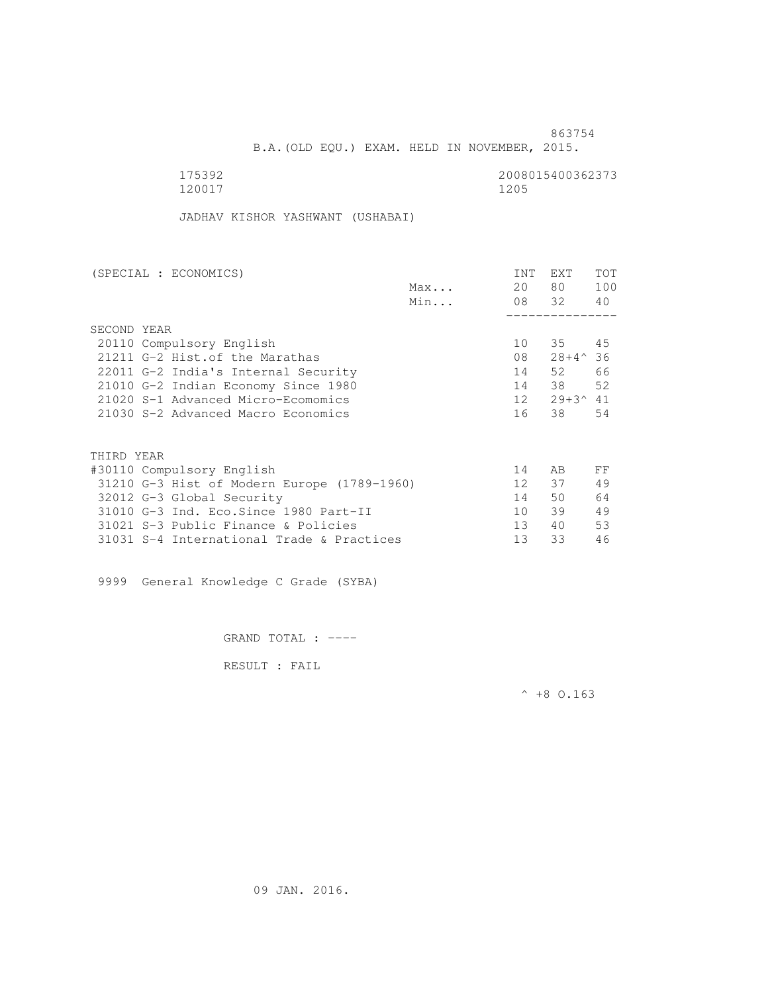B.A.(OLD EQU.) EXAM. HELD IN NOVEMBER, 2015.

175392<br>120017 120017 120017 120017 120017 1205

JADHAV KISHOR YASHWANT (USHABAI)

| (SPECIAL : ECONOMICS)                       |     | <b>INT</b>      | <b>EXT</b>          | TOT |
|---------------------------------------------|-----|-----------------|---------------------|-----|
|                                             | Max | 20              | 80                  | 100 |
|                                             | Min |                 | 08 32               | 40  |
|                                             |     |                 |                     |     |
| SECOND YEAR                                 |     |                 |                     |     |
| 20110 Compulsory English                    |     | 10              | 35 45               |     |
| 21211 G-2 Hist. of the Marathas             |     | 08              | $28+4^{\circ}36$    |     |
| 22011 G-2 India's Internal Security         |     | 14              | 52                  | 66  |
| 21010 G-2 Indian Economy Since 1980         |     | 14              | 38                  | 52  |
| 21020 S-1 Advanced Micro-Ecomomics          |     | 12              | $29 + 3^{\circ} 41$ |     |
| 21030 S-2 Advanced Macro Economics          |     | 16              | 38                  | 54  |
|                                             |     |                 |                     |     |
| THIRD YEAR                                  |     |                 |                     |     |
| #30110 Compulsory English                   |     | 14              | AB                  | FF  |
| 31210 G-3 Hist of Modern Europe (1789-1960) |     | 12 <sup>°</sup> | 37                  | 49  |
| 32012 G-3 Global Security                   |     | 14              | 50                  | 64  |
| 31010 G-3 Ind. Eco. Since 1980 Part-II      |     | 10              | 39                  | 49  |
| 31021 S-3 Public Finance & Policies         |     | 13 <sup>°</sup> | 40                  | 53  |
| 31031 S-4 International Trade & Practices   |     | 13              | 33                  | 46  |
|                                             |     |                 |                     |     |

9999 General Knowledge C Grade (SYBA)

GRAND TOTAL : ----

RESULT : FAIL

 $^{\wedge}$  +8 O.163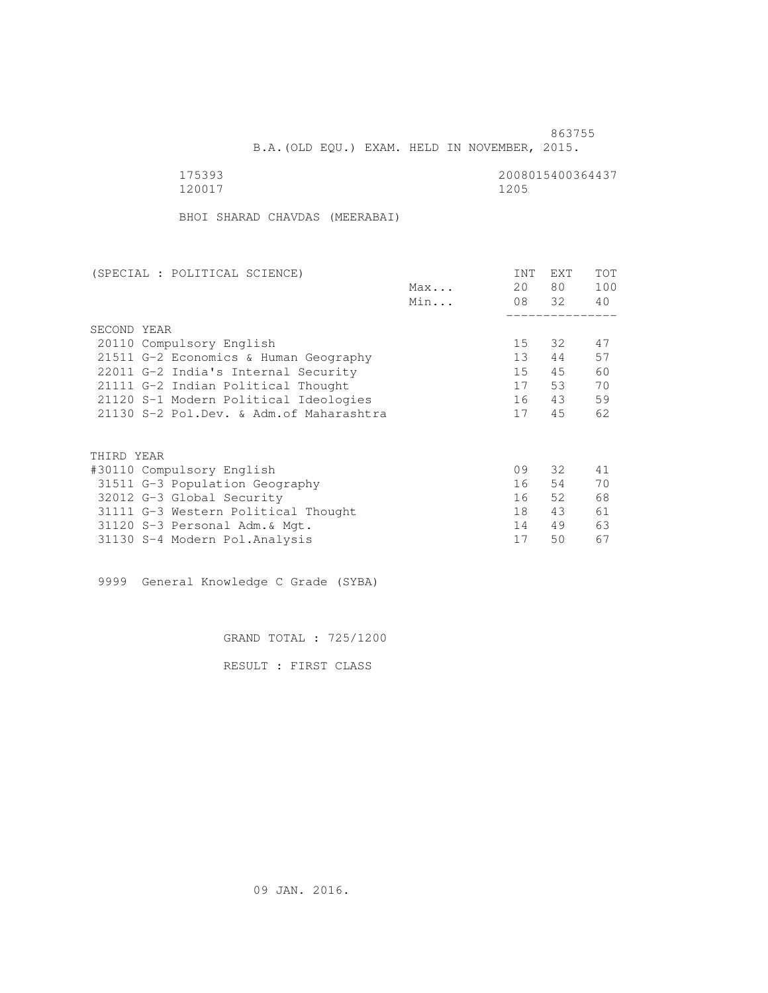B.A.(OLD EQU.) EXAM. HELD IN NOVEMBER, 2015.

120017 1205

175393<br>120017 120017 120017 120017

BHOI SHARAD CHAVDAS (MEERABAI)

| (SPECIAL : POLITICAL SCIENCE)            |     | INT | EXT   | TOT |
|------------------------------------------|-----|-----|-------|-----|
|                                          | Max | 20  | 80    | 100 |
|                                          | Min |     | 08 32 | 40  |
|                                          |     |     |       |     |
| SECOND YEAR                              |     |     |       |     |
| 20110 Compulsory English                 |     | 15  | 32    | 47  |
| 21511 G-2 Economics & Human Geography    |     | 13  | 44    | 57  |
| 22011 G-2 India's Internal Security      |     | 15  | 45    | 60  |
| 21111 G-2 Indian Political Thought       |     | 17  | 53    | 70  |
| 21120 S-1 Modern Political Ideologies    |     | 16  | 43    | 59  |
| 21130 S-2 Pol.Dev. & Adm. of Maharashtra |     | 17  | 45    | 62  |
|                                          |     |     |       |     |
| THIRD YEAR                               |     |     |       |     |
| #30110 Compulsory English                |     | 09  | 32    | 41  |
| 31511 G-3 Population Geography           |     | 16  | 54    | 70  |
| 32012 G-3 Global Security                |     | 16  | 52    | 68  |
| 31111 G-3 Western Political Thought      |     | 18  | 43    | 61  |
| 31120 S-3 Personal Adm. & Mgt.           |     | 14  | 49    | 63  |
| 31130 S-4 Modern Pol.Analysis            |     | 17  | 50    | 67  |

9999 General Knowledge C Grade (SYBA)

GRAND TOTAL : 725/1200

RESULT : FIRST CLASS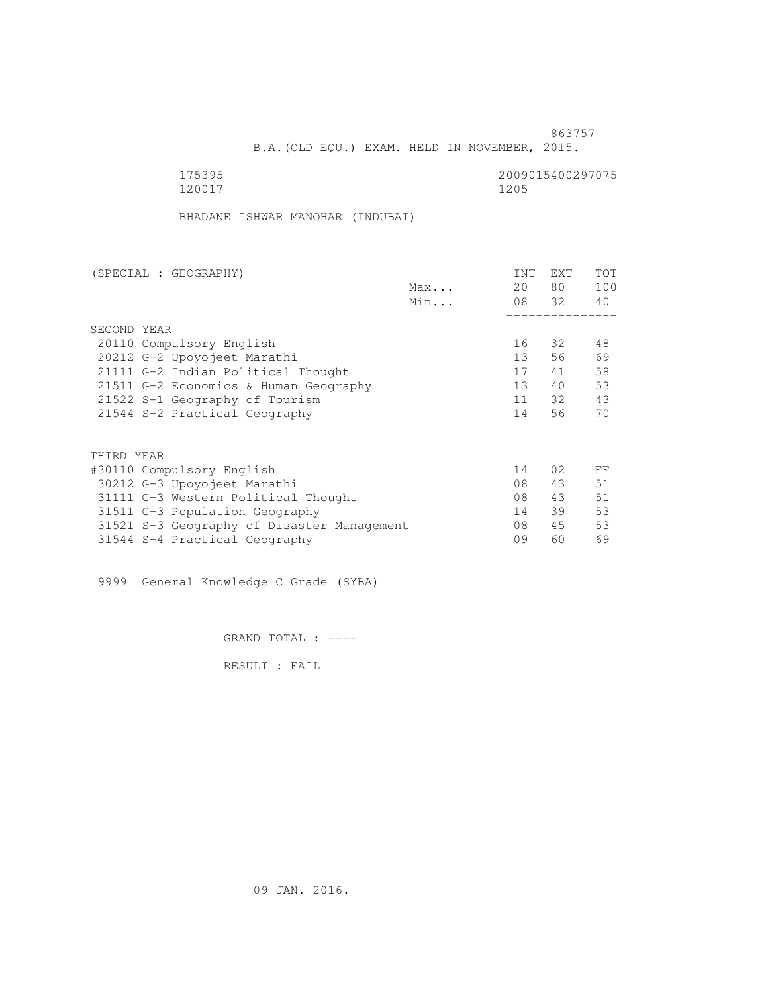B.A.(OLD EQU.) EXAM. HELD IN NOVEMBER, 2015.

| 175395 | 2009015400297075 |
|--------|------------------|
| 120017 | 1205             |

BHADANE ISHWAR MANOHAR (INDUBAI)

| (SPECIAL : GEOGRAPHY)                      |     | INT             | EXT   | TOT |
|--------------------------------------------|-----|-----------------|-------|-----|
|                                            | Max | 20              | 80    | 100 |
|                                            | Min |                 | 08 32 | 40  |
|                                            |     |                 |       |     |
| SECOND YEAR                                |     |                 |       |     |
| 20110 Compulsory English                   |     | 16              | 32    | 48  |
| 20212 G-2 Upoyojeet Marathi                |     | 13              | 56    | 69  |
| 21111 G-2 Indian Political Thought         |     | 17              | 41    | 58  |
| 21511 G-2 Economics & Human Geography      |     | 13 <sup>°</sup> | 40    | 53  |
| 21522 S-1 Geography of Tourism             |     | 11              | 32    | 43  |
| 21544 S-2 Practical Geography              |     | 14              | 56    | 70  |
| THIRD YEAR                                 |     |                 |       |     |
| #30110 Compulsory English                  |     | 14              | 02    | FF  |
| 30212 G-3 Upoyojeet Marathi                |     | 08              | 43    | 51  |
| 31111 G-3 Western Political Thought        |     | 08              | 43    | 51  |
| 31511 G-3 Population Geography             |     | 14              | 39    | 53  |
| 31521 S-3 Geography of Disaster Management |     | 08              | 45    | 53  |
| 31544 S-4 Practical Geography              |     | 09              | 60    | 69  |
|                                            |     |                 |       |     |

9999 General Knowledge C Grade (SYBA)

GRAND TOTAL : ----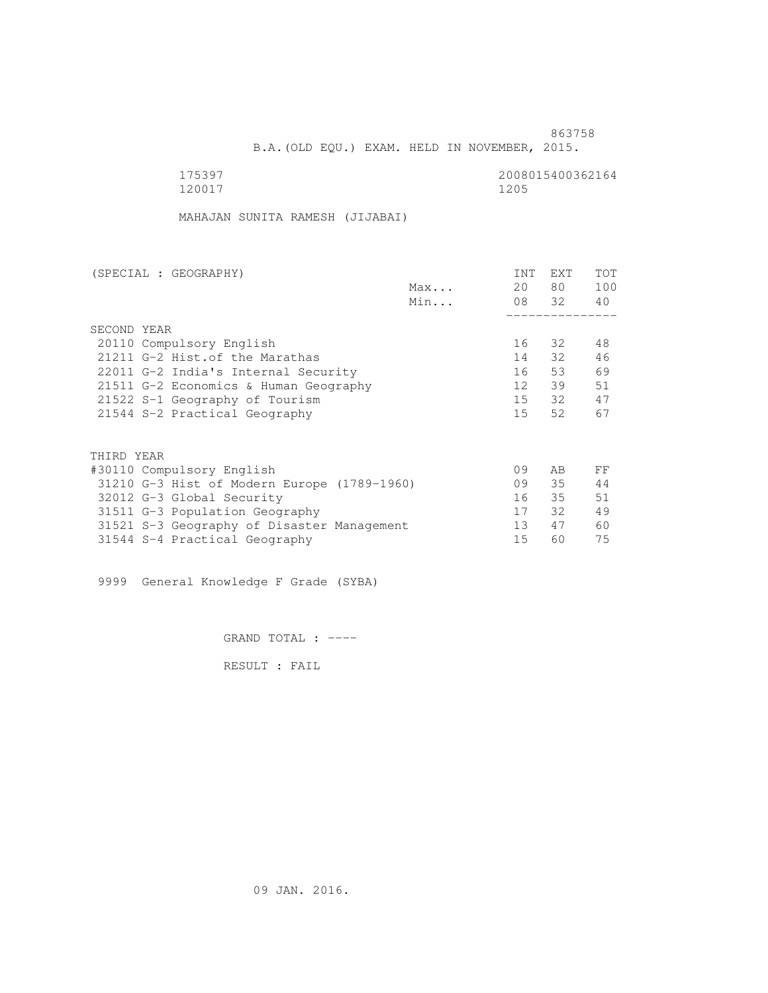B.A.(OLD EQU.) EXAM. HELD IN NOVEMBER, 2015.

 175397 2008015400362164 120017 1205

MAHAJAN SUNITA RAMESH (JIJABAI)

| (SPECIAL : GEOGRAPHY)                       | <b>INT</b>      | <b>EXT</b> | TOT |
|---------------------------------------------|-----------------|------------|-----|
| Max                                         | 20              | 80         | 100 |
| Min                                         |                 | 08 32      | 40  |
|                                             |                 |            |     |
| SECOND YEAR                                 |                 |            |     |
| 20110 Compulsory English                    | 16              | - 32       | 48  |
| 21211 G-2 Hist. of the Marathas             | 14              | 32         | 46  |
| 22011 G-2 India's Internal Security         | 16              | 53         | 69  |
| 21511 G-2 Economics & Human Geography       | 12              | 39         | 51  |
| 21522 S-1 Geography of Tourism              | 15              | - 32       | 47  |
| 21544 S-2 Practical Geography               | 15 <sup>7</sup> | 52         | 67  |
|                                             |                 |            |     |
| THIRD YEAR                                  |                 |            |     |
| #30110 Compulsory English                   | 09              | AB         | FF  |
| 31210 G-3 Hist of Modern Europe (1789-1960) | 09              | 35         | 44  |
| 32012 G-3 Global Security                   | 16              | $35 -$     | 51  |
| 31511 G-3 Population Geography              | 17              | 32         | 49  |
| 31521 S-3 Geography of Disaster Management  | 13              | 47         | 60  |
| 31544 S-4 Practical Geography               | 15              | 60         | 75  |

9999 General Knowledge F Grade (SYBA)

GRAND TOTAL : ----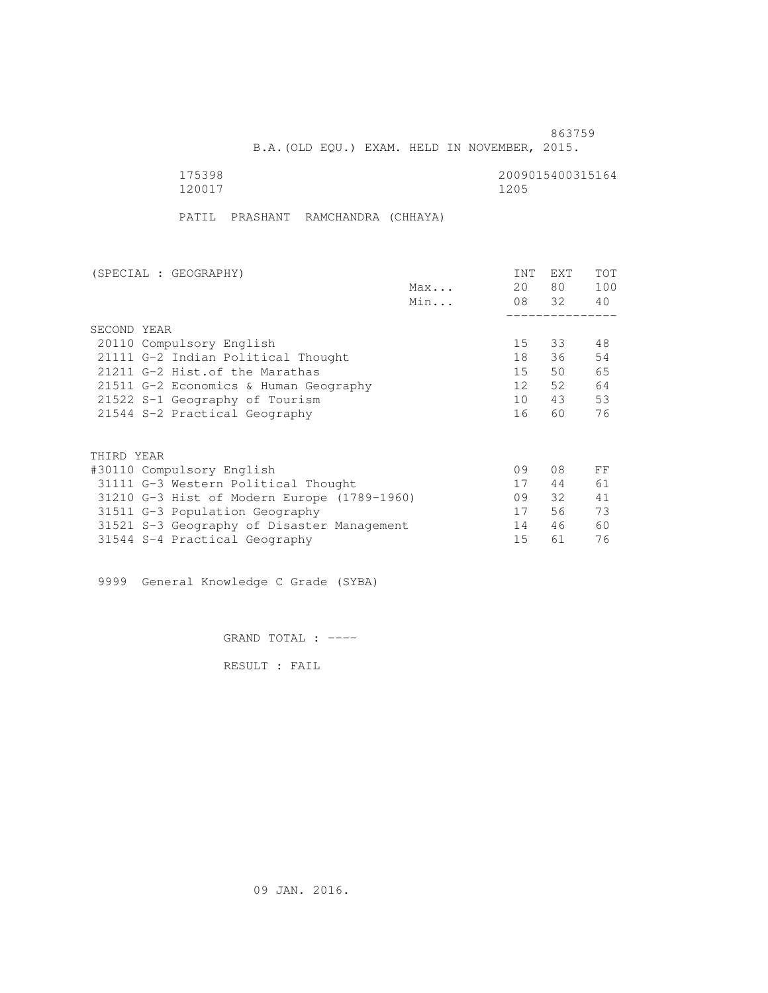B.A.(OLD EQU.) EXAM. HELD IN NOVEMBER, 2015.

 175398 2009015400315164 120017 1205

PATIL PRASHANT RAMCHANDRA (CHHAYA)

| (SPECIAL : GEOGRAPHY)                       |     | <b>INT</b> | <b>EXT</b> | TOT |
|---------------------------------------------|-----|------------|------------|-----|
|                                             | Max | 20         | 80         | 100 |
|                                             | Min |            | 08 32      | 40  |
|                                             |     |            |            |     |
| SECOND YEAR                                 |     |            |            |     |
| 20110 Compulsory English                    |     | 15         | 33         | 48  |
| 21111 G-2 Indian Political Thought          |     | 18         | 36         | 54  |
| 21211 G-2 Hist. of the Marathas             |     | 15         | 50         | 65  |
| 21511 G-2 Economics & Human Geography       |     | 12         | 52         | 64  |
| 21522 S-1 Geography of Tourism              |     | 10         | 43         | 53  |
| 21544 S-2 Practical Geography               |     | 16         | 60         | 76  |
|                                             |     |            |            |     |
| THIRD YEAR                                  |     |            |            |     |
| #30110 Compulsory English                   |     | 09         | 08         | FF  |
| 31111 G-3 Western Political Thought         |     | 17         | 44         | 61  |
| 31210 G-3 Hist of Modern Europe (1789-1960) |     | 09         | 32 F       | 41  |
| 31511 G-3 Population Geography              |     | 17         | 56         | 73  |
| 31521 S-3 Geography of Disaster Management  |     | 14         | 46         | 60  |
| 31544 S-4 Practical Geography               |     | 15         | 61         | 76  |
|                                             |     |            |            |     |

9999 General Knowledge C Grade (SYBA)

GRAND TOTAL : ----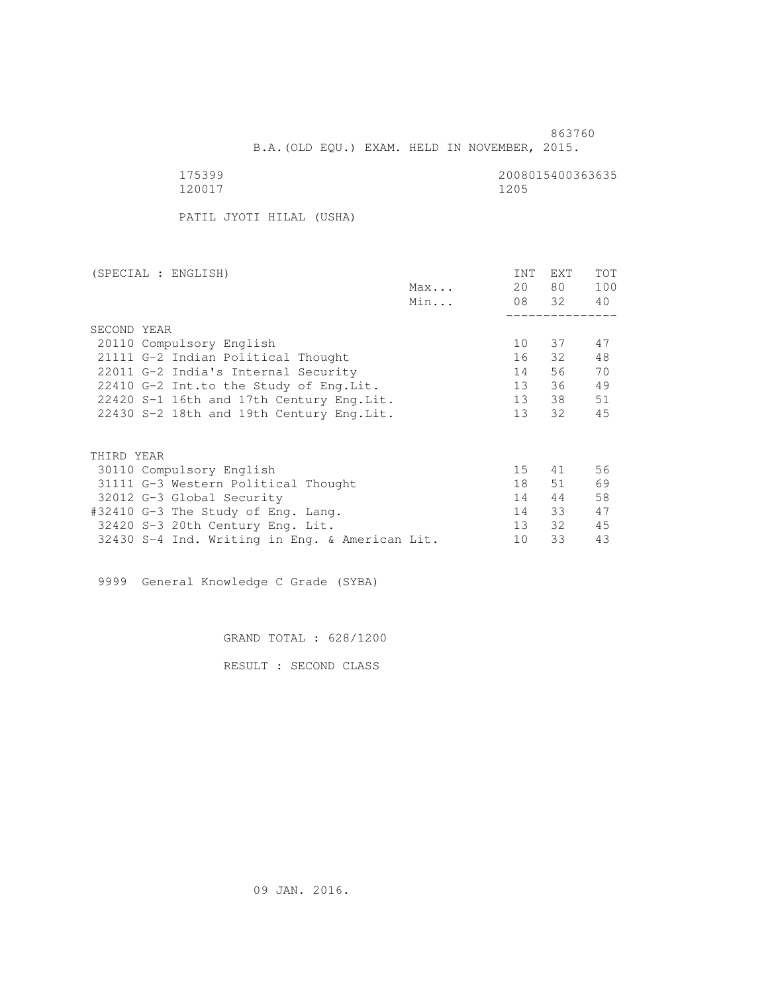B.A.(OLD EQU.) EXAM. HELD IN NOVEMBER, 2015.

175399<br>120017 120017 120017 120017 120017 1205

PATIL JYOTI HILAL (USHA)

| (SPECIAL : ENGLISH)                            |     | INT             | <b>EXT</b> | TOT |
|------------------------------------------------|-----|-----------------|------------|-----|
|                                                | Max | 20              | 80         | 100 |
|                                                | Min |                 | 08 32      | 40  |
|                                                |     |                 |            |     |
| SECOND YEAR                                    |     |                 |            |     |
| 20110 Compulsory English                       |     | 10              | 37         | 47  |
| 21111 G-2 Indian Political Thought             |     | 16              | 32         | 48  |
| 22011 G-2 India's Internal Security            |     | 14              | 56         | 70  |
| 22410 G-2 Int.to the Study of Eng. Lit.        |     | 13              | 36         | 49  |
| 22420 S-1 16th and 17th Century Eng. Lit.      |     | 13              | 38         | 51  |
| 22430 S-2 18th and 19th Century Eng. Lit.      |     | 13 <sup>7</sup> | 32         | 45  |
|                                                |     |                 |            |     |
|                                                |     |                 |            |     |
| THIRD YEAR                                     |     |                 |            |     |
| 30110 Compulsory English                       |     | 15              | 41         | 56  |
| 31111 G-3 Western Political Thought            |     | 18              | 51         | 69  |
| 32012 G-3 Global Security                      |     | 14              | 44         | 58  |
| #32410 G-3 The Study of Eng. Lang.             |     | 14              | 33         | 47  |
| 32420 S-3 20th Century Eng. Lit.               |     | 13 <sup>7</sup> | 32         | 45  |
| 32430 S-4 Ind. Writing in Eng. & American Lit. |     | 10              | 33         | 43  |
|                                                |     |                 |            |     |

9999 General Knowledge C Grade (SYBA)

GRAND TOTAL : 628/1200

RESULT : SECOND CLASS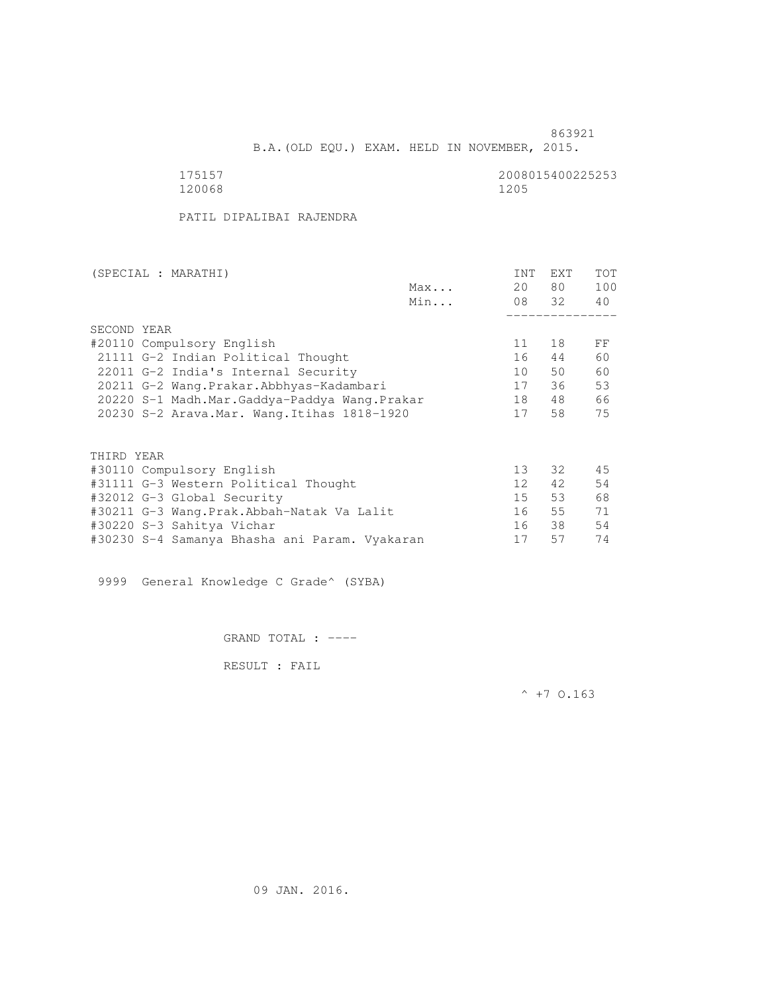B.A.(OLD EQU.) EXAM. HELD IN NOVEMBER, 2015.

 175157 2008015400225253 120068 1205

PATIL DIPALIBAI RAJENDRA

| (SPECIAL : MARATHI)                           |     | INT             | EXT   | <b>TOT</b> |
|-----------------------------------------------|-----|-----------------|-------|------------|
|                                               | Max | 20              | 80 —  | 100        |
|                                               | Min |                 | 08 32 | 40         |
|                                               |     |                 |       |            |
| SECOND YEAR                                   |     |                 |       |            |
| #20110 Compulsory English                     |     | 11              | 18    | FF         |
| 21111 G-2 Indian Political Thought            |     | 16              | 44    | 60         |
| 22011 G-2 India's Internal Security           |     | 10              | 50    | 60         |
| 20211 G-2 Wang.Prakar.Abbhyas-Kadambari       |     | 17              | 36    | 53         |
| 20220 S-1 Madh.Mar.Gaddya-Paddya Wang.Prakar  |     | 18              | 48    | 66         |
| 20230 S-2 Arava. Mar. Wang. Itihas 1818-1920  |     | 17              | 58    | 75         |
|                                               |     |                 |       |            |
| THIRD YEAR                                    |     |                 |       |            |
| #30110 Compulsory English                     |     | 13              | 32    | 45         |
| #31111 G-3 Western Political Thought          |     | 12 <sup>°</sup> | 42    | 54         |
| #32012 G-3 Global Security                    |     | 15              | 53    | 68         |
| #30211 G-3 Wang.Prak.Abbah-Natak Va Lalit     |     | 16              | 55    | 71         |
| #30220 S-3 Sahitya Vichar                     |     | 16              | 38    | 54         |
| #30230 S-4 Samanya Bhasha ani Param. Vyakaran |     | 17              | 57    | 74         |
|                                               |     |                 |       |            |

9999 General Knowledge C Grade^ (SYBA)

GRAND TOTAL : ----

RESULT : FAIL

 $^{\wedge}$  +7 O.163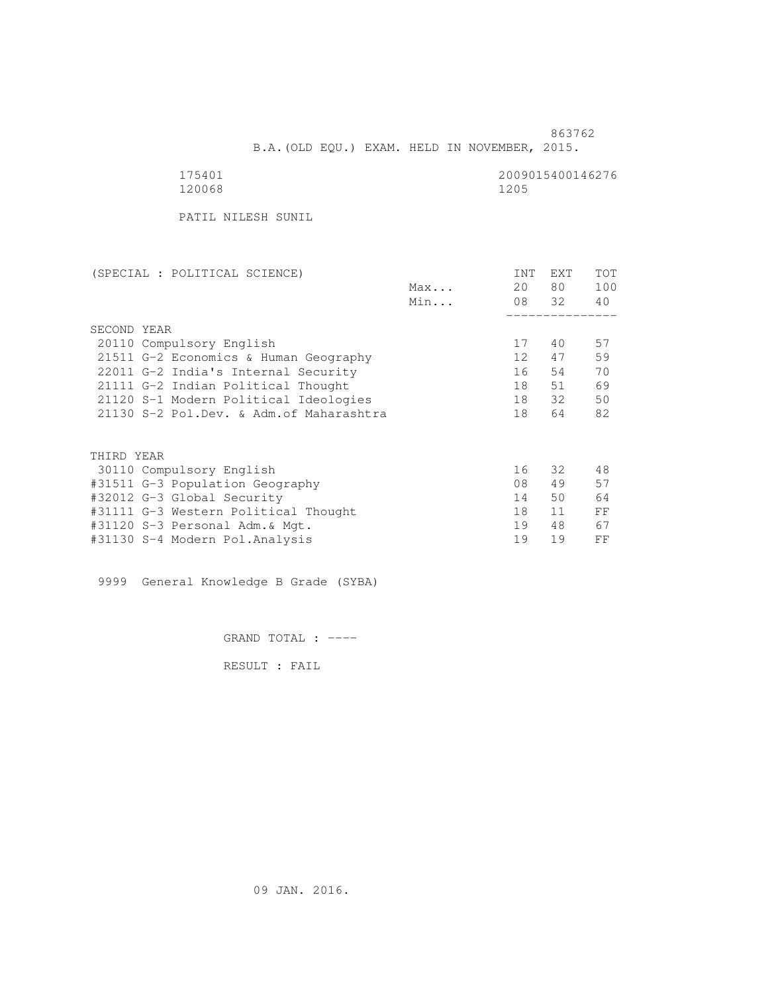B.A.(OLD EQU.) EXAM. HELD IN NOVEMBER, 2015.

120068 1205

175401<br>120068 120068 1200

PATIL NILESH SUNIL

| Max<br>Min<br>SECOND YEAR<br>20110 Compulsory English<br>21511 G-2 Economics & Human Geography<br>22011 G-2 India's Internal Security<br>21111 G-2 Indian Political Thought<br>21120 S-1 Modern Political Ideologies<br>21130 S-2 Pol.Dev. & Adm. of Maharashtra | 20 | 80    | 100 |
|------------------------------------------------------------------------------------------------------------------------------------------------------------------------------------------------------------------------------------------------------------------|----|-------|-----|
|                                                                                                                                                                                                                                                                  |    |       |     |
|                                                                                                                                                                                                                                                                  |    | 08 32 | 40  |
|                                                                                                                                                                                                                                                                  |    |       |     |
|                                                                                                                                                                                                                                                                  |    |       |     |
|                                                                                                                                                                                                                                                                  | 17 | 40    | 57  |
|                                                                                                                                                                                                                                                                  | 12 | 47    | 59  |
|                                                                                                                                                                                                                                                                  | 16 | 54    | 70  |
|                                                                                                                                                                                                                                                                  | 18 | 51    | 69  |
|                                                                                                                                                                                                                                                                  | 18 | 32    | 50  |
|                                                                                                                                                                                                                                                                  | 18 | 64    | 82  |
|                                                                                                                                                                                                                                                                  |    |       |     |
| THIRD YEAR                                                                                                                                                                                                                                                       |    |       |     |
| 30110 Compulsory English                                                                                                                                                                                                                                         | 16 | 32    | 48  |
| #31511 G-3 Population Geography                                                                                                                                                                                                                                  | 08 | 49    | 57  |
| #32012 G-3 Global Security                                                                                                                                                                                                                                       | 14 | 50    | 64  |
| #31111 G-3 Western Political Thought                                                                                                                                                                                                                             | 18 | 11    | FF  |
| #31120 S-3 Personal Adm.& Mgt.                                                                                                                                                                                                                                   | 19 | 48    | 67  |
| #31130 S-4 Modern Pol.Analysis                                                                                                                                                                                                                                   |    | 19    |     |

9999 General Knowledge B Grade (SYBA)

GRAND TOTAL : ----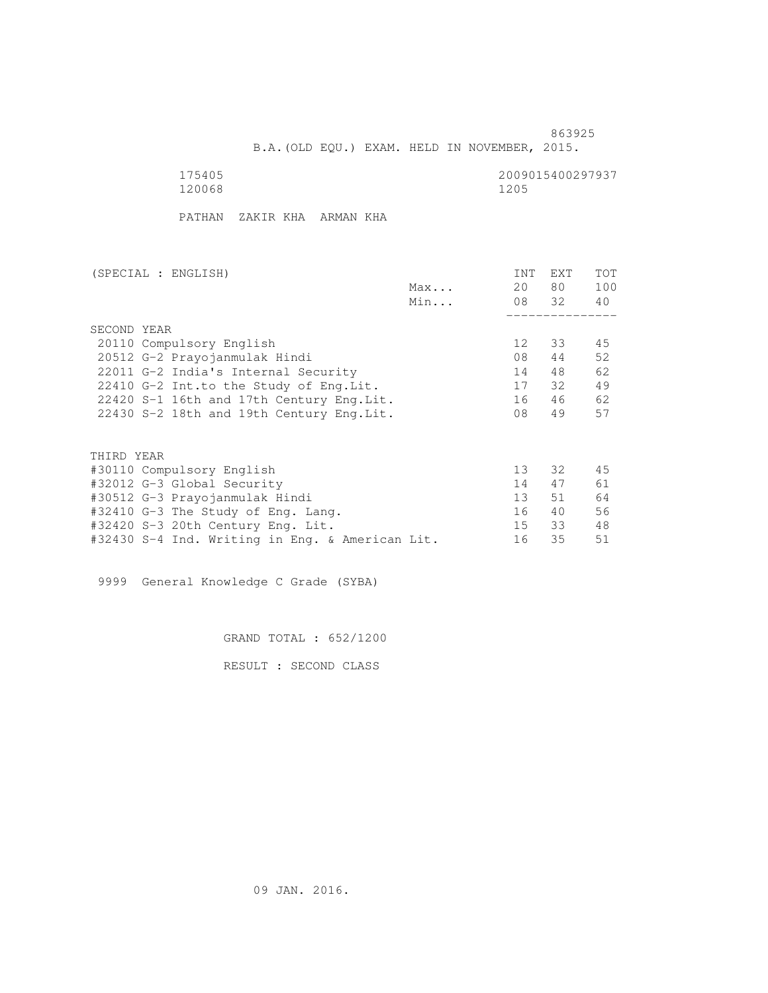B.A.(OLD EQU.) EXAM. HELD IN NOVEMBER, 2015.

175405<br>120068 120068 12005 120068 1205

PATHAN ZAKIR KHA ARMAN KHA

| (SPECIAL : ENGLISH)                             |     | INT             | EXT   | <b>TOT</b> |
|-------------------------------------------------|-----|-----------------|-------|------------|
|                                                 | Max | 20              | 80 —  | 100        |
|                                                 | Min |                 | 08 32 | 40         |
|                                                 |     |                 |       |            |
| SECOND YEAR                                     |     |                 |       |            |
| 20110 Compulsory English                        |     | 12 <sup>°</sup> | 33    | 45         |
| 20512 G-2 Prayojanmulak Hindi                   |     | 08              | 44    | 52         |
| 22011 G-2 India's Internal Security             |     | 14              | 48    | 62         |
| 22410 G-2 Int.to the Study of Eng. Lit.         |     | 17              | 32    | 49         |
| 22420 S-1 16th and 17th Century Eng. Lit.       |     | 16              | 46    | 62         |
| 22430 S-2 18th and 19th Century Eng. Lit.       |     | 08              | 49    | 57         |
|                                                 |     |                 |       |            |
| THIRD YEAR                                      |     |                 |       |            |
| #30110 Compulsory English                       |     | 13 <sup>°</sup> | 32    | 45         |
| #32012 G-3 Global Security                      |     | 14              | 47    | 61         |
| #30512 G-3 Prayojanmulak Hindi                  |     | 13 <sup>7</sup> | 51    | 64         |
| #32410 G-3 The Study of Eng. Lang.              |     | 16              | 40    | 56         |
| #32420 S-3 20th Century Eng. Lit.               |     | 15              | 33    | 48         |
| #32430 S-4 Ind. Writing in Eng. & American Lit. |     | 16              | 35    | 51         |

9999 General Knowledge C Grade (SYBA)

GRAND TOTAL : 652/1200

RESULT : SECOND CLASS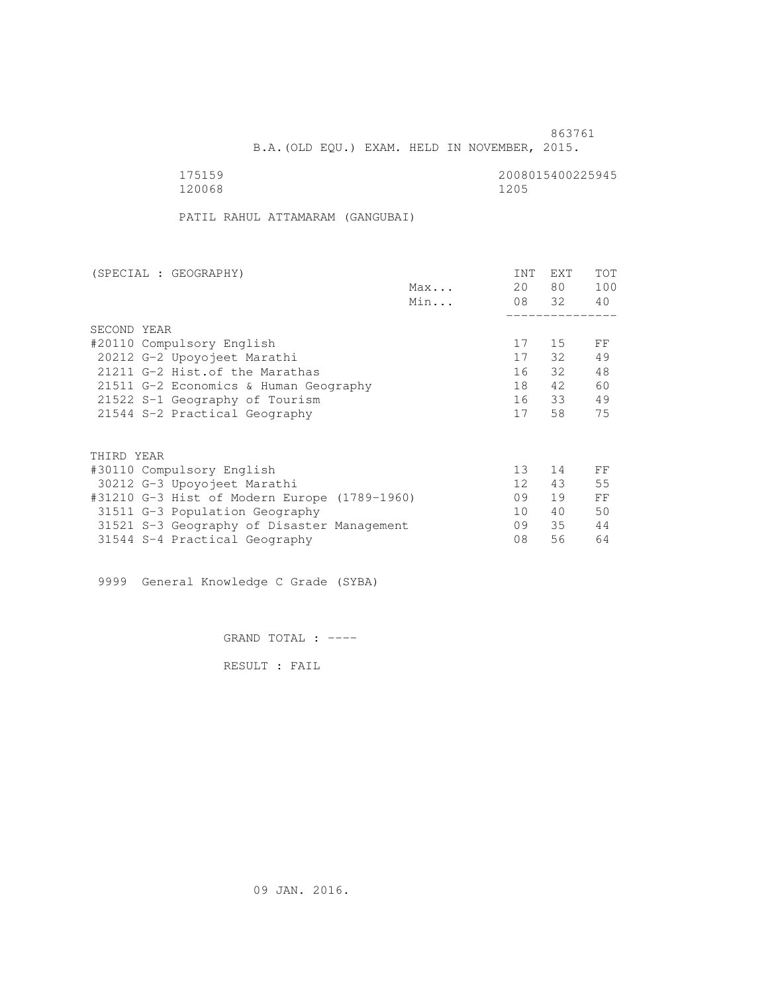B.A.(OLD EQU.) EXAM. HELD IN NOVEMBER, 2015.

175159<br>120068 120068 12006 120068 1205

PATIL RAHUL ATTAMARAM (GANGUBAI)

| (SPECIAL : GEOGRAPHY)                        |     | INT             | <b>EXT</b> | TOT |
|----------------------------------------------|-----|-----------------|------------|-----|
|                                              | Max | 20              | 80 —       | 100 |
|                                              | Min |                 | 08 32      | 40  |
|                                              |     |                 |            |     |
| SECOND YEAR                                  |     |                 |            |     |
| #20110 Compulsory English                    |     | 17              | 15         | FF  |
| 20212 G-2 Upoyojeet Marathi                  |     | 17              | 32         | 49  |
| 21211 G-2 Hist. of the Marathas              |     | 16              | 32         | 48  |
| 21511 G-2 Economics & Human Geography        |     | 18              | 42         | 60  |
| 21522 S-1 Geography of Tourism               |     | 16              | 33         | 49  |
| 21544 S-2 Practical Geography                |     | 17              | 58         | 75  |
|                                              |     |                 |            |     |
| THIRD YEAR                                   |     |                 |            |     |
| #30110 Compulsory English                    |     | 13 <sup>°</sup> | 14         | FF  |
| 30212 G-3 Upoyojeet Marathi                  |     | 12 <sup>°</sup> | 43         | 55  |
| #31210 G-3 Hist of Modern Europe (1789-1960) |     | 09              | 19         | FF  |
| 31511 G-3 Population Geography               |     | 10              | 40         | 50  |
| 31521 S-3 Geography of Disaster Management   |     | 09              | 35         | 44  |
| 31544 S-4 Practical Geography                |     | 08              | 56         | 64  |

9999 General Knowledge C Grade (SYBA)

GRAND TOTAL : ----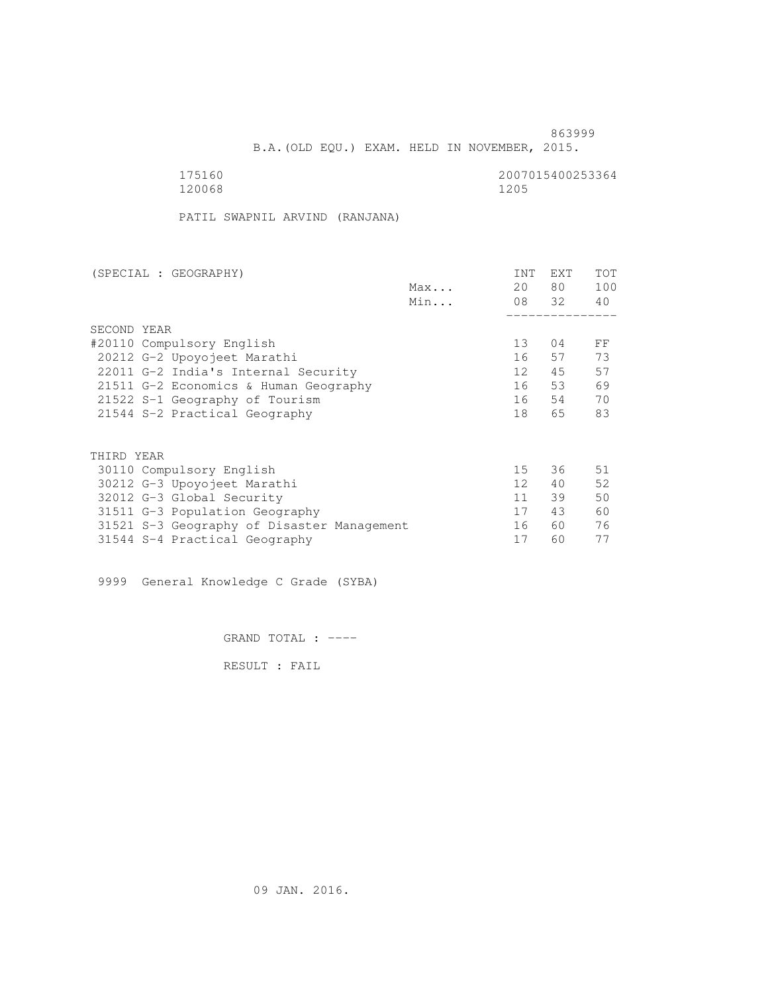863999 B.A.(OLD EQU.) EXAM. HELD IN NOVEMBER, 2015.

175160<br>120068 120068 12006 12006 12006 120068 1205

PATIL SWAPNIL ARVIND (RANJANA)

| (SPECIAL : GEOGRAPHY)                      |     | <b>INT</b>      | <b>EXT</b> | TOT |
|--------------------------------------------|-----|-----------------|------------|-----|
|                                            | Max | 20              | 80         | 100 |
|                                            | Min |                 | 08 32      | 40  |
|                                            |     |                 |            |     |
| SECOND YEAR                                |     |                 |            |     |
| #20110 Compulsory English                  |     | 13 <sup>°</sup> | 04         | FF  |
| 20212 G-2 Upoyojeet Marathi                |     | 16              | 57         | 73  |
| 22011 G-2 India's Internal Security        |     | 12              | 45         | 57  |
| 21511 G-2 Economics & Human Geography      |     | 16              | 53         | 69  |
| 21522 S-1 Geography of Tourism             |     | 16              | 54         | 70  |
| 21544 S-2 Practical Geography              |     | 18              | 65         | 83  |
|                                            |     |                 |            |     |
| THIRD YEAR                                 |     |                 |            |     |
| 30110 Compulsory English                   |     | 15 <sub>1</sub> | 36         | 51  |
| 30212 G-3 Upoyojeet Marathi                |     | 12 <sup>°</sup> | 40         | 52  |
| 32012 G-3 Global Security                  |     | 11              | 39         | 50  |
| 31511 G-3 Population Geography             |     | 17              | 43         | 60  |
| 31521 S-3 Geography of Disaster Management |     | 16              | 60         | 76  |
| 31544 S-4 Practical Geography              |     | 17              | 60         | 77  |
|                                            |     |                 |            |     |

9999 General Knowledge C Grade (SYBA)

GRAND TOTAL : ----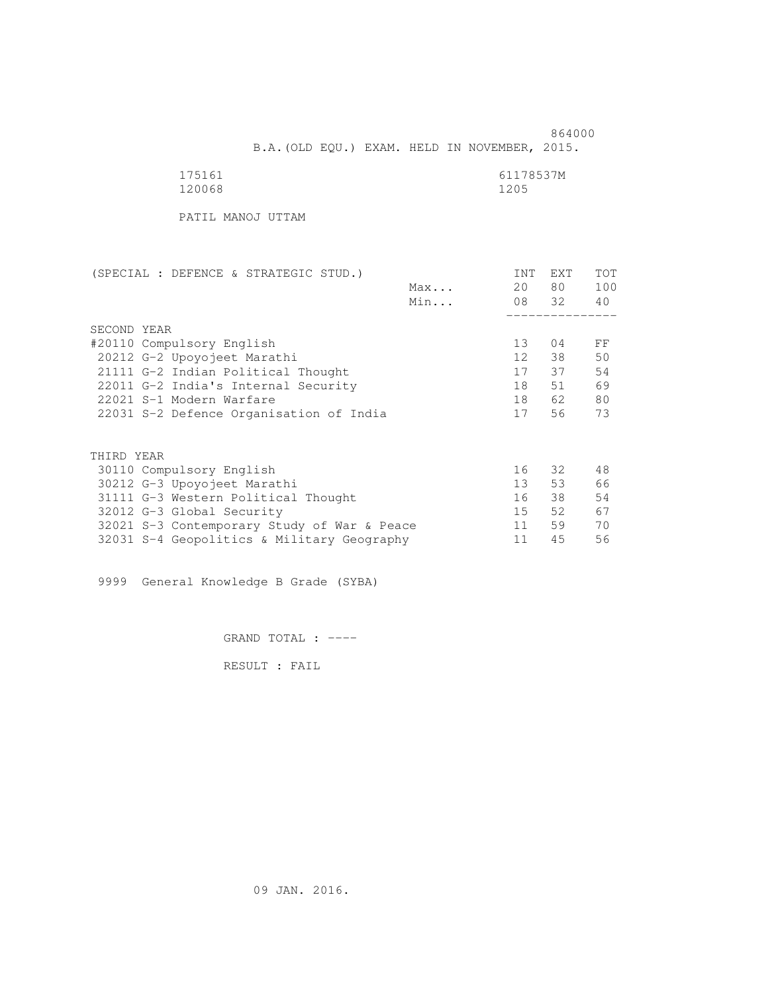864000 B.A.(OLD EQU.) EXAM. HELD IN NOVEMBER, 2015.

| 175161 | 61178537M |
|--------|-----------|
| 120068 | 1205      |

PATIL MANOJ UTTAM

| (SPECIAL : DEFENCE & STRATEGIC STUD.)       |              | INT              | <b>EXT</b> | TOT |
|---------------------------------------------|--------------|------------------|------------|-----|
|                                             | $Max \ldots$ | 20               | 80 —       | 100 |
|                                             | Min          |                  | 08 32      | 40  |
|                                             |              |                  |            |     |
| SECOND YEAR                                 |              |                  |            |     |
| #20110 Compulsory English                   |              | 13               | 04         | FF  |
| 20212 G-2 Upoyojeet Marathi                 |              | 12 <sup>12</sup> | 38         | 50  |
| 21111 G-2 Indian Political Thought          |              | 17               | 37         | 54  |
| 22011 G-2 India's Internal Security         |              | 18               | 51         | 69  |
| 22021 S-1 Modern Warfare                    |              | 18               | 62         | 80  |
| 22031 S-2 Defence Organisation of India     |              | 17               | 56         | 73  |
|                                             |              |                  |            |     |
|                                             |              |                  |            |     |
| THIRD YEAR                                  |              |                  |            |     |
| 30110 Compulsory English                    |              | 16               | 32         | 48  |
| 30212 G-3 Upoyojeet Marathi                 |              | 13 <sup>7</sup>  | 53         | 66  |
| 31111 G-3 Western Political Thought         |              | 16               | 38         | 54  |
| 32012 G-3 Global Security                   |              | 15               | 52         | 67  |
| 32021 S-3 Contemporary Study of War & Peace |              | 11               | 59         | 70  |
| 32031 S-4 Geopolitics & Military Geography  |              | 11               | 45         | 56  |
|                                             |              |                  |            |     |

9999 General Knowledge B Grade (SYBA)

GRAND TOTAL : ----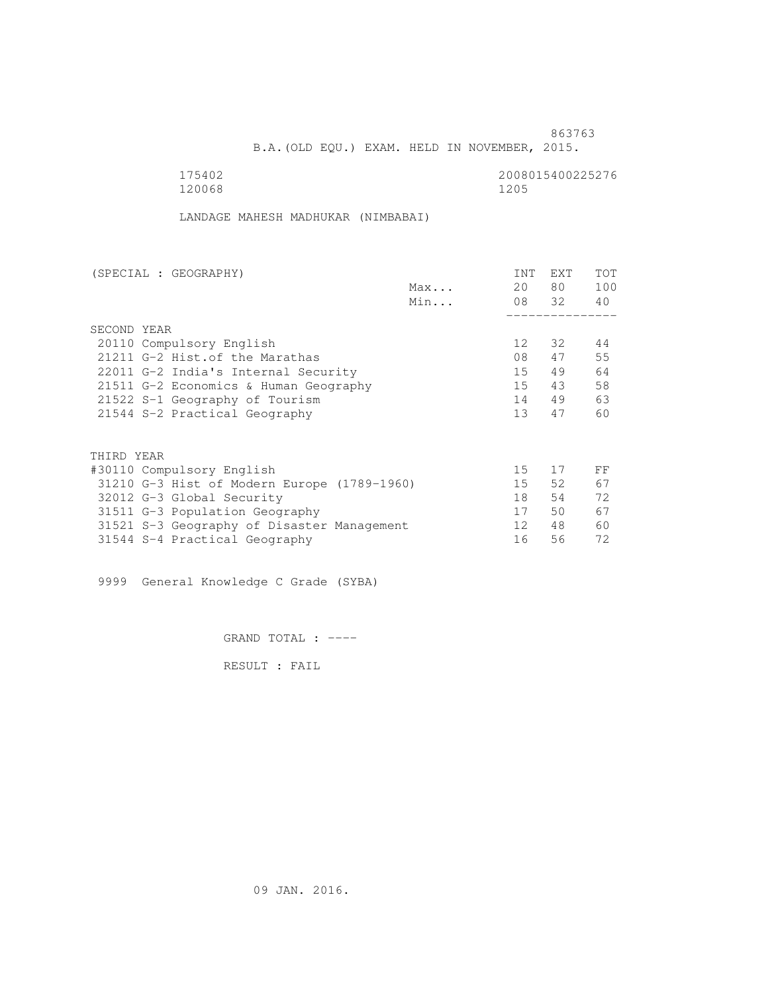B.A.(OLD EQU.) EXAM. HELD IN NOVEMBER, 2015.

120068 1205

175402<br>120068 120068 12006

LANDAGE MAHESH MADHUKAR (NIMBABAI)

| (SPECIAL : GEOGRAPHY)                       |     | <b>INT</b>      | <b>EXT</b> | TOT |
|---------------------------------------------|-----|-----------------|------------|-----|
|                                             | Max | 20              | 80         | 100 |
|                                             | Min |                 | 08 32      | 40  |
|                                             |     |                 |            |     |
| SECOND YEAR                                 |     |                 |            |     |
| 20110 Compulsory English                    |     | 12 <sup>°</sup> | 32         | 44  |
| 21211 G-2 Hist. of the Marathas             |     | 08              | 47         | 55  |
| 22011 G-2 India's Internal Security         |     | 15              | 49         | 64  |
| 21511 G-2 Economics & Human Geography       |     | 15              | 43         | 58  |
| 21522 S-1 Geography of Tourism              |     | 14              | 49         | 63  |
| 21544 S-2 Practical Geography               |     | 13 <sup>7</sup> | 47         | 60  |
| THIRD YEAR                                  |     |                 |            |     |
|                                             |     | 15              | 17         |     |
| #30110 Compulsory English                   |     |                 |            | FF  |
| 31210 G-3 Hist of Modern Europe (1789-1960) |     | 15              | 52         | 67  |
| 32012 G-3 Global Security                   |     | 18              | 54         | 72  |
| 31511 G-3 Population Geography              |     | 17              | 50         | 67  |
| 31521 S-3 Geography of Disaster Management  |     | 12 <sup>°</sup> | 48         | 60  |
| 31544 S-4 Practical Geography               |     | 16              | 56         | 72  |
|                                             |     |                 |            |     |

9999 General Knowledge C Grade (SYBA)

GRAND TOTAL : ----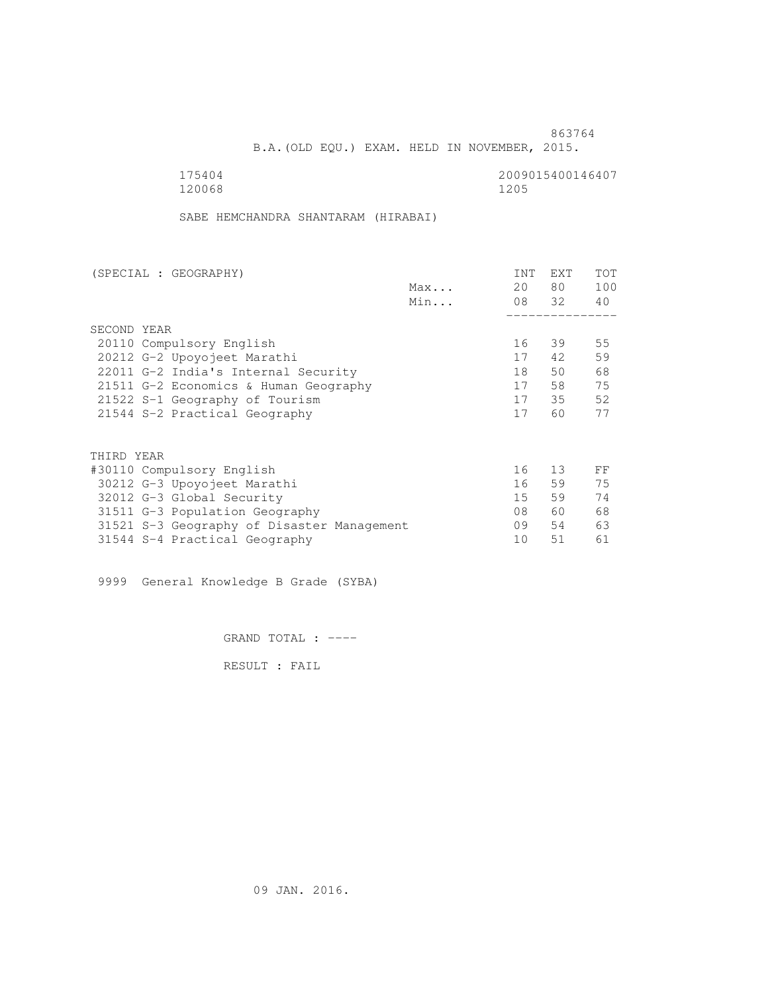B.A.(OLD EQU.) EXAM. HELD IN NOVEMBER, 2015.

175404<br>120068 120068 12005 120068 1205

SABE HEMCHANDRA SHANTARAM (HIRABAI)

| (SPECIAL : GEOGRAPHY)                      |     | INT | <b>EXT</b> | TOT |
|--------------------------------------------|-----|-----|------------|-----|
|                                            | Max | 20  | 80         | 100 |
|                                            | Min |     | 08 32      | 40  |
|                                            |     |     |            |     |
| SECOND YEAR                                |     |     |            |     |
| 20110 Compulsory English                   |     | 16  | 39         | 55  |
| 20212 G-2 Upoyojeet Marathi                |     | 17  | 42         | 59  |
| 22011 G-2 India's Internal Security        |     | 18  | 50         | 68  |
| 21511 G-2 Economics & Human Geography      |     | 17  | 58         | 75  |
| 21522 S-1 Geography of Tourism             |     | 17  | 35         | 52  |
| 21544 S-2 Practical Geography              |     | 17  | 60         | 77  |
|                                            |     |     |            |     |
| THIRD YEAR                                 |     |     |            |     |
| #30110 Compulsory English                  |     | 16  | 13         | FF  |
| 30212 G-3 Upoyojeet Marathi                |     | 16  | 59         | 75  |
| 32012 G-3 Global Security                  |     | 15  | 59         | 74  |
| 31511 G-3 Population Geography             |     | 08  | 60         | 68  |
| 31521 S-3 Geography of Disaster Management |     | 09  | 54         | 63  |
| 31544 S-4 Practical Geography              |     | 10  | 51         | 61  |
|                                            |     |     |            |     |

9999 General Knowledge B Grade (SYBA)

GRAND TOTAL : ----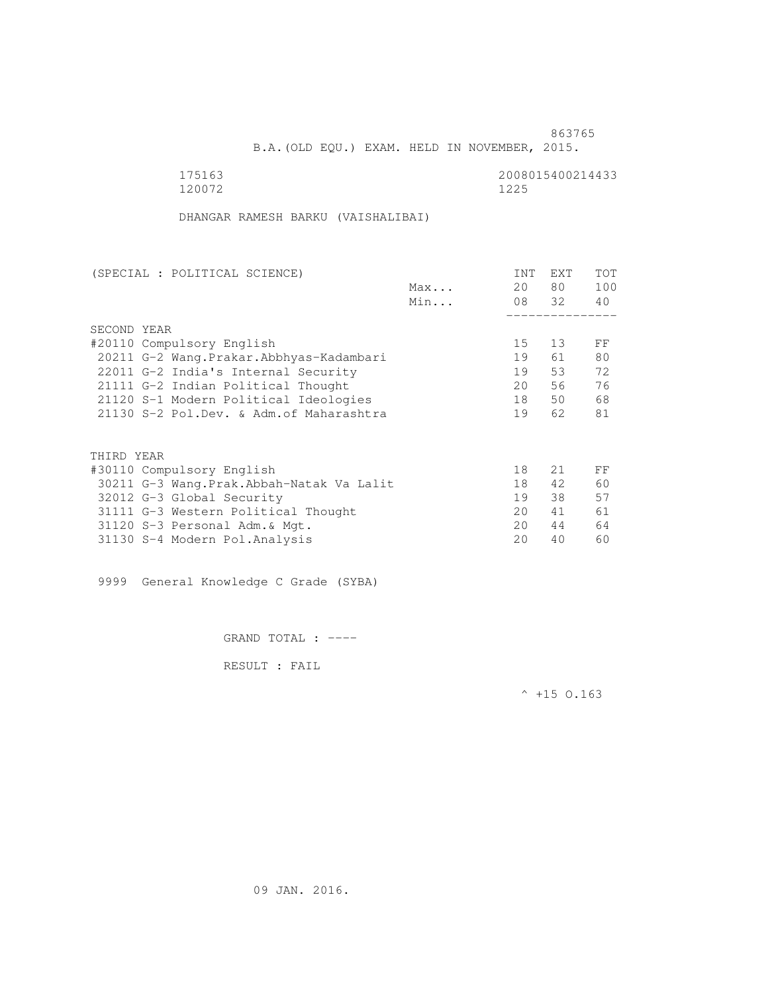B.A.(OLD EQU.) EXAM. HELD IN NOVEMBER, 2015.

120072 1225

175163<br>120072 120072 120072

DHANGAR RAMESH BARKU (VAISHALIBAI)

| (SPECIAL : POLITICAL SCIENCE)             |     | <b>INT</b> | <b>EXT</b> | TOT |
|-------------------------------------------|-----|------------|------------|-----|
|                                           | Max | 20         | 80         | 100 |
|                                           | Min |            | 08 32      | 40  |
|                                           |     |            |            |     |
| SECOND YEAR                               |     |            |            |     |
| #20110 Compulsory English                 |     | 15         | 13         | FF  |
| 20211 G-2 Wang. Prakar. Abbhyas-Kadambari |     | 19         | 61         | 80  |
| 22011 G-2 India's Internal Security       |     | 19         | 53         | 72  |
| 21111 G-2 Indian Political Thought        |     | 20         | 56         | 76  |
| 21120 S-1 Modern Political Ideologies     |     | 18         | 50         | 68  |
| 21130 S-2 Pol.Dev. & Adm. of Maharashtra  |     | 19         | 62         | 81  |
|                                           |     |            |            |     |
| THIRD YEAR                                |     |            |            |     |
| #30110 Compulsory English                 |     | 18         | 21         | FF  |
| 30211 G-3 Wang.Prak.Abbah-Natak Va Lalit  |     | 18         | 42         | 60  |
| 32012 G-3 Global Security                 |     | 19         | 38         | 57  |
| 31111 G-3 Western Political Thought       |     | 20         | 41         | 61  |
| 31120 S-3 Personal Adm. & Mgt.            |     | 20         | 44         | 64  |
|                                           |     | 20         | 40         | 60  |
| 31130 S-4 Modern Pol.Analysis             |     |            |            |     |

9999 General Knowledge C Grade (SYBA)

GRAND TOTAL : ----

RESULT : FAIL

 $^{\wedge}$  +15 O.163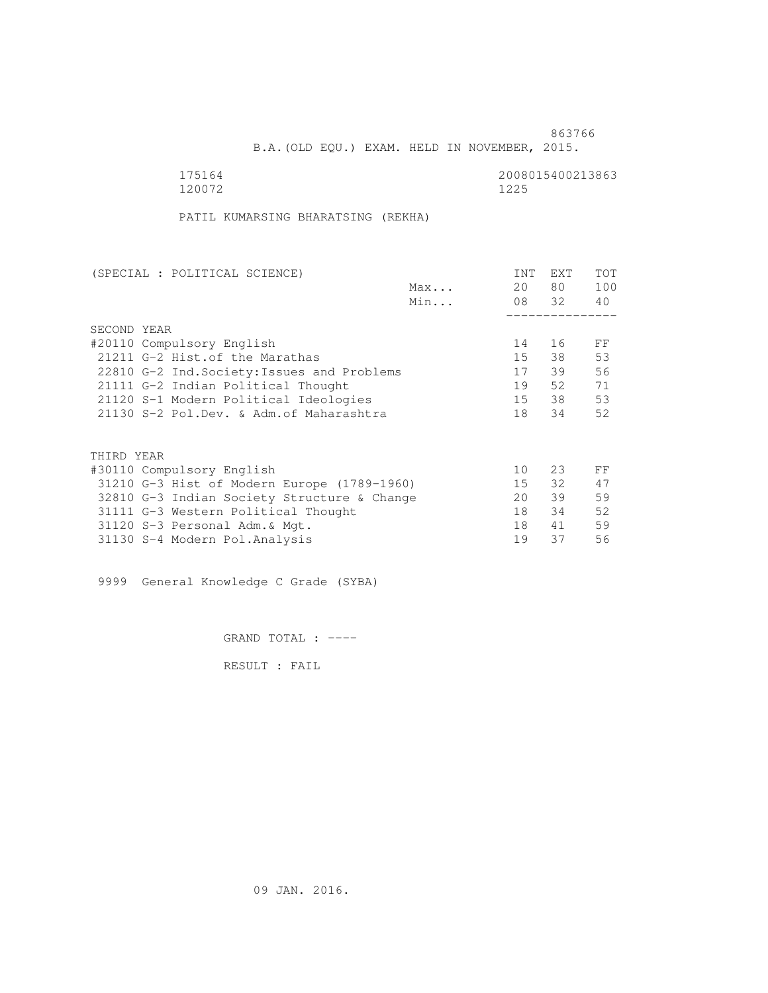B.A.(OLD EQU.) EXAM. HELD IN NOVEMBER, 2015.

120072 1225

175164<br>120072 120072 120072

PATIL KUMARSING BHARATSING (REKHA)

| (SPECIAL : POLITICAL SCIENCE)               |     | <b>INT</b>      | <b>EXT</b> | TOT |
|---------------------------------------------|-----|-----------------|------------|-----|
|                                             | Max | 20              | 80         | 100 |
|                                             | Min |                 | 08 32      | 40  |
|                                             |     |                 |            |     |
| SECOND YEAR                                 |     |                 |            |     |
| #20110 Compulsory English                   |     | 14              | 16         | FF  |
| 21211 G-2 Hist. of the Marathas             |     | 15              | 38         | 53  |
| 22810 G-2 Ind. Society: Issues and Problems |     | 17              | 39         | 56  |
| 21111 G-2 Indian Political Thought          |     | 19              | 52         | 71  |
| 21120 S-1 Modern Political Ideologies       |     | 15              | 38         | 53  |
| 21130 S-2 Pol.Dev. & Adm. of Maharashtra    |     | 18              | 34         | 52  |
|                                             |     |                 |            |     |
| THIRD YEAR                                  |     |                 |            |     |
| #30110 Compulsory English                   |     | 10 <sup>°</sup> | 23         | FF  |
| 31210 G-3 Hist of Modern Europe (1789-1960) |     | 15              | 32         | 47  |
| 32810 G-3 Indian Society Structure & Change |     | 20              | 39         | 59  |
| 31111 G-3 Western Political Thought         |     | 18              | 34         | 52  |
| 31120 S-3 Personal Adm. & Mgt.              |     | 18              | 41         | 59  |
| 31130 S-4 Modern Pol.Analysis               |     | 19              | 37         | 56  |
|                                             |     |                 |            |     |

9999 General Knowledge C Grade (SYBA)

GRAND TOTAL : ----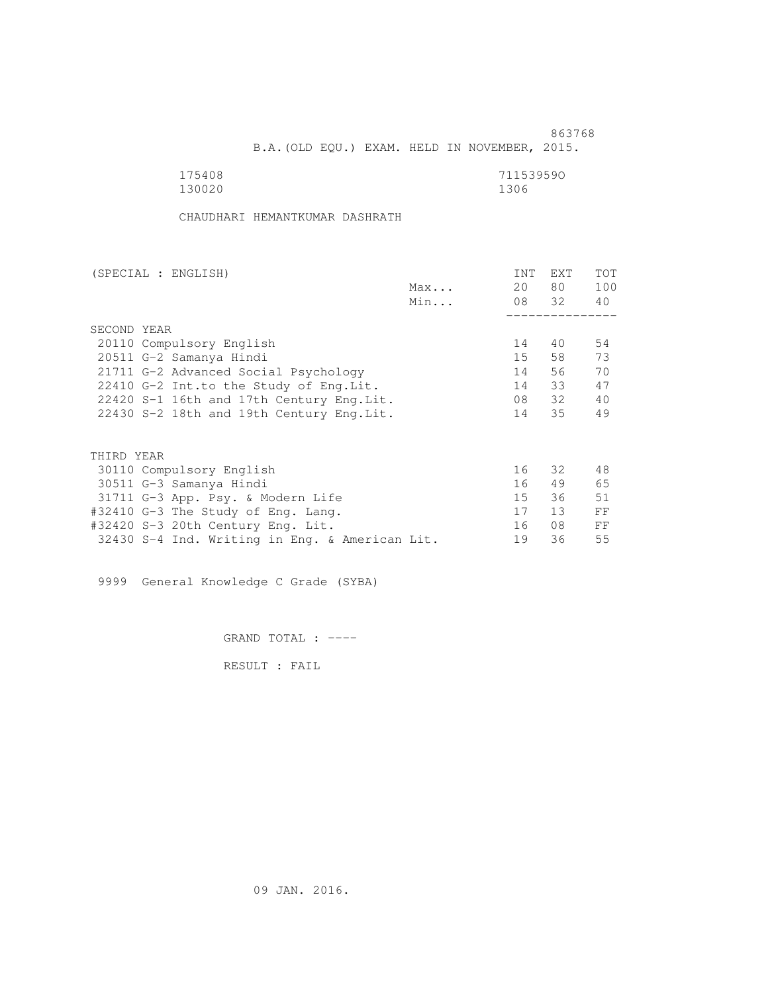B.A.(OLD EQU.) EXAM. HELD IN NOVEMBER, 2015.

| 175408 | 711539590 |
|--------|-----------|
| 130020 | 1306      |

CHAUDHARI HEMANTKUMAR DASHRATH

| (SPECIAL : ENGLISH)                            |     | INT | <b>EXT</b> | <b>TOT</b> |
|------------------------------------------------|-----|-----|------------|------------|
|                                                | Max | 20  | 80 —       | 100        |
|                                                | Min |     | 08 32 40   |            |
|                                                |     |     |            |            |
| SECOND YEAR                                    |     |     |            |            |
| 20110 Compulsory English                       |     | 14  | 40         | 54         |
| 20511 G-2 Samanya Hindi                        |     | 15  |            | 73         |
| 21711 G-2 Advanced Social Psychology           |     | 14  | 56         | 70         |
| 22410 G-2 Int.to the Study of Eng. Lit.        |     | 14  | 33         | 47         |
| 22420 S-1 16th and 17th Century Eng.Lit.       |     | 08  | 32         | 40         |
| 22430 S-2 18th and 19th Century Eng. Lit.      |     | 14  | 35         | 49         |
|                                                |     |     |            |            |
| THIRD YEAR                                     |     |     |            |            |
| 30110 Compulsory English                       |     | 16  | 32         | 48         |
| 30511 G-3 Samanya Hindi                        |     | 16  | 49         | 65         |
| 31711 G-3 App. Psy. & Modern Life              |     | 15  | 36         | 51         |
| #32410 G-3 The Study of Eng. Lang.             |     | 17  | 13         | FF         |
| #32420 S-3 20th Century Eng. Lit.              |     | 16  | 08         | FF         |
| 32430 S-4 Ind. Writing in Eng. & American Lit. |     | 19  | 36         | 55         |
|                                                |     |     |            |            |

9999 General Knowledge C Grade (SYBA)

GRAND TOTAL : ----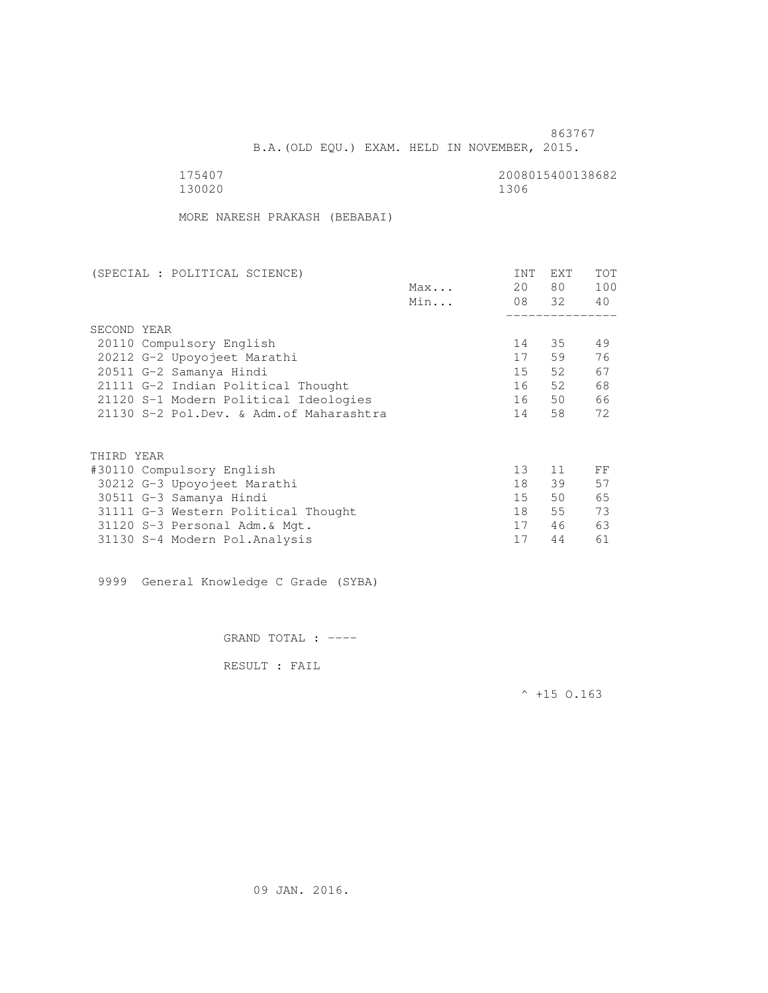B.A.(OLD EQU.) EXAM. HELD IN NOVEMBER, 2015.

130020 1306

175407 2008015400138682

MORE NARESH PRAKASH (BEBABAI)

| (SPECIAL : POLITICAL SCIENCE)            |     | <b>INT</b>      | EXT   | TOT |
|------------------------------------------|-----|-----------------|-------|-----|
|                                          | Max | 20              | 80 —  | 100 |
|                                          | Min |                 | 08 32 | 40  |
|                                          |     |                 |       |     |
| SECOND YEAR                              |     |                 |       |     |
| 20110 Compulsory English                 |     | 14              | 35    | 49  |
| 20212 G-2 Upoyojeet Marathi              |     | 17              | 59    | 76  |
| 20511 G-2 Samanya Hindi                  |     | 15              | 52    | 67  |
| 21111 G-2 Indian Political Thought       |     | 16              | 52    | 68  |
| 21120 S-1 Modern Political Ideologies    |     | 16              | 50    | 66  |
| 21130 S-2 Pol.Dev. & Adm. of Maharashtra |     | 14              | 58    | 72  |
|                                          |     |                 |       |     |
| THIRD YEAR                               |     |                 |       |     |
| #30110 Compulsory English                |     | 13 <sup>°</sup> | 11    | FF  |
| 30212 G-3 Upoyojeet Marathi              |     | 18              | 39    | 57  |
| 30511 G-3 Samanya Hindi                  |     | 15              | 50    | 65  |
| 31111 G-3 Western Political Thought      |     | 18              | 55    | 73  |
| 31120 S-3 Personal Adm. & Mgt.           |     | 17              | 46    | 63  |
| 31130 S-4 Modern Pol.Analysis            |     | 17              | 44    | 61  |
|                                          |     |                 |       |     |

9999 General Knowledge C Grade (SYBA)

GRAND TOTAL : ----

RESULT : FAIL

 $^{\wedge}$  +15 O.163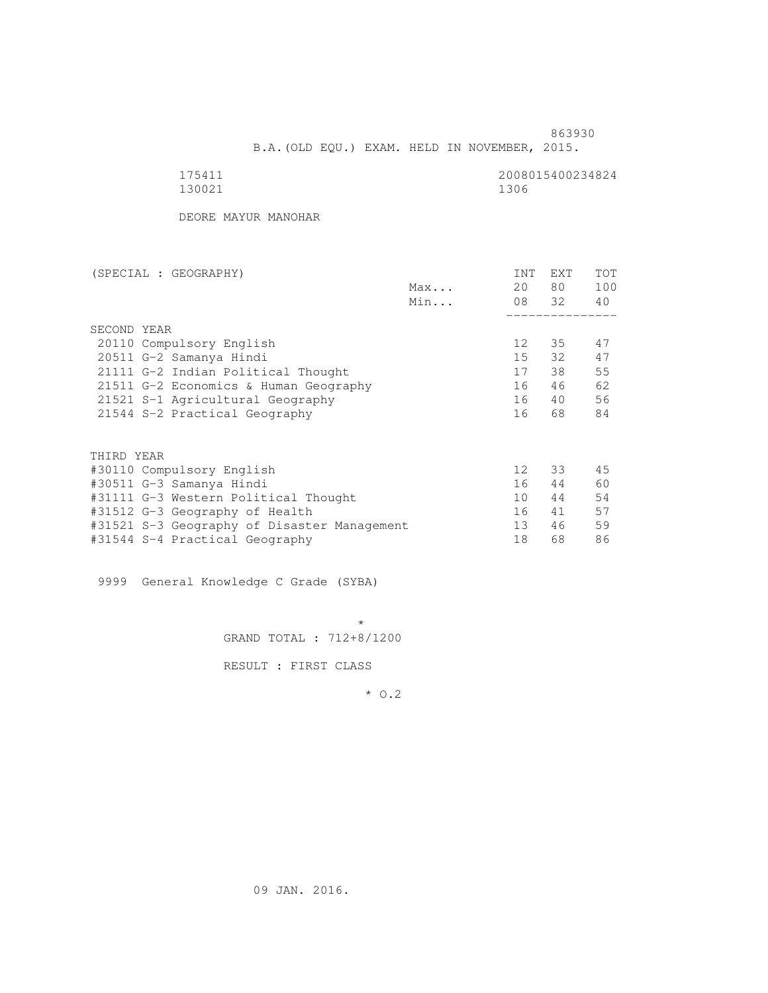863930 B.A.(OLD EQU.) EXAM. HELD IN NOVEMBER, 2015.

| 175411 | 2008015400234824 |
|--------|------------------|
| 130021 | 1306             |

DEORE MAYUR MANOHAR

| (SPECIAL : GEOGRAPHY)                       |     | <b>INT</b>      | <b>EXT</b> | TOT |
|---------------------------------------------|-----|-----------------|------------|-----|
|                                             | Max | 20              | 80 —       | 100 |
|                                             | Min |                 | 08 32      | 40  |
|                                             |     |                 |            |     |
| SECOND YEAR                                 |     |                 |            |     |
| 20110 Compulsory English                    |     | 12              | 35         | 47  |
| 20511 G-2 Samanya Hindi                     |     | 15              | 32         | 47  |
| 21111 G-2 Indian Political Thought          |     | 17              | 38         | 55  |
| 21511 G-2 Economics & Human Geography       |     | 16              | 46         | 62  |
| 21521 S-1 Agricultural Geography            |     | 16              | 40         | 56  |
| 21544 S-2 Practical Geography               |     | 16              | 68         | 84  |
|                                             |     |                 |            |     |
| THIRD YEAR                                  |     |                 |            |     |
| #30110 Compulsory English                   |     | 12 <sup>°</sup> | 33         | 45  |
| #30511 G-3 Samanya Hindi                    |     | 16              | 44         | 60  |
| #31111 G-3 Western Political Thought        |     | 10 <sup>1</sup> | 44         | 54  |
| #31512 G-3 Geography of Health              |     | 16              | 41         | 57  |
| #31521 S-3 Geography of Disaster Management |     | 13              | 46         | 59  |
| #31544 S-4 Practical Geography              |     | 18              | 68         | 86  |
|                                             |     |                 |            |     |

9999 General Knowledge C Grade (SYBA)

 $\star$ GRAND TOTAL : 712+8/1200

RESULT : FIRST CLASS

\* O.2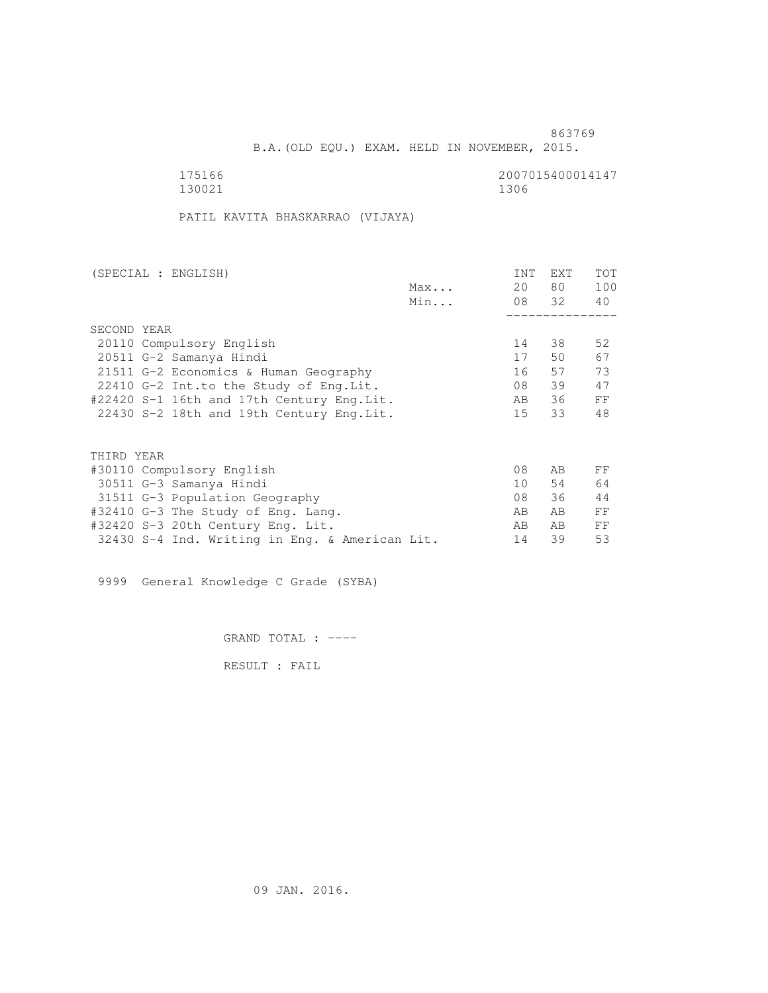B.A.(OLD EQU.) EXAM. HELD IN NOVEMBER, 2015.

175166 2007015400014147<br>130021 1300 130021 1306

PATIL KAVITA BHASKARRAO (VIJAYA)

| (SPECIAL : ENGLISH)                            |     | <b>INT</b>     | <b>EXT</b> | TOT |
|------------------------------------------------|-----|----------------|------------|-----|
|                                                | Max | 20             | 80         | 100 |
|                                                | Min |                | 08 32      | 40  |
|                                                |     |                |            |     |
| SECOND YEAR                                    |     |                |            |     |
| 20110 Compulsory English                       |     | 14             | 38         | 52  |
| 20511 G-2 Samanya Hindi                        |     | 17             | 50         | 67  |
| 21511 G-2 Economics & Human Geography          |     | 16             | 57         | 73  |
| 22410 G-2 Int.to the Study of Eng. Lit.        |     | 08             | 39         | 47  |
| #22420 S-1 16th and 17th Century Eng.Lit.      |     | AB             | 36         | FF  |
| 22430 S-2 18th and 19th Century Eng. Lit.      |     | 15             | 33         | 48  |
|                                                |     |                |            |     |
|                                                |     |                |            |     |
| THIRD YEAR                                     |     |                |            |     |
| #30110 Compulsory English                      |     | 08             | AB         | FF  |
| 30511 G-3 Samanya Hindi                        |     | 10             | 54         | 64  |
| 31511 G-3 Population Geography                 |     | 08             | 36         | 44  |
| #32410 G-3 The Study of Eng. Lang.             |     | AВ             | AB         | FF  |
| #32420 S-3 20th Century Eng. Lit.              |     | A <sub>B</sub> | AB.        | FF  |
| 32430 S-4 Ind. Writing in Eng. & American Lit. |     | 14             | 39         | 53  |
|                                                |     |                |            |     |

9999 General Knowledge C Grade (SYBA)

GRAND TOTAL : ----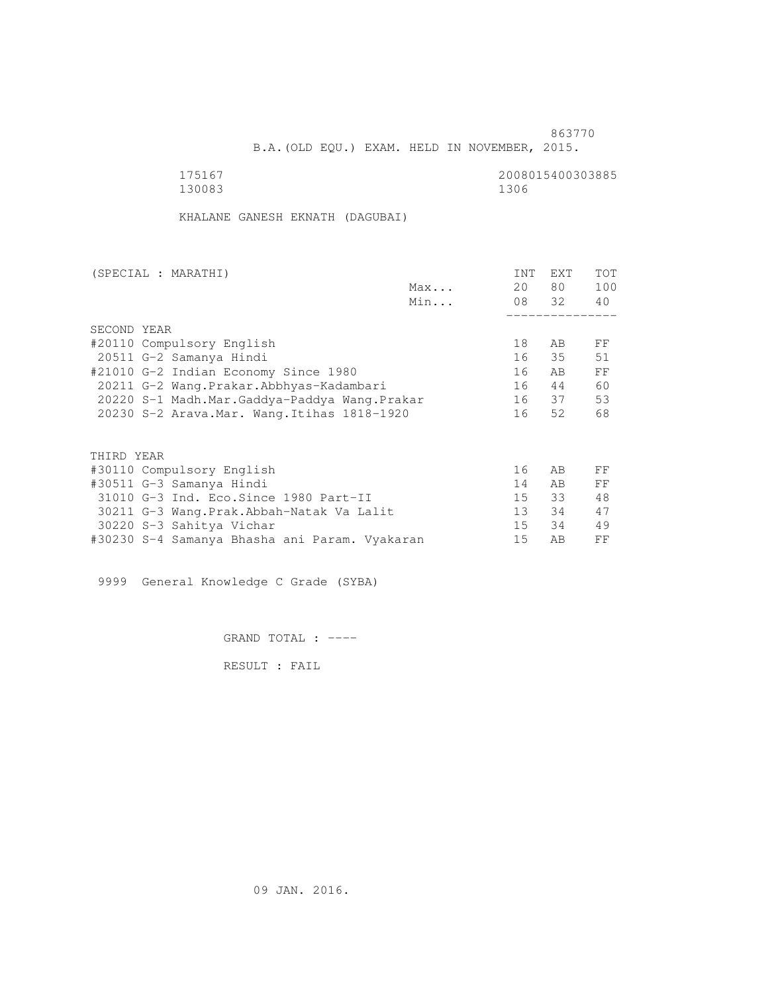B.A.(OLD EQU.) EXAM. HELD IN NOVEMBER, 2015.

 175167 2008015400303885 130083 1306

KHALANE GANESH EKNATH (DAGUBAI)

| (SPECIAL : MARATHI)                           |     | <b>INT</b> | <b>EXT</b> | TOT |
|-----------------------------------------------|-----|------------|------------|-----|
|                                               | Max | 20         | 80 —       | 100 |
|                                               | Min |            | 08 32      | 40  |
|                                               |     |            |            |     |
| SECOND YEAR                                   |     |            |            |     |
| #20110 Compulsory English                     |     | 18         | AB         | FF  |
| 20511 G-2 Samanya Hindi                       |     | 16         | 35         | 51  |
| #21010 G-2 Indian Economy Since 1980          |     | 16         | AB         | FF  |
| 20211 G-2 Wang.Prakar.Abbhyas-Kadambari       |     | 16         | 44         | 60  |
| 20220 S-1 Madh.Mar.Gaddya-Paddya Wang.Prakar  |     |            | 16 37      | 53  |
| 20230 S-2 Arava. Mar. Wang. Itihas 1818-1920  |     | 16         | 52         | 68  |
|                                               |     |            |            |     |
| THIRD YEAR                                    |     |            |            |     |
| #30110 Compulsory English                     |     | 16         | AB         | FF  |
| #30511 G-3 Samanya Hindi                      |     | 14         | AB.        | FF  |
| 31010 G-3 Ind. Eco. Since 1980 Part-II        |     | 15         | 33         | 48  |
| 30211 G-3 Wang.Prak.Abbah-Natak Va Lalit      |     | 13         | 34         | 47  |
| 30220 S-3 Sahitya Vichar                      |     | 15         | 34         | 49  |
| #30230 S-4 Samanya Bhasha ani Param. Vyakaran |     | 15         | AB         | FF  |
|                                               |     |            |            |     |

9999 General Knowledge C Grade (SYBA)

GRAND TOTAL : ----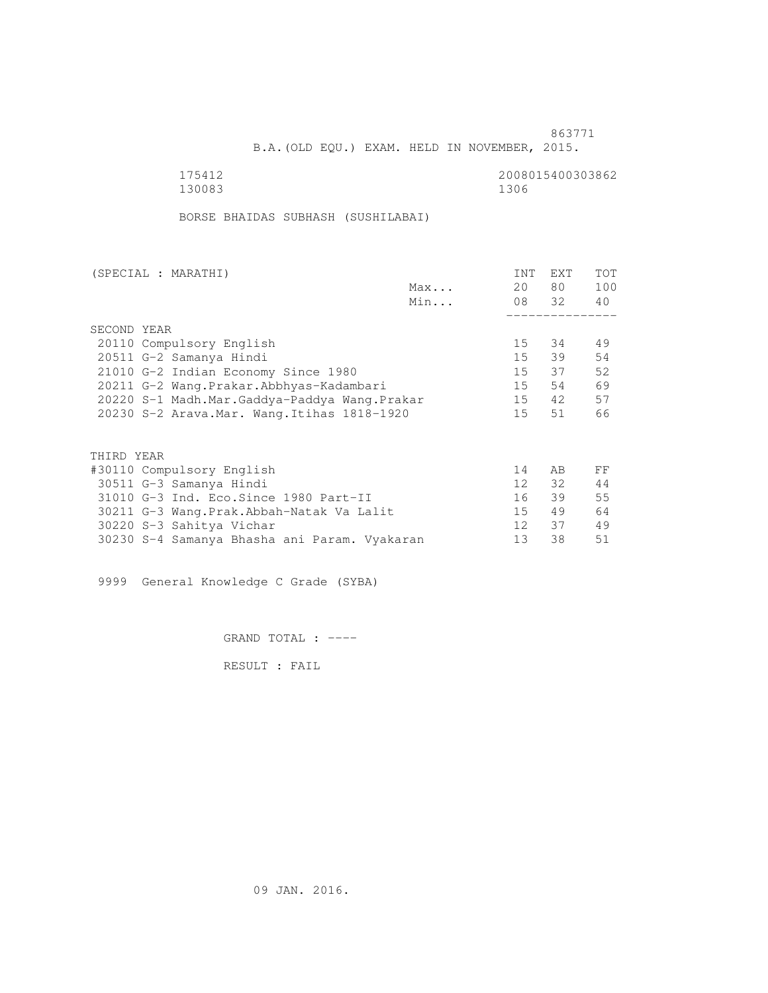B.A.(OLD EQU.) EXAM. HELD IN NOVEMBER, 2015.

175412<br>130083<br>130083<br>1306 130083 1306

BORSE BHAIDAS SUBHASH (SUSHILABAI)

| (SPECIAL : MARATHI) |                                              |     | <b>INT</b>      | <b>EXT</b> | <b>TOT</b> |
|---------------------|----------------------------------------------|-----|-----------------|------------|------------|
|                     |                                              | Max | 20              | 80 —       | 100        |
|                     |                                              | Min |                 | 08 32      | 40         |
|                     |                                              |     |                 |            |            |
| SECOND YEAR         |                                              |     |                 |            |            |
|                     | 20110 Compulsory English                     |     | 15              | 34         | 49         |
|                     | 20511 G-2 Samanya Hindi                      |     | 15              | 39         | 54         |
|                     | 21010 G-2 Indian Economy Since 1980          |     | 15              | 37         | 52         |
|                     | 20211 G-2 Wang.Prakar.Abbhyas-Kadambari      |     | 15              | 54         | 69         |
|                     | 20220 S-1 Madh.Mar.Gaddya-Paddya Wang.Prakar |     | 15              | 42         | 57         |
|                     | 20230 S-2 Arava. Mar. Wang. Itihas 1818-1920 |     | 15              | 51         | 66         |
|                     |                                              |     |                 |            |            |
| THIRD YEAR          |                                              |     |                 |            |            |
|                     | #30110 Compulsory English                    |     | 14              | AB         | FF         |
|                     | 30511 G-3 Samanya Hindi                      |     | 12              | 32         | 44         |
|                     | 31010 G-3 Ind. Eco. Since 1980 Part-II       |     | 16              | 39         | 55         |
|                     | 30211 G-3 Wang.Prak.Abbah-Natak Va Lalit     |     | 15              | 49         | 64         |
|                     | 30220 S-3 Sahitya Vichar                     |     | 12 <sup>1</sup> | 37         | 49         |
|                     | 30230 S-4 Samanya Bhasha ani Param. Vyakaran |     | 13              | 38         | 51         |
|                     |                                              |     |                 |            |            |

9999 General Knowledge C Grade (SYBA)

GRAND TOTAL : ----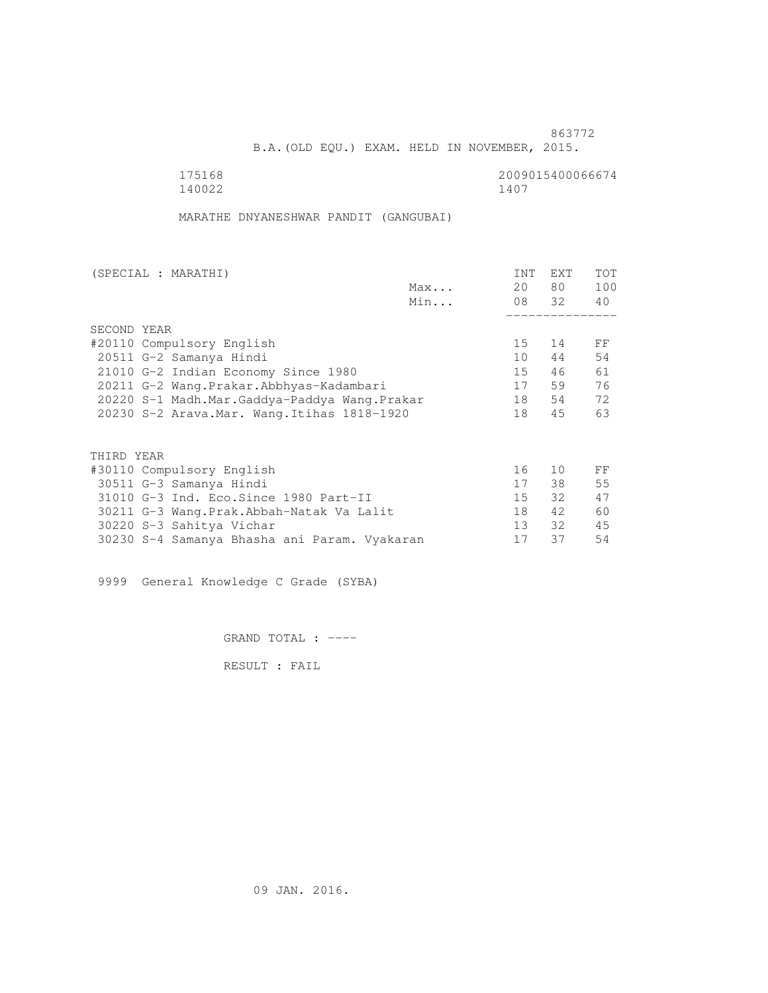B.A.(OLD EQU.) EXAM. HELD IN NOVEMBER, 2015.

175168 2009015400066674<br>140022 1400 140022 1407

MARATHE DNYANESHWAR PANDIT (GANGUBAI)

| (SPECIAL : MARATHI) |                                              |     | <b>INT</b>      | <b>EXT</b> | <b>TOT</b> |
|---------------------|----------------------------------------------|-----|-----------------|------------|------------|
|                     |                                              | Max | 20              | 80 —       | 100        |
|                     |                                              | Min |                 | 08 32      | 40         |
|                     |                                              |     |                 |            |            |
| SECOND YEAR         |                                              |     |                 |            |            |
|                     | #20110 Compulsory English                    |     | 15              | 14         | FF         |
|                     | 20511 G-2 Samanya Hindi                      |     | 10              | 44         | 54         |
|                     | 21010 G-2 Indian Economy Since 1980          |     | 15              | 46         | 61         |
|                     | 20211 G-2 Wang.Prakar.Abbhyas-Kadambari      |     | 17              | 59         | 76         |
|                     | 20220 S-1 Madh.Mar.Gaddya-Paddya Wang.Prakar |     | 18              | 54         | 72         |
|                     | 20230 S-2 Arava. Mar. Wang. Itihas 1818-1920 |     | 18              | 45         | 63         |
|                     |                                              |     |                 |            |            |
| THIRD YEAR          |                                              |     |                 |            |            |
|                     | #30110 Compulsory English                    |     | 16              | 10         | FF         |
|                     | 30511 G-3 Samanya Hindi                      |     | 17              | 38         | 55         |
|                     | 31010 G-3 Ind. Eco. Since 1980 Part-II       |     | 15 <sup>7</sup> | 32         | 47         |
|                     | 30211 G-3 Wang.Prak.Abbah-Natak Va Lalit     |     | 18              | 42         | 60         |
|                     | 30220 S-3 Sahitya Vichar                     |     | 13 <sup>7</sup> | 32         | 45         |
|                     | 30230 S-4 Samanya Bhasha ani Param. Vyakaran |     | 17              | 37         | 54         |
|                     |                                              |     |                 |            |            |

9999 General Knowledge C Grade (SYBA)

GRAND TOTAL : ----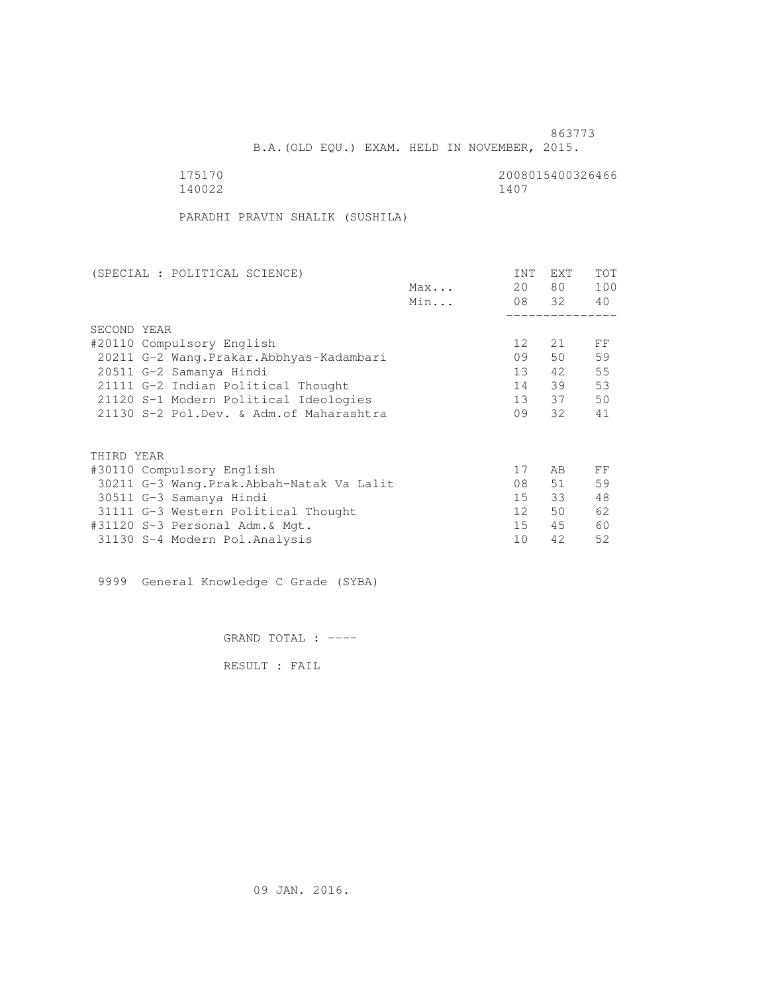B.A.(OLD EQU.) EXAM. HELD IN NOVEMBER, 2015.

| 175170 | 20080 |
|--------|-------|
| 140022 | 1407  |

2008015400326466<br>1407

PARADHI PRAVIN SHALIK (SUSHILA)

| (SPECIAL : POLITICAL SCIENCE)            |     | <b>INT</b> | EXT   | TOT |
|------------------------------------------|-----|------------|-------|-----|
|                                          | Max | 20         | 80 —  | 100 |
|                                          | Min |            | 08 32 | 40  |
|                                          |     |            |       |     |
| SECOND YEAR                              |     |            |       |     |
| #20110 Compulsory English                |     | 12         | 21    | FF  |
| 20211 G-2 Wang.Prakar.Abbhyas-Kadambari  |     | 09         | 50    | 59  |
| 20511 G-2 Samanya Hindi                  |     | 13         | 42    | 55  |
| 21111 G-2 Indian Political Thought       |     | 14         | 39    | 53  |
| 21120 S-1 Modern Political Ideologies    |     | 13         | 37    | 50  |
| 21130 S-2 Pol.Dev. & Adm. of Maharashtra |     | 09         | 32    | 41  |
|                                          |     |            |       |     |
| THIRD YEAR                               |     |            |       |     |
|                                          |     |            |       |     |
| #30110 Compulsory English                |     | 17         | AB    | FF  |
| 30211 G-3 Wang.Prak.Abbah-Natak Va Lalit |     | 08         | 51    | 59  |
| 30511 G-3 Samanya Hindi                  |     | 15         | 33    | 48  |
| 31111 G-3 Western Political Thought      |     | 12         | 50    | 62  |
| #31120 S-3 Personal Adm. & Mgt.          |     | 15         | 45    | 60  |
| 31130 S-4 Modern Pol.Analysis            |     | 10         | 42    | 52  |
|                                          |     |            |       |     |

9999 General Knowledge C Grade (SYBA)

GRAND TOTAL : ----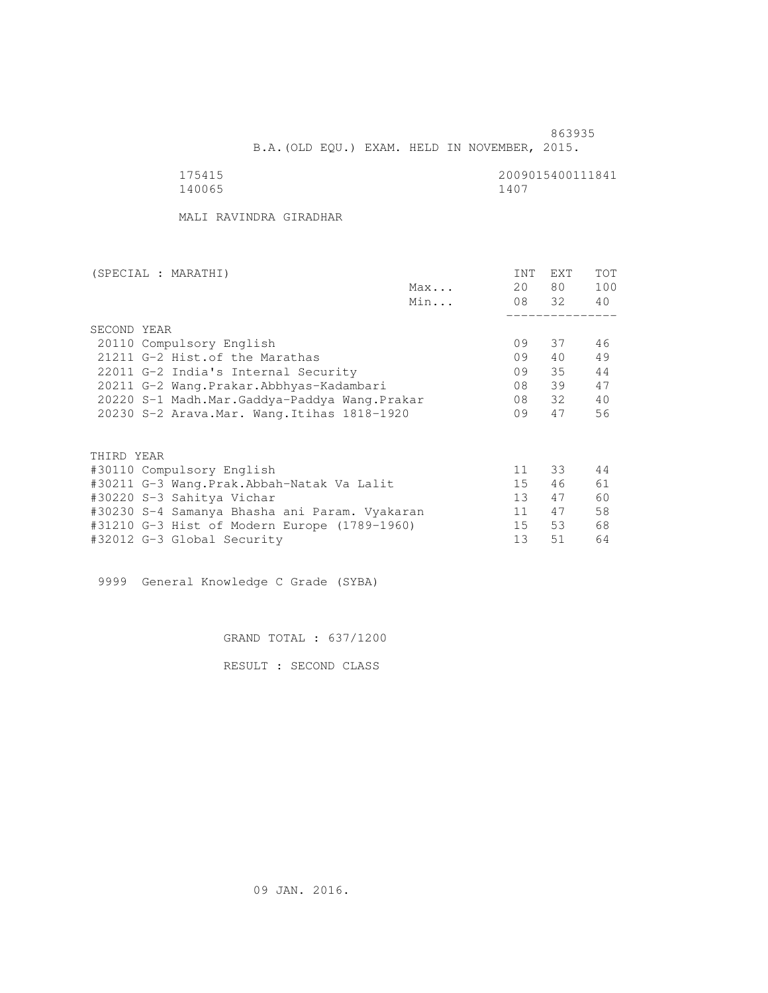B.A.(OLD EQU.) EXAM. HELD IN NOVEMBER, 2015.

 175415 2009015400111841 140065 1407

MALI RAVINDRA GIRADHAR

| (SPECIAL : MARATHI)                           |     | <b>INT</b>      | <b>EXT</b> | <b>TOT</b> |
|-----------------------------------------------|-----|-----------------|------------|------------|
|                                               | Max | 20              | 80 —       | 100        |
|                                               | Min |                 | 08 32      | 40         |
|                                               |     |                 |            |            |
| SECOND YEAR                                   |     |                 |            |            |
| 20110 Compulsory English                      |     | 09              | 37         | 46         |
| 21211 G-2 Hist. of the Marathas               |     | 09              | 40         | 49         |
| 22011 G-2 India's Internal Security           |     | 09              | 35         | 44         |
| 20211 G-2 Wang.Prakar.Abbhyas-Kadambari       |     | 08              | 39         | 47         |
| 20220 S-1 Madh.Mar.Gaddya-Paddya Wang.Prakar  |     | 08              | 32         | 40         |
| 20230 S-2 Arava. Mar. Wang. Itihas 1818-1920  |     | 09              | 47         | 56         |
|                                               |     |                 |            |            |
| THIRD YEAR                                    |     |                 |            |            |
| #30110 Compulsory English                     |     | 11              | 33         | 44         |
| #30211 G-3 Wang.Prak.Abbah-Natak Va Lalit     |     | 15 <sub>1</sub> | 46         | 61         |
| #30220 S-3 Sahitya Vichar                     |     | 13 <sup>°</sup> | 47         | 60         |
| #30230 S-4 Samanya Bhasha ani Param. Vyakaran |     | 11              | 47         | 58         |
| #31210 G-3 Hist of Modern Europe (1789-1960)  |     | 15              | 53         | 68         |
| #32012 G-3 Global Security                    |     | 13              | 51         | 64         |

9999 General Knowledge C Grade (SYBA)

GRAND TOTAL : 637/1200

RESULT : SECOND CLASS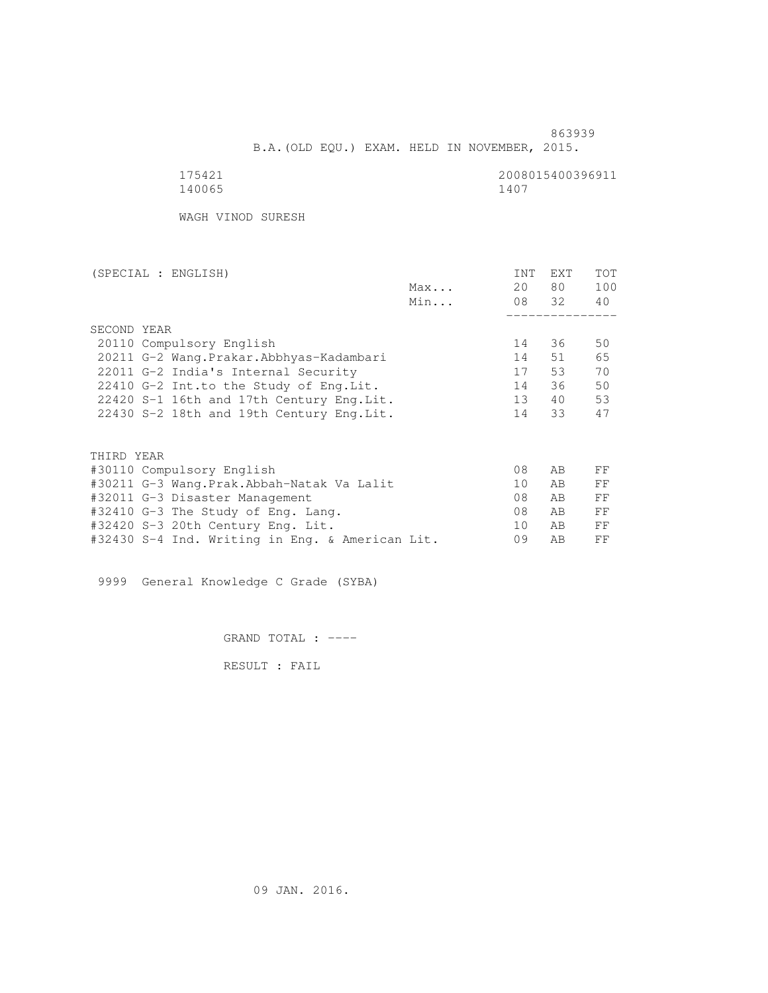B.A.(OLD EQU.) EXAM. HELD IN NOVEMBER, 2015.

 175421 2008015400396911 140065 1407

WAGH VINOD SURESH

| (SPECIAL : ENGLISH)                             |     | <b>INT</b> | EXT   | <b>TOT</b> |
|-------------------------------------------------|-----|------------|-------|------------|
|                                                 | Max | 20         | 80    | 100        |
|                                                 | Min |            | 08 32 | 40         |
|                                                 |     |            |       |            |
| SECOND YEAR                                     |     |            |       |            |
| 20110 Compulsory English                        |     | 14         | 36    | 50         |
| 20211 G-2 Wang. Prakar. Abbhyas-Kadambari       |     | 14         | 51    | 65         |
| 22011 G-2 India's Internal Security             |     | 17         | 53    | 70         |
| 22410 G-2 Int.to the Study of Eng. Lit.         |     | 14         | 36    | 50         |
| 22420 S-1 16th and 17th Century Eng. Lit.       |     | 13         | 40    | 53         |
| 22430 S-2 18th and 19th Century Eng. Lit.       |     | 14         | 33    | 47         |
|                                                 |     |            |       |            |
|                                                 |     |            |       |            |
| THIRD YEAR                                      |     |            |       |            |
| #30110 Compulsory English                       |     | 08         | AB    | FF         |
| #30211 G-3 Wang.Prak.Abbah-Natak Va Lalit       |     | 10         | AB    | FF         |
| #32011 G-3 Disaster Management                  |     | 08         | AB    | FF         |
| #32410 G-3 The Study of Eng. Lang.              |     | 08         | AB    | FF         |
| #32420 S-3 20th Century Eng. Lit.               |     | 10         | AB    | FF         |
| #32430 S-4 Ind. Writing in Eng. & American Lit. |     | 09         | AB    | FF         |

9999 General Knowledge C Grade (SYBA)

GRAND TOTAL : ----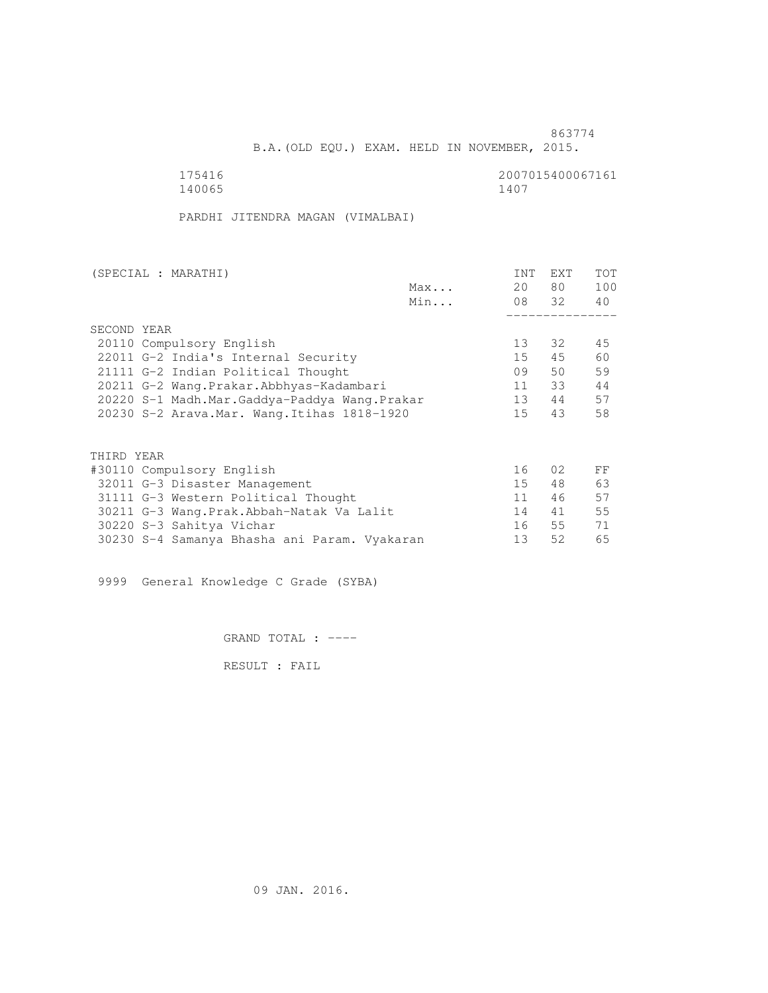B.A.(OLD EQU.) EXAM. HELD IN NOVEMBER, 2015.

175416<br>140065 140065 1407 140065 1407

PARDHI JITENDRA MAGAN (VIMALBAI)

| (SPECIAL : MARATHI) |                                              |     | <b>INT</b> | <b>EXT</b> | TOT |
|---------------------|----------------------------------------------|-----|------------|------------|-----|
|                     |                                              | Max | 20         | 80 —       | 100 |
|                     |                                              | Min |            | 08 32      | 40  |
|                     |                                              |     |            |            |     |
| SECOND YEAR         |                                              |     |            |            |     |
|                     | 20110 Compulsory English                     |     | 13         | 32         | 45  |
|                     | 22011 G-2 India's Internal Security          |     | 15         | 45         | 60  |
|                     | 21111 G-2 Indian Political Thought           |     | 09         | 50         | 59  |
|                     | 20211 G-2 Wang.Prakar.Abbhyas-Kadambari      |     | 11         | 33         | 44  |
|                     | 20220 S-1 Madh.Mar.Gaddya-Paddya Wang.Prakar |     | 13         | 44         | 57  |
|                     | 20230 S-2 Arava. Mar. Wang. Itihas 1818-1920 |     | 15         | 43         | 58  |
|                     |                                              |     |            |            |     |
| THIRD YEAR          |                                              |     |            |            |     |
|                     | #30110 Compulsory English                    |     | 16         | 02         | FF  |
|                     | 32011 G-3 Disaster Management                |     | 15         | 48         | 63  |
|                     | 31111 G-3 Western Political Thought          |     | 11         | 46         | 57  |
|                     | 30211 G-3 Wang.Prak.Abbah-Natak Va Lalit     |     | 14         | 41         | 55  |
|                     | 30220 S-3 Sahitya Vichar                     |     | 16         | 55         | 71  |
|                     | 30230 S-4 Samanya Bhasha ani Param. Vyakaran |     | 13         | 52         | 65  |
|                     |                                              |     |            |            |     |

9999 General Knowledge C Grade (SYBA)

GRAND TOTAL : ----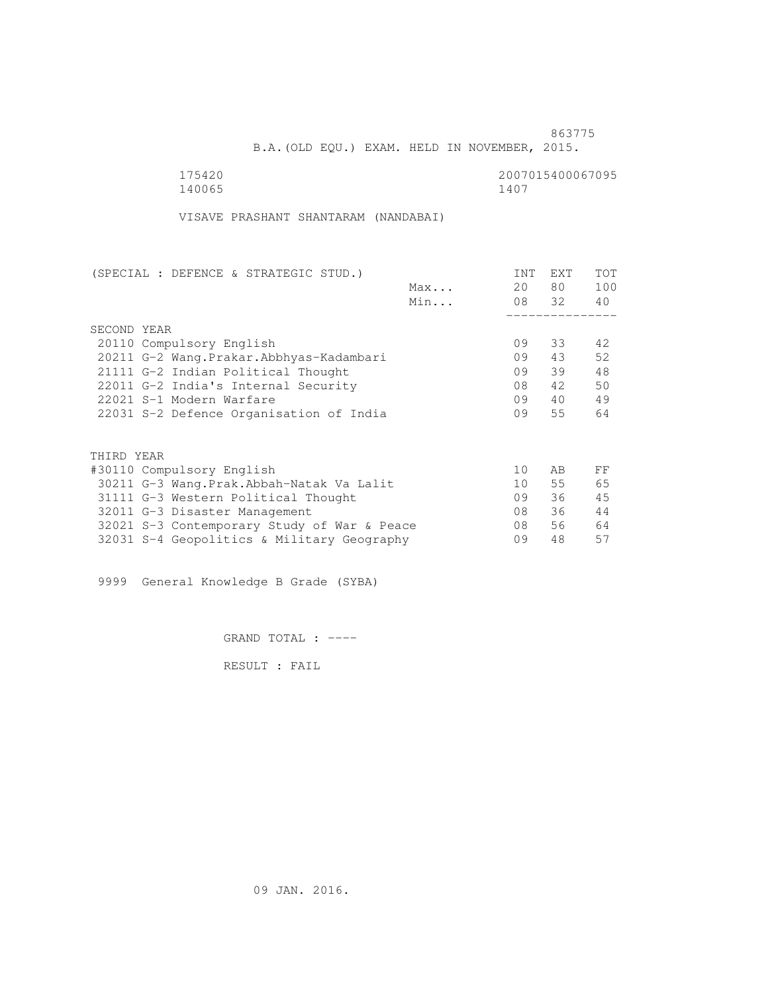B.A.(OLD EQU.) EXAM. HELD IN NOVEMBER, 2015.

| 175420 | 2007015400067095 |
|--------|------------------|
| 140065 | 1407             |

VISAVE PRASHANT SHANTARAM (NANDABAI)

| (SPECIAL : DEFENCE & STRATEGIC STUD.)       |     | <b>INT</b> | <b>EXT</b> | TOT |
|---------------------------------------------|-----|------------|------------|-----|
|                                             | Max | 20         | 80 —       | 100 |
|                                             | Min |            | 08 32      | 40  |
|                                             |     |            |            |     |
| SECOND YEAR                                 |     |            |            |     |
| 20110 Compulsory English                    |     | 09         | 33         | 42. |
| 20211 G-2 Wang. Prakar. Abbhyas-Kadambari   |     | 09         | 43         | 52  |
| 21111 G-2 Indian Political Thought          |     | 09         | 39         | 48  |
| 22011 G-2 India's Internal Security         |     | 08         | 42         | 50  |
| 22021 S-1 Modern Warfare                    |     | 09         | 40         | 49  |
| 22031 S-2 Defence Organisation of India     |     | 09         | 55         | 64  |
|                                             |     |            |            |     |
| THIRD YEAR                                  |     |            |            |     |
| #30110 Compulsory English                   |     | 10         | AB         | FF  |
| 30211 G-3 Wang. Prak. Abbah-Natak Va Lalit  |     | 10         | 55         | 65  |
| 31111 G-3 Western Political Thought         |     | 09         | 36         | 45  |
| 32011 G-3 Disaster Management               |     | 08         | 36         | 44  |
| 32021 S-3 Contemporary Study of War & Peace |     | 08         | 56         | 64  |
| 32031 S-4 Geopolitics & Military Geography  |     | 09         | 48         | 57  |
|                                             |     |            |            |     |

9999 General Knowledge B Grade (SYBA)

GRAND TOTAL : ----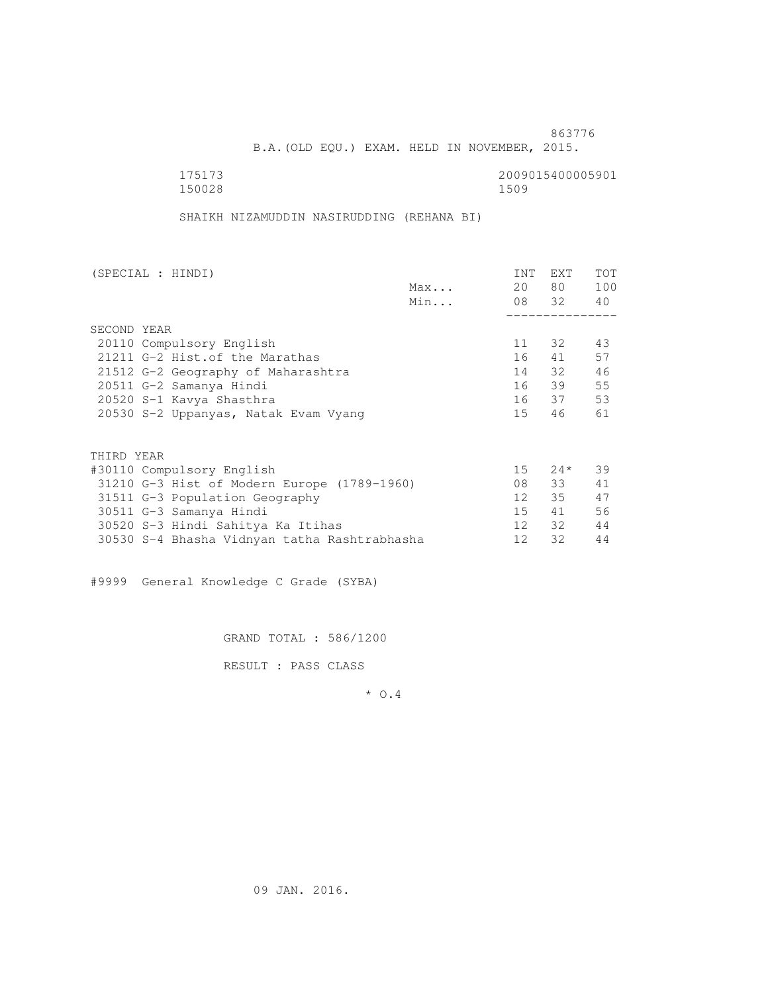B.A.(OLD EQU.) EXAM. HELD IN NOVEMBER, 2015.

 175173 2009015400005901 150028 1509

SHAIKH NIZAMUDDIN NASIRUDDING (REHANA BI)

| (SPECIAL : HINDI)                            |     | INT | <b>EXT</b> | TOT |
|----------------------------------------------|-----|-----|------------|-----|
|                                              | Max | 20  | 80 —       | 100 |
|                                              | Min |     | 08 32 40   |     |
|                                              |     |     |            |     |
| SECOND YEAR                                  |     |     |            |     |
| 20110 Compulsory English                     |     | 11  | 32         | 43  |
| 21211 G-2 Hist. of the Marathas              |     | 16  | 41         | 57  |
| 21512 G-2 Geography of Maharashtra           |     |     | 14 32      | 46  |
| 20511 G-2 Samanya Hindi                      |     |     | 16 39      | 55  |
| 20520 S-1 Kavya Shasthra                     |     |     | 16 37      | 53  |
| 20530 S-2 Uppanyas, Natak Evam Vyang         |     | 15  | 46         | 61  |
| THIRD YEAR                                   |     |     |            |     |
| #30110 Compulsory English                    |     |     | $15 \t24*$ | 39  |
| 31210 G-3 Hist of Modern Europe (1789-1960)  |     | 08  | 33         | 41  |
| 31511 G-3 Population Geography               |     | 12  | 35         | 47  |
| 30511 G-3 Samanya Hindi                      |     | 15  | 41         | 56  |
| 30520 S-3 Hindi Sahitya Ka Itihas            |     | 12  | 32         | 44  |
|                                              |     | 12  | 32         | 44  |
| 30530 S-4 Bhasha Vidnyan tatha Rashtrabhasha |     |     |            |     |

#9999 General Knowledge C Grade (SYBA)

GRAND TOTAL : 586/1200

RESULT : PASS CLASS

\* O.4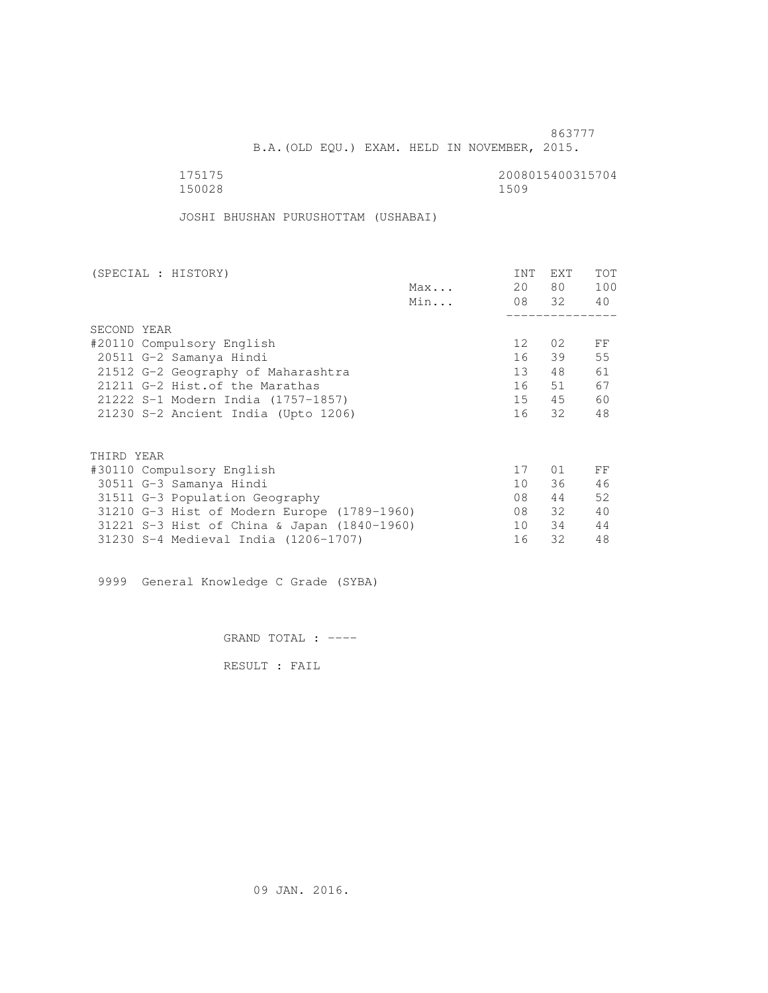B.A.(OLD EQU.) EXAM. HELD IN NOVEMBER, 2015.

175175<br>150028 150028 1500 150028 1509

JOSHI BHUSHAN PURUSHOTTAM (USHABAI)

| (SPECIAL : HISTORY)                         |     | <b>INT</b> | <b>EXT</b> | TOT |
|---------------------------------------------|-----|------------|------------|-----|
|                                             | Max | 20         | 80 —       | 100 |
|                                             | Min |            | 08 32      | 40  |
|                                             |     |            |            |     |
| SECOND YEAR                                 |     |            |            |     |
| #20110 Compulsory English                   |     | 12         | 02         | FF  |
| 20511 G-2 Samanya Hindi                     |     | 16         | 39         | 55  |
| 21512 G-2 Geography of Maharashtra          |     | 13         | 48         | 61  |
| 21211 G-2 Hist. of the Marathas             |     | 16         | 51         | 67  |
| 21222 S-1 Modern India (1757-1857)          |     | 15         | 45         | 60  |
| 21230 S-2 Ancient India (Upto 1206)         |     | 16         | 32         | 48  |
|                                             |     |            |            |     |
| THIRD YEAR                                  |     |            |            |     |
| #30110 Compulsory English                   |     | 17         | 01         | FF  |
| 30511 G-3 Samanya Hindi                     |     | 10         | 36         | 46  |
| 31511 G-3 Population Geography              |     | 08         | 44         | 52  |
| 31210 G-3 Hist of Modern Europe (1789-1960) |     | 08         | 32         | 40  |
| 31221 S-3 Hist of China & Japan (1840-1960) |     | 10         | 34         | 44  |
| 31230 S-4 Medieval India (1206-1707)        |     | 16         | 32         | 48  |
|                                             |     |            |            |     |

9999 General Knowledge C Grade (SYBA)

GRAND TOTAL : ----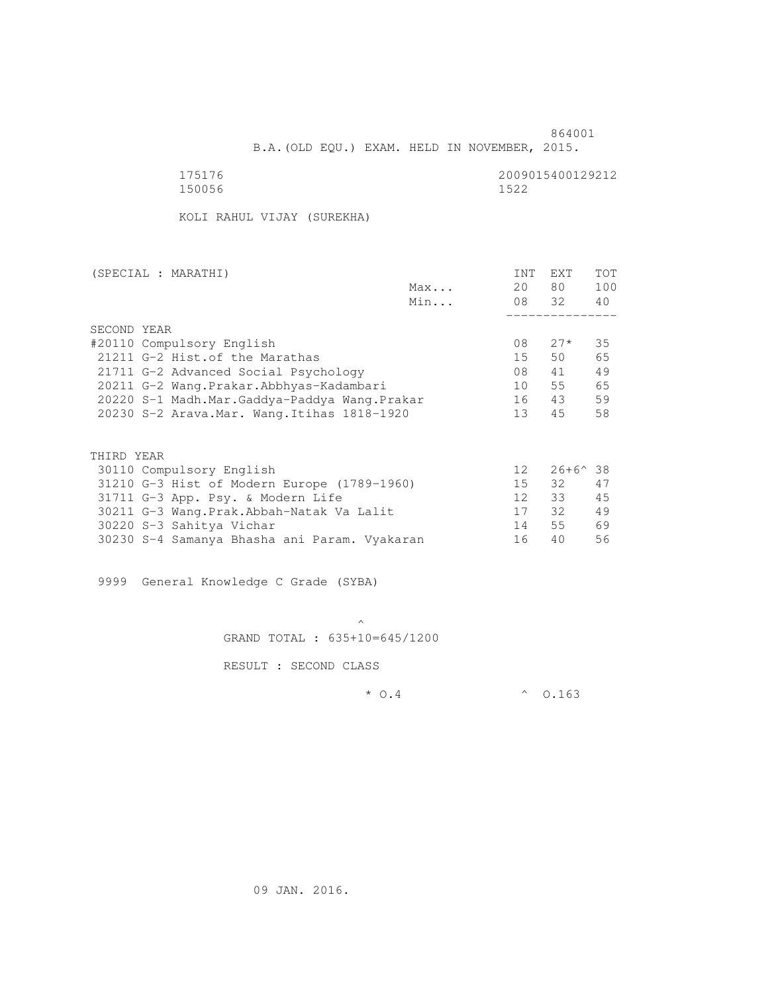B.A.(OLD EQU.) EXAM. HELD IN NOVEMBER, 2015.

 175176 2009015400129212 150056 1522

KOLI RAHUL VIJAY (SUREKHA)

| (SPECIAL : MARATHI)                            |     | <b>INT</b>      | <b>EXT</b>       | <b>TOT</b> |
|------------------------------------------------|-----|-----------------|------------------|------------|
|                                                | Max | 20              | 80               | 100        |
|                                                | Min |                 | 08 32            | 40         |
|                                                |     |                 |                  |            |
| SECOND YEAR                                    |     |                 |                  |            |
| #20110 Compulsory English                      |     | 08              | $27*$            | 35         |
| 21211 G-2 Hist. of the Marathas                |     | 15              | 50               | 65         |
| 21711 G-2 Advanced Social Psychology           |     | 08              | 41               | 49         |
| 20211 G-2 Wang.Prakar.Abbhyas-Kadambari        |     | 10              | 55               | 65         |
| 20220 S-1 Madh.Mar.Gaddya-Paddya Wang.Prakar   |     | 16              | 43               | 59         |
| $20230$ S-2 Arava.Mar. Wang.Itihas $1818-1920$ |     | 13              | 45               | 58         |
|                                                |     |                 |                  |            |
|                                                |     |                 |                  |            |
| THIRD YEAR                                     |     |                 |                  |            |
| 30110 Compulsory English                       |     | 12 <sup>°</sup> | $26+6^{\circ}38$ |            |
| 31210 G-3 Hist of Modern Europe (1789-1960)    |     | 15              | 32               | 47         |
| 31711 G-3 App. Psy. & Modern Life              |     | 12 <sup>°</sup> | 33               | 45         |
| 30211 G-3 Wang.Prak.Abbah-Natak Va Lalit       |     | 17              | 32               | 49         |
| 30220 S-3 Sahitya Vichar                       |     | 14              | 55               | 69         |

9999 General Knowledge C Grade (SYBA)

 $\mathcal{A}$  and  $\mathcal{A}$  are the set of  $\mathcal{A}$ GRAND TOTAL : 635+10=645/1200

30230 S-4 Samanya Bhasha ani Param. Vyakaran 16 40 56

RESULT : SECOND CLASS

 $*$  0.4  $*$  0.163

09 JAN. 2016.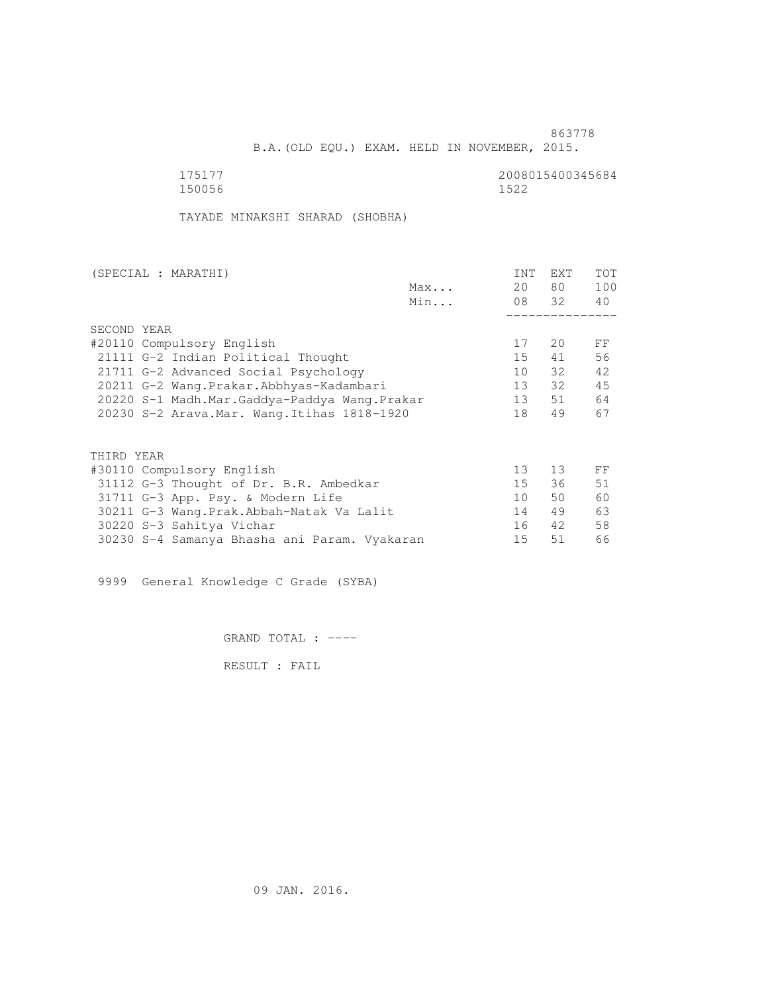B.A.(OLD EQU.) EXAM. HELD IN NOVEMBER, 2015.

 175177 2008015400345684 150056 1522

TAYADE MINAKSHI SHARAD (SHOBHA)

| (SPECIAL : MARATHI) |                                              |     | INT             | EXT   | <b>TOT</b> |
|---------------------|----------------------------------------------|-----|-----------------|-------|------------|
|                     |                                              | Max | 20              | 80 —  | 100        |
|                     |                                              | Min |                 | 08 32 | 40         |
|                     |                                              |     |                 |       |            |
| SECOND YEAR         |                                              |     |                 |       |            |
|                     | #20110 Compulsory English                    |     | 17              | 20    | FF         |
|                     | 21111 G-2 Indian Political Thought           |     | 15              | 41    | 56         |
|                     | 21711 G-2 Advanced Social Psychology         |     | 10              | 32    | 42         |
|                     | 20211 G-2 Wang.Prakar.Abbhyas-Kadambari      |     | 13              | 32    | 45         |
|                     | 20220 S-1 Madh.Mar.Gaddya-Paddya Wang.Prakar |     | 13              | 51    | 64         |
|                     | 20230 S-2 Arava. Mar. Wang. Itihas 1818-1920 |     | 18              | 49    | 67         |
|                     |                                              |     |                 |       |            |
| THIRD YEAR          |                                              |     |                 |       |            |
|                     | #30110 Compulsory English                    |     | 13 <sup>°</sup> | 13    | FF         |
|                     | 31112 G-3 Thought of Dr. B.R. Ambedkar       |     | 15              | 36    | 51         |
|                     | 31711 G-3 App. Psy. & Modern Life            |     | 10 <sup>1</sup> | 50    | 60         |
|                     | 30211 G-3 Wang.Prak.Abbah-Natak Va Lalit     |     | 14              | 49    | 63         |
|                     | 30220 S-3 Sahitya Vichar                     |     | 16              | 42    | 58         |
|                     | 30230 S-4 Samanya Bhasha ani Param. Vyakaran |     | 15              | 51    | 66         |
|                     |                                              |     |                 |       |            |

9999 General Knowledge C Grade (SYBA)

GRAND TOTAL : ----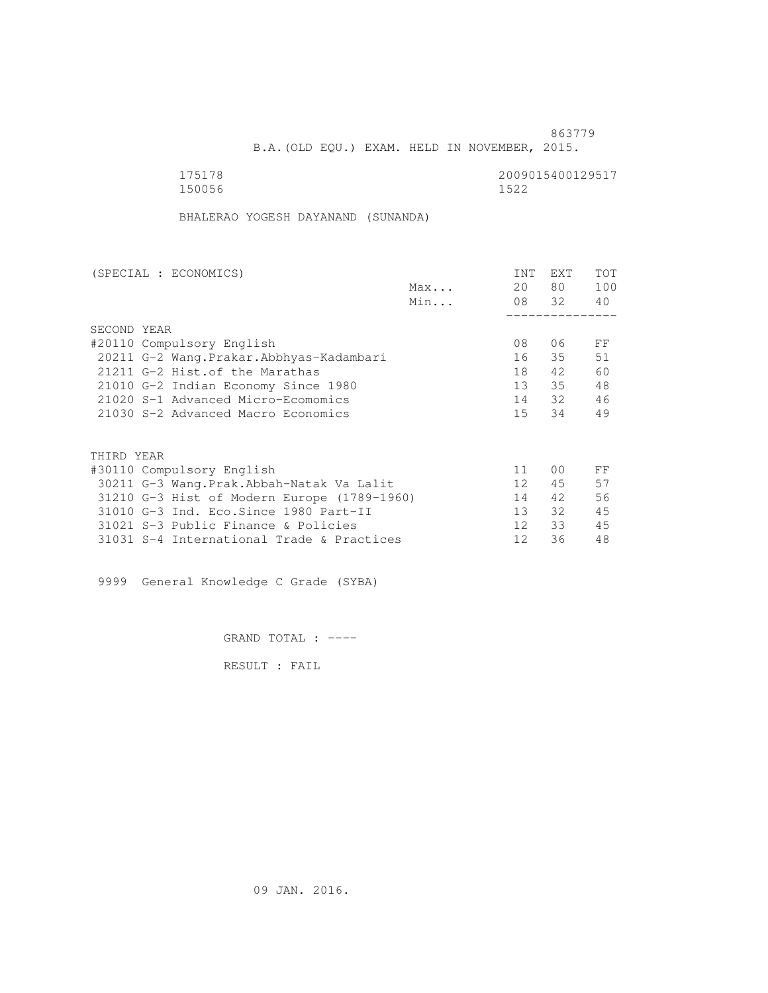B.A.(OLD EQU.) EXAM. HELD IN NOVEMBER, 2015.

 175178 2009015400129517 150056 1522

BHALERAO YOGESH DAYANAND (SUNANDA)

| (SPECIAL : ECONOMICS)                       |     | <b>INT</b>      | <b>EXT</b>     | TOT |
|---------------------------------------------|-----|-----------------|----------------|-----|
|                                             | Max | 20              | 80             | 100 |
|                                             | Min |                 | 08 32          | 40  |
|                                             |     |                 |                |     |
| SECOND YEAR                                 |     |                 |                |     |
| #20110 Compulsory English                   |     | 08              | 06             | FF  |
| 20211 G-2 Wang. Prakar. Abbhyas-Kadambari   |     | 16              | 35             | 51  |
| 21211 G-2 Hist. of the Marathas             |     | 18              | 42             | 60  |
| 21010 G-2 Indian Economy Since 1980         |     | 13 <sup>7</sup> | 35             | 48  |
| 21020 S-1 Advanced Micro-Ecomomics          |     | 14              | 32             | 46  |
| 21030 S-2 Advanced Macro Economics          |     | 15 <sup>7</sup> | 34             | 49  |
|                                             |     |                 |                |     |
| THIRD YEAR                                  |     |                 |                |     |
| #30110 Compulsory English                   |     | 11              | 0 <sub>0</sub> | FF  |
| 30211 G-3 Wang.Prak.Abbah-Natak Va Lalit    |     | 12 <sup>°</sup> | 45             | 57  |
| 31210 G-3 Hist of Modern Europe (1789-1960) |     | 14              | 42             | 56  |
| 31010 G-3 Ind. Eco. Since 1980 Part-II      |     | 13              | 32             | 45  |
| 31021 S-3 Public Finance & Policies         |     | 12 <sup>°</sup> | 33             | 45  |
| 31031 S-4 International Trade & Practices   |     | 12              | 36             | 48  |
|                                             |     |                 |                |     |

9999 General Knowledge C Grade (SYBA)

GRAND TOTAL : ----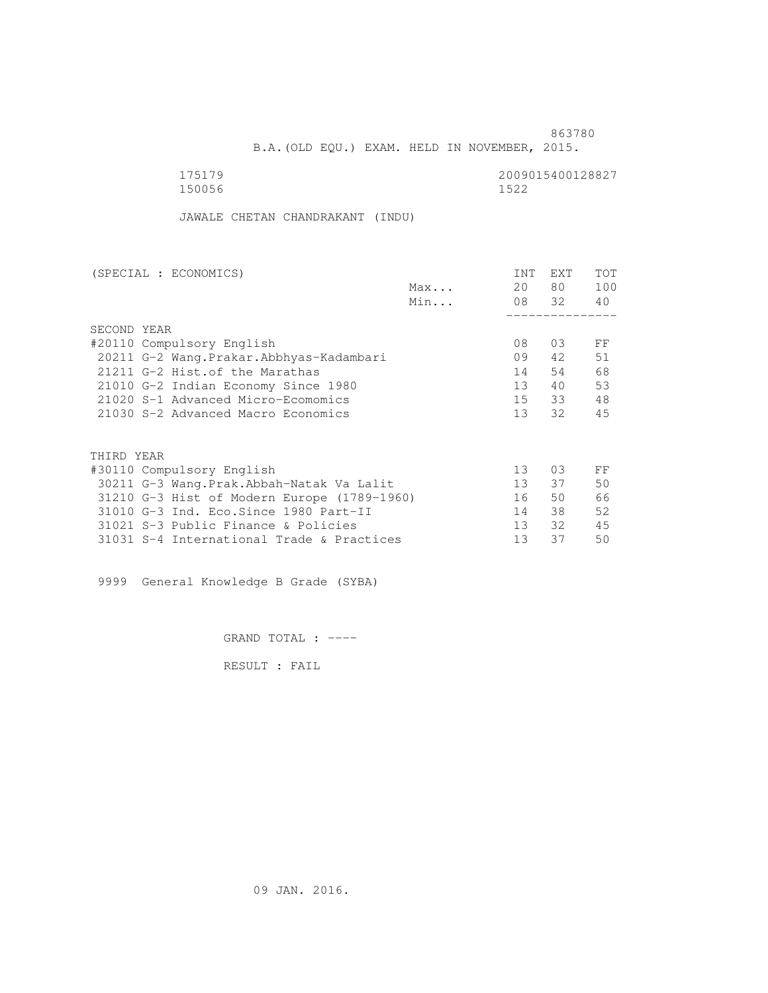B.A.(OLD EQU.) EXAM. HELD IN NOVEMBER, 2015.

 175179 2009015400128827 150056 1522

JAWALE CHETAN CHANDRAKANT (INDU)

| (SPECIAL : ECONOMICS)                       |     | <b>INT</b>      | <b>EXT</b> | TOT |
|---------------------------------------------|-----|-----------------|------------|-----|
|                                             | Max | 20              | 80         | 100 |
|                                             | Min |                 | 08 32      | 40  |
|                                             |     |                 |            |     |
| SECOND YEAR                                 |     |                 |            |     |
| #20110 Compulsory English                   |     | 08              | 0.3        | FF  |
| 20211 G-2 Wang. Prakar. Abbhyas-Kadambari   |     | 09              | 42         | 51  |
| 21211 G-2 Hist. of the Marathas             |     | 14              | 54         | 68  |
| 21010 G-2 Indian Economy Since 1980         |     | 13 <sup>7</sup> | 40         | 53  |
| 21020 S-1 Advanced Micro-Ecomomics          |     | 15              | 33         | 48  |
| 21030 S-2 Advanced Macro Economics          |     | 13 <sup>7</sup> | 32         | 45  |
|                                             |     |                 |            |     |
| THIRD YEAR                                  |     |                 |            |     |
| #30110 Compulsory English                   |     | 13 <sup>°</sup> | 0.3        | FF  |
| 30211 G-3 Wang.Prak.Abbah-Natak Va Lalit    |     | 13 <sup>°</sup> | 37         | 50  |
| 31210 G-3 Hist of Modern Europe (1789-1960) |     | 16              | 50         | 66  |
| 31010 G-3 Ind. Eco. Since 1980 Part-II      |     | 14              | 38         | 52  |
| 31021 S-3 Public Finance & Policies         |     | 13 <sup>°</sup> | 32         | 45  |
| 31031 S-4 International Trade & Practices   |     | 13              | 37         | 50  |

9999 General Knowledge B Grade (SYBA)

GRAND TOTAL : ----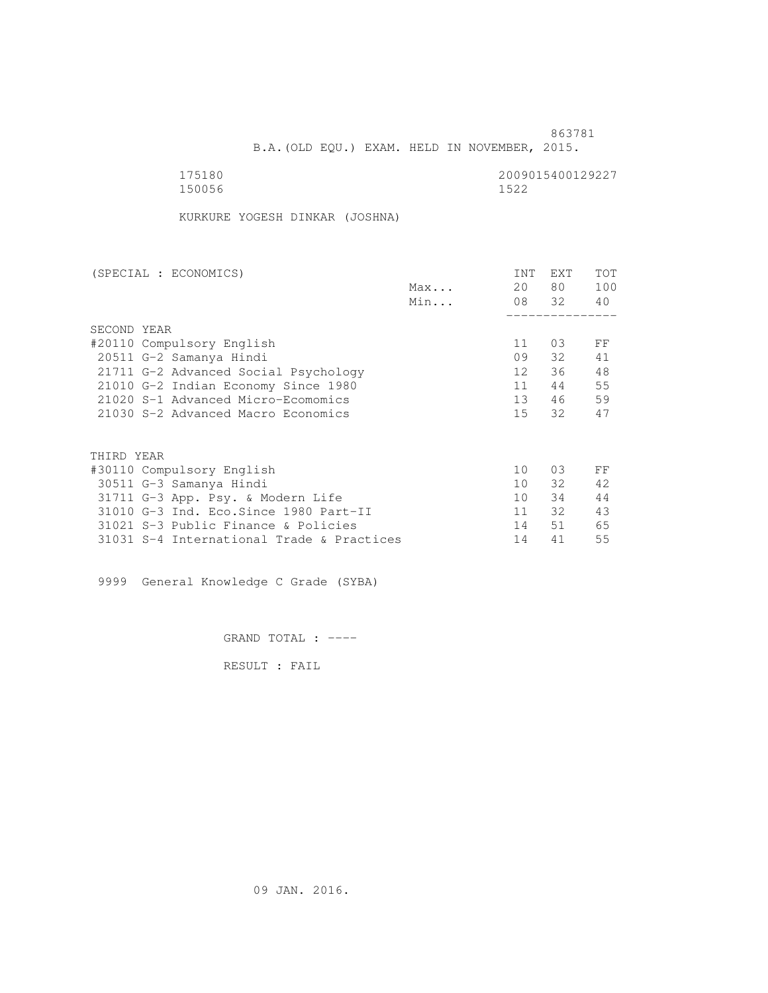B.A.(OLD EQU.) EXAM. HELD IN NOVEMBER, 2015.

| 175180 | 2009015400129227 |
|--------|------------------|
| 150056 | 1522             |

KURKURE YOGESH DINKAR (JOSHNA)

| (SPECIAL : ECONOMICS)                     | <b>INT</b>      | <b>EXT</b> | TOT |
|-------------------------------------------|-----------------|------------|-----|
| Max                                       | 20              | 80 —       | 100 |
| Min                                       |                 | 08 32      | 40  |
|                                           |                 |            |     |
| SECOND YEAR                               |                 |            |     |
| #20110 Compulsory English                 | 11              | 03         | FF  |
| 20511 G-2 Samanya Hindi                   | 09              | 32         | 41  |
| 21711 G-2 Advanced Social Psychology      | 12 <sup>°</sup> | 36         | 48  |
| 21010 G-2 Indian Economy Since 1980       | 11              | 44         | 55  |
| 21020 S-1 Advanced Micro-Ecomomics        | 13              | 46         | 59  |
| 21030 S-2 Advanced Macro Economics        | 15 <sub>1</sub> | 32         | 47  |
|                                           |                 |            |     |
| THIRD YEAR                                |                 |            |     |
| #30110 Compulsory English                 | 10              | 03         | FF  |
| 30511 G-3 Samanya Hindi                   | 10 <sup>1</sup> | 32         | 42  |
| 31711 G-3 App. Psy. & Modern Life         | 10 <sup>1</sup> | 34         | 44  |
| 31010 G-3 Ind. Eco. Since 1980 Part-II    | 11              | 32         | 43  |
| 31021 S-3 Public Finance & Policies       | 14              | 51         | 65  |
| 31031 S-4 International Trade & Practices | 14              | 41         | 55  |

9999 General Knowledge C Grade (SYBA)

GRAND TOTAL : ----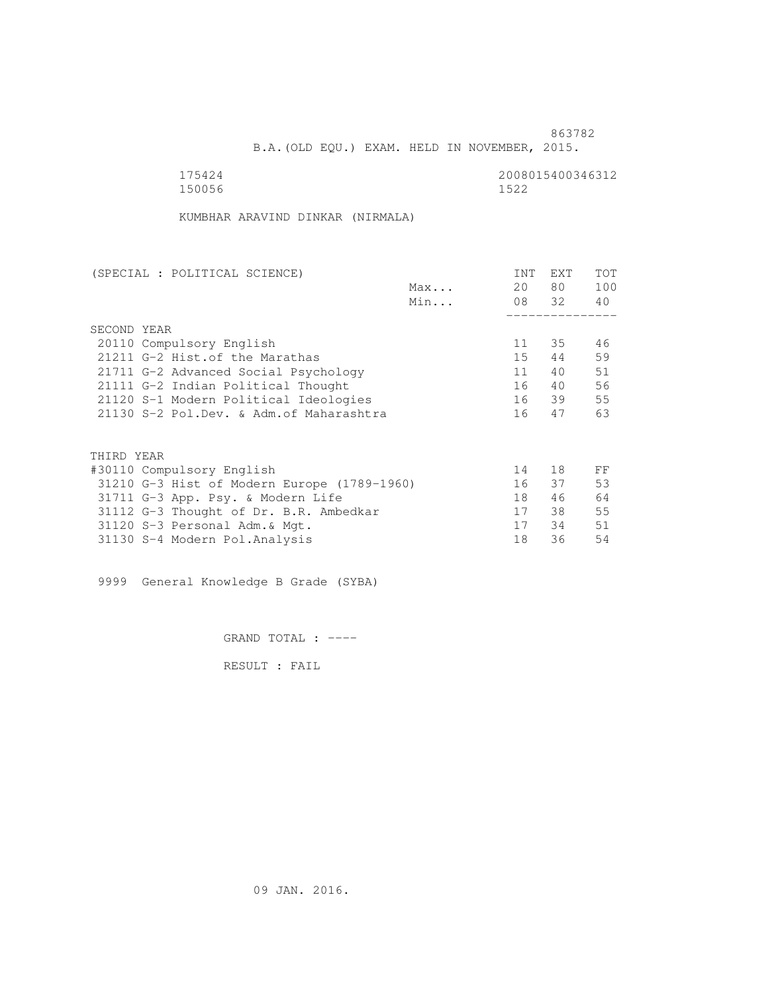B.A.(OLD EQU.) EXAM. HELD IN NOVEMBER, 2015.

| 175424 | 2008015400346312 |
|--------|------------------|
| 150056 | 1522             |

KUMBHAR ARAVIND DINKAR (NIRMALA)

| (SPECIAL : POLITICAL SCIENCE)               | INT | EXT      | TOT |
|---------------------------------------------|-----|----------|-----|
| Max                                         | 20  | 80 —     | 100 |
| Min                                         |     | 08 32 40 |     |
|                                             |     |          |     |
| SECOND YEAR                                 |     |          |     |
| 20110 Compulsory English                    | 11  | 35       | 46  |
| 21211 G-2 Hist. of the Marathas             | 15  | 44       | 59  |
| 21711 G-2 Advanced Social Psychology        | 11  | 40       | 51  |
| 21111 G-2 Indian Political Thought          | 16  | 40       | 56  |
| 21120 S-1 Modern Political Ideologies       |     | 16 39    | 55  |
| 21130 S-2 Pol.Dev. & Adm. of Maharashtra    | 16  | 47       | 63  |
|                                             |     |          |     |
| THIRD YEAR                                  |     |          |     |
| #30110 Compulsory English                   | 14  | 18       | FF  |
| 31210 G-3 Hist of Modern Europe (1789-1960) | 16  | 37       | 53  |
| 31711 G-3 App. Psy. & Modern Life           | 18  | 46       | 64  |
| 31112 G-3 Thought of Dr. B.R. Ambedkar      | 17  | 38       | 55  |
| 31120 S-3 Personal Adm. & Mgt.              | 17  | 34       | 51  |
| 31130 S-4 Modern Pol.Analysis               | 18  | 36       | 54  |

9999 General Knowledge B Grade (SYBA)

GRAND TOTAL : ----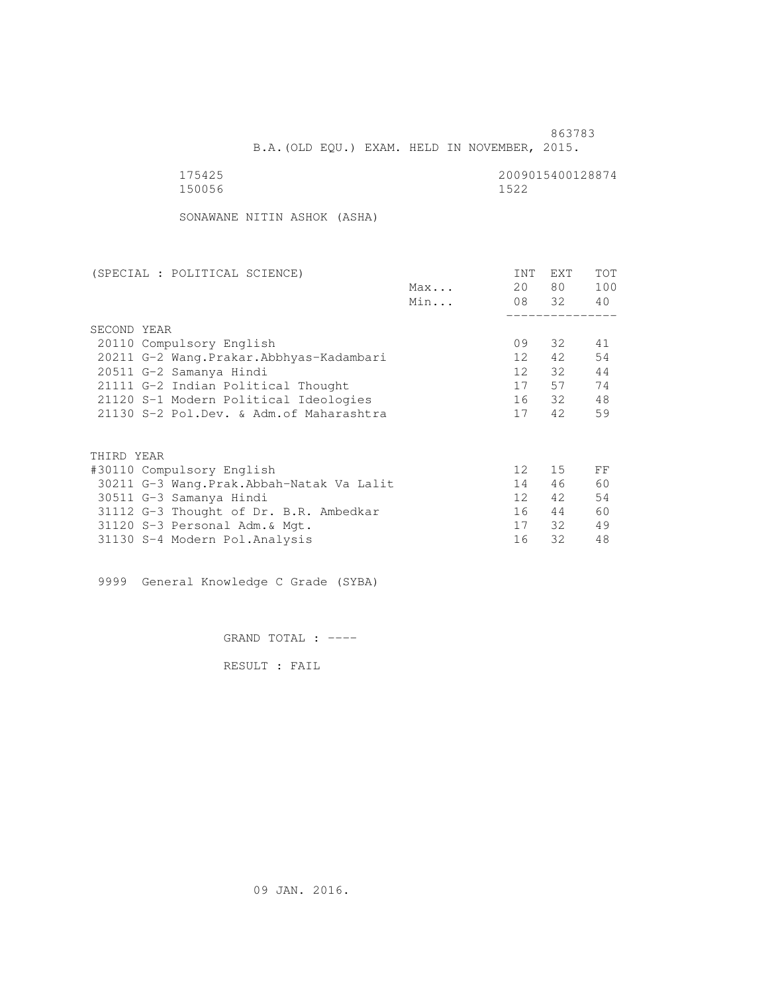863783

| 175425 | 2009015400128874 |
|--------|------------------|
| 150056 | 1522             |

SONAWANE NITIN ASHOK (ASHA)

| (SPECIAL : POLITICAL SCIENCE)             |     | INT              | EXT    | TOT |
|-------------------------------------------|-----|------------------|--------|-----|
|                                           | Max | 20               | 80 —   | 100 |
|                                           | Min |                  | 08 32  | 40  |
|                                           |     |                  |        |     |
| SECOND YEAR                               |     |                  |        |     |
| 20110 Compulsory English                  |     | 09               | 32     | 41  |
| 20211 G-2 Wang. Prakar. Abbhyas-Kadambari |     | 12 <sup>12</sup> | 42     | 54  |
| 20511 G-2 Samanya Hindi                   |     | 12               | 32     | 44  |
| 21111 G-2 Indian Political Thought        |     | 17               | 57     | 74  |
| 21120 S-1 Modern Political Ideologies     |     |                  | 16 32  | 48  |
| 21130 S-2 Pol.Dev. & Adm.of Maharashtra   |     | 17               | 42     | 59  |
| THIRD YEAR                                |     |                  |        |     |
|                                           |     | 12 <sup>°</sup>  | $15 -$ | FF  |
| #30110 Compulsory English                 |     | 14               |        | 60  |
| 30211 G-3 Wang.Prak.Abbah-Natak Va Lalit  |     |                  | 46     |     |
| 30511 G-3 Samanya Hindi                   |     | 12 <sup>1</sup>  | 42     | 54  |
| 31112 G-3 Thought of Dr. B.R. Ambedkar    |     | 16               | 44     | 60  |
| 31120 S-3 Personal Adm. & Mgt.            |     | 17               | 32     | 49  |
| 31130 S-4 Modern Pol. Analysis            |     | 16               | 32     | 48  |
|                                           |     |                  |        |     |

9999 General Knowledge C Grade (SYBA)

GRAND TOTAL : ----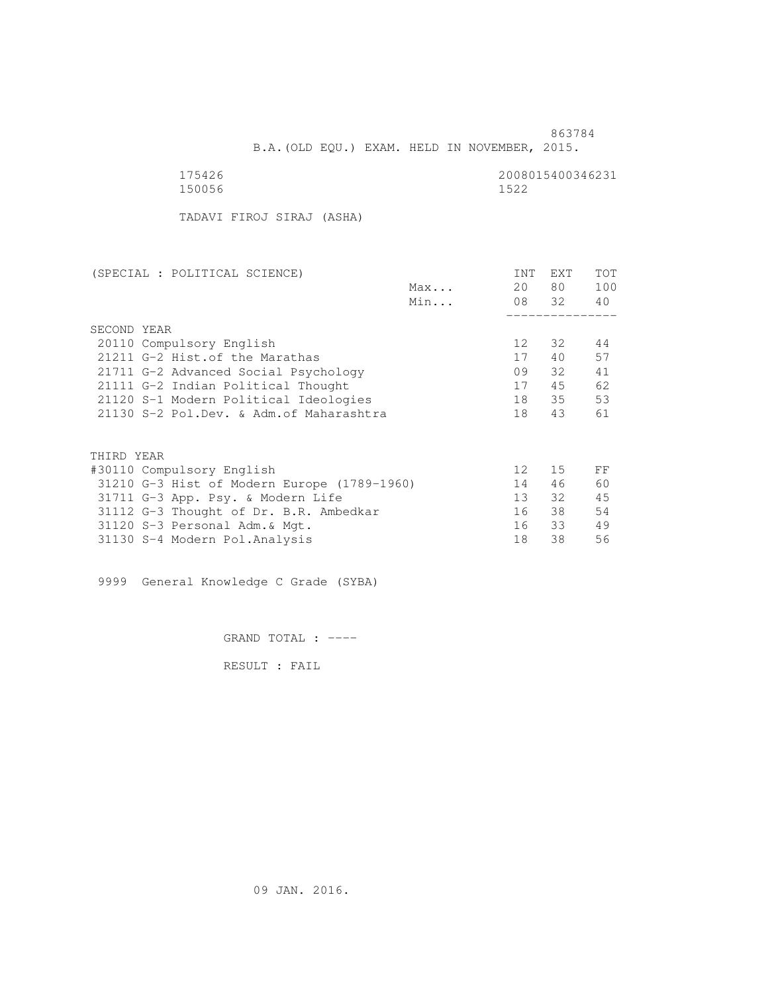| .5.<br>42.<br>h |  |
|-----------------|--|
| 5005            |  |

2008015400346231<br>1522

TADAVI FIROJ SIRAJ (ASHA)

| (SPECIAL : POLITICAL SCIENCE)               | INT             | EXT      | TOT |
|---------------------------------------------|-----------------|----------|-----|
| Max                                         | 20              | 80 —     | 100 |
| Min                                         |                 | 08 32 40 |     |
|                                             |                 |          |     |
| SECOND YEAR                                 |                 |          |     |
| 20110 Compulsory English                    | 12 <sup>°</sup> | 32       | 44  |
| 21211 G-2 Hist. of the Marathas             | 17              | 40       | 57  |
| 21711 G-2 Advanced Social Psychology        | 09              | 32       | 41  |
| 21111 G-2 Indian Political Thought          | 17              | 45       | 62  |
| 21120 S-1 Modern Political Ideologies       | 18              | 35       | 53  |
| 21130 S-2 Pol.Dev. & Adm. of Maharashtra    | 18              | 43       | 61  |
|                                             |                 |          |     |
| THIRD YEAR                                  |                 |          |     |
| #30110 Compulsory English                   | 12 <sup>°</sup> | 15       | FF  |
| 31210 G-3 Hist of Modern Europe (1789-1960) | 14              | 46       | 60  |
| 31711 G-3 App. Psy. & Modern Life           | 13 <sup>7</sup> | 32       | 45  |
| 31112 G-3 Thought of Dr. B.R. Ambedkar      | 16              | 38       | 54  |
| 31120 S-3 Personal Adm. & Mgt.              | 16              | 33       | 49  |
| 31130 S-4 Modern Pol.Analysis               | 18              | 38       | 56  |

9999 General Knowledge C Grade (SYBA)

GRAND TOTAL : ----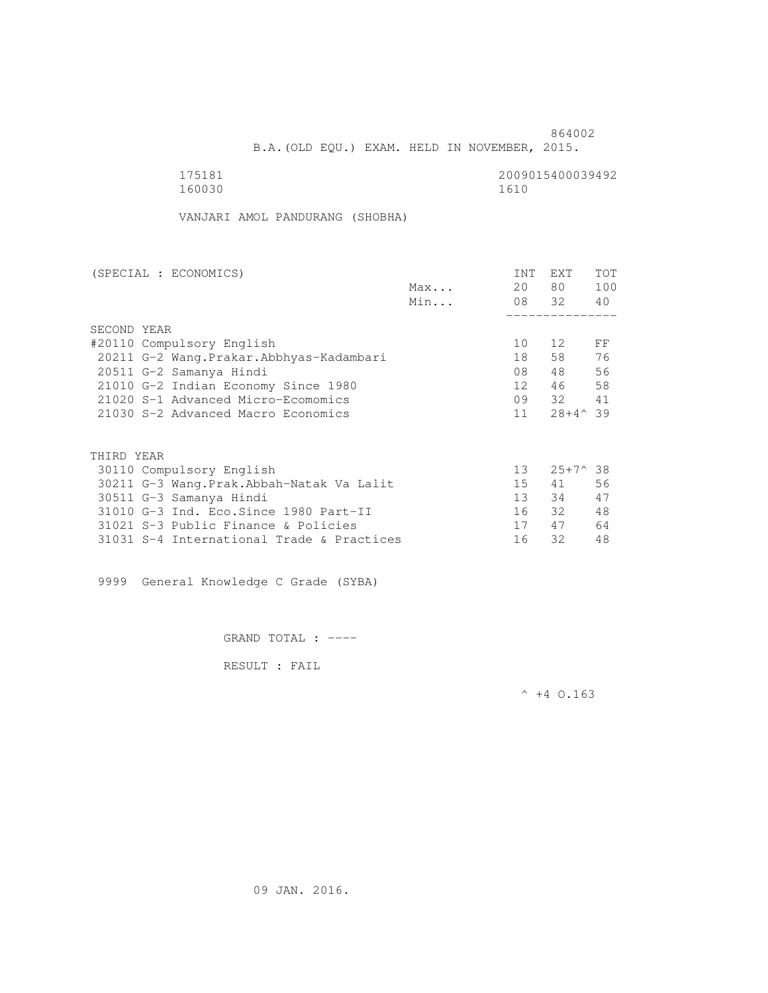| 51.<br>x |  |
|----------|--|
| 60030    |  |

2009015400039492<br>1610

VANJARI AMOL PANDURANG (SHOBHA)

| (SPECIAL : ECONOMICS)                    |     | <b>INT</b>      | <b>EXT</b>        | <b>TOT</b> |
|------------------------------------------|-----|-----------------|-------------------|------------|
|                                          | Max | 20              | 80                | 100        |
|                                          | Min |                 | 08 32             | 40         |
|                                          |     |                 |                   |            |
| SECOND YEAR                              |     |                 |                   |            |
| #20110 Compulsory English                |     | 10              | 12                | FF         |
| 20211 G-2 Wang.Prakar.Abbhyas-Kadambari  |     | 18              | 58                | 76         |
| 20511 G-2 Samanya Hindi                  |     | 08              | 48                | 56         |
| 21010 G-2 Indian Economy Since 1980      |     | 12 <sup>°</sup> | 46                | 58         |
| 21020 S-1 Advanced Micro-Ecomomics       |     | 09              | 32                | 41         |
| 21030 S-2 Advanced Macro Economics       |     | 11              | $28+4^{\wedge}39$ |            |
|                                          |     |                 |                   |            |
| THIRD YEAR                               |     |                 |                   |            |
| 30110 Compulsory English                 |     | 13 <sup>°</sup> | $25+7^{\circ}38$  |            |
| 30211 G-3 Wang.Prak.Abbah-Natak Va Lalit |     | 15              | 41                | 56         |
| 30511 G-3 Samanya Hindi                  |     | 13              | 34                | 47         |
| 31010 G-3 Ind. Eco. Since 1980 Part-II   |     | 16              | 32                | 48         |
| 31021 S-3 Public Finance & Policies      |     | 17              | 47                | 64         |

31031 S-4 International Trade & Practices 16 32 48

9999 General Knowledge C Grade (SYBA)

GRAND TOTAL : ----

RESULT : FAIL

 $^{\wedge}$  +4 O.163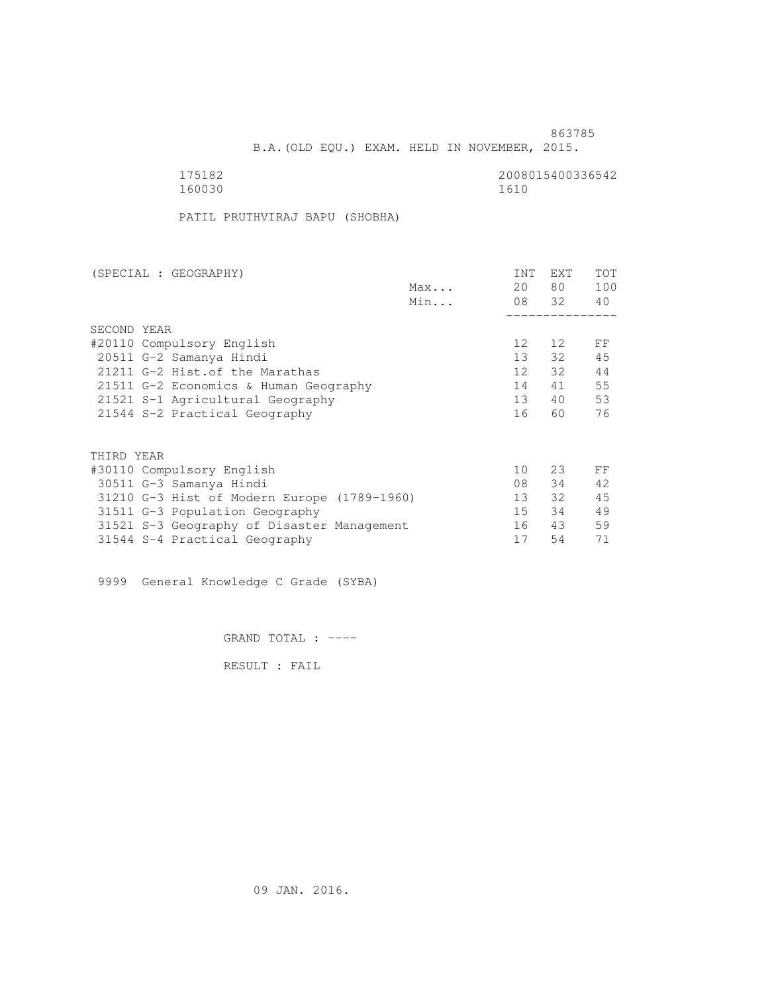B.A.(OLD EQU.) EXAM. HELD IN NOVEMBER, 2015.

| 175182 | 2008015400336542 |
|--------|------------------|
| 160030 | 1610             |

PATIL PRUTHVIRAJ BAPU (SHOBHA)

| (SPECIAL : GEOGRAPHY)                       |     | <b>INT</b>      | <b>EXT</b>      | <b>TOT</b> |
|---------------------------------------------|-----|-----------------|-----------------|------------|
|                                             | Max | 20              | 80 —            | 100        |
|                                             | Min |                 | 08 32           | 40         |
|                                             |     |                 |                 |            |
| SECOND YEAR                                 |     |                 |                 |            |
| #20110 Compulsory English                   |     | 12 <sup>°</sup> | 12 <sup>°</sup> | FF         |
| 20511 G-2 Samanya Hindi                     |     | 13 <sup>7</sup> | 32 F            | 45         |
| 21211 G-2 Hist. of the Marathas             |     | 12              | 32              | 44         |
| 21511 G-2 Economics & Human Geography       |     | 14              | 41              | 55         |
| 21521 S-1 Agricultural Geography            |     | 13 <sup>7</sup> | 40              | 53         |
| 21544 S-2 Practical Geography               |     | 16              | 60              | 76         |
|                                             |     |                 |                 |            |
| THIRD YEAR                                  |     |                 |                 |            |
| #30110 Compulsory English                   |     | 10 <sup>°</sup> | 23              | FF         |
| 30511 G-3 Samanya Hindi                     |     | 08              | 34              | 42         |
| 31210 G-3 Hist of Modern Europe (1789-1960) |     | 13 <sup>7</sup> | 32              | 45         |
| 31511 G-3 Population Geography              |     | 15              | 34              | 49         |
| 31521 S-3 Geography of Disaster Management  |     | 16              | 43              | 59         |
| 31544 S-4 Practical Geography               |     | 17              | 54              | 71         |
|                                             |     |                 |                 |            |

9999 General Knowledge C Grade (SYBA)

GRAND TOTAL : ----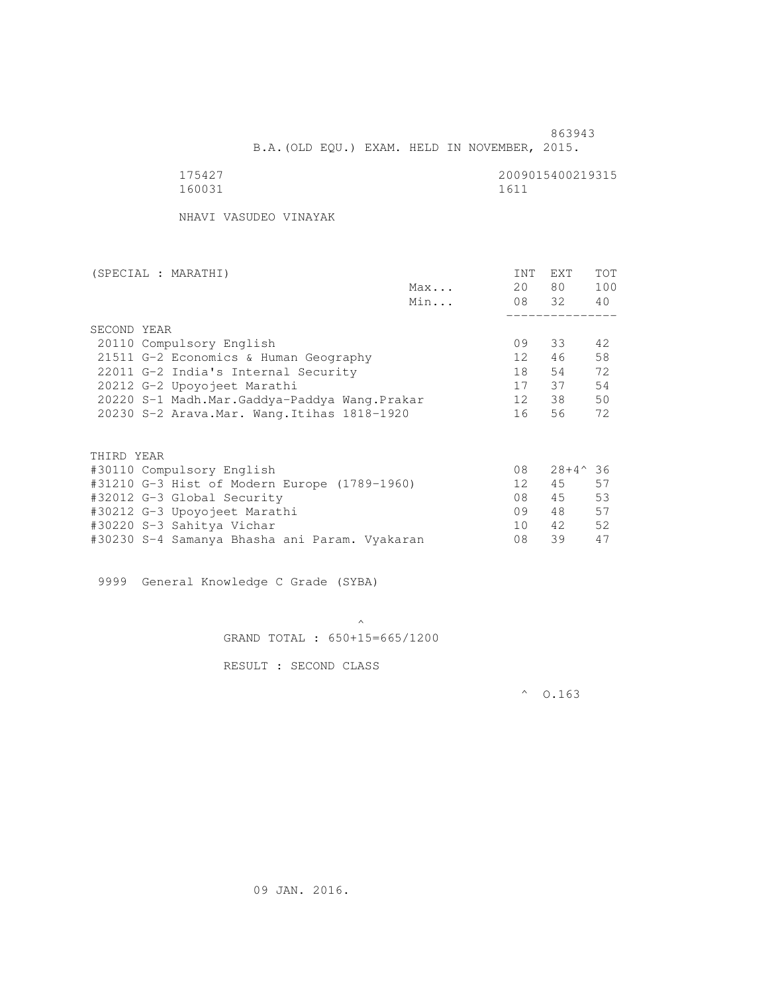B.A.(OLD EQU.) EXAM. HELD IN NOVEMBER, 2015.

| ١<br>∼<br>ſ.<br>-21<br>$\Box$ |  |
|-------------------------------|--|

2009015400219315<br>1611

NHAVI VASUDEO VINAYAK

| (SPECIAL : MARATHI)                          |     | <b>INT</b>      | <b>EXT</b>       | <b>TOT</b> |
|----------------------------------------------|-----|-----------------|------------------|------------|
|                                              | Max | 20              | 80               | 100        |
|                                              | Min |                 | 08 32            | 40         |
|                                              |     |                 |                  |            |
| SECOND YEAR                                  |     |                 |                  |            |
| 20110 Compulsory English                     |     | 09              | 33               | 42         |
| 21511 G-2 Economics & Human Geography        |     | 12 <sup>°</sup> | 46               | 58         |
| 22011 G-2 India's Internal Security          |     | 18              | 54               | 72         |
| 20212 G-2 Upoyojeet Marathi                  |     | 17              | 37               | 54         |
| 20220 S-1 Madh.Mar.Gaddya-Paddya Wang.Prakar |     | 12              | 38               | 50         |
| 20230 S-2 Arava. Mar. Wang. Itihas 1818-1920 |     | 16              | 56               | 72         |
|                                              |     |                 |                  |            |
| THIRD YEAR                                   |     |                 |                  |            |
| #30110 Compulsory English                    |     | 08              | $28+4^{\circ}36$ |            |
| #31210 G-3 Hist of Modern Europe (1789-1960) |     | 12              | 45               | 57         |
| #32012 G-3 Global Security                   |     | 08              | 45               | 53         |
| #30212 G-3 Upoyojeet Marathi                 |     | 09              | 48               | 57         |
| #30220 S-3 Sahitya Vichar                    |     | 10              | 42               | 52         |
|                                              |     |                 |                  |            |

9999 General Knowledge C Grade (SYBA)

 $\mathcal{A}$  and  $\mathcal{A}$  are the set of  $\mathcal{A}$ GRAND TOTAL : 650+15=665/1200

#30230 S-4 Samanya Bhasha ani Param. Vyakaran 08 39 47

RESULT : SECOND CLASS

 $^{\circ}$  0.163

09 JAN. 2016.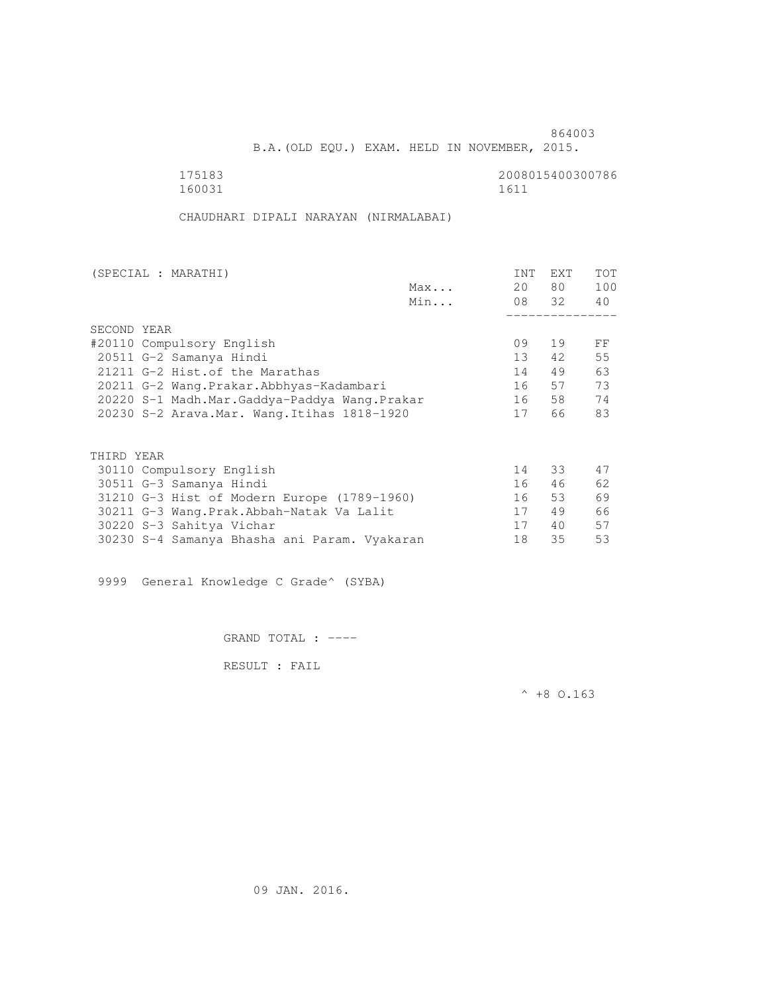B.A.(OLD EQU.) EXAM. HELD IN NOVEMBER, 2015.

 175183 2008015400300786 160031 1611

CHAUDHARI DIPALI NARAYAN (NIRMALABAI)

| (SPECIAL : MARATHI)                          | INT | EXT   | <b>TOT</b> |
|----------------------------------------------|-----|-------|------------|
| Max                                          | 20  | 80 —  | 100        |
| Min                                          |     | 08 32 | 40         |
|                                              |     |       |            |
| SECOND YEAR                                  |     |       |            |
| #20110 Compulsory English                    | 09  | 19    | FF         |
| 20511 G-2 Samanya Hindi                      | 13  | 42    | 55         |
| 21211 G-2 Hist. of the Marathas              | 14  | 49    | 63         |
| 20211 G-2 Wang.Prakar.Abbhyas-Kadambari      | 16  | 57    | 73         |
| 20220 S-1 Madh.Mar.Gaddya-Paddya Wang.Prakar | 16  | 58    | 74         |
| 20230 S-2 Arava. Mar. Wang. Itihas 1818-1920 | 17  | 66    | 83         |
|                                              |     |       |            |
| THIRD YEAR                                   |     |       |            |
| 30110 Compulsory English                     | 14  | 33    | 47         |
| 30511 G-3 Samanya Hindi                      | 16  | 46    | 62         |
| 31210 G-3 Hist of Modern Europe (1789-1960)  | 16  | 53    | 69         |
| 30211 G-3 Wang. Prak. Abbah-Natak Va Lalit   | 17  | 49    | 66         |
| 30220 S-3 Sahitya Vichar                     | 17  | 40    | 57         |
| 30230 S-4 Samanya Bhasha ani Param. Vyakaran | 18  | 35    | 53         |

9999 General Knowledge C Grade^ (SYBA)

GRAND TOTAL : ----

RESULT : FAIL

 $^{\wedge}$  +8 O.163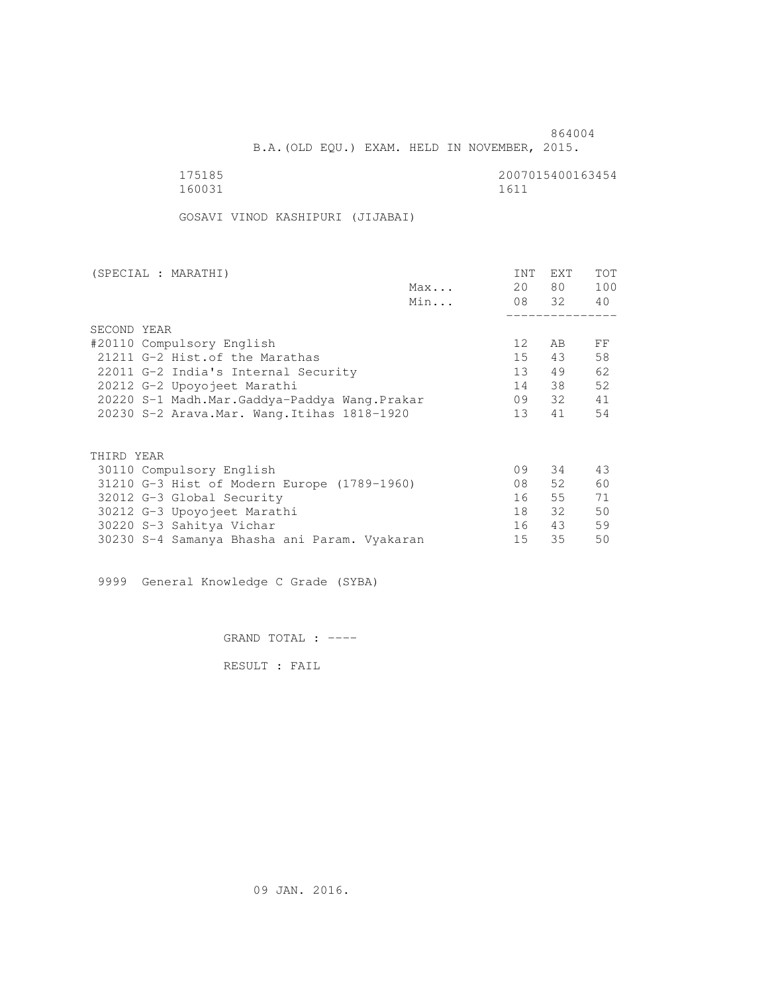B.A.(OLD EQU.) EXAM. HELD IN NOVEMBER, 2015.

| 175185 | 2007015400163454 |
|--------|------------------|
| 160031 | 1611             |

GOSAVI VINOD KASHIPURI (JIJABAI)

| (SPECIAL : MARATHI)                          |     | INT             | <b>EXT</b> | TOT |
|----------------------------------------------|-----|-----------------|------------|-----|
|                                              | Max | 20              | 80 —       | 100 |
|                                              | Min |                 | 08 32      | 40  |
|                                              |     |                 |            |     |
| SECOND YEAR                                  |     |                 |            |     |
| #20110 Compulsory English                    |     | 12              | AB         | FF  |
| 21211 G-2 Hist. of the Marathas              |     | 15              | 43         | 58  |
| 22011 G-2 India's Internal Security          |     | 13              | 49         | 62  |
| 20212 G-2 Upoyojeet Marathi                  |     | 14              | 38         | 52  |
| 20220 S-1 Madh.Mar.Gaddya-Paddya Wang.Prakar |     | 09              | 32         | 41  |
| 20230 S-2 Arava. Mar. Wang. Itihas 1818-1920 |     | 13 <sup>°</sup> | 41         | 54  |
|                                              |     |                 |            |     |
| THIRD YEAR                                   |     |                 |            |     |
| 30110 Compulsory English                     |     | 09              | 34         | 43  |
| 31210 G-3 Hist of Modern Europe (1789-1960)  |     | 08              | 52         | 60  |
| 32012 G-3 Global Security                    |     | 16              | 55         | 71  |
| 30212 G-3 Upoyojeet Marathi                  |     | 18              | 32         | 50  |
| 30220 S-3 Sahitya Vichar                     |     | 16              | 43         | 59  |
| 30230 S-4 Samanya Bhasha ani Param. Vyakaran |     | 15              | 35         | 50  |
|                                              |     |                 |            |     |

9999 General Knowledge C Grade (SYBA)

GRAND TOTAL : ----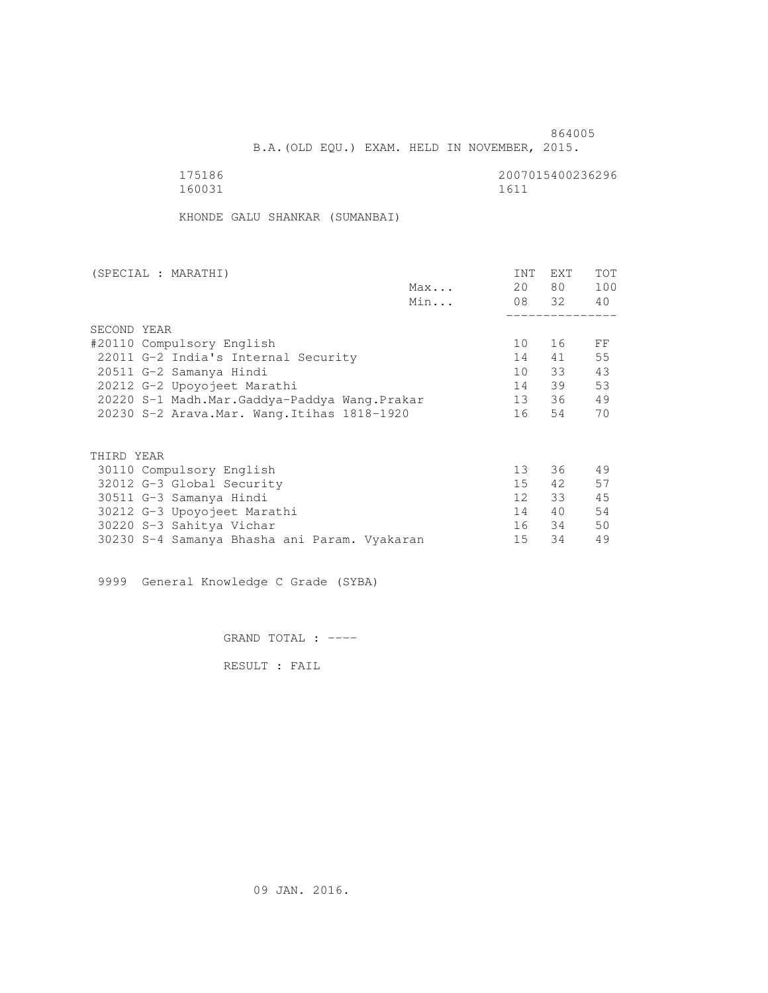B.A.(OLD EQU.) EXAM. HELD IN NOVEMBER, 2015.

| 175186 | 2007015400236296 |
|--------|------------------|
| 160031 | 1611             |

KHONDE GALU SHANKAR (SUMANBAI)

| 20              | 80 — | 100                     |
|-----------------|------|-------------------------|
|                 |      |                         |
|                 |      | 40                      |
|                 |      |                         |
|                 |      |                         |
| 10              | 16   | FF                      |
| 14              | 41   | 55                      |
| 10              |      | 43                      |
| 14              | 39   | 53                      |
| 13              |      | 49                      |
| 16              | 54   | 70                      |
|                 |      |                         |
|                 |      |                         |
| 13              | 36   | 49                      |
| 15              | 42   | 57                      |
| 12 <sup>7</sup> | 33   | 45                      |
| 14              | 40   | 54                      |
| 16              |      | 50                      |
| 15              | 34   | 49                      |
|                 |      | 08 32<br>33<br>36<br>34 |

9999 General Knowledge C Grade (SYBA)

GRAND TOTAL : ----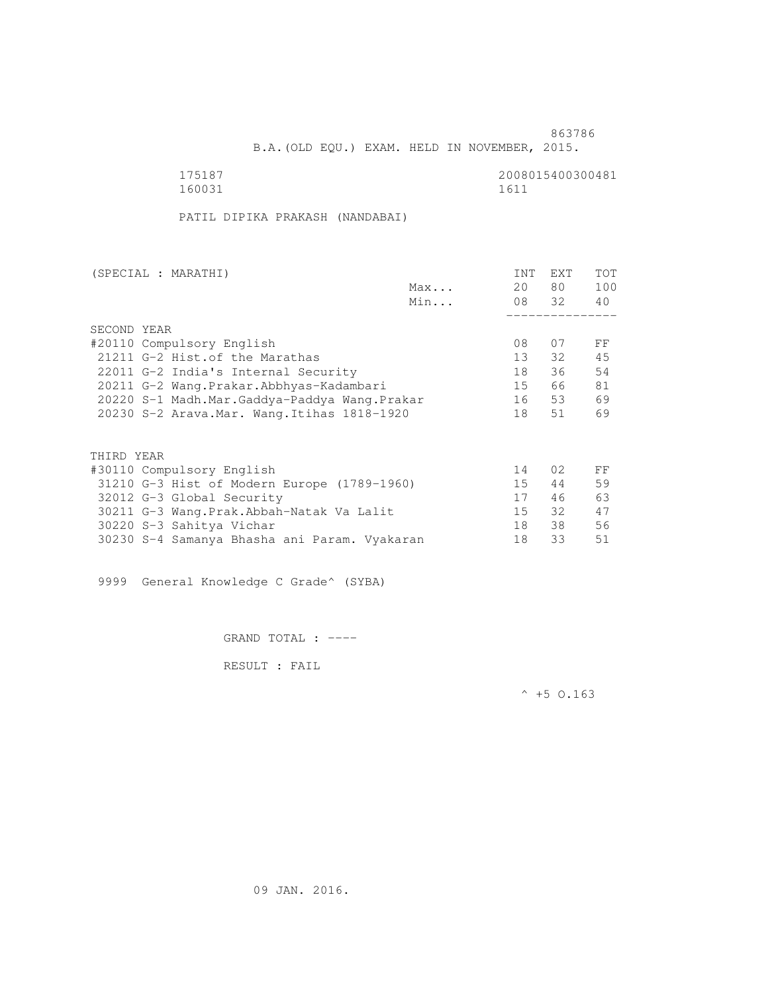B.A.(OLD EQU.) EXAM. HELD IN NOVEMBER, 2015.

 175187 2008015400300481 160031 1611

PATIL DIPIKA PRAKASH (NANDABAI)

| (SPECIAL : MARATHI)                          |     | INT | <b>EXT</b>      | TOT |
|----------------------------------------------|-----|-----|-----------------|-----|
|                                              | Max | 20  | 80 —            | 100 |
|                                              | Min |     | 08 32           | 40  |
|                                              |     |     |                 |     |
| SECOND YEAR                                  |     |     |                 |     |
| #20110 Compulsory English                    |     | 08  | 07              | FF  |
| 21211 G-2 Hist. of the Marathas              |     | 13  | 32              | 45  |
| 22011 G-2 India's Internal Security          |     | 18  | 36              | 54  |
| 20211 G-2 Wang.Prakar.Abbhyas-Kadambari      |     | 15  | 66              | 81  |
| 20220 S-1 Madh.Mar.Gaddya-Paddya Wang.Prakar |     | 16  | 53              | 69  |
| 20230 S-2 Arava. Mar. Wang. Itihas 1818-1920 |     | 18  | 51              | 69  |
|                                              |     |     |                 |     |
| THIRD YEAR                                   |     |     |                 |     |
| #30110 Compulsory English                    |     | 14  | 02 <sub>2</sub> | FF  |
| 31210 G-3 Hist of Modern Europe (1789-1960)  |     | 15  | 44              | 59  |
| 32012 G-3 Global Security                    |     | 17  | 46              | 63  |
| 30211 G-3 Wang.Prak.Abbah-Natak Va Lalit     |     | 15  | 32              | 47  |
| 30220 S-3 Sahitya Vichar                     |     | 18  | 38              | 56  |
| 30230 S-4 Samanya Bhasha ani Param. Vyakaran |     | 18  | 33              | 51  |
|                                              |     |     |                 |     |

9999 General Knowledge C Grade^ (SYBA)

GRAND TOTAL : ----

RESULT : FAIL

 $^{\wedge}$  +5 O.163

09 JAN. 2016.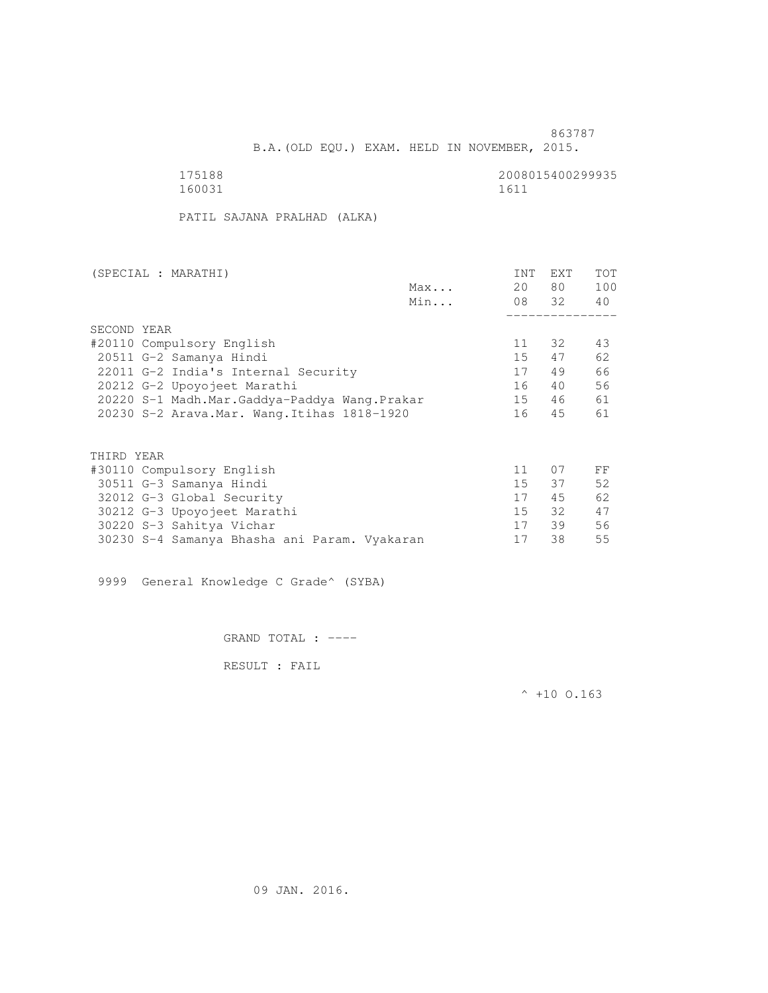B.A.(OLD EQU.) EXAM. HELD IN NOVEMBER, 2015.

| 175188 | 2008015400299935 |
|--------|------------------|
| 160031 | 1611             |

PATIL SAJANA PRALHAD (ALKA)

| (SPECIAL : MARATHI)                          |     | INT             | EXT   | <b>TOT</b> |
|----------------------------------------------|-----|-----------------|-------|------------|
|                                              | Max | 20              | 80 —  | 100        |
|                                              | Min |                 | 08 32 | 40         |
|                                              |     |                 |       |            |
| SECOND YEAR                                  |     |                 |       |            |
| #20110 Compulsory English                    |     | 11              | 32    | 43         |
| 20511 G-2 Samanya Hindi                      |     | 15              | 47    | 62         |
| 22011 G-2 India's Internal Security          |     | 17              | 49    | 66         |
| 20212 G-2 Upoyojeet Marathi                  |     | 16              | 40    | 56         |
| 20220 S-1 Madh.Mar.Gaddya-Paddya Wang.Prakar |     | 15              | 46    | 61         |
| 20230 S-2 Arava. Mar. Wang. Itihas 1818-1920 |     | 16              | 45    | 61         |
|                                              |     |                 |       |            |
| THIRD YEAR                                   |     |                 |       |            |
| #30110 Compulsory English                    |     | 11              | 07    | FF         |
| 30511 G-3 Samanya Hindi                      |     | 15 <sub>1</sub> | 37    | 52         |
| 32012 G-3 Global Security                    |     | 17              | 45    | 62         |
| 30212 G-3 Upoyojeet Marathi                  |     | 15              | 32    | 47         |
| 30220 S-3 Sahitya Vichar                     |     | 17              | 39    | 56         |
| 30230 S-4 Samanya Bhasha ani Param. Vyakaran |     | 17              | 38    | 55         |
|                                              |     |                 |       |            |

9999 General Knowledge C Grade^ (SYBA)

GRAND TOTAL : ----

RESULT : FAIL

 $^{\wedge}$  +10 0.163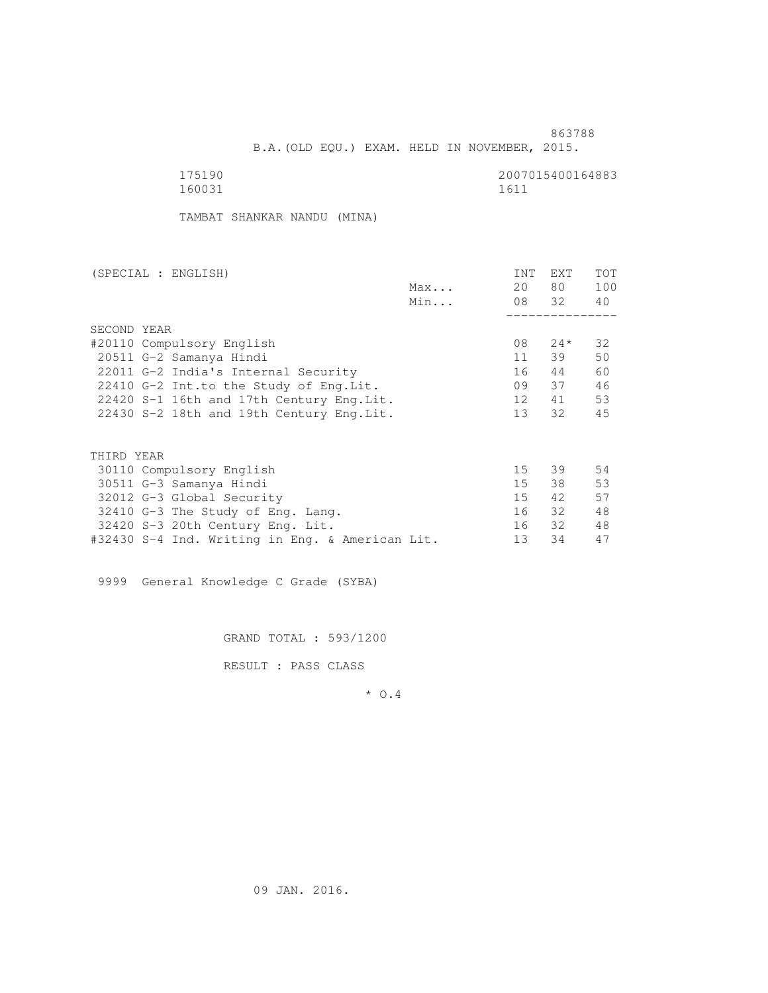B.A.(OLD EQU.) EXAM. HELD IN NOVEMBER, 2015.

| 175190 | 2007015400164883 |
|--------|------------------|
| 160031 | 1611             |

TAMBAT SHANKAR NANDU (MINA)

| (SPECIAL : ENGLISH)                             |     | INT             | <b>EXT</b> | TOT |
|-------------------------------------------------|-----|-----------------|------------|-----|
|                                                 | Max | 20              | 80 —       | 100 |
|                                                 | Min |                 | 08 32      | 40  |
|                                                 |     |                 |            |     |
| SECOND YEAR                                     |     |                 |            |     |
| #20110 Compulsory English                       |     | 08              | $24*$      | 32  |
| 20511 G-2 Samanya Hindi                         |     | 11              | 39         | 50  |
| 22011 G-2 India's Internal Security             |     | 16              | 44         | 60  |
| 22410 G-2 Int.to the Study of Eng. Lit.         |     | 09              | 37         | 46  |
| 22420 S-1 16th and 17th Century Eng. Lit.       |     | 12              | 41         | 53  |
| 22430 S-2 18th and 19th Century Eng. Lit.       |     | 13 <sup>7</sup> | 32         | 45  |
|                                                 |     |                 |            |     |
|                                                 |     |                 |            |     |
| THIRD YEAR                                      |     |                 |            |     |
| 30110 Compulsory English                        |     | 15              | 39         | 54  |
| 30511 G-3 Samanya Hindi                         |     | 15              | 38         | 53  |
| 32012 G-3 Global Security                       |     | 15              | 42         | 57  |
| 32410 G-3 The Study of Eng. Lang.               |     | 16              | - 32       | 48  |
| 32420 S-3 20th Century Eng. Lit.                |     | 16              | 32         | 48  |
| #32430 S-4 Ind. Writing in Eng. & American Lit. |     | 13              | 34         | 47  |
|                                                 |     |                 |            |     |

9999 General Knowledge C Grade (SYBA)

GRAND TOTAL : 593/1200

RESULT : PASS CLASS

\* O.4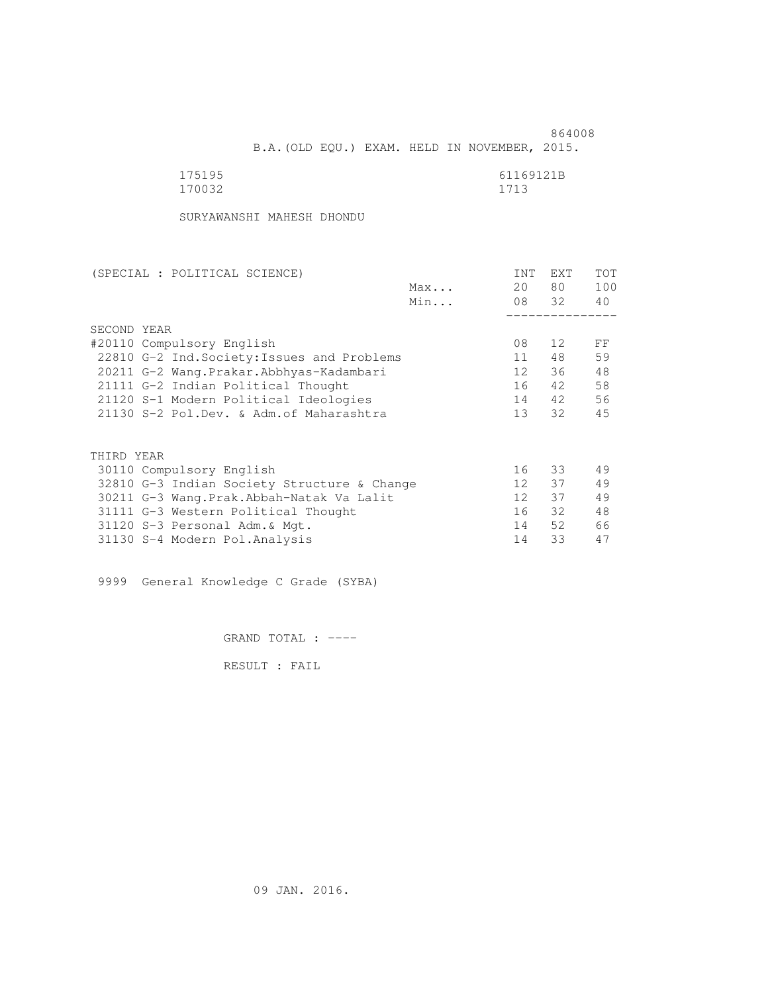| 175195 | 61169121B |
|--------|-----------|
| 170032 | 1713      |

SURYAWANSHI MAHESH DHONDU

| (SPECIAL : POLITICAL SCIENCE)               |     | INT             | EXT   | <b>TOT</b> |
|---------------------------------------------|-----|-----------------|-------|------------|
|                                             | Max | 20              | 80 —  | 100        |
|                                             | Min |                 | 08 32 | 40         |
|                                             |     |                 |       |            |
| SECOND YEAR                                 |     |                 |       |            |
| #20110 Compulsory English                   |     | 08              | 12    | FF         |
| 22810 G-2 Ind. Society: Issues and Problems |     | 11              | 48    | 59         |
| 20211 G-2 Wang. Prakar. Abbhyas-Kadambari   |     | 12              | 36    | 48         |
| 21111 G-2 Indian Political Thought          |     | 16              | 42    | 58         |
| 21120 S-1 Modern Political Ideologies       |     | 14              | 42    | 56         |
| 21130 S-2 Pol.Dev. & Adm. of Maharashtra    |     | 13 <sup>7</sup> | 32    | 45         |
|                                             |     |                 |       |            |
| THIRD YEAR                                  |     |                 |       |            |
| 30110 Compulsory English                    |     | 16              | 33    | 49         |
| 32810 G-3 Indian Society Structure & Change |     | 12              | 37    | 49         |
| 30211 G-3 Wang. Prak. Abbah-Natak Va Lalit  |     | 12 <sup>7</sup> | 37    | 49         |
| 31111 G-3 Western Political Thought         |     | 16              | 32    | 48         |
| 31120 S-3 Personal Adm. & Mgt.              |     | 14              | 52    | 66         |
| 31130 S-4 Modern Pol. Analysis              |     | 14              | 33    | 47         |

9999 General Knowledge C Grade (SYBA)

GRAND TOTAL : ----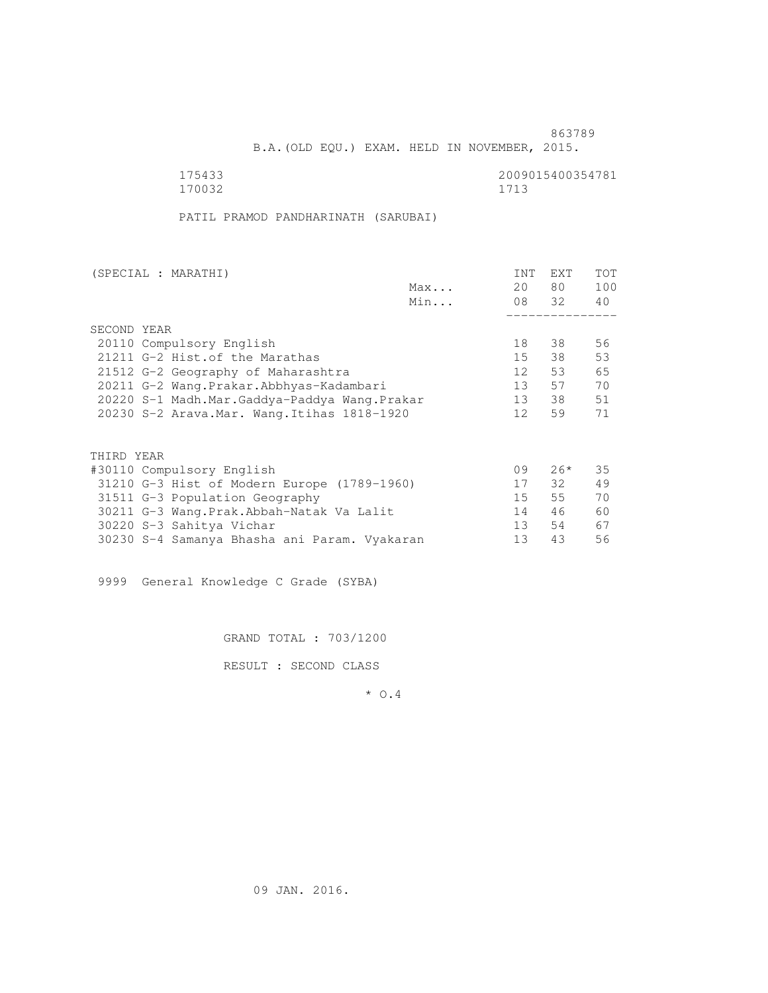B.A.(OLD EQU.) EXAM. HELD IN NOVEMBER, 2015.

 175433 2009015400354781 170032 1713

PATIL PRAMOD PANDHARINATH (SARUBAI)

| (SPECIAL : MARATHI)                          |     | INT             | EXT   | <b>TOT</b> |
|----------------------------------------------|-----|-----------------|-------|------------|
|                                              | Max | 20              | 80 —  | 100        |
|                                              | Min |                 | 08 32 | 40         |
|                                              |     |                 |       |            |
| SECOND YEAR                                  |     |                 |       |            |
| 20110 Compulsory English                     |     | 18              | 38    | 56         |
| 21211 G-2 Hist. of the Marathas              |     | 15              | 38    | 53         |
| 21512 G-2 Geography of Maharashtra           |     | 12              | 53    | 65         |
| 20211 G-2 Wang.Prakar.Abbhyas-Kadambari      |     | 13              | 57    | 70         |
| 20220 S-1 Madh.Mar.Gaddya-Paddya Wang.Prakar |     | 13              | 38    | 51         |
| 20230 S-2 Arava. Mar. Wang. Itihas 1818-1920 |     | 12 <sup>1</sup> | 59    | 71         |
|                                              |     |                 |       |            |
| THIRD YEAR                                   |     |                 |       |            |
| #30110 Compulsory English                    |     | 09              | $26*$ | 35         |
| 31210 G-3 Hist of Modern Europe (1789-1960)  |     | 17              | 32    | 49         |
| 31511 G-3 Population Geography               |     | 15              | 55    | 70         |
| 30211 G-3 Wang. Prak. Abbah-Natak Va Lalit   |     | 14              | 46    | 60         |
| 30220 S-3 Sahitya Vichar                     |     | 13 <sup>7</sup> | 54    | 67         |
| 30230 S-4 Samanya Bhasha ani Param. Vyakaran |     | 13              | 43    | 56         |

9999 General Knowledge C Grade (SYBA)

GRAND TOTAL : 703/1200

RESULT : SECOND CLASS

\* O.4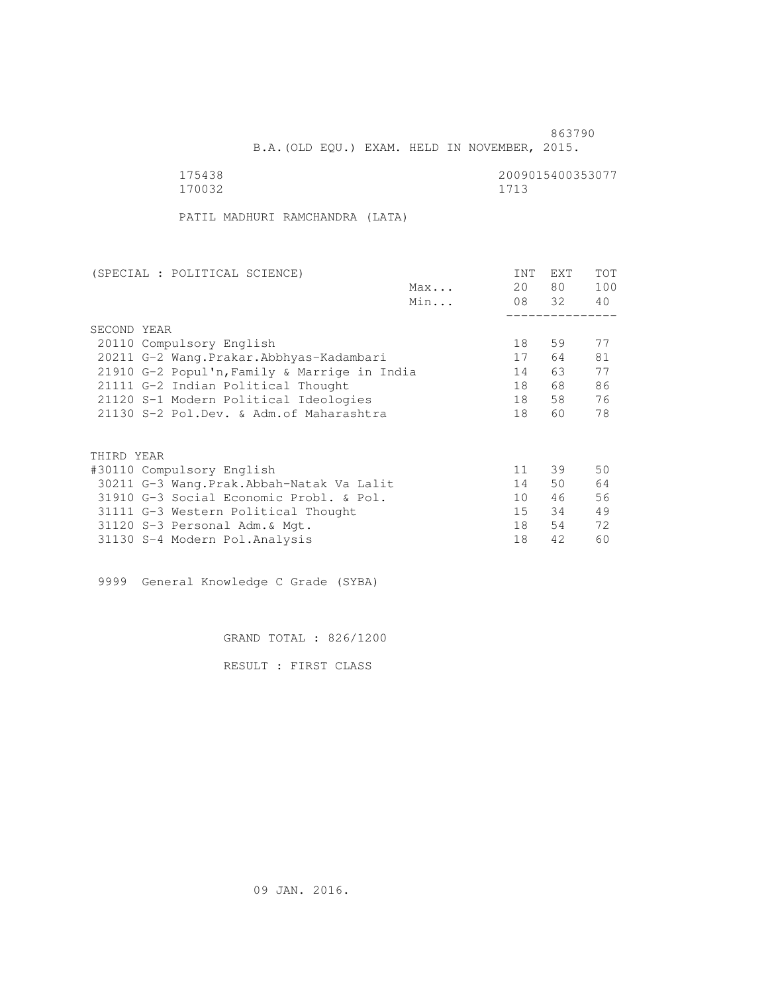B.A.(OLD EQU.) EXAM. HELD IN NOVEMBER, 2015.

170032 1713

175438 2009015400353077<br>170032 170032 1713

PATIL MADHURI RAMCHANDRA (LATA)

| (SPECIAL : POLITICAL SCIENCE)                |     | INT | <b>EXT</b> | TOT |
|----------------------------------------------|-----|-----|------------|-----|
|                                              | Max | 20  | 80         | 100 |
|                                              | Min |     | 08 32      | 40  |
|                                              |     |     |            |     |
| SECOND YEAR                                  |     |     |            |     |
| 20110 Compulsory English                     |     | 18  | 59         | 77  |
| 20211 G-2 Wang. Prakar. Abbhyas-Kadambari    |     | 17  | 64         | 81  |
| 21910 G-2 Popul'n, Family & Marrige in India |     | 14  | 63 —       | 77  |
| 21111 G-2 Indian Political Thought           |     | 18  | 68         | 86  |
| 21120 S-1 Modern Political Ideologies        |     | 18  | 58         | 76  |
| 21130 S-2 Pol.Dev. & Adm. of Maharashtra     |     | 18  | 60         | 78  |
|                                              |     |     |            |     |
|                                              |     |     |            |     |
| THIRD YEAR                                   |     |     |            |     |
| #30110 Compulsory English                    |     | 11  | 39         | 50  |
| 30211 G-3 Wang. Prak. Abbah-Natak Va Lalit   |     | 14  | 50         | 64  |
| 31910 G-3 Social Economic Probl. & Pol.      |     | 10  | 46         | 56  |
| 31111 G-3 Western Political Thought          |     | 15  | 34         | 49  |
| 31120 S-3 Personal Adm. & Mgt.               |     | 18  | 54         | 72  |
| 31130 S-4 Modern Pol.Analysis                |     | 18  | 42         | 60  |

9999 General Knowledge C Grade (SYBA)

GRAND TOTAL : 826/1200

RESULT : FIRST CLASS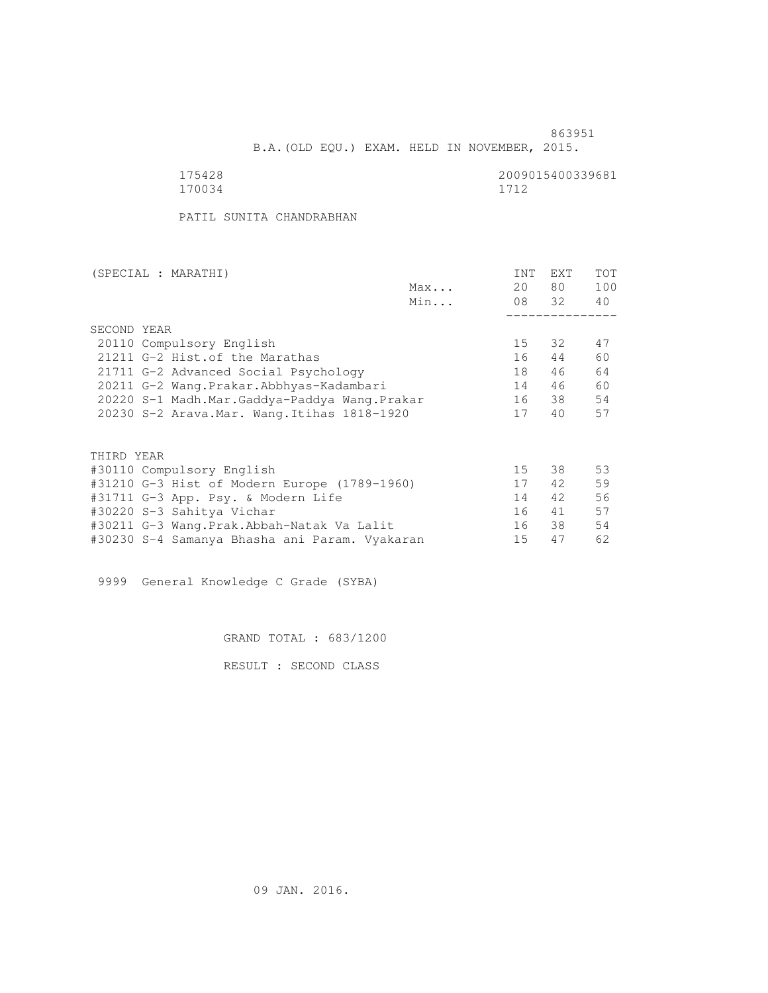B.A.(OLD EQU.) EXAM. HELD IN NOVEMBER, 2015.

175428 2009015400339681<br>170034 170034 1712 170034 1712

PATIL SUNITA CHANDRABHAN

| (SPECIAL : MARATHI)                           |     | INT | <b>EXT</b> | TOT |
|-----------------------------------------------|-----|-----|------------|-----|
|                                               | Max | 20  | 80         | 100 |
|                                               | Min |     | 08 32      | 40  |
|                                               |     |     |            |     |
| SECOND YEAR                                   |     |     |            |     |
| 20110 Compulsory English                      |     | 15  | 32         | 47  |
| 21211 G-2 Hist. of the Marathas               |     | 16  | 44         | 60  |
| 21711 G-2 Advanced Social Psychology          |     | 18  | 46         | 64  |
| 20211 G-2 Wang.Prakar.Abbhyas-Kadambari       |     | 14  | 46         | 60  |
| 20220 S-1 Madh.Mar.Gaddya-Paddya Wang.Prakar  |     | 16  | 38         | 54  |
| 20230 S-2 Arava. Mar. Wang. Itihas 1818-1920  |     | 17  | 40         | 57  |
| THIRD YEAR                                    |     |     |            |     |
| #30110 Compulsory English                     |     | 15  | 38         | 53  |
|                                               |     | 17  | 42         | 59  |
| #31210 G-3 Hist of Modern Europe (1789-1960)  |     |     |            |     |
| #31711 G-3 App. Psy. & Modern Life            |     | 14  | 42         | 56  |
| #30220 S-3 Sahitya Vichar                     |     | 16  | 41         | 57  |
| #30211 G-3 Wang.Prak.Abbah-Natak Va Lalit     |     | 16  | 38         | 54  |
| #30230 S-4 Samanya Bhasha ani Param. Vyakaran |     | 15  | 47         | 62  |

9999 General Knowledge C Grade (SYBA)

GRAND TOTAL : 683/1200

RESULT : SECOND CLASS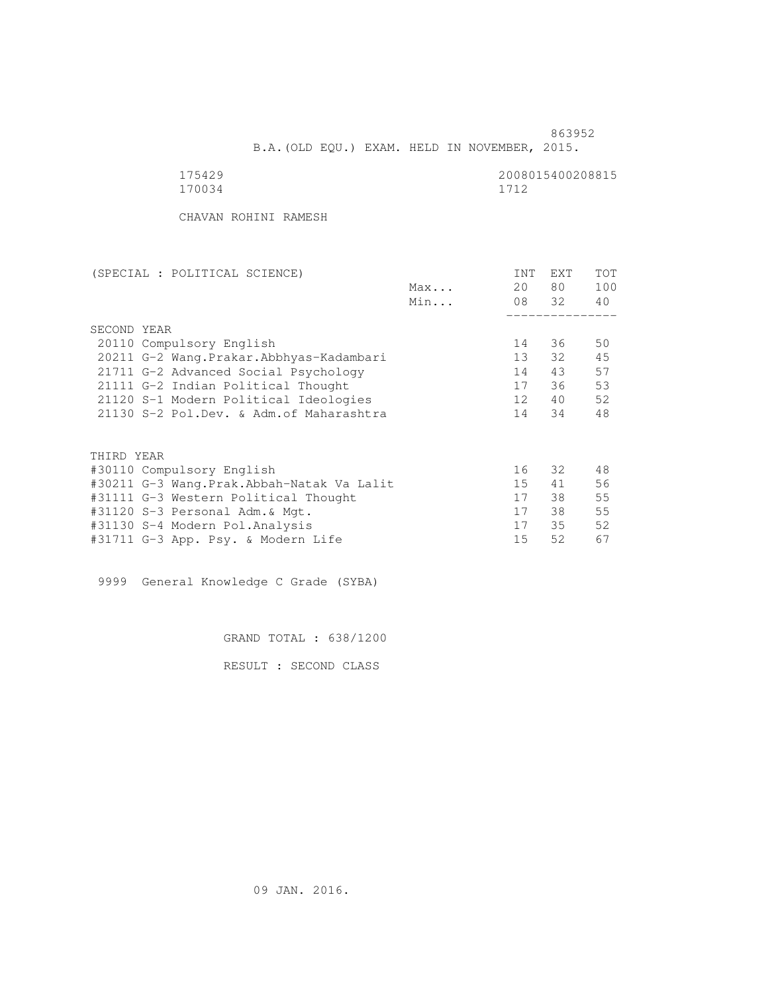B.A.(OLD EQU.) EXAM. HELD IN NOVEMBER, 2015.

170034 1712

175429<br>170034 170034<br>1712

CHAVAN ROHINI RAMESH

| (SPECIAL : POLITICAL SCIENCE)             |     | INT             | EXT   | TOT |
|-------------------------------------------|-----|-----------------|-------|-----|
|                                           | Max | 20              | 80 —  | 100 |
|                                           | Min |                 | 08 32 | 40  |
|                                           |     |                 |       |     |
| SECOND YEAR                               |     |                 |       |     |
| 20110 Compulsory English                  |     | 14              | 36    | 50  |
| 20211 G-2 Wang. Prakar. Abbhyas-Kadambari |     | 13 <sup>7</sup> | 32    | 45  |
| 21711 G-2 Advanced Social Psychology      |     | 14              | 43    | 57  |
| 21111 G-2 Indian Political Thought        |     | 17              | 36    | 53  |
| 21120 S-1 Modern Political Ideologies     |     | 12 <sup>7</sup> | 40    | 52  |
| 21130 S-2 Pol.Dev. & Adm.of Maharashtra   |     | 14              | 34    | 48  |
| THIRD YEAR                                |     |                 |       |     |
| #30110 Compulsory English                 |     | 16              | 32    | 48  |
| #30211 G-3 Wang.Prak.Abbah-Natak Va Lalit |     | 15              | 41    | 56  |
| #31111 G-3 Western Political Thought      |     | 17              | 38    | 55  |
| #31120 S-3 Personal Adm. & Mqt.           |     | 17              | 38    | 55  |
| #31130 S-4 Modern Pol.Analysis            |     | 17              | 35    | 52  |
| #31711 G-3 App. Psy. & Modern Life        |     | 15              | 52    | 67  |
|                                           |     |                 |       |     |

9999 General Knowledge C Grade (SYBA)

GRAND TOTAL : 638/1200

RESULT : SECOND CLASS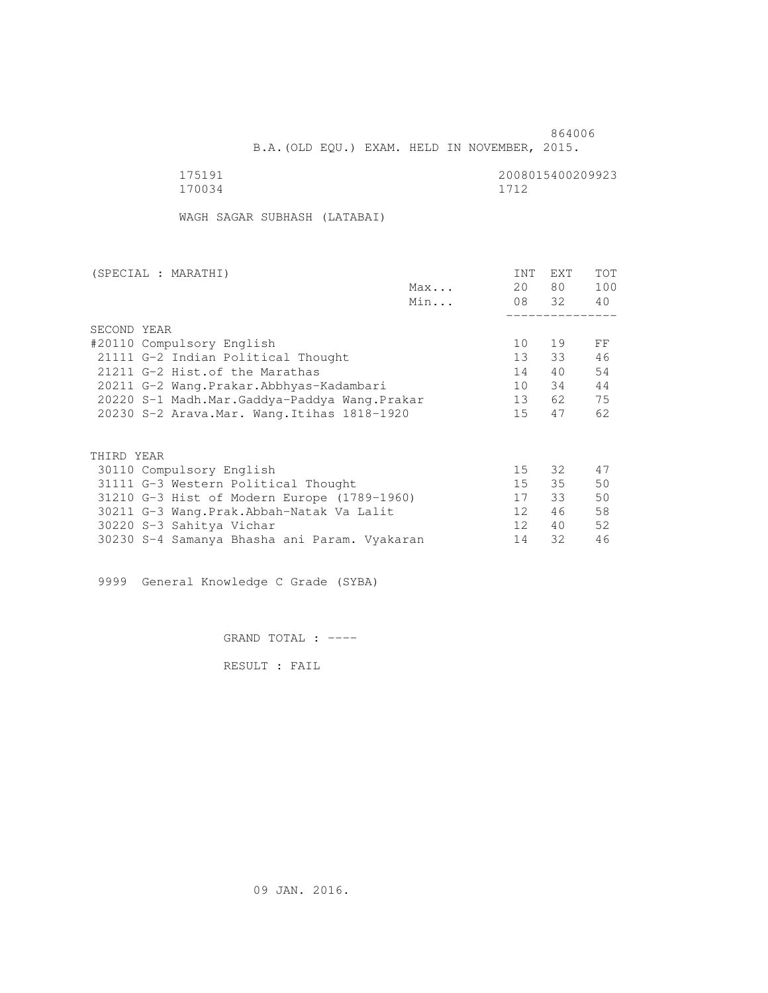B.A.(OLD EQU.) EXAM. HELD IN NOVEMBER, 2015.

175191<br>170034 170034 170034 170034 1712

WAGH SAGAR SUBHASH (LATABAI)

| (SPECIAL : MARATHI)                          |     | INT             | <b>EXT</b> | TOT |
|----------------------------------------------|-----|-----------------|------------|-----|
|                                              | Max | 20              | 80 —       | 100 |
|                                              | Min |                 | 08 32      | 40  |
|                                              |     |                 |            |     |
| SECOND YEAR                                  |     |                 |            |     |
| #20110 Compulsory English                    |     | 10              | 19         | FF  |
| 21111 G-2 Indian Political Thought           |     | 13 <sup>7</sup> | 33         | 46  |
| 21211 G-2 Hist. of the Marathas              |     | 14              | 40         | 54  |
| 20211 G-2 Wang.Prakar.Abbhyas-Kadambari      |     | 10              | 34         | 44  |
| 20220 S-1 Madh.Mar.Gaddya-Paddya Wang.Prakar |     | 13              | 62         | 75  |
| 20230 S-2 Arava. Mar. Wang. Itihas 1818-1920 |     | 15              | 47         | 62  |
|                                              |     |                 |            |     |
| THIRD YEAR                                   |     |                 |            |     |
|                                              |     |                 |            | 47  |
| 30110 Compulsory English                     |     | 15              | 32         |     |
| 31111 G-3 Western Political Thought          |     | 15              | 35         | 50  |
| 31210 G-3 Hist of Modern Europe (1789-1960)  |     | 17              | 33         | 50  |
| 30211 G-3 Wang.Prak.Abbah-Natak Va Lalit     |     | 12              | 46         | 58  |
| 30220 S-3 Sahitya Vichar                     |     | 12 <sup>1</sup> | 40         | 52  |
| 30230 S-4 Samanya Bhasha ani Param. Vyakaran |     | 14              | 32         | 46  |

9999 General Knowledge C Grade (SYBA)

GRAND TOTAL : ----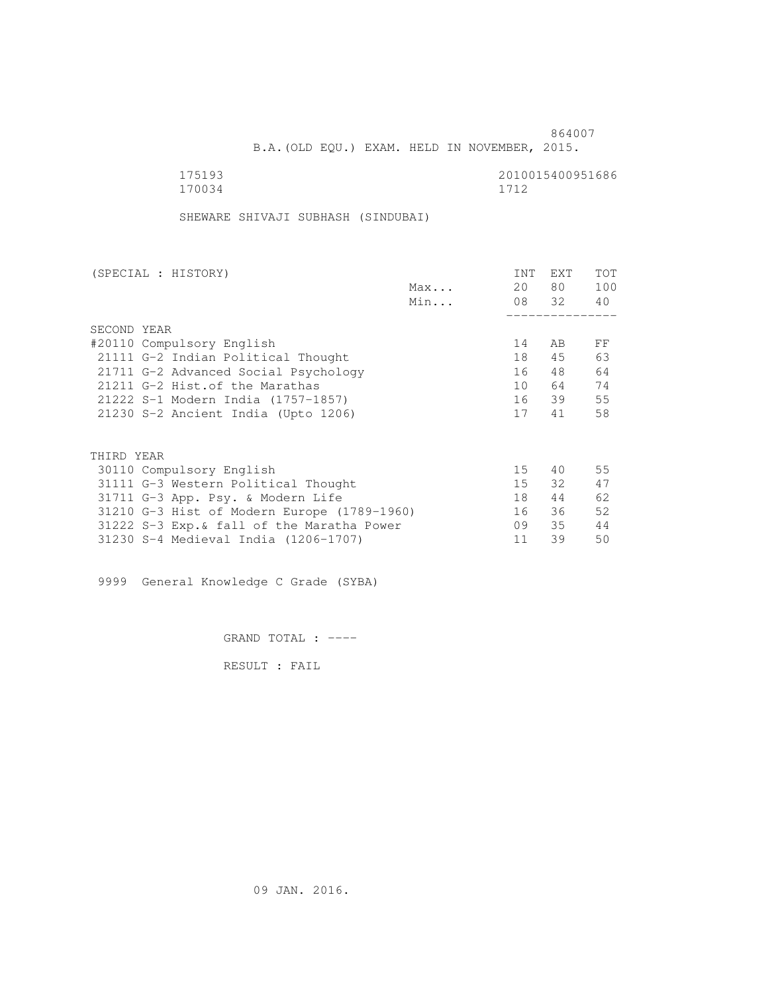B.A.(OLD EQU.) EXAM. HELD IN NOVEMBER, 2015.

175193<br>170034 170034 170034 170034 1712

SHEWARE SHIVAJI SUBHASH (SINDUBAI)

| (SPECIAL : HISTORY)                         |     | INT | EXT   | TOT |
|---------------------------------------------|-----|-----|-------|-----|
|                                             | Max | 20  | 80 —  | 100 |
|                                             | Min |     | 08 32 | 40  |
|                                             |     |     |       |     |
| SECOND YEAR                                 |     |     |       |     |
| #20110 Compulsory English                   |     | 14  | AB    | FF  |
| 21111 G-2 Indian Political Thought          |     | 18  | 45    | 63  |
| 21711 G-2 Advanced Social Psychology        |     | 16  | 48    | 64  |
| 21211 G-2 Hist. of the Marathas             |     | 10  | 64    | 74  |
| 21222 S-1 Modern India (1757-1857)          |     |     | 16 39 | 55  |
| 21230 S-2 Ancient India (Upto 1206)         |     | 17  | 41    | 58  |
|                                             |     |     |       |     |
| THIRD YEAR                                  |     |     |       |     |
| 30110 Compulsory English                    |     | 15  | 40    | 55  |
| 31111 G-3 Western Political Thought         |     | 15  | 32    | 47  |
| 31711 G-3 App. Psy. & Modern Life           |     | 18  | 44    | 62  |
| 31210 G-3 Hist of Modern Europe (1789-1960) |     | 16  | 36    | 52  |
| 31222 S-3 Exp. & fall of the Maratha Power  |     | 09  | 35    | 44  |
| 31230 S-4 Medieval India (1206-1707)        |     | 11  | 39    | 50  |
|                                             |     |     |       |     |

9999 General Knowledge C Grade (SYBA)

GRAND TOTAL : ----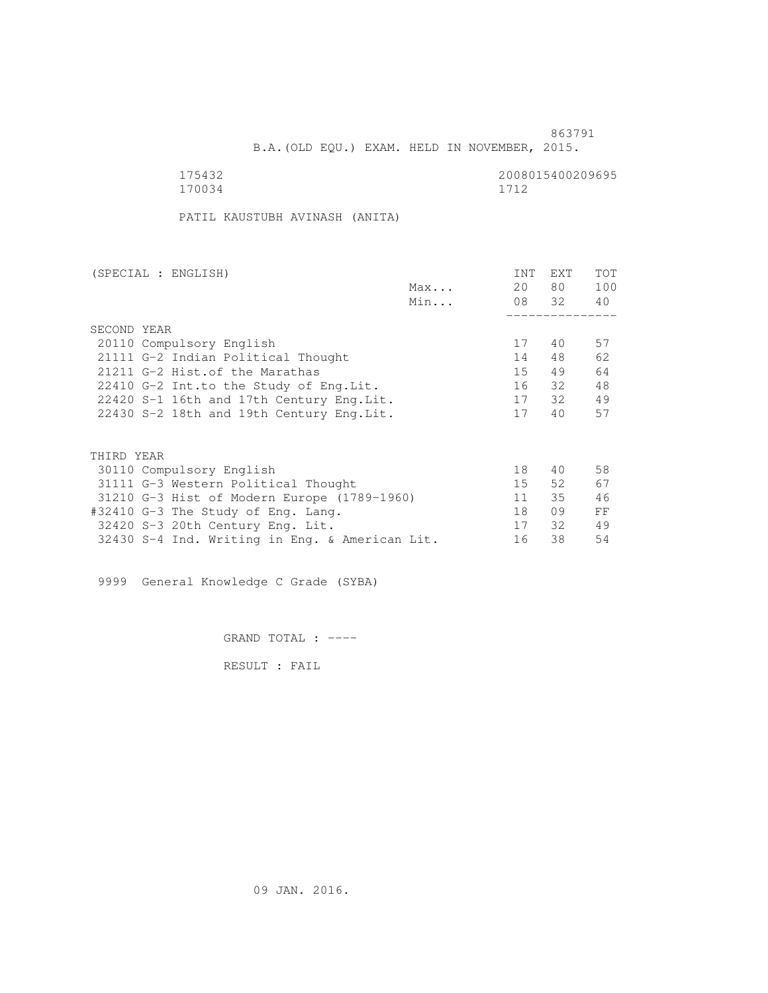B.A.(OLD EQU.) EXAM. HELD IN NOVEMBER, 2015.

170034 1712

175432 2008015400209695

PATIL KAUSTUBH AVINASH (ANITA)

| (SPECIAL : ENGLISH)                            |     | INT | EXT   | <b>TOT</b> |
|------------------------------------------------|-----|-----|-------|------------|
|                                                | Max | 20  | 80 —  | 100        |
|                                                | Min |     | 08 32 | 40         |
|                                                |     |     |       |            |
| SECOND YEAR                                    |     |     |       |            |
| 20110 Compulsory English                       |     | 17  | 40    | 57         |
| 21111 G-2 Indian Political Thought             |     | 14  | 48    | 62         |
| 21211 G-2 Hist. of the Marathas                |     | 15  | 49    | 64         |
| 22410 G-2 Int.to the Study of Eng.Lit.         |     | 16  | 32    | 48         |
| 22420 S-1 16th and 17th Century Eng.Lit.       |     | 17  | 32    | 49         |
| 22430 S-2 18th and 19th Century Eng. Lit.      |     | 17  | 40    | 57         |
| THIRD YEAR                                     |     |     |       |            |
| 30110 Compulsory English                       |     | 18  | 40    | 58         |
| 31111 G-3 Western Political Thought            |     | 15  | 52    | 67         |
| 31210 G-3 Hist of Modern Europe (1789-1960)    |     | 11  | 35    | 46         |
| #32410 G-3 The Study of Eng. Lang.             |     | 18  | 09    | FF         |
| 32420 S-3 20th Century Eng. Lit.               |     | 17  | 32    | 49         |
|                                                |     | 16  | 38    | 54         |
| 32430 S-4 Ind. Writing in Eng. & American Lit. |     |     |       |            |

9999 General Knowledge C Grade (SYBA)

GRAND TOTAL : ----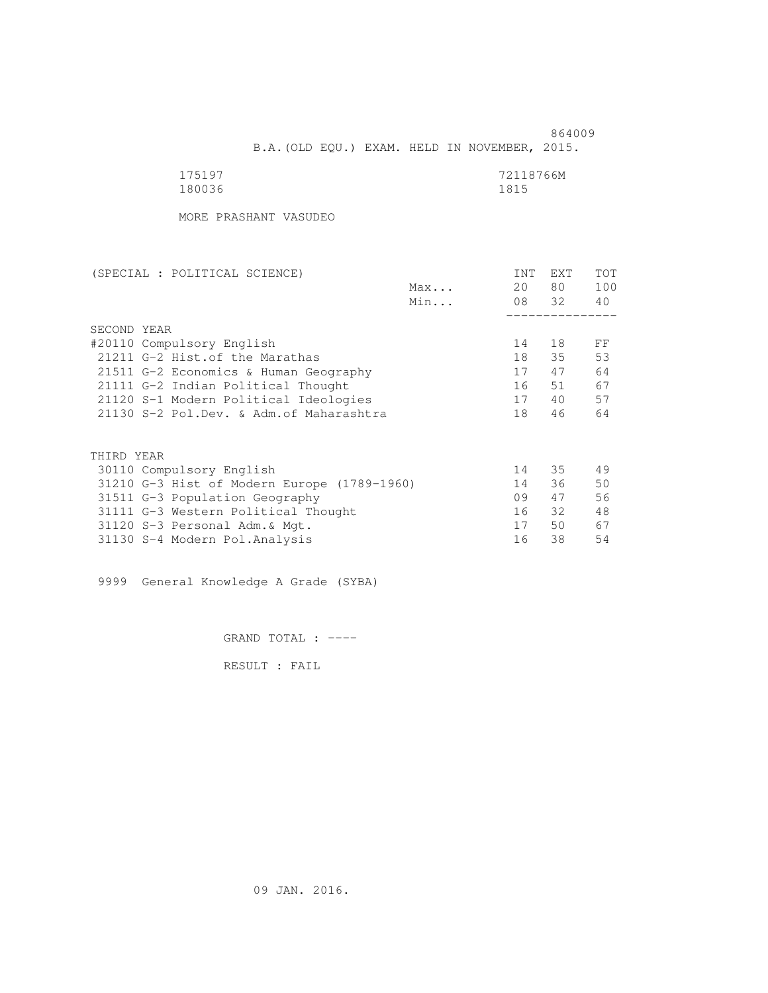| 175197 | 72118766M |
|--------|-----------|
| 180036 | 1815      |

MORE PRASHANT VASUDEO

| (SPECIAL : POLITICAL SCIENCE)               |     | INT | EXT   | TOT |
|---------------------------------------------|-----|-----|-------|-----|
|                                             | Max | 20  | 80    | 100 |
|                                             | Min |     | 08 32 | 40  |
|                                             |     |     |       |     |
| SECOND YEAR                                 |     |     |       |     |
| #20110 Compulsory English                   |     | 14  | 18    | FF  |
| 21211 G-2 Hist. of the Marathas             |     | 18  | 35    | 53  |
| 21511 G-2 Economics & Human Geography       |     | 17  | 47    | 64  |
| 21111 G-2 Indian Political Thought          |     | 16  | 51    | 67  |
| 21120 S-1 Modern Political Ideologies       |     | 17  | 40    | 57  |
| 21130 S-2 Pol.Dev. & Adm. of Maharashtra    |     | 18  | 46    | 64  |
|                                             |     |     |       |     |
| THIRD YEAR                                  |     |     |       |     |
| 30110 Compulsory English                    |     | 14  | 35    | 49  |
| 31210 G-3 Hist of Modern Europe (1789-1960) |     | 14  | 36    | 50  |
| 31511 G-3 Population Geography              |     | 09  | 47    | 56  |
| 31111 G-3 Western Political Thought         |     | 16  | 32    | 48  |
| 31120 S-3 Personal Adm. & Mgt.              |     | 17  | 50    | 67  |
| 31130 S-4 Modern Pol.Analysis               |     | 16  | 38    | 54  |

9999 General Knowledge A Grade (SYBA)

GRAND TOTAL : ----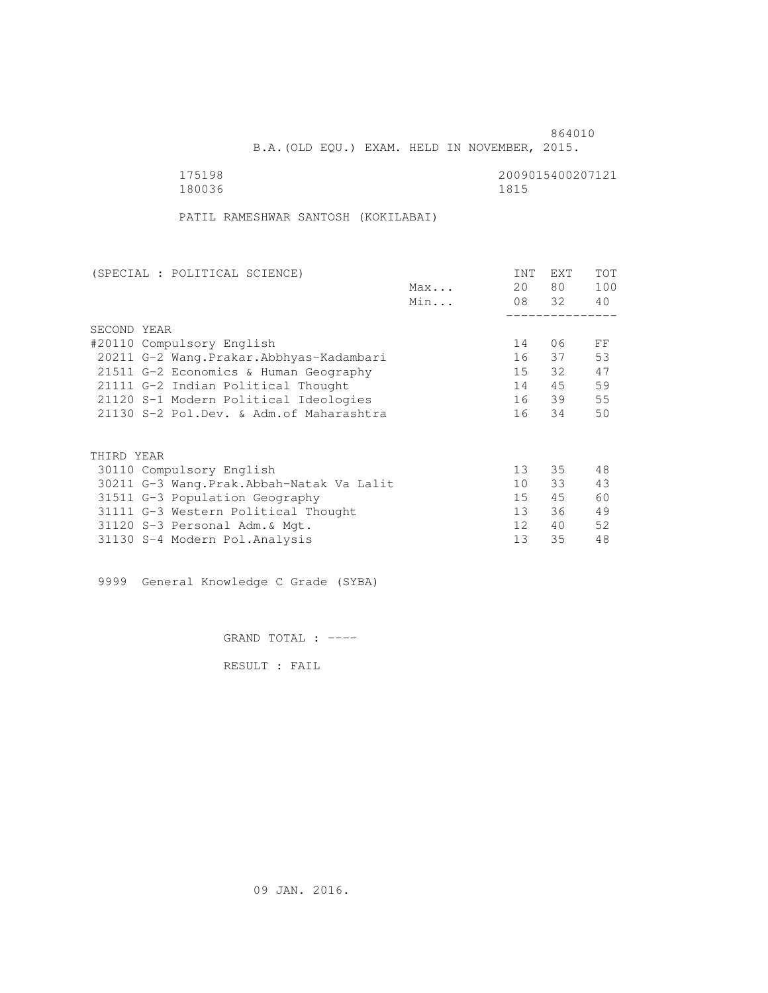B.A.(OLD EQU.) EXAM. HELD IN NOVEMBER, 2015.

 175198 2009015400207121 180036 1815

PATIL RAMESHWAR SANTOSH (KOKILABAI)

| (SPECIAL : POLITICAL SCIENCE)             |     | INT             | EXT   | TOT |
|-------------------------------------------|-----|-----------------|-------|-----|
|                                           | Max | 20              | 80    | 100 |
|                                           | Min |                 | 08 32 | 40  |
|                                           |     |                 |       |     |
| SECOND YEAR                               |     |                 |       |     |
| #20110 Compulsory English                 |     | 14              | 06    | FF  |
| 20211 G-2 Wang. Prakar. Abbhyas-Kadambari |     | 16              | 37    | 53  |
| 21511 G-2 Economics & Human Geography     |     | 15              | 32    | 47  |
| 21111 G-2 Indian Political Thought        |     | 14              | 45    | 59  |
| 21120 S-1 Modern Political Ideologies     |     | 16              | 39    | 55  |
| 21130 S-2 Pol.Dev. & Adm. of Maharashtra  |     | 16              | 34    | 50  |
|                                           |     |                 |       |     |
| THIRD YEAR                                |     |                 |       |     |
| 30110 Compulsory English                  |     | 13 <sup>°</sup> | 35    | 48  |
| 30211 G-3 Wang.Prak.Abbah-Natak Va Lalit  |     | 10              | 33    | 43  |
| 31511 G-3 Population Geography            |     | 15              | 45    | 60  |
| 31111 G-3 Western Political Thought       |     | 13 <sup>°</sup> | 36    | 49  |
| 31120 S-3 Personal Adm. & Mgt.            |     | 12 <sup>°</sup> | 40    | 52  |
| 31130 S-4 Modern Pol.Analysis             |     | 13              | 35    | 48  |

9999 General Knowledge C Grade (SYBA)

GRAND TOTAL : ----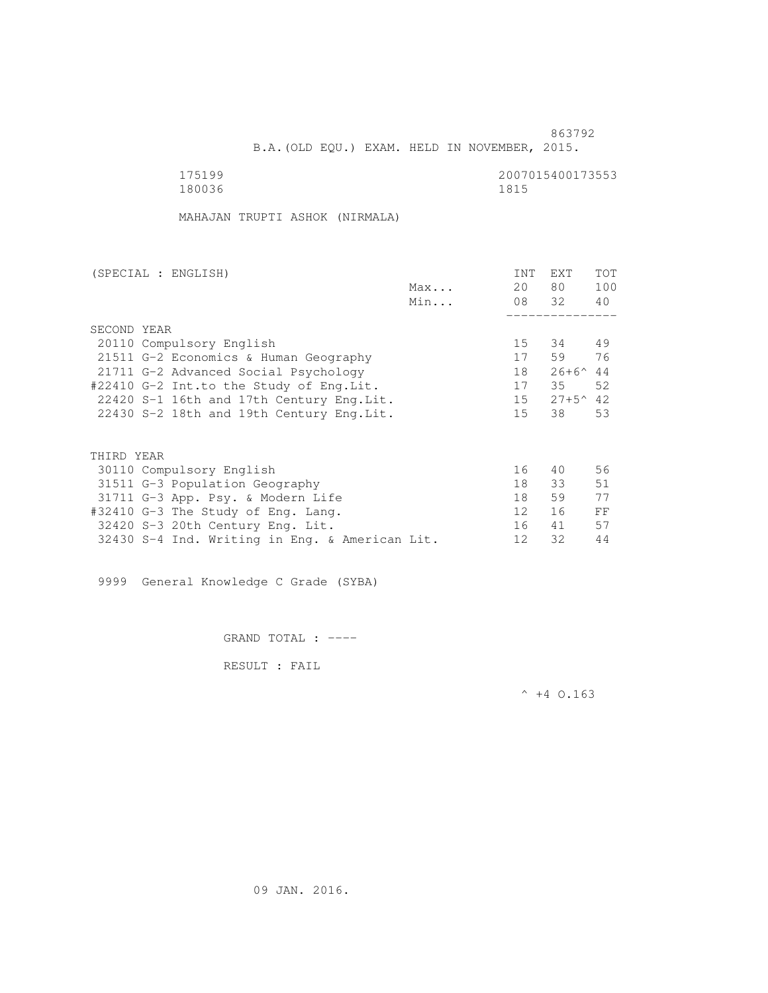B.A.(OLD EQU.) EXAM. HELD IN NOVEMBER, 2015.

 175199 2007015400173553 180036 1815

MAHAJAN TRUPTI ASHOK (NIRMALA)

| (SPECIAL : ENGLISH)                            |     | INT             | <b>EXT</b>        | TOT |
|------------------------------------------------|-----|-----------------|-------------------|-----|
|                                                | Max | 20              | 80                | 100 |
|                                                | Min |                 | 08 32             | 40  |
|                                                |     |                 |                   |     |
| SECOND YEAR                                    |     |                 |                   |     |
| 20110 Compulsory English                       |     | 15              | 34                | 49  |
| 21511 G-2 Economics & Human Geography          |     | 17              | 59                | 76  |
| 21711 G-2 Advanced Social Psychology           |     | 18              | $26+6^{\circ}$ 44 |     |
| #22410 G-2 Int.to the Study of Eng.Lit.        |     | 17              | 35                | 52  |
| 22420 S-1 16th and 17th Century Eng. Lit.      |     | 15              | $27+5^{\sim}42$   |     |
| 22430 S-2 18th and 19th Century Eng. Lit.      |     | 15              | 38                | 53  |
|                                                |     |                 |                   |     |
| THIRD YEAR                                     |     |                 |                   |     |
| 30110 Compulsory English                       |     | 16              | 40                | 56  |
| 31511 G-3 Population Geography                 |     | 18              | 33                | 51  |
| 31711 G-3 App. Psy. & Modern Life              |     | 18              | 59                | 77  |
| #32410 G-3 The Study of Eng. Lang.             |     | 12 <sup>°</sup> | 16                | FF  |
| 32420 S-3 20th Century Eng. Lit.               |     | 16              | 41                | 57  |
| 32430 S-4 Ind. Writing in Eng. & American Lit. |     | 12              | 32                | 44  |

9999 General Knowledge C Grade (SYBA)

GRAND TOTAL : ----

RESULT : FAIL

 $^{\wedge}$  +4 O.163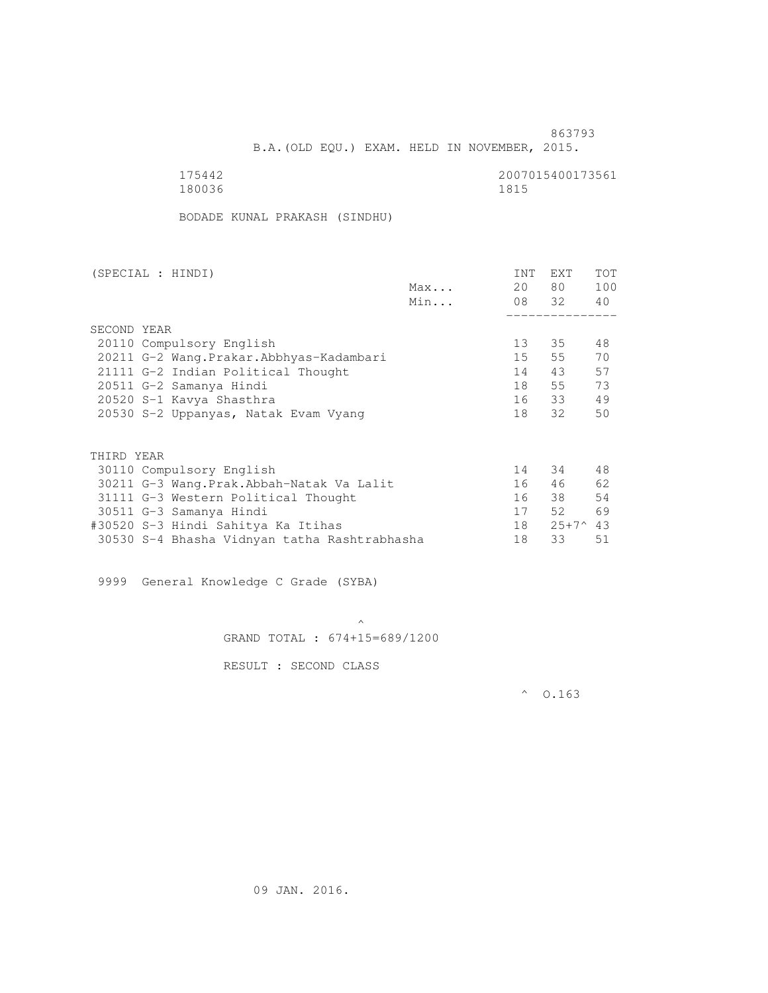B.A.(OLD EQU.) EXAM. HELD IN NOVEMBER, 2015.

| 175442 | 2007015400173561 |
|--------|------------------|
| 180036 | 1815             |

BODADE KUNAL PRAKASH (SINDHU)

| (SPECIAL : HINDI)                            |     | INT | <b>EXT</b>         | TOT |
|----------------------------------------------|-----|-----|--------------------|-----|
|                                              | Max | 20  | 80 —               | 100 |
|                                              | Min |     | 08 32              | 40  |
|                                              |     |     |                    |     |
| SECOND YEAR                                  |     |     |                    |     |
| 20110 Compulsory English                     |     | 13  | 35                 | 48  |
| 20211 G-2 Wang. Prakar. Abbhyas-Kadambari    |     | 15  | 55                 | 70  |
| 21111 G-2 Indian Political Thought           |     | 14  | 43                 | 57  |
| 20511 G-2 Samanya Hindi                      |     | 18  | 55                 | 73  |
| 20520 S-1 Kavya Shasthra                     |     |     | 16 33              | 49  |
| 20530 S-2 Uppanyas, Natak Evam Vyang         |     | 18  | 32                 | 50  |
|                                              |     |     |                    |     |
| THIRD YEAR                                   |     |     |                    |     |
| 30110 Compulsory English                     |     | 14  | 34                 | 48  |
| 30211 G-3 Wang.Prak.Abbah-Natak Va Lalit     |     | 16  | 46                 | 62  |
| 31111 G-3 Western Political Thought          |     | 16  | 38                 | 54  |
| 30511 G-3 Samanya Hindi                      |     | 17  | 52                 | 69  |
| #30520 S-3 Hindi Sahitya Ka Itihas           |     | 18  | $25+7^{\wedge}$ 43 |     |
| 30530 S-4 Bhasha Vidnyan tatha Rashtrabhasha |     | 18  | 33                 | 51  |
|                                              |     |     |                    |     |

9999 General Knowledge C Grade (SYBA)

 $\mathcal{A}$  and  $\mathcal{A}$  are the set of  $\mathcal{A}$ GRAND TOTAL : 674+15=689/1200

RESULT : SECOND CLASS

 $^{\circ}$  0.163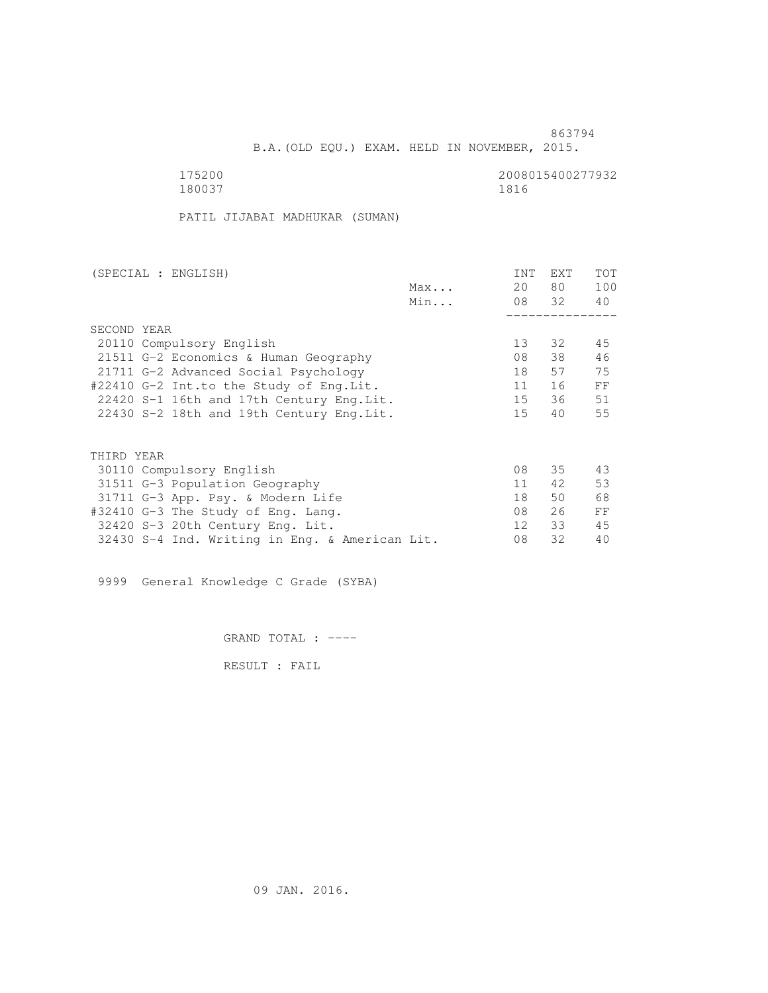B.A.(OLD EQU.) EXAM. HELD IN NOVEMBER, 2015.

 175200 2008015400277932 180037 1816

PATIL JIJABAI MADHUKAR (SUMAN)

| (SPECIAL : ENGLISH)                            | INT             | EXT   | <b>TOT</b> |
|------------------------------------------------|-----------------|-------|------------|
| Max                                            | 20              | 80 —  | 100        |
| Min                                            |                 | 08 32 | 40         |
|                                                |                 |       |            |
| SECOND YEAR                                    |                 |       |            |
| 20110 Compulsory English                       | 13 <sup>°</sup> | 32    | 45         |
| 21511 G-2 Economics & Human Geography          | 08              | 38    | 46         |
| 21711 G-2 Advanced Social Psychology           | 18              | 57    | 75         |
| #22410 G-2 Int.to the Study of Eng.Lit.        | 11              | 16    | FF         |
| 22420 S-1 16th and 17th Century Eng.Lit.       | 15              | - 36  | 51         |
| 22430 S-2 18th and 19th Century Eng. Lit.      | 15              | 40    | 55         |
| THIRD YEAR                                     |                 |       |            |
| 30110 Compulsory English                       | 08              | 35    | 43         |
|                                                | 11              | 42    | 53         |
| 31511 G-3 Population Geography                 |                 |       |            |
| 31711 G-3 App. Psy. & Modern Life              | 18              | 50    | 68         |
| #32410 G-3 The Study of Eng. Lang.             | 08              | 26    | FF         |
| 32420 S-3 20th Century Eng. Lit.               | 12 <sup>°</sup> | 33    | 45         |
| 32430 S-4 Ind. Writing in Eng. & American Lit. | 08              | 32    | 40         |

9999 General Knowledge C Grade (SYBA)

GRAND TOTAL : ----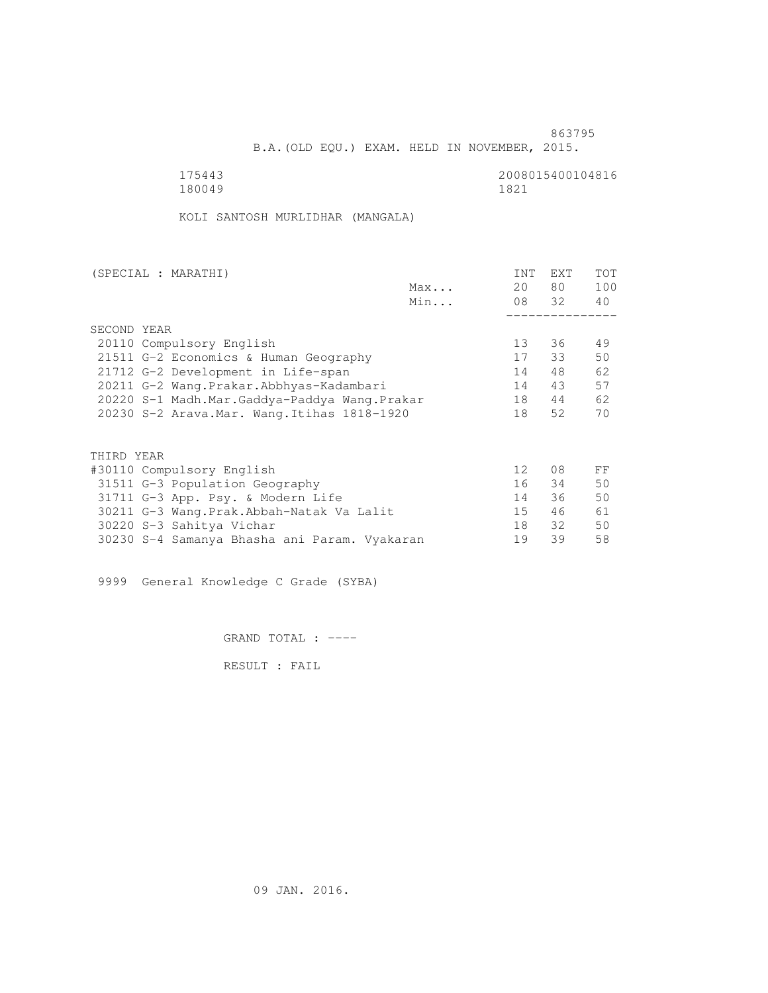B.A.(OLD EQU.) EXAM. HELD IN NOVEMBER, 2015.

 175443 2008015400104816 180049 1821

KOLI SANTOSH MURLIDHAR (MANGALA)

| (SPECIAL : MARATHI)                          |     | INT             | <b>EXT</b> | TOT |
|----------------------------------------------|-----|-----------------|------------|-----|
|                                              | Max | 20              | 80 —       | 100 |
|                                              | Min |                 | 08 32      | 40  |
|                                              |     |                 |            |     |
| SECOND YEAR                                  |     |                 |            |     |
| 20110 Compulsory English                     |     | 13              | 36         | 49  |
| 21511 G-2 Economics & Human Geography        |     | 17              | 33         | 50  |
| 21712 G-2 Development in Life-span           |     | 14              | 48         | 62  |
| 20211 G-2 Wang.Prakar.Abbhyas-Kadambari      |     | 14              | 43         | 57  |
| 20220 S-1 Madh.Mar.Gaddya-Paddya Wang.Prakar |     | 18              | 44         | 62  |
| 20230 S-2 Arava. Mar. Wang. Itihas 1818-1920 |     | 18              | 52         | 70  |
|                                              |     |                 |            |     |
| THIRD YEAR                                   |     |                 |            |     |
| #30110 Compulsory English                    |     | 12 <sup>°</sup> | 08         | FF  |
| 31511 G-3 Population Geography               |     | 16              | 34         | 50  |
|                                              |     | 14              | 36         | 50  |
| 31711 G-3 App. Psy. & Modern Life            |     |                 |            |     |
| 30211 G-3 Wang.Prak.Abbah-Natak Va Lalit     |     | 15              | 46         | 61  |
| 30220 S-3 Sahitya Vichar                     |     | 18              | 32         | 50  |
| 30230 S-4 Samanya Bhasha ani Param. Vyakaran |     | 19              | 39         | 58  |

9999 General Knowledge C Grade (SYBA)

GRAND TOTAL : ----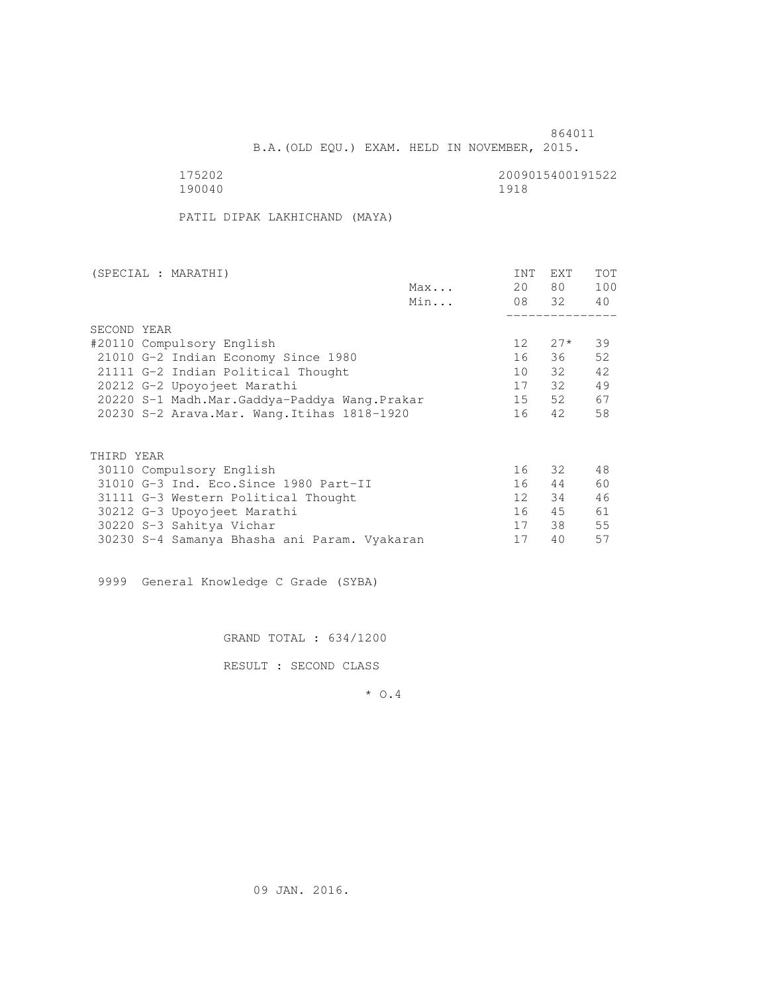B.A.(OLD EQU.) EXAM. HELD IN NOVEMBER, 2015.

 175202 2009015400191522 190040 1918

PATIL DIPAK LAKHICHAND (MAYA)

| (SPECIAL : MARATHI)                          |     | INT             | <b>EXT</b> | TOT |
|----------------------------------------------|-----|-----------------|------------|-----|
|                                              | Max | 20              | 80 —       | 100 |
|                                              | Min |                 | 08 32      | 40  |
|                                              |     |                 |            |     |
| SECOND YEAR                                  |     |                 |            |     |
| #20110 Compulsory English                    |     | 12              | $27*$      | 39  |
| 21010 G-2 Indian Economy Since 1980          |     | 16              | 36         | 52  |
| 21111 G-2 Indian Political Thought           |     | 10              | 32         | 42  |
| 20212 G-2 Upoyojeet Marathi                  |     | 17              | 32         | 49  |
| 20220 S-1 Madh.Mar.Gaddya-Paddya Wang.Prakar |     | 15              | 52         | 67  |
| 20230 S-2 Arava. Mar. Wang. Itihas 1818-1920 |     | 16              | 42         | 58  |
|                                              |     |                 |            |     |
|                                              |     |                 |            |     |
| THIRD YEAR                                   |     |                 |            |     |
| 30110 Compulsory English                     |     | 16              | 32         | 48  |
| 31010 G-3 Ind. Eco. Since 1980 Part-II       |     | 16              | 44         | 60  |
| 31111 G-3 Western Political Thought          |     | 12 <sup>°</sup> | 34         | 46  |
| 30212 G-3 Upoyojeet Marathi                  |     | 16              | 45         | 61  |
| 30220 S-3 Sahitya Vichar                     |     | 17              | 38         | 55  |
| 30230 S-4 Samanya Bhasha ani Param. Vyakaran |     | 17              | 40         | 57  |

9999 General Knowledge C Grade (SYBA)

GRAND TOTAL : 634/1200

RESULT : SECOND CLASS

\* O.4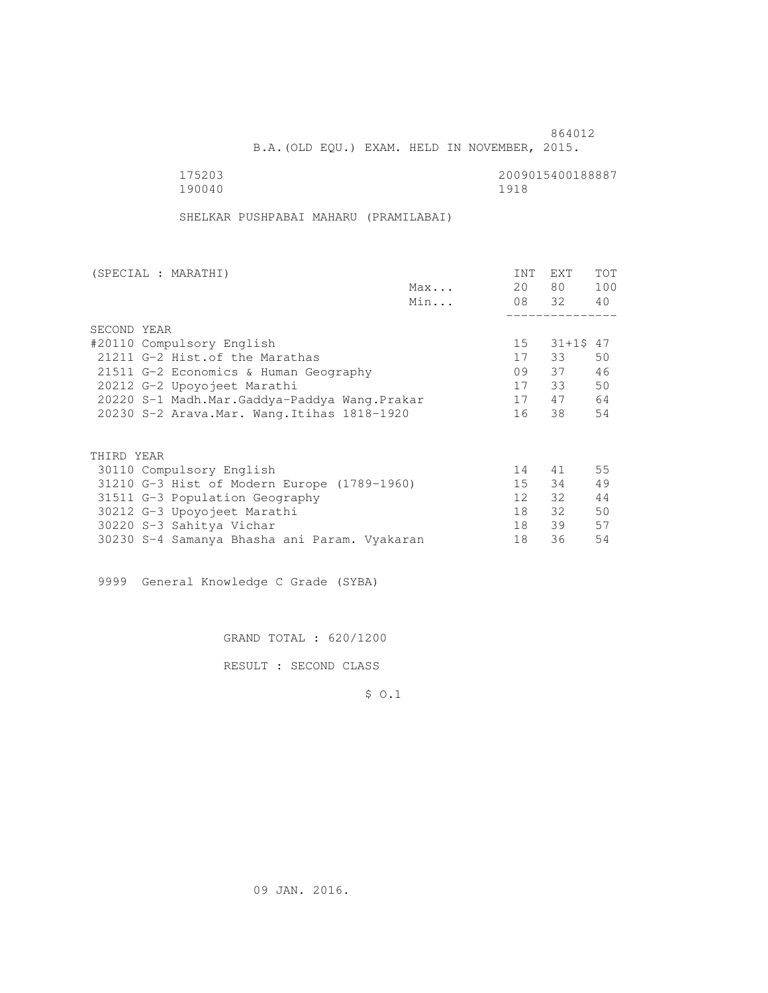B.A.(OLD EQU.) EXAM. HELD IN NOVEMBER, 2015.

190040 1918

175203 2009015400188887

SHELKAR PUSHPABAI MAHARU (PRAMILABAI)

| (SPECIAL : MARATHI)                          |     | INT             | EXT       | <b>TOT</b> |
|----------------------------------------------|-----|-----------------|-----------|------------|
|                                              | Max | 20              | 80 —      | 100        |
|                                              | Min |                 | 08 32 40  |            |
|                                              |     |                 |           |            |
| SECOND YEAR                                  |     |                 |           |            |
| #20110 Compulsory English                    |     | 15              | 31+1\$ 47 |            |
| 21211 G-2 Hist. of the Marathas              |     | 17              | 33        | 50         |
| 21511 G-2 Economics & Human Geography        |     | 09              | 37        | 46         |
| 20212 G-2 Upoyojeet Marathi                  |     | 17              | 33        | 50         |
| 20220 S-1 Madh.Mar.Gaddya-Paddya Wang.Prakar |     | 17              | 47        | 64         |
| 20230 S-2 Arava. Mar. Wang. Itihas 1818-1920 |     | 16              | 38        | 54         |
|                                              |     |                 |           |            |
| THIRD YEAR                                   |     |                 |           |            |
| 30110 Compulsory English                     |     | 14              | 41        | 55         |
| 31210 G-3 Hist of Modern Europe (1789-1960)  |     | 15              | 34        | 49         |
| 31511 G-3 Population Geography               |     | 12 <sup>1</sup> | 32        | 44         |
| 30212 G-3 Upoyojeet Marathi                  |     | 18              | 32        | 50         |
| 30220 S-3 Sahitya Vichar                     |     | 18              | 39        | 57         |
| 30230 S-4 Samanya Bhasha ani Param. Vyakaran |     | 18              | 36        | 54         |

9999 General Knowledge C Grade (SYBA)

GRAND TOTAL : 620/1200

RESULT : SECOND CLASS

\$ O.1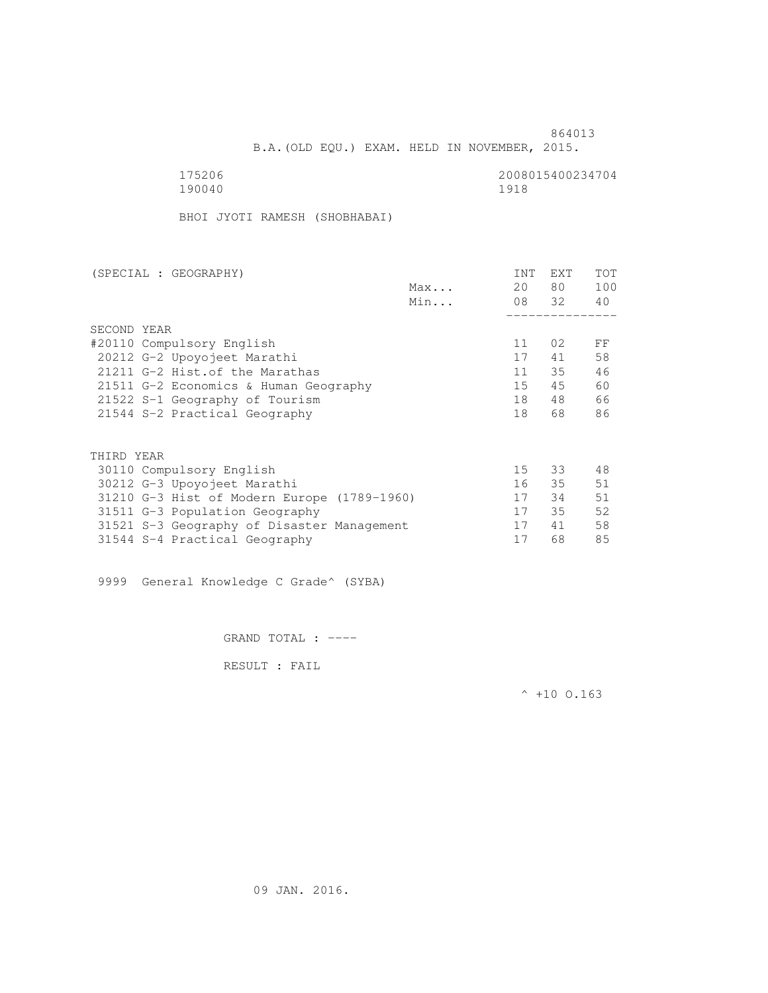175206 2008015400234704 190040 1918

BHOI JYOTI RAMESH (SHOBHABAI)

| (SPECIAL : GEOGRAPHY)                       |     | <b>INT</b>      | <b>EXT</b> | TOT |
|---------------------------------------------|-----|-----------------|------------|-----|
|                                             | Max | 20              | 80 —       | 100 |
|                                             | Min |                 | 08 32      | 40  |
|                                             |     |                 |            |     |
| SECOND YEAR                                 |     |                 |            |     |
| #20110 Compulsory English                   |     | 11              | 02         | FF  |
| 20212 G-2 Upoyojeet Marathi                 |     | 17              | 41         | 58  |
| 21211 G-2 Hist. of the Marathas             |     | 11              | 35         | 46  |
| 21511 G-2 Economics & Human Geography       |     | 15              | 45         | 60  |
| 21522 S-1 Geography of Tourism              |     | 18              | 48         | 66  |
| 21544 S-2 Practical Geography               |     | 18              | 68         | 86  |
|                                             |     |                 |            |     |
| THIRD YEAR                                  |     |                 |            |     |
| 30110 Compulsory English                    |     | 15 <sub>1</sub> | 33         | 48  |
| 30212 G-3 Upoyojeet Marathi                 |     |                 | 16 35      | 51  |
| 31210 G-3 Hist of Modern Europe (1789-1960) |     | 17              | 34         | 51  |
| 31511 G-3 Population Geography              |     | 17              | 35         | 52  |
| 31521 S-3 Geography of Disaster Management  |     | 17              | 41         | 58  |
| 31544 S-4 Practical Geography               |     | 17              | 68         | 85  |
|                                             |     |                 |            |     |

9999 General Knowledge C Grade^ (SYBA)

GRAND TOTAL : ----

RESULT : FAIL

 $^{\wedge}$  +10 O.163

864013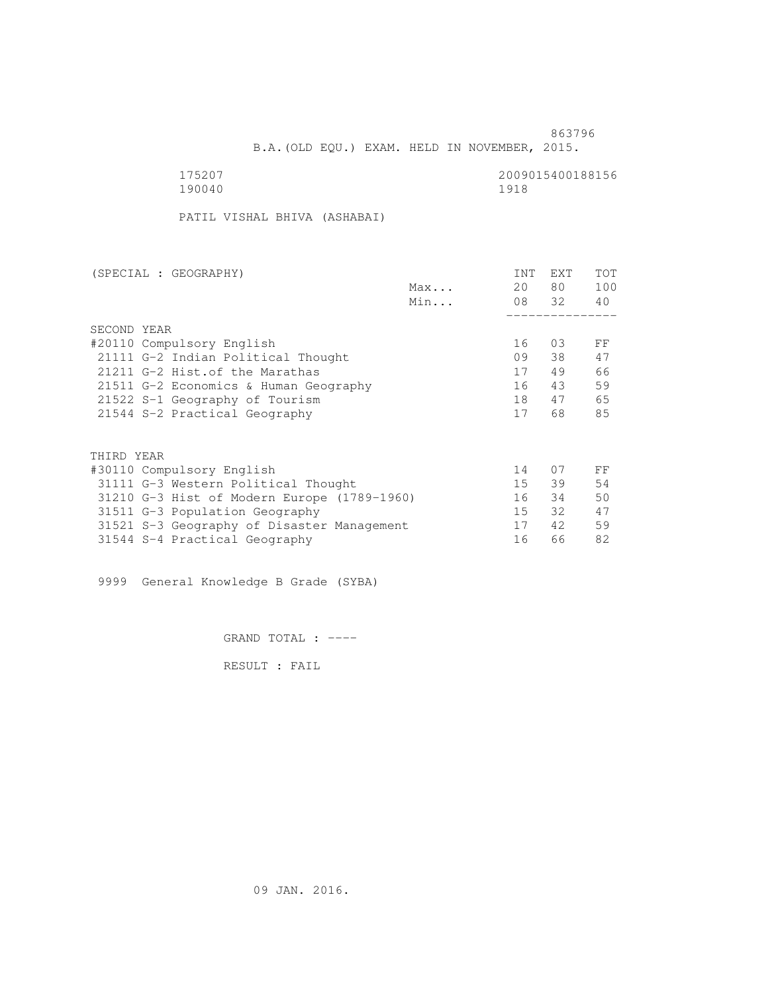B.A.(OLD EQU.) EXAM. HELD IN NOVEMBER, 2015.

 175207 2009015400188156 190040 1918

PATIL VISHAL BHIVA (ASHABAI)

| (SPECIAL : GEOGRAPHY)                       | INT | <b>EXT</b> | <b>TOT</b> |
|---------------------------------------------|-----|------------|------------|
| Max                                         | 20  | 80         | 100        |
| Min                                         |     | 08 32      | 40         |
|                                             |     |            |            |
| SECOND YEAR                                 |     |            |            |
| #20110 Compulsory English                   | 16  | 03         | FF         |
| 21111 G-2 Indian Political Thought          | 09  | 38         | 47         |
| 21211 G-2 Hist. of the Marathas             | 17  | 49         | 66         |
| 21511 G-2 Economics & Human Geography       | 16  | 43         | 59         |
| 21522 S-1 Geography of Tourism              | 18  | 47         | 65         |
| 21544 S-2 Practical Geography               | 17  | 68         | 85         |
| THIRD YEAR                                  |     |            |            |
| #30110 Compulsory English                   | 14  | 07         | FF         |
|                                             |     |            | 54         |
| 31111 G-3 Western Political Thought         | 15  | 39         |            |
| 31210 G-3 Hist of Modern Europe (1789-1960) | 16  | 34         | 50         |
| 31511 G-3 Population Geography              | 15  | 32         | 47         |
| 31521 S-3 Geography of Disaster Management  | 17  | 42         | 59         |
| 31544 S-4 Practical Geography               | 16  | 66         | 82         |

9999 General Knowledge B Grade (SYBA)

GRAND TOTAL : ----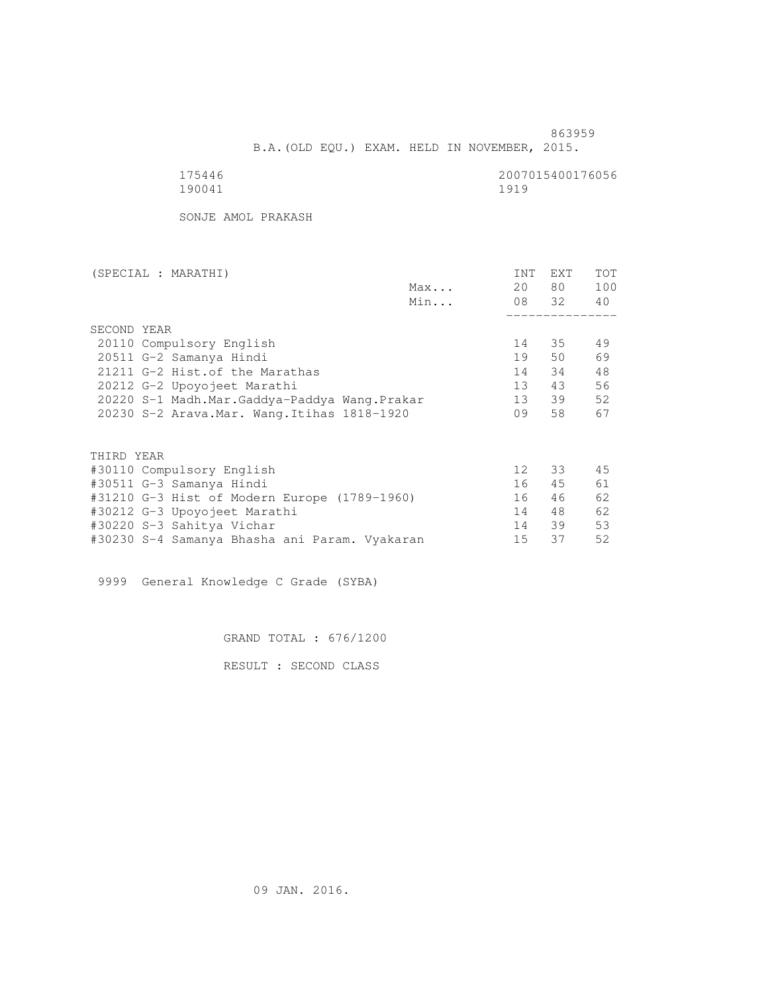B.A.(OLD EQU.) EXAM. HELD IN NOVEMBER, 2015.

| 175446 | 2007015400176056 |
|--------|------------------|
| 190041 | 1919             |

SONJE AMOL PRAKASH

|                                              | (SPECIAL : MARATHI)                           |  |    |     | INT             | EXT      | <b>TOT</b> |
|----------------------------------------------|-----------------------------------------------|--|----|-----|-----------------|----------|------------|
|                                              |                                               |  |    | Max | 20              | 80 —     | 100        |
|                                              |                                               |  |    | Min |                 | 08 32 40 |            |
|                                              |                                               |  |    |     |                 |          |            |
|                                              | SECOND YEAR                                   |  |    |     |                 |          |            |
|                                              | 20110 Compulsory English                      |  |    |     | 14              | 35       | 49         |
|                                              | 20511 G-2 Samanya Hindi                       |  |    |     | 19              | 50       | 69         |
| 21211 G-2 Hist. of the Marathas              |                                               |  |    |     | 14              | 34       | 48         |
|                                              | 20212 G-2 Upoyojeet Marathi                   |  |    |     | 13 <sup>7</sup> | 43       | 56         |
|                                              | 20220 S-1 Madh.Mar.Gaddya-Paddya Wang.Prakar  |  |    |     | 13              | 39       | 52         |
| 20230 S-2 Arava. Mar. Wang. Itihas 1818-1920 |                                               |  | 09 | 58  | 67              |          |            |
|                                              |                                               |  |    |     |                 |          |            |
|                                              | THIRD YEAR                                    |  |    |     |                 |          |            |
|                                              | #30110 Compulsory English                     |  |    |     | 12 <sup>°</sup> | 33       | 45         |
|                                              | #30511 G-3 Samanya Hindi                      |  |    |     | 16              | 45       | 61         |
|                                              | #31210 G-3 Hist of Modern Europe (1789-1960)  |  |    |     | 16              | 46       | 62         |
|                                              | #30212 G-3 Upoyojeet Marathi                  |  |    |     | 14              | 48       | 62         |
|                                              | #30220 S-3 Sahitya Vichar                     |  |    |     | 14              | 39       | 53         |
|                                              | #30230 S-4 Samanya Bhasha ani Param. Vyakaran |  |    |     | 15              | 37       | 52         |
|                                              |                                               |  |    |     |                 |          |            |

9999 General Knowledge C Grade (SYBA)

GRAND TOTAL : 676/1200

RESULT : SECOND CLASS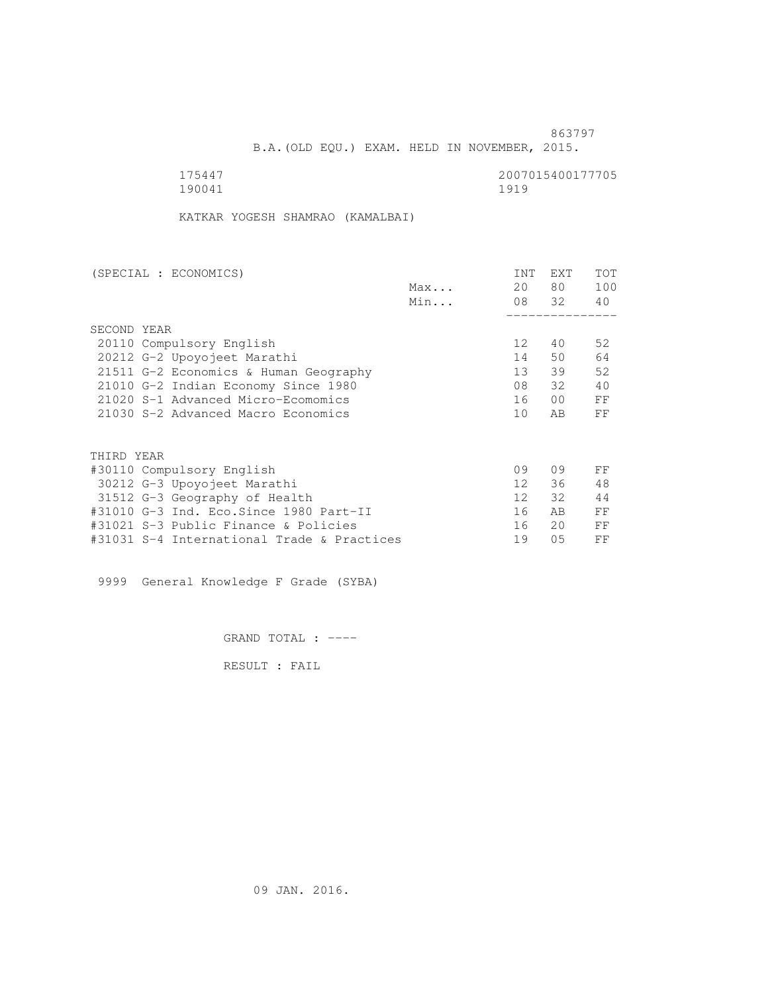B.A.(OLD EQU.) EXAM. HELD IN NOVEMBER, 2015.

 175447 2007015400177705 190041 1919

KATKAR YOGESH SHAMRAO (KAMALBAI)

| (SPECIAL : ECONOMICS)                      |     | <b>INT</b>      | <b>EXT</b>      | TOT |
|--------------------------------------------|-----|-----------------|-----------------|-----|
|                                            | Max | 20              | 80 —            | 100 |
|                                            | Min |                 | 08 32           | 40  |
|                                            |     |                 |                 |     |
| SECOND YEAR                                |     |                 |                 |     |
| 20110 Compulsory English                   |     | 12 <sup>°</sup> | 40              | 52  |
| 20212 G-2 Upoyojeet Marathi                |     | 14              | 50              | 64  |
| 21511 G-2 Economics & Human Geography      |     | 13              | 39              | 52  |
| 21010 G-2 Indian Economy Since 1980        |     | 08              | 32              | 40  |
| 21020 S-1 Advanced Micro-Ecomomics         |     | 16              | 00 <sup>o</sup> | FF  |
| 21030 S-2 Advanced Macro Economics         |     | 10              | AB              | FF  |
| THIRD YEAR                                 |     |                 |                 |     |
| #30110 Compulsory English                  |     | 09              | 09              | FF  |
| 30212 G-3 Upoyojeet Marathi                |     | 12 <sup>1</sup> | 36              | 48  |
|                                            |     | 12 <sup>°</sup> | 32              | 44  |
| 31512 G-3 Geography of Health              |     | 16              | AB              | FF  |
| #31010 G-3 Ind. Eco.Since 1980 Part-II     |     |                 |                 |     |
| #31021 S-3 Public Finance & Policies       |     | 16              | 20              | FF  |
| #31031 S-4 International Trade & Practices |     | 19              | 05              | FF  |

9999 General Knowledge F Grade (SYBA)

GRAND TOTAL : ----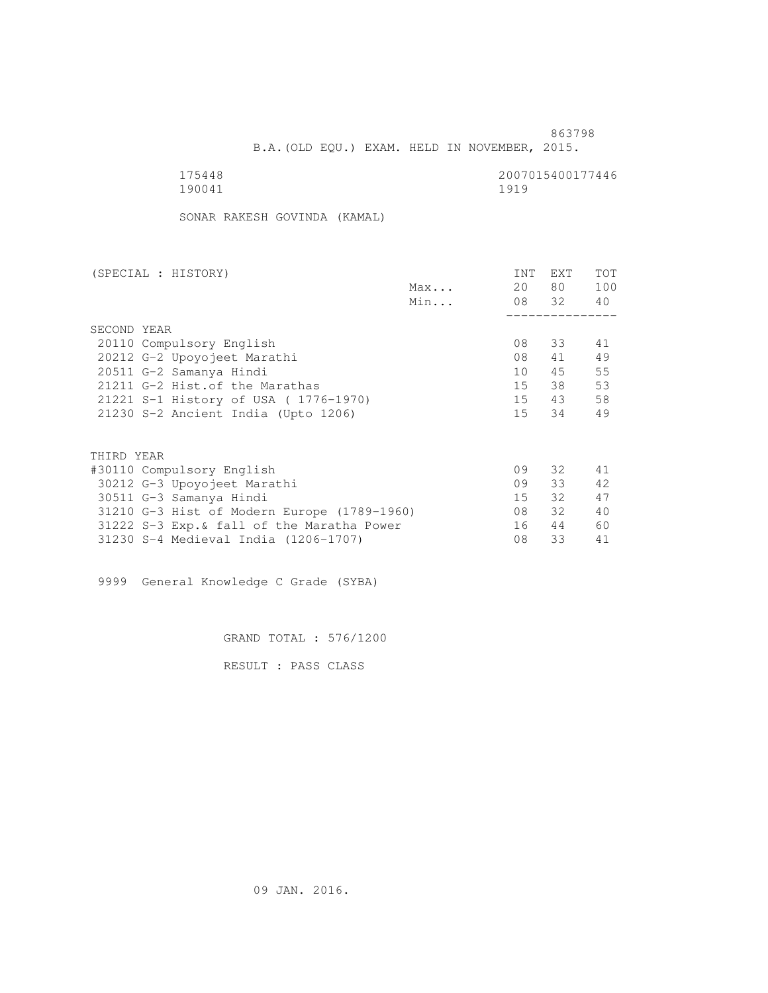B.A.(OLD EQU.) EXAM. HELD IN NOVEMBER, 2015.

190041 1919

175448 2007015400177446

SONAR RAKESH GOVINDA (KAMAL)

| (SPECIAL : HISTORY)       |                                             |     | INT | EXT      | <b>TOT</b> |
|---------------------------|---------------------------------------------|-----|-----|----------|------------|
|                           |                                             | Max | 20  | 80 —     | 100        |
|                           |                                             | Min |     | 08 32 40 |            |
|                           |                                             |     |     |          |            |
| SECOND YEAR               |                                             |     |     |          |            |
| 20110 Compulsory English  |                                             |     | 08  | 33       | 41         |
|                           | 20212 G-2 Upoyojeet Marathi                 |     | 08  | 41       | 49         |
| 20511 G-2 Samanya Hindi   |                                             |     | 10  | 45       | 55         |
|                           | 21211 G-2 Hist. of the Marathas             |     | 15  | 38       | 53         |
|                           | 21221 S-1 History of USA (1776-1970)        |     |     | 15 43    | 58         |
|                           | 21230 S-2 Ancient India (Upto 1206)         |     |     | 15 34    | 49         |
|                           |                                             |     |     |          |            |
| THIRD YEAR                |                                             |     |     |          |            |
| #30110 Compulsory English |                                             |     | 09  | 32       | 41         |
|                           | 30212 G-3 Upoyojeet Marathi                 |     | 09  | 33       | 42         |
| 30511 G-3 Samanya Hindi   |                                             |     | 15  | 32       | 47         |
|                           | 31210 G-3 Hist of Modern Europe (1789-1960) |     | 08  | 32       | 40         |
|                           | 31222 S-3 Exp. & fall of the Maratha Power  |     | 16  | 44       | 60         |
|                           | 31230 S-4 Medieval India (1206-1707)        |     | 08  | 33       | 41         |

9999 General Knowledge C Grade (SYBA)

GRAND TOTAL : 576/1200

RESULT : PASS CLASS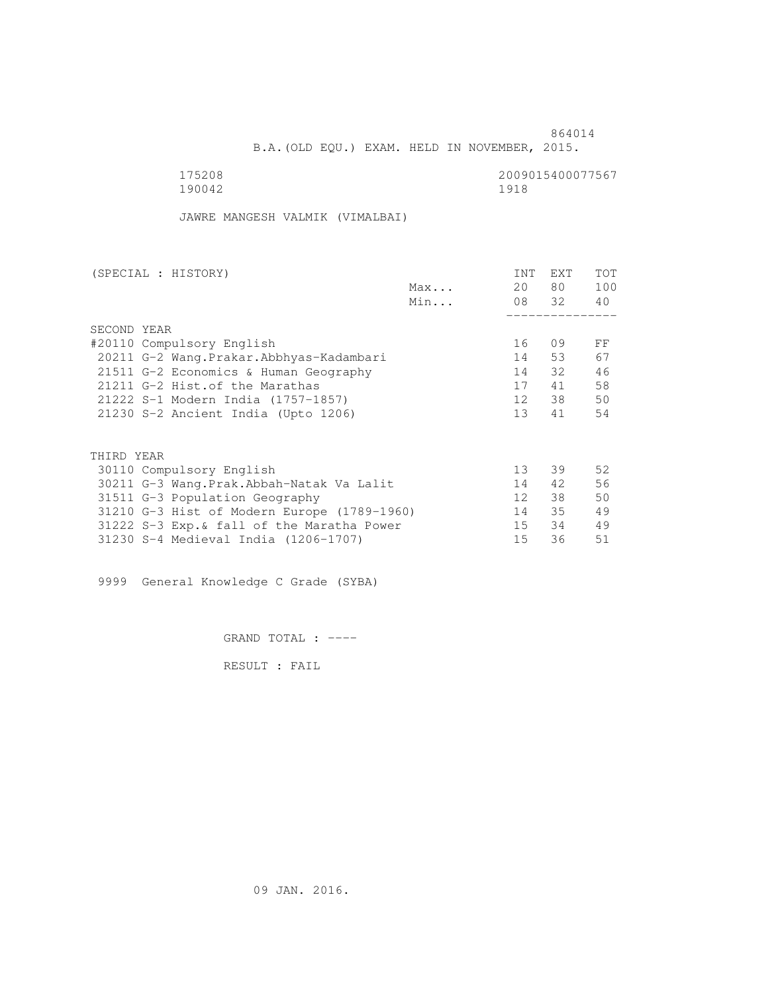B.A.(OLD EQU.) EXAM. HELD IN NOVEMBER, 2015.

 175208 2009015400077567 190042 1918

JAWRE MANGESH VALMIK (VIMALBAI)

| (SPECIAL : HISTORY)                         |     | <b>INT</b>      | <b>EXT</b> | TOT |
|---------------------------------------------|-----|-----------------|------------|-----|
|                                             | Max | 20              | 80 —       | 100 |
|                                             | Min |                 | 08 32      | 40  |
|                                             |     |                 |            |     |
| SECOND YEAR                                 |     |                 |            |     |
| #20110 Compulsory English                   |     | 16              | 09         | FF  |
| 20211 G-2 Wang.Prakar.Abbhyas-Kadambari     |     | 14              | 53         | 67  |
| 21511 G-2 Economics & Human Geography       |     | 14              | 32         | 46  |
| 21211 G-2 Hist. of the Marathas             |     | 17              | 41         | 58  |
| 21222 S-1 Modern India (1757-1857)          |     | 12              | 38         | 50  |
| 21230 S-2 Ancient India (Upto 1206)         |     | 13 <sup>°</sup> | 41         | 54  |
|                                             |     |                 |            |     |
| THIRD YEAR                                  |     |                 |            |     |
| 30110 Compulsory English                    |     | 13              | 39         | 52  |
| 30211 G-3 Wang.Prak.Abbah-Natak Va Lalit    |     | 14              | 42         | 56  |
| 31511 G-3 Population Geography              |     | 12 <sup>°</sup> | 38         | 50  |
| 31210 G-3 Hist of Modern Europe (1789-1960) |     | 14              | 35         | 49  |
| 31222 S-3 Exp. & fall of the Maratha Power  |     | 15              | 34         | 49  |
| 31230 S-4 Medieval India (1206-1707)        |     | 15              | 36         | 51  |
|                                             |     |                 |            |     |

9999 General Knowledge C Grade (SYBA)

GRAND TOTAL : ----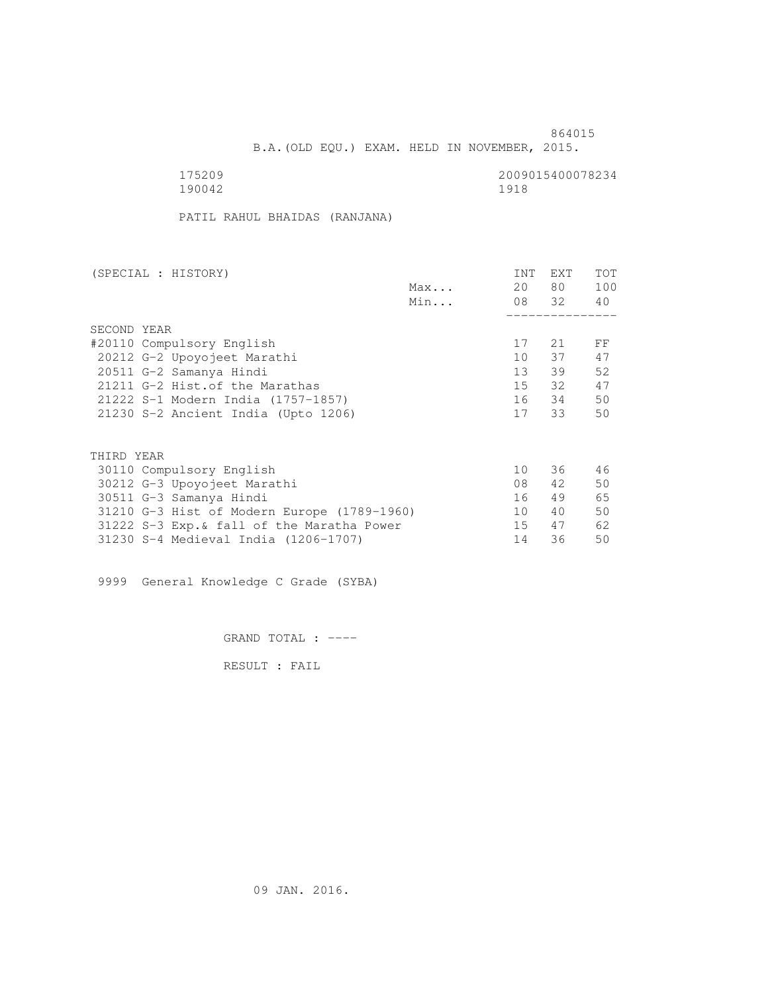B.A.(OLD EQU.) EXAM. HELD IN NOVEMBER, 2015.

175209<br>190042 190042 190042 190042 1918

PATIL RAHUL BHAIDAS (RANJANA)

| (SPECIAL : HISTORY)                         |     | <b>INT</b>      | <b>EXT</b> | <b>TOT</b> |
|---------------------------------------------|-----|-----------------|------------|------------|
|                                             | Max | 20              | 80         | 100        |
|                                             | Min |                 | 08 32      | 40         |
|                                             |     |                 |            |            |
| SECOND YEAR                                 |     |                 |            |            |
| #20110 Compulsory English                   |     | 17              | 21         | FF         |
| 20212 G-2 Upoyojeet Marathi                 |     | 10 <sup>1</sup> | 37         | 47         |
| 20511 G-2 Samanya Hindi                     |     | 13 <sup>7</sup> | 39         | 52         |
| 21211 G-2 Hist. of the Marathas             |     | 15              | 32         | 47         |
| 21222 S-1 Modern India (1757-1857)          |     | 16              | 34         | 50         |
| 21230 S-2 Ancient India (Upto 1206)         |     | 17              | 33         | 50         |
|                                             |     |                 |            |            |
| THIRD YEAR                                  |     |                 |            |            |
| 30110 Compulsory English                    |     | 10              | 36         | 46         |
| 30212 G-3 Upoyojeet Marathi                 |     | 08              | 42         | 50         |
| 30511 G-3 Samanya Hindi                     |     | 16              | 49         | 65         |
| 31210 G-3 Hist of Modern Europe (1789-1960) |     | 10              | 40         | 50         |
| 31222 S-3 Exp. & fall of the Maratha Power  |     | 15              | 47         | 62         |

31230 S-4 Medieval India (1206-1707) 14 36 50

9999 General Knowledge C Grade (SYBA)

GRAND TOTAL : ----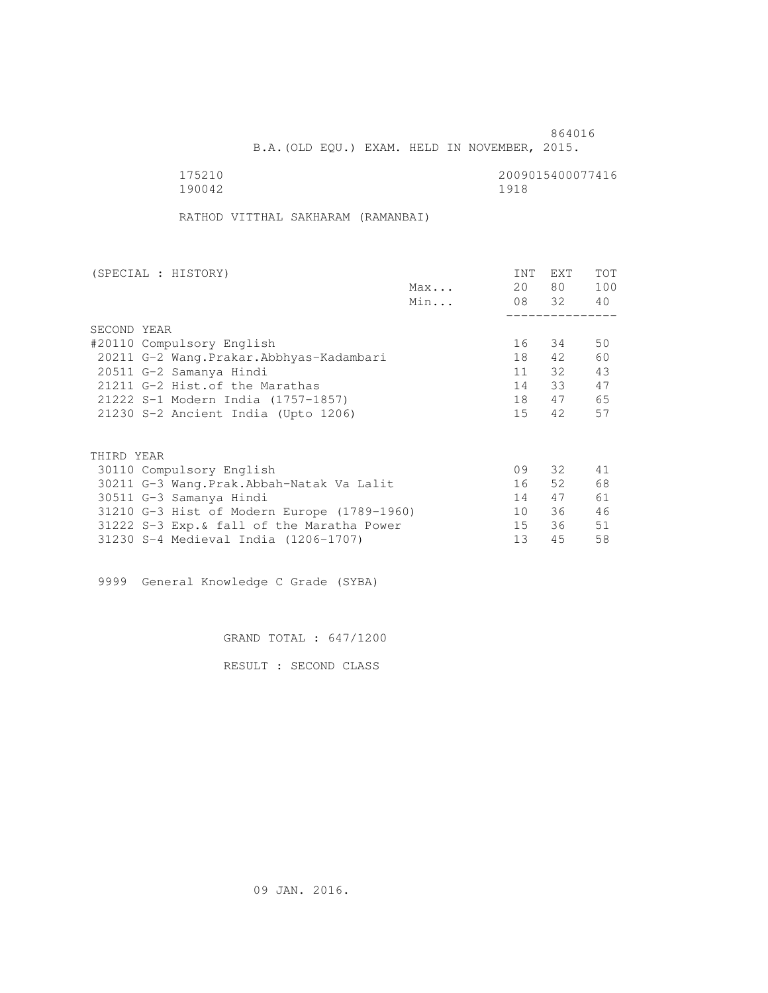B.A.(OLD EQU.) EXAM. HELD IN NOVEMBER, 2015.

175210<br>190042 190042 190042 190042 1918

RATHOD VITTHAL SAKHARAM (RAMANBAI)

| (SPECIAL : HISTORY)                         | <b>INT</b> | <b>EXT</b> | <b>TOT</b> |
|---------------------------------------------|------------|------------|------------|
| Max                                         | 20         | 80         | 100        |
| Min                                         |            | 08 32      | 40         |
|                                             |            |            |            |
| SECOND YEAR                                 |            |            |            |
| #20110 Compulsory English                   | 16         | 34         | 50         |
| 20211 G-2 Wang.Prakar.Abbhyas-Kadambari     | 18         | 42         | 60         |
| 20511 G-2 Samanya Hindi                     | 11         | 32         | 43         |
| 21211 G-2 Hist. of the Marathas             | 14         | 33         | 47         |
| 21222 S-1 Modern India (1757-1857)          | 18         | 47         | 65         |
| 21230 S-2 Ancient India (Upto 1206)         | 15         | 42         | 57         |
|                                             |            |            |            |
|                                             |            |            |            |
| THIRD YEAR                                  |            |            |            |
| 30110 Compulsory English                    | 09         | 32         | 41         |
| 30211 G-3 Wang.Prak.Abbah-Natak Va Lalit    | 16         | 52         | 68         |
| 30511 G-3 Samanya Hindi                     | 14         | 47         | 61         |
| 31210 G-3 Hist of Modern Europe (1789-1960) | 10         | 36         | 46         |
| 31222 S-3 Exp. & fall of the Maratha Power  | 15         | 36         | 51         |

31230 S-4 Medieval India (1206-1707) 13 45 58

9999 General Knowledge C Grade (SYBA)

GRAND TOTAL : 647/1200

RESULT : SECOND CLASS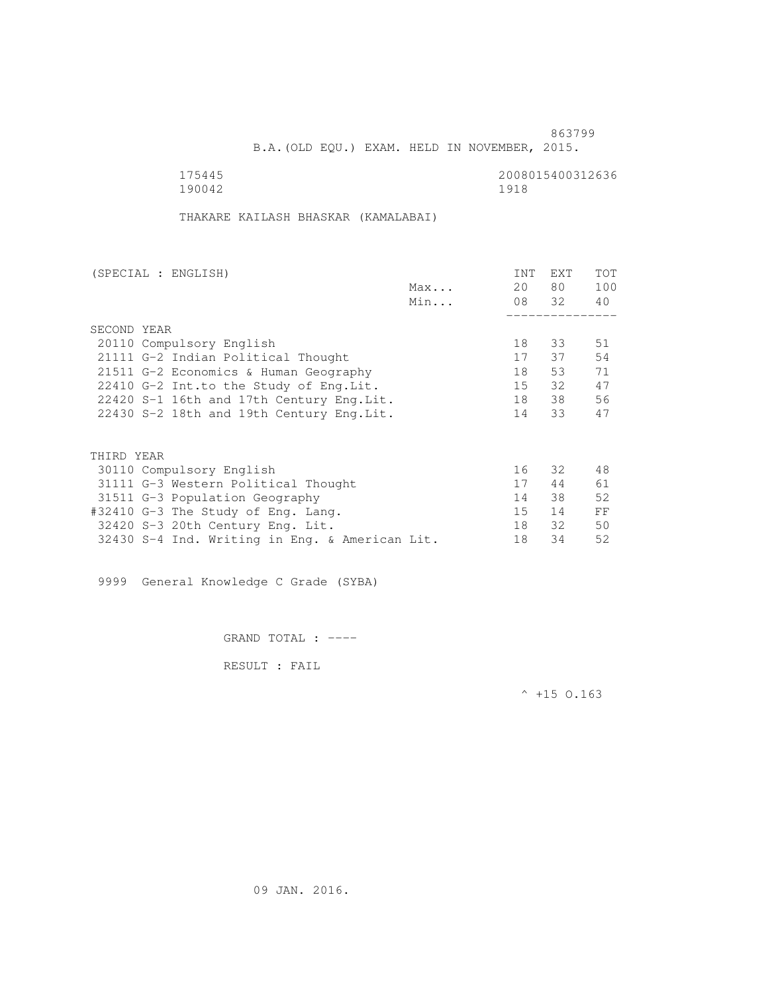B.A.(OLD EQU.) EXAM. HELD IN NOVEMBER, 2015.

 175445 2008015400312636 190042 1918

THAKARE KAILASH BHASKAR (KAMALABAI)

| (SPECIAL : ENGLISH)                            |     | <b>INT</b> | <b>EXT</b> | TOT |
|------------------------------------------------|-----|------------|------------|-----|
|                                                | Max | 20         | 80         | 100 |
|                                                | Min |            | 08 32      | 40  |
|                                                |     |            |            |     |
| SECOND YEAR                                    |     |            |            |     |
| 20110 Compulsory English                       |     | 18         | 33         | 51  |
| 21111 G-2 Indian Political Thought             |     | 17         | 37         | 54  |
| 21511 G-2 Economics & Human Geography          |     | 18         | 53         | 71  |
| 22410 G-2 Int.to the Study of Eng. Lit.        |     | 15         | 32         | 47  |
| 22420 S-1 16th and 17th Century Eng. Lit.      |     | 18         | 38         | 56  |
| 22430 S-2 18th and 19th Century Eng. Lit.      |     | 14         | 33         | 47  |
|                                                |     |            |            |     |
|                                                |     |            |            |     |
| THIRD YEAR                                     |     |            |            |     |
| 30110 Compulsory English                       |     | 16         | 32         | 48  |
| 31111 G-3 Western Political Thought            |     | 17         | 44         | 61  |
| 31511 G-3 Population Geography                 |     | 14         | 38         | 52  |
| #32410 G-3 The Study of Eng. Lang.             |     | 15         | 14         | FF  |
| 32420 S-3 20th Century Eng. Lit.               |     | 18         | 32         | 50  |
| 32430 S-4 Ind. Writing in Eng. & American Lit. |     | 18         | 34         | 52  |
|                                                |     |            |            |     |

9999 General Knowledge C Grade (SYBA)

GRAND TOTAL : ----

RESULT : FAIL

 $^{\wedge}$  +15 O.163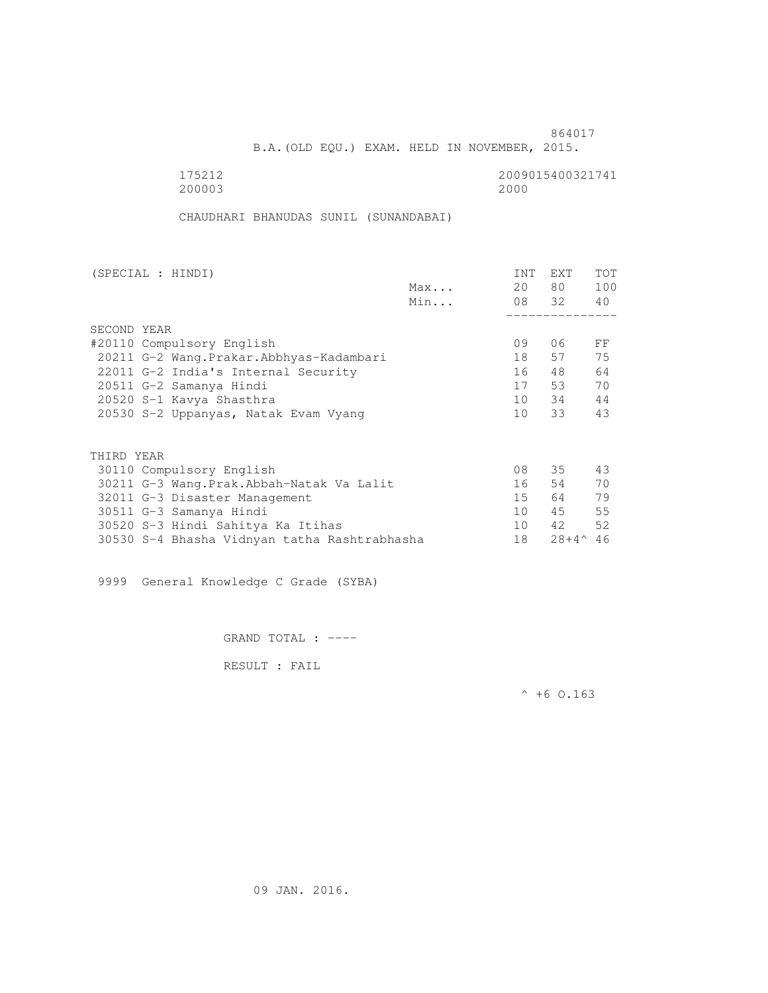B.A.(OLD EQU.) EXAM. HELD IN NOVEMBER, 2015.

175212<br>200003 200003 2000 200003 2000

CHAUDHARI BHANUDAS SUNIL (SUNANDABAI)

| (SPECIAL : HINDI) |                                              |     | <b>INT</b> | EXT             | <b>TOT</b> |
|-------------------|----------------------------------------------|-----|------------|-----------------|------------|
|                   |                                              | Max | 20         | 80 —            | 100        |
|                   |                                              | Min |            | 08 32           | 40         |
|                   |                                              |     |            |                 |            |
| SECOND YEAR       |                                              |     |            |                 |            |
|                   | #20110 Compulsory English                    |     | 09         | 06              | FF         |
|                   | 20211 G-2 Wang. Prakar. Abbhyas-Kadambari    |     | 18         | 57              | 75         |
|                   | 22011 G-2 India's Internal Security          |     | 16         | 48              | 64         |
|                   | 20511 G-2 Samanya Hindi                      |     | 17         | 53              | 70         |
|                   | 20520 S-1 Kavya Shasthra                     |     | 10         | 34              | 44         |
|                   | 20530 S-2 Uppanyas, Natak Evam Vyang         |     | 10         | 33              | 43         |
|                   |                                              |     |            |                 |            |
| THIRD YEAR        |                                              |     |            |                 |            |
|                   | 30110 Compulsory English                     |     | 08         | 35              | 43         |
|                   | 30211 G-3 Wang.Prak.Abbah-Natak Va Lalit     |     | 16         | 54              | 70         |
|                   | 32011 G-3 Disaster Management                |     | 15         | 64 —            | 79         |
|                   | 30511 G-3 Samanya Hindi                      |     | 10         | 45              | 55         |
|                   | 30520 S-3 Hindi Sahitya Ka Itihas            |     | 10         | 42              | 52         |
|                   | 30530 S-4 Bhasha Vidnyan tatha Rashtrabhasha |     | 18         | $28 + 4^{\sim}$ | 46         |

9999 General Knowledge C Grade (SYBA)

GRAND TOTAL : ----

RESULT : FAIL

 $^{\wedge}$  +6 O.163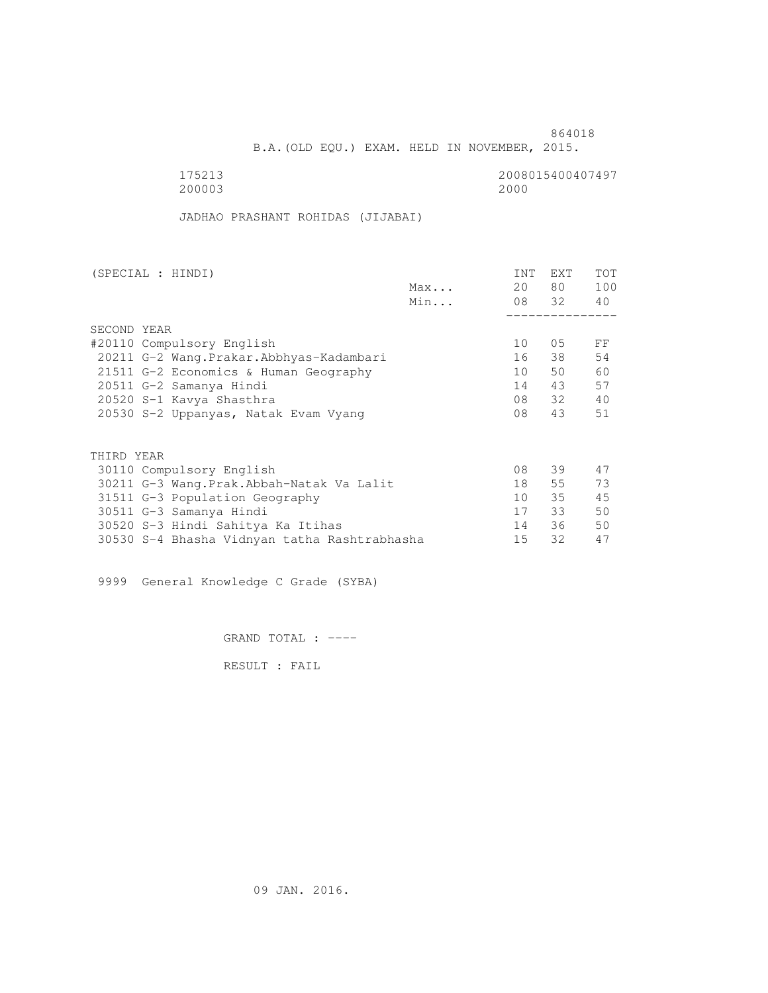B.A.(OLD EQU.) EXAM. HELD IN NOVEMBER, 2015.

 175213 2008015400407497 200003 2000

JADHAO PRASHANT ROHIDAS (JIJABAI)

| (SPECIAL : HINDI)                            |     | <b>INT</b> | <b>EXT</b> | TOT |
|----------------------------------------------|-----|------------|------------|-----|
|                                              | Max | 20         | 80 —       | 100 |
|                                              | Min |            | 08 32      | 40  |
|                                              |     |            |            |     |
| SECOND YEAR                                  |     |            |            |     |
| #20110 Compulsory English                    |     | 10         | 05         | FF  |
| 20211 G-2 Wang.Prakar.Abbhyas-Kadambari      |     | 16         | 38         | 54  |
| 21511 G-2 Economics & Human Geography        |     | 10         | 50         | 60  |
| 20511 G-2 Samanya Hindi                      |     | 14         | 43         | 57  |
| 20520 S-1 Kavya Shasthra                     |     | 08         | 32         | 40  |
| 20530 S-2 Uppanyas, Natak Evam Vyang         |     | 08         | 43         | 51  |
|                                              |     |            |            |     |
| THIRD YEAR                                   |     |            |            |     |
| 30110 Compulsory English                     |     | 08         | 39         | 47  |
| 30211 G-3 Wang.Prak.Abbah-Natak Va Lalit     |     | 18         | 55         | 73  |
| 31511 G-3 Population Geography               |     | 10         | 35         | 45  |
| 30511 G-3 Samanya Hindi                      |     | 17         | 33         | 50  |
| 30520 S-3 Hindi Sahitya Ka Itihas            |     | 14         | 36         | 50  |
| 30530 S-4 Bhasha Vidnyan tatha Rashtrabhasha |     | 15         | 32         | 47  |
|                                              |     |            |            |     |

9999 General Knowledge C Grade (SYBA)

GRAND TOTAL : ----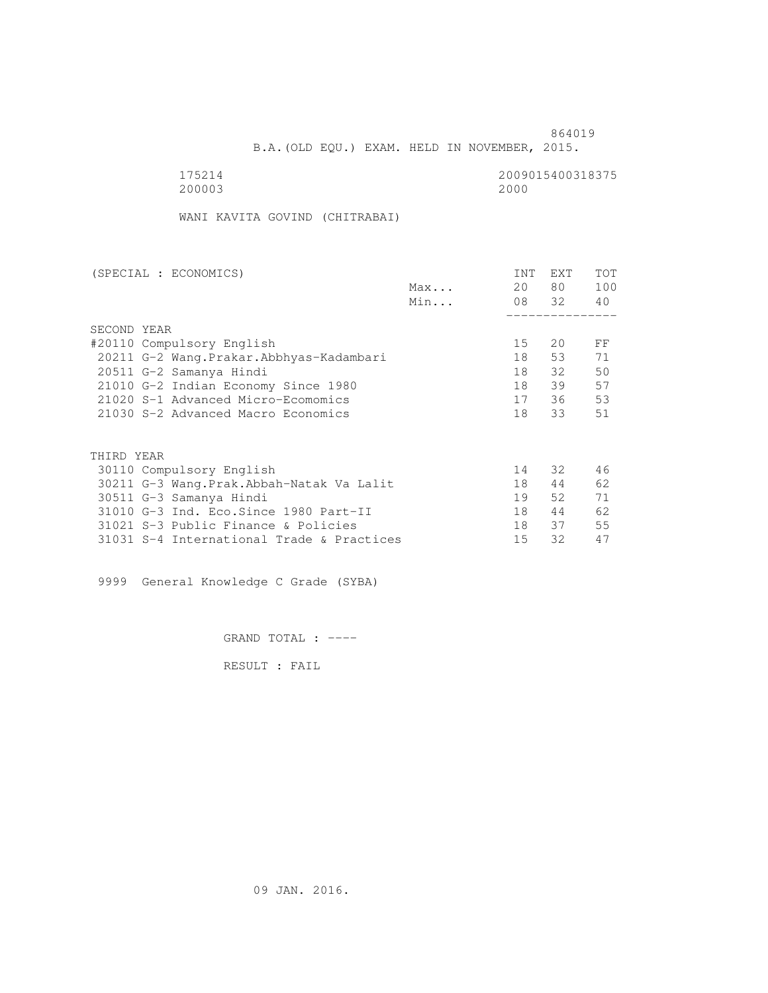B.A.(OLD EQU.) EXAM. HELD IN NOVEMBER, 2015.

 175214 2009015400318375 200003 2000

WANI KAVITA GOVIND (CHITRABAI)

| (SPECIAL : ECONOMICS)                     |              | <b>INT</b> | <b>EXT</b> | TOT |
|-------------------------------------------|--------------|------------|------------|-----|
|                                           | $Max \ldots$ | 20         | 80 —       | 100 |
|                                           | Min          |            | 08 32      | 40  |
|                                           |              |            |            |     |
| SECOND YEAR                               |              |            |            |     |
| #20110 Compulsory English                 |              | 15         | 20         | FF  |
| 20211 G-2 Wang. Prakar. Abbhyas-Kadambari |              | 18         | 53         | 71  |
| 20511 G-2 Samanya Hindi                   |              | 18         | 32         | 50  |
| 21010 G-2 Indian Economy Since 1980       |              | 18         | 39         | 57  |
| 21020 S-1 Advanced Micro-Ecomomics        |              | 17         | 36         | 53  |
| 21030 S-2 Advanced Macro Economics        |              | 18         | 33         | 51  |
|                                           |              |            |            |     |
|                                           |              |            |            |     |
| THIRD YEAR                                |              |            |            |     |
| 30110 Compulsory English                  |              | 14         | 32         | 46  |
| 30211 G-3 Wang.Prak.Abbah-Natak Va Lalit  |              | 18         | 44         | 62  |
| 30511 G-3 Samanya Hindi                   |              | 19         | 52         | 71  |
| 31010 G-3 Ind. Eco. Since 1980 Part-II    |              | 18         | 44         | 62  |
| 31021 S-3 Public Finance & Policies       |              | 18         | 37         | 55  |
| 31031 S-4 International Trade & Practices |              | 15         | 32         | 47  |

9999 General Knowledge C Grade (SYBA)

GRAND TOTAL : ----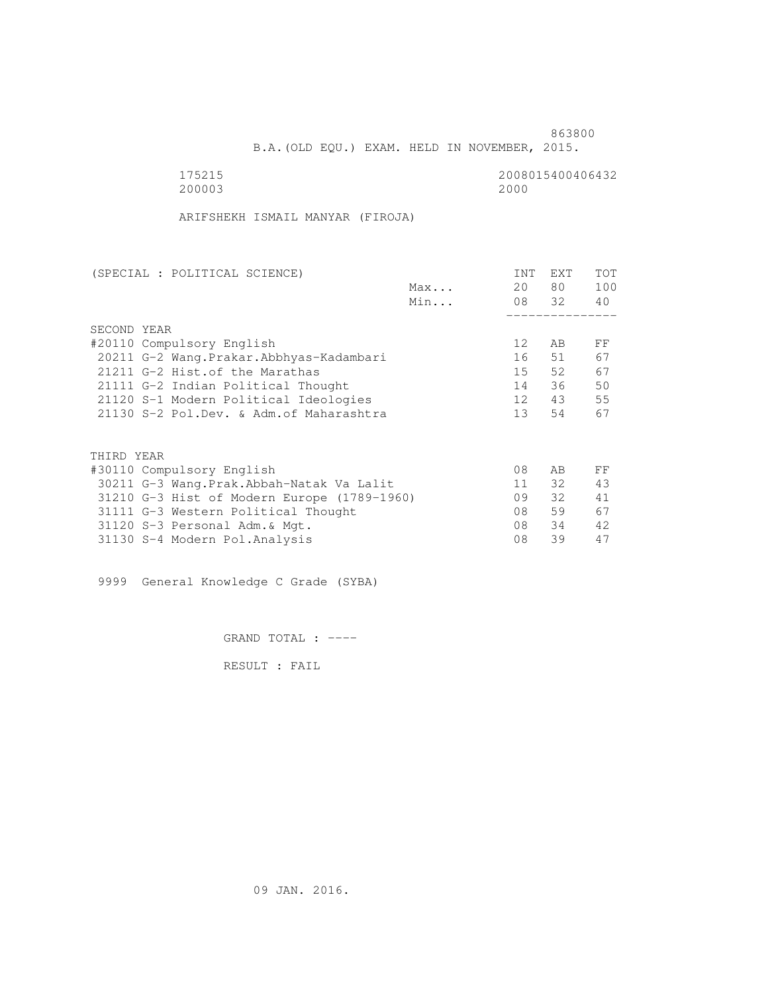B.A.(OLD EQU.) EXAM. HELD IN NOVEMBER, 2015.

 175215 2008015400406432 200003 2000

ARIFSHEKH ISMAIL MANYAR (FIROJA)

| (SPECIAL : POLITICAL SCIENCE)               |     | <b>INT</b>        | <b>EXT</b> | TOT |
|---------------------------------------------|-----|-------------------|------------|-----|
|                                             | Max | 20                | 80         | 100 |
|                                             | Min |                   | 08 32      | 40  |
|                                             |     |                   |            |     |
| SECOND YEAR                                 |     |                   |            |     |
| #20110 Compulsory English                   |     | $12 \overline{ }$ | AB         | FF  |
| 20211 G-2 Wang. Prakar. Abbhyas-Kadambari   |     | 16                | 51         | 67  |
| 21211 G-2 Hist. of the Marathas             |     | 15                | 52         | 67  |
| 21111 G-2 Indian Political Thought          |     | 14                | 36         | 50  |
| 21120 S-1 Modern Political Ideologies       |     | 12                | 43         | 55  |
| 21130 S-2 Pol.Dev. & Adm. of Maharashtra    |     | 13                | 54         | 67  |
|                                             |     |                   |            |     |
| THIRD YEAR                                  |     |                   |            |     |
| #30110 Compulsory English                   |     | 08                | AB         | FF  |
| 30211 G-3 Wang.Prak.Abbah-Natak Va Lalit    |     | 11                | 32         | 43  |
| 31210 G-3 Hist of Modern Europe (1789-1960) |     | 09                | 32         | 41  |
| 31111 G-3 Western Political Thought         |     | 08                | 59         | 67  |
| 31120 S-3 Personal Adm. & Mgt.              |     | 08                | 34         | 42. |
| 31130 S-4 Modern Pol.Analysis               |     | 08                | 39         | 47  |

9999 General Knowledge C Grade (SYBA)

GRAND TOTAL : ----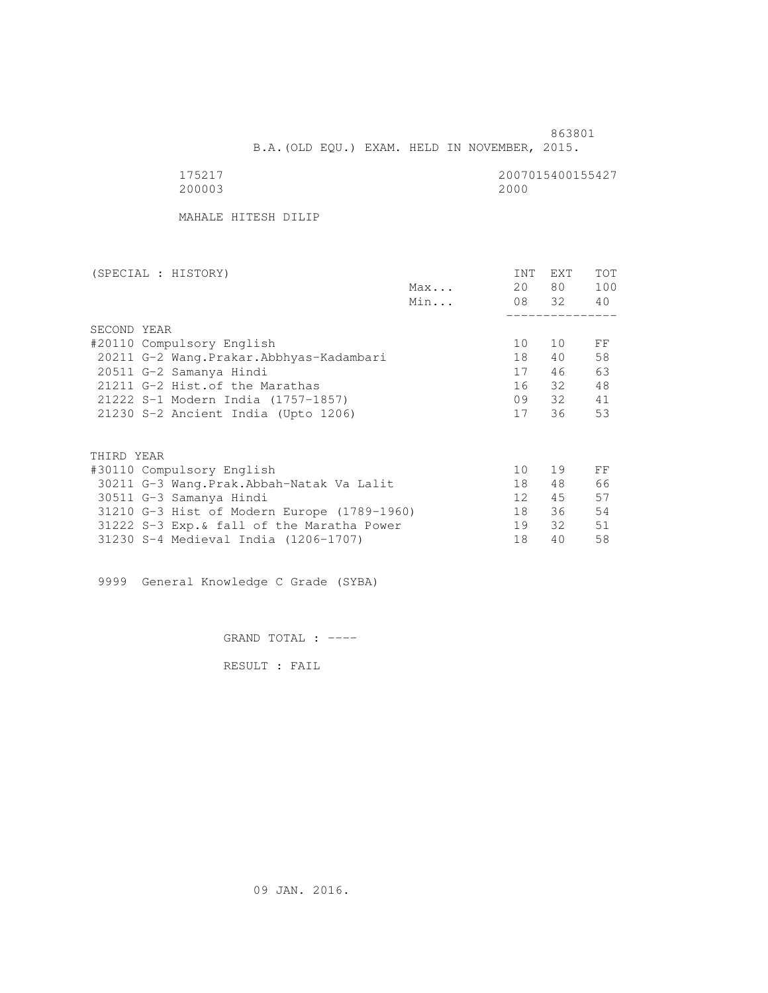B.A.(OLD EQU.) EXAM. HELD IN NOVEMBER, 2015.

| 20000 |  |
|-------|--|

2007015400155427<br>2000

MAHALE HITESH DILIP

| (SPECIAL : HISTORY)                         | INT | EXT   | <b>TOT</b> |
|---------------------------------------------|-----|-------|------------|
| Max                                         | 20  | 80 —  | 100        |
| Min                                         |     | 08 32 | 40         |
|                                             |     |       |            |
| SECOND YEAR                                 |     |       |            |
| #20110 Compulsory English                   | 10  | 10    | FF         |
| 20211 G-2 Wang. Prakar. Abbhyas-Kadambari   | 18  | 40    | 58         |
| 20511 G-2 Samanya Hindi                     | 17  | 46    | 63         |
| 21211 G-2 Hist. of the Marathas             | 16  | 32    | 48         |
| 21222 S-1 Modern India (1757-1857)          | 09  | 32    | 41         |
| 21230 S-2 Ancient India (Upto 1206)         | 17  | 36    | 53         |
|                                             |     |       |            |
| THIRD YEAR                                  |     |       |            |
| #30110 Compulsory English                   | 10  | 19    | FF         |
| 30211 G-3 Wang.Prak.Abbah-Natak Va Lalit    | 18  | 48    | 66         |
| 30511 G-3 Samanya Hindi                     | 12  | 45    | 57         |
| 31210 G-3 Hist of Modern Europe (1789-1960) | 18  | 36    | 54         |
| 31222 S-3 Exp. & fall of the Maratha Power  | 19  | 32    | 51         |
| 31230 S-4 Medieval India (1206-1707)        | 18  | 40    | 58         |

9999 General Knowledge C Grade (SYBA)

GRAND TOTAL : ----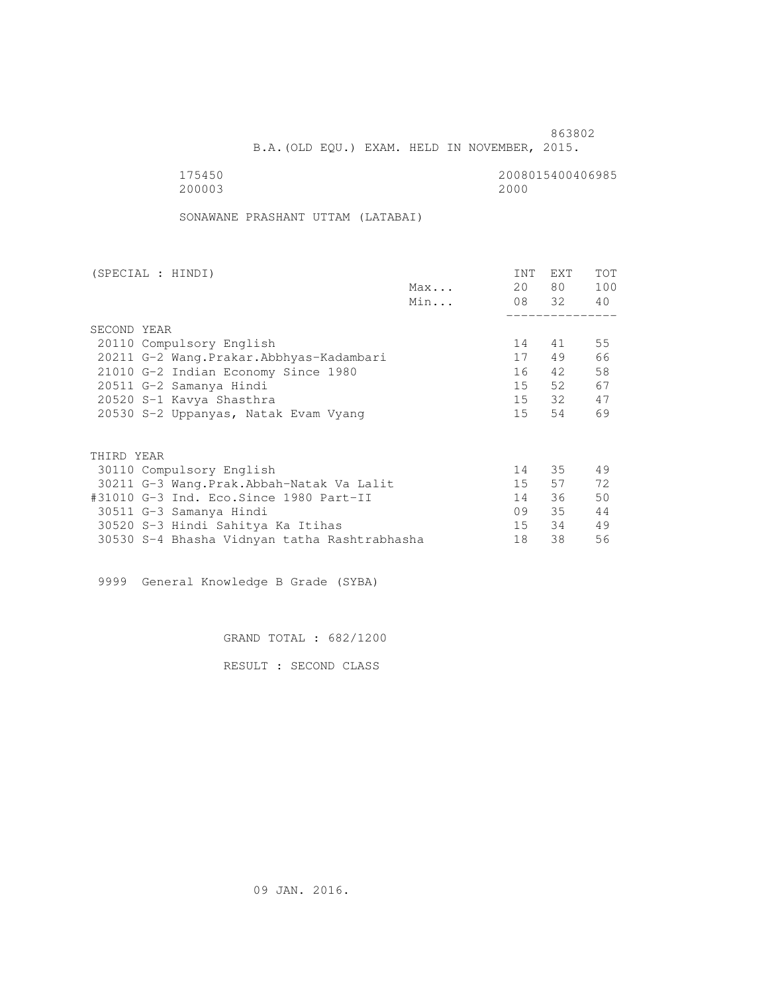B.A.(OLD EQU.) EXAM. HELD IN NOVEMBER, 2015.

175450<br>200003 200003 2000 200003 2000

SONAWANE PRASHANT UTTAM (LATABAI)

| (SPECIAL : HINDI)                            |     | <b>INT</b> | <b>EXT</b> | TOT |
|----------------------------------------------|-----|------------|------------|-----|
|                                              | Max | 20         | 80 —       | 100 |
|                                              | Min |            | 08 32      | 40  |
|                                              |     |            |            |     |
| SECOND YEAR                                  |     |            |            |     |
| 20110 Compulsory English                     |     | 14         | 41         | 55  |
| 20211 G-2 Wang.Prakar.Abbhyas-Kadambari      |     | 17         | 49         | 66  |
| 21010 G-2 Indian Economy Since 1980          |     | 16         | 42         | 58  |
| 20511 G-2 Samanya Hindi                      |     | 15         | 52         | 67  |
| 20520 S-1 Kavya Shasthra                     |     |            | 15 32      | 47  |
| 20530 S-2 Uppanyas, Natak Evam Vyang         |     | 15         | 54         | 69  |
|                                              |     |            |            |     |
| THIRD YEAR                                   |     |            |            |     |
| 30110 Compulsory English                     |     | 14         | 35         | 49  |
| 30211 G-3 Wang.Prak.Abbah-Natak Va Lalit     |     | 15         | 57         | 72  |
| #31010 G-3 Ind. Eco.Since 1980 Part-II       |     | 14         | 36         | 50  |
| 30511 G-3 Samanya Hindi                      |     | 09         | 35         | 44  |
| 30520 S-3 Hindi Sahitya Ka Itihas            |     | 15         | 34         | 49  |
| 30530 S-4 Bhasha Vidnyan tatha Rashtrabhasha |     | 18         | 38         | 56  |
|                                              |     |            |            |     |

9999 General Knowledge B Grade (SYBA)

GRAND TOTAL : 682/1200

RESULT : SECOND CLASS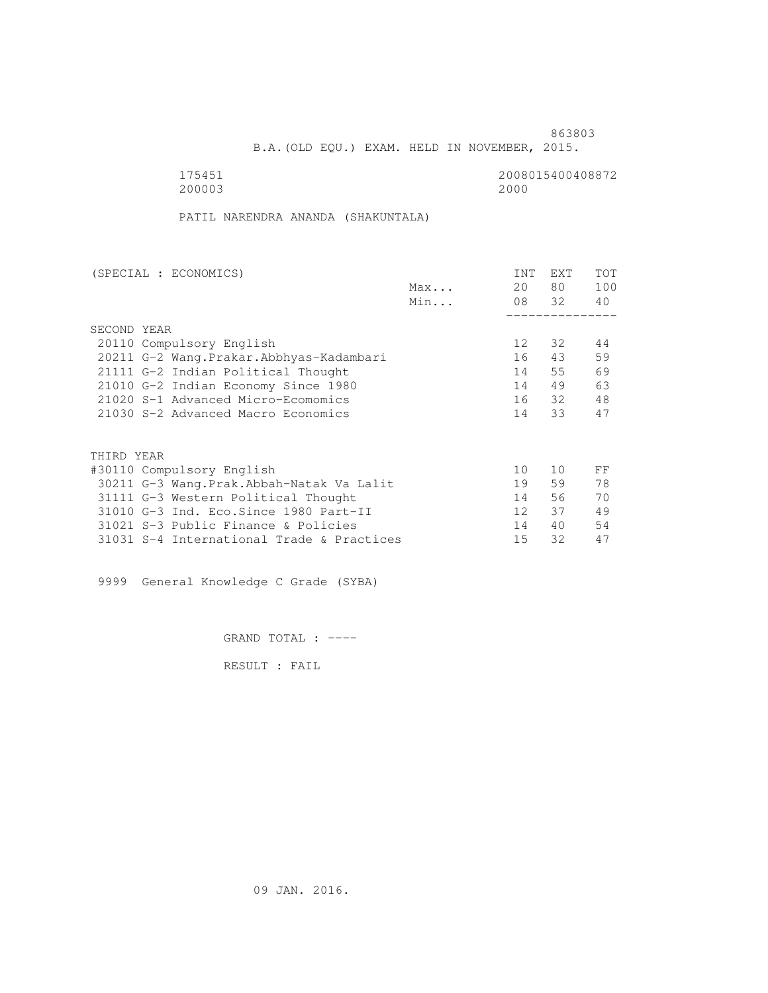B.A.(OLD EQU.) EXAM. HELD IN NOVEMBER, 2015.

175451<br>200003 200003 2000 200003 2000

PATIL NARENDRA ANANDA (SHAKUNTALA)

| (SPECIAL : ECONOMICS)                     |     | <b>INT</b>        | <b>EXT</b> | TOT |
|-------------------------------------------|-----|-------------------|------------|-----|
|                                           | Max | 20                | 80         | 100 |
|                                           | Min | 08 32             |            | 40  |
|                                           |     |                   |            |     |
| SECOND YEAR                               |     |                   |            |     |
| 20110 Compulsory English                  |     | $12 \overline{ }$ | 32         | 44  |
| 20211 G-2 Wang. Prakar. Abbhyas-Kadambari |     | 16                | 43         | 59  |
| 21111 G-2 Indian Political Thought        |     | 14                | 55         | 69  |
| 21010 G-2 Indian Economy Since 1980       |     | 14                | 49         | 63  |
| 21020 S-1 Advanced Micro-Ecomomics        |     | 16                | - 32       | 48  |
| 21030 S-2 Advanced Macro Economics        |     | 14                | 33         | 47  |
|                                           |     |                   |            |     |
| THIRD YEAR                                |     |                   |            |     |
| #30110 Compulsory English                 |     | 10                | 10         | FF  |
| 30211 G-3 Wang.Prak.Abbah-Natak Va Lalit  |     | 19                | 59         | 78  |
| 31111 G-3 Western Political Thought       |     | 14                | 56         | 70  |
| 31010 G-3 Ind. Eco. Since 1980 Part-II    |     | 12 <sup>°</sup>   | 37         | 49  |
| 31021 S-3 Public Finance & Policies       |     | 14                | 40         | 54  |
| 31031 S-4 International Trade & Practices |     | 15                | 32         | 47  |

9999 General Knowledge C Grade (SYBA)

GRAND TOTAL : ----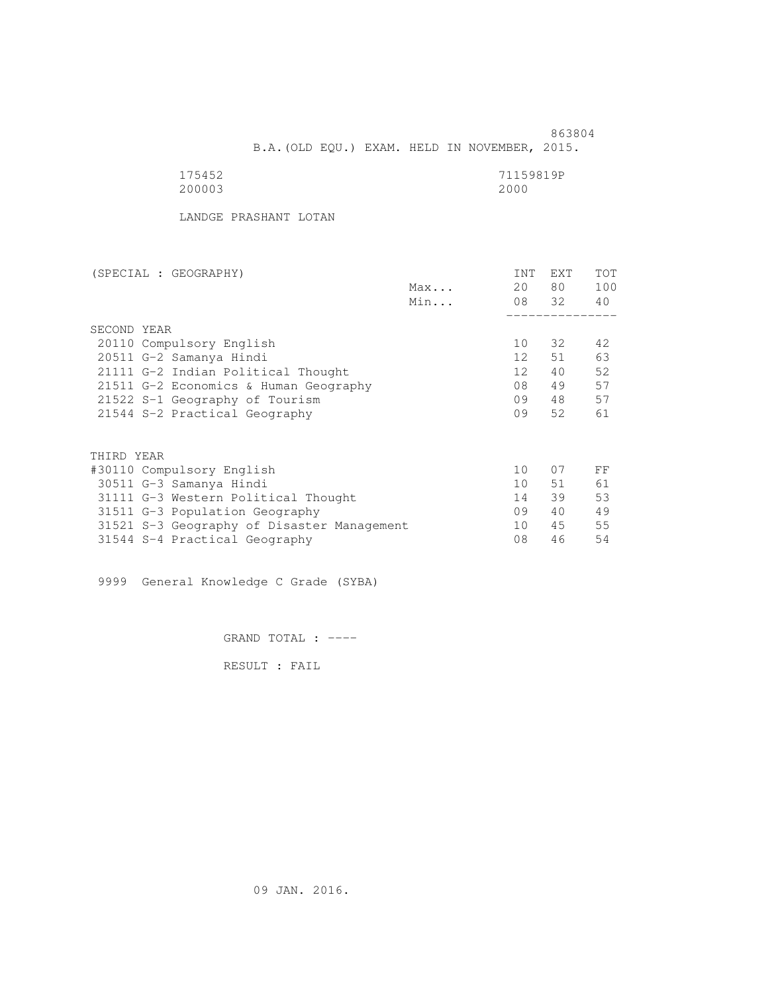863804 B.A.(OLD EQU.) EXAM. HELD IN NOVEMBER, 2015.

| 175452 | 71159819P |
|--------|-----------|
| 200003 | 2000      |

LANDGE PRASHANT LOTAN

| (SPECIAL : GEOGRAPHY)                      |     | <b>INT</b>      | <b>EXT</b> | TOT |
|--------------------------------------------|-----|-----------------|------------|-----|
|                                            | Max | 20              | 80 —       | 100 |
|                                            | Min |                 | 08 32      | 40  |
|                                            |     |                 |            |     |
| SECOND YEAR                                |     |                 |            |     |
| 20110 Compulsory English                   |     | 10              | 32         | 42  |
| 20511 G-2 Samanya Hindi                    |     | 12              | 51         | 63  |
| 21111 G-2 Indian Political Thought         |     | 12 <sup>°</sup> | 40         | 52  |
| 21511 G-2 Economics & Human Geography      |     | 08              | 49         | 57  |
| 21522 S-1 Geography of Tourism             |     | 09              | 48         | 57  |
| 21544 S-2 Practical Geography              |     | 09              | 52         | 61  |
|                                            |     |                 |            |     |
| THIRD YEAR                                 |     |                 |            |     |
| #30110 Compulsory English                  |     | $10^{-}$        | 07         | FF  |
| 30511 G-3 Samanya Hindi                    |     | 10 <sup>1</sup> | 51         | 61  |
| 31111 G-3 Western Political Thought        |     | 14              | 39         | 53  |
| 31511 G-3 Population Geography             |     | 09              | 40         | 49  |
| 31521 S-3 Geography of Disaster Management |     | 10              | 45         | 55  |
| 31544 S-4 Practical Geography              |     | 08              | 46         | 54  |
|                                            |     |                 |            |     |

9999 General Knowledge C Grade (SYBA)

GRAND TOTAL : ----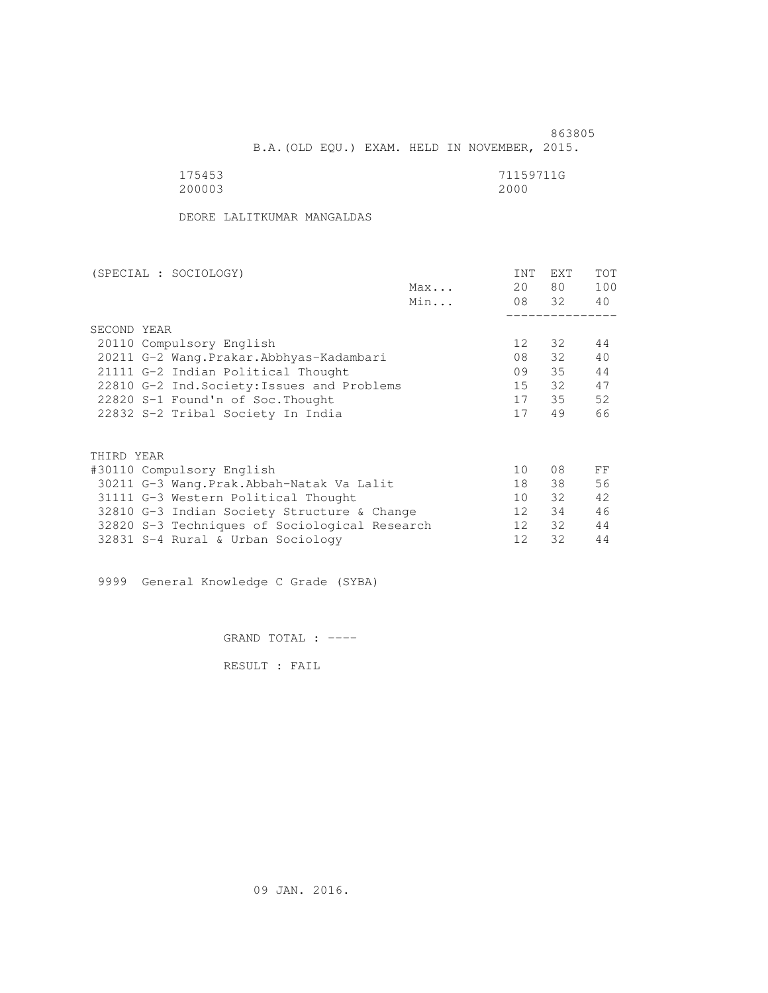863805 B.A.(OLD EQU.) EXAM. HELD IN NOVEMBER, 2015.

| 175453 | 71159711G |
|--------|-----------|
| 200003 | 2000      |

DEORE LALITKUMAR MANGALDAS

| (SPECIAL : SOCIOLOGY)                         | <b>INT</b>      | <b>EXT</b> | TOT |
|-----------------------------------------------|-----------------|------------|-----|
| Max                                           | 20              | 80         | 100 |
| Min                                           |                 | 08 32      | 40  |
|                                               |                 |            |     |
| SECOND YEAR                                   |                 |            |     |
| 20110 Compulsory English                      | 12 <sup>°</sup> | 32         | 44  |
| 20211 G-2 Wang. Prakar. Abbhyas-Kadambari     | 08              | 32         | 40  |
| 21111 G-2 Indian Political Thought            | 09              | 35         | 44  |
| 22810 G-2 Ind. Society: Issues and Problems   | 15              | 32         | 47  |
| 22820 S-1 Found'n of Soc. Thought             | 17              | 35         | 52  |
| 22832 S-2 Tribal Society In India             | 17              | 49         | 66  |
|                                               |                 |            |     |
| THIRD YEAR                                    |                 |            |     |
| #30110 Compulsory English                     | 10              | 08         | FF  |
| 30211 G-3 Wang. Prak. Abbah-Natak Va Lalit    | 18              | 38         | 56  |
| 31111 G-3 Western Political Thought           | 10 <sup>1</sup> | 32         | 42. |
| 32810 G-3 Indian Society Structure & Change   | 12              | 34         | 46  |
| 32820 S-3 Techniques of Sociological Research | 12 <sup>1</sup> | 32         | 44  |
| 32831 S-4 Rural & Urban Sociology             | 12              | 32         | 44  |

9999 General Knowledge C Grade (SYBA)

GRAND TOTAL : ----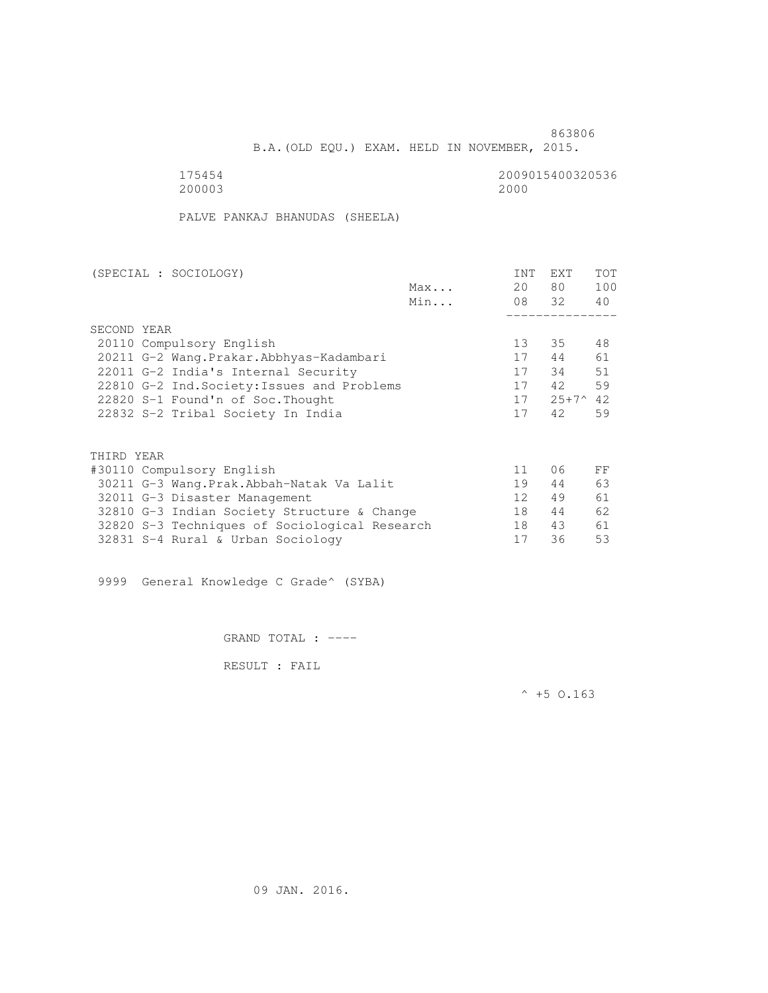B.A.(OLD EQU.) EXAM. HELD IN NOVEMBER, 2015.

 175454 2009015400320536 200003 2000

PALVE PANKAJ BHANUDAS (SHEELA)

| (SPECIAL : SOCIOLOGY)                         |     | <b>INT</b>        | <b>EXT</b>     | <b>TOT</b> |
|-----------------------------------------------|-----|-------------------|----------------|------------|
|                                               | Max | 20                | 80             | 100        |
|                                               | Min | 08 32             |                | 40         |
|                                               |     |                   |                |            |
| SECOND YEAR                                   |     |                   |                |            |
| 20110 Compulsory English                      |     | 13                | 35             | 48         |
| 20211 G-2 Wang. Prakar. Abbhyas-Kadambari     |     | 17                | 44             | 61         |
| 22011 G-2 India's Internal Security           |     | 17                | 34             | 51         |
| 22810 G-2 Ind. Society: Issues and Problems   |     | 17                | 42             | 59         |
| 22820 S-1 Found'n of Soc. Thought             |     | 17                | $25+7^{\circ}$ | 42         |
| 22832 S-2 Tribal Society In India             |     | 17                | 42             | 59         |
|                                               |     |                   |                |            |
| THIRD YEAR                                    |     |                   |                |            |
| #30110 Compulsory English                     |     | 11                | 06             | FF         |
| 30211 G-3 Wang.Prak.Abbah-Natak Va Lalit      |     | 19                | 44             | 63         |
| 32011 G-3 Disaster Management                 |     | $12 \overline{ }$ | 49             | 61         |
| 32810 G-3 Indian Society Structure & Change   |     | 18                | 44             | 62         |
| 32820 S-3 Techniques of Sociological Research |     | 18                | 43             | 61         |

32831 S-4 Rural & Urban Sociology 17 36 53

9999 General Knowledge C Grade^ (SYBA)

GRAND TOTAL : ----

RESULT : FAIL

 $^{\wedge}$  +5 O.163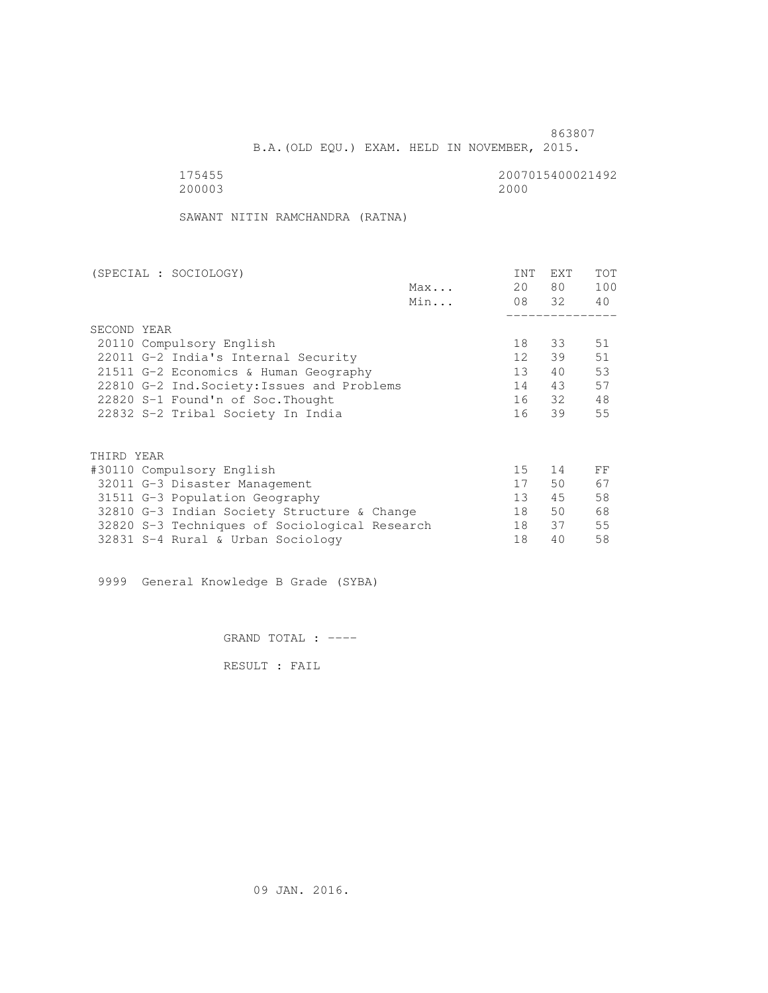B.A.(OLD EQU.) EXAM. HELD IN NOVEMBER, 2015.

175455<br>200003 200003 2000 200003 2000

SAWANT NITIN RAMCHANDRA (RATNA)

| (SPECIAL : SOCIOLOGY)                         |     | <b>INT</b>      | <b>EXT</b> | TOT |
|-----------------------------------------------|-----|-----------------|------------|-----|
|                                               | Max | 20              | 80         | 100 |
|                                               | Min |                 | 08 32      | 40  |
|                                               |     |                 |            |     |
| SECOND YEAR                                   |     |                 |            |     |
| 20110 Compulsory English                      |     | 18              | 33         | 51  |
| 22011 G-2 India's Internal Security           |     | 12              | 39         | 51  |
| 21511 G-2 Economics & Human Geography         |     | 13              | 40         | 53  |
| 22810 G-2 Ind. Society: Issues and Problems   |     | 14              | 43         | 57  |
| 22820 S-1 Found'n of Soc. Thought             |     | 16              | - 32       | 48  |
| 22832 S-2 Tribal Society In India             |     | 16              | 39         | 55  |
|                                               |     |                 |            |     |
| THIRD YEAR                                    |     |                 |            |     |
| #30110 Compulsory English                     |     | 15 <sub>1</sub> | 14         | FF  |
| 32011 G-3 Disaster Management                 |     | 17              | 50         | 67  |
| 31511 G-3 Population Geography                |     | 13              | 45         | 58  |
| 32810 G-3 Indian Society Structure & Change   |     | 18              | 50         | 68  |
| 32820 S-3 Techniques of Sociological Research |     | 18              | 37         | 55  |
| 32831 S-4 Rural & Urban Sociology             |     | 18              | 40         | 58  |

9999 General Knowledge B Grade (SYBA)

GRAND TOTAL : ----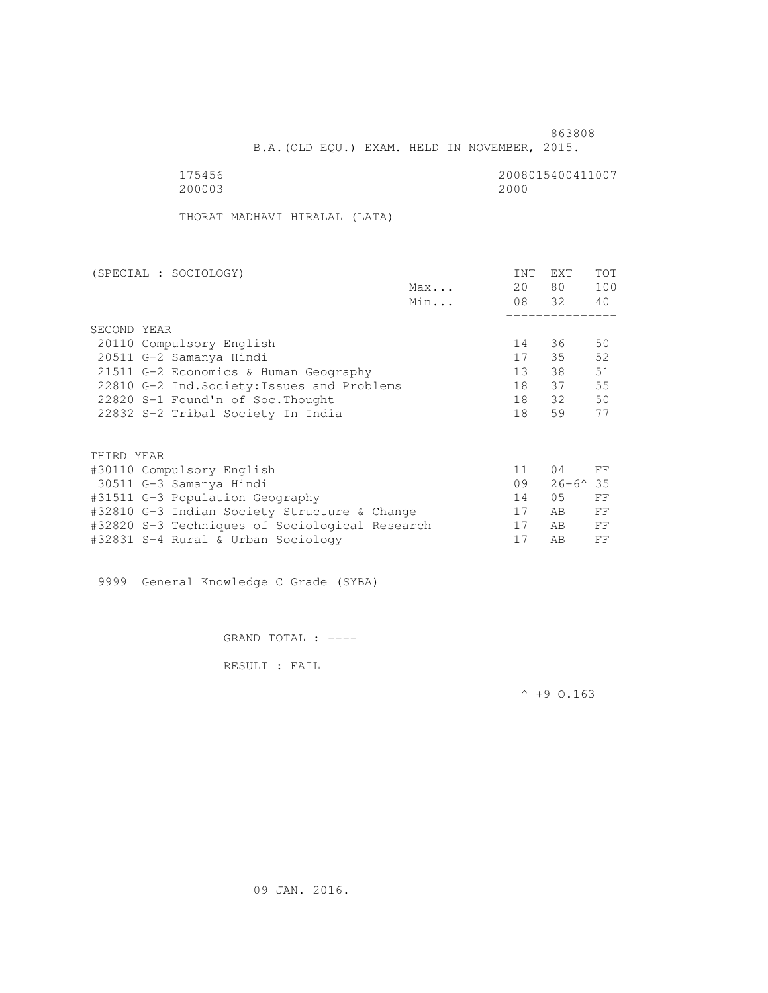B.A.(OLD EQU.) EXAM. HELD IN NOVEMBER, 2015.

 175456 2008015400411007 200003 2000

THORAT MADHAVI HIRALAL (LATA)

| (SPECIAL : SOCIOLOGY)                        | <b>INT</b> | <b>EXT</b>       | <b>TOT</b> |
|----------------------------------------------|------------|------------------|------------|
| Max                                          | 20         | 80               | 100        |
| Min                                          |            | 08 32            | 40         |
|                                              |            |                  |            |
| SECOND YEAR                                  |            |                  |            |
| 20110 Compulsory English                     | 14         | 36               | 50         |
| 20511 G-2 Samanya Hindi                      | 17         | 35               | 52         |
| 21511 G-2 Economics & Human Geography        | 13         | 38               | 51         |
| 22810 G-2 Ind. Society: Issues and Problems  | 18         | 37               | 55         |
| 22820 S-1 Found'n of Soc. Thought            | 18         | 32               | 50         |
| 22832 S-2 Tribal Society In India            | 18         | 59               | 77         |
|                                              |            |                  |            |
| THIRD YEAR                                   |            |                  |            |
| #30110 Compulsory English                    | 11         | 04               | FF         |
| 30511 G-3 Samanya Hindi                      | 09         | $26+6^{\circ}35$ |            |
| #31511 G-3 Population Geography              | 14         | 0.5              | FF         |
| #32810 G-3 Indian Society Structure & Change | 17         | AB               | FF         |

 #32820 S-3 Techniques of Sociological Research 17 AB FF #32831 S-4 Rural & Urban Sociology 17 AB FF

9999 General Knowledge C Grade (SYBA)

GRAND TOTAL : ----

RESULT : FAIL

 $^{\wedge}$  +9 O.163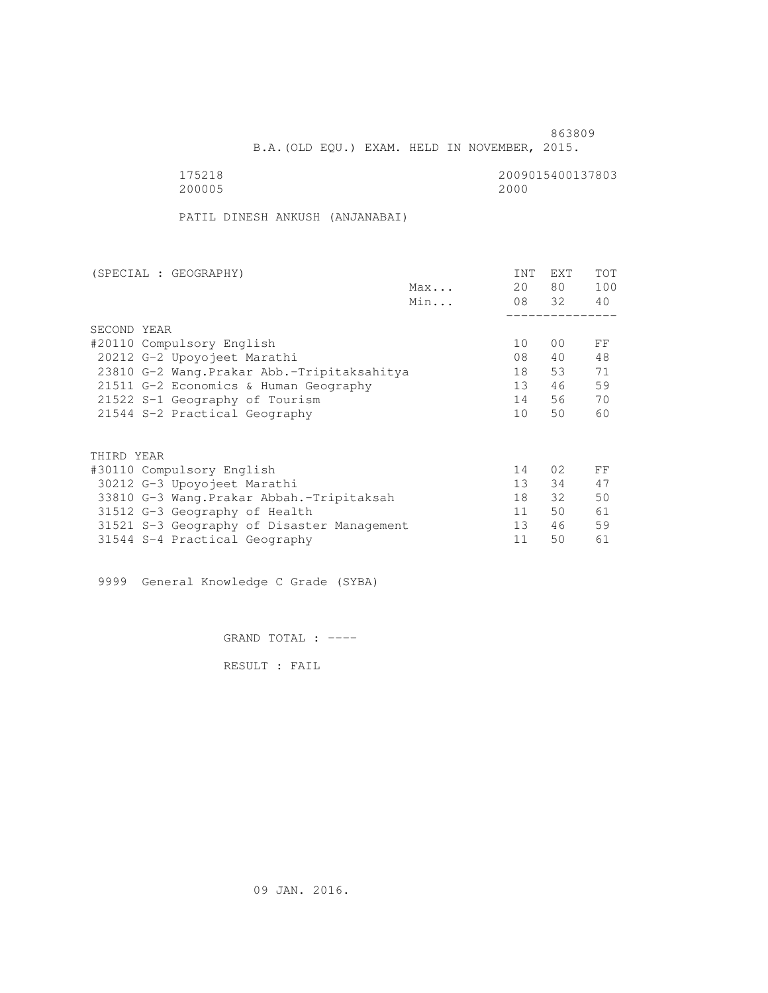B.A.(OLD EQU.) EXAM. HELD IN NOVEMBER, 2015.

 175218 2009015400137803 200005 2000

PATIL DINESH ANKUSH (ANJANABAI)

| (SPECIAL : GEOGRAPHY)                       |     | <b>INT</b>      | <b>EXT</b>      | TOT |
|---------------------------------------------|-----|-----------------|-----------------|-----|
|                                             | Max | 20              | 80 —            | 100 |
|                                             | Min |                 | 08 32           | 40  |
|                                             |     |                 |                 |     |
| SECOND YEAR                                 |     |                 |                 |     |
| #20110 Compulsory English                   |     | 10              | 0 <sup>0</sup>  | FF  |
| 20212 G-2 Upoyojeet Marathi                 |     | 08              | 40              | 48  |
| 23810 G-2 Wang. Prakar Abb.-Tripitaksahitya |     | 18              | 53              | 71  |
| 21511 G-2 Economics & Human Geography       |     | 13              | 46              | 59  |
| 21522 S-1 Geography of Tourism              |     | 14              | 56              | 70  |
| 21544 S-2 Practical Geography               |     | 10 <sup>1</sup> | 50              | 60  |
|                                             |     |                 |                 |     |
| THIRD YEAR                                  |     |                 |                 |     |
| #30110 Compulsory English                   |     | 14              | 02 <sub>2</sub> | FF  |
| 30212 G-3 Upoyojeet Marathi                 |     | 13 <sup>7</sup> | 34              | 47  |
| 33810 G-3 Wang. Prakar Abbah. - Tripitaksah |     | 18              | $32 -$          | 50  |
| 31512 G-3 Geography of Health               |     | 11              | 50              | 61  |
| 31521 S-3 Geography of Disaster Management  |     | 13 <sup>°</sup> | 46              | 59  |
| 31544 S-4 Practical Geography               |     | 11              | 50              | 61  |
|                                             |     |                 |                 |     |

9999 General Knowledge C Grade (SYBA)

GRAND TOTAL : ----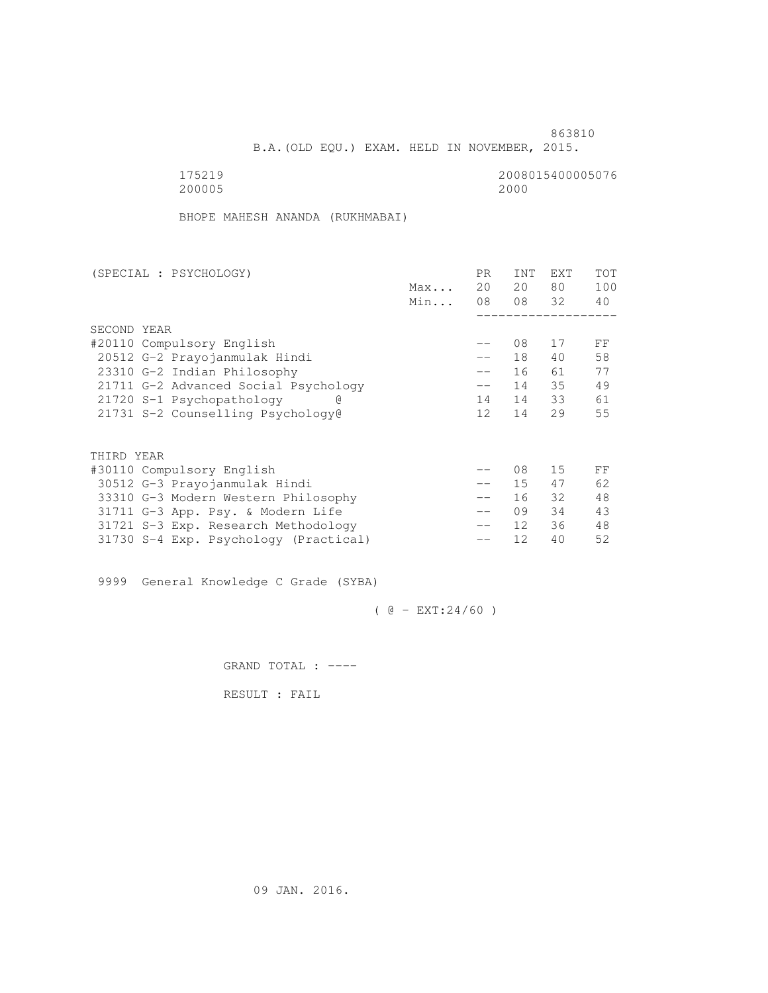B.A.(OLD EQU.) EXAM. HELD IN NOVEMBER, 2015.

200005 2000

175219 2008015400005076

BHOPE MAHESH ANANDA (RUKHMABAI)

| (SPECIAL : PSYCHOLOGY)                |     | PR.               | <b>INT</b>      | <b>EXT</b> | TOT |
|---------------------------------------|-----|-------------------|-----------------|------------|-----|
|                                       | Max | 20                | 20              | 80         | 100 |
|                                       | Min | 08                |                 | 08 32      | 40  |
|                                       |     |                   |                 |            |     |
| SECOND YEAR                           |     |                   |                 |            |     |
| #20110 Compulsory English             |     | $- -$             | 08              | 17         | FF  |
| 20512 G-2 Prayojanmulak Hindi         |     | $- -$             | 18              | 40         | 58  |
| 23310 G-2 Indian Philosophy           |     | $\qquad \qquad -$ | 16              | 61         | 77  |
| 21711 G-2 Advanced Social Psychology  |     | $-\,-$            | 14              | 35         | 49  |
| 21720 S-1 Psychopathology             |     | 14                | 14              | 33         | 61  |
| 21731 S-2 Counselling Psychology@     |     | 12                | 14              | 29         | 55  |
|                                       |     |                   |                 |            |     |
| THIRD YEAR                            |     |                   |                 |            |     |
| #30110 Compulsory English             |     |                   | 08              | 15         | FF  |
| 30512 G-3 Prayojanmulak Hindi         |     | $\qquad \qquad -$ | 15 <sub>1</sub> | 47         | 62  |
| 33310 G-3 Modern Western Philosophy   |     | $\qquad \qquad -$ | 16              | 32         | 48  |
| 31711 G-3 App. Psy. & Modern Life     |     | $\qquad \qquad -$ | 09              | 34         | 43  |
| 31721 S-3 Exp. Research Methodology   |     | $- -$             | 12 <sup>°</sup> | 36         | 48  |
| 31730 S-4 Exp. Psychology (Practical) |     |                   | 12              | 40         | 52  |
|                                       |     |                   |                 |            |     |

9999 General Knowledge C Grade (SYBA)

 $( @ - EXT: 24/60 )$ 

GRAND TOTAL : ----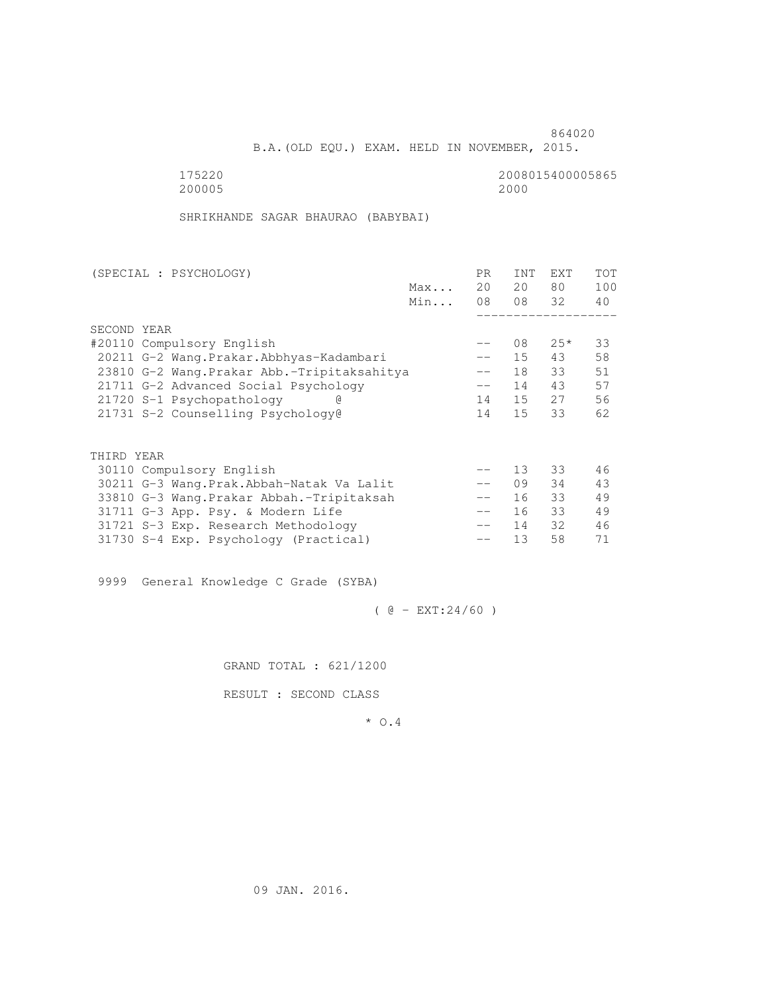B.A.(OLD EQU.) EXAM. HELD IN NOVEMBER, 2015.

 175220 2008015400005865 200005 2000

SHRIKHANDE SAGAR BHAURAO (BABYBAI)

| (SPECIAL : PSYCHOLOGY)                      |     | PR.               | <b>INT</b> | <b>EXT</b> | TOT |
|---------------------------------------------|-----|-------------------|------------|------------|-----|
|                                             | Max | 20                | 20         | 80         | 100 |
|                                             | Min | 08                | 08 32      |            | 40  |
|                                             |     |                   |            |            |     |
| SECOND YEAR                                 |     |                   |            |            |     |
| #20110 Compulsory English                   |     | $- -$             | 08         | $25*$      | 33  |
| 20211 G-2 Wang.Prakar.Abbhyas-Kadambari     |     |                   | 15         | 43         | 58  |
| 23810 G-2 Wang. Prakar Abb.-Tripitaksahitya |     | $\qquad \qquad -$ | 18         | 33         | 51  |
| 21711 G-2 Advanced Social Psychology        |     | $\qquad \qquad -$ | 14         | 43         | 57  |
| 21720 S-1 Psychopathology<br>G)             |     | 14                | 15         | 27         | 56  |
| 21731 S-2 Counselling Psychology@           |     | 14                | 15         | 33         | 62  |
|                                             |     |                   |            |            |     |
|                                             |     |                   |            |            |     |
| THIRD YEAR                                  |     |                   |            |            |     |
| 30110 Compulsory English                    |     |                   | 13         | 33         | 46  |
| 30211 G-3 Wang. Prak. Abbah-Natak Va Lalit  |     | $\qquad \qquad -$ | 09         | 34         | 43  |
| 33810 G-3 Wang. Prakar Abbah. - Tripitaksah |     | $- -$             | 16         | 33         | 49  |
| 31711 G-3 App. Psy. & Modern Life           |     | $- -$             | 16         | 33         | 49  |
| 31721 S-3 Exp. Research Methodology         |     |                   | 14         | 32         | 46  |
| 31730 S-4 Exp. Psychology (Practical)       |     |                   | 13         | 58         | 71  |
|                                             |     |                   |            |            |     |

9999 General Knowledge C Grade (SYBA)

 $( @ - EXT: 24/60 )$ 

GRAND TOTAL : 621/1200

RESULT : SECOND CLASS

\* O.4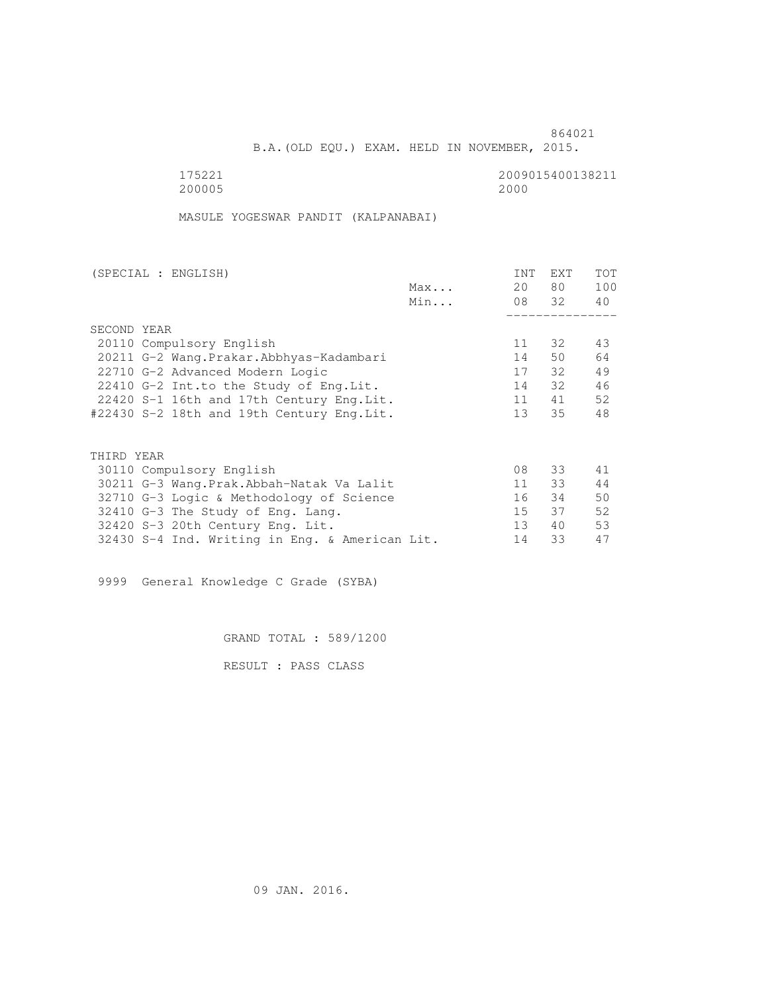B.A.(OLD EQU.) EXAM. HELD IN NOVEMBER, 2015.

 175221 2009015400138211 200005 2000

MASULE YOGESWAR PANDIT (KALPANABAI)

| (SPECIAL : ENGLISH)                            | INT             | <b>EXT</b> | TOT |
|------------------------------------------------|-----------------|------------|-----|
| Max                                            | 20              | 80 —       | 100 |
| Min                                            |                 | 08 32      | 40  |
|                                                |                 |            |     |
| SECOND YEAR                                    |                 |            |     |
| 20110 Compulsory English                       | 11              | 32         | 43  |
| 20211 G-2 Wang. Prakar. Abbhyas-Kadambari      | 14              | 50         | 64  |
| 22710 G-2 Advanced Modern Logic                | 17              | 32         | 49  |
| 22410 G-2 Int.to the Study of Eng. Lit.        | 14              | 32         | 46  |
| 22420 S-1 16th and 17th Century Eng. Lit.      | 11              | 41         | 52  |
| #22430 S-2 18th and 19th Century Eng.Lit.      | 13 <sup>1</sup> | 35         | 48  |
|                                                |                 |            |     |
|                                                |                 |            |     |
| THIRD YEAR                                     |                 |            |     |
| 30110 Compulsory English                       | 08              | 33         | 41  |
| 30211 G-3 Wang.Prak.Abbah-Natak Va Lalit       | 11              | 33         | 44  |
| 32710 G-3 Logic & Methodology of Science       | 16              | 34         | 50  |
| 32410 G-3 The Study of Eng. Lang.              | 15              | 37         | 52  |
| 32420 S-3 20th Century Eng. Lit.               | 13 <sup>°</sup> | 40         | 53  |
| 32430 S-4 Ind. Writing in Eng. & American Lit. | 14              | 33         | 47  |

9999 General Knowledge C Grade (SYBA)

GRAND TOTAL : 589/1200

RESULT : PASS CLASS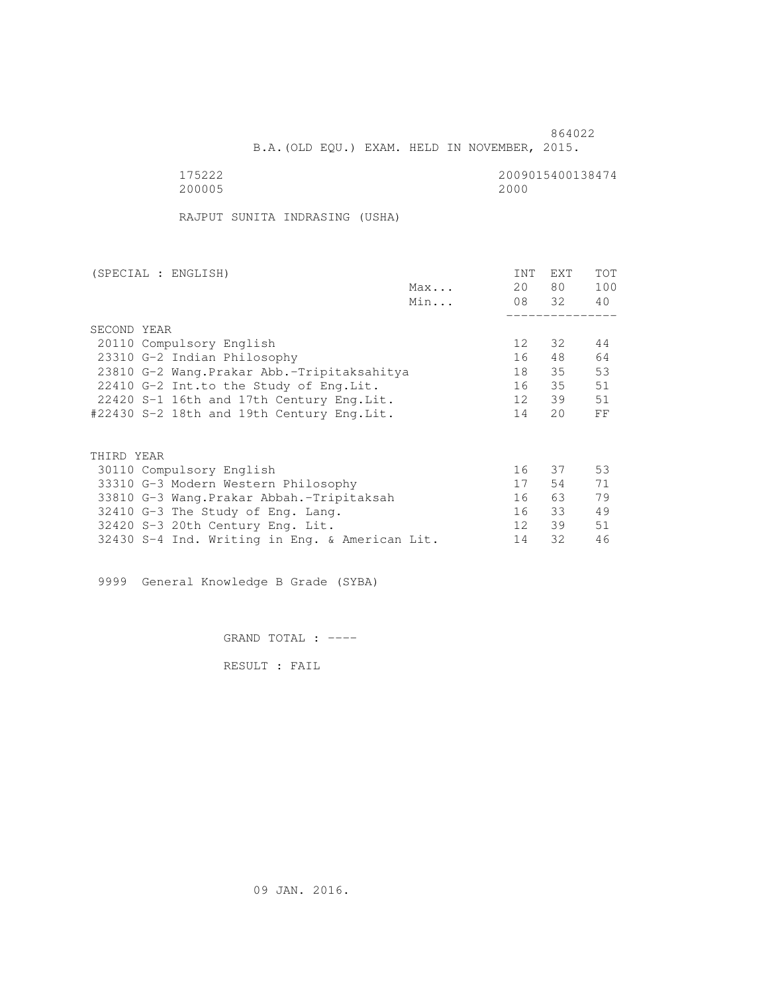B.A.(OLD EQU.) EXAM. HELD IN NOVEMBER, 2015.

 175222 2009015400138474 200005 2000

RAJPUT SUNITA INDRASING (USHA)

| (SPECIAL : ENGLISH)                            |     | INT             | <b>EXT</b> | TOT |
|------------------------------------------------|-----|-----------------|------------|-----|
|                                                | Max | 20              | 80         | 100 |
|                                                | Min |                 | 08 32      | 40  |
|                                                |     |                 |            |     |
| SECOND YEAR                                    |     |                 |            |     |
| 20110 Compulsory English                       |     | 12 <sup>°</sup> | 32         | 44  |
| 23310 G-2 Indian Philosophy                    |     | 16              | 48         | 64  |
| 23810 G-2 Wang. Prakar Abb.-Tripitaksahitya    |     | 18              | 35         | 53  |
| 22410 G-2 Int.to the Study of Eng.Lit.         |     | 16              | 35         | 51  |
| 22420 S-1 16th and 17th Century Eng. Lit.      |     | 12              | 39         | 51  |
| #22430 S-2 18th and 19th Century Eng.Lit.      |     | 14              | 20         | FF  |
|                                                |     |                 |            |     |
| THIRD YEAR                                     |     |                 |            |     |
| 30110 Compulsory English                       |     | 16              | 37         | 53  |
| 33310 G-3 Modern Western Philosophy            |     | 17              | 54         | 71  |
| 33810 G-3 Wang.Prakar Abbah.-Tripitaksah       |     | 16              | 63 —       | 79  |
| 32410 G-3 The Study of Eng. Lang.              |     | 16              | 33         | 49  |
| 32420 S-3 20th Century Eng. Lit.               |     | 12 <sup>°</sup> | 39         | 51  |
| 32430 S-4 Ind. Writing in Eng. & American Lit. |     | 14              | 32         | 46  |
|                                                |     |                 |            |     |

9999 General Knowledge B Grade (SYBA)

GRAND TOTAL : ----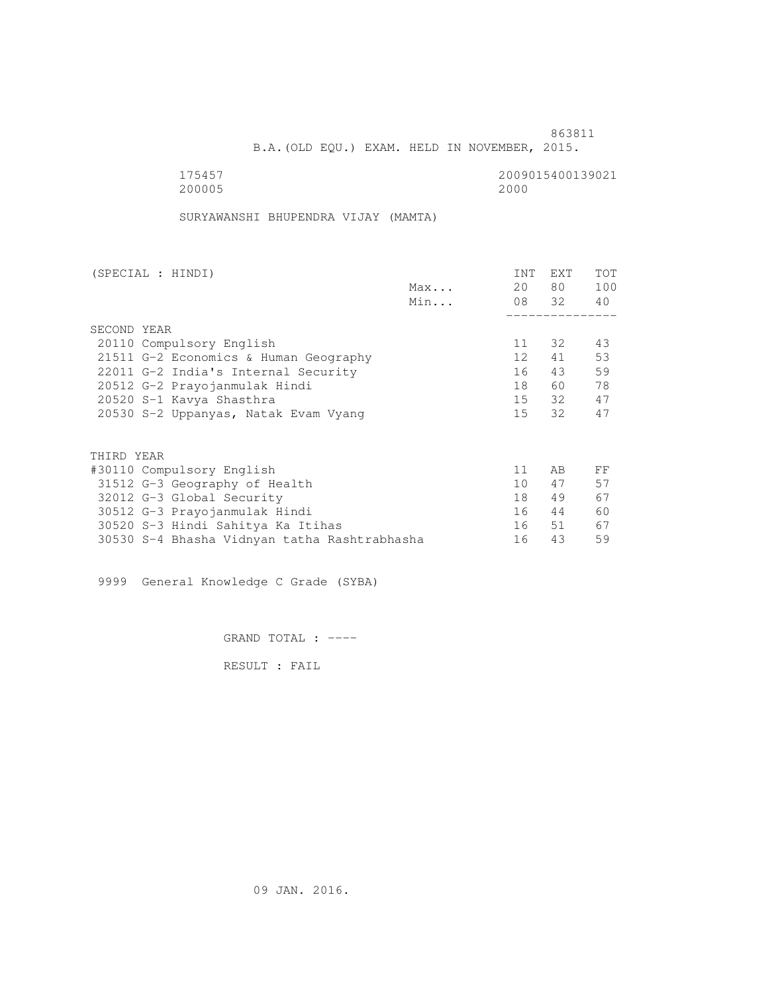B.A.(OLD EQU.) EXAM. HELD IN NOVEMBER, 2015.

 175457 2009015400139021 200005 2000

SURYAWANSHI BHUPENDRA VIJAY (MAMTA)

| (SPECIAL : HINDI)             |                                              |     | INT             | EXT   | <b>TOT</b> |
|-------------------------------|----------------------------------------------|-----|-----------------|-------|------------|
|                               |                                              | Max | 20              | 80 —  | 100        |
|                               |                                              | Min |                 | 08 32 | 40         |
|                               |                                              |     |                 |       |            |
| SECOND YEAR                   |                                              |     |                 |       |            |
| 20110 Compulsory English      |                                              |     | 11              | 32    | 43         |
|                               | 21511 G-2 Economics & Human Geography        |     | 12              | 41    | 53         |
|                               | 22011 G-2 India's Internal Security          |     | 16              | 43    | 59         |
| 20512 G-2 Prayojanmulak Hindi |                                              |     | 18              | 60    | 78         |
| 20520 S-1 Kavya Shasthra      |                                              |     |                 | 15 32 | 47         |
|                               | 20530 S-2 Uppanyas, Natak Evam Vyang         |     | 15              | 32    | 47         |
|                               |                                              |     |                 |       |            |
| THIRD YEAR                    |                                              |     |                 |       |            |
| #30110 Compulsory English     |                                              |     | 11              | AB    | FF         |
| 31512 G-3 Geography of Health |                                              |     | 10 <sup>1</sup> | 47    | 57         |
| 32012 G-3 Global Security     |                                              |     | 18              | 49    | 67         |
| 30512 G-3 Prayojanmulak Hindi |                                              |     | 16              | 44    | 60         |
|                               | 30520 S-3 Hindi Sahitya Ka Itihas            |     | 16              | 51    | 67         |
|                               | 30530 S-4 Bhasha Vidnyan tatha Rashtrabhasha |     | 16              | 43    | 59         |

9999 General Knowledge C Grade (SYBA)

GRAND TOTAL : ----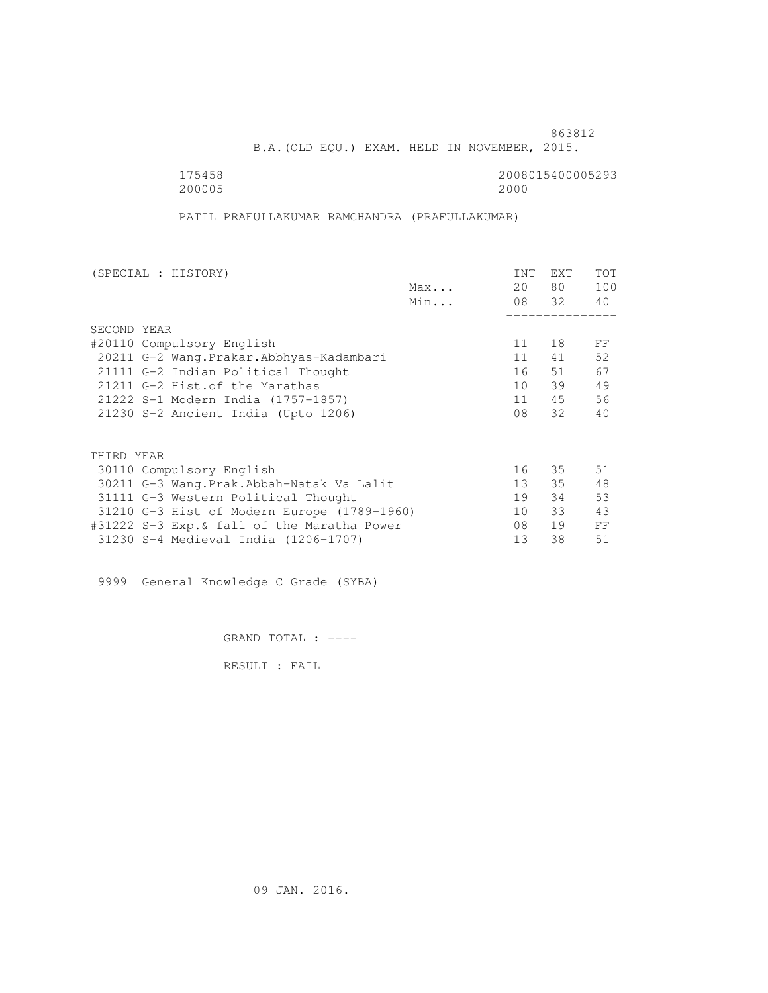B.A.(OLD EQU.) EXAM. HELD IN NOVEMBER, 2015.

200005 2000

175458 2008015400005293

PATIL PRAFULLAKUMAR RAMCHANDRA (PRAFULLAKUMAR)

| (SPECIAL : HISTORY)                         |     | INT | <b>EXT</b> | TOT |
|---------------------------------------------|-----|-----|------------|-----|
|                                             | Max | 20  | 80 —       | 100 |
|                                             | Min |     | 08 32      | 40  |
|                                             |     |     |            |     |
| SECOND YEAR                                 |     |     |            |     |
| #20110 Compulsory English                   |     | 11  | 18         | FF  |
| 20211 G-2 Wang. Prakar. Abbhyas-Kadambari   |     | 11  | 41         | 52  |
| 21111 G-2 Indian Political Thought          |     | 16  | 51         | 67  |
| 21211 G-2 Hist. of the Marathas             |     | 10  | 39         | 49  |
| 21222 S-1 Modern India (1757-1857)          |     | 11  | 45         | 56  |
| 21230 S-2 Ancient India (Upto 1206)         |     | 08  | 32         | 40  |
|                                             |     |     |            |     |
| THIRD YEAR                                  |     |     |            |     |
| 30110 Compulsory English                    |     | 16  | 35         | 51  |
| 30211 G-3 Wang.Prak.Abbah-Natak Va Lalit    |     | 13  | 35         | 48  |
| 31111 G-3 Western Political Thought         |     | 19  | 34         | 53  |
| 31210 G-3 Hist of Modern Europe (1789-1960) |     | 10  | 33         | 43  |
| #31222 S-3 Exp.& fall of the Maratha Power  |     | 08  | 19         | FF  |
| 31230 S-4 Medieval India (1206-1707)        |     | 13  | 38         | 51  |
|                                             |     |     |            |     |

9999 General Knowledge C Grade (SYBA)

GRAND TOTAL : ----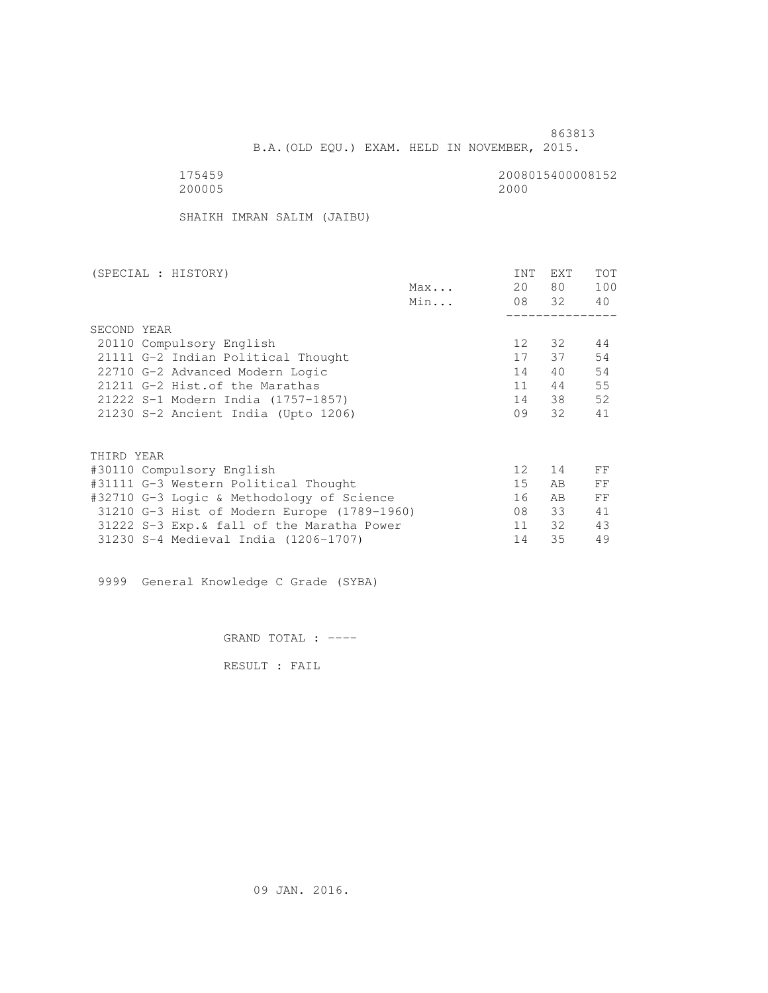B.A.(OLD EQU.) EXAM. HELD IN NOVEMBER, 2015.

 175459 2008015400008152 200005 2000

SHAIKH IMRAN SALIM (JAIBU)

| (SPECIAL : HISTORY)                         |              | INT             | EXT   | TOT |
|---------------------------------------------|--------------|-----------------|-------|-----|
|                                             | $Max \ldots$ | 20              | 80 —  | 100 |
|                                             | Min          |                 | 08 32 | 40  |
|                                             |              |                 |       |     |
| SECOND YEAR                                 |              |                 |       |     |
| 20110 Compulsory English                    |              | 12              | 32    | 44  |
| 21111 G-2 Indian Political Thought          |              | 17              | 37    | 54  |
| 22710 G-2 Advanced Modern Logic             |              | 14              | 40    | 54  |
| 21211 G-2 Hist. of the Marathas             |              | 11              | 44    | 55  |
| 21222 S-1 Modern India (1757-1857)          |              | 14              | 38    | 52  |
| 21230 S-2 Ancient India (Upto 1206)         |              | 09              | 32    | 41  |
|                                             |              |                 |       |     |
| THIRD YEAR                                  |              |                 |       |     |
| #30110 Compulsory English                   |              | 12 <sup>°</sup> | 14    | FF  |
| #31111 G-3 Western Political Thought        |              | 15              | AB    | FF  |
| #32710 G-3 Logic & Methodology of Science   |              | 16              | AB.   | FF  |
| 31210 G-3 Hist of Modern Europe (1789-1960) |              | 08              | 33    | 41  |
| 31222 S-3 Exp. & fall of the Maratha Power  |              | 11              | 32    | 43  |
| 31230 S-4 Medieval India (1206-1707)        |              | 14              | 35    | 49  |
|                                             |              |                 |       |     |

9999 General Knowledge C Grade (SYBA)

GRAND TOTAL : ----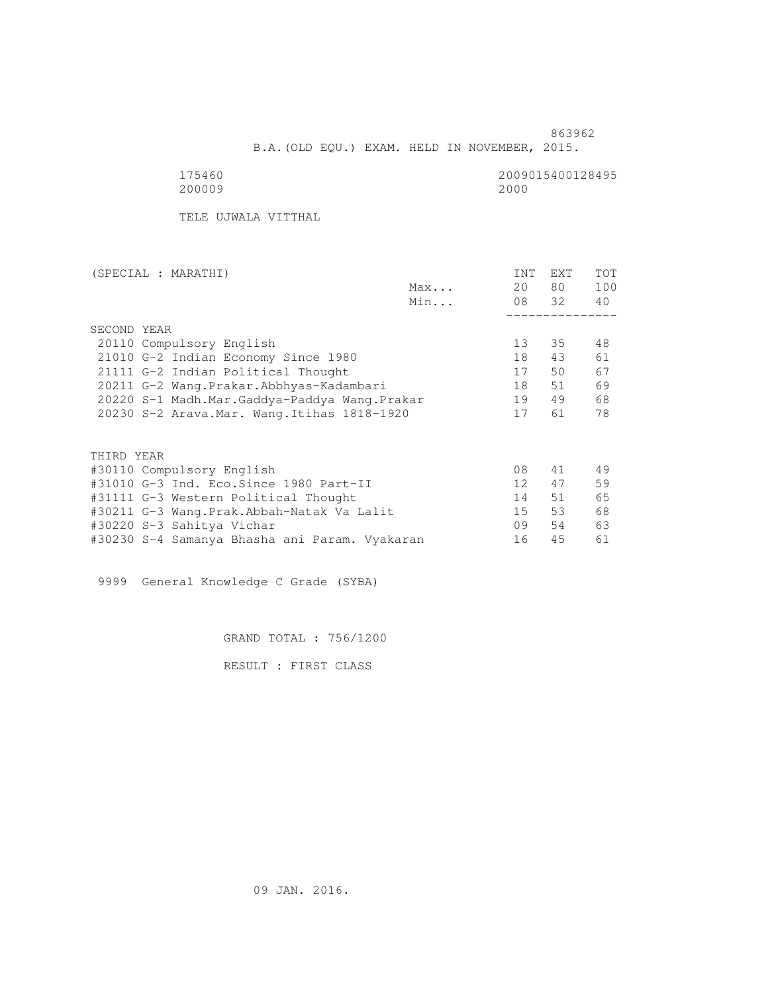B.A.(OLD EQU.) EXAM. HELD IN NOVEMBER, 2015.

175460<br>200009 200000 20000 2000 200009 2000

TELE UJWALA VITTHAL

| (SPECIAL : MARATHI)                           |     | INT | <b>EXT</b> | <b>TOT</b> |
|-----------------------------------------------|-----|-----|------------|------------|
|                                               | Max | 20  | 80 —       | 100        |
|                                               | Min |     | 08 32      | 40         |
|                                               |     |     |            |            |
| SECOND YEAR                                   |     |     |            |            |
| 20110 Compulsory English                      |     | 13  | 35         | 48         |
| 21010 G-2 Indian Economy Since 1980           |     | 18  | 43         | 61         |
| 21111 G-2 Indian Political Thought            |     | 17  | 50         | 67         |
| 20211 G-2 Wang.Prakar.Abbhyas-Kadambari       |     | 18  | 51         | 69         |
| 20220 S-1 Madh.Mar.Gaddya-Paddya Wang.Prakar  |     | 19  | 49         | 68         |
| 20230 S-2 Arava. Mar. Wang. Itihas 1818-1920  |     | 17  | 61         | 78         |
|                                               |     |     |            |            |
|                                               |     |     |            |            |
| THIRD YEAR                                    |     |     |            |            |
| #30110 Compulsory English                     |     | 08  | 41         | 49         |
| #31010 G-3 Ind. Eco.Since 1980 Part-II        |     | 12  | 47         | 59         |
| #31111 G-3 Western Political Thought          |     | 14  | 51         | 65         |
| #30211 G-3 Wang.Prak.Abbah-Natak Va Lalit     |     | 15  | 53         | 68         |
| #30220 S-3 Sahitya Vichar                     |     | 09  | 54         | 63         |
| #30230 S-4 Samanya Bhasha ani Param. Vyakaran |     | 16  | 45         | 61         |
|                                               |     |     |            |            |

9999 General Knowledge C Grade (SYBA)

GRAND TOTAL : 756/1200

RESULT : FIRST CLASS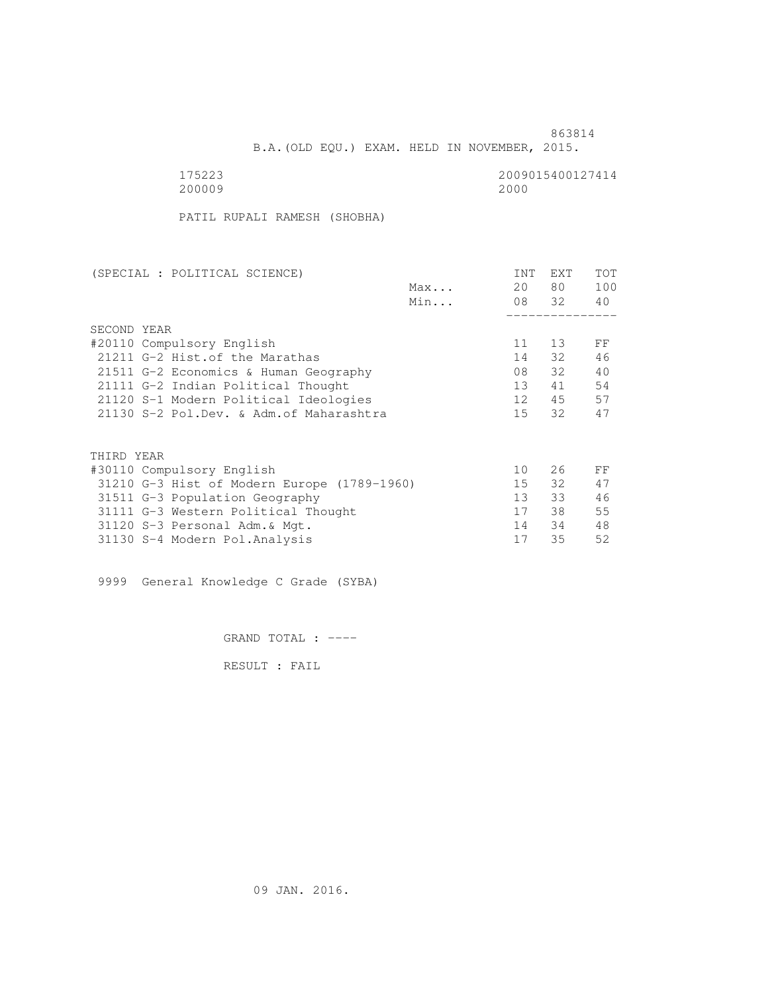B.A.(OLD EQU.) EXAM. HELD IN NOVEMBER, 2015.

 175223 2009015400127414 200009 2000

PATIL RUPALI RAMESH (SHOBHA)

| (SPECIAL : POLITICAL SCIENCE)               |     | INT             | <b>EXT</b> | TOT |
|---------------------------------------------|-----|-----------------|------------|-----|
|                                             | Max | 20              | 80         | 100 |
|                                             | Min |                 | 08 32      | 40  |
|                                             |     |                 |            |     |
| SECOND YEAR                                 |     |                 |            |     |
| #20110 Compulsory English                   |     | 11              | 13         | FF  |
| 21211 G-2 Hist. of the Marathas             |     | 14              | 32         | 46  |
| 21511 G-2 Economics & Human Geography       |     | 08              | 32         | 40  |
| 21111 G-2 Indian Political Thought          |     | 13              | 41         | 54  |
| 21120 S-1 Modern Political Ideologies       |     | 12              | 45         | 57  |
| 21130 S-2 Pol.Dev. & Adm. of Maharashtra    |     | 15 <sub>1</sub> | 32         | 47  |
|                                             |     |                 |            |     |
| THIRD YEAR                                  |     |                 |            |     |
| #30110 Compulsory English                   |     | 10              | 26         | FF  |
| 31210 G-3 Hist of Modern Europe (1789-1960) |     | 15              | 32         | 47  |
| 31511 G-3 Population Geography              |     | 13 <sup>°</sup> | 33         | 46  |
| 31111 G-3 Western Political Thought         |     | 17              | 38         | 55  |
| 31120 S-3 Personal Adm. & Mgt.              |     | 14              | 34         | 48  |
| 31130 S-4 Modern Pol.Analysis               |     | 17              | 35         | 52  |
|                                             |     |                 |            |     |

9999 General Knowledge C Grade (SYBA)

GRAND TOTAL : ----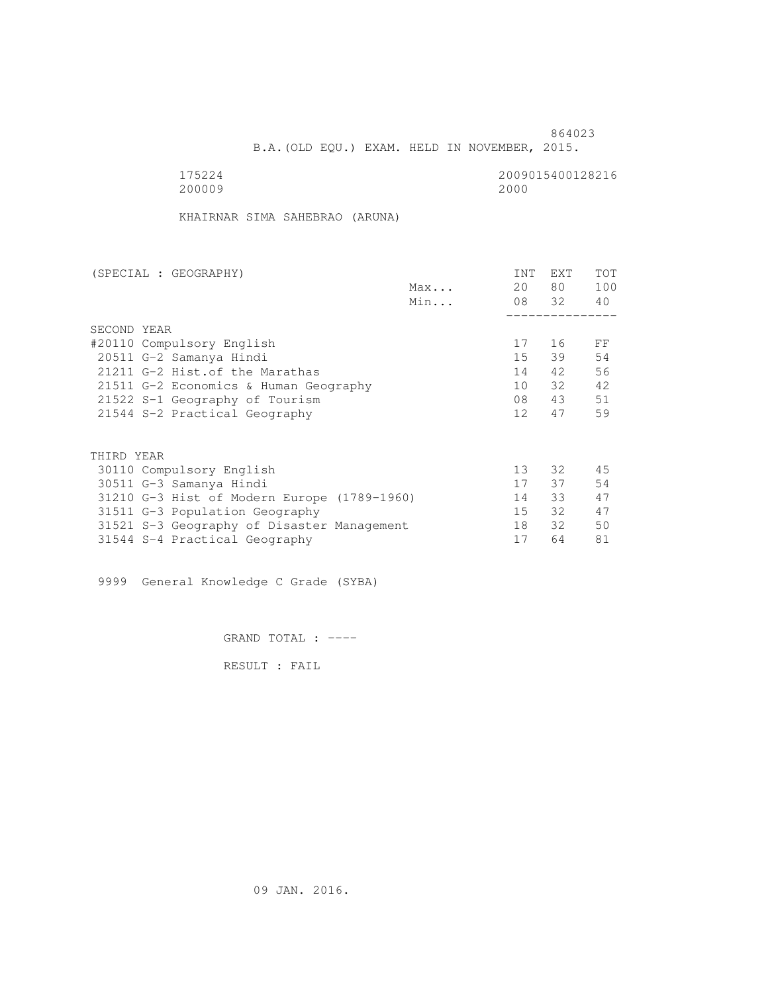B.A.(OLD EQU.) EXAM. HELD IN NOVEMBER, 2015.

175224<br>200009 200000 20000 2000 200009 2000

KHAIRNAR SIMA SAHEBRAO (ARUNA)

| (SPECIAL : GEOGRAPHY)                       |     | <b>INT</b>      | <b>EXT</b> | TOT |
|---------------------------------------------|-----|-----------------|------------|-----|
|                                             | Max | 20              | 80 —       | 100 |
|                                             | Min |                 | 08 32      | 40  |
|                                             |     |                 |            |     |
| SECOND YEAR                                 |     |                 |            |     |
| #20110 Compulsory English                   |     | 17              | 16         | FF  |
| 20511 G-2 Samanya Hindi                     |     | 15              | 39         | 54  |
| 21211 G-2 Hist. of the Marathas             |     | 14              | 42         | 56  |
| 21511 G-2 Economics & Human Geography       |     | 10              | 32         | 42  |
| 21522 S-1 Geography of Tourism              |     | 08              | 43         | 51  |
| 21544 S-2 Practical Geography               |     | 12 <sup>1</sup> | 47         | 59  |
|                                             |     |                 |            |     |
| THIRD YEAR                                  |     |                 |            |     |
| 30110 Compulsory English                    |     | 13 <sup>°</sup> | 32 F       | 45  |
| 30511 G-3 Samanya Hindi                     |     | 17              | 37         | 54  |
| 31210 G-3 Hist of Modern Europe (1789-1960) |     | 14              | 33         | 47  |
| 31511 G-3 Population Geography              |     | 15              | 32         | 47  |
| 31521 S-3 Geography of Disaster Management  |     | 18              | 32         | 50  |
| 31544 S-4 Practical Geography               |     | 17              | 64         | 81  |
|                                             |     |                 |            |     |

9999 General Knowledge C Grade (SYBA)

GRAND TOTAL : ----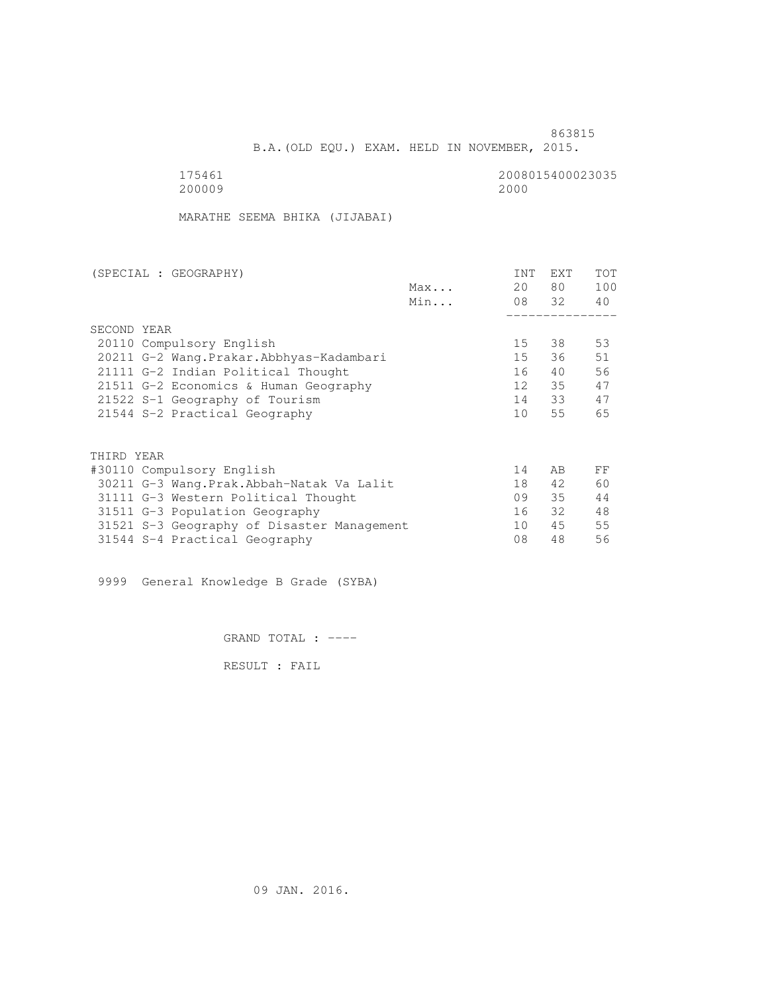B.A.(OLD EQU.) EXAM. HELD IN NOVEMBER, 2015.

175461<br>200009 20000 2000 2000 200009 2000

MARATHE SEEMA BHIKA (JIJABAI)

| (SPECIAL : GEOGRAPHY)                      |     | <b>INT</b>      | <b>EXT</b> | <b>TOT</b> |
|--------------------------------------------|-----|-----------------|------------|------------|
|                                            | Max | 20              | 80         | 100        |
|                                            | Min |                 | 08 32      | 40         |
|                                            |     |                 |            |            |
| SECOND YEAR                                |     |                 |            |            |
| 20110 Compulsory English                   |     | 15              | 38         | 53         |
| 20211 G-2 Wang. Prakar. Abbhyas-Kadambari  |     | 15              | 36         | 51         |
| 21111 G-2 Indian Political Thought         |     | 16              | 40         | 56         |
| 21511 G-2 Economics & Human Geography      |     | 12              | 35         | 47         |
| 21522 S-1 Geography of Tourism             |     | 14              | 33         | 47         |
| 21544 S-2 Practical Geography              |     | 10 <sup>°</sup> | 55         | 65         |
|                                            |     |                 |            |            |
| THIRD YEAR                                 |     |                 |            |            |
| #30110 Compulsory English                  |     | 14              | AB         | FF         |
| 30211 G-3 Wang. Prak. Abbah-Natak Va Lalit |     | 18              | 42         | 60         |
| 31111 G-3 Western Political Thought        |     | 09              | 35         | 44         |
| 31511 G-3 Population Geography             |     | 16              | 32         | 48         |
| 31521 S-3 Geography of Disaster Management |     | 10              | 45         | 55         |
| 31544 S-4 Practical Geography              |     | 08              | 48         | 56         |
|                                            |     |                 |            |            |

9999 General Knowledge B Grade (SYBA)

GRAND TOTAL : ----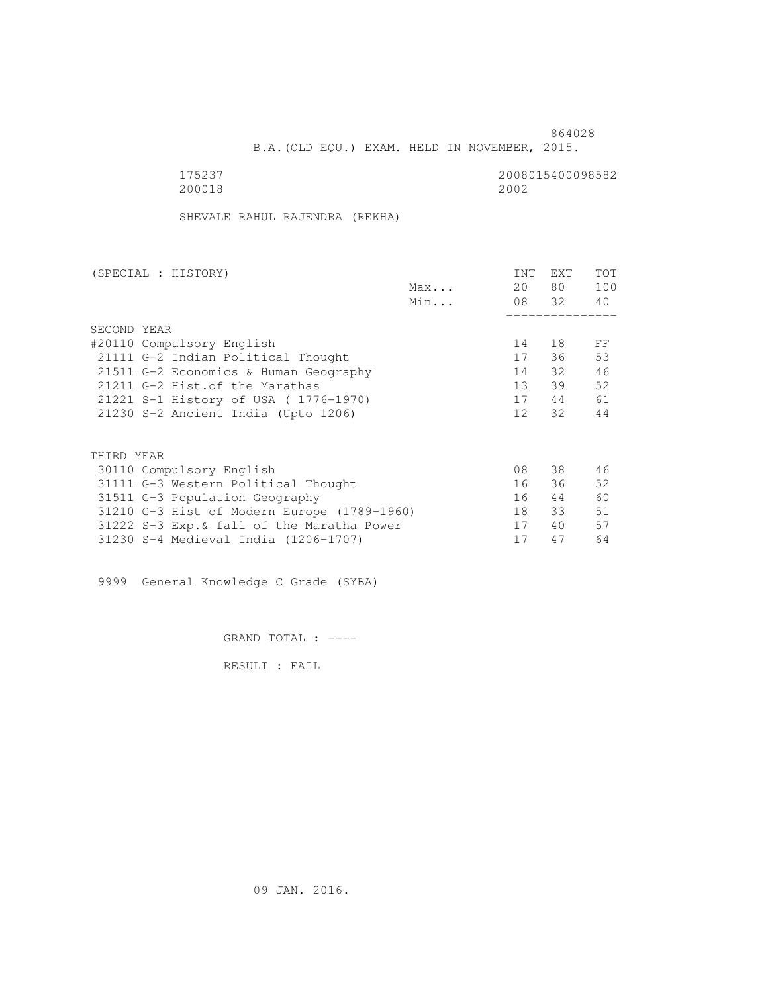B.A.(OLD EQU.) EXAM. HELD IN NOVEMBER, 2015.

200018 2002

175237 2008015400098582

SHEVALE RAHUL RAJENDRA (REKHA)

| (SPECIAL : HISTORY)                         |     | <b>INT</b>      | <b>EXT</b> | TOT |
|---------------------------------------------|-----|-----------------|------------|-----|
|                                             | Max | 20              | 80 —       | 100 |
|                                             | Min |                 | 08 32      | 40  |
|                                             |     |                 |            |     |
| SECOND YEAR                                 |     |                 |            |     |
| #20110 Compulsory English                   |     | 14              | 18         | FF  |
| 21111 G-2 Indian Political Thought          |     | 17              | 36         | 53  |
| 21511 G-2 Economics & Human Geography       |     | 14              | 32         | 46  |
| 21211 G-2 Hist. of the Marathas             |     | 13              | 39         | 52  |
| 21221 S-1 History of USA (1776-1970)        |     | 17              | 44         | 61  |
| 21230 S-2 Ancient India (Upto 1206)         |     | 12 <sup>7</sup> | 32         | 44  |
|                                             |     |                 |            |     |
| THIRD YEAR                                  |     |                 |            |     |
| 30110 Compulsory English                    |     | 08              | 38         | 46  |
| 31111 G-3 Western Political Thought         |     | 16              | 36         | 52  |
| 31511 G-3 Population Geography              |     | 16              | 44         | 60  |
| 31210 G-3 Hist of Modern Europe (1789-1960) |     | 18              | 33         | 51  |
| 31222 S-3 Exp. & fall of the Maratha Power  |     | 17              | 40         | 57  |
| 31230 S-4 Medieval India (1206-1707)        |     | 17              | 47         | 64  |
|                                             |     |                 |            |     |

9999 General Knowledge C Grade (SYBA)

GRAND TOTAL : ----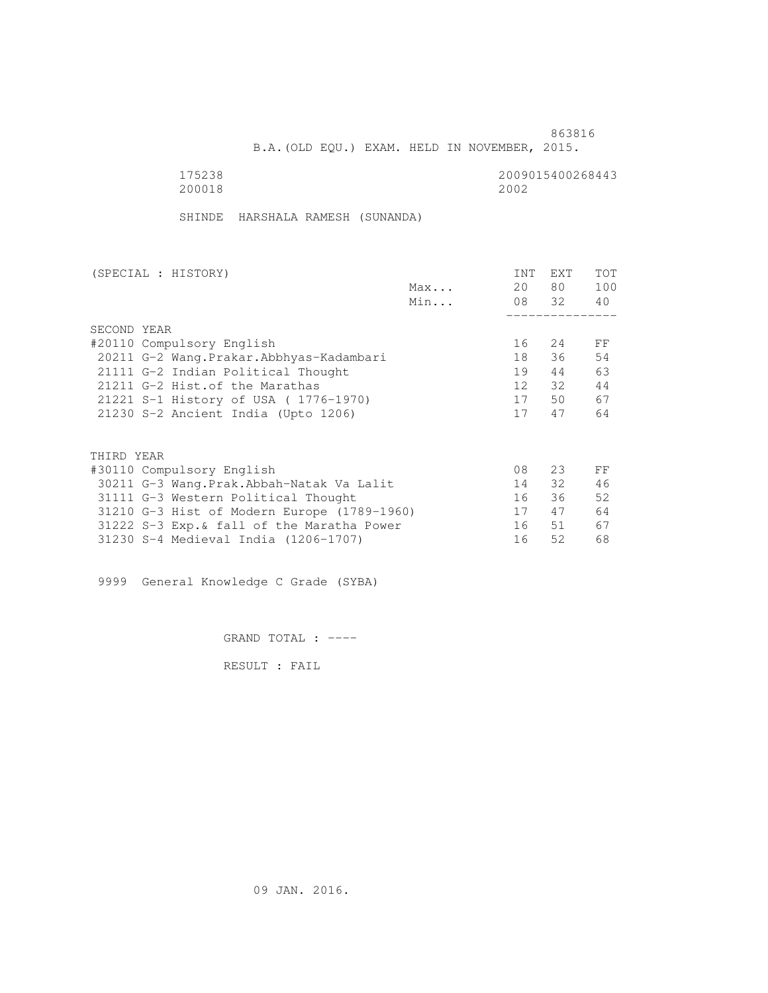B.A.(OLD EQU.) EXAM. HELD IN NOVEMBER, 2015.

 175238 2009015400268443 200018 2002

SHINDE HARSHALA RAMESH (SUNANDA)

| (SPECIAL : HISTORY)                         |     | <b>INT</b>      | <b>EXT</b> | TOT |
|---------------------------------------------|-----|-----------------|------------|-----|
|                                             | Max | 20              | 80 —       | 100 |
|                                             | Min |                 | 08 32      | 40  |
|                                             |     |                 |            |     |
| SECOND YEAR                                 |     |                 |            |     |
| #20110 Compulsory English                   |     | 16              | 24         | FF  |
| 20211 G-2 Wang. Prakar. Abbhyas-Kadambari   |     | 18              | 36         | 54  |
| 21111 G-2 Indian Political Thought          |     | 19              | 44         | 63  |
| 21211 G-2 Hist. of the Marathas             |     | 12 <sup>7</sup> | 32         | 44  |
| 21221 S-1 History of USA (1776-1970)        |     | 17              | 50         | 67  |
| 21230 S-2 Ancient India (Upto 1206)         |     | 17              | 47         | 64  |
|                                             |     |                 |            |     |
| THIRD YEAR                                  |     |                 |            |     |
| #30110 Compulsory English                   |     | 08              | 23         | FF  |
| 30211 G-3 Wang.Prak.Abbah-Natak Va Lalit    |     | 14              | 32         | 46  |
| 31111 G-3 Western Political Thought         |     | 16              | 36         | 52  |
| 31210 G-3 Hist of Modern Europe (1789-1960) |     | 17              | 47         | 64  |
| 31222 S-3 Exp. & fall of the Maratha Power  |     | 16              | 51         | 67  |
| 31230 S-4 Medieval India (1206-1707)        |     | 16              | 52         | 68  |
|                                             |     |                 |            |     |

9999 General Knowledge C Grade (SYBA)

GRAND TOTAL : ----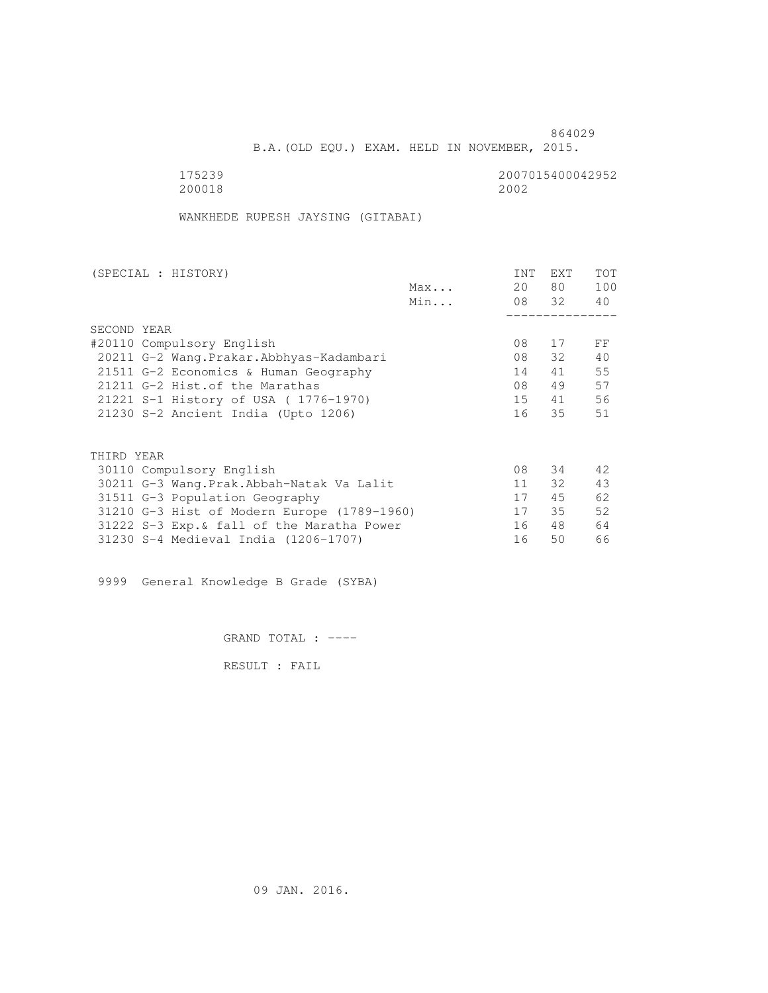B.A.(OLD EQU.) EXAM. HELD IN NOVEMBER, 2015.

 175239 2007015400042952 200018 2002

WANKHEDE RUPESH JAYSING (GITABAI)

| (SPECIAL : HISTORY)                         | <b>INT</b> | EXT   | TOT |
|---------------------------------------------|------------|-------|-----|
| Max                                         | 20         | 80 —  | 100 |
| Min                                         |            | 08 32 | 40  |
|                                             |            |       |     |
| SECOND YEAR                                 |            |       |     |
| #20110 Compulsory English                   | 08         | 17    | FF  |
| 20211 G-2 Wang. Prakar. Abbhyas-Kadambari   | 08         | 32    | 40  |
| 21511 G-2 Economics & Human Geography       | 14         | 41    | 55  |
| 21211 G-2 Hist. of the Marathas             | 08         | 49    | 57  |
| 21221 S-1 History of USA (1776-1970)        | 15         | 41    | 56  |
| 21230 S-2 Ancient India (Upto 1206)         | 16         | 35    | 51  |
|                                             |            |       |     |
| THIRD YEAR                                  |            |       |     |
| 30110 Compulsory English                    | 08         | 34    | 42  |
| 30211 G-3 Wang.Prak.Abbah-Natak Va Lalit    | 11         | 32    | 43  |
| 31511 G-3 Population Geography              | 17         | 45    | 62  |
| 31210 G-3 Hist of Modern Europe (1789-1960) | 17         | 35    | 52  |
| 31222 S-3 Exp. & fall of the Maratha Power  | 16         | 48    | 64  |
| 31230 S-4 Medieval India (1206-1707)        | 16         | 50    | 66  |

9999 General Knowledge B Grade (SYBA)

GRAND TOTAL : ----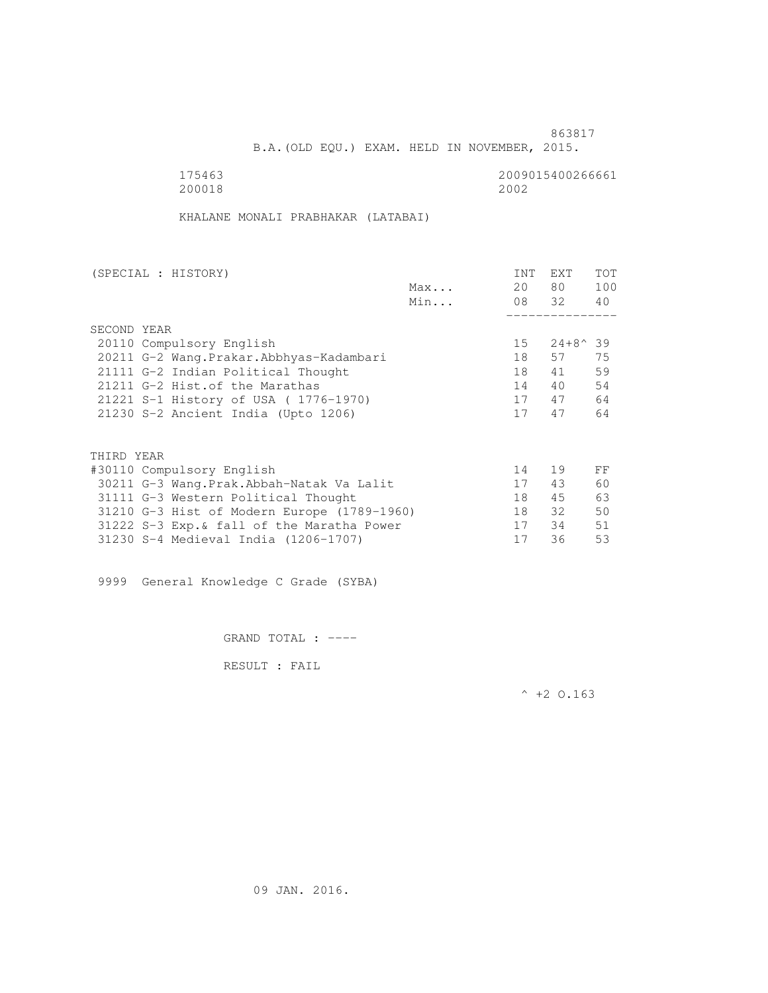B.A.(OLD EQU.) EXAM. HELD IN NOVEMBER, 2015.

200018 2002

175463<br>200018 200018 200018

KHALANE MONALI PRABHAKAR (LATABAI)

| (SPECIAL : HISTORY) |                                             |     | <b>INT</b> | <b>EXT</b> | TOT |
|---------------------|---------------------------------------------|-----|------------|------------|-----|
|                     |                                             | Max | 20         | 80 —       | 100 |
|                     |                                             | Min |            | 08 32      | 40  |
|                     |                                             |     |            |            |     |
| SECOND YEAR         |                                             |     |            |            |     |
|                     | 20110 Compulsory English                    |     | $15 -$     | 24+8^39    |     |
|                     | 20211 G-2 Wang. Prakar. Abbhyas-Kadambari   |     | 18         | 57         | 75  |
|                     | 21111 G-2 Indian Political Thought          |     | 18         | 41         | 59  |
|                     | 21211 G-2 Hist. of the Marathas             |     | 14         | 40         | 54  |
|                     | 21221 S-1 History of USA (1776-1970)        |     | 17         | 47         | 64  |
|                     | 21230 S-2 Ancient India (Upto 1206)         |     | 17         | 47         | 64  |
|                     |                                             |     |            |            |     |
|                     |                                             |     |            |            |     |
| THIRD YEAR          |                                             |     |            |            |     |
|                     | #30110 Compulsory English                   |     | 14         | 19         | FF  |
|                     | 30211 G-3 Wang.Prak.Abbah-Natak Va Lalit    |     | 17         | 43         | 60  |
|                     | 31111 G-3 Western Political Thought         |     | 18         | 45         | 63  |
|                     | 31210 G-3 Hist of Modern Europe (1789-1960) |     | 18         | 32         | 50  |
|                     | 31222 S-3 Exp. & fall of the Maratha Power  |     | 17         | 34         | 51  |
|                     | 31230 S-4 Medieval India (1206-1707)        |     | 17         | 36         | 53  |

9999 General Knowledge C Grade (SYBA)

GRAND TOTAL : ----

RESULT : FAIL

 $^{\wedge}$  +2 O.163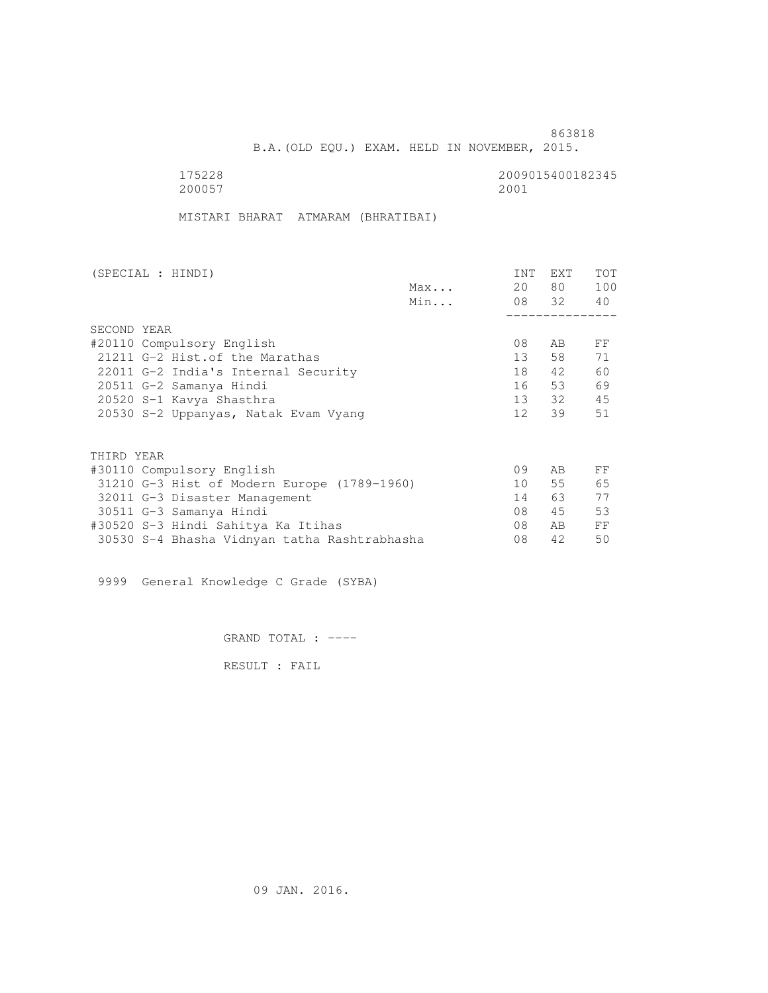B.A.(OLD EQU.) EXAM. HELD IN NOVEMBER, 2015.

 175228 2009015400182345 200057 2001

MISTARI BHARAT ATMARAM (BHRATIBAI)

|             | (SPECIAL : HINDI)                            |     | <b>INT</b>      | <b>EXT</b> | TOT |
|-------------|----------------------------------------------|-----|-----------------|------------|-----|
|             |                                              | Max | 20              | 80 —       | 100 |
|             |                                              | Min |                 | 08 32 40   |     |
|             |                                              |     |                 |            |     |
| SECOND YEAR |                                              |     |                 |            |     |
|             | #20110 Compulsory English                    |     | 08              | AB         | FF  |
|             | 21211 G-2 Hist. of the Marathas              |     | 13 <sup>7</sup> | 58         | 71  |
|             | 22011 G-2 India's Internal Security          |     | 18              | 42         | 60  |
|             | 20511 G-2 Samanya Hindi                      |     | 16              | 53         | 69  |
|             | 20520 S-1 Kavya Shasthra                     |     | 13              | 32         | 45  |
|             | 20530 S-2 Uppanyas, Natak Evam Vyang         |     | 12 <sup>1</sup> | 39         | 51  |
|             |                                              |     |                 |            |     |
| THIRD YEAR  |                                              |     |                 |            |     |
|             | #30110 Compulsory English                    |     | 09              | AB         | FF  |
|             | 31210 G-3 Hist of Modern Europe (1789-1960)  |     | 10              | 55         | 65  |
|             | 32011 G-3 Disaster Management                |     | 14              | 63         | 77  |
|             | 30511 G-3 Samanya Hindi                      |     | 08              | 45         | 53  |
|             | #30520 S-3 Hindi Sahitya Ka Itihas           |     | 08              | AB.        | FF  |
|             | 30530 S-4 Bhasha Vidnyan tatha Rashtrabhasha |     | 08              | 42         | 50  |

9999 General Knowledge C Grade (SYBA)

GRAND TOTAL : ----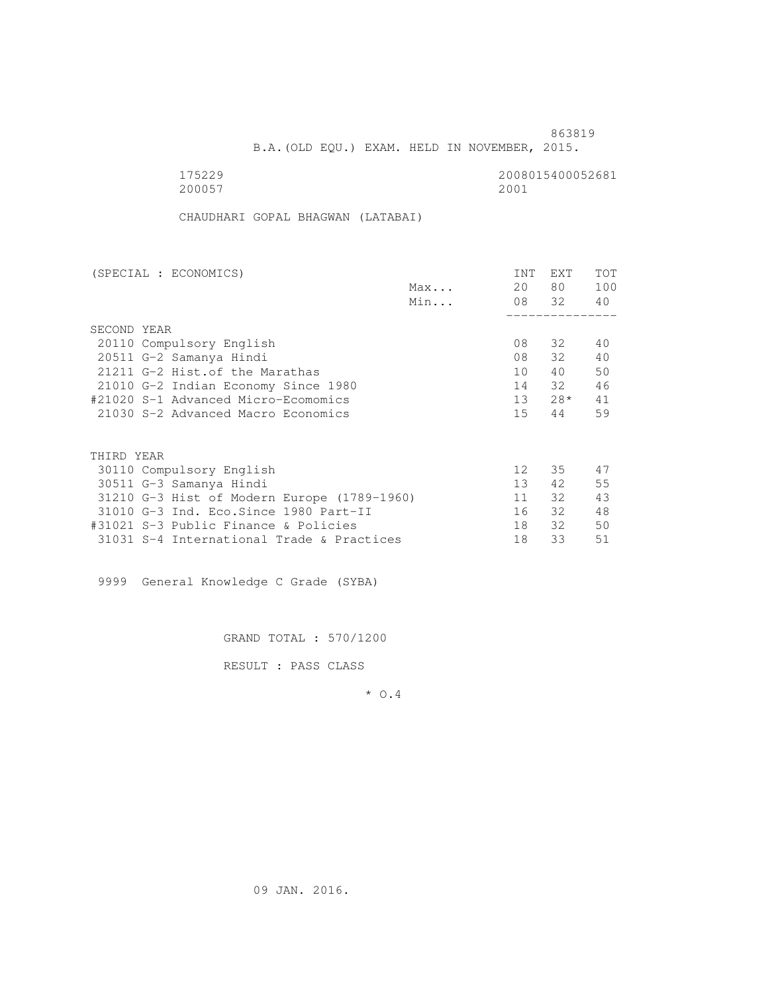B.A.(OLD EQU.) EXAM. HELD IN NOVEMBER, 2015.

200057 2001

175229 2008015400052681

CHAUDHARI GOPAL BHAGWAN (LATABAI)

| (SPECIAL : ECONOMICS)                       |     | <b>INT</b>      | <b>EXT</b> | TOT |
|---------------------------------------------|-----|-----------------|------------|-----|
|                                             | Max | 20              | 80 —       | 100 |
|                                             | Min |                 | 08 32      | 40  |
|                                             |     |                 |            |     |
| SECOND YEAR                                 |     |                 |            |     |
| 20110 Compulsory English                    |     | 08              | 32         | 40  |
| 20511 G-2 Samanya Hindi                     |     | 08              | 32         | 40  |
| 21211 G-2 Hist. of the Marathas             |     | 10              | 40         | 50  |
| 21010 G-2 Indian Economy Since 1980         |     | 14              | 32         | 46  |
| #21020 S-1 Advanced Micro-Ecomomics         |     | 13              | $28*$      | 41  |
| 21030 S-2 Advanced Macro Economics          |     | 15 <sub>1</sub> | 44         | 59  |
|                                             |     |                 |            |     |
| THIRD YEAR                                  |     |                 |            |     |
| 30110 Compulsory English                    |     | 12 <sup>°</sup> | 35         | 47  |
| 30511 G-3 Samanya Hindi                     |     | 13 <sup>7</sup> | 42         | 55  |
| 31210 G-3 Hist of Modern Europe (1789-1960) |     | 11              | 32         | 43  |
| 31010 G-3 Ind. Eco. Since 1980 Part-II      |     | 16              | 32         | 48  |
| #31021 S-3 Public Finance & Policies        |     | 18              | 32         | 50  |
| 31031 S-4 International Trade & Practices   |     | 18              | 33         | 51  |

9999 General Knowledge C Grade (SYBA)

GRAND TOTAL : 570/1200

RESULT : PASS CLASS

\* O.4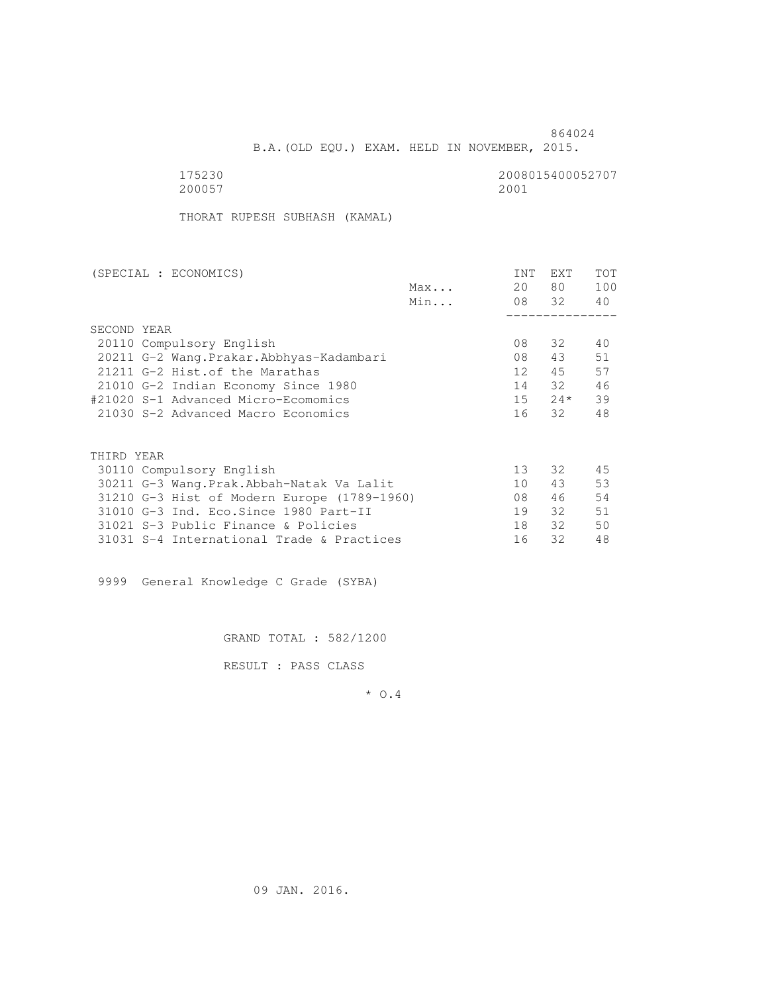B.A.(OLD EQU.) EXAM. HELD IN NOVEMBER, 2015.

 175230 2008015400052707 200057 2001

THORAT RUPESH SUBHASH (KAMAL)

| (SPECIAL : ECONOMICS)                       |     | <b>INT</b>      | <b>EXT</b> | TOT |
|---------------------------------------------|-----|-----------------|------------|-----|
|                                             | Max | 20              | 80 —       | 100 |
|                                             | Min |                 | 08 32      | 40  |
|                                             |     |                 |            |     |
| SECOND YEAR                                 |     |                 |            |     |
| 20110 Compulsory English                    |     | 08              | 32         | 40  |
| 20211 G-2 Wang. Prakar. Abbhyas-Kadambari   |     | 08              | 43         | 51  |
| 21211 G-2 Hist. of the Marathas             |     | 12 <sup>°</sup> | 45         | 57  |
| 21010 G-2 Indian Economy Since 1980         |     | 14              | 32         | 46  |
| #21020 S-1 Advanced Micro-Ecomomics         |     | 15              | $24*$      | 39  |
| 21030 S-2 Advanced Macro Economics          |     | 16              | 32         | 48  |
|                                             |     |                 |            |     |
| THIRD YEAR                                  |     |                 |            |     |
| 30110 Compulsory English                    |     | 13              | 32         | 45  |
| 30211 G-3 Wang.Prak.Abbah-Natak Va Lalit    |     | 10              | 43         | 53  |
| 31210 G-3 Hist of Modern Europe (1789-1960) |     | 08              | 46         | 54  |
| 31010 G-3 Ind. Eco. Since 1980 Part-II      |     | 19              | 32         | 51  |
| 31021 S-3 Public Finance & Policies         |     | 18              | 32         | 50  |
| 31031 S-4 International Trade & Practices   |     | 16              | 32         | 48  |
|                                             |     |                 |            |     |

9999 General Knowledge C Grade (SYBA)

GRAND TOTAL : 582/1200

RESULT : PASS CLASS

\* O.4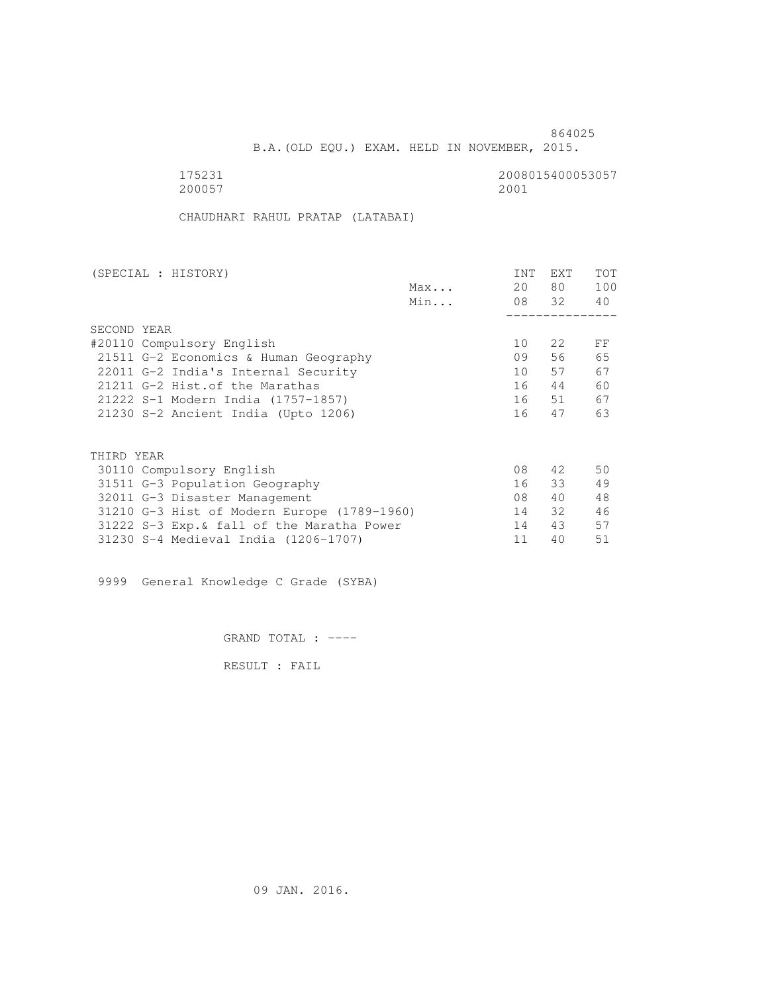B.A.(OLD EQU.) EXAM. HELD IN NOVEMBER, 2015.

 175231 2008015400053057 200057 2001

CHAUDHARI RAHUL PRATAP (LATABAI)

| (SPECIAL : HISTORY)                         |     | INT | EXT   | TOT |
|---------------------------------------------|-----|-----|-------|-----|
|                                             | Max | 20  | 80    | 100 |
|                                             | Min |     | 08 32 | 40  |
|                                             |     |     |       |     |
| SECOND YEAR                                 |     |     |       |     |
| #20110 Compulsory English                   |     | 10  | 2.2   | FF  |
| 21511 G-2 Economics & Human Geography       |     | 09  | 56    | 65  |
| 22011 G-2 India's Internal Security         |     | 10  | 57    | 67  |
| 21211 G-2 Hist. of the Marathas             |     | 16  | 44    | 60  |
| 21222 S-1 Modern India (1757-1857)          |     | 16  | 51    | 67  |
| 21230 S-2 Ancient India (Upto 1206)         |     | 16  | 47    | 63  |
|                                             |     |     |       |     |
| THIRD YEAR                                  |     |     |       |     |
| 30110 Compulsory English                    |     | 08  | 42    | 50  |
| 31511 G-3 Population Geography              |     | 16  | 33    | 49  |
| 32011 G-3 Disaster Management               |     | 08  | 40    | 48  |
| 31210 G-3 Hist of Modern Europe (1789-1960) |     | 14  | 32    | 46  |
| 31222 S-3 Exp. & fall of the Maratha Power  |     | 14  | 43    | 57  |
| 31230 S-4 Medieval India (1206-1707)        |     | 11  | 40    | 51  |

9999 General Knowledge C Grade (SYBA)

GRAND TOTAL : ----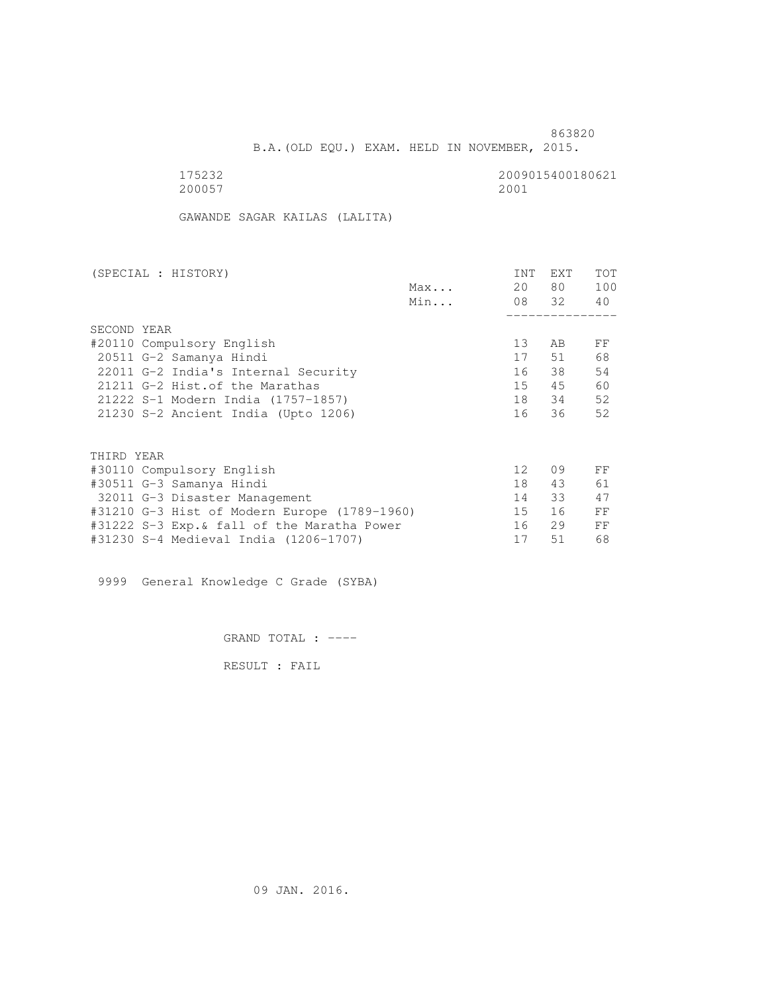B.A.(OLD EQU.) EXAM. HELD IN NOVEMBER, 2015.

 175232 2009015400180621 200057 2001

GAWANDE SAGAR KAILAS (LALITA)

| (SPECIAL : HISTORY)                          |     | INT             | EXT   | TOT |
|----------------------------------------------|-----|-----------------|-------|-----|
|                                              | Max | 20              | 80 —  | 100 |
|                                              | Min |                 | 08 32 | 40  |
|                                              |     |                 |       |     |
| SECOND YEAR                                  |     |                 |       |     |
| #20110 Compulsory English                    |     | 13              | AB    | FF  |
| 20511 G-2 Samanya Hindi                      |     | 17              | 51    | 68  |
| 22011 G-2 India's Internal Security          |     | 16              | 38    | 54  |
| 21211 G-2 Hist. of the Marathas              |     | 15              | 45    | 60  |
| 21222 S-1 Modern India (1757-1857)           |     | 18              | 34    | 52  |
| 21230 S-2 Ancient India (Upto 1206)          |     | 16              | 36    | 52  |
|                                              |     |                 |       |     |
| THIRD YEAR                                   |     |                 |       |     |
| #30110 Compulsory English                    |     | 12 <sup>°</sup> | 09    | FF  |
| #30511 G-3 Samanya Hindi                     |     | 18              | 43    | 61  |
| 32011 G-3 Disaster Management                |     | 14              | 33    | 47  |
| #31210 G-3 Hist of Modern Europe (1789-1960) |     | 15              | 16    | FF  |
| #31222 S-3 Exp. & fall of the Maratha Power  |     | 16              | 29    | FF  |
| #31230 S-4 Medieval India (1206-1707)        |     | 17              | 51    | 68  |
|                                              |     |                 |       |     |

9999 General Knowledge C Grade (SYBA)

GRAND TOTAL : ----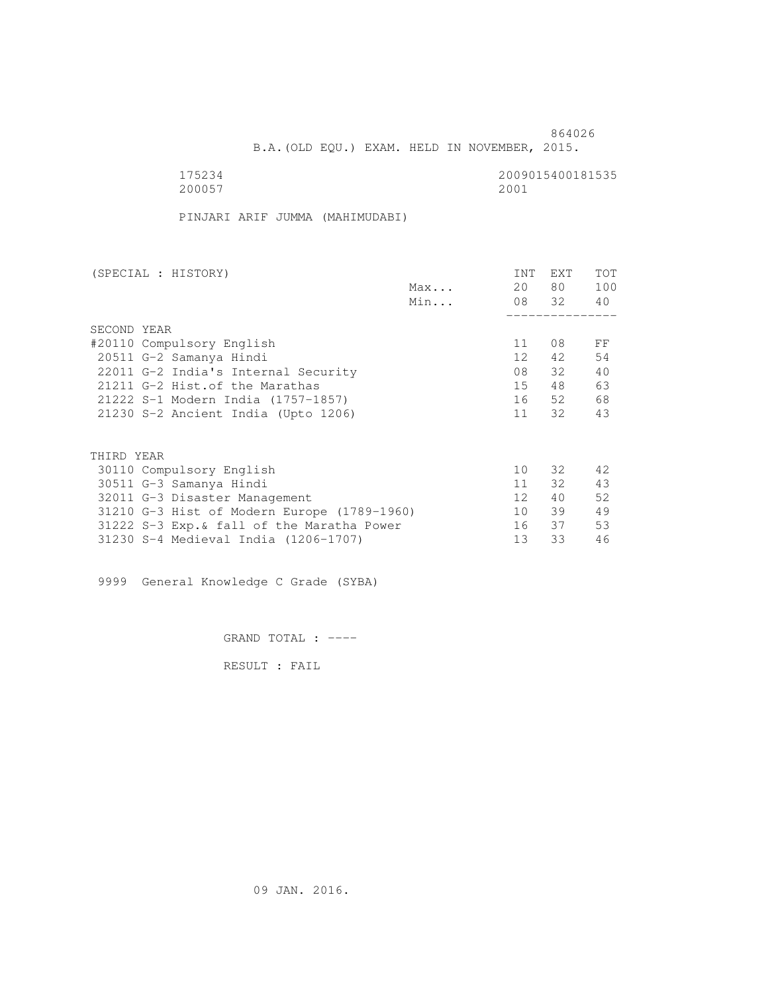B.A.(OLD EQU.) EXAM. HELD IN NOVEMBER, 2015.

 175234 2009015400181535 200057 2001

PINJARI ARIF JUMMA (MAHIMUDABI)

| (SPECIAL : HISTORY)                         | INT             | EXT   | <b>TOT</b> |
|---------------------------------------------|-----------------|-------|------------|
| Max                                         | 20              | 80 —  | 100        |
| Min                                         |                 | 08 32 | 40         |
|                                             |                 |       |            |
| SECOND YEAR                                 |                 |       |            |
| #20110 Compulsory English                   | 11              | 08    | FF         |
| 20511 G-2 Samanya Hindi                     | 12              | 42    | 54         |
| 22011 G-2 India's Internal Security         | 08              | 32    | 40         |
| 21211 G-2 Hist. of the Marathas             | 15              | 48    | 63         |
| 21222 S-1 Modern India (1757-1857)          | 16              | 52    | 68         |
| 21230 S-2 Ancient India (Upto 1206)         | 11              | 32    | 43         |
|                                             |                 |       |            |
| THIRD YEAR                                  |                 |       |            |
| 30110 Compulsory English                    | 10              | 32    | 42         |
| 30511 G-3 Samanya Hindi                     | 11              | 32    | 43         |
| 32011 G-3 Disaster Management               | 12 <sup>1</sup> | 40    | 52         |
| 31210 G-3 Hist of Modern Europe (1789-1960) | 10              | 39    | 49         |
| 31222 S-3 Exp. & fall of the Maratha Power  | 16              | 37    | 53         |
| 31230 S-4 Medieval India (1206-1707)        | 13              | 33    | 46         |

9999 General Knowledge C Grade (SYBA)

GRAND TOTAL : ----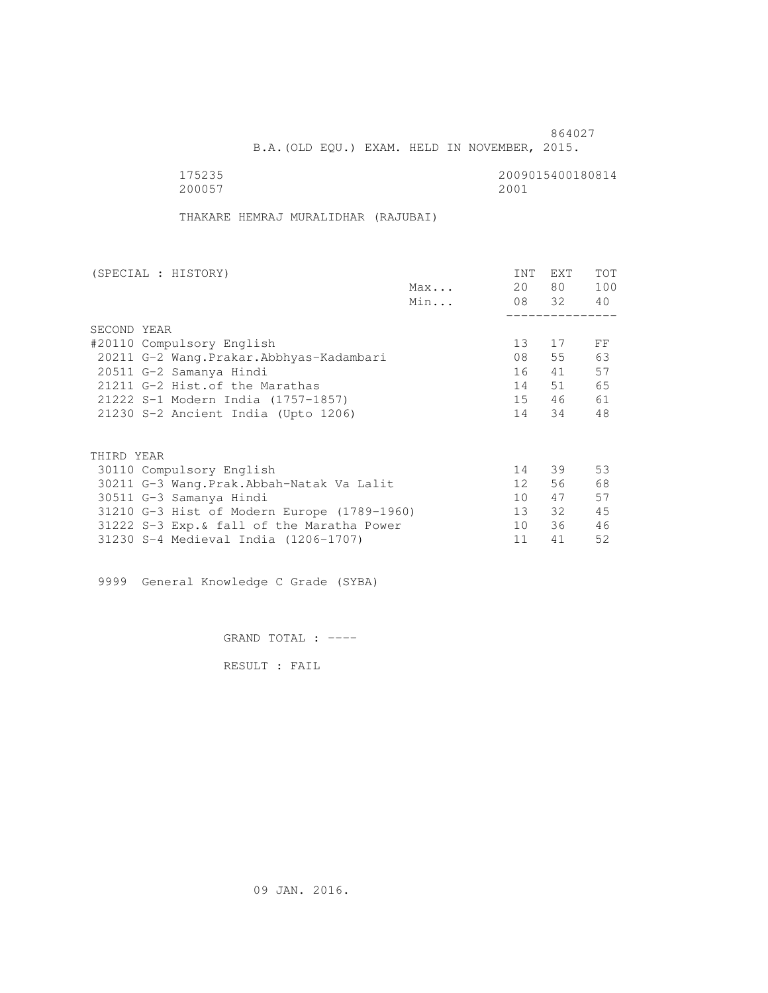B.A.(OLD EQU.) EXAM. HELD IN NOVEMBER, 2015.

 175235 2009015400180814 200057 2001

THAKARE HEMRAJ MURALIDHAR (RAJUBAI)

| (SPECIAL : HISTORY) |                                             |     | INT             | EXT      | <b>TOT</b> |
|---------------------|---------------------------------------------|-----|-----------------|----------|------------|
|                     |                                             | Max | 20              | 80 —     | 100        |
|                     |                                             | Min |                 | 08 32 40 |            |
|                     |                                             |     |                 |          |            |
| SECOND YEAR         |                                             |     |                 |          |            |
|                     | #20110 Compulsory English                   |     | 13 <sup>°</sup> | 17       | FF         |
|                     | 20211 G-2 Wang. Prakar. Abbhyas-Kadambari   |     | 08              | 55       | 63         |
|                     | 20511 G-2 Samanya Hindi                     |     | 16              | 41       | 57         |
|                     | 21211 G-2 Hist. of the Marathas             |     | 14              | 51       | 65         |
|                     | 21222 S-1 Modern India (1757-1857)          |     | 15              | 46       | 61         |
|                     | 21230 S-2 Ancient India (Upto 1206)         |     | 14              | 34       | 48         |
|                     |                                             |     |                 |          |            |
| THIRD YEAR          |                                             |     |                 |          |            |
|                     | 30110 Compulsory English                    |     | 14              | 39       | 53         |
|                     | 30211 G-3 Wang.Prak.Abbah-Natak Va Lalit    |     | 12 <sup>7</sup> | 56       | 68         |
|                     | 30511 G-3 Samanya Hindi                     |     | 10 <sup>1</sup> | 47       | 57         |
|                     | 31210 G-3 Hist of Modern Europe (1789-1960) |     | $13 -$          | 32       | 45         |
|                     | 31222 S-3 Exp. & fall of the Maratha Power  |     | 10              | 36       | 46         |
|                     | 31230 S-4 Medieval India (1206-1707)        |     | 11              | 41       | 52         |

9999 General Knowledge C Grade (SYBA)

GRAND TOTAL : ----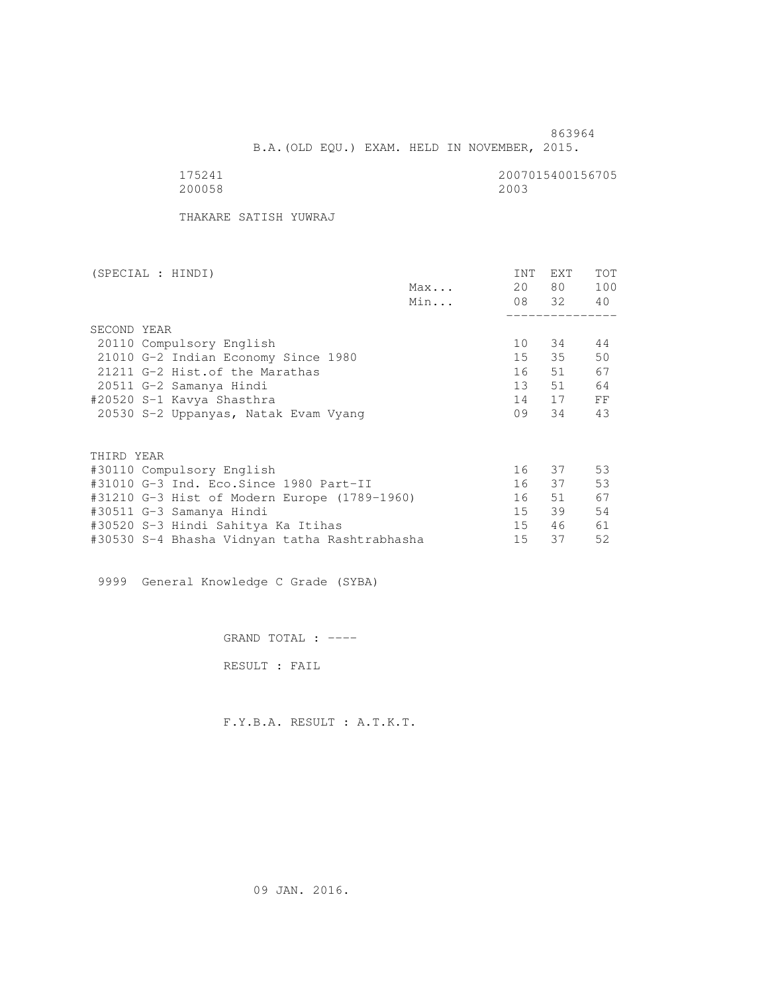B.A.(OLD EQU.) EXAM. HELD IN NOVEMBER, 2015.

 175241 2007015400156705 200058 2003

THAKARE SATISH YUWRAJ

| (SPECIAL : HINDI)                             |     | INT | EXT      | <b>TOT</b> |
|-----------------------------------------------|-----|-----|----------|------------|
|                                               | Max | 20  | 80 —     | 100        |
|                                               | Min |     | 08 32 40 |            |
|                                               |     |     |          |            |
| SECOND YEAR                                   |     |     |          |            |
| 20110 Compulsory English                      |     | 10  | 34       | 44         |
| 21010 G-2 Indian Economy Since 1980           |     | 15  | 35       | 50         |
| 21211 G-2 Hist. of the Marathas               |     | 16  | 51       | 67         |
| 20511 G-2 Samanya Hindi                       |     | 13  | 51       | 64         |
| #20520 S-1 Kavya Shasthra                     |     | 14  | 17       | FF         |
| 20530 S-2 Uppanyas, Natak Evam Vyang          |     | 09  | 34       | 43         |
|                                               |     |     |          |            |
| THIRD YEAR                                    |     |     |          |            |
| #30110 Compulsory English                     |     |     | 16 37    | 53         |
| #31010 G-3 Ind. Eco.Since 1980 Part-II        |     |     | 16 37    | 53         |
| #31210 G-3 Hist of Modern Europe (1789-1960)  |     | 16  | 51       | 67         |
| #30511 G-3 Samanya Hindi                      |     | 15  | 39       | 54         |
| #30520 S-3 Hindi Sahitya Ka Itihas            |     | 15  | 46       | 61         |
| #30530 S-4 Bhasha Vidnyan tatha Rashtrabhasha |     | 15  | 37       | 52         |

9999 General Knowledge C Grade (SYBA)

GRAND TOTAL : ----

RESULT : FAIL

F.Y.B.A. RESULT : A.T.K.T.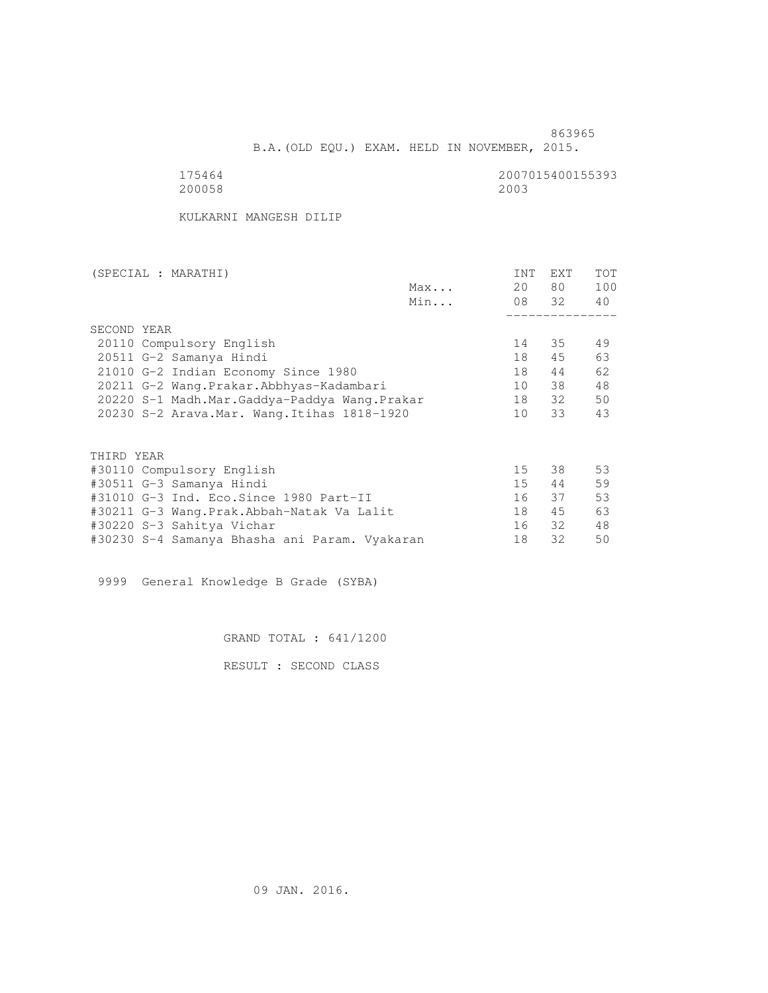B.A.(OLD EQU.) EXAM. HELD IN NOVEMBER, 2015.

 175464 2007015400155393 200058 2003

KULKARNI MANGESH DILIP

| (SPECIAL : MARATHI)                           | INT | EXT   | <b>TOT</b> |
|-----------------------------------------------|-----|-------|------------|
| Max                                           | 20  | 80 —  | 100        |
| Min                                           |     | 08 32 | 40         |
|                                               |     |       |            |
| SECOND YEAR                                   |     |       |            |
| 20110 Compulsory English                      | 14  | 35    | 49         |
| 20511 G-2 Samanya Hindi                       | 18  | 45    | 63         |
| 21010 G-2 Indian Economy Since 1980           | 18  | 44    | 62         |
| 20211 G-2 Wang.Prakar.Abbhyas-Kadambari       | 10  | 38    | 48         |
| 20220 S-1 Madh.Mar.Gaddya-Paddya Wang.Prakar  | 18  | 32    | 50         |
| 20230 S-2 Arava. Mar. Wang. Itihas 1818-1920  | 10  | 33    | 43         |
|                                               |     |       |            |
| THIRD YEAR                                    |     |       |            |
| #30110 Compulsory English                     | 15  | 38    | 53         |
| #30511 G-3 Samanya Hindi                      | 15  | 44    | 59         |
| #31010 G-3 Ind. Eco.Since 1980 Part-II        | 16  | 37    | 53         |
| #30211 G-3 Wang.Prak.Abbah-Natak Va Lalit     | 18  | 45    | 63         |
| #30220 S-3 Sahitya Vichar                     | 16  | 32    | 48         |
| #30230 S-4 Samanya Bhasha ani Param. Vyakaran | 18  | 32    | 50         |

9999 General Knowledge B Grade (SYBA)

GRAND TOTAL : 641/1200

RESULT : SECOND CLASS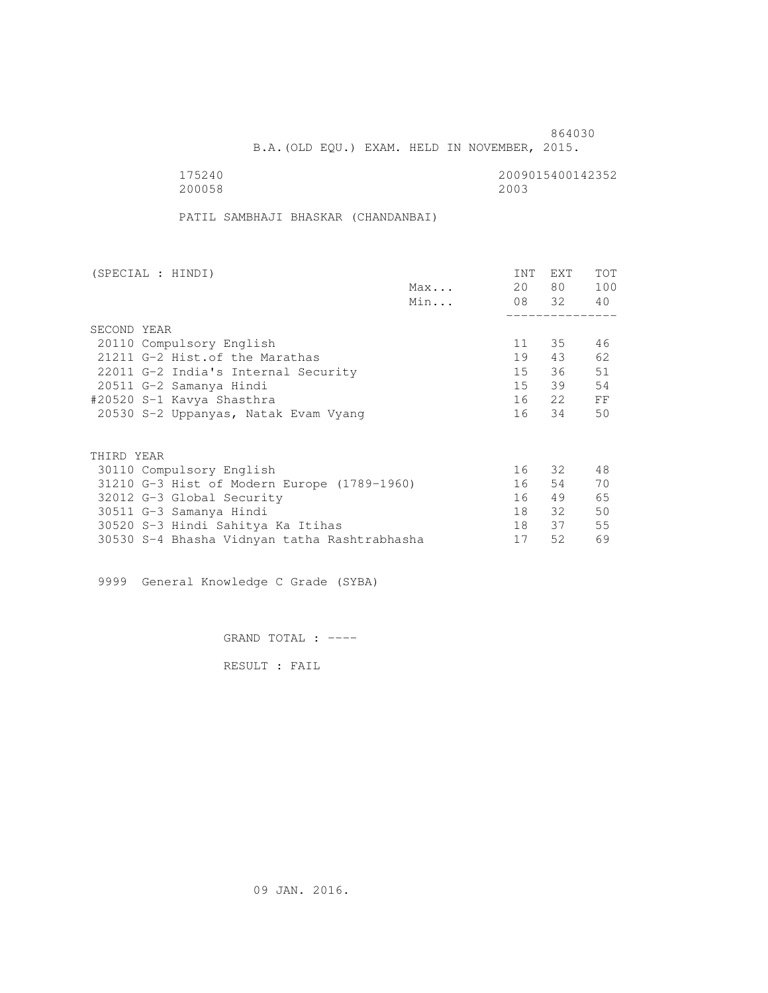B.A.(OLD EQU.) EXAM. HELD IN NOVEMBER, 2015.

 175240 2009015400142352 200058 2003

PATIL SAMBHAJI BHASKAR (CHANDANBAI)

| (SPECIAL : HINDI) |                                              |     | INT   | EXT      | <b>TOT</b> |
|-------------------|----------------------------------------------|-----|-------|----------|------------|
|                   |                                              | Max | 20    | 80 —     | 100        |
|                   |                                              | Min |       | 08 32 40 |            |
|                   |                                              |     |       |          |            |
| SECOND YEAR       |                                              |     |       |          |            |
|                   | 20110 Compulsory English                     |     | 11    | 35       | 46         |
|                   | 21211 G-2 Hist. of the Marathas              |     | 19    | 43       | 62         |
|                   | 22011 G-2 India's Internal Security          |     | 15    | 36       | 51         |
|                   | 20511 G-2 Samanya Hindi                      |     | 15    | 39       | 54         |
|                   | #20520 S-1 Kavya Shasthra                    |     | 16 22 |          | FF         |
|                   | 20530 S-2 Uppanyas, Natak Evam Vyang         |     | 16 34 |          | 50         |
|                   |                                              |     |       |          |            |
| THIRD YEAR        |                                              |     |       |          |            |
|                   | 30110 Compulsory English                     |     |       | 16 32    | 48         |
|                   | 31210 G-3 Hist of Modern Europe (1789-1960)  |     | 16    | 54       | 70         |
|                   | 32012 G-3 Global Security                    |     | 16    | 49       | 65         |
|                   | 30511 G-3 Samanya Hindi                      |     | 18    | 32       | 50         |
|                   | 30520 S-3 Hindi Sahitya Ka Itihas            |     | 18    | 37       | 55         |
|                   | 30530 S-4 Bhasha Vidnyan tatha Rashtrabhasha |     | 17    | 52       | 69         |

9999 General Knowledge C Grade (SYBA)

GRAND TOTAL : ----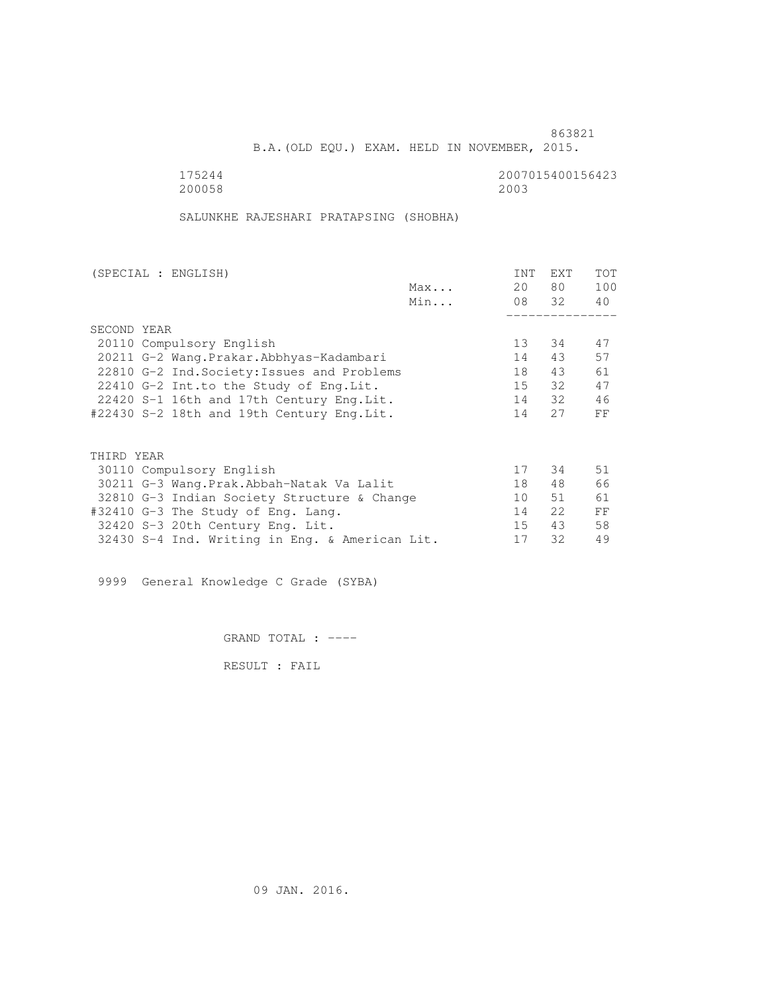B.A.(OLD EQU.) EXAM. HELD IN NOVEMBER, 2015.

 175244 2007015400156423 200058 2003

SALUNKHE RAJESHARI PRATAPSING (SHOBHA)

| (SPECIAL : ENGLISH)                            |     | INT             | <b>EXT</b> | TOT |
|------------------------------------------------|-----|-----------------|------------|-----|
|                                                | Max | 20              | 80         | 100 |
|                                                | Min |                 | 08 32      | 40  |
|                                                |     |                 |            |     |
| SECOND YEAR                                    |     |                 |            |     |
| 20110 Compulsory English                       |     | 13              | 34         | 47  |
| 20211 G-2 Wang. Prakar. Abbhyas-Kadambari      |     | 14              | 43         | 57  |
| 22810 G-2 Ind. Society: Issues and Problems    |     | 18              | 43         | 61  |
| 22410 G-2 Int.to the Study of Eng. Lit.        |     | 15              | 32         | 47  |
| 22420 S-1 16th and 17th Century Eng. Lit.      |     | 14              | 32         | 46  |
| #22430 S-2 18th and 19th Century Eng.Lit.      |     | 14              | 27         | FF  |
|                                                |     |                 |            |     |
| THIRD YEAR                                     |     |                 |            |     |
| 30110 Compulsory English                       |     | 17              | 34         | 51  |
| 30211 G-3 Wang.Prak.Abbah-Natak Va Lalit       |     | 18              | 48         | 66  |
| 32810 G-3 Indian Society Structure & Change    |     | 10 <sup>°</sup> | 51         | 61  |
| #32410 G-3 The Study of Eng. Lang.             |     | 14              | 22         | FF  |
| 32420 S-3 20th Century Eng. Lit.               |     | 15              | 43         | 58  |
| 32430 S-4 Ind. Writing in Eng. & American Lit. |     | 17              | 32         | 49  |
|                                                |     |                 |            |     |

9999 General Knowledge C Grade (SYBA)

GRAND TOTAL : ----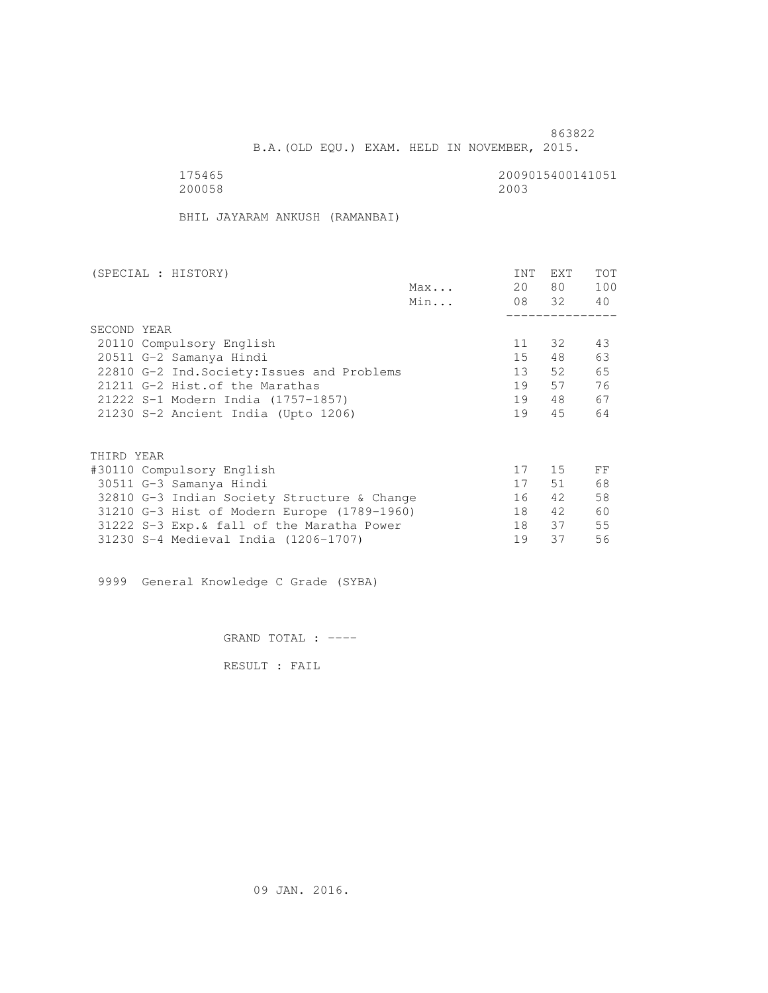B.A.(OLD EQU.) EXAM. HELD IN NOVEMBER, 2015.

175465<br>200058 200058 200058 200058 200058 2003

BHIL JAYARAM ANKUSH (RAMANBAI)

| (SPECIAL : HISTORY) |                                                                                                                                                                                                                                                                                                                                                                                                                                                                |     | INT | EXT      | <b>TOT</b> |
|---------------------|----------------------------------------------------------------------------------------------------------------------------------------------------------------------------------------------------------------------------------------------------------------------------------------------------------------------------------------------------------------------------------------------------------------------------------------------------------------|-----|-----|----------|------------|
|                     |                                                                                                                                                                                                                                                                                                                                                                                                                                                                | Max | 20  | 80 —     | 100        |
|                     |                                                                                                                                                                                                                                                                                                                                                                                                                                                                | Min |     | 08 32 40 |            |
|                     |                                                                                                                                                                                                                                                                                                                                                                                                                                                                |     |     |          |            |
| SECOND YEAR         |                                                                                                                                                                                                                                                                                                                                                                                                                                                                |     |     |          |            |
|                     |                                                                                                                                                                                                                                                                                                                                                                                                                                                                |     | 11  | 32       | 43         |
|                     |                                                                                                                                                                                                                                                                                                                                                                                                                                                                |     | 15  | 48       | 63         |
|                     |                                                                                                                                                                                                                                                                                                                                                                                                                                                                |     | 13  | 52       | 65         |
|                     |                                                                                                                                                                                                                                                                                                                                                                                                                                                                |     | 19  | 57       | 76         |
|                     |                                                                                                                                                                                                                                                                                                                                                                                                                                                                |     | 19  | 48       | 67         |
|                     |                                                                                                                                                                                                                                                                                                                                                                                                                                                                |     | 19  | 45       | 64         |
|                     |                                                                                                                                                                                                                                                                                                                                                                                                                                                                |     |     |          |            |
| THIRD YEAR          |                                                                                                                                                                                                                                                                                                                                                                                                                                                                |     |     |          |            |
|                     | 20110 Compulsory English<br>20511 G-2 Samanya Hindi<br>22810 G-2 Ind. Society: Issues and Problems<br>21211 G-2 Hist. of the Marathas<br>21222 S-1 Modern India (1757-1857)<br>21230 S-2 Ancient India (Upto 1206)<br>#30110 Compulsory English<br>30511 G-3 Samanya Hindi<br>32810 G-3 Indian Society Structure & Change<br>31210 G-3 Hist of Modern Europe (1789-1960)<br>31222 S-3 Exp. & fall of the Maratha Power<br>31230 S-4 Medieval India (1206-1707) | 17  | 15  | FF       |            |
|                     |                                                                                                                                                                                                                                                                                                                                                                                                                                                                |     | 17  | 51       | 68         |
|                     |                                                                                                                                                                                                                                                                                                                                                                                                                                                                |     | 16  | 42       | 58         |
|                     |                                                                                                                                                                                                                                                                                                                                                                                                                                                                |     | 18  | 42       | 60         |
|                     |                                                                                                                                                                                                                                                                                                                                                                                                                                                                |     | 18  | 37       | 55         |
|                     |                                                                                                                                                                                                                                                                                                                                                                                                                                                                |     | 19  | 37       | 56         |

9999 General Knowledge C Grade (SYBA)

GRAND TOTAL : ----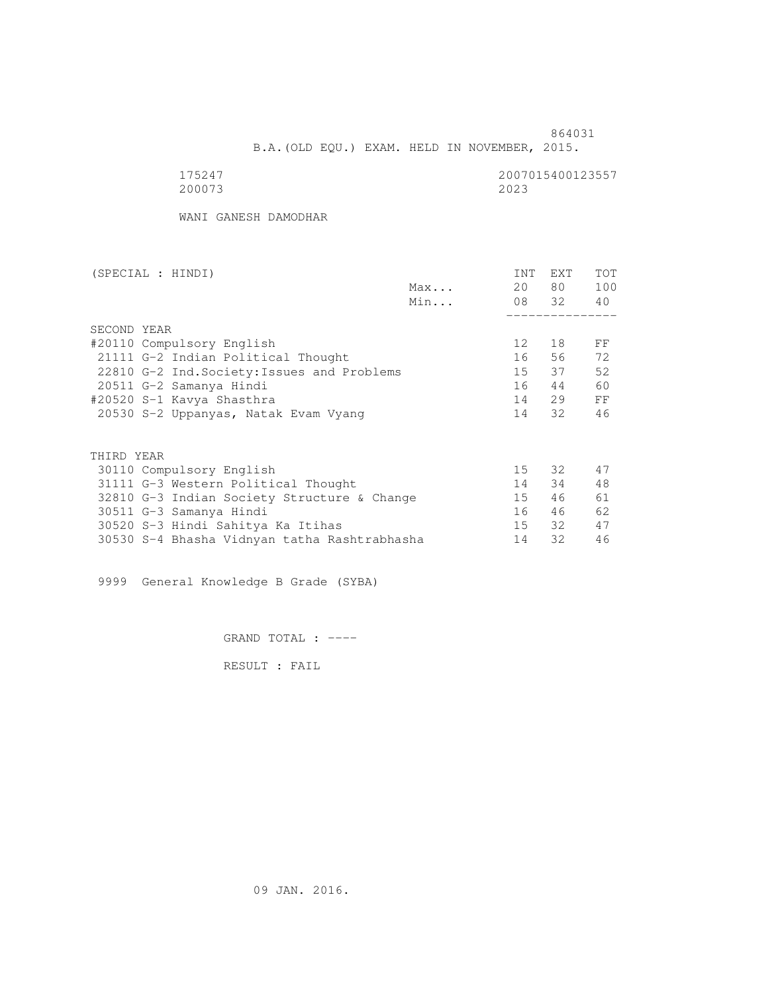B.A.(OLD EQU.) EXAM. HELD IN NOVEMBER, 2015.

| 175247 | 2007015400123557 |
|--------|------------------|
| 200073 | 2023             |

WANI GANESH DAMODHAR

| (SPECIAL : HINDI)                            |     | INT             | EXT      | TOT |
|----------------------------------------------|-----|-----------------|----------|-----|
|                                              | Max | 20              | 80 —     | 100 |
|                                              | Min |                 | 08 32 40 |     |
|                                              |     |                 |          |     |
| SECOND YEAR                                  |     |                 |          |     |
| #20110 Compulsory English                    |     | 12 <sup>°</sup> | 18       | FF  |
| 21111 G-2 Indian Political Thought           |     | 16              | 56       | 72  |
| 22810 G-2 Ind. Society: Issues and Problems  |     | 15              | 37       | 52  |
| 20511 G-2 Samanya Hindi                      |     | 16              | 44       | 60  |
| #20520 S-1 Kavya Shasthra                    |     | 14              | 29       | FF  |
| 20530 S-2 Uppanyas, Natak Evam Vyang         |     |                 | 14 32    | 46  |
|                                              |     |                 |          |     |
| THIRD YEAR                                   |     |                 |          |     |
| 30110 Compulsory English                     |     |                 | 15 32    | 47  |
| 31111 G-3 Western Political Thought          |     | 14              | 34       | 48  |
| 32810 G-3 Indian Society Structure & Change  |     | 15              | 46       | 61  |
| 30511 G-3 Samanya Hindi                      |     | 16              | 46       | 62  |
| 30520 S-3 Hindi Sahitya Ka Itihas            |     | 15              | 32       | 47  |
| 30530 S-4 Bhasha Vidnyan tatha Rashtrabhasha |     | 14              | 32       | 46  |
|                                              |     |                 |          |     |

9999 General Knowledge B Grade (SYBA)

GRAND TOTAL : ----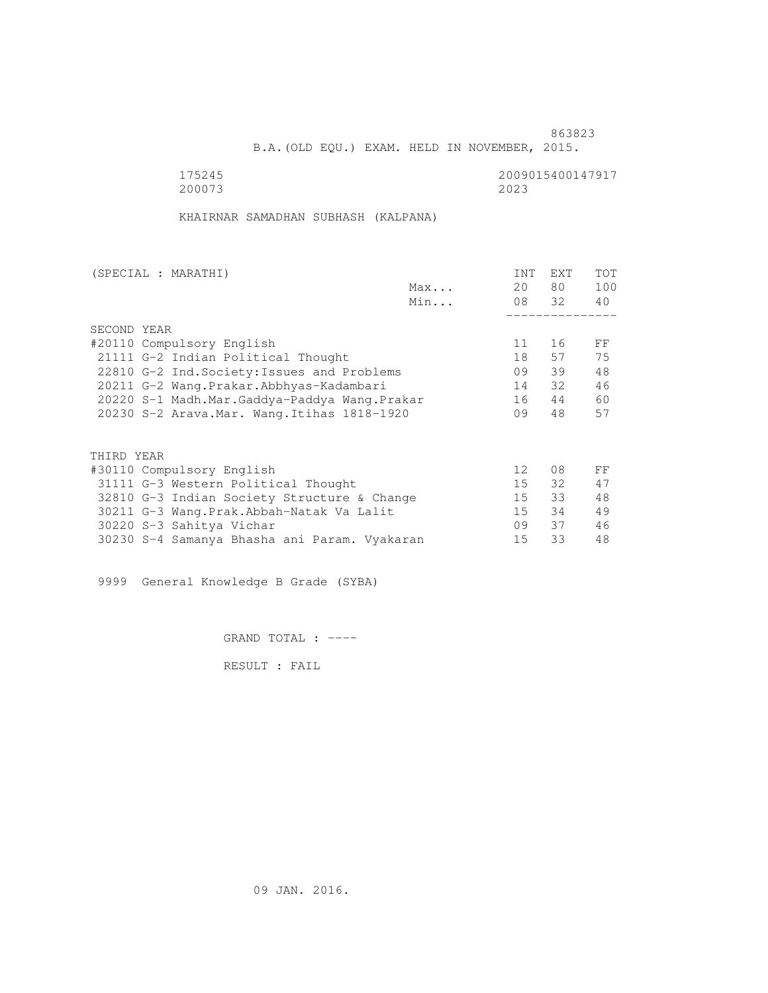B.A.(OLD EQU.) EXAM. HELD IN NOVEMBER, 2015.

175245<br>200073 200073 200073 200073 2023

KHAIRNAR SAMADHAN SUBHASH (KALPANA)

|                                              | <b>INT</b>      | EXT            | <b>TOT</b>    |
|----------------------------------------------|-----------------|----------------|---------------|
| Max                                          | 20              |                | 100           |
| Min                                          |                 |                | 40            |
|                                              |                 |                |               |
|                                              |                 |                |               |
|                                              | 11              | 16             | FF            |
| 21111 G-2 Indian Political Thought           | 18              | 57             | 75            |
| 22810 G-2 Ind. Society: Issues and Problems  | 09              | 39             | 48            |
| 20211 G-2 Wang.Prakar.Abbhyas-Kadambari      |                 | 32             | 46            |
| 20220 S-1 Madh.Mar.Gaddya-Paddya Wang.Prakar |                 | 44             | 60            |
| 20230 S-2 Arava. Mar. Wang. Itihas 1818-1920 |                 | 48             | 57            |
|                                              |                 |                |               |
|                                              |                 |                |               |
|                                              | 12 <sup>°</sup> | 08             | FF            |
| 31111 G-3 Western Political Thought          | 15              | 32             | 47            |
| 32810 G-3 Indian Society Structure & Change  | 15              | 33             | 48            |
| 30211 G-3 Wang. Prak. Abbah-Natak Va Lalit   | 15              | 34             | 49            |
|                                              | 09              | 37             | 46            |
| 30230 S-4 Samanya Bhasha ani Param. Vyakaran | 15              | 33             | 48            |
|                                              |                 | 14<br>16<br>09 | 80 —<br>08 32 |

9999 General Knowledge B Grade (SYBA)

GRAND TOTAL : ----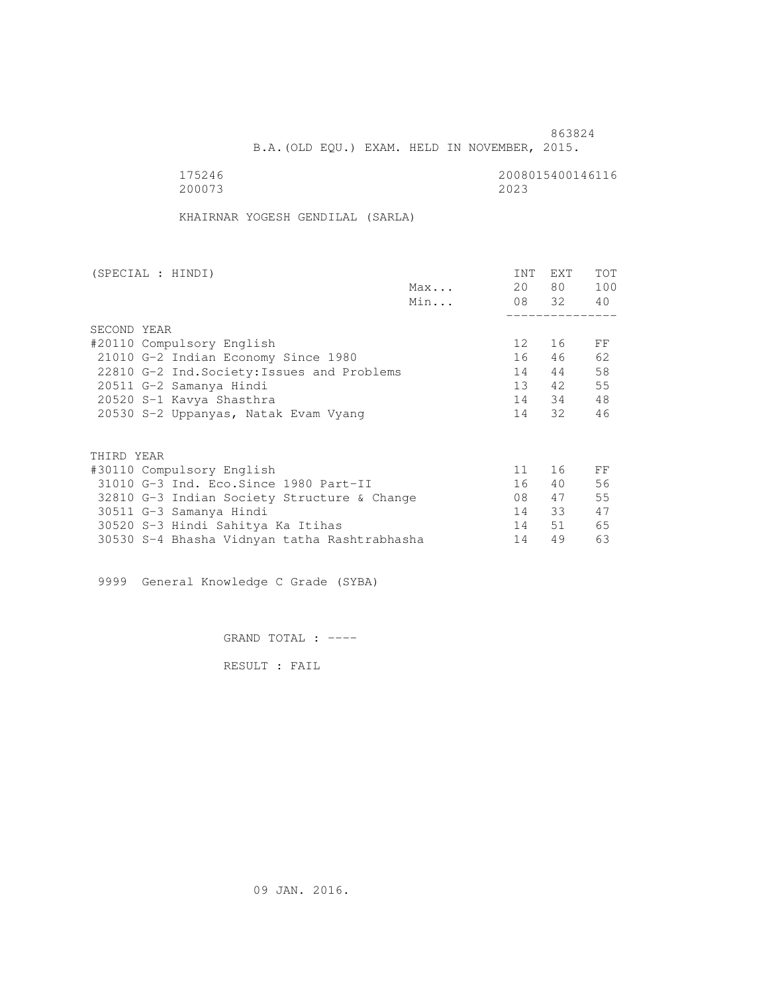B.A.(OLD EQU.) EXAM. HELD IN NOVEMBER, 2015.

175246<br>200073 200073 200073 200073 2023

KHAIRNAR YOGESH GENDILAL (SARLA)

| (SPECIAL : HINDI)                            |     | INT             | EXT      | <b>TOT</b> |
|----------------------------------------------|-----|-----------------|----------|------------|
|                                              | Max | 20              | 80 —     | 100        |
|                                              | Min |                 | 08 32 40 |            |
|                                              |     |                 |          |            |
| SECOND YEAR                                  |     |                 |          |            |
| #20110 Compulsory English                    |     | 12 <sup>°</sup> | 16       | FF         |
| 21010 G-2 Indian Economy Since 1980          |     | 16              | 46       | 62         |
| 22810 G-2 Ind. Society: Issues and Problems  |     | 14              | 44       | 58         |
| 20511 G-2 Samanya Hindi                      |     | $13 -$          | 42       | 55         |
| 20520 S-1 Kavya Shasthra                     |     |                 | 14 34    | 48         |
| 20530 S-2 Uppanyas, Natak Evam Vyang         |     |                 | 14 32    | 46         |
|                                              |     |                 |          |            |
| THIRD YEAR                                   |     |                 |          |            |
| #30110 Compulsory English                    |     | 11              | 16       | FF         |
| 31010 G-3 Ind. Eco. Since 1980 Part-II       |     | 16              | 40       | 56         |
| 32810 G-3 Indian Society Structure & Change  |     | 08              | 47       | 55         |
| 30511 G-3 Samanya Hindi                      |     | 14              | 33       | 47         |
| 30520 S-3 Hindi Sahitya Ka Itihas            |     | 14              | 51       | 65         |
| 30530 S-4 Bhasha Vidnyan tatha Rashtrabhasha |     | 14              | 49       | 63         |
|                                              |     |                 |          |            |

9999 General Knowledge C Grade (SYBA)

GRAND TOTAL : ----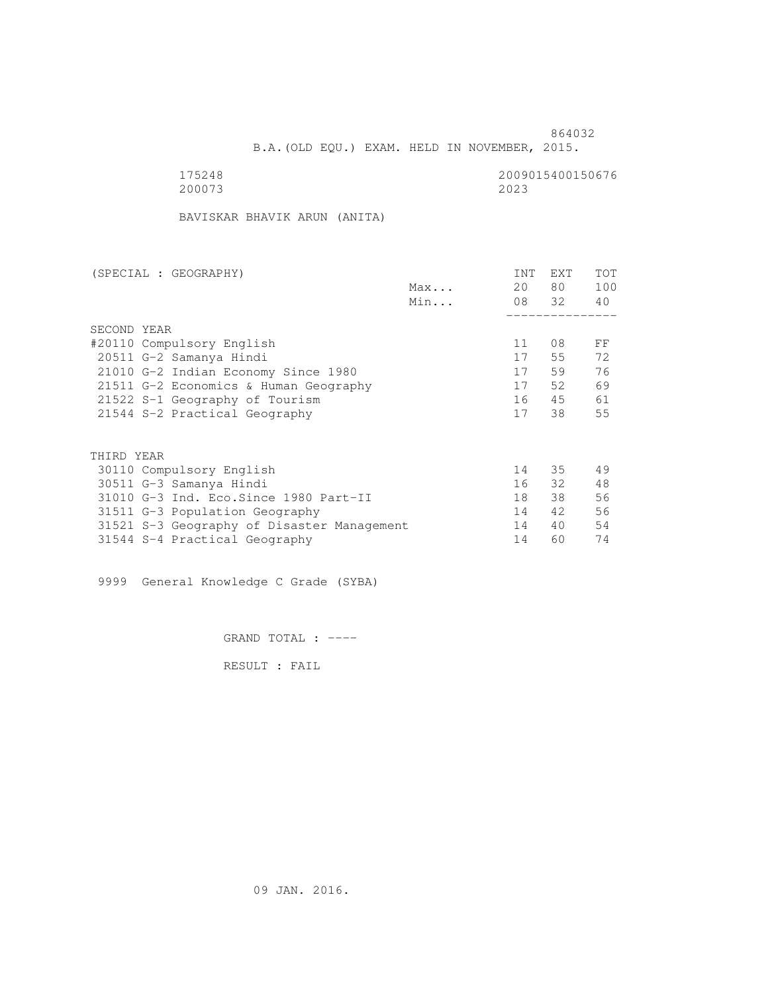B.A.(OLD EQU.) EXAM. HELD IN NOVEMBER, 2015.

| 175248 | 2009015400150676 |
|--------|------------------|
| 200073 | 2023             |

BAVISKAR BHAVIK ARUN (ANITA)

| (SPECIAL : GEOGRAPHY)                      |     | <b>INT</b> | EXT   | <b>TOT</b> |
|--------------------------------------------|-----|------------|-------|------------|
|                                            | Max | 20         | 80 —  | 100        |
|                                            | Min |            | 08 32 | 40         |
|                                            |     |            |       |            |
| SECOND YEAR                                |     |            |       |            |
| #20110 Compulsory English                  |     | 11         | 08    | FF         |
| 20511 G-2 Samanya Hindi                    |     | 17         | 55    | 72         |
| 21010 G-2 Indian Economy Since 1980        |     | 17         | 59    | 76         |
| 21511 G-2 Economics & Human Geography      |     | 17         | 52.   | 69         |
| 21522 S-1 Geography of Tourism             |     | 16         | 45    | 61         |
| 21544 S-2 Practical Geography              |     | 17         | 38    | 55         |
|                                            |     |            |       |            |
| THIRD YEAR                                 |     |            |       |            |
| 30110 Compulsory English                   |     | 14         | 35    | 49         |
| 30511 G-3 Samanya Hindi                    |     | 16         | 32    | 48         |
| 31010 G-3 Ind. Eco. Since 1980 Part-II     |     | 18         | 38    | 56         |
| 31511 G-3 Population Geography             |     | 14         | 42    | 56         |
| 31521 S-3 Geography of Disaster Management |     | 14         | 40    | 54         |
| 31544 S-4 Practical Geography              |     | 14         | 60    | 74         |

9999 General Knowledge C Grade (SYBA)

GRAND TOTAL : ----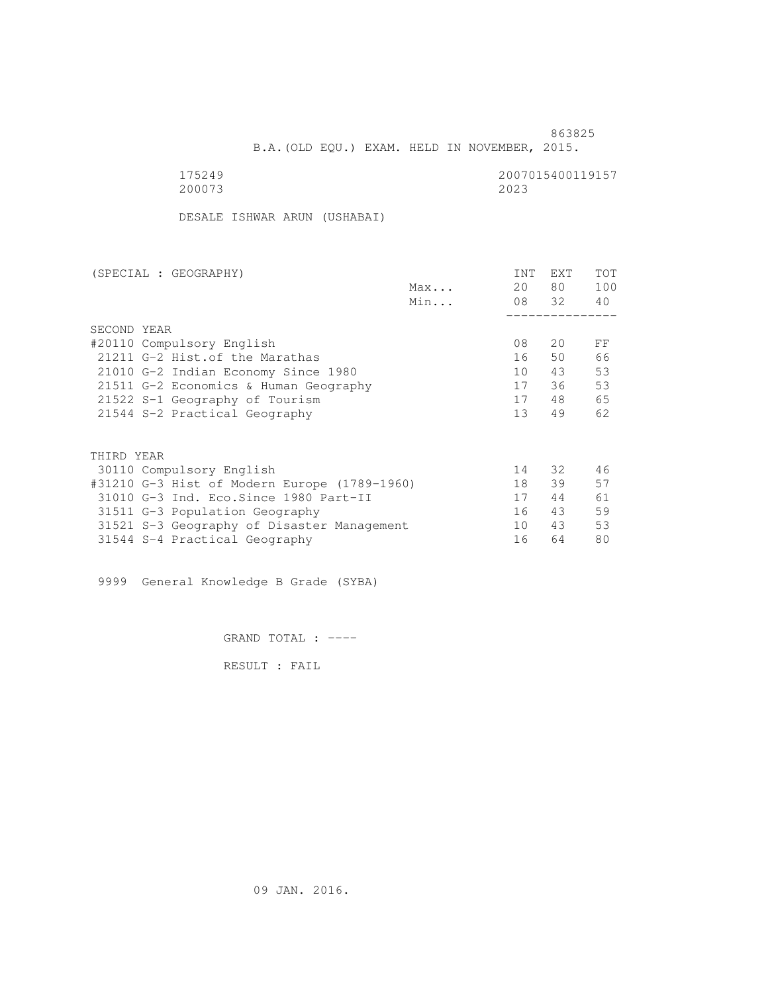<u>863825</u>

B.A.(OLD EQU.) EXAM. HELD IN NOVEMBER, 2015.

200073 2023

175249<br>200073 200073 200073

DESALE ISHWAR ARUN (USHABAI)

| (SPECIAL : GEOGRAPHY)                        |     | <b>INT</b>      | <b>EXT</b> | TOT |
|----------------------------------------------|-----|-----------------|------------|-----|
|                                              | Max | 20              | 80         | 100 |
|                                              | Min |                 | 08 32      | 40  |
|                                              |     |                 |            |     |
| SECOND YEAR                                  |     |                 |            |     |
| #20110 Compulsory English                    |     | 08              | 20         | FF  |
| 21211 G-2 Hist. of the Marathas              |     | 16              | 50         | 66  |
| 21010 G-2 Indian Economy Since 1980          |     | 10              | 43         | 53  |
| 21511 G-2 Economics & Human Geography        |     | 17              | 36         | 53  |
| 21522 S-1 Geography of Tourism               |     | 17              | 48         | 65  |
| 21544 S-2 Practical Geography                |     | 13 <sup>°</sup> | 49         | 62  |
|                                              |     |                 |            |     |
| THIRD YEAR                                   |     |                 |            |     |
| 30110 Compulsory English                     |     | 14              | 32         | 46  |
| #31210 G-3 Hist of Modern Europe (1789-1960) |     | 18              | 39         | 57  |
| 31010 G-3 Ind. Eco. Since 1980 Part-II       |     | 17              | 44         | 61  |
| 31511 G-3 Population Geography               |     | 16              | 43         | 59  |
| 31521 S-3 Geography of Disaster Management   |     | 10              | 43         | 53  |
| 31544 S-4 Practical Geography                |     | 16              | 64         | 80  |

9999 General Knowledge B Grade (SYBA)

GRAND TOTAL : ----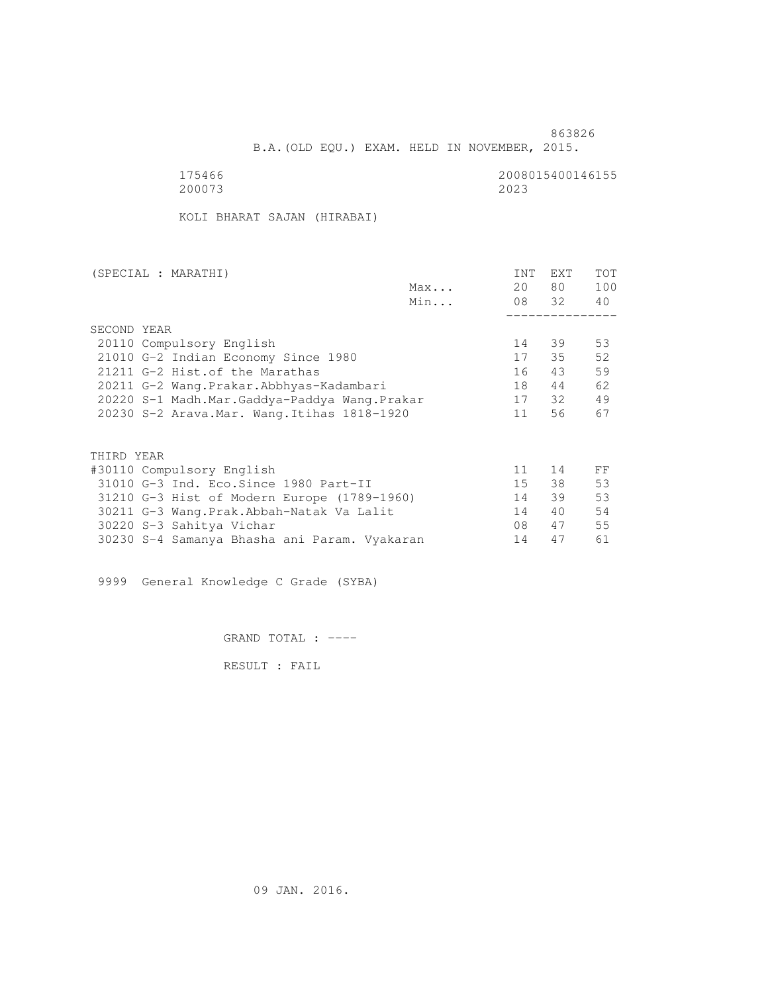B.A.(OLD EQU.) EXAM. HELD IN NOVEMBER, 2015.

175466<br>200073 200073 200073 200073 2023

KOLI BHARAT SAJAN (HIRABAI)

| (SPECIAL : MARATHI)                          |     | <b>INT</b> | <b>EXT</b> | TOT |
|----------------------------------------------|-----|------------|------------|-----|
|                                              | Max | 20         | 80 —       | 100 |
|                                              | Min |            | 08 32      | 40  |
|                                              |     |            |            |     |
| SECOND YEAR                                  |     |            |            |     |
| 20110 Compulsory English                     |     | 14         | 39         | 53  |
| 21010 G-2 Indian Economy Since 1980          |     | 17         | 35         | 52  |
| 21211 G-2 Hist. of the Marathas              |     | 16         | 43         | 59  |
| 20211 G-2 Wang.Prakar.Abbhyas-Kadambari      |     | 18         | 44         | 62  |
| 20220 S-1 Madh.Mar.Gaddya-Paddya Wang.Prakar |     | 17         | 32         | 49  |
| 20230 S-2 Arava. Mar. Wang. Itihas 1818-1920 |     | 11         | 56         | 67  |
|                                              |     |            |            |     |
| THIRD YEAR                                   |     |            |            |     |
| #30110 Compulsory English                    |     | 11         | 14         | FF  |
| 31010 G-3 Ind. Eco. Since 1980 Part-II       |     | 15         | 38         | 53  |
| 31210 G-3 Hist of Modern Europe (1789-1960)  |     | 14         | 39         | 53  |
| 30211 G-3 Wang.Prak.Abbah-Natak Va Lalit     |     | 14         | 40         | 54  |
| 30220 S-3 Sahitya Vichar                     |     | 08         | 47         | 55  |
| 30230 S-4 Samanya Bhasha ani Param. Vyakaran |     | 14         | 47         | 61  |
|                                              |     |            |            |     |

9999 General Knowledge C Grade (SYBA)

GRAND TOTAL : ----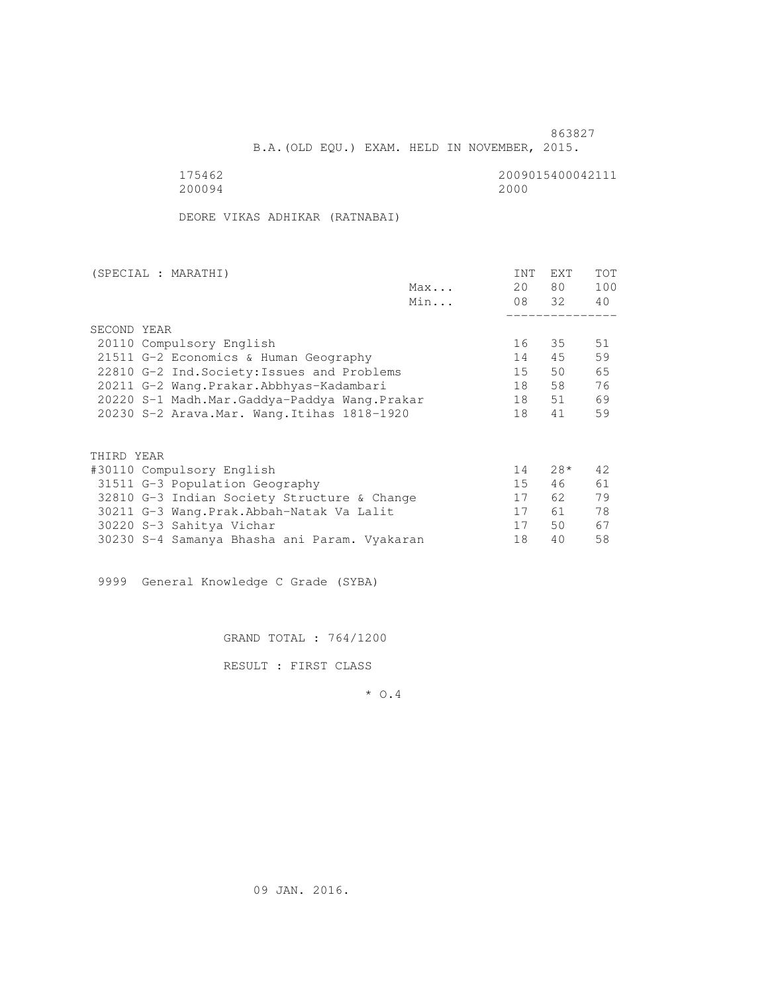B.A.(OLD EQU.) EXAM. HELD IN NOVEMBER, 2015.

175462<br>200094<br>200094<br>2000 200094 2000

DEORE VIKAS ADHIKAR (RATNABAI)

| (SPECIAL : MARATHI)                          |     | <b>INT</b> | EXT   | <b>TOT</b> |
|----------------------------------------------|-----|------------|-------|------------|
|                                              | Max | 20         | 80 —  | 100        |
|                                              | Min |            | 08 32 | 40         |
|                                              |     |            |       |            |
| SECOND YEAR                                  |     |            |       |            |
| 20110 Compulsory English                     |     | 16         | 35    | 51         |
| 21511 G-2 Economics & Human Geography        |     | 14         | 45    | 59         |
| 22810 G-2 Ind. Society: Issues and Problems  |     | 15         | 50    | 65         |
| 20211 G-2 Wang.Prakar.Abbhyas-Kadambari      |     | 18         | 58    | 76         |
| 20220 S-1 Madh.Mar.Gaddya-Paddya Wang.Prakar |     | 18         | 51    | 69         |
| 20230 S-2 Arava. Mar. Wang. Itihas 1818-1920 |     | 18         | 41    | 59         |
|                                              |     |            |       |            |
| THIRD YEAR                                   |     |            |       |            |
| #30110 Compulsory English                    |     | 14         | $28*$ | 42.        |
| 31511 G-3 Population Geography               |     | 15         | 46    | 61         |
| 32810 G-3 Indian Society Structure & Change  |     | 17         | 62 —  | 79         |
| 30211 G-3 Wang. Prak. Abbah-Natak Va Lalit   |     | 17         | 61 —  | 78         |
| 30220 S-3 Sahitya Vichar                     |     | 17         | 50    | 67         |
| 30230 S-4 Samanya Bhasha ani Param. Vyakaran |     | 18         | 40    | 58         |

9999 General Knowledge C Grade (SYBA)

GRAND TOTAL : 764/1200

RESULT : FIRST CLASS

\* O.4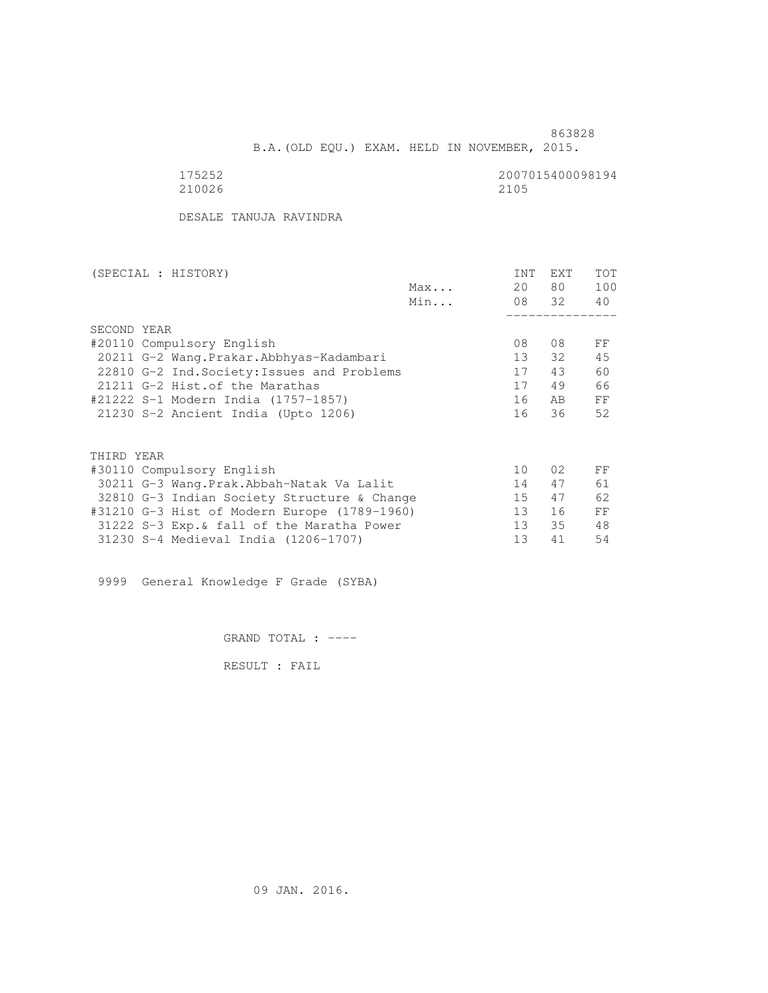B.A.(OLD EQU.) EXAM. HELD IN NOVEMBER, 2015.

210026 2105

175252<br>210026 210026 210026

DESALE TANUJA RAVINDRA

| (SPECIAL : HISTORY)                          |     | <b>INT</b> | <b>EXT</b> | TOT |
|----------------------------------------------|-----|------------|------------|-----|
|                                              | Max | 20         | 80         | 100 |
|                                              | Min |            | 08 32      | 40  |
|                                              |     |            |            |     |
| SECOND YEAR                                  |     |            |            |     |
| #20110 Compulsory English                    |     | 08         | 08         | FF  |
| 20211 G-2 Wang.Prakar.Abbhyas-Kadambari      |     | 13         | 32         | 45  |
| 22810 G-2 Ind. Society: Issues and Problems  |     | 17         | 43         | 60  |
| 21211 G-2 Hist. of the Marathas              |     | 17         | 49         | 66  |
| #21222 S-1 Modern India (1757-1857)          |     | 16         | AB         | FF  |
| 21230 S-2 Ancient India (Upto 1206)          |     | 16         | 36         | 52  |
|                                              |     |            |            |     |
|                                              |     |            |            |     |
| THIRD YEAR                                   |     |            |            |     |
| #30110 Compulsory English                    |     | 10         | 02         | FF  |
| 30211 G-3 Wang.Prak.Abbah-Natak Va Lalit     |     | 14         | 47         | 61  |
| 32810 G-3 Indian Society Structure & Change  |     | 15         | 47         | 62  |
| #31210 G-3 Hist of Modern Europe (1789-1960) |     | 13         | 16         | FF  |
| 31222 S-3 Exp. & fall of the Maratha Power   |     | 13         | 35         | 48  |
| 31230 S-4 Medieval India (1206-1707)         |     | 13         | 41         | 54  |
|                                              |     |            |            |     |

9999 General Knowledge F Grade (SYBA)

GRAND TOTAL : ----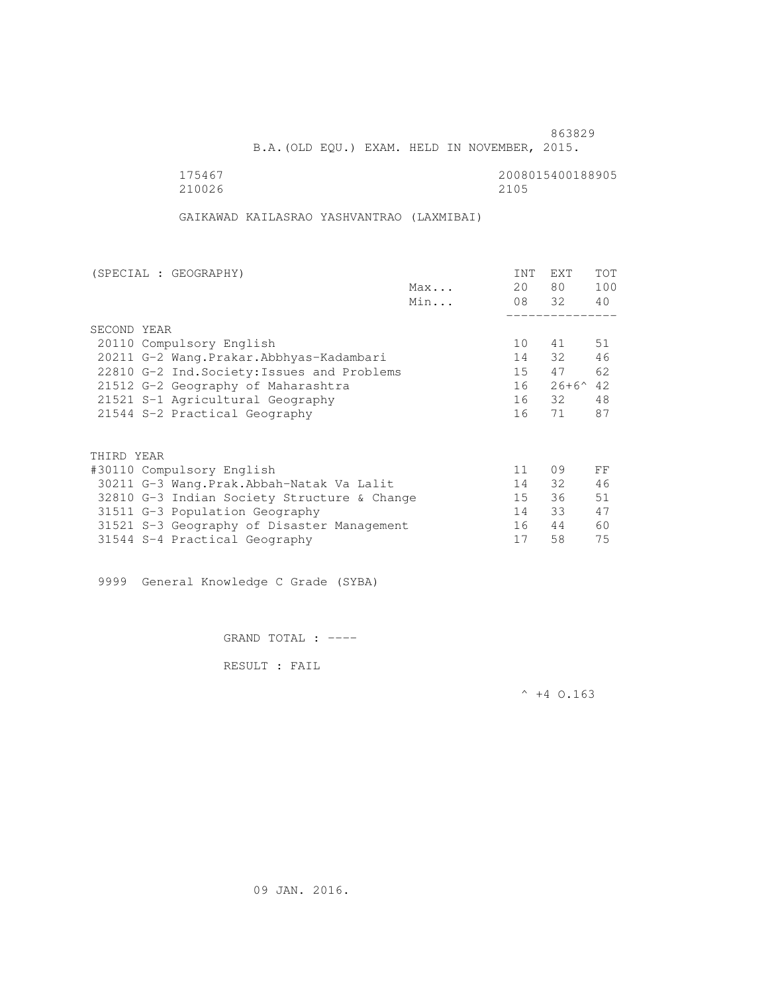B.A.(OLD EQU.) EXAM. HELD IN NOVEMBER, 2015.

175467<br>210026 210026 210026 210026 2105

GAIKAWAD KAILASRAO YASHVANTRAO (LAXMIBAI)

| (SPECIAL : GEOGRAPHY)                       |     | <b>INT</b> | <b>EXT</b>        | TOT |
|---------------------------------------------|-----|------------|-------------------|-----|
|                                             | Max | 20         | 80 —              | 100 |
|                                             | Min |            | 08 32             | 40  |
|                                             |     |            |                   |     |
| SECOND YEAR                                 |     |            |                   |     |
| 20110 Compulsory English                    |     | 10         | 41                | 51  |
| 20211 G-2 Wang. Prakar. Abbhyas-Kadambari   |     | 14         | 32                | 46  |
| 22810 G-2 Ind. Society: Issues and Problems |     | 15         | 47                | 62  |
| 21512 G-2 Geography of Maharashtra          |     | 16         | $26+6^{\wedge}42$ |     |
| 21521 S-1 Agricultural Geography            |     |            | 16 32             | 48  |
| 21544 S-2 Practical Geography               |     | 16         | 71                | 87  |
|                                             |     |            |                   |     |
| THIRD YEAR                                  |     |            |                   |     |
| #30110 Compulsory English                   |     | 11         | 09                | FF  |
| 30211 G-3 Wang.Prak.Abbah-Natak Va Lalit    |     | 14         | 32                | 46  |
| 32810 G-3 Indian Society Structure & Change |     | 15         | 36                | 51  |
| 31511 G-3 Population Geography              |     | 14         | 33                | 47  |
| 31521 S-3 Geography of Disaster Management  |     | 16         | 44                | 60  |
| 31544 S-4 Practical Geography               |     | 17         | 58                | 75  |
|                                             |     |            |                   |     |

9999 General Knowledge C Grade (SYBA)

GRAND TOTAL : ----

RESULT : FAIL

 $^{\wedge}$  +4 O.163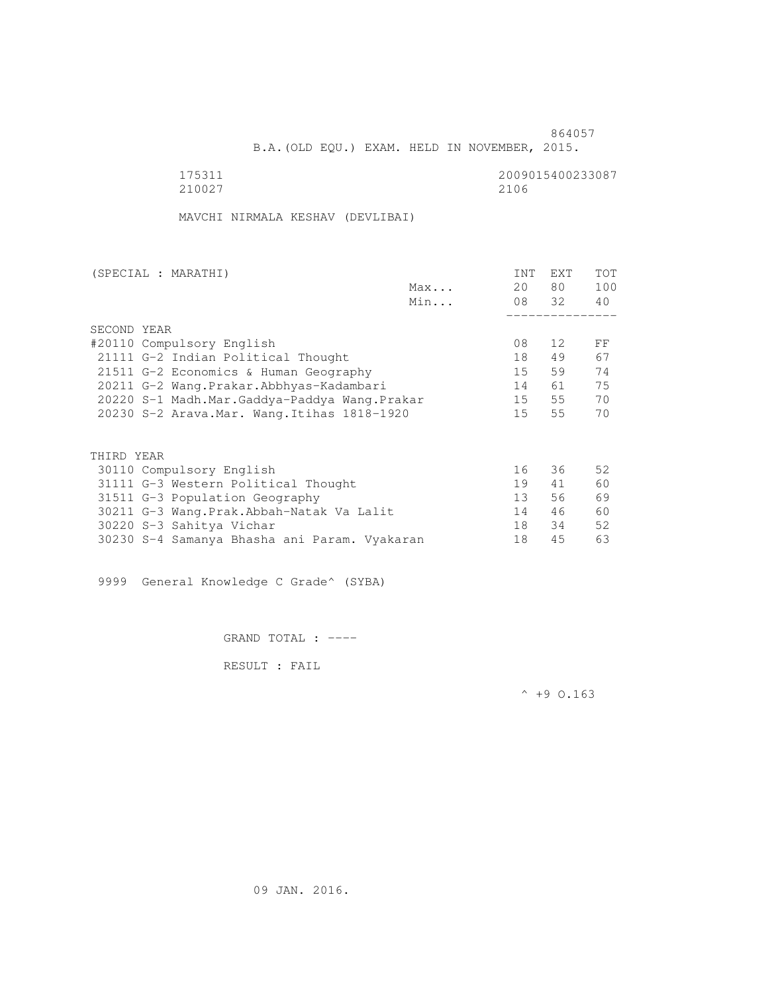B.A.(OLD EQU.) EXAM. HELD IN NOVEMBER, 2015.

175311<br>210027 210027 2100 210027 2106

MAVCHI NIRMALA KESHAV (DEVLIBAI)

| (SPECIAL : MARATHI)                          |     | <b>INT</b>      | EXT   | <b>TOT</b> |
|----------------------------------------------|-----|-----------------|-------|------------|
|                                              | Max | 20              | 80 —  | 100        |
|                                              | Min |                 | 08 32 | 40         |
|                                              |     |                 |       |            |
| SECOND YEAR                                  |     |                 |       |            |
| #20110 Compulsory English                    |     | 08              | 12    | FF         |
| 21111 G-2 Indian Political Thought           |     | 18              | 49    | 67         |
| 21511 G-2 Economics & Human Geography        |     | 15              | 59    | 74         |
| 20211 G-2 Wang.Prakar.Abbhyas-Kadambari      |     | 14              | 61    | 75         |
| 20220 S-1 Madh.Mar.Gaddya-Paddya Wang.Prakar |     | 15              | 55    | 70         |
| 20230 S-2 Arava. Mar. Wang. Itihas 1818-1920 |     | 15              | 55    | 70         |
|                                              |     |                 |       |            |
| THIRD YEAR                                   |     |                 |       |            |
| 30110 Compulsory English                     |     | 16              | 36    | 52         |
| 31111 G-3 Western Political Thought          |     | 19              | 41    | 60         |
| 31511 G-3 Population Geography               |     | 13 <sup>°</sup> | 56    | 69         |
| 30211 G-3 Wang. Prak. Abbah-Natak Va Lalit   |     | 14              | 46    | 60         |
| 30220 S-3 Sahitya Vichar                     |     | 18              | 34    | 52         |
| 30230 S-4 Samanya Bhasha ani Param. Vyakaran |     | 18              | 45    | 63         |

9999 General Knowledge C Grade^ (SYBA)

GRAND TOTAL : ----

RESULT : FAIL

 $^{\wedge}$  +9 O.163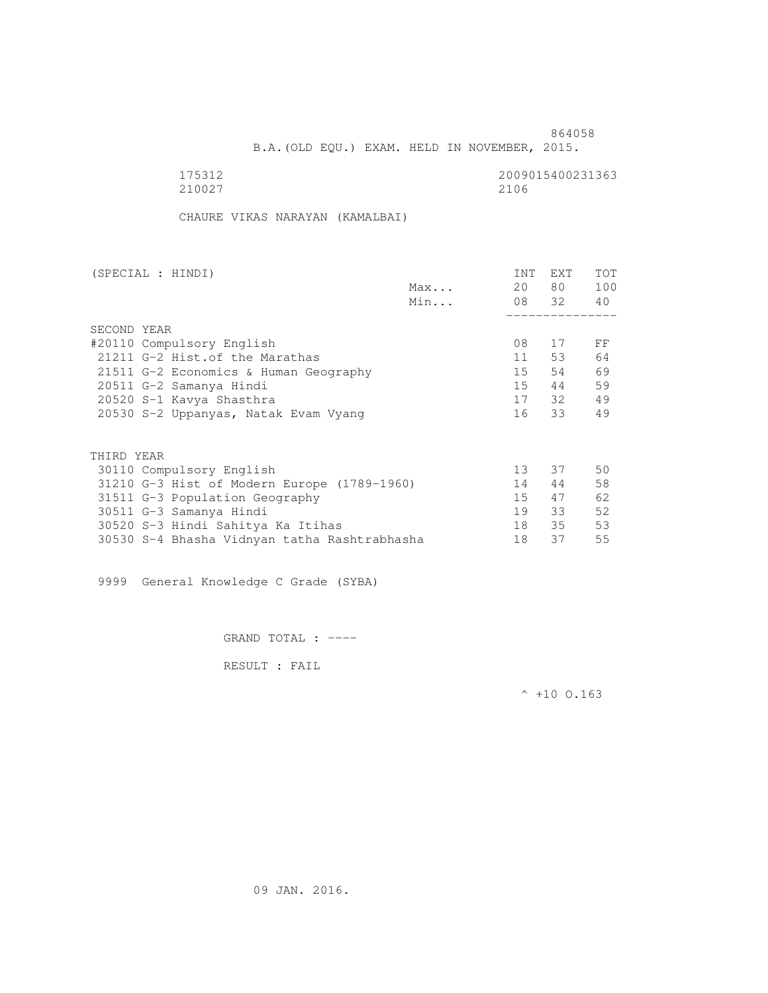B.A.(OLD EQU.) EXAM. HELD IN NOVEMBER, 2015.

| 175312 | 2009015400231363 |
|--------|------------------|
| 210027 | 2106             |

CHAURE VIKAS NARAYAN (KAMALBAI)

| (SPECIAL : HINDI)         |                                              |     | INT             | EXT   | <b>TOT</b> |
|---------------------------|----------------------------------------------|-----|-----------------|-------|------------|
|                           |                                              | Max | 20              | 80 —  | 100        |
|                           |                                              | Min |                 | 08 32 | 40         |
|                           |                                              |     |                 |       |            |
| SECOND YEAR               |                                              |     |                 |       |            |
| #20110 Compulsory English |                                              |     | 08              | 17    | FF         |
|                           | 21211 G-2 Hist. of the Marathas              |     | 11              | 53    | 64         |
|                           | 21511 G-2 Economics & Human Geography        |     | 15              | 54    | 69         |
| 20511 G-2 Samanya Hindi   |                                              |     | 15              | 44    | 59         |
| 20520 S-1 Kavya Shasthra  |                                              |     |                 | 17 32 | 49         |
|                           | 20530 S-2 Uppanyas, Natak Evam Vyang         |     | 16              | 33    | 49         |
|                           |                                              |     |                 |       |            |
| THIRD YEAR                |                                              |     |                 |       |            |
| 30110 Compulsory English  |                                              |     | 13 <sup>°</sup> | 37    | 50         |
|                           | 31210 G-3 Hist of Modern Europe (1789-1960)  |     | 14              | 44    | 58         |
|                           | 31511 G-3 Population Geography               |     | 15              | 47    | 62         |
| 30511 G-3 Samanya Hindi   |                                              |     | 19              | 33    | 52         |
|                           | 30520 S-3 Hindi Sahitya Ka Itihas            |     | 18              | 35    | 53         |
|                           | 30530 S-4 Bhasha Vidnyan tatha Rashtrabhasha |     | 18              | 37    | 55         |

9999 General Knowledge C Grade (SYBA)

GRAND TOTAL : ----

RESULT : FAIL

 $^{\wedge}$  +10 O.163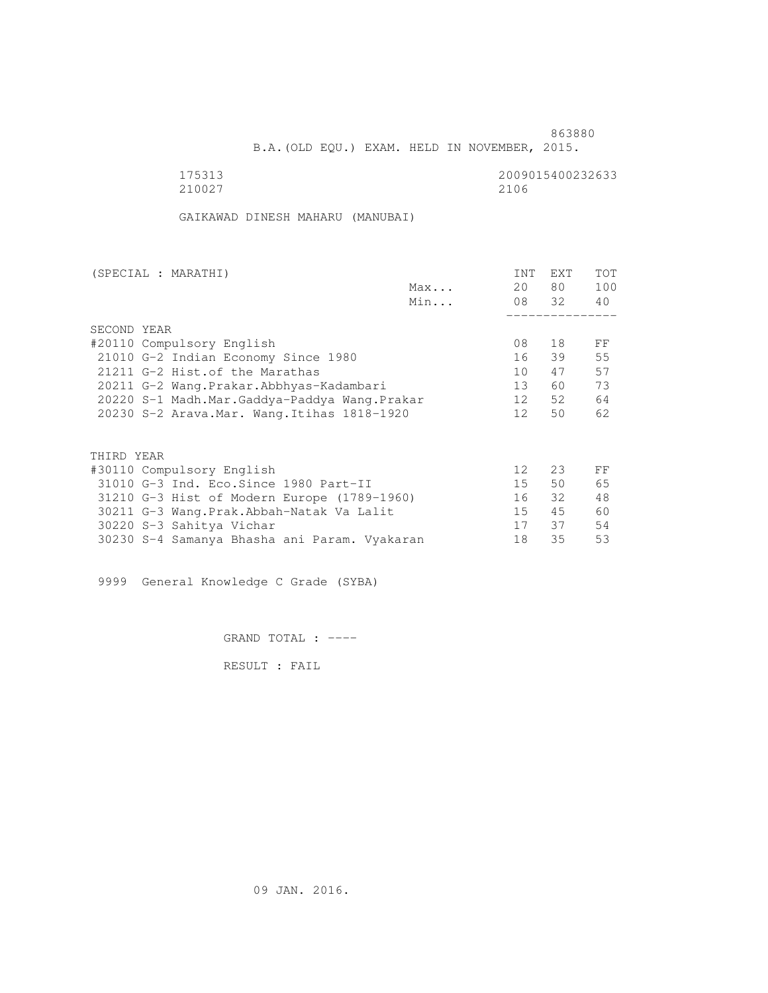B.A.(OLD EQU.) EXAM. HELD IN NOVEMBER, 2015.

| 175313 | 2009015400232633 |
|--------|------------------|
| 210027 | 2106             |

GAIKAWAD DINESH MAHARU (MANUBAI)

| (SPECIAL : MARATHI)                          | INT             | EXT   | <b>TOT</b> |
|----------------------------------------------|-----------------|-------|------------|
| Max                                          | 20              | 80 —  | 100        |
| Min                                          |                 | 08 32 | 40         |
|                                              |                 |       |            |
| SECOND YEAR                                  |                 |       |            |
| #20110 Compulsory English                    | 08              | 18    | FF         |
| 21010 G-2 Indian Economy Since 1980          | 16              | 39    | 55         |
| 21211 G-2 Hist. of the Marathas              | 10              | 47    | 57         |
| 20211 G-2 Wang.Prakar.Abbhyas-Kadambari      | 13 <sup>7</sup> | 60    | 73         |
| 20220 S-1 Madh.Mar.Gaddya-Paddya Wang.Prakar | 12              | 52    | 64         |
| 20230 S-2 Arava. Mar. Wang. Itihas 1818-1920 | 12 <sup>1</sup> | 50    | 62         |
|                                              |                 |       |            |
| THIRD YEAR                                   |                 |       |            |
| #30110 Compulsory English                    | 12 <sup>°</sup> | 23    | FF         |
| 31010 G-3 Ind. Eco. Since 1980 Part-II       | 15              | 50    | 65         |
| 31210 G-3 Hist of Modern Europe (1789-1960)  | 16              | 32    | 48         |
| 30211 G-3 Wang. Prak. Abbah-Natak Va Lalit   | 15              | 45    | 60         |
| 30220 S-3 Sahitya Vichar                     | 17              | 37    | 54         |
| 30230 S-4 Samanya Bhasha ani Param. Vyakaran | 18              | 35    | 53         |

9999 General Knowledge C Grade (SYBA)

GRAND TOTAL : ----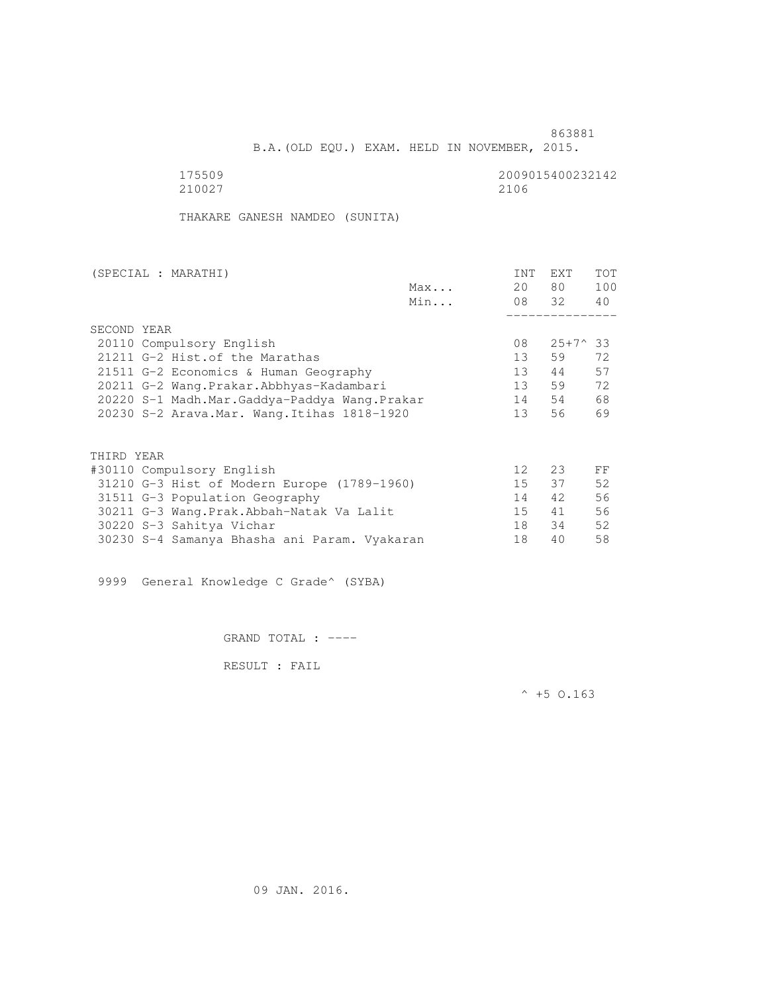B.A.(OLD EQU.) EXAM. HELD IN NOVEMBER, 2015.

175509<br>210027 210027 2100 210027 2106

THAKARE GANESH NAMDEO (SUNITA)

| (SPECIAL : MARATHI)                          |     | <b>INT</b>      | <b>EXT</b>       | TOT |
|----------------------------------------------|-----|-----------------|------------------|-----|
|                                              | Max | 20              | 80 —             | 100 |
|                                              | Min |                 | 08 32            | 40  |
|                                              |     |                 |                  |     |
| SECOND YEAR                                  |     |                 |                  |     |
| 20110 Compulsory English                     |     | 08              | $25+7^{\circ}33$ |     |
| 21211 G-2 Hist. of the Marathas              |     | 13              | 59               | 72  |
| 21511 G-2 Economics & Human Geography        |     | 13              | 44               | 57  |
| 20211 G-2 Wang.Prakar.Abbhyas-Kadambari      |     | 13              | 59               | 72  |
| 20220 S-1 Madh.Mar.Gaddya-Paddya Wang.Prakar |     | 14              | 54               | 68  |
| 20230 S-2 Arava. Mar. Wang. Itihas 1818-1920 |     | 13 <sup>7</sup> | 56               | 69  |
|                                              |     |                 |                  |     |
| THIRD YEAR                                   |     |                 |                  |     |
| #30110 Compulsory English                    |     | 12 <sup>°</sup> | 23               | FF  |
| 31210 G-3 Hist of Modern Europe (1789-1960)  |     | 15              | 37               | 52  |
| 31511 G-3 Population Geography               |     | 14              | 42               | 56  |
| 30211 G-3 Wang.Prak.Abbah-Natak Va Lalit     |     | 15              | 41               | 56  |
| 30220 S-3 Sahitya Vichar                     |     | 18              | 34               | 52  |
| 30230 S-4 Samanya Bhasha ani Param. Vyakaran |     | 18              | 40               | 58  |
|                                              |     |                 |                  |     |

9999 General Knowledge C Grade^ (SYBA)

GRAND TOTAL : ----

RESULT : FAIL

 $^{\wedge}$  +5 O.163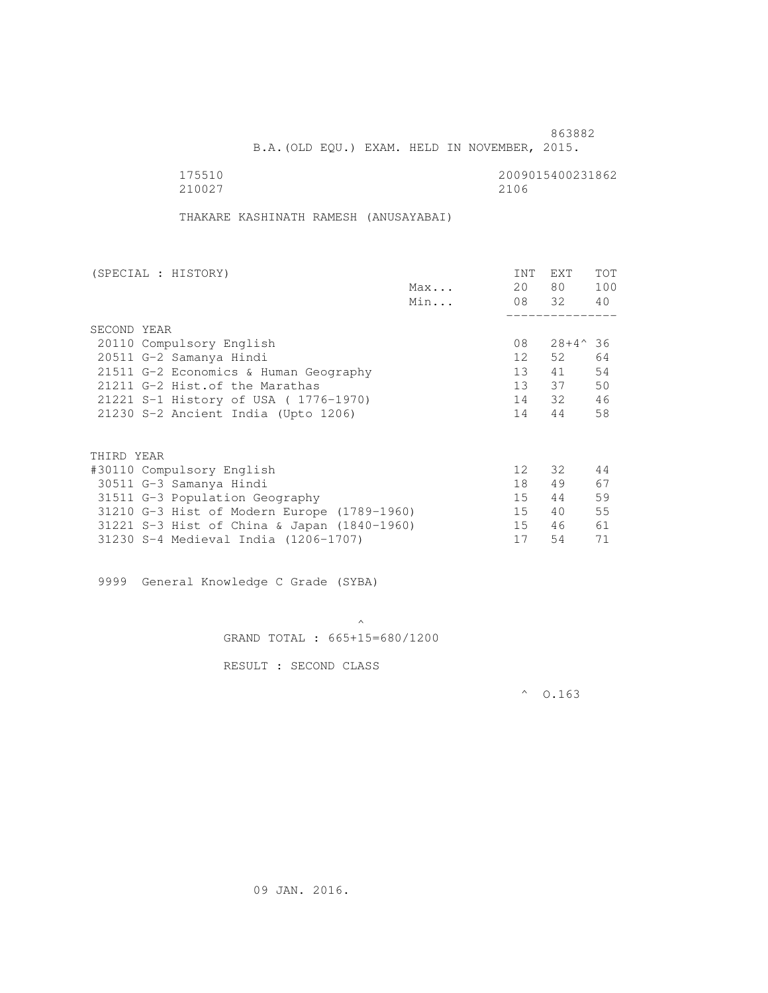B.A.(OLD EQU.) EXAM. HELD IN NOVEMBER, 2015.

| 175510 | 2009015400231862 |
|--------|------------------|
| 210027 | 2106             |

THAKARE KASHINATH RAMESH (ANUSAYABAI)

| (SPECIAL : HISTORY)                         |     | INT             | <b>EXT</b>       | TOT |
|---------------------------------------------|-----|-----------------|------------------|-----|
|                                             | Max | 20              | 80 —             | 100 |
|                                             | Min |                 | 08 32 40         |     |
|                                             |     |                 |                  |     |
| SECOND YEAR                                 |     |                 |                  |     |
| 20110 Compulsory English                    |     | 08              | $28+4^{\circ}36$ |     |
| 20511 G-2 Samanya Hindi                     |     | 12              | 52.              | 64  |
| 21511 G-2 Economics & Human Geography       |     | 13              | 41               | 54  |
| 21211 G-2 Hist. of the Marathas             |     |                 | 13 37            | 50  |
| 21221 S-1 History of USA (1776-1970)        |     |                 | 14 32            | 46  |
| 21230 S-2 Ancient India (Upto 1206)         |     | 14              | 44               | 58  |
|                                             |     |                 |                  |     |
| THIRD YEAR                                  |     |                 |                  |     |
| #30110 Compulsory English                   |     | 12 <sup>°</sup> | 32               | 44  |
| 30511 G-3 Samanya Hindi                     |     | 18              | 49               | 67  |
| 31511 G-3 Population Geography              |     | 15              | 44               | 59  |
| 31210 G-3 Hist of Modern Europe (1789-1960) |     | 15              | 40               | 55  |
| 31221 S-3 Hist of China & Japan (1840-1960) |     | 15              | 46               | 61  |
| 31230 S-4 Medieval India (1206-1707)        |     | 17              | 54               | 71  |
|                                             |     |                 |                  |     |

9999 General Knowledge C Grade (SYBA)

 $\mathcal{A}$  and  $\mathcal{A}$  are the set of  $\mathcal{A}$ GRAND TOTAL : 665+15=680/1200

RESULT : SECOND CLASS

 $^{\circ}$  0.163

09 JAN. 2016.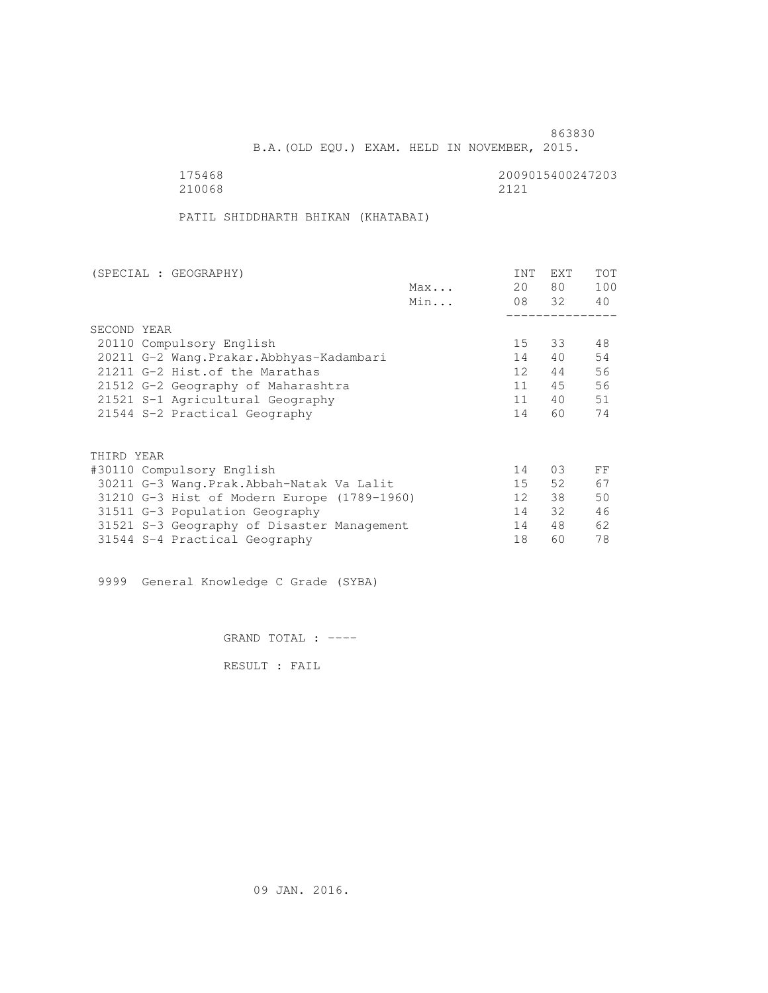B.A.(OLD EQU.) EXAM. HELD IN NOVEMBER, 2015.

 175468 2009015400247203 210068 2121

PATIL SHIDDHARTH BHIKAN (KHATABAI)

| (SPECIAL : GEOGRAPHY)                       |     | <b>INT</b>      | <b>EXT</b> | <b>TOT</b> |
|---------------------------------------------|-----|-----------------|------------|------------|
|                                             | Max | 20              | 80         | 100        |
|                                             | Min |                 | 08 32      | 40         |
|                                             |     |                 |            |            |
| SECOND YEAR                                 |     |                 |            |            |
| 20110 Compulsory English                    |     | 15 <sub>1</sub> | 33         | 48         |
| 20211 G-2 Wang. Prakar. Abbhyas-Kadambari   |     | 14              | 40         | 54         |
| 21211 G-2 Hist. of the Marathas             |     | 12 <sup>°</sup> | 44         | 56         |
| 21512 G-2 Geography of Maharashtra          |     | 11              | 45         | 56         |
| 21521 S-1 Agricultural Geography            |     | 11              | 40         | 51         |
| 21544 S-2 Practical Geography               |     | 14              | 60         | 74         |
|                                             |     |                 |            |            |
| THIRD YEAR                                  |     |                 |            |            |
| #30110 Compulsory English                   |     | 14              | 03         | FF         |
| 30211 G-3 Wang.Prak.Abbah-Natak Va Lalit    |     | 15              | 52         | 67         |
| 31210 G-3 Hist of Modern Europe (1789-1960) |     | 12              | 38         | 50         |
| 31511 G-3 Population Geography              |     | 14              | 32         | 46         |
| 31521 S-3 Geography of Disaster Management  |     | 14              | 48         | 62         |
| 31544 S-4 Practical Geography               |     | 18              | 60         | 78         |

9999 General Knowledge C Grade (SYBA)

GRAND TOTAL : ----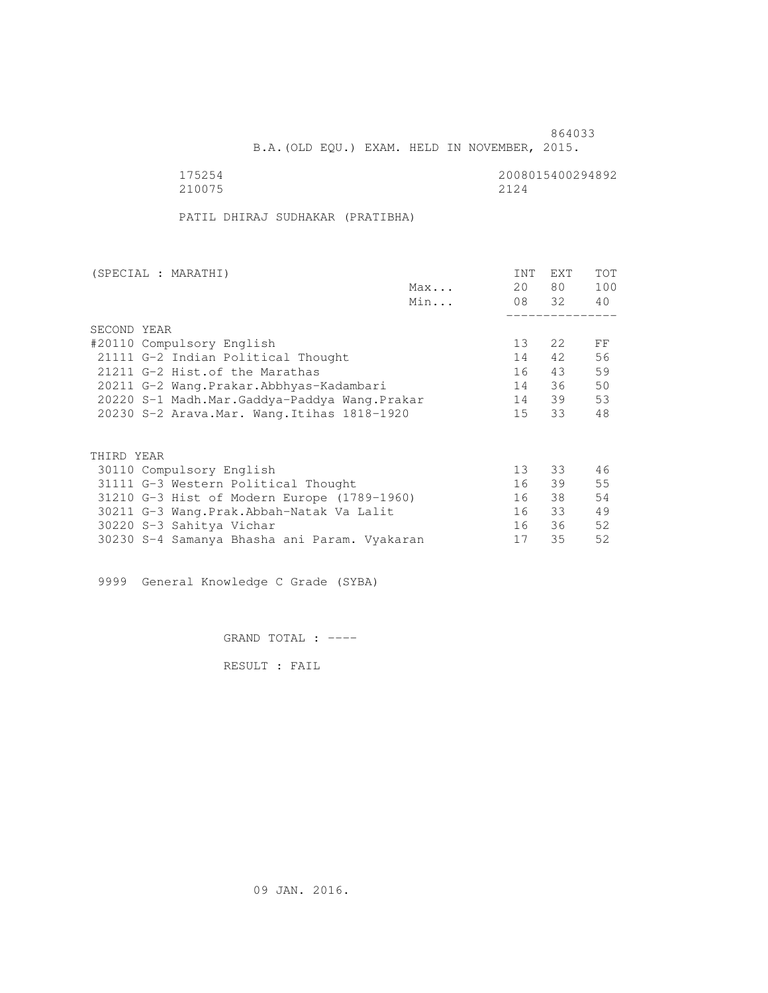B.A.(OLD EQU.) EXAM. HELD IN NOVEMBER, 2015.

175254<br>210075 210075 2124 210075 2124

PATIL DHIRAJ SUDHAKAR (PRATIBHA)

| (SPECIAL : MARATHI)                          |     | <b>INT</b>      | <b>EXT</b> | TOT |
|----------------------------------------------|-----|-----------------|------------|-----|
|                                              | Max | 20              | 80 —       | 100 |
|                                              | Min |                 | 08 32      | 40  |
|                                              |     |                 |            |     |
| SECOND YEAR                                  |     |                 |            |     |
| #20110 Compulsory English                    |     | 13 <sup>°</sup> | 2.2        | FF  |
| 21111 G-2 Indian Political Thought           |     | 14              | 42         | 56  |
| 21211 G-2 Hist. of the Marathas              |     | 16              | 43         | 59  |
| 20211 G-2 Wang.Prakar.Abbhyas-Kadambari      |     | 14              | 36         | 50  |
| 20220 S-1 Madh.Mar.Gaddya-Paddya Wang.Prakar |     | 14              | 39         | 53  |
| 20230 S-2 Arava. Mar. Wang. Itihas 1818-1920 |     | 15              | 33         | 48  |
|                                              |     |                 |            |     |
| THIRD YEAR                                   |     |                 |            |     |
| 30110 Compulsory English                     |     | 13 <sup>°</sup> | 33         | 46  |
| 31111 G-3 Western Political Thought          |     | 16              | 39         | 55  |
| 31210 G-3 Hist of Modern Europe (1789-1960)  |     | 16              | 38         | 54  |
| 30211 G-3 Wang.Prak.Abbah-Natak Va Lalit     |     | 16              | 33         | 49  |
| 30220 S-3 Sahitya Vichar                     |     | 16              | 36         | 52  |
| 30230 S-4 Samanya Bhasha ani Param. Vyakaran |     | 17              | 35         | 52  |
|                                              |     |                 |            |     |

9999 General Knowledge C Grade (SYBA)

GRAND TOTAL : ----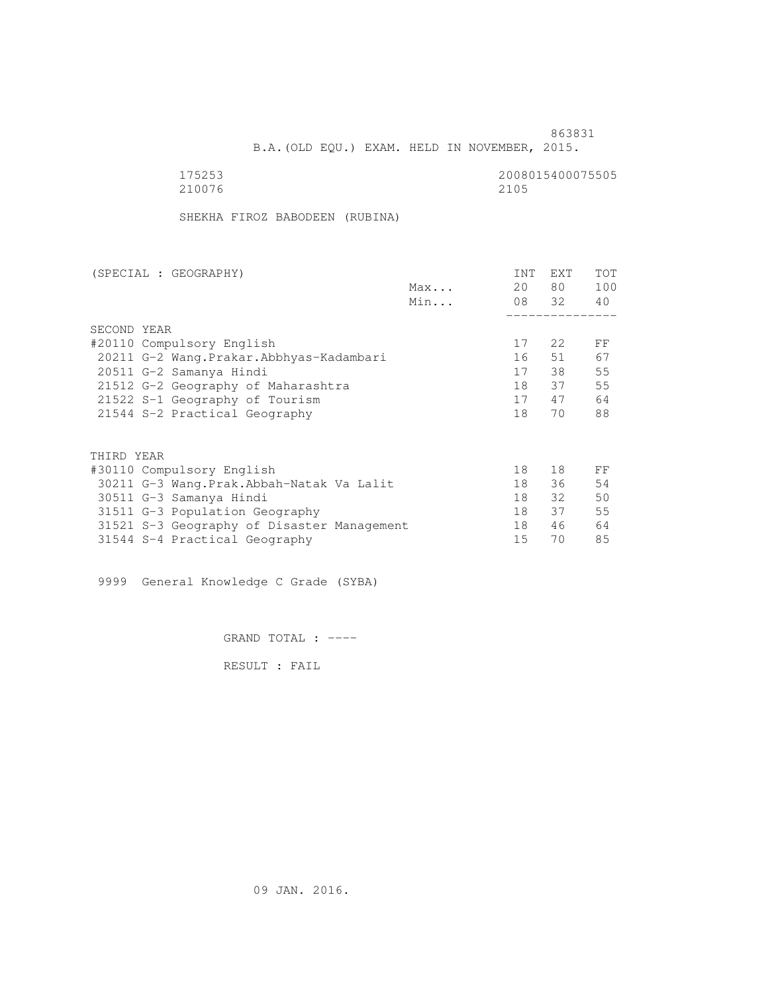863831 B.A.(OLD EQU.) EXAM. HELD IN NOVEMBER, 2015.

| 175253 | 2008015400075505 |
|--------|------------------|
| 210076 | 2105             |

SHEKHA FIROZ BABODEEN (RUBINA)

| (SPECIAL : GEOGRAPHY)                      |     | INT | <b>EXT</b> | TOT |
|--------------------------------------------|-----|-----|------------|-----|
|                                            | Max | 20  | 80 —       | 100 |
|                                            | Min |     | 08 32      | 40  |
|                                            |     |     |            |     |
| SECOND YEAR                                |     |     |            |     |
| #20110 Compulsory English                  |     | 17  | 2.2        | FF  |
| 20211 G-2 Wang.Prakar.Abbhyas-Kadambari    |     | 16  | 51         | 67  |
| 20511 G-2 Samanya Hindi                    |     | 17  | 38         | 55  |
| 21512 G-2 Geography of Maharashtra         |     | 18  | 37         | 55  |
| 21522 S-1 Geography of Tourism             |     | 17  | 47         | 64  |
| 21544 S-2 Practical Geography              |     | 18  | 70         | 88  |
|                                            |     |     |            |     |
| THIRD YEAR                                 |     |     |            |     |
| #30110 Compulsory English                  |     | 18  | 18         | FF  |
| 30211 G-3 Wang. Prak. Abbah-Natak Va Lalit |     | 18  | 36         | 54  |
| 30511 G-3 Samanya Hindi                    |     | 18  | 32         | 50  |
| 31511 G-3 Population Geography             |     | 18  | 37         | 55  |
| 31521 S-3 Geography of Disaster Management |     | 18  | 46         | 64  |
| 31544 S-4 Practical Geography              |     | 15  | 70         | 85  |
|                                            |     |     |            |     |

9999 General Knowledge C Grade (SYBA)

GRAND TOTAL : ----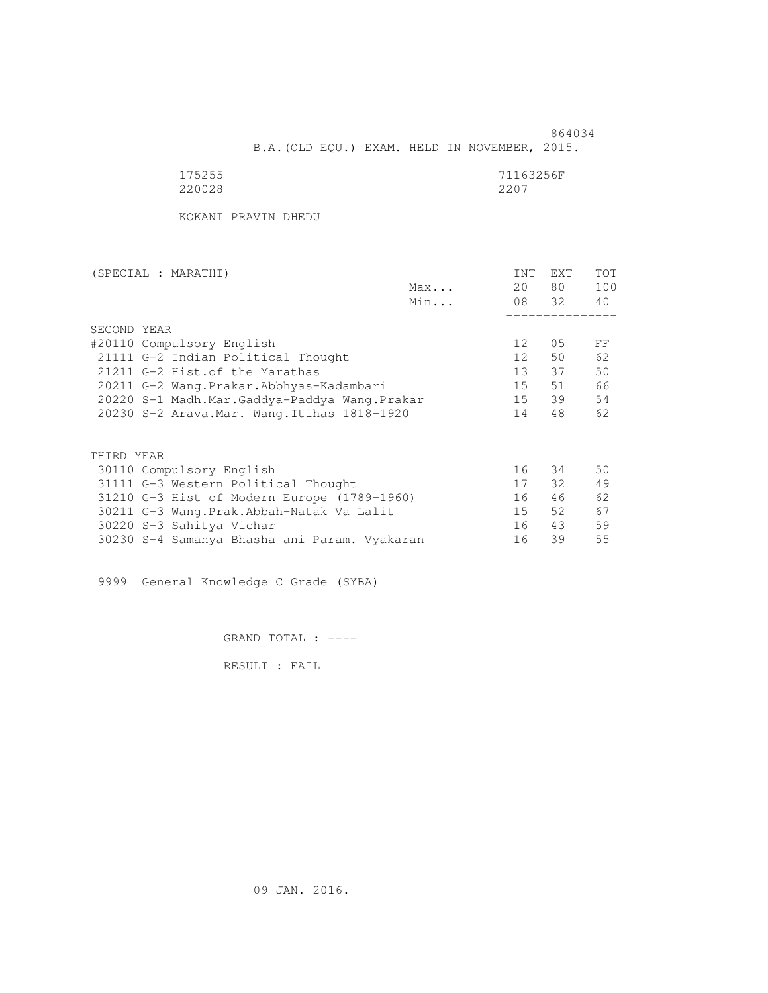864034 B.A.(OLD EQU.) EXAM. HELD IN NOVEMBER, 2015.

| 175255 | 71163256F |
|--------|-----------|
| 220028 | 2207      |

KOKANI PRAVIN DHEDU

| (SPECIAL : MARATHI)                          |     | <b>INT</b>      | EXT   | <b>TOT</b> |
|----------------------------------------------|-----|-----------------|-------|------------|
|                                              | Max | 20              | 80 —  | 100        |
|                                              | Min |                 | 08 32 | 40         |
|                                              |     |                 |       |            |
| SECOND YEAR                                  |     |                 |       |            |
| #20110 Compulsory English                    |     | 12 <sup>°</sup> | 05    | FF         |
| 21111 G-2 Indian Political Thought           |     | 12              | 50    | 62         |
| 21211 G-2 Hist. of the Marathas              |     | 13 <sup>7</sup> | 37    | 50         |
| 20211 G-2 Wang.Prakar.Abbhyas-Kadambari      |     | 15              | 51    | 66         |
| 20220 S-1 Madh.Mar.Gaddya-Paddya Wang.Prakar |     | 15              | 39    | 54         |
| 20230 S-2 Arava. Mar. Wang. Itihas 1818-1920 |     | 14              | 48    | 62         |
|                                              |     |                 |       |            |
| THIRD YEAR                                   |     |                 |       |            |
| 30110 Compulsory English                     |     | 16              | 34    | 50         |
| 31111 G-3 Western Political Thought          |     | 17              | 32    | 49         |
| 31210 G-3 Hist of Modern Europe (1789-1960)  |     | 16              | 46    | 62         |
| 30211 G-3 Wang. Prak. Abbah-Natak Va Lalit   |     | 15              | 52    | 67         |
| 30220 S-3 Sahitya Vichar                     |     | 16              | 43    | 59         |
| 30230 S-4 Samanya Bhasha ani Param. Vyakaran |     | 16              | 39    | 55         |

9999 General Knowledge C Grade (SYBA)

GRAND TOTAL : ----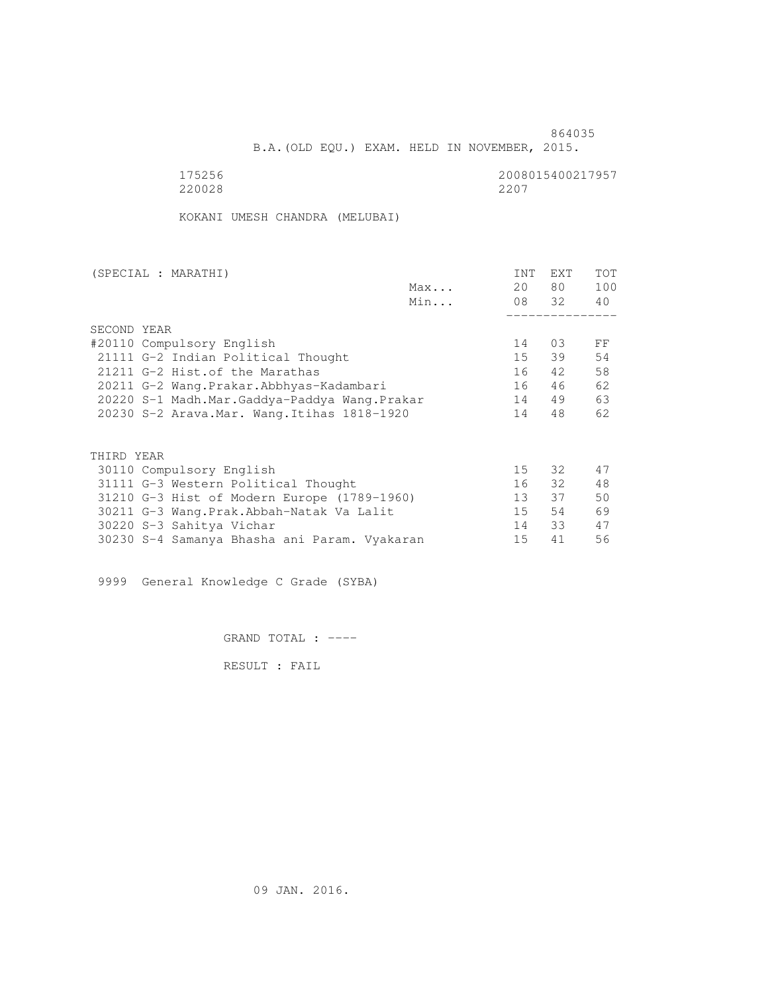B.A.(OLD EQU.) EXAM. HELD IN NOVEMBER, 2015.

 175256 2008015400217957 220028 2207

KOKANI UMESH CHANDRA (MELUBAI)

| (SPECIAL : MARATHI)                          |     | <b>INT</b>      | <b>EXT</b> | TOT |
|----------------------------------------------|-----|-----------------|------------|-----|
|                                              | Max | 20              | 80 —       | 100 |
|                                              | Min |                 | 08 32      | 40  |
|                                              |     |                 |            |     |
| SECOND YEAR                                  |     |                 |            |     |
| #20110 Compulsory English                    |     | 14              | 03         | FF  |
| 21111 G-2 Indian Political Thought           |     | 15              | 39         | 54  |
| 21211 G-2 Hist. of the Marathas              |     | 16              | 42         | 58  |
| 20211 G-2 Wang.Prakar.Abbhyas-Kadambari      |     | 16              | 46         | 62  |
| 20220 S-1 Madh.Mar.Gaddya-Paddya Wang.Prakar |     | 14              | 49         | 63  |
| 20230 S-2 Arava. Mar. Wang. Itihas 1818-1920 |     | 14              | 48         | 62  |
|                                              |     |                 |            |     |
| THIRD YEAR                                   |     |                 |            |     |
| 30110 Compulsory English                     |     | 15              | 32         | 47  |
| 31111 G-3 Western Political Thought          |     | 16              | 32         | 48  |
|                                              |     |                 |            |     |
| 31210 G-3 Hist of Modern Europe (1789-1960)  |     | 13 <sup>7</sup> | 37         | 50  |
| 30211 G-3 Wang.Prak.Abbah-Natak Va Lalit     |     | 15              | 54         | 69  |
| 30220 S-3 Sahitya Vichar                     |     | 14              | 33         | 47  |
| 30230 S-4 Samanya Bhasha ani Param. Vyakaran |     | 15              | 41         | 56  |

9999 General Knowledge C Grade (SYBA)

GRAND TOTAL : ----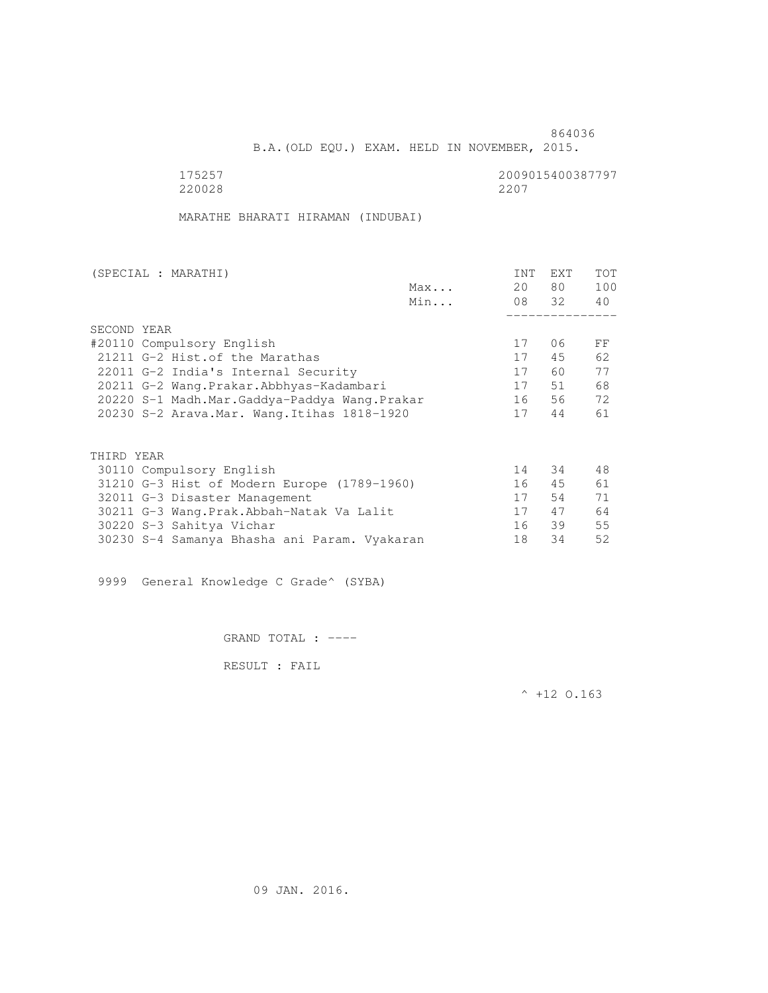B.A.(OLD EQU.) EXAM. HELD IN NOVEMBER, 2015.

 175257 2009015400387797 220028 2207

MARATHE BHARATI HIRAMAN (INDUBAI)

| (SPECIAL : MARATHI)                          |     | <b>INT</b> | EXT   | <b>TOT</b> |
|----------------------------------------------|-----|------------|-------|------------|
|                                              | Max | 20         | 80 —  | 100        |
|                                              | Min |            | 08 32 | 40         |
|                                              |     |            |       |            |
| SECOND YEAR                                  |     |            |       |            |
| #20110 Compulsory English                    |     | 17         | 06    | FF         |
| 21211 G-2 Hist. of the Marathas              |     | 17         | 45    | 62         |
| 22011 G-2 India's Internal Security          |     | 17         | 60    | 77         |
| 20211 G-2 Wang.Prakar.Abbhyas-Kadambari      |     | 17         | 51    | 68         |
| 20220 S-1 Madh.Mar.Gaddya-Paddya Wang.Prakar |     | 16         | 56    | 72         |
| 20230 S-2 Arava. Mar. Wang. Itihas 1818-1920 |     | 17         | 44    | 61         |
|                                              |     |            |       |            |
| THIRD YEAR                                   |     |            |       |            |
| 30110 Compulsory English                     |     | 14         | 34    | 48         |
| 31210 G-3 Hist of Modern Europe (1789-1960)  |     | 16         | 45    | 61         |
| 32011 G-3 Disaster Management                |     | 17         | 54    | 71         |
| 30211 G-3 Wang.Prak.Abbah-Natak Va Lalit     |     | 17         | 47    | 64         |
| 30220 S-3 Sahitya Vichar                     |     | 16         | 39    | 55         |
| 30230 S-4 Samanya Bhasha ani Param. Vyakaran |     | 18         | 34    | 52         |

9999 General Knowledge C Grade^ (SYBA)

GRAND TOTAL : ----

RESULT : FAIL

 $^{\wedge}$  +12 O.163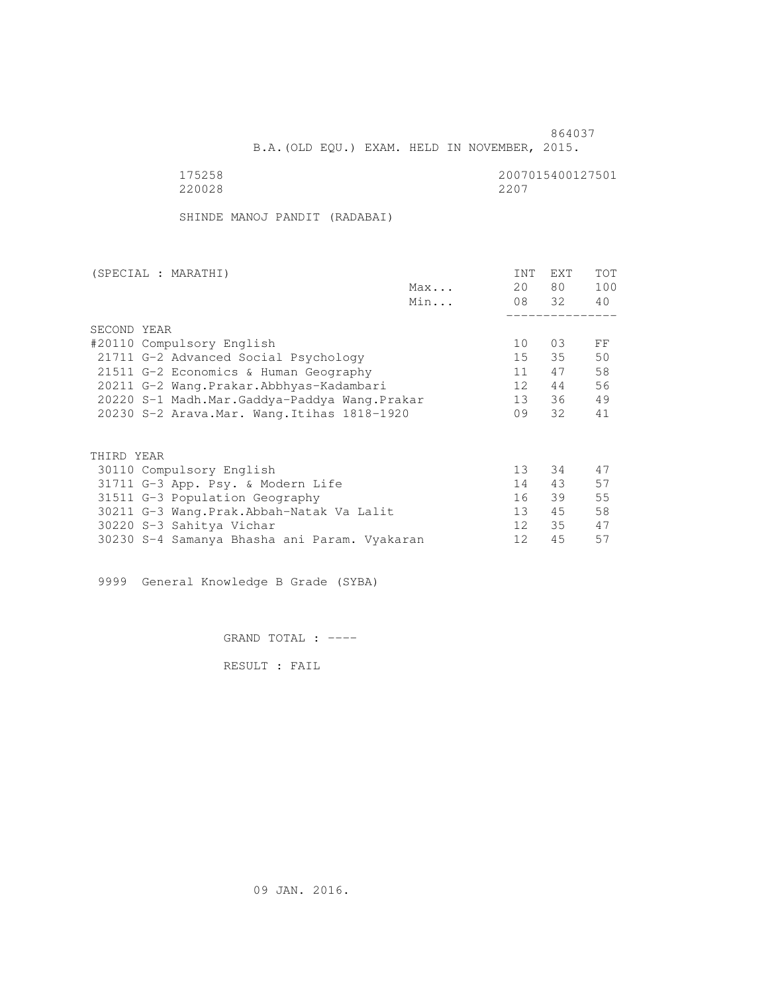B.A.(OLD EQU.) EXAM. HELD IN NOVEMBER, 2015.

 175258 2007015400127501 220028 2207

SHINDE MANOJ PANDIT (RADABAI)

| (SPECIAL : MARATHI)                          |     | <b>INT</b>      | <b>EXT</b> | TOT |
|----------------------------------------------|-----|-----------------|------------|-----|
|                                              | Max | 20              | 80         | 100 |
|                                              | Min |                 | 08 32      | 40  |
|                                              |     |                 |            |     |
| SECOND YEAR                                  |     |                 |            |     |
| #20110 Compulsory English                    |     | 10              | 03         | FF  |
| 21711 G-2 Advanced Social Psychology         |     | 15              | 35         | 50  |
| 21511 G-2 Economics & Human Geography        |     | 11              | 47         | 58  |
| 20211 G-2 Wang.Prakar.Abbhyas-Kadambari      |     | 12              | 44         | 56  |
| 20220 S-1 Madh.Mar.Gaddya-Paddya Wang.Prakar |     | 13              | 36         | 49  |
| 20230 S-2 Arava. Mar. Wang. Itihas 1818-1920 |     | 09              | 32         | 41  |
| THIRD YEAR                                   |     |                 |            |     |
|                                              |     | 13 <sup>°</sup> | 34         | 47  |
| 30110 Compulsory English                     |     |                 |            |     |
| 31711 G-3 App. Psy. & Modern Life            |     | 14              | 43         | 57  |
| 31511 G-3 Population Geography               |     | 16              | 39         | 55  |
| 30211 G-3 Wang.Prak.Abbah-Natak Va Lalit     |     | 13              | 45         | 58  |
| 30220 S-3 Sahitya Vichar                     |     | 12 <sup>°</sup> | 35         | 47  |
| 30230 S-4 Samanya Bhasha ani Param. Vyakaran |     | 12              | 45         | 57  |

9999 General Knowledge B Grade (SYBA)

GRAND TOTAL : ----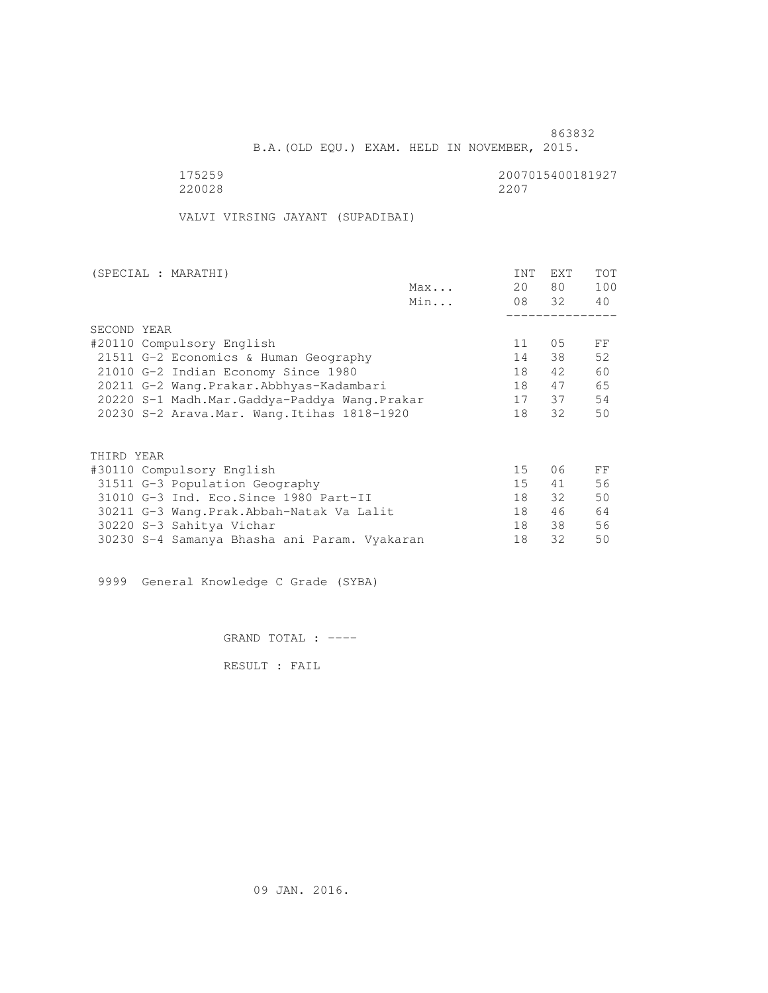B.A.(OLD EQU.) EXAM. HELD IN NOVEMBER, 2015.

 175259 2007015400181927 220028 2207

VALVI VIRSING JAYANT (SUPADIBAI)

| (SPECIAL : MARATHI)                          |     | INT | EXT   | <b>TOT</b> |
|----------------------------------------------|-----|-----|-------|------------|
|                                              | Max | 20  | 80 —  | 100        |
|                                              | Min |     | 08 32 | 40         |
|                                              |     |     |       |            |
| SECOND YEAR                                  |     |     |       |            |
| #20110 Compulsory English                    |     | 11  | 05    | FF         |
| 21511 G-2 Economics & Human Geography        |     | 14  | 38    | 52         |
| 21010 G-2 Indian Economy Since 1980          |     | 18  | 42    | 60         |
| 20211 G-2 Wang. Prakar. Abbhyas-Kadambari    |     | 18  | 47    | 65         |
| 20220 S-1 Madh.Mar.Gaddya-Paddya Wang.Prakar |     | 17  | 37    | 54         |
| 20230 S-2 Arava. Mar. Wang. Itihas 1818-1920 |     | 18  | 32    | 50         |
| THIRD YEAR                                   |     |     |       |            |
| #30110 Compulsory English                    |     | 15  | 06    | FF         |
|                                              |     | 15  | 41    | 56         |
| 31511 G-3 Population Geography               |     |     |       |            |
| 31010 G-3 Ind. Eco. Since 1980 Part-II       |     | 18  | 32    | 50         |
| 30211 G-3 Wang.Prak.Abbah-Natak Va Lalit     |     | 18  | 46    | 64         |
| 30220 S-3 Sahitya Vichar                     |     | 18  | 38    | 56         |
| 30230 S-4 Samanya Bhasha ani Param. Vyakaran |     | 18  | 32    | 50         |
|                                              |     |     |       |            |

9999 General Knowledge C Grade (SYBA)

GRAND TOTAL : ----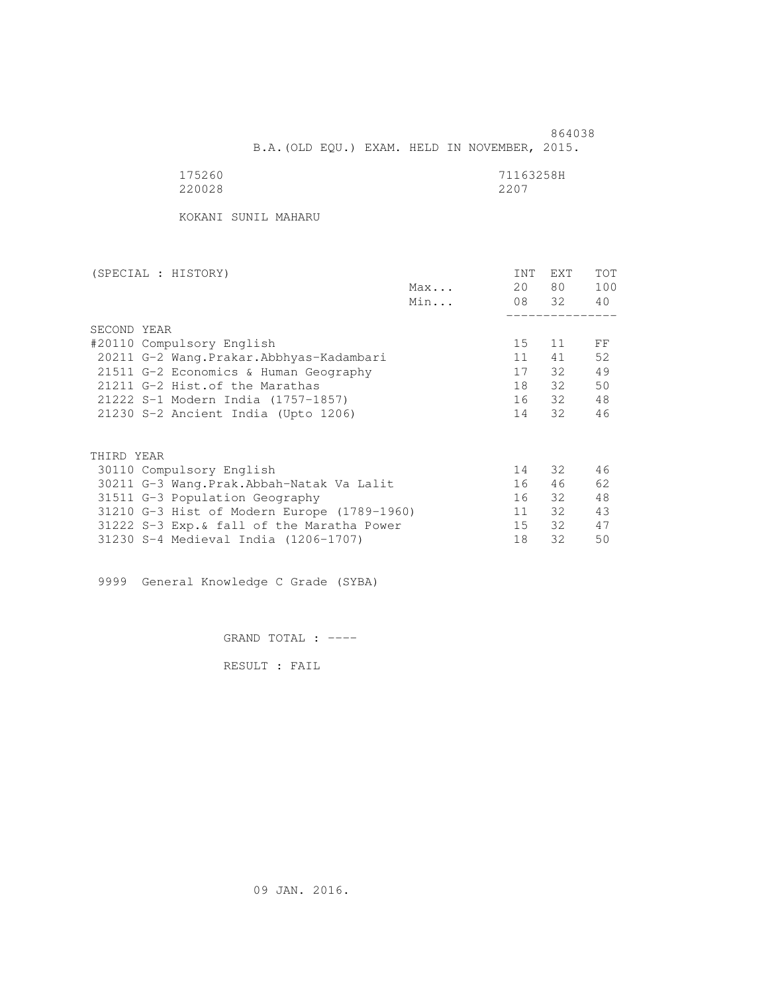864038 B.A.(OLD EQU.) EXAM. HELD IN NOVEMBER, 2015.

| 175260 | 71163258H |
|--------|-----------|
| 220028 | 2207      |

KOKANI SUNIL MAHARU

| 20<br>Max<br>Min<br>SECOND YEAR<br>15<br>#20110 Compulsory English<br>20211 G-2 Wang.Prakar.Abbhyas-Kadambari<br>11 <sup>1</sup><br>17<br>21511 G-2 Economics & Human Geography<br>18<br>21211 G-2 Hist. of the Marathas<br>16<br>21222 S-1 Modern India (1757-1857)<br>21230 S-2 Ancient India (Upto 1206)<br>14 | <b>EXT</b><br><b>INT</b> | TOT |
|-------------------------------------------------------------------------------------------------------------------------------------------------------------------------------------------------------------------------------------------------------------------------------------------------------------------|--------------------------|-----|
|                                                                                                                                                                                                                                                                                                                   | 80 —                     | 100 |
|                                                                                                                                                                                                                                                                                                                   | 08 32                    | 40  |
|                                                                                                                                                                                                                                                                                                                   |                          |     |
|                                                                                                                                                                                                                                                                                                                   |                          |     |
|                                                                                                                                                                                                                                                                                                                   | 11                       | FF  |
|                                                                                                                                                                                                                                                                                                                   | 41                       | 52  |
|                                                                                                                                                                                                                                                                                                                   | 32                       | 49  |
|                                                                                                                                                                                                                                                                                                                   | 32                       | 50  |
|                                                                                                                                                                                                                                                                                                                   | 32                       | 48  |
|                                                                                                                                                                                                                                                                                                                   | 32                       | 46  |
|                                                                                                                                                                                                                                                                                                                   |                          |     |
| THIRD YEAR                                                                                                                                                                                                                                                                                                        |                          |     |
| 14<br>30110 Compulsory English                                                                                                                                                                                                                                                                                    | 32                       | 46  |
| 16<br>30211 G-3 Wang.Prak.Abbah-Natak Va Lalit                                                                                                                                                                                                                                                                    | 46                       | 62  |
| 16<br>31511 G-3 Population Geography                                                                                                                                                                                                                                                                              | 32                       | 48  |
| 31210 G-3 Hist of Modern Europe (1789-1960)<br>11                                                                                                                                                                                                                                                                 | 32                       | 43  |
| 15<br>31222 S-3 Exp. & fall of the Maratha Power                                                                                                                                                                                                                                                                  | 32                       | 47  |
| 31230 S-4 Medieval India (1206-1707)<br>18                                                                                                                                                                                                                                                                        | 32                       | 50  |

9999 General Knowledge C Grade (SYBA)

GRAND TOTAL : ----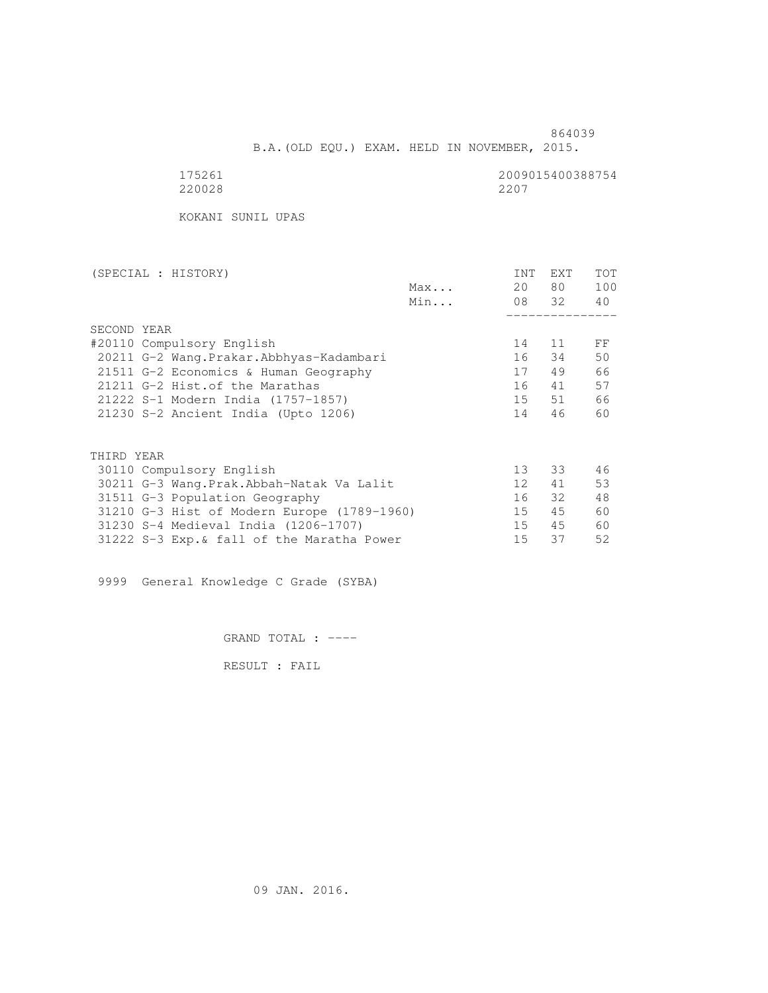B.A.(OLD EQU.) EXAM. HELD IN NOVEMBER, 2015.

| $\sim$ |  |
|--------|--|
| 220028 |  |

2009015400388754<br>2207

KOKANI SUNIL UPAS

| (SPECIAL : HISTORY)                         | <b>INT</b>      | <b>EXT</b> | TOT |
|---------------------------------------------|-----------------|------------|-----|
| Max                                         | 20              | 80 —       | 100 |
| Min                                         |                 | 08 32      | 40  |
|                                             |                 |            |     |
| SECOND YEAR                                 |                 |            |     |
| #20110 Compulsory English                   | 14              | 11         | FF  |
| 20211 G-2 Wang. Prakar. Abbhyas-Kadambari   | 16              | 34         | 50  |
| 21511 G-2 Economics & Human Geography       | 17              | 49         | 66  |
| 21211 G-2 Hist.of the Marathas              | 16              | 41         | 57  |
| 21222 S-1 Modern India (1757-1857)          | 15              | 51         | 66  |
| 21230 S-2 Ancient India (Upto 1206)         | 14              | 46         | 60  |
|                                             |                 |            |     |
| THIRD YEAR                                  |                 |            |     |
| 30110 Compulsory English                    | 13 <sup>°</sup> | 33         | 46  |
| 30211 G-3 Wang.Prak.Abbah-Natak Va Lalit    | 12 <sup>°</sup> | 41         | 53  |
| 31511 G-3 Population Geography              | 16              | 32         | 48  |
| 31210 G-3 Hist of Modern Europe (1789-1960) | 15              | 45         | 60  |
| 31230 S-4 Medieval India (1206-1707)        | 15 <sub>1</sub> | 45         | 60  |
| 31222 S-3 Exp. & fall of the Maratha Power  | 15              | 37         | 52  |

9999 General Knowledge C Grade (SYBA)

GRAND TOTAL : ----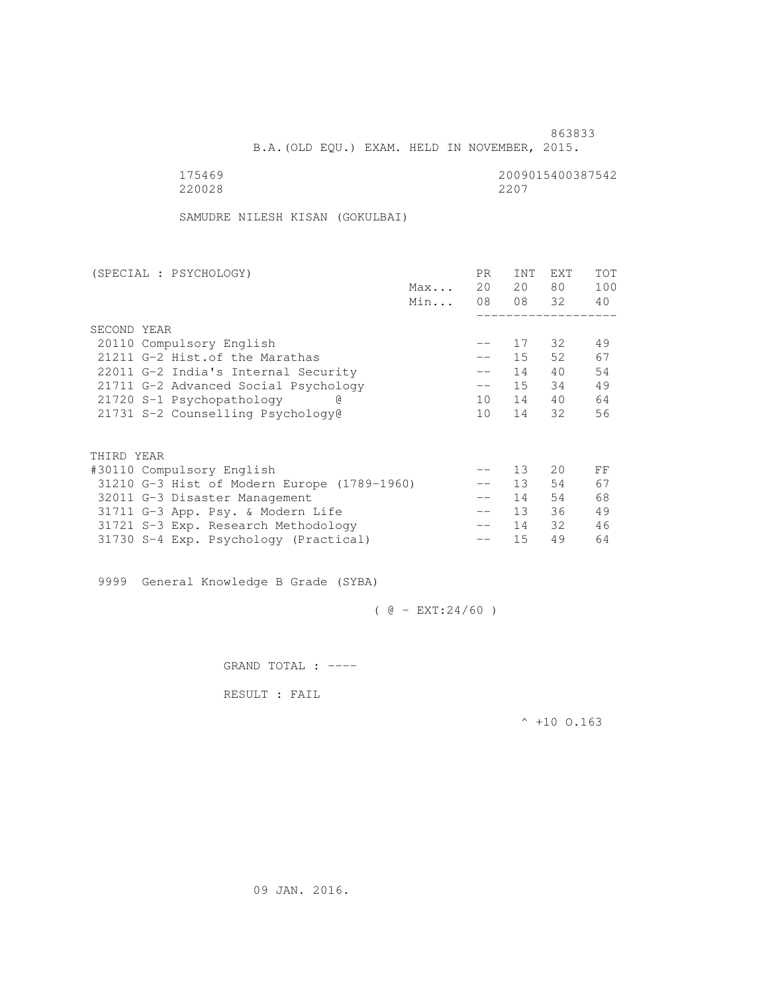B.A.(OLD EQU.) EXAM. HELD IN NOVEMBER, 2015.

 175469 2009015400387542 220028 2207

SAMUDRE NILESH KISAN (GOKULBAI)

| (SPECIAL : PSYCHOLOGY)              |                                             |     | PR.               | <b>INT</b>      | <b>EXT</b> | TOT |
|-------------------------------------|---------------------------------------------|-----|-------------------|-----------------|------------|-----|
|                                     |                                             | Max | 20                | 20              | 80         | 100 |
|                                     |                                             | Min | 08                |                 | 08 32      | 40  |
|                                     |                                             |     |                   |                 |            |     |
| SECOND YEAR                         |                                             |     |                   |                 |            |     |
| 20110 Compulsory English            |                                             |     | $- -$             | 17              | 32         | 49  |
| 21211 G-2 Hist. of the Marathas     |                                             |     | $- -$             | 15              | 52         | 67  |
| 22011 G-2 India's Internal Security |                                             |     | $\qquad \qquad -$ | 14              | 40         | 54  |
|                                     | 21711 G-2 Advanced Social Psychology        |     | $\qquad \qquad -$ | 15              | 34         | 49  |
| 21720 S-1 Psychopathology           |                                             |     | 10                | 14              | 40         | 64  |
| 21731 S-2 Counselling Psychology@   |                                             |     | 10                | 14              | 32         | 56  |
|                                     |                                             |     |                   |                 |            |     |
|                                     |                                             |     |                   |                 |            |     |
| THIRD YEAR                          |                                             |     |                   |                 |            |     |
| #30110 Compulsory English           |                                             |     |                   | 13              | 20         | FF  |
|                                     | 31210 G-3 Hist of Modern Europe (1789-1960) |     |                   | 13              | 54         | 67  |
| 32011 G-3 Disaster Management       |                                             |     | $- -$             | 14              | 54         | 68  |
| 31711 G-3 App. Psy. & Modern Life   |                                             |     | $\qquad \qquad -$ | 13 <sup>7</sup> | 36         | 49  |
| 31721 S-3 Exp. Research Methodology |                                             |     | $- -$             | 14              | 32         | 46  |
|                                     | 31730 S-4 Exp. Psychology (Practical)       |     |                   | 15              | 49         | 64  |
|                                     |                                             |     |                   |                 |            |     |

9999 General Knowledge B Grade (SYBA)

 $( @ - EXT: 24/60 )$ 

GRAND TOTAL : ----

RESULT : FAIL

 $^{\wedge}$  +10 0.163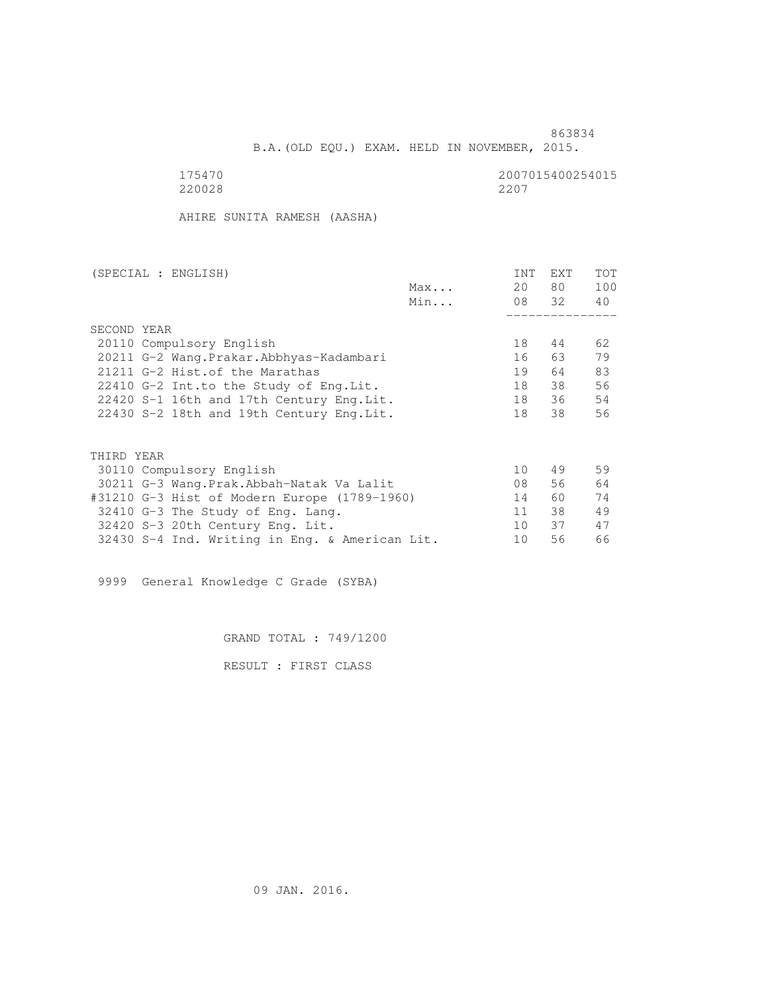B.A.(OLD EQU.) EXAM. HELD IN NOVEMBER, 2015.

175470<br>220028 220028 2200 220028 2207

AHIRE SUNITA RAMESH (AASHA)

|                                           | (SPECIAL : ENGLISH)                            |     | <b>INT</b>      | <b>EXT</b> | TOT |
|-------------------------------------------|------------------------------------------------|-----|-----------------|------------|-----|
|                                           |                                                | Max | 20              | 80 —       | 100 |
|                                           |                                                | Min |                 | 08 32      | 40  |
|                                           |                                                |     |                 |            |     |
|                                           | SECOND YEAR                                    |     |                 |            |     |
|                                           | 20110 Compulsory English                       |     | 18              | 44         | 62  |
|                                           | 20211 G-2 Wang. Prakar. Abbhyas-Kadambari      |     | 16              | 63         | 79  |
|                                           | 21211 G-2 Hist. of the Marathas                |     | 19              | 64         | 83  |
| 22410 G-2 Int.to the Study of Eng. Lit.   |                                                | 18  | 38              | 56         |     |
| 22420 S-1 16th and 17th Century Eng. Lit. |                                                | 18  | 36              | 54         |     |
|                                           | 22430 S-2 18th and 19th Century Eng. Lit.      |     | 18              | 38         | 56  |
|                                           |                                                |     |                 |            |     |
|                                           |                                                |     |                 |            |     |
|                                           | THIRD YEAR                                     |     |                 |            |     |
|                                           | 30110 Compulsory English                       |     | 10 <sup>°</sup> | 49         | 59  |
|                                           | 30211 G-3 Wang.Prak.Abbah-Natak Va Lalit       |     | 08              | 56         | 64  |
|                                           | #31210 G-3 Hist of Modern Europe (1789-1960)   |     | 14              | 60         | 74  |
|                                           | 32410 G-3 The Study of Eng. Lang.              |     | 11              | 38         | 49  |
|                                           | 32420 S-3 20th Century Eng. Lit.               |     | 10 <sup>1</sup> | 37         | 47  |
|                                           | 32430 S-4 Ind. Writing in Eng. & American Lit. |     | 10              | 56         | 66  |
|                                           |                                                |     |                 |            |     |

9999 General Knowledge C Grade (SYBA)

GRAND TOTAL : 749/1200

RESULT : FIRST CLASS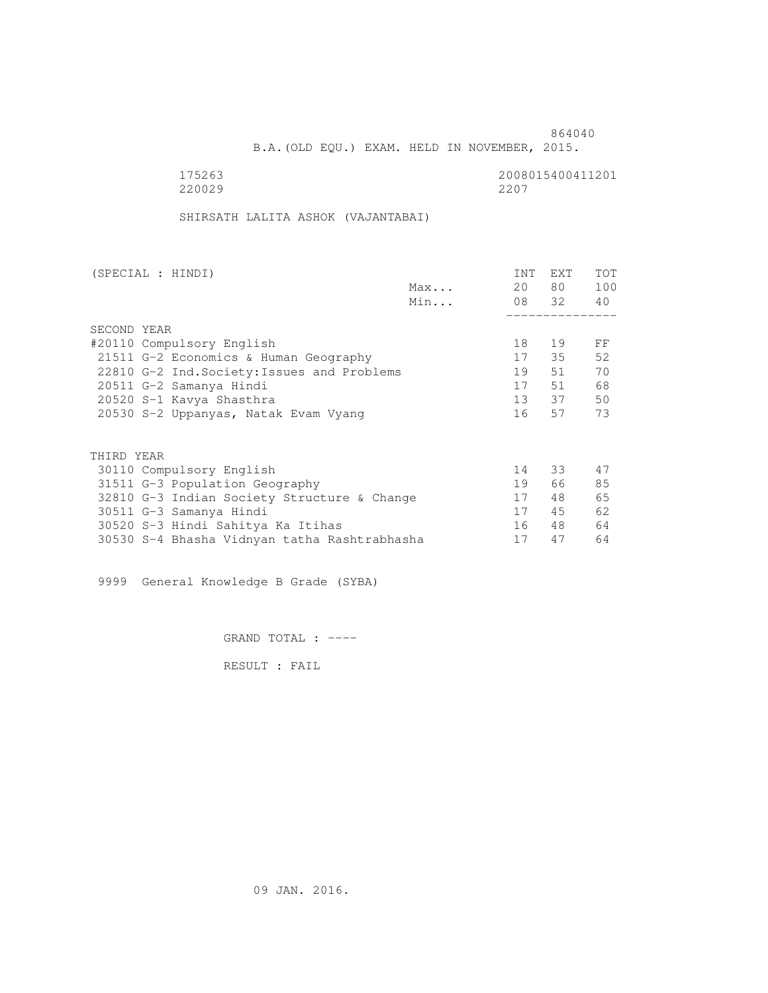B.A.(OLD EQU.) EXAM. HELD IN NOVEMBER, 2015.

175263<br>220029 220029 2200 220029 2207

SHIRSATH LALITA ASHOK (VAJANTABAI)

| (SPECIAL : HINDI)                            |     | INT | EXT   | <b>TOT</b> |
|----------------------------------------------|-----|-----|-------|------------|
|                                              | Max | 20  | 80 —  | 100        |
|                                              | Min |     | 08 32 | 40         |
|                                              |     |     |       |            |
| SECOND YEAR                                  |     |     |       |            |
| #20110 Compulsory English                    |     | 18  | 19    | FF         |
| 21511 G-2 Economics & Human Geography        |     | 17  | 35    | 52         |
| 22810 G-2 Ind. Society: Issues and Problems  |     | 19  | 51    | 70         |
| 20511 G-2 Samanya Hindi                      |     | 17  | 51    | 68         |
| 20520 S-1 Kavya Shasthra                     |     |     | 13 37 | 50         |
| 20530 S-2 Uppanyas, Natak Evam Vyang         |     | 16  | 57    | 73         |
|                                              |     |     |       |            |
| THIRD YEAR                                   |     |     |       |            |
| 30110 Compulsory English                     |     | 14  | 33    | 47         |
| 31511 G-3 Population Geography               |     | 19  | 66    | 85         |
| 32810 G-3 Indian Society Structure & Change  |     | 17  | 48    | 65         |
| 30511 G-3 Samanya Hindi                      |     | 17  | 45    | 62         |
| 30520 S-3 Hindi Sahitya Ka Itihas            |     | 16  | 48    | 64         |
| 30530 S-4 Bhasha Vidnyan tatha Rashtrabhasha |     | 17  | 47    | 64         |

9999 General Knowledge B Grade (SYBA)

GRAND TOTAL : ----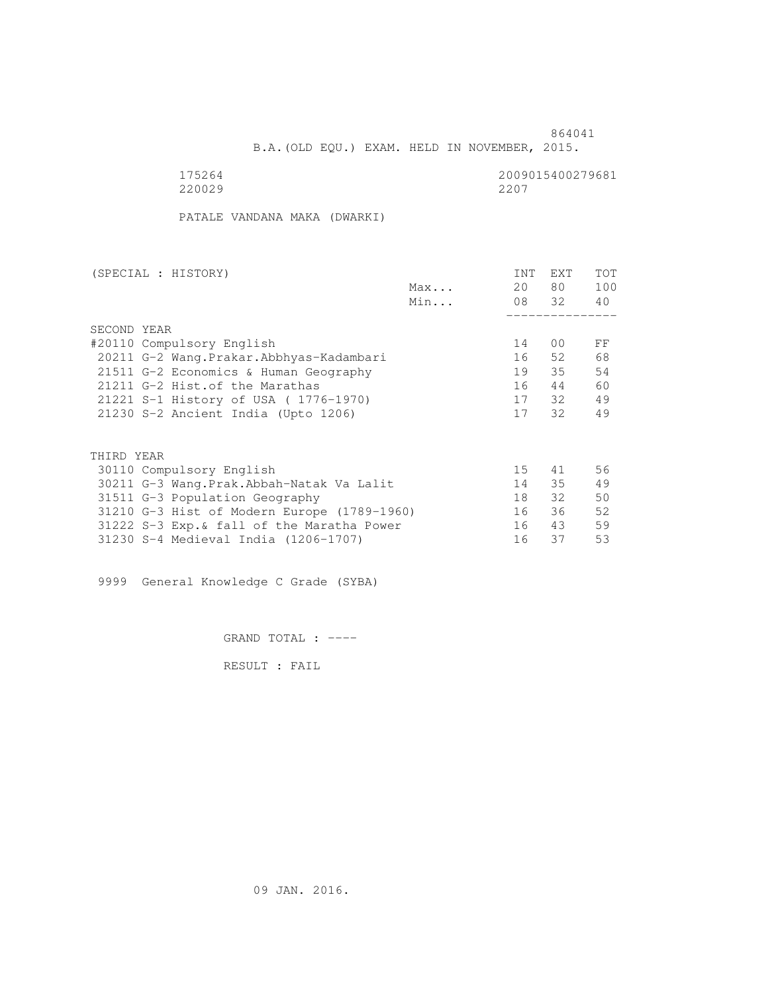B.A.(OLD EQU.) EXAM. HELD IN NOVEMBER, 2015.

220029 2207

175264<br>220029 220029 2200

PATALE VANDANA MAKA (DWARKI)

| (SPECIAL : HISTORY)                         |     | <b>INT</b> | <b>EXT</b> | TOT |
|---------------------------------------------|-----|------------|------------|-----|
|                                             | Max | 20         | 80 —       | 100 |
|                                             | Min |            | 08 32      | 40  |
|                                             |     |            |            |     |
| SECOND YEAR                                 |     |            |            |     |
| #20110 Compulsory English                   |     | 14         | 00         | FF  |
| 20211 G-2 Wang.Prakar.Abbhyas-Kadambari     |     | 16         | 52         | 68  |
| 21511 G-2 Economics & Human Geography       |     | 19         | 35         | 54  |
| 21211 G-2 Hist. of the Marathas             |     | 16         | 44         | 60  |
| 21221 S-1 History of USA (1776-1970)        |     |            | 17 32      | 49  |
| 21230 S-2 Ancient India (Upto 1206)         |     | 17         | 32         | 49  |
|                                             |     |            |            |     |
| THIRD YEAR                                  |     |            |            |     |
| 30110 Compulsory English                    |     | 15         | 41         | 56  |
| 30211 G-3 Wang.Prak.Abbah-Natak Va Lalit    |     | 14         | 35         | 49  |
| 31511 G-3 Population Geography              |     | 18         | 32         | 50  |
| 31210 G-3 Hist of Modern Europe (1789-1960) |     | 16         | 36         | 52  |
| 31222 S-3 Exp. & fall of the Maratha Power  |     | 16         | 43         | 59  |
| 31230 S-4 Medieval India (1206-1707)        |     | 16         | 37         | 53  |
|                                             |     |            |            |     |

9999 General Knowledge C Grade (SYBA)

GRAND TOTAL : ----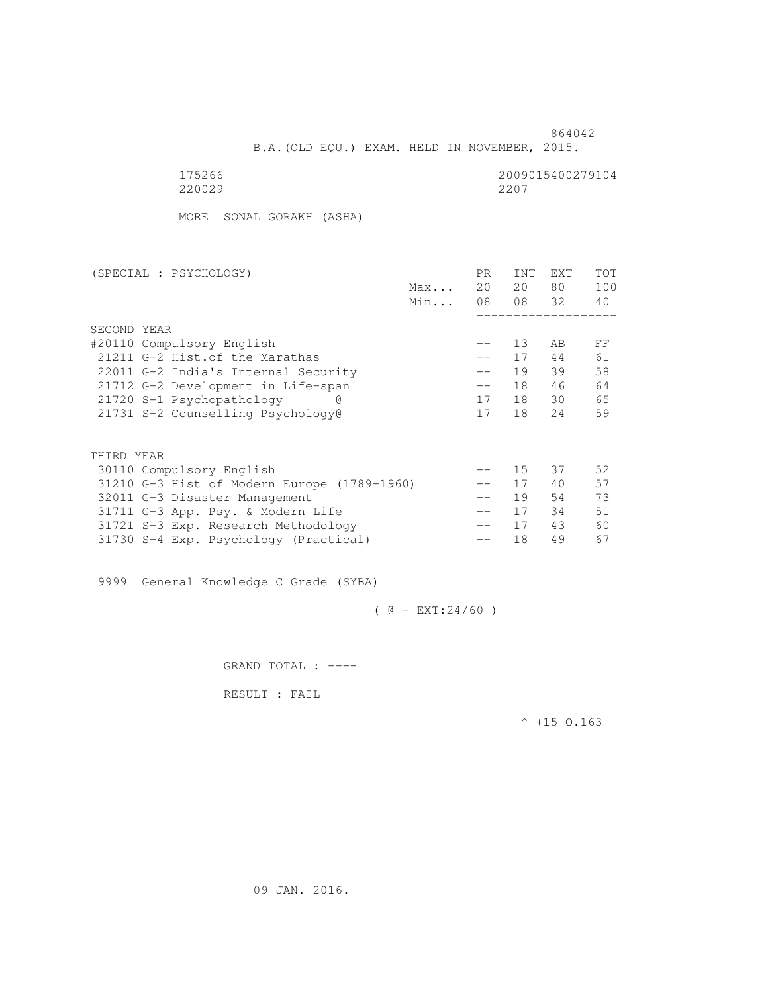864042 B.A.(OLD EQU.) EXAM. HELD IN NOVEMBER, 2015.

175266<br>220029 220029 220029 220029 2207

MORE SONAL GORAKH (ASHA)

| (SPECIAL : PSYCHOLOGY)                      | PR.    | <b>INT</b> | <b>EXT</b> | TOT |
|---------------------------------------------|--------|------------|------------|-----|
| Max                                         | 20     | 20         | 80         | 100 |
| Min                                         | 08     |            | 08 32      | 40  |
|                                             |        |            |            |     |
| SECOND YEAR                                 |        |            |            |     |
| #20110 Compulsory English                   | $- -$  | 13         | AB         | FF  |
| 21211 G-2 Hist. of the Marathas             | $- -$  | 17         | 44         | 61  |
| 22011 G-2 India's Internal Security         |        | 19         | 39         | 58  |
| 21712 G-2 Development in Life-span          | $-\,-$ | 18         | 46         | 64  |
| 21720 S-1 Psychopathology                   | 17     | 18         | 30         | 65  |
| 21731 S-2 Counselling Psychology@           | 17     | 18         | 2.4        | 59  |
|                                             |        |            |            |     |
| THIRD YEAR                                  |        |            |            |     |
| 30110 Compulsory English                    | $- -$  | 15         | 37         | 52  |
| 31210 G-3 Hist of Modern Europe (1789-1960) |        | 17         | 40         | 57  |
| 32011 G-3 Disaster Management               | $- -$  | 19         | 54         | 73  |
| 31711 G-3 App. Psy. & Modern Life           | $- -$  | 17         | 34         | 51  |
| 31721 S-3 Exp. Research Methodology         | $- -$  | 17         | 43         | 60  |
| 31730 S-4 Exp. Psychology (Practical)       |        | 18         | 49         | 67  |

9999 General Knowledge C Grade (SYBA)

 $( @ - EXT: 24/60 )$ 

GRAND TOTAL : ----

RESULT : FAIL

 $^{\wedge}$  +15 O.163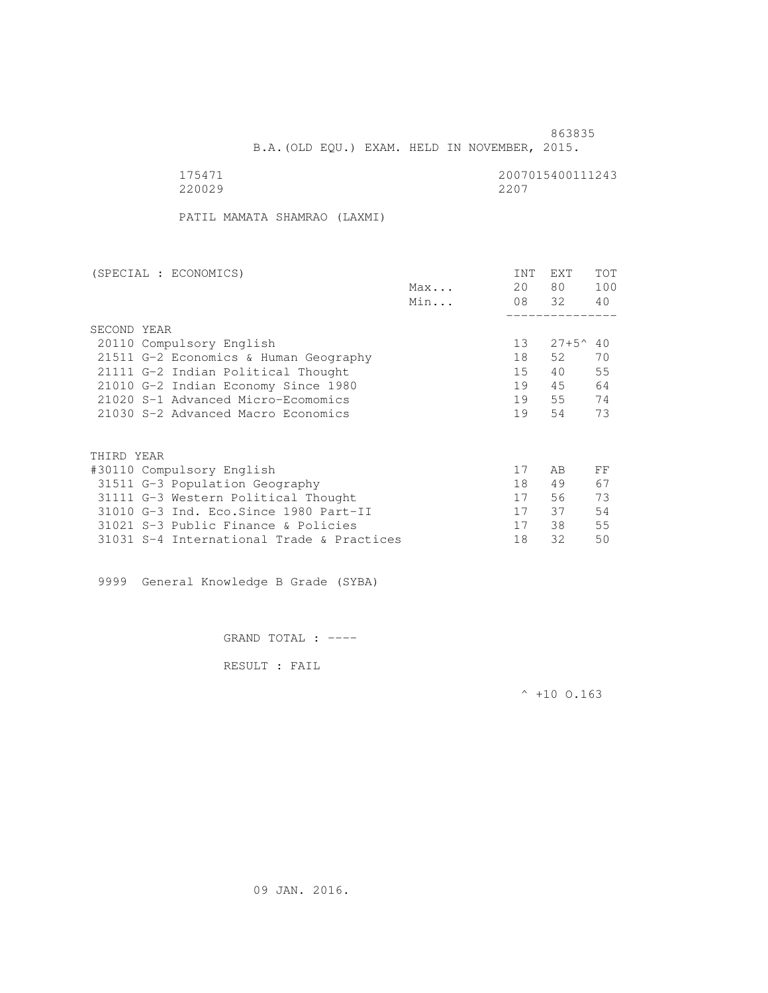B.A.(OLD EQU.) EXAM. HELD IN NOVEMBER, 2015.

175471 2007015400111243<br>220029 2207 220029 2207

PATIL MAMATA SHAMRAO (LAXMI)

| (SPECIAL : ECONOMICS)                     | <b>INT</b>      | <b>EXT</b>     | TOT |
|-------------------------------------------|-----------------|----------------|-----|
| Max                                       | 20              | 80             | 100 |
| Min                                       | 08 32           |                | 40  |
|                                           |                 |                |     |
| SECOND YEAR                               |                 |                |     |
| 20110 Compulsory English                  | 13 <sup>°</sup> | $27+5^{\circ}$ | 40  |
| 21511 G-2 Economics & Human Geography     | 18              | 52             | 70  |
| 21111 G-2 Indian Political Thought        | 15              | 40             | 55  |
| 21010 G-2 Indian Economy Since 1980       | 19              | 45             | 64  |
| 21020 S-1 Advanced Micro-Ecomomics        | 19              | 55             | 74  |
| 21030 S-2 Advanced Macro Economics        | 19              | 54             | 73  |
|                                           |                 |                |     |
| THIRD YEAR                                |                 |                |     |
| #30110 Compulsory English                 | 17              | AB             | FF  |
| 31511 G-3 Population Geography            | 18              | 49             | 67  |
| 31111 G-3 Western Political Thought       | 17              | 56             | 73  |
| 31010 G-3 Ind. Eco. Since 1980 Part-II    | 17              | 37             | 54  |
| 31021 S-3 Public Finance & Policies       | 17              | 38             | 55  |
| 31031 S-4 International Trade & Practices | 18              | 32             | 50  |

9999 General Knowledge B Grade (SYBA)

GRAND TOTAL : ----

RESULT : FAIL

 $^{\wedge}$  +10 O.163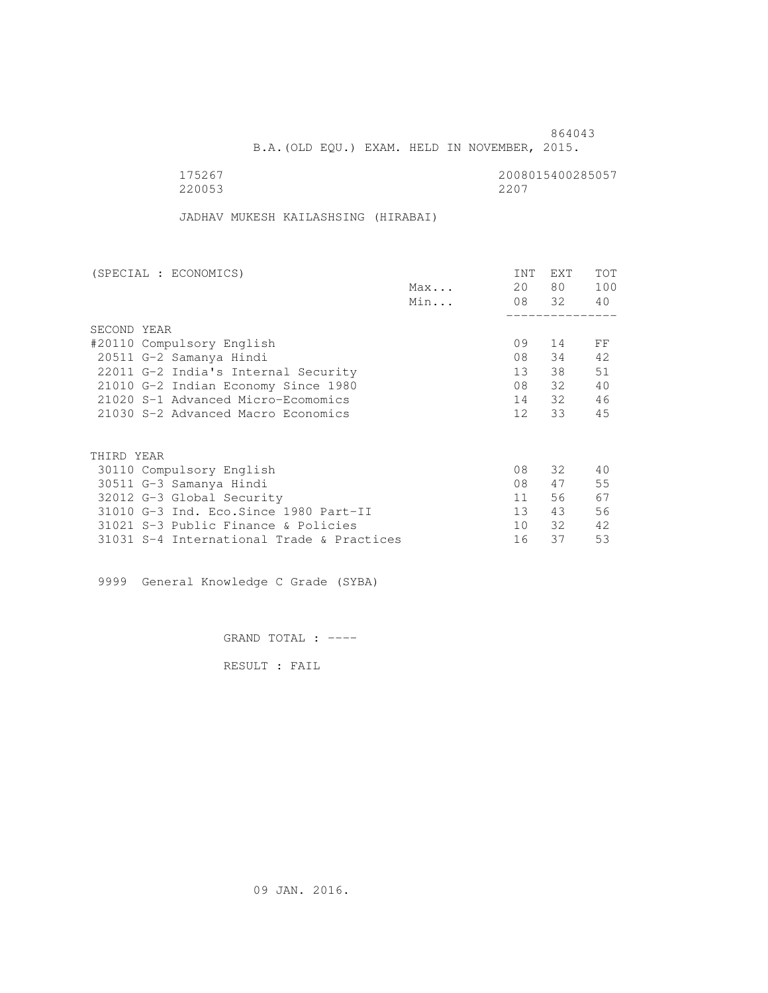B.A.(OLD EQU.) EXAM. HELD IN NOVEMBER, 2015.

 175267 2008015400285057 220053 2207

JADHAV MUKESH KAILASHSING (HIRABAI)

| (SPECIAL : ECONOMICS)                     |     | <b>INT</b>      | <b>EXT</b> | TOT |
|-------------------------------------------|-----|-----------------|------------|-----|
|                                           | Max | 20              | 80 —       | 100 |
|                                           | Min |                 | 08 32      | 40  |
|                                           |     |                 |            |     |
| SECOND YEAR                               |     |                 |            |     |
| #20110 Compulsory English                 |     | 09              | 14         | FF  |
| 20511 G-2 Samanya Hindi                   |     | 08              | 34         | 42  |
| 22011 G-2 India's Internal Security       |     | 13 <sup>7</sup> | 38         | 51  |
| 21010 G-2 Indian Economy Since 1980       |     | 08              | 32         | 40  |
| 21020 S-1 Advanced Micro-Ecomomics        |     | 14              | 32         | 46  |
| 21030 S-2 Advanced Macro Economics        |     | 12 <sup>1</sup> | 33         | 45  |
|                                           |     |                 |            |     |
| THIRD YEAR                                |     |                 |            |     |
| 30110 Compulsory English                  |     | 08              | 32         | 40  |
| 30511 G-3 Samanya Hindi                   |     | 08              | 47         | 55  |
| 32012 G-3 Global Security                 |     | 11              | 56         | 67  |
| 31010 G-3 Ind. Eco. Since 1980 Part-II    |     | 13 <sup>7</sup> | 43         | 56  |
| 31021 S-3 Public Finance & Policies       |     | 10              | 32         | 42  |
| 31031 S-4 International Trade & Practices |     | 16              | 37         | 53  |

9999 General Knowledge C Grade (SYBA)

GRAND TOTAL : ----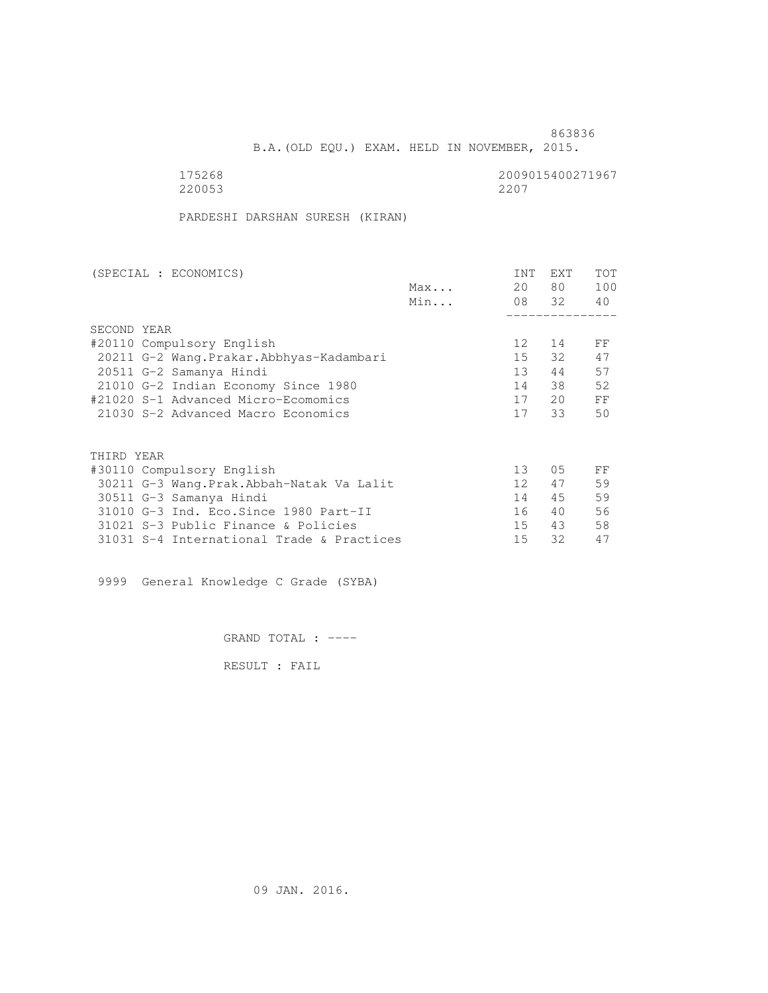B.A.(OLD EQU.) EXAM. HELD IN NOVEMBER, 2015.

| 175268 | 2009015400271967 |
|--------|------------------|
| 220053 | 2207             |

PARDESHI DARSHAN SURESH (KIRAN)

|     | <b>INT</b>      | <b>EXT</b> | TOT   |
|-----|-----------------|------------|-------|
| Max | 20              | 80 —       | 100   |
| Min |                 |            | 40    |
|     |                 |            |       |
|     |                 |            |       |
|     | 12 <sup>°</sup> | 14         | FF    |
|     | 15              | 32         | 47    |
|     | 13 <sup>°</sup> | 44         | 57    |
|     | 14              | 38         | 52    |
|     | 17              | 20         | FF    |
|     | 17              | 33         | 50    |
|     |                 |            |       |
|     |                 |            |       |
|     | 13              | 05         | FF    |
|     | 12 <sup>°</sup> | 47         | 59    |
|     | 14              | 45         | 59    |
|     | 16              | 40         | 56    |
|     | 15              | 43         | 58    |
|     | 15              | 32         | 47    |
|     |                 |            | 08 32 |

9999 General Knowledge C Grade (SYBA)

GRAND TOTAL : ----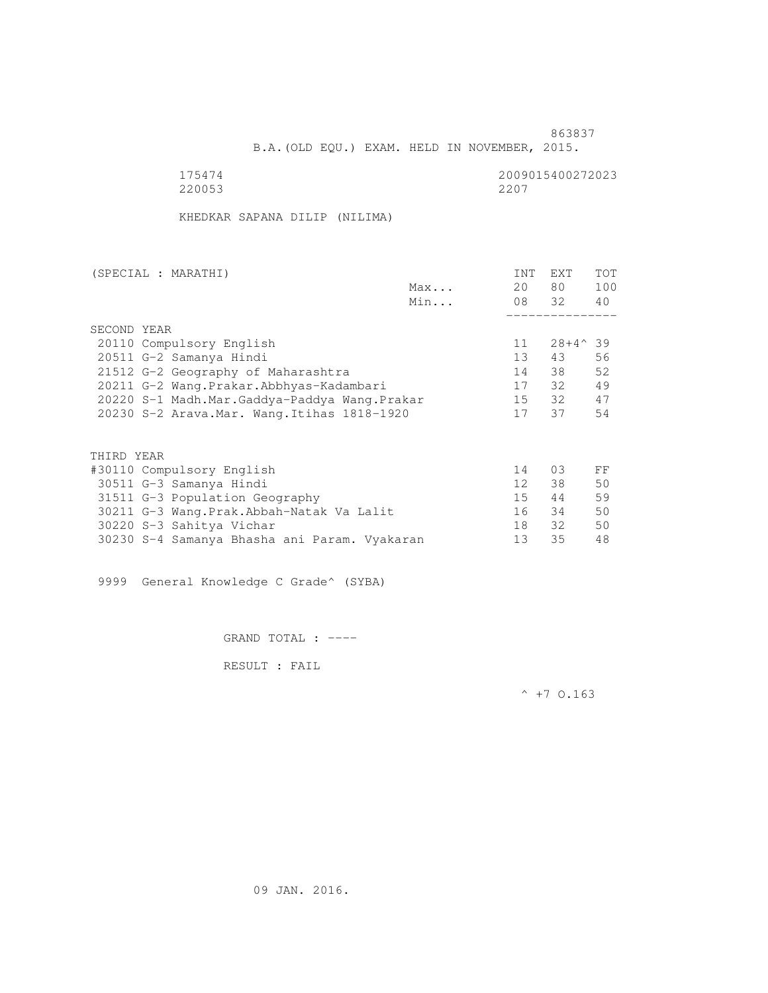B.A.(OLD EQU.) EXAM. HELD IN NOVEMBER, 2015.

 175474 2009015400272023 220053 2207

KHEDKAR SAPANA DILIP (NILIMA)

| 80<br>20<br>Max<br>08 32<br>Min<br>SECOND YEAR<br>$28+4^{\wedge}39$<br>20110 Compulsory English<br>11<br>13 <sup>°</sup><br>43<br>20511 G-2 Samanya Hindi<br>38<br>14<br>21512 G-2 Geography of Maharashtra<br>32<br>20211 G-2 Wang.Prakar.Abbhyas-Kadambari<br>17<br>32<br>$15 -$<br>20220 S-1 Madh.Mar.Gaddya-Paddya Wang.Prakar | <b>TOT</b> |
|------------------------------------------------------------------------------------------------------------------------------------------------------------------------------------------------------------------------------------------------------------------------------------------------------------------------------------|------------|
|                                                                                                                                                                                                                                                                                                                                    | 100        |
|                                                                                                                                                                                                                                                                                                                                    | 40         |
|                                                                                                                                                                                                                                                                                                                                    |            |
|                                                                                                                                                                                                                                                                                                                                    |            |
|                                                                                                                                                                                                                                                                                                                                    |            |
|                                                                                                                                                                                                                                                                                                                                    | 56         |
|                                                                                                                                                                                                                                                                                                                                    | 52         |
|                                                                                                                                                                                                                                                                                                                                    | 49         |
|                                                                                                                                                                                                                                                                                                                                    | 47         |
| 37<br>17<br>20230 S-2 Arava.Mar. Wang.Itihas 1818-1920                                                                                                                                                                                                                                                                             | 54         |
|                                                                                                                                                                                                                                                                                                                                    |            |
| THIRD YEAR                                                                                                                                                                                                                                                                                                                         |            |
| 0.3<br>#30110 Compulsory English<br>14                                                                                                                                                                                                                                                                                             | FF         |
| 12 <sup>°</sup><br>38<br>30511 G-3 Samanya Hindi                                                                                                                                                                                                                                                                                   | 50         |
| 15<br>44<br>31511 G-3 Population Geography                                                                                                                                                                                                                                                                                         | 59         |
| 34<br>16<br>30211 G-3 Wang.Prak.Abbah-Natak Va Lalit                                                                                                                                                                                                                                                                               | 50         |
| 32<br>18<br>30220 S-3 Sahitya Vichar                                                                                                                                                                                                                                                                                               | 50         |

30230 S-4 Samanya Bhasha ani Param. Vyakaran 13 35 48

9999 General Knowledge C Grade^ (SYBA)

GRAND TOTAL : ----

RESULT : FAIL

 $^{\wedge}$  +7 0.163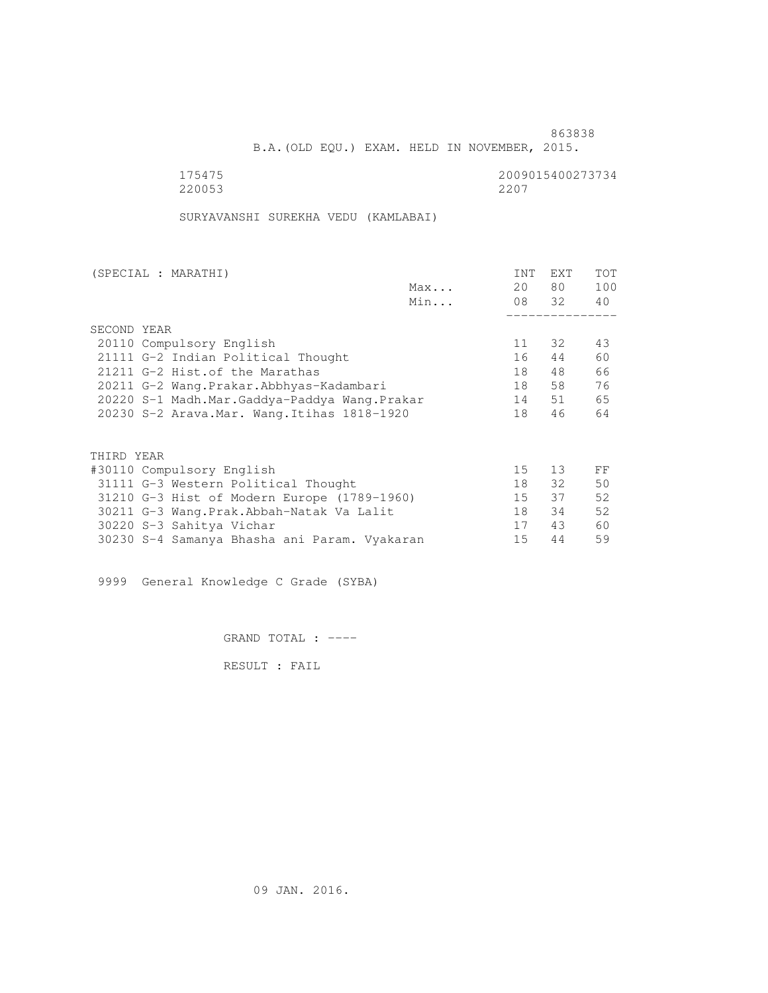B.A.(OLD EQU.) EXAM. HELD IN NOVEMBER, 2015.

 175475 2009015400273734 220053 2207

SURYAVANSHI SUREKHA VEDU (KAMLABAI)

| (SPECIAL : MARATHI)                          |     | <b>INT</b> | <b>EXT</b> | TOT |
|----------------------------------------------|-----|------------|------------|-----|
|                                              | Max | 20         | 80 —       | 100 |
|                                              | Min |            | 08 32      | 40  |
|                                              |     |            |            |     |
| SECOND YEAR                                  |     |            |            |     |
| 20110 Compulsory English                     |     | 11         | 32         | 43  |
| 21111 G-2 Indian Political Thought           |     | 16         | 44         | 60  |
| 21211 G-2 Hist. of the Marathas              |     | 18         | 48         | 66  |
| 20211 G-2 Wang.Prakar.Abbhyas-Kadambari      |     | 18         | 58         | 76  |
| 20220 S-1 Madh.Mar.Gaddya-Paddya Wang.Prakar |     | 14         | 51         | 65  |
| 20230 S-2 Arava. Mar. Wang. Itihas 1818-1920 |     | 18         | 46         | 64  |
|                                              |     |            |            |     |
| THIRD YEAR                                   |     |            |            |     |
| #30110 Compulsory English                    |     | 15         | 13         | FF  |
| 31111 G-3 Western Political Thought          |     | 18         | 32         | 50  |
| 31210 G-3 Hist of Modern Europe (1789-1960)  |     | $15 -$     | 37         | 52  |
| 30211 G-3 Wang.Prak.Abbah-Natak Va Lalit     |     | 18         | 34         | 52  |
| 30220 S-3 Sahitya Vichar                     |     | 17         | 43         | 60  |
| 30230 S-4 Samanya Bhasha ani Param. Vyakaran |     | 15         | 44         | 59  |
|                                              |     |            |            |     |

9999 General Knowledge C Grade (SYBA)

GRAND TOTAL : ----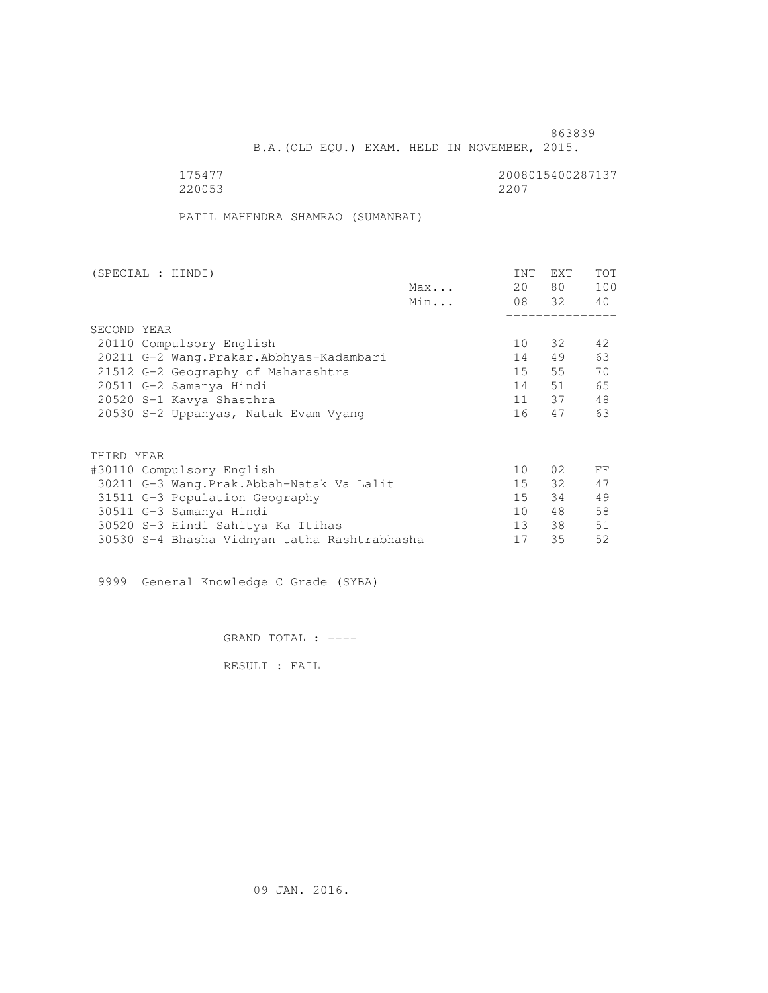B.A.(OLD EQU.) EXAM. HELD IN NOVEMBER, 2015.

 175477 2008015400287137 220053 2207

PATIL MAHENDRA SHAMRAO (SUMANBAI)

| (SPECIAL : HINDI)                            |     | INT    | EXT   | <b>TOT</b> |
|----------------------------------------------|-----|--------|-------|------------|
|                                              | Max | 20     | 80 —  | 100        |
|                                              | Min |        | 08 32 | 40         |
|                                              |     |        |       |            |
| SECOND YEAR                                  |     |        |       |            |
| 20110 Compulsory English                     |     | 10     | 32    | 42         |
| 20211 G-2 Wang. Prakar. Abbhyas-Kadambari    |     | 14     | 49    | 63         |
| 21512 G-2 Geography of Maharashtra           |     | 15     | 55    | 70         |
| 20511 G-2 Samanya Hindi                      |     | 14     | 51    | 65         |
| 20520 S-1 Kavya Shasthra                     |     |        | 11 37 | 48         |
| 20530 S-2 Uppanyas, Natak Evam Vyang         |     | 16     | 47    | 63         |
|                                              |     |        |       |            |
| THIRD YEAR                                   |     |        |       |            |
| #30110 Compulsory English                    |     | 10     | 02    | FF         |
| 30211 G-3 Wang.Prak.Abbah-Natak Va Lalit     |     | 15     | 32    | 47         |
| 31511 G-3 Population Geography               |     | $15 -$ | 34    | 49         |
| 30511 G-3 Samanya Hindi                      |     | 10     | 48    | 58         |
| 30520 S-3 Hindi Sahitya Ka Itihas            |     | 13     | 38    | 51         |
| 30530 S-4 Bhasha Vidnyan tatha Rashtrabhasha |     | 17     | 35    | 52         |

9999 General Knowledge C Grade (SYBA)

GRAND TOTAL : ----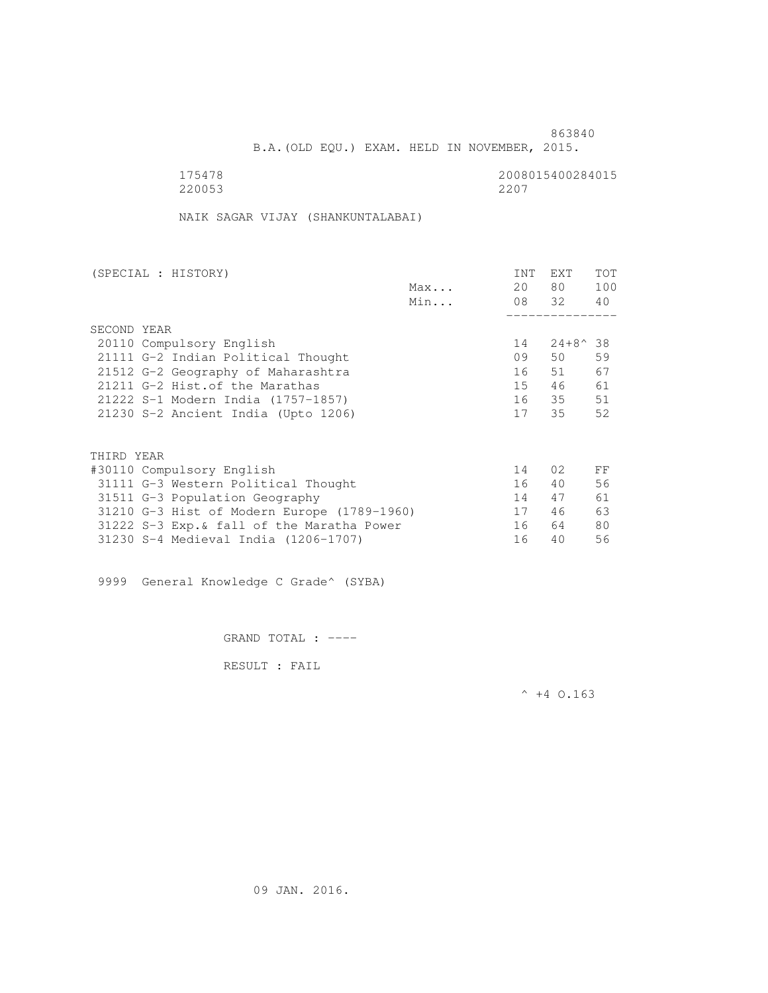B.A.(OLD EQU.) EXAM. HELD IN NOVEMBER, 2015.

175478<br>220053 220053 220053 220053 2207

NAIK SAGAR VIJAY (SHANKUNTALABAI)

| (SPECIAL : HISTORY) |                                             |     | <b>INT</b> | EXT              | TOT |
|---------------------|---------------------------------------------|-----|------------|------------------|-----|
|                     |                                             | Max | 20         | 80 —             | 100 |
|                     |                                             | Min |            | 08 32            | 40  |
|                     |                                             |     |            |                  |     |
| SECOND YEAR         |                                             |     |            |                  |     |
|                     | 20110 Compulsory English                    |     | 14         | $24+8^{\circ}38$ |     |
|                     | 21111 G-2 Indian Political Thought          |     | 09         | 50               | 59  |
|                     | 21512 G-2 Geography of Maharashtra          |     | 16         | 51               | 67  |
|                     | 21211 G-2 Hist. of the Marathas             |     | 15         | 46               | 61  |
|                     | 21222 S-1 Modern India (1757-1857)          |     | 16         | 35               | 51  |
|                     | 21230 S-2 Ancient India (Upto 1206)         |     | 17         | 35               | 52  |
|                     |                                             |     |            |                  |     |
| THIRD YEAR          |                                             |     |            |                  |     |
|                     | #30110 Compulsory English                   |     | 14         | 02               | FF  |
|                     |                                             |     |            |                  | 56  |
|                     | 31111 G-3 Western Political Thought         |     | 16         | 40               |     |
|                     | 31511 G-3 Population Geography              |     | 14         | 47               | 61  |
|                     | 31210 G-3 Hist of Modern Europe (1789-1960) |     | 17         | 46               | 63  |
|                     | 31222 S-3 Exp. & fall of the Maratha Power  |     | 16         | 64               | 80  |
|                     | 31230 S-4 Medieval India (1206-1707)        |     | 16         | 40               | 56  |

9999 General Knowledge C Grade^ (SYBA)

GRAND TOTAL : ----

RESULT : FAIL

 $^{\wedge}$  +4 O.163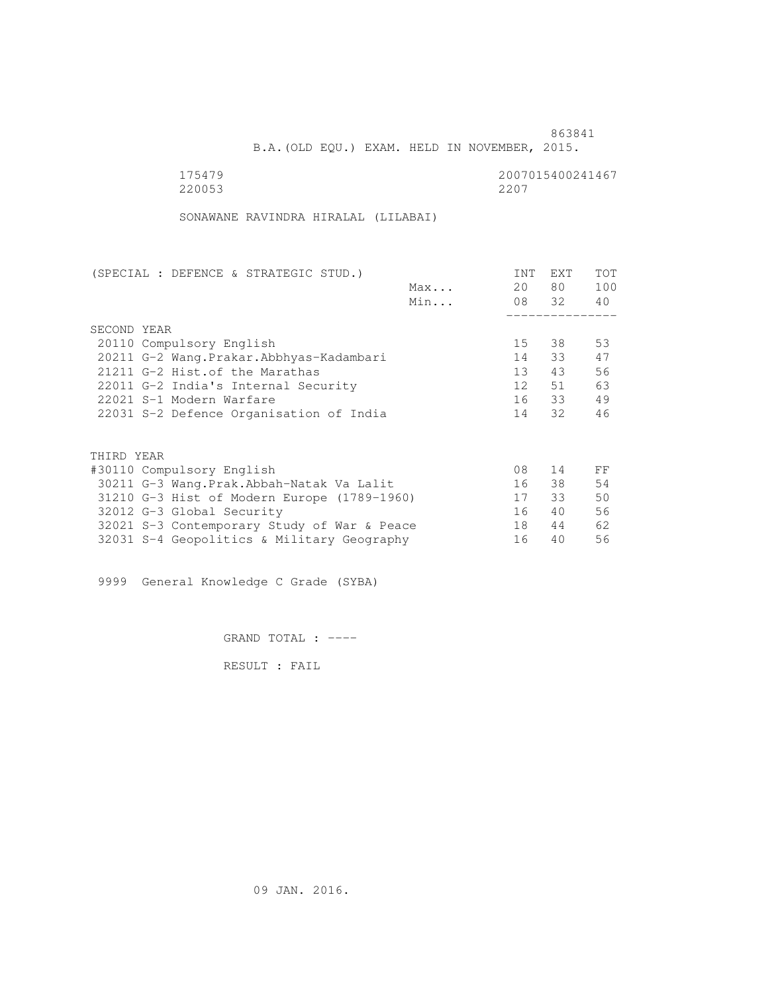B.A.(OLD EQU.) EXAM. HELD IN NOVEMBER, 2015.

| 175479 | 2007015400241467 |
|--------|------------------|
| 220053 | 2207             |

SONAWANE RAVINDRA HIRALAL (LILABAI)

| (SPECIAL : DEFENCE & STRATEGIC STUD.)       | INT | EXT   | <b>TOT</b> |
|---------------------------------------------|-----|-------|------------|
| Max                                         | 20  | 80 —  | 100        |
| Min                                         |     | 08 32 | 40         |
|                                             |     |       |            |
| SECOND YEAR                                 |     |       |            |
| 20110 Compulsory English                    | 15  | 38    | 53         |
| 20211 G-2 Wang. Prakar. Abbhyas-Kadambari   | 14  | 33    | 47         |
| 21211 G-2 Hist.of the Marathas              | 13  | 43    | 56         |
| 22011 G-2 India's Internal Security         | 12  | 51    | 63         |
| 22021 S-1 Modern Warfare                    |     | 16 33 | 49         |
| 22031 S-2 Defence Organisation of India     |     | 14 32 | 46         |
| THIRD YEAR                                  |     |       |            |
| #30110 Compulsory English                   | 08  | 14    | FF         |
| 30211 G-3 Wang.Prak.Abbah-Natak Va Lalit    | 16  | 38    | 54         |
| 31210 G-3 Hist of Modern Europe (1789-1960) | 17  | 33    | 50         |
| 32012 G-3 Global Security                   | 16  | 40    | 56         |
|                                             | 18  | 44    | 62         |
| 32021 S-3 Contemporary Study of War & Peace |     |       |            |
| 32031 S-4 Geopolitics & Military Geography  | 16  | 40    | 56         |

9999 General Knowledge C Grade (SYBA)

GRAND TOTAL : ----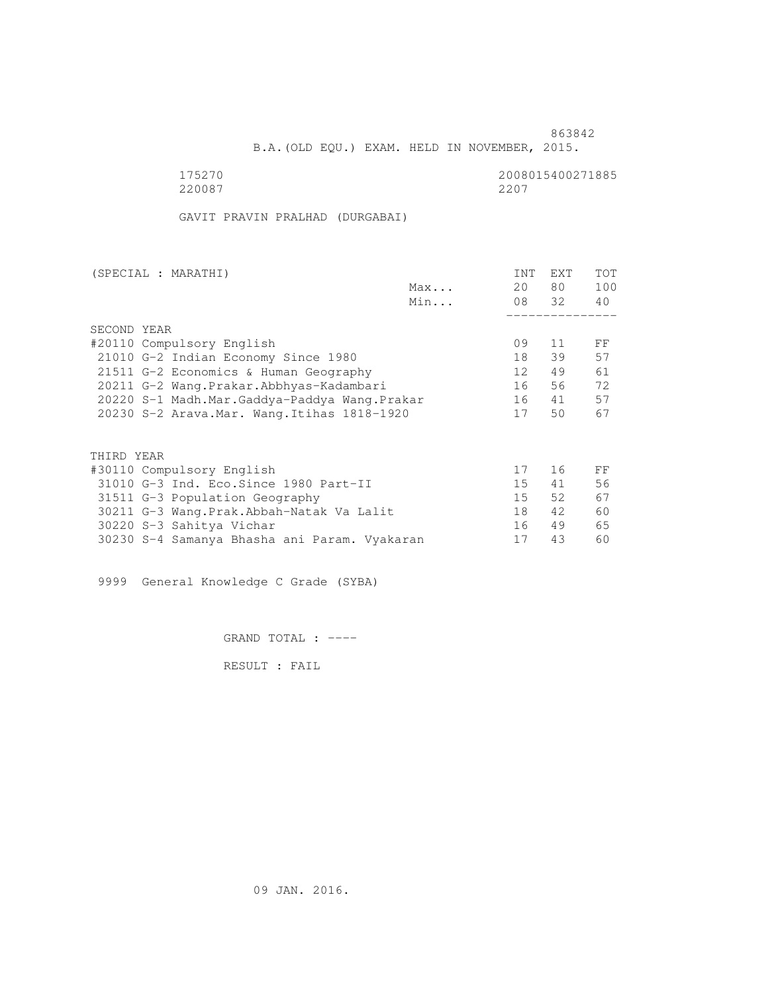B.A.(OLD EQU.) EXAM. HELD IN NOVEMBER, 2015.

175270<br>220087 220087 220087 220087 2207

GAVIT PRAVIN PRALHAD (DURGABAI)

| (SPECIAL : MARATHI)                          | <b>INT</b> | <b>EXT</b> | TOT |
|----------------------------------------------|------------|------------|-----|
| Max                                          | 20         | 80 —       | 100 |
| Min                                          |            | 08 32      | 40  |
|                                              |            |            |     |
| SECOND YEAR                                  |            |            |     |
| #20110 Compulsory English                    | 09         | 11         | FF  |
| 21010 G-2 Indian Economy Since 1980          | 18         | 39         | 57  |
| 21511 G-2 Economics & Human Geography        | 12         | 49         | 61  |
| 20211 G-2 Wang.Prakar.Abbhyas-Kadambari      | 16         | 56         | 72  |
| 20220 S-1 Madh.Mar.Gaddya-Paddya Wang.Prakar | 16         | 41         | 57  |
| 20230 S-2 Arava. Mar. Wang. Itihas 1818-1920 | 17         | 50         | 67  |
| THIRD YEAR                                   |            |            |     |
|                                              | 17         | 16         |     |
| #30110 Compulsory English                    |            |            | FF  |
| 31010 G-3 Ind. Eco. Since 1980 Part-II       | 15         | 41         | 56  |
| 31511 G-3 Population Geography               | $15 -$     | 52         | 67  |
| 30211 G-3 Wang.Prak.Abbah-Natak Va Lalit     | 18         | 42         | 60  |
| 30220 S-3 Sahitya Vichar                     | 16         | 49         | 65  |
| 30230 S-4 Samanya Bhasha ani Param. Vyakaran | 17         | 43         | 60  |

9999 General Knowledge C Grade (SYBA)

GRAND TOTAL : ----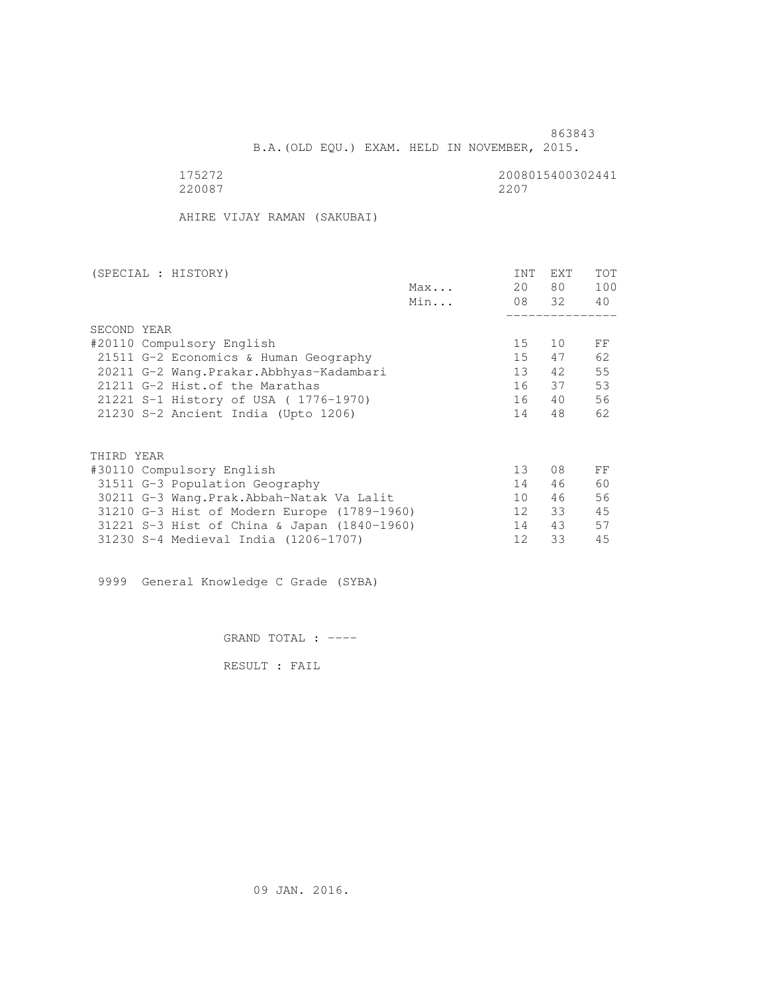B.A.(OLD EQU.) EXAM. HELD IN NOVEMBER, 2015.

175272<br>220087 220087 220087 220087 2207

AHIRE VIJAY RAMAN (SAKUBAI)

| (SPECIAL : HISTORY)                         |     | <b>INT</b>      | <b>EXT</b> | TOT |
|---------------------------------------------|-----|-----------------|------------|-----|
|                                             | Max | 20              | 80 —       | 100 |
|                                             | Min |                 | 08 32      | 40  |
|                                             |     |                 |            |     |
| SECOND YEAR                                 |     |                 |            |     |
| #20110 Compulsory English                   |     | 15              | 10         | FF  |
| 21511 G-2 Economics & Human Geography       |     | 15              | 47         | 62  |
| 20211 G-2 Wang.Prakar.Abbhyas-Kadambari     |     | 13              | 42         | 55  |
| 21211 G-2 Hist. of the Marathas             |     | 16              | 37         | 53  |
| 21221 S-1 History of USA (1776-1970)        |     | 16              | 40         | 56  |
| 21230 S-2 Ancient India (Upto 1206)         |     | 14              | 48         | 62  |
|                                             |     |                 |            |     |
| THIRD YEAR                                  |     |                 |            |     |
| #30110 Compulsory English                   |     | 13 <sup>°</sup> | 08         | FF  |
| 31511 G-3 Population Geography              |     | 14              | 46         | 60  |
| 30211 G-3 Wang. Prak. Abbah-Natak Va Lalit  |     | 10 <sup>1</sup> | 46         | 56  |
| 31210 G-3 Hist of Modern Europe (1789-1960) |     | 12              | 33         | 45  |
| 31221 S-3 Hist of China & Japan (1840-1960) |     | 14              | 43         | 57  |
| 31230 S-4 Medieval India (1206-1707)        |     | 12              | 33         | 45  |
|                                             |     |                 |            |     |

9999 General Knowledge C Grade (SYBA)

GRAND TOTAL : ----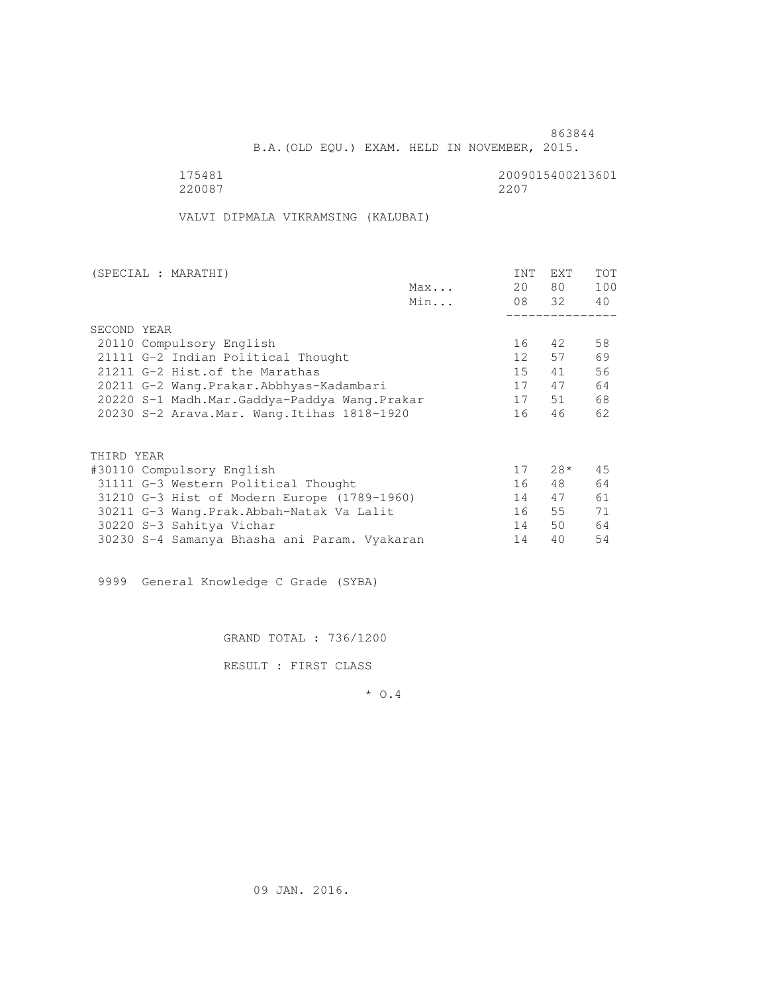B.A.(OLD EQU.) EXAM. HELD IN NOVEMBER, 2015.

175481<br>220087 220087 220087 220087 2207

VALVI DIPMALA VIKRAMSING (KALUBAI)

| Max<br>Min<br>SECOND YEAR<br>20110 Compulsory English<br>21111 G-2 Indian Political Thought | 20              | 80 —<br>08 32 | 100<br>40 |
|---------------------------------------------------------------------------------------------|-----------------|---------------|-----------|
|                                                                                             |                 |               |           |
|                                                                                             |                 |               |           |
|                                                                                             |                 |               |           |
|                                                                                             |                 |               |           |
|                                                                                             | 16              | 42            | 58        |
|                                                                                             | 12 <sup>1</sup> | 57            | 69        |
| 21211 G-2 Hist. of the Marathas                                                             | 15              | 41            | 56        |
| 20211 G-2 Wang.Prakar.Abbhyas-Kadambari                                                     | 17              | 47            | 64        |
| 20220 S-1 Madh.Mar.Gaddya-Paddya Wang.Prakar                                                | 17              | 51            | 68        |
| 20230 S-2 Arava. Mar. Wang. Itihas 1818-1920                                                | 16              | 46            | 62        |
|                                                                                             |                 |               |           |
| THIRD YEAR                                                                                  |                 |               |           |
|                                                                                             | 17              | $28*$         | 45        |
| #30110 Compulsory English                                                                   |                 |               |           |
| 31111 G-3 Western Political Thought                                                         | 16              | 48            | 64        |
| 31210 G-3 Hist of Modern Europe (1789-1960)                                                 | 14              | 47            | 61        |
| 30211 G-3 Wang.Prak.Abbah-Natak Va Lalit                                                    | 16              | 55            | 71        |
| 30220 S-3 Sahitya Vichar                                                                    | 14              | 50            | 64        |
| 30230 S-4 Samanya Bhasha ani Param. Vyakaran                                                | 14              | 40            | 54        |

9999 General Knowledge C Grade (SYBA)

GRAND TOTAL : 736/1200

RESULT : FIRST CLASS

\* O.4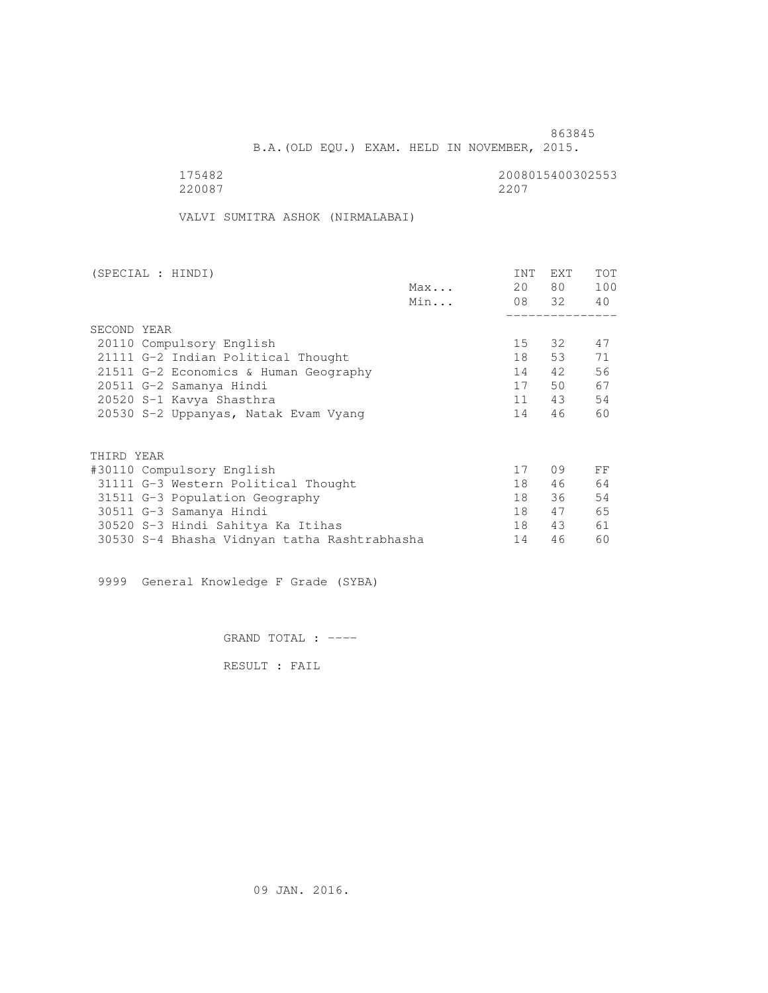B.A.(OLD EQU.) EXAM. HELD IN NOVEMBER, 2015.

 175482 2008015400302553 220087 2207

VALVI SUMITRA ASHOK (NIRMALABAI)

| (SPECIAL : HINDI)                            |     | <b>INT</b> | EXT   | TOT |
|----------------------------------------------|-----|------------|-------|-----|
|                                              | Max | 20         | 80 —  | 100 |
|                                              | Min |            | 08 32 | 40  |
|                                              |     |            |       |     |
| SECOND YEAR                                  |     |            |       |     |
| 20110 Compulsory English                     |     | 15         | 32    | 47  |
| 21111 G-2 Indian Political Thought           |     | 18         | 53    | 71  |
| 21511 G-2 Economics & Human Geography        |     | 14         | 42    | 56  |
| 20511 G-2 Samanya Hindi                      |     | 17         | 50    | 67  |
| 20520 S-1 Kavya Shasthra                     |     | 11         | 43    | 54  |
| 20530 S-2 Uppanyas, Natak Evam Vyang         |     | 14         | 46    | 60  |
|                                              |     |            |       |     |
| THIRD YEAR                                   |     |            |       |     |
| #30110 Compulsory English                    |     | 17         | 09    | FF  |
| 31111 G-3 Western Political Thought          |     | 18         | 46    | 64  |
| 31511 G-3 Population Geography               |     | 18         | 36    | 54  |
| 30511 G-3 Samanya Hindi                      |     | 18         | 47    | 65  |
| 30520 S-3 Hindi Sahitya Ka Itihas            |     | 18         | 43    | 61  |
| 30530 S-4 Bhasha Vidnyan tatha Rashtrabhasha |     | 14         | 46    | 60  |
|                                              |     |            |       |     |

9999 General Knowledge F Grade (SYBA)

GRAND TOTAL : ----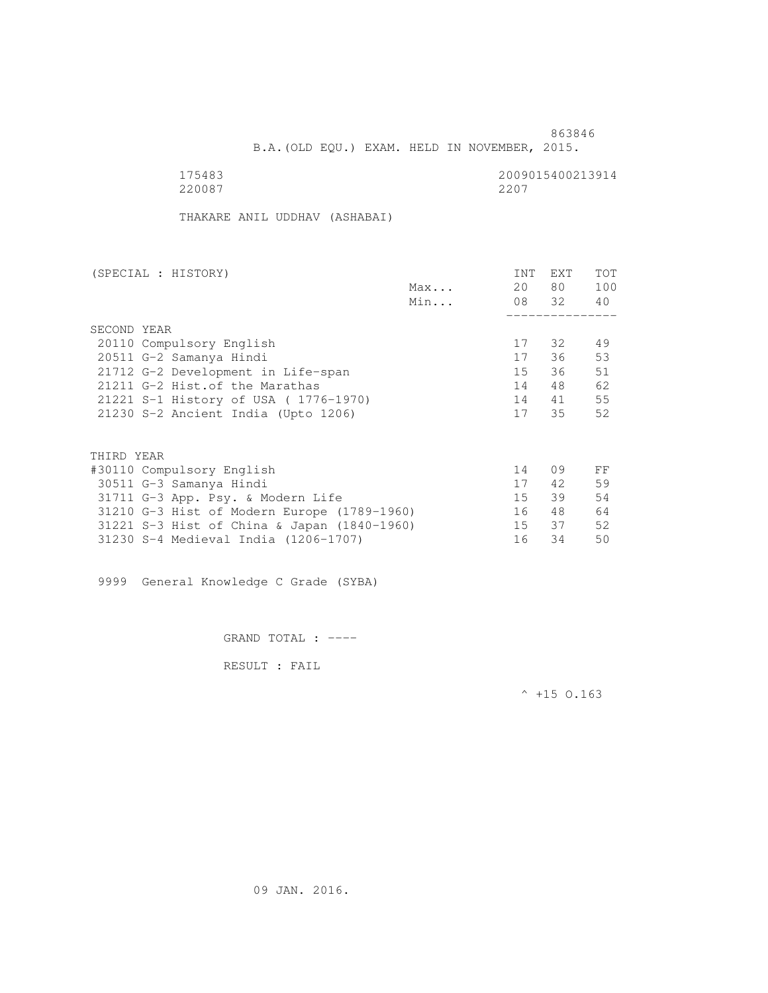B.A.(OLD EQU.) EXAM. HELD IN NOVEMBER, 2015.

 175483 2009015400213914 220087 2207

THAKARE ANIL UDDHAV (ASHABAI)

| Max<br>Min<br>SECOND YEAR<br>20110 Compulsory English<br>20511 G-2 Samanya Hindi<br>21712 G-2 Development in Life-span<br>21211 G-2 Hist. of the Marathas<br>21221 S-1 History of USA (1776-1970)<br>21230 S-2 Ancient India (Upto 1206) | 20     | 80 —     |     |
|------------------------------------------------------------------------------------------------------------------------------------------------------------------------------------------------------------------------------------------|--------|----------|-----|
|                                                                                                                                                                                                                                          |        |          | 100 |
|                                                                                                                                                                                                                                          |        | 08 32 40 |     |
|                                                                                                                                                                                                                                          |        |          |     |
|                                                                                                                                                                                                                                          |        |          |     |
|                                                                                                                                                                                                                                          | 17     | 32       | 49  |
|                                                                                                                                                                                                                                          | 17     | 36       | 53  |
|                                                                                                                                                                                                                                          | 15     | 36       | 51  |
|                                                                                                                                                                                                                                          | 14     | 48       | 62  |
|                                                                                                                                                                                                                                          | 14     | 41       | 55  |
|                                                                                                                                                                                                                                          | 17     | 35       | 52  |
|                                                                                                                                                                                                                                          |        |          |     |
| THIRD YEAR                                                                                                                                                                                                                               |        |          |     |
| #30110 Compulsory English                                                                                                                                                                                                                | 14     | 09       | FF  |
| 30511 G-3 Samanya Hindi                                                                                                                                                                                                                  | 17     | 42       | 59  |
| 31711 G-3 App. Psy. & Modern Life                                                                                                                                                                                                        | $15 -$ | 39       | 54  |
| 31210 G-3 Hist of Modern Europe (1789-1960)                                                                                                                                                                                              | 16     | 48       | 64  |
| 31221 S-3 Hist of China & Japan (1840-1960)                                                                                                                                                                                              | 15     | 37       | 52  |
| 16<br>31230 S-4 Medieval India (1206-1707)                                                                                                                                                                                               |        | 34       | 50  |

9999 General Knowledge C Grade (SYBA)

GRAND TOTAL : ----

RESULT : FAIL

 $^{\wedge}$  +15 O.163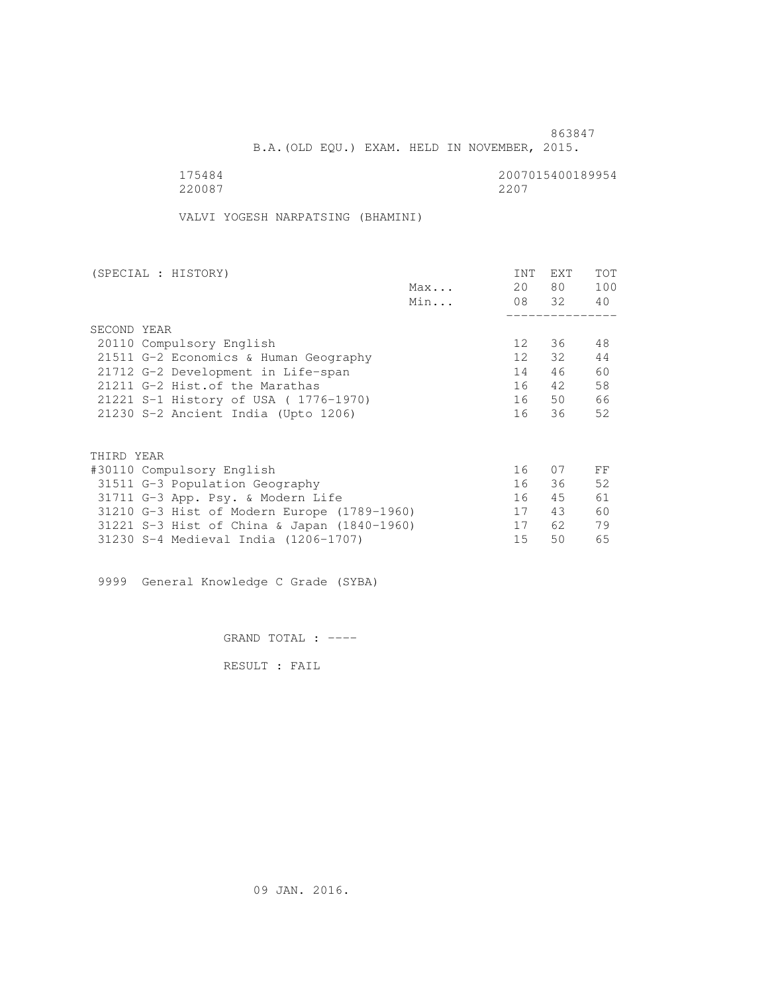B.A.(OLD EQU.) EXAM. HELD IN NOVEMBER, 2015.

 175484 2007015400189954 220087 2207

VALVI YOGESH NARPATSING (BHAMINI)

| (SPECIAL : HISTORY)                         |     | <b>INT</b>      | <b>EXT</b> | TOT |
|---------------------------------------------|-----|-----------------|------------|-----|
|                                             | Max | 20              | 80 —       | 100 |
|                                             | Min |                 | 08 32      | 40  |
|                                             |     |                 |            |     |
| SECOND YEAR                                 |     |                 |            |     |
| 20110 Compulsory English                    |     | 12              | 36         | 48  |
| 21511 G-2 Economics & Human Geography       |     | 12 <sup>°</sup> | 32         | 44  |
| 21712 G-2 Development in Life-span          |     | 14              | 46         | 60  |
| 21211 G-2 Hist. of the Marathas             |     | 16              | 42         | 58  |
| 21221 S-1 History of USA (1776-1970)        |     | 16              | 50         | 66  |
| 21230 S-2 Ancient India (Upto 1206)         |     | 16              | 36         | 52  |
|                                             |     |                 |            |     |
| THIRD YEAR                                  |     |                 |            |     |
| #30110 Compulsory English                   |     | 16              | 07         | FF  |
| 31511 G-3 Population Geography              |     | 16              | 36         | 52  |
| 31711 G-3 App. Psy. & Modern Life           |     | 16              | 45         | 61  |
| 31210 G-3 Hist of Modern Europe (1789-1960) |     | 17              | 43         | 60  |
| 31221 S-3 Hist of China & Japan (1840-1960) |     | 17              | 62         | 79  |
| 31230 S-4 Medieval India (1206-1707)        |     | 15              | 50         | 65  |
|                                             |     |                 |            |     |

9999 General Knowledge C Grade (SYBA)

GRAND TOTAL : ----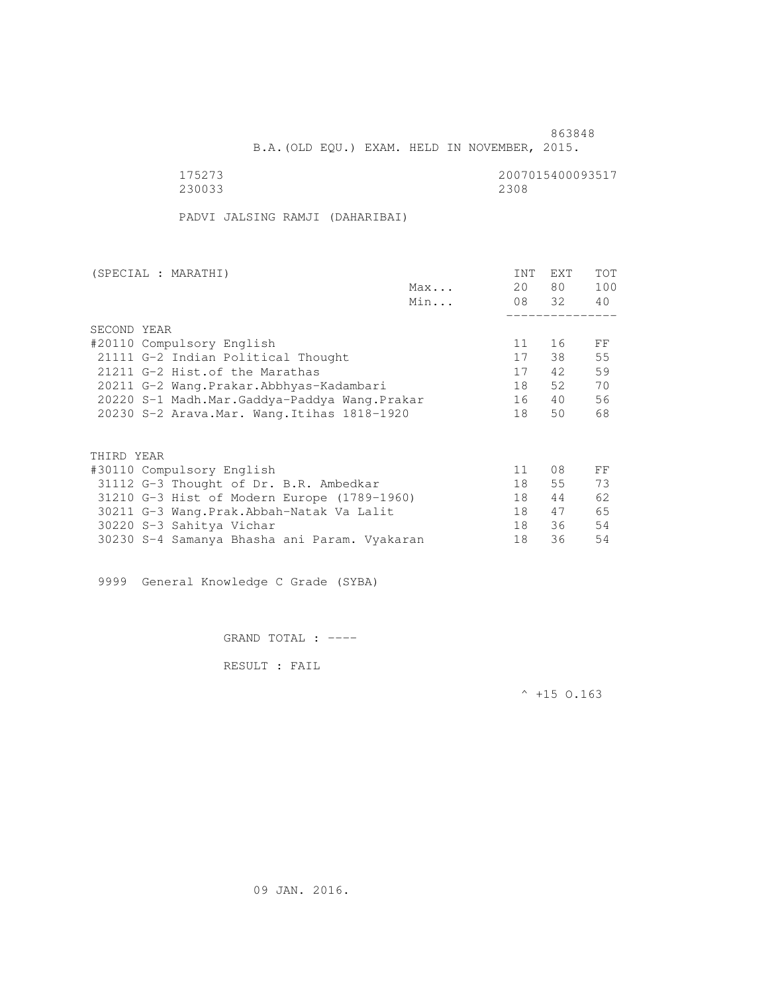B.A.(OLD EQU.) EXAM. HELD IN NOVEMBER, 2015.

 175273 2007015400093517 230033 2308

PADVI JALSING RAMJI (DAHARIBAI)

| (SPECIAL : MARATHI)                          |     | <b>INT</b> | <b>EXT</b> | TOT |
|----------------------------------------------|-----|------------|------------|-----|
|                                              | Max | 20         | 80 —       | 100 |
|                                              | Min |            | 08 32      | 40  |
|                                              |     |            |            |     |
| SECOND YEAR                                  |     |            |            |     |
| #20110 Compulsory English                    |     | 11         | 16         | FF  |
| 21111 G-2 Indian Political Thought           |     | 17         | 38         | 55  |
| 21211 G-2 Hist. of the Marathas              |     | 17         | 42         | 59  |
| 20211 G-2 Wang.Prakar.Abbhyas-Kadambari      |     | 18         | 52         | 70  |
| 20220 S-1 Madh.Mar.Gaddya-Paddya Wang.Prakar |     | 16         | 40         | 56  |
| 20230 S-2 Arava. Mar. Wang. Itihas 1818-1920 |     | 18         | 50         | 68  |
|                                              |     |            |            |     |
|                                              |     |            |            |     |
| THIRD YEAR                                   |     |            |            |     |
| #30110 Compulsory English                    |     | 11         | 08         | FF  |
| 31112 G-3 Thought of Dr. B.R. Ambedkar       |     | 18         | 55         | 73  |
| 31210 G-3 Hist of Modern Europe (1789-1960)  |     | 18         | 44         | 62  |
| 30211 G-3 Wang.Prak.Abbah-Natak Va Lalit     |     | 18         | 47         | 65  |
| 30220 S-3 Sahitya Vichar                     |     | 18         | 36         | 54  |
| 30230 S-4 Samanya Bhasha ani Param. Vyakaran |     | 18         | 36         | 54  |

9999 General Knowledge C Grade (SYBA)

GRAND TOTAL : ----

RESULT : FAIL

 $^{\wedge}$  +15 O.163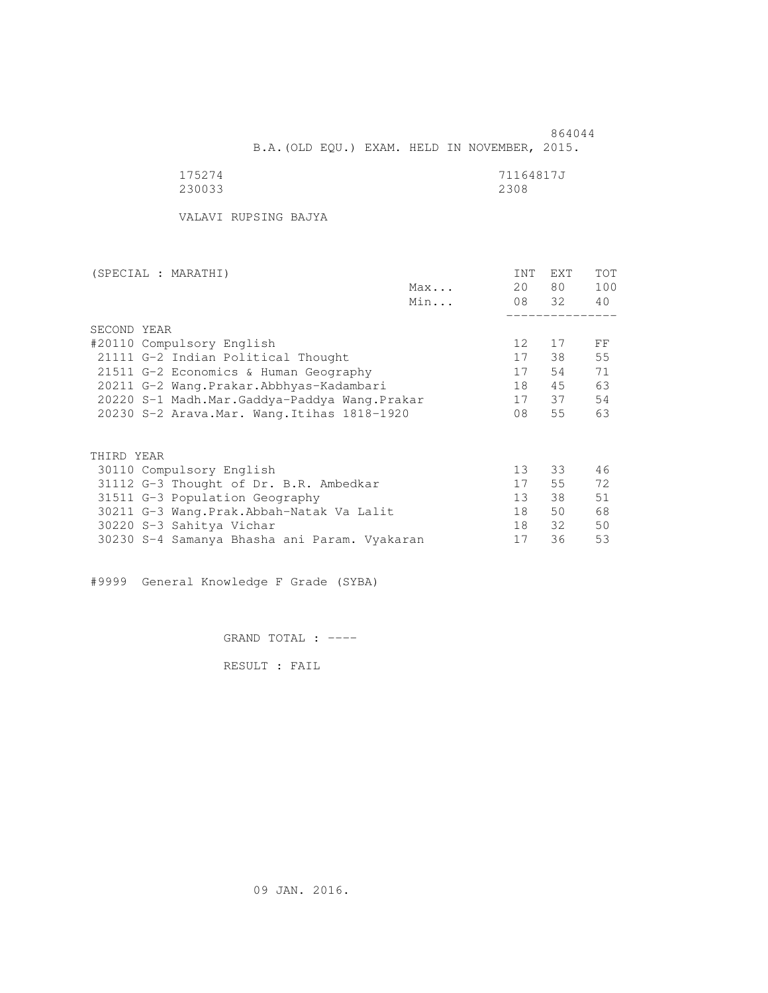864044 B.A.(OLD EQU.) EXAM. HELD IN NOVEMBER, 2015.

| 175274 | 71164817J |
|--------|-----------|
| 230033 | 2308      |

VALAVI RUPSING BAJYA

| (SPECIAL : MARATHI)                          |     | <b>INT</b>      | EXT   | <b>TOT</b> |
|----------------------------------------------|-----|-----------------|-------|------------|
|                                              | Max | 20              | 80 —  | 100        |
|                                              | Min |                 | 08 32 | 40         |
|                                              |     |                 |       |            |
| SECOND YEAR                                  |     |                 |       |            |
| #20110 Compulsory English                    |     | 12              | 17    | FF         |
| 21111 G-2 Indian Political Thought           |     | 17              | 38    | 55         |
| 21511 G-2 Economics & Human Geography        |     | 17              | 54    | 71         |
| 20211 G-2 Wang.Prakar.Abbhyas-Kadambari      |     | 18              | 45    | 63         |
| 20220 S-1 Madh.Mar.Gaddya-Paddya Wang.Prakar |     | 17              | 37    | 54         |
| 20230 S-2 Arava. Mar. Wang. Itihas 1818-1920 |     | 08              | 55    | 63         |
|                                              |     |                 |       |            |
| THIRD YEAR                                   |     |                 |       |            |
| 30110 Compulsory English                     |     | 13              | 33    | 46         |
| 31112 G-3 Thought of Dr. B.R. Ambedkar       |     | 17              | 55    | 72         |
| 31511 G-3 Population Geography               |     | 13 <sup>°</sup> | 38    | 51         |
| 30211 G-3 Wang.Prak.Abbah-Natak Va Lalit     |     | 18              | 50    | 68         |
| 30220 S-3 Sahitya Vichar                     |     | 18              | 32    | 50         |
| 30230 S-4 Samanya Bhasha ani Param. Vyakaran |     | 17              | 36    | 53         |
|                                              |     |                 |       |            |

#9999 General Knowledge F Grade (SYBA)

GRAND TOTAL : ----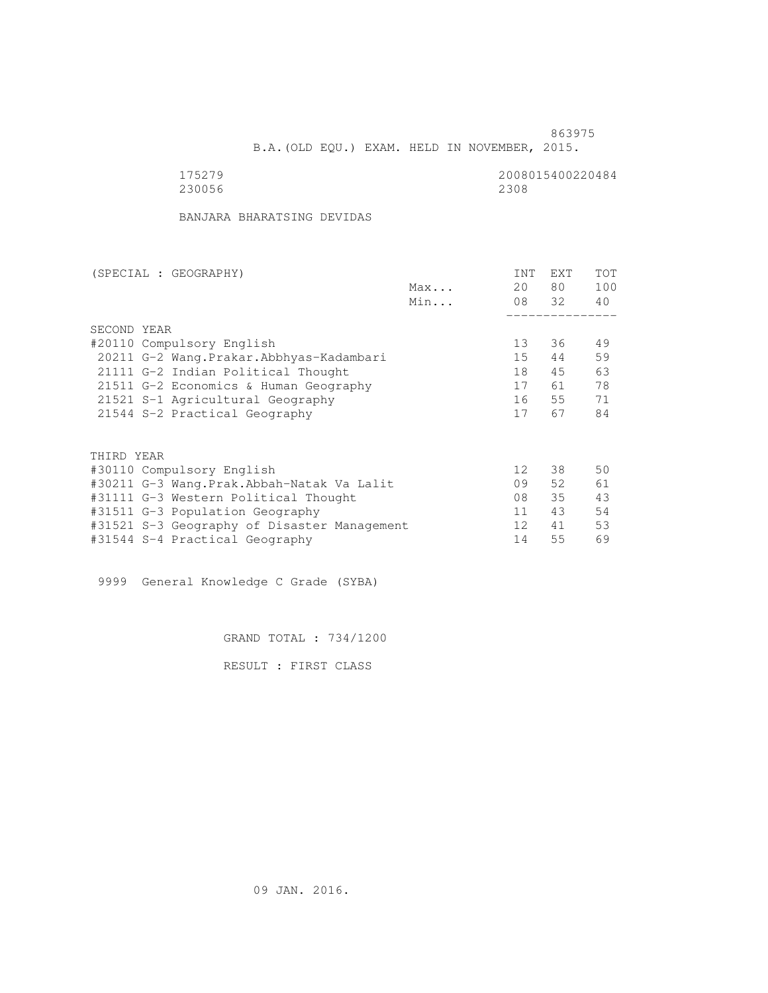B.A.(OLD EQU.) EXAM. HELD IN NOVEMBER, 2015.

| 175279 | 2008015400220484 |
|--------|------------------|
| 230056 | 2308             |

BANJARA BHARATSING DEVIDAS

| (SPECIAL : GEOGRAPHY)                       | <b>INT</b>      | <b>EXT</b> | TOT |
|---------------------------------------------|-----------------|------------|-----|
| Max                                         | 20              | 80         | 100 |
| Min                                         |                 | 08 32      | 40  |
|                                             |                 |            |     |
| SECOND YEAR                                 |                 |            |     |
| #20110 Compulsory English                   | 13 <sup>°</sup> | 36         | 49  |
| 20211 G-2 Wang. Prakar. Abbhyas-Kadambari   | 15              | 44         | 59  |
| 21111 G-2 Indian Political Thought          | 18              | 45         | 63  |
| 21511 G-2 Economics & Human Geography       | 17              | 61         | 78  |
| 21521 S-1 Agricultural Geography            | 16              | 55         | 71  |
| 21544 S-2 Practical Geography               | 17              | 67         | 84  |
|                                             |                 |            |     |
| THIRD YEAR                                  |                 |            |     |
| #30110 Compulsory English                   | 12 <sup>°</sup> | 38         | 50  |
| #30211 G-3 Wang.Prak.Abbah-Natak Va Lalit   | 09              | 52         | 61  |
| #31111 G-3 Western Political Thought        | 08              | 35         | 43  |
| #31511 G-3 Population Geography             | 11              | 43         | 54  |
| #31521 S-3 Geography of Disaster Management | 12 <sup>°</sup> | 41         | 53  |
| #31544 S-4 Practical Geography              | 14              | 55         | 69  |

9999 General Knowledge C Grade (SYBA)

GRAND TOTAL : 734/1200

RESULT : FIRST CLASS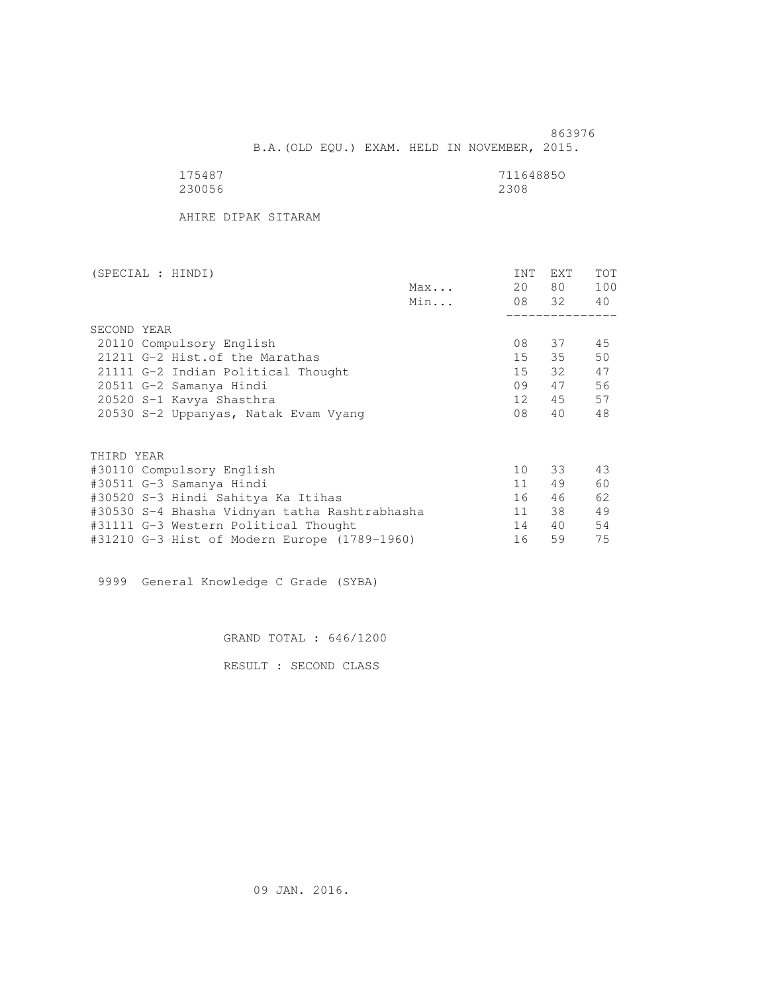863976 B.A.(OLD EQU.) EXAM. HELD IN NOVEMBER, 2015.

| 175487 | 711648850 |
|--------|-----------|
| 230056 | 2308      |

AHIRE DIPAK SITARAM

| (SPECIAL : HINDI)                             |     | INT | EXT      | <b>TOT</b> |
|-----------------------------------------------|-----|-----|----------|------------|
|                                               | Max | 20  | 80 —     | 100        |
|                                               | Min |     | 08 32 40 |            |
|                                               |     |     |          |            |
| SECOND YEAR                                   |     |     |          |            |
| 20110 Compulsory English                      |     | 08  | 37       | 45         |
| 21211 G-2 Hist. of the Marathas               |     | 15  | 35       | 50         |
| 21111 G-2 Indian Political Thought            |     | 15  | 32       | 47         |
| 20511 G-2 Samanya Hindi                       |     | 09  | 47       | 56         |
| 20520 S-1 Kavya Shasthra                      |     | 12  | 45       | 57         |
| 20530 S-2 Uppanyas, Natak Evam Vyang          |     | 08  | 40       | 48         |
|                                               |     |     |          |            |
| THIRD YEAR                                    |     |     |          |            |
| #30110 Compulsory English                     |     | 10  | 33       | 43         |
| #30511 G-3 Samanya Hindi                      |     | 11  | 49       | 60         |
| #30520 S-3 Hindi Sahitya Ka Itihas            |     | 16  | 46       | 62         |
| #30530 S-4 Bhasha Vidnyan tatha Rashtrabhasha |     | 11  | 38       | 49         |
| #31111 G-3 Western Political Thought          |     | 14  | 40       | 54         |
| #31210 G-3 Hist of Modern Europe (1789-1960)  |     | 16  | 59       | 75         |

9999 General Knowledge C Grade (SYBA)

GRAND TOTAL : 646/1200

RESULT : SECOND CLASS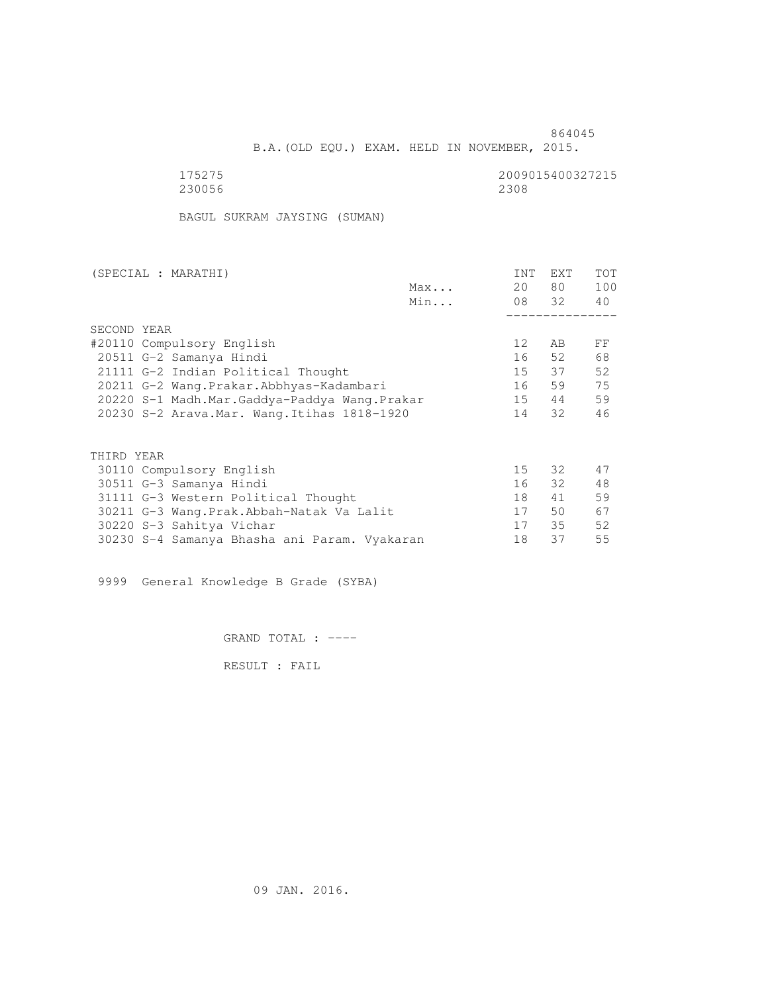864045 B.A.(OLD EQU.) EXAM. HELD IN NOVEMBER, 2015.

| 175275 | 20090 |
|--------|-------|
| 230056 | 2308  |

2009015400327215<br>2308

BAGUL SUKRAM JAYSING (SUMAN)

| (SPECIAL : MARATHI)                          |     | <b>INT</b>      | <b>EXT</b> | TOT |
|----------------------------------------------|-----|-----------------|------------|-----|
|                                              | Max | 20              | 80 —       | 100 |
|                                              | Min |                 | 08 32      | 40  |
|                                              |     |                 |            |     |
| SECOND YEAR                                  |     |                 |            |     |
| #20110 Compulsory English                    |     | 12 <sup>°</sup> | AB         | FF  |
| 20511 G-2 Samanya Hindi                      |     | 16              | 52.        | 68  |
| 21111 G-2 Indian Political Thought           |     | 15              | 37         | 52  |
| 20211 G-2 Wang.Prakar.Abbhyas-Kadambari      |     | 16              | 59         | 75  |
| 20220 S-1 Madh.Mar.Gaddya-Paddya Wang.Prakar |     | 15              | 44         | 59  |
| 20230 S-2 Arava. Mar. Wang. Itihas 1818-1920 |     | 14              | 32         | 46  |
|                                              |     |                 |            |     |
| THIRD YEAR                                   |     |                 |            |     |
| 30110 Compulsory English                     |     | 15              | 32         | 47  |
| 30511 G-3 Samanya Hindi                      |     | 16              | 32         | 48  |
| 31111 G-3 Western Political Thought          |     | 18              | 41         | 59  |
| 30211 G-3 Wang.Prak.Abbah-Natak Va Lalit     |     | 17              | 50         | 67  |
| 30220 S-3 Sahitya Vichar                     |     | 17              | 35         | 52  |
| 30230 S-4 Samanya Bhasha ani Param. Vyakaran |     | 18              | 37         | 55  |
|                                              |     |                 |            |     |

9999 General Knowledge B Grade (SYBA)

GRAND TOTAL : ----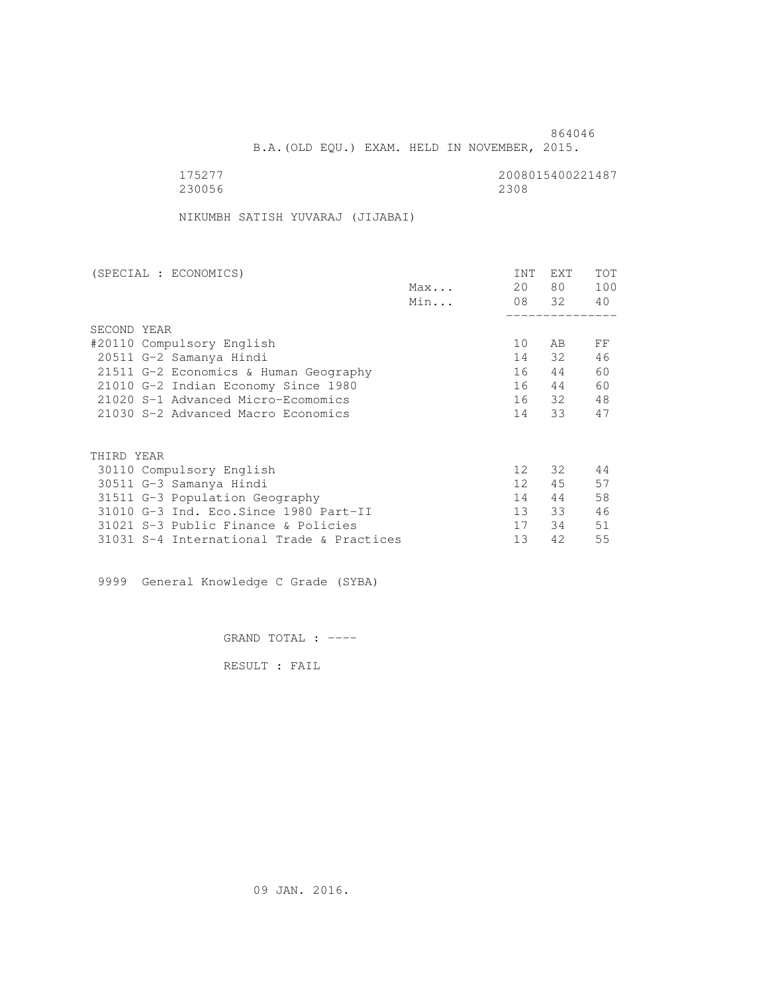B.A.(OLD EQU.) EXAM. HELD IN NOVEMBER, 2015.

| 175277 | 2008015400221487 |
|--------|------------------|
| 230056 | 2308             |

NIKUMBH SATISH YUVARAJ (JIJABAI)

| (SPECIAL : ECONOMICS)                     |     | <b>INT</b>      | <b>EXT</b> | TOT |
|-------------------------------------------|-----|-----------------|------------|-----|
|                                           | Max | 20              | 80 —       | 100 |
|                                           | Min |                 | 08 32      | 40  |
|                                           |     |                 |            |     |
| SECOND YEAR                               |     |                 |            |     |
| #20110 Compulsory English                 |     | 10              | AB         | FF  |
| 20511 G-2 Samanya Hindi                   |     | 14              | 32         | 46  |
| 21511 G-2 Economics & Human Geography     |     | 16              | 44         | 60  |
| 21010 G-2 Indian Economy Since 1980       |     | 16              | 44         | 60  |
| 21020 S-1 Advanced Micro-Ecomomics        |     |                 | 16 32      | 48  |
| 21030 S-2 Advanced Macro Economics        |     | 14              | 33         | 47  |
|                                           |     |                 |            |     |
| THIRD YEAR                                |     |                 |            |     |
| 30110 Compulsory English                  |     | 12 <sup>°</sup> | 32         | 44  |
| 30511 G-3 Samanya Hindi                   |     | 12 <sup>°</sup> | 45         | 57  |
| 31511 G-3 Population Geography            |     | 14              | 44         | 58  |
| 31010 G-3 Ind. Eco. Since 1980 Part-II    |     | 13 <sup>7</sup> | 33         | 46  |
| 31021 S-3 Public Finance & Policies       |     | 17              | 34         | 51  |
| 31031 S-4 International Trade & Practices |     | 13              | 42         | 55  |

9999 General Knowledge C Grade (SYBA)

GRAND TOTAL : ----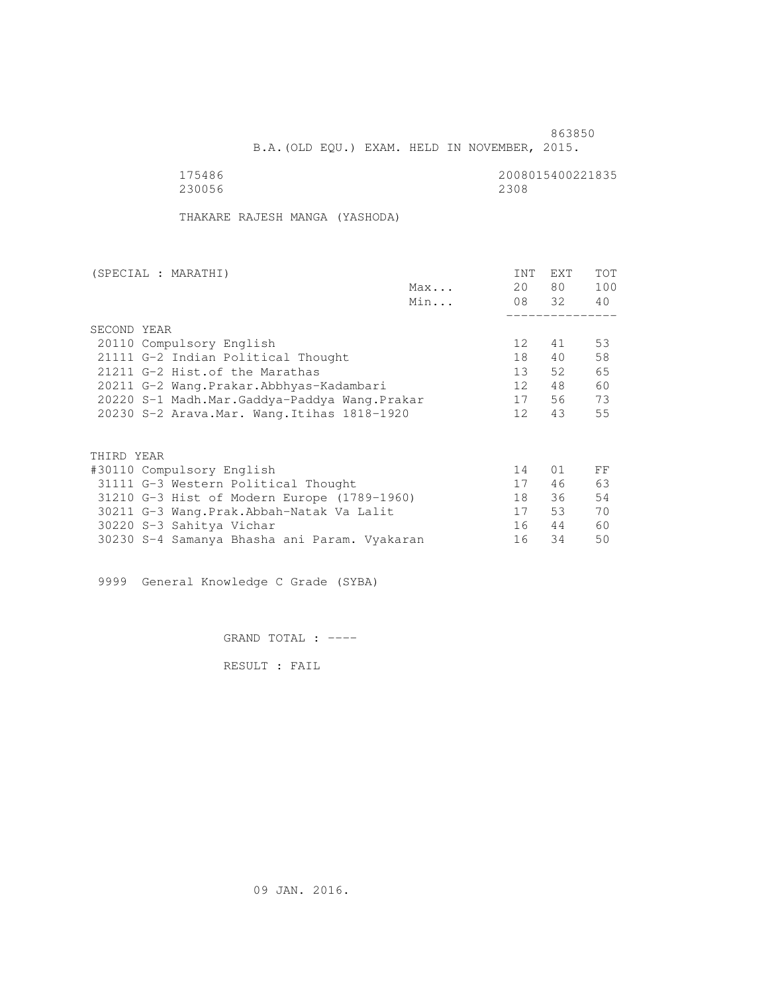B.A.(OLD EQU.) EXAM. HELD IN NOVEMBER, 2015.

 175486 2008015400221835 230056 2308

THAKARE RAJESH MANGA (YASHODA)

| (SPECIAL : MARATHI)                          |     | <b>INT</b>      | EXT   | <b>TOT</b> |
|----------------------------------------------|-----|-----------------|-------|------------|
|                                              | Max | 20              | 80 —  | 100        |
|                                              | Min |                 | 08 32 | 40         |
|                                              |     |                 |       |            |
| SECOND YEAR                                  |     |                 |       |            |
| 20110 Compulsory English                     |     | 12 <sup>°</sup> | 41    | 53         |
| 21111 G-2 Indian Political Thought           |     | 18              | 40    | 58         |
| 21211 G-2 Hist. of the Marathas              |     | 13 <sup>°</sup> | 52    | 65         |
| 20211 G-2 Wang.Prakar.Abbhyas-Kadambari      |     | 12 <sup>°</sup> | 48    | 60         |
| 20220 S-1 Madh.Mar.Gaddya-Paddya Wang.Prakar |     | 17              | 56    | 73         |
| 20230 S-2 Arava. Mar. Wang. Itihas 1818-1920 |     | 12 <sup>°</sup> | 43    | 55         |
|                                              |     |                 |       |            |
| THIRD YEAR                                   |     |                 |       |            |
| #30110 Compulsory English                    |     | 14              | 01    | FF         |
| 31111 G-3 Western Political Thought          |     | 17              | 46    | 63         |
| 31210 G-3 Hist of Modern Europe (1789-1960)  |     | 18              | 36    | 54         |
| 30211 G-3 Wang. Prak. Abbah-Natak Va Lalit   |     | 17              | 53    | 70         |
| 30220 S-3 Sahitya Vichar                     |     | 16              | 44    | 60         |
| 30230 S-4 Samanya Bhasha ani Param. Vyakaran |     | 16              | 34    | 50         |

9999 General Knowledge C Grade (SYBA)

GRAND TOTAL : ----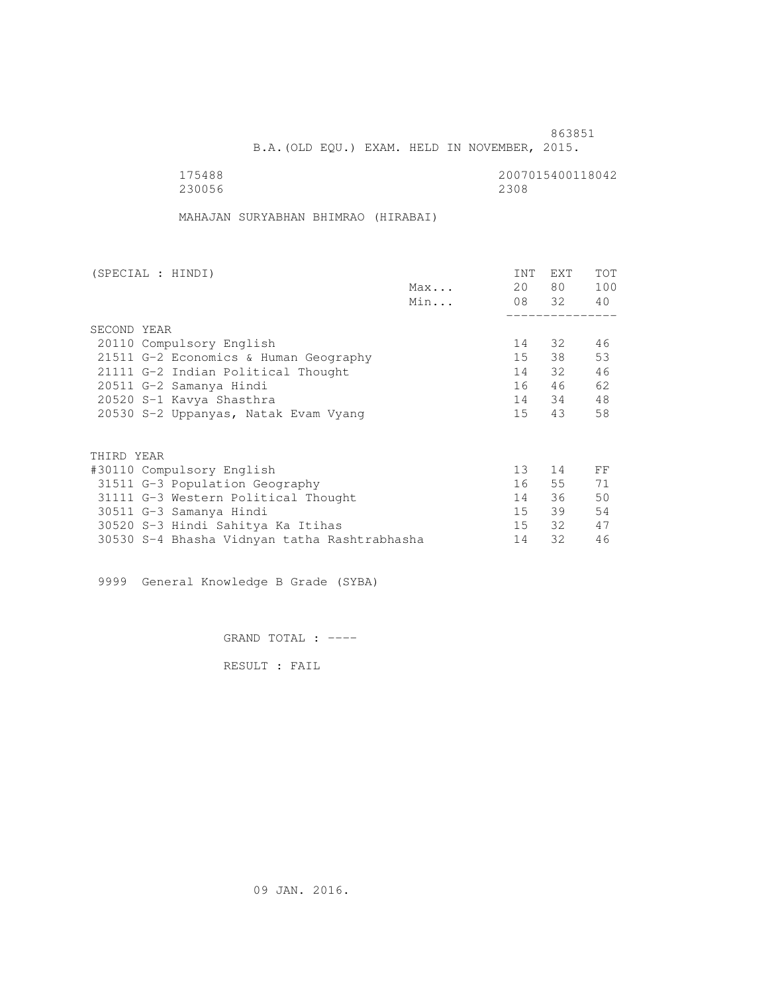B.A.(OLD EQU.) EXAM. HELD IN NOVEMBER, 2015.

 175488 2007015400118042 230056 2308

MAHAJAN SURYABHAN BHIMRAO (HIRABAI)

| (SPECIAL : HINDI)                            |     | <b>INT</b> | <b>EXT</b> | TOT |
|----------------------------------------------|-----|------------|------------|-----|
|                                              | Max | 20         | 80 —       | 100 |
|                                              | Min |            | 08 32      | 40  |
|                                              |     |            |            |     |
| SECOND YEAR                                  |     |            |            |     |
| 20110 Compulsory English                     |     | 14         | 32         | 46  |
| 21511 G-2 Economics & Human Geography        |     | 15         | 38         | 53  |
| 21111 G-2 Indian Political Thought           |     | 14         | 32         | 46  |
| 20511 G-2 Samanya Hindi                      |     | 16         | 46         | 62  |
| 20520 S-1 Kavya Shasthra                     |     |            | 14 34      | 48  |
| 20530 S-2 Uppanyas, Natak Evam Vyang         |     | 15         | 43         | 58  |
|                                              |     |            |            |     |
| THIRD YEAR                                   |     |            |            |     |
| #30110 Compulsory English                    |     | 13         | 14         | FF  |
| 31511 G-3 Population Geography               |     | 16         | 55         | 71  |
| 31111 G-3 Western Political Thought          |     | 14         | 36         | 50  |
| 30511 G-3 Samanya Hindi                      |     | 15         | 39         | 54  |
| 30520 S-3 Hindi Sahitya Ka Itihas            |     | 15         | - 32       | 47  |
| 30530 S-4 Bhasha Vidnyan tatha Rashtrabhasha |     | 14         | 32         | 46  |
|                                              |     |            |            |     |

9999 General Knowledge B Grade (SYBA)

GRAND TOTAL : ----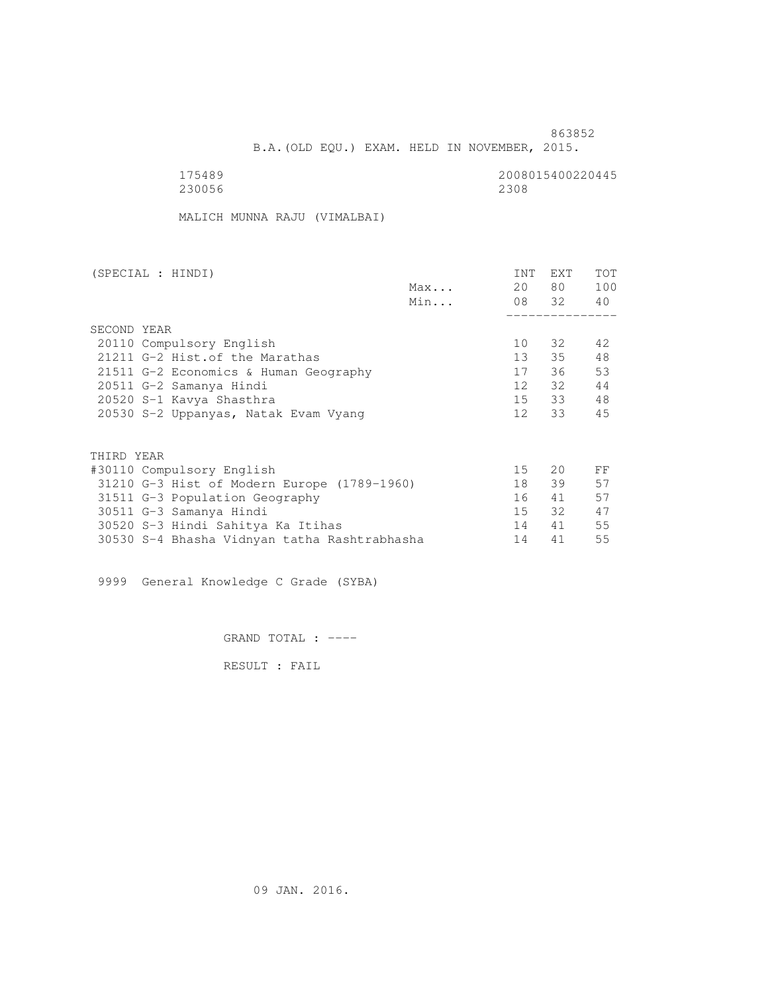B.A.(OLD EQU.) EXAM. HELD IN NOVEMBER, 2015.

| 175489 | 2008015400220445 |
|--------|------------------|
| 230056 | 2308             |

MALICH MUNNA RAJU (VIMALBAI)

| (SPECIAL : HINDI)                            |     | INT             | <b>EXT</b>   | TOT |
|----------------------------------------------|-----|-----------------|--------------|-----|
|                                              | Max | 20              | 80 —         | 100 |
|                                              | Min |                 | 08 32 40     |     |
|                                              |     |                 |              |     |
| SECOND YEAR                                  |     |                 |              |     |
| 20110 Compulsory English                     |     | 10              | 32           | 42  |
| 21211 G-2 Hist. of the Marathas              |     | 13 <sup>7</sup> | 35           | 48  |
| 21511 G-2 Economics & Human Geography        |     | 17              | 36           | 53  |
| 20511 G-2 Samanya Hindi                      |     | 12              | 32           | 44  |
| 20520 S-1 Kavya Shasthra                     |     |                 | 15 33        | 48  |
| 20530 S-2 Uppanyas, Natak Evam Vyang         |     | 12              | 33           | 45  |
|                                              |     |                 |              |     |
| THIRD YEAR                                   |     |                 |              |     |
| #30110 Compulsory English                    |     | 15 <sub>1</sub> | $20^{\circ}$ | FF  |
| 31210 G-3 Hist of Modern Europe (1789-1960)  |     | 18              | 39           | 57  |
| 31511 G-3 Population Geography               |     | 16              | 41           | 57  |
| 30511 G-3 Samanya Hindi                      |     | 15              | 32           | 47  |
| 30520 S-3 Hindi Sahitya Ka Itihas            |     | 14              | 41           | 55  |
| 30530 S-4 Bhasha Vidnyan tatha Rashtrabhasha |     | 14              | 41           | 55  |
|                                              |     |                 |              |     |

9999 General Knowledge C Grade (SYBA)

GRAND TOTAL : ----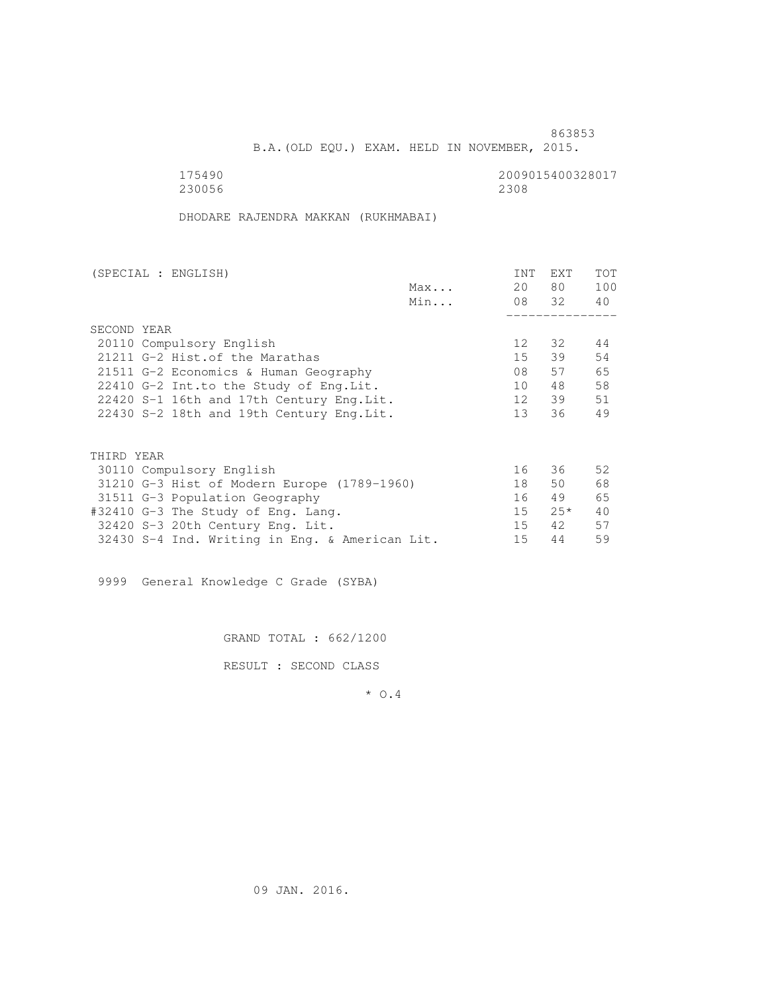B.A.(OLD EQU.) EXAM. HELD IN NOVEMBER, 2015.

175490<br>230056 230056 2300 2009015400328017 230056 2308

DHODARE RAJENDRA MAKKAN (RUKHMABAI)

| (SPECIAL : ENGLISH)                            |     | <b>INT</b>      | <b>EXT</b> | TOT |
|------------------------------------------------|-----|-----------------|------------|-----|
|                                                | Max | 20              | 80 —       | 100 |
|                                                | Min |                 | 08 32      | 40  |
|                                                |     |                 |            |     |
| SECOND YEAR                                    |     |                 |            |     |
| 20110 Compulsory English                       |     | 12 <sup>°</sup> | 32         | 44  |
| 21211 G-2 Hist. of the Marathas                |     | 15              | 39         | 54  |
| 21511 G-2 Economics & Human Geography          |     | 08              | 57         | 65  |
| 22410 G-2 Int.to the Study of Eng.Lit.         |     | 10              | 48         | 58  |
| 22420 S-1 16th and 17th Century Eng. Lit.      |     | 12              | 39         | 51  |
| 22430 S-2 18th and 19th Century Eng. Lit.      |     | 13 <sup>7</sup> | 36         | 49  |
|                                                |     |                 |            |     |
| THIRD YEAR                                     |     |                 |            |     |
| 30110 Compulsory English                       |     | 16              | 36         | 52  |
| 31210 G-3 Hist of Modern Europe (1789-1960)    |     | 18              | 50         | 68  |
| 31511 G-3 Population Geography                 |     | 16              | 49         | 65  |
| #32410 G-3 The Study of Eng. Lang.             |     | 15              | $25*$      | 40  |
| 32420 S-3 20th Century Eng. Lit.               |     | 15              | 42         | 57  |
| 32430 S-4 Ind. Writing in Eng. & American Lit. |     | 15              | 44         | 59  |
|                                                |     |                 |            |     |

9999 General Knowledge C Grade (SYBA)

GRAND TOTAL : 662/1200

RESULT : SECOND CLASS

\* O.4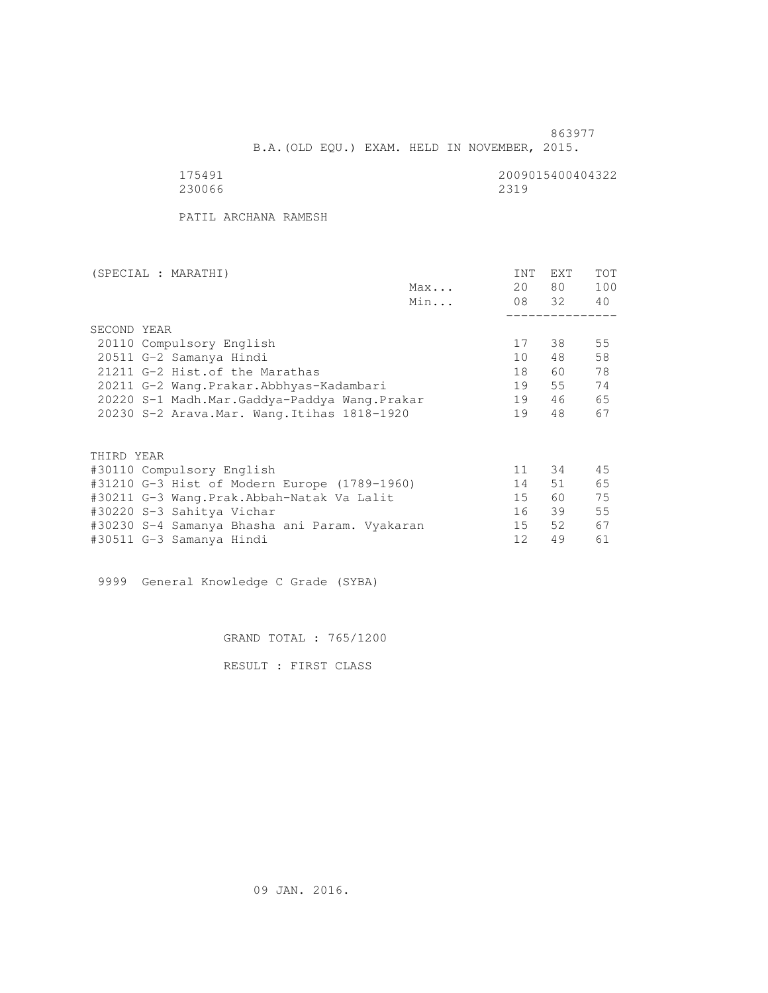B.A.(OLD EQU.) EXAM. HELD IN NOVEMBER, 2015.

 175491 2009015400404322 230066 2319

PATIL ARCHANA RAMESH

| (SPECIAL : MARATHI)                           |     | INT             | <b>EXT</b> | <b>TOT</b> |
|-----------------------------------------------|-----|-----------------|------------|------------|
|                                               | Max | 20              | 80 —       | 100        |
|                                               | Min |                 | 08 32 40   |            |
|                                               |     |                 |            |            |
| SECOND YEAR                                   |     |                 |            |            |
| 20110 Compulsory English                      |     | 17              | 38         | 55         |
| 20511 G-2 Samanya Hindi                       |     | 10 <sup>1</sup> | 48         | 58         |
| 21211 G-2 Hist. of the Marathas               |     | 18              | 60 —       | 78         |
| 20211 G-2 Wang. Prakar. Abbhyas-Kadambari     |     | 19              | 55         | 74         |
| 20220 S-1 Madh.Mar.Gaddya-Paddya Wang.Prakar  |     | 19              | 46         | 65         |
| 20230 S-2 Arava. Mar. Wang. Itihas 1818-1920  |     | 19              | 48         | 67         |
|                                               |     |                 |            |            |
|                                               |     |                 |            |            |
| THIRD YEAR                                    |     |                 |            |            |
| #30110 Compulsory English                     |     | 11              | 34         | 45         |
| #31210 G-3 Hist of Modern Europe (1789-1960)  |     | 14              | 51         | 65         |
| #30211 G-3 Wang.Prak.Abbah-Natak Va Lalit     |     | 15              | 60 — 10    | 75         |
| #30220 S-3 Sahitya Vichar                     |     | 16              | 39         | 55         |
| #30230 S-4 Samanya Bhasha ani Param. Vyakaran |     | 15              | 52         | 67         |
| #30511 G-3 Samanya Hindi                      |     | 12              | 49         | 61         |
|                                               |     |                 |            |            |

9999 General Knowledge C Grade (SYBA)

GRAND TOTAL : 765/1200

RESULT : FIRST CLASS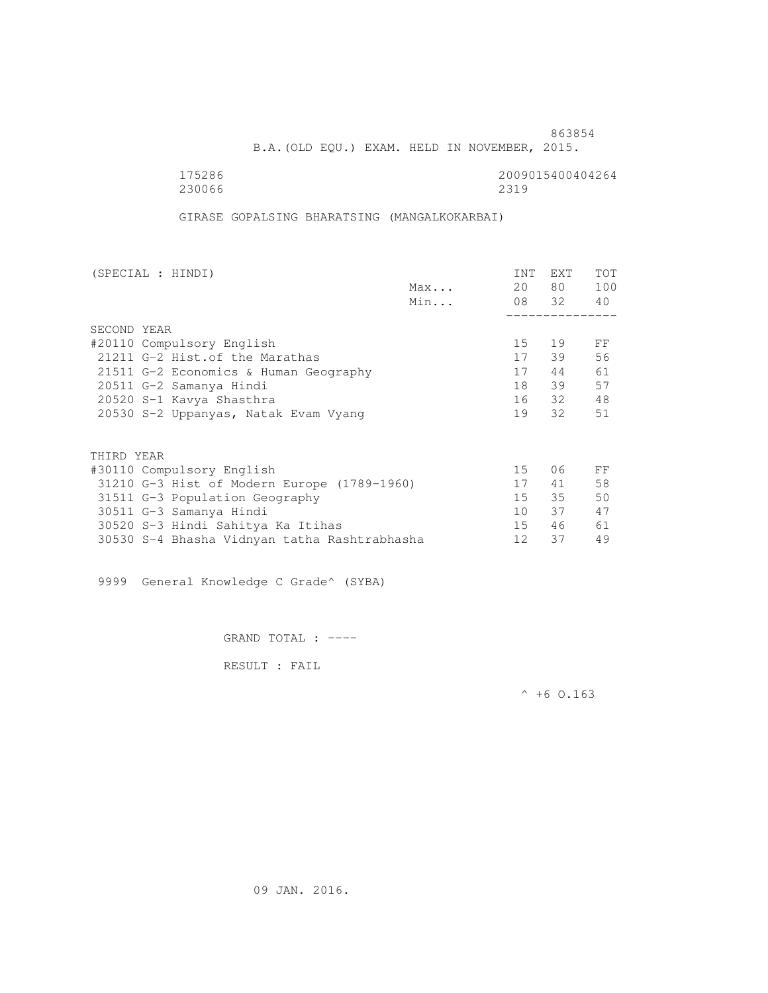B.A.(OLD EQU.) EXAM. HELD IN NOVEMBER, 2015.

 175286 2009015400404264 230066 2319

GIRASE GOPALSING BHARATSING (MANGALKOKARBAI)

| (SPECIAL : HINDI)                            |     | INT    | <b>EXT</b> | TOT |
|----------------------------------------------|-----|--------|------------|-----|
|                                              | Max | 20     | 80 —       | 100 |
|                                              | Min |        | 08 32 40   |     |
|                                              |     |        |            |     |
| SECOND YEAR                                  |     |        |            |     |
| #20110 Compulsory English                    |     | 15     | 19         | FF  |
| 21211 G-2 Hist. of the Marathas              |     | 17     | 39         | 56  |
| 21511 G-2 Economics & Human Geography        |     | 17     | 44         | 61  |
| 20511 G-2 Samanya Hindi                      |     | 18     | 39         | 57  |
| 20520 S-1 Kavya Shasthra                     |     |        | 16 32      | 48  |
| 20530 S-2 Uppanyas, Natak Evam Vyang         |     | 19     | 32         | 51  |
|                                              |     |        |            |     |
| THIRD YEAR                                   |     |        |            |     |
| #30110 Compulsory English                    |     | 15     | 06         | FF  |
| 31210 G-3 Hist of Modern Europe (1789-1960)  |     | 17     | 41         | 58  |
| 31511 G-3 Population Geography               |     | $15 -$ | 35         | 50  |
| 30511 G-3 Samanya Hindi                      |     | 10     | 37         | 47  |
| 30520 S-3 Hindi Sahitya Ka Itihas            |     | $15 -$ | 46         | 61  |
| 30530 S-4 Bhasha Vidnyan tatha Rashtrabhasha |     | 12     | 37         | 49  |
|                                              |     |        |            |     |

9999 General Knowledge C Grade^ (SYBA)

GRAND TOTAL : ----

RESULT : FAIL

 $^{\wedge}$  +6 0.163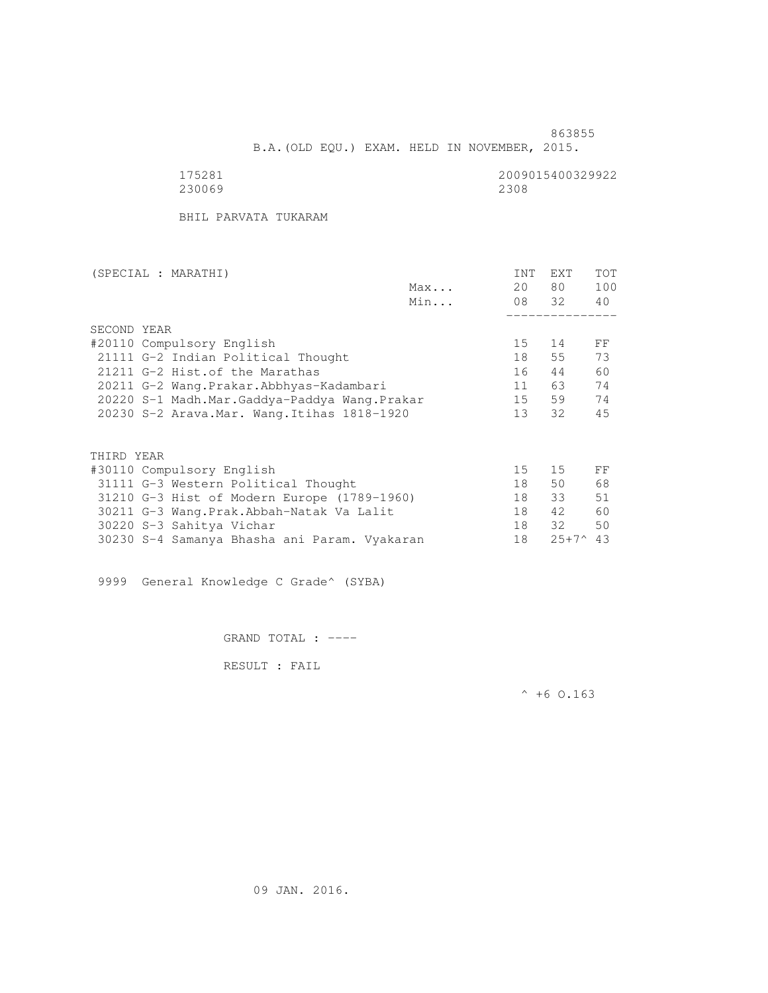B.A.(OLD EQU.) EXAM. HELD IN NOVEMBER, 2015.

230069

175281 2009015400329922

BHIL PARVATA TUKARAM

| (SPECIAL : MARATHI) |                                              |     | INT             | EXT            | <b>TOT</b> |
|---------------------|----------------------------------------------|-----|-----------------|----------------|------------|
|                     |                                              | Max | 20              | 80 —           | 100        |
|                     |                                              | Min |                 | 08 32          | 40         |
|                     |                                              |     |                 |                |            |
| SECOND YEAR         |                                              |     |                 |                |            |
|                     | #20110 Compulsory English                    |     | 15              | 14             | FF         |
|                     | 21111 G-2 Indian Political Thought           |     | 18              | 55             | 73         |
|                     | 21211 G-2 Hist. of the Marathas              |     | 16              | 44             | 60         |
|                     | 20211 G-2 Wang.Prakar.Abbhyas-Kadambari      |     | 11              | 63             | 74         |
|                     | 20220 S-1 Madh.Mar.Gaddya-Paddya Wang.Prakar |     | 15              | 59             | 74         |
|                     | 20230 S-2 Arava. Mar. Wang. Itihas 1818-1920 |     | 13 <sup>7</sup> | 32             | 45         |
|                     |                                              |     |                 |                |            |
| THIRD YEAR          |                                              |     |                 |                |            |
|                     | #30110 Compulsory English                    |     | 15              | 15             | FF         |
|                     | 31111 G-3 Western Political Thought          |     | 18              | 50             | 68         |
|                     | 31210 G-3 Hist of Modern Europe (1789-1960)  |     | 18              | 33             | 51         |
|                     | 30211 G-3 Wang. Prak. Abbah-Natak Va Lalit   |     | 18              | 42             | 60         |
|                     | 30220 S-3 Sahitya Vichar                     |     | 18              | 32             | 50         |
|                     | 30230 S-4 Samanya Bhasha ani Param. Vyakaran |     | 18              | $25+7^{\circ}$ | 43         |

9999 General Knowledge C Grade^ (SYBA)

GRAND TOTAL : ----

RESULT : FAIL

 $^{\wedge}$  +6 O.163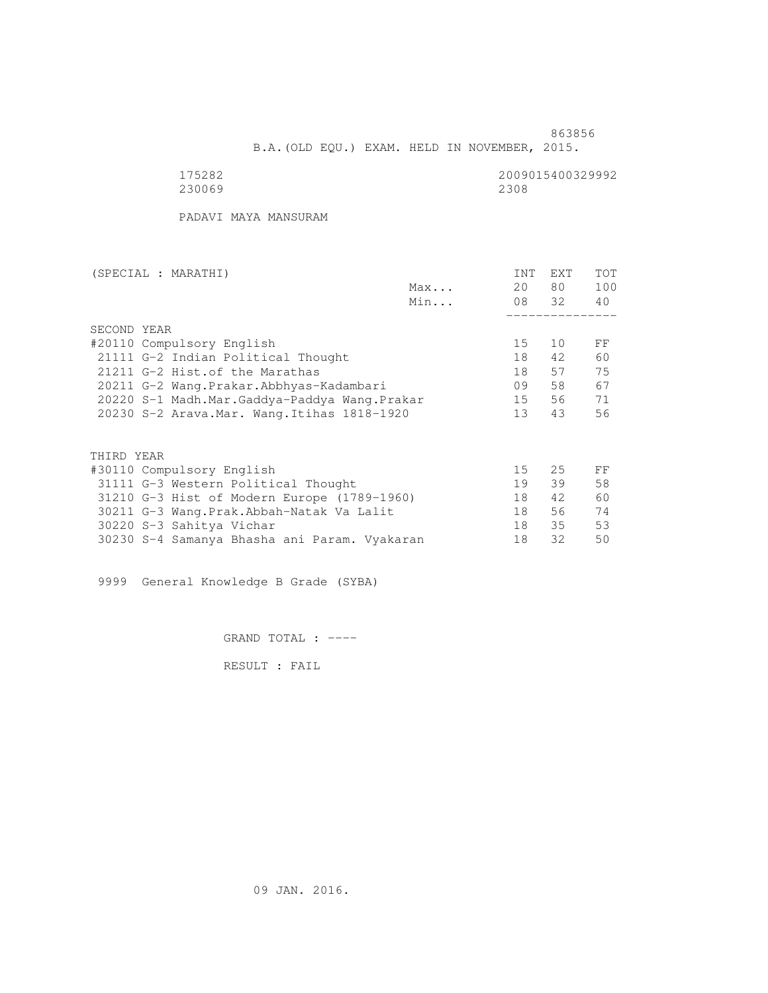B.A.(OLD EQU.) EXAM. HELD IN NOVEMBER, 2015.

| 5282        |  |
|-------------|--|
| 2300.<br>69 |  |

2009015400329992<br>2308

PADAVI MAYA MANSURAM

| (SPECIAL : MARATHI)                          |     | <b>INT</b>      | <b>EXT</b> | TOT |
|----------------------------------------------|-----|-----------------|------------|-----|
|                                              | Max | 20              | 80 —       | 100 |
|                                              | Min |                 | 08 32      | 40  |
|                                              |     |                 |            |     |
| SECOND YEAR                                  |     |                 |            |     |
| #20110 Compulsory English                    |     | 15              | 10         | FF  |
| 21111 G-2 Indian Political Thought           |     | 18              | 42         | 60  |
| 21211 G-2 Hist. of the Marathas              |     | 18              | 57         | 75  |
| 20211 G-2 Wang.Prakar.Abbhyas-Kadambari      |     | 09              | 58         | 67  |
| 20220 S-1 Madh.Mar.Gaddya-Paddya Wang.Prakar |     | 15              | 56         | 71  |
| 20230 S-2 Arava. Mar. Wang. Itihas 1818-1920 |     | 13 <sup>°</sup> | 43         | 56  |
|                                              |     |                 |            |     |
| THIRD YEAR                                   |     |                 |            |     |
| #30110 Compulsory English                    |     | 15              | 25         | FF  |
| 31111 G-3 Western Political Thought          |     | 19              | 39         | 58  |
|                                              |     | 18              | 42         | 60  |
| 31210 G-3 Hist of Modern Europe (1789-1960)  |     |                 |            |     |
| 30211 G-3 Wang.Prak.Abbah-Natak Va Lalit     |     | 18              | 56         | 74  |
| 30220 S-3 Sahitya Vichar                     |     | 18              | 35         | 53  |
| 30230 S-4 Samanya Bhasha ani Param. Vyakaran |     | 18              | 32         | 50  |

9999 General Knowledge B Grade (SYBA)

GRAND TOTAL : ----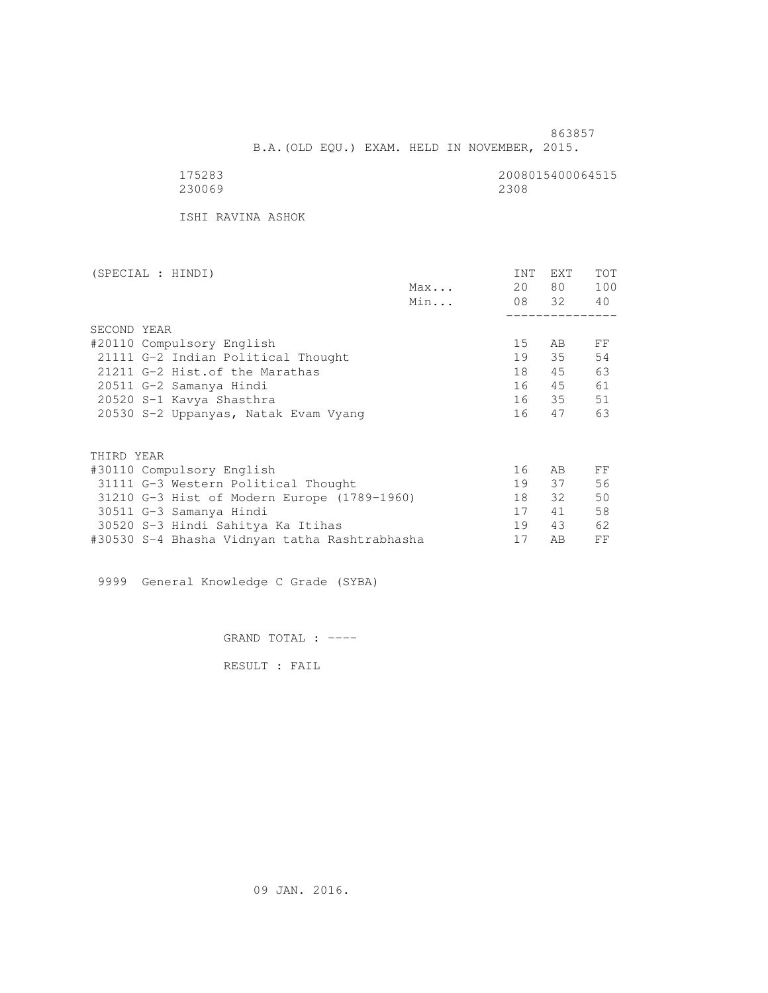863857 B.A.(OLD EQU.) EXAM. HELD IN NOVEMBER, 2015.

| 175283 | 2008015400064515 |
|--------|------------------|
| 230069 | 2308             |

ISHI RAVINA ASHOK

| (SPECIAL : HINDI)                             |     | INT | <b>EXT</b> | TOT |
|-----------------------------------------------|-----|-----|------------|-----|
|                                               | Max | 20  | 80 —       | 100 |
|                                               | Min |     | 08 32 40   |     |
|                                               |     |     |            |     |
| SECOND YEAR                                   |     |     |            |     |
| #20110 Compulsory English                     |     | 15  | AB         | FF  |
| 21111 G-2 Indian Political Thought            |     | 19  | 35         | 54  |
| 21211 G-2 Hist. of the Marathas               |     | 18  | 45         | 63  |
| 20511 G-2 Samanya Hindi                       |     | 16  | 45         | 61  |
| 20520 S-1 Kavya Shasthra                      |     |     | 16 35      | 51  |
| 20530 S-2 Uppanyas, Natak Evam Vyang          |     | 16  | 47         | 63  |
|                                               |     |     |            |     |
| THIRD YEAR                                    |     |     |            |     |
| #30110 Compulsory English                     |     | 16  | AB         | FF  |
| 31111 G-3 Western Political Thought           |     | 19  | 37         | 56  |
| 31210 G-3 Hist of Modern Europe (1789-1960)   |     | 18  | 32         | 50  |
| 30511 G-3 Samanya Hindi                       |     | 17  | 41         | 58  |
| 30520 S-3 Hindi Sahitya Ka Itihas             |     | 19  | 43         | 62  |
| #30530 S-4 Bhasha Vidnyan tatha Rashtrabhasha |     | 17  | AB         | FF  |
|                                               |     |     |            |     |

9999 General Knowledge C Grade (SYBA)

GRAND TOTAL : ----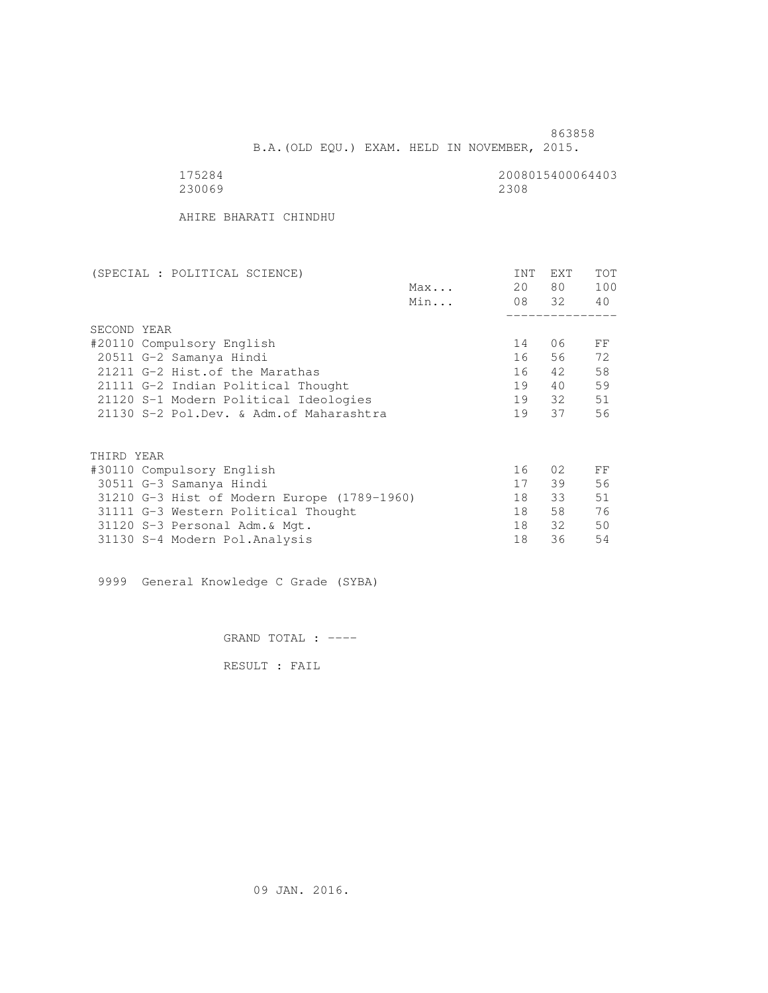B.A.(OLD EQU.) EXAM. HELD IN NOVEMBER, 2015.

| 528<br>↵ |
|----------|
| 230069   |

2008015400064403<br>2308

AHIRE BHARATI CHINDHU

| (SPECIAL : POLITICAL SCIENCE)               | <b>INT</b> | <b>EXT</b> | TOT |
|---------------------------------------------|------------|------------|-----|
| Max                                         | 20         | 80 —       | 100 |
| Min                                         |            | 08 32      | 40  |
|                                             |            |            |     |
| SECOND YEAR                                 |            |            |     |
| #20110 Compulsory English                   | 14         | 06         | FF  |
| 20511 G-2 Samanya Hindi                     | 16         | 56         | 72  |
| 21211 G-2 Hist. of the Marathas             | 16         | 42         | 58  |
| 21111 G-2 Indian Political Thought          | 19         | 40         | 59  |
| 21120 S-1 Modern Political Ideologies       | 19         | 32         | 51  |
| 21130 S-2 Pol.Dev. & Adm. of Maharashtra    | 19         | 37         | 56  |
|                                             |            |            |     |
|                                             |            |            |     |
| THIRD YEAR                                  |            |            |     |
| #30110 Compulsory English                   | 16         | 02         | FF  |
| 30511 G-3 Samanya Hindi                     | 17         | 39         | 56  |
| 31210 G-3 Hist of Modern Europe (1789-1960) | 18         | 33         | 51  |
| 31111 G-3 Western Political Thought         | 18         | 58         | 76  |
| 31120 S-3 Personal Adm. & Mgt.              | 18         | 32         | 50  |
| 31130 S-4 Modern Pol.Analysis               | 18         | 36         | 54  |

9999 General Knowledge C Grade (SYBA)

GRAND TOTAL : ----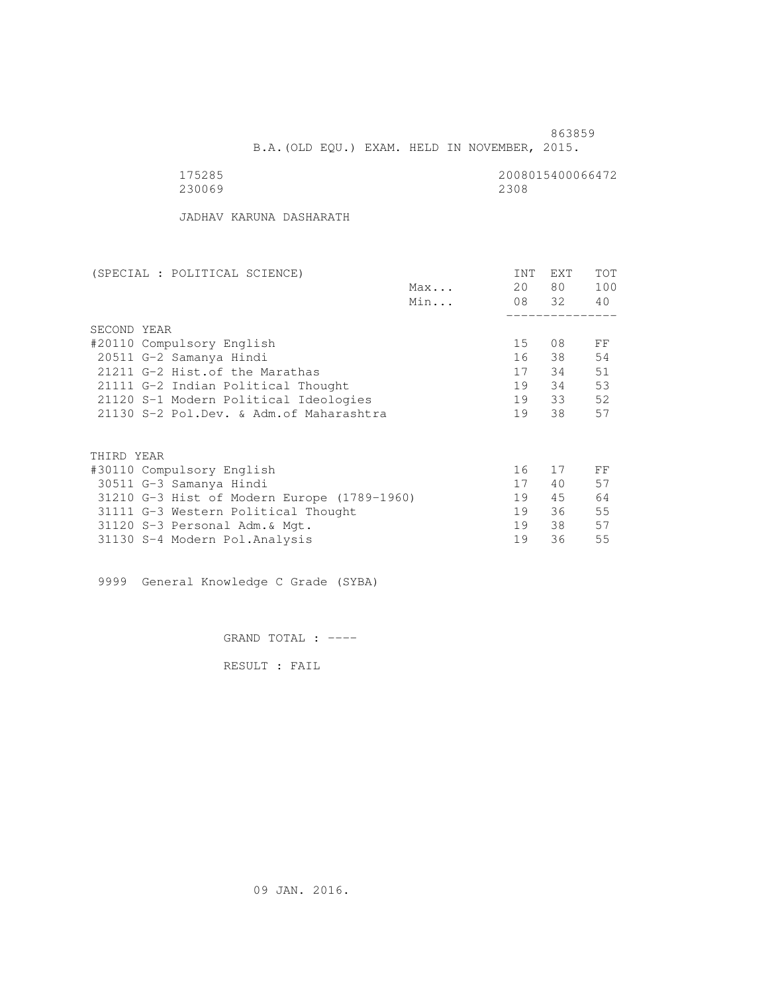863859 B.A.(OLD EQU.) EXAM. HELD IN NOVEMBER, 2015.

| 175285 | 2008015400066472 |
|--------|------------------|
| 230069 | 2308             |

JADHAV KARUNA DASHARATH

| (SPECIAL : POLITICAL SCIENCE)               |     | <b>INT</b>      | EXT   | TOT |
|---------------------------------------------|-----|-----------------|-------|-----|
|                                             | Max | 20              | 80 —  | 100 |
|                                             | Min |                 | 08 32 | 40  |
|                                             |     |                 |       |     |
| SECOND YEAR                                 |     |                 |       |     |
| #20110 Compulsory English                   |     | 15 <sub>1</sub> | 08    | FF  |
| 20511 G-2 Samanya Hindi                     |     | 16              | 38    | 54  |
| 21211 G-2 Hist. of the Marathas             |     | 17              | 34    | 51  |
| 21111 G-2 Indian Political Thought          |     | 19              | 34    | 53  |
| 21120 S-1 Modern Political Ideologies       |     | 19              | 33    | 52  |
| 21130 S-2 Pol.Dev. & Adm. of Maharashtra    |     | 19              | 38    | 57  |
|                                             |     |                 |       |     |
| THIRD YEAR                                  |     |                 |       |     |
| #30110 Compulsory English                   |     | 16              | 17    | FF  |
| 30511 G-3 Samanya Hindi                     |     | 17              | 40    | 57  |
| 31210 G-3 Hist of Modern Europe (1789-1960) |     | 19              | 45    | 64  |
| 31111 G-3 Western Political Thought         |     | 19              | 36    | 55  |
| 31120 S-3 Personal Adm. & Mgt.              |     | 19              | 38    | 57  |
| 31130 S-4 Modern Pol.Analysis               |     | 19              | 36    | 55  |

9999 General Knowledge C Grade (SYBA)

GRAND TOTAL : ----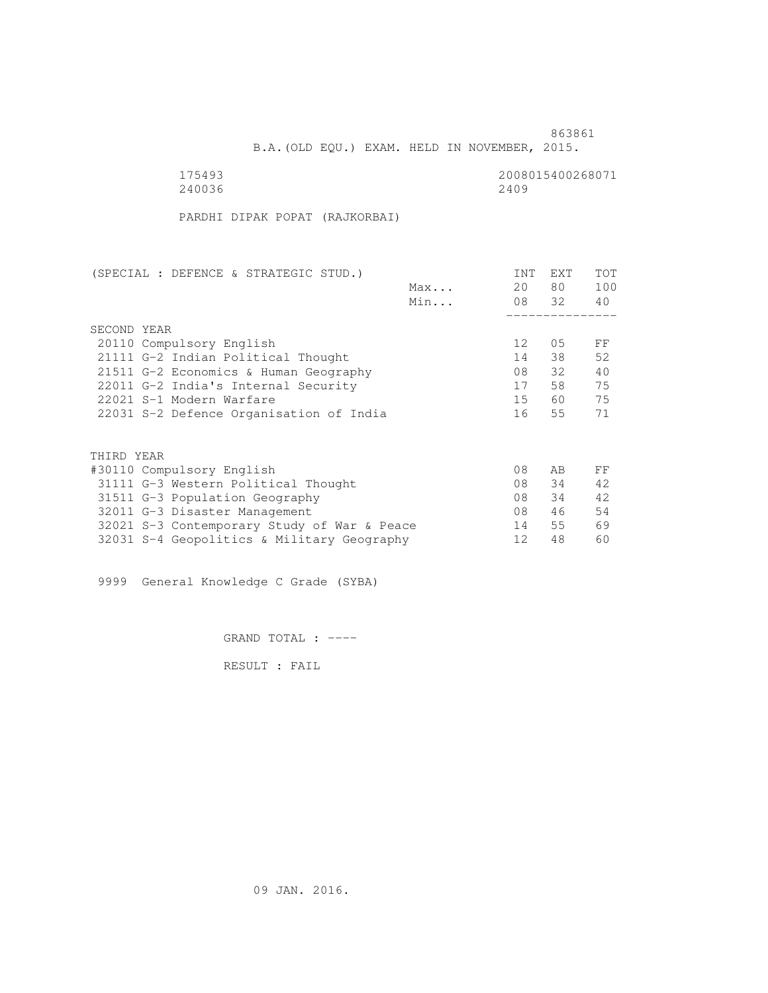**863861 863861** B.A.(OLD EQU.) EXAM. HELD IN NOVEMBER, 2015.

| 175493 | 2008015400268071 |
|--------|------------------|
| 240036 | 2409             |

PARDHI DIPAK POPAT (RAJKORBAI)

| (SPECIAL : DEFENCE & STRATEGIC STUD.)       | <b>INT</b>        | EXT   | TOT |
|---------------------------------------------|-------------------|-------|-----|
| Max                                         | 20                | 80    | 100 |
| Min                                         |                   | 08 32 | 40  |
|                                             |                   |       |     |
| SECOND YEAR                                 |                   |       |     |
| 20110 Compulsory English                    | $12 \overline{ }$ | 05    | FF  |
| 21111 G-2 Indian Political Thought          | 14                | 38    | 52  |
| 21511 G-2 Economics & Human Geography       | 08                | 32    | 40  |
| 22011 G-2 India's Internal Security         | 17                | 58    | 75  |
| 22021 S-1 Modern Warfare                    | 15                | 60    | 75  |
| 22031 S-2 Defence Organisation of India     | 16                | 55    | 71  |
|                                             |                   |       |     |
| THIRD YEAR                                  |                   |       |     |
| #30110 Compulsory English                   | 08                | AB    | FF  |
| 31111 G-3 Western Political Thought         | 08                | 34    | 42  |
| 31511 G-3 Population Geography              | 08                | 34    | 42  |
| 32011 G-3 Disaster Management               | 08                | 46    | 54  |
| 32021 S-3 Contemporary Study of War & Peace | 14                | 55    | 69  |
| 32031 S-4 Geopolitics & Military Geography  | 12                | 48    | 60  |

9999 General Knowledge C Grade (SYBA)

GRAND TOTAL : ----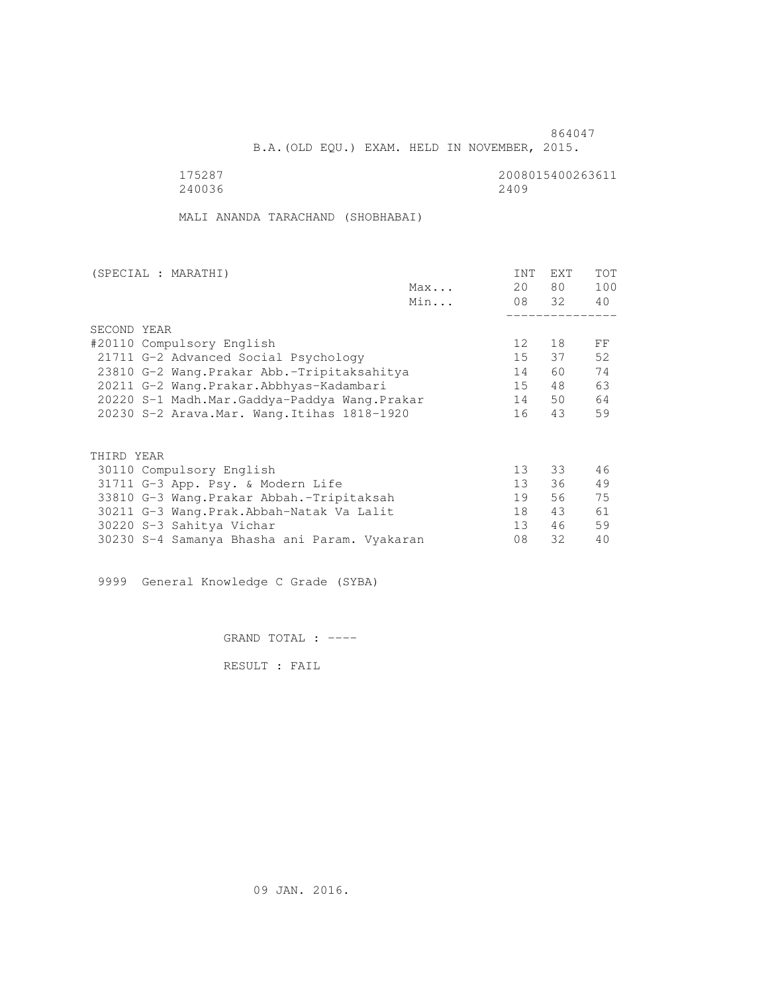B.A.(OLD EQU.) EXAM. HELD IN NOVEMBER, 2015.

 175287 2008015400263611 240036 2409

MALI ANANDA TARACHAND (SHOBHABAI)

| (SPECIAL : MARATHI)                          |     | <b>INT</b>      | EXT   | <b>TOT</b> |
|----------------------------------------------|-----|-----------------|-------|------------|
|                                              | Max | 20              | 80 —  | 100        |
|                                              | Min |                 | 08 32 | 40         |
|                                              |     |                 |       |            |
| SECOND YEAR                                  |     |                 |       |            |
| #20110 Compulsory English                    |     | 12 <sup>°</sup> | 18    | FF         |
| 21711 G-2 Advanced Social Psychology         |     | 15              | 37    | 52         |
| 23810 G-2 Wang. Prakar Abb.-Tripitaksahitya  |     | 14              | 60    | 74         |
| 20211 G-2 Wang.Prakar.Abbhyas-Kadambari      |     | 15              | 48    | 63         |
| 20220 S-1 Madh.Mar.Gaddya-Paddya Wang.Prakar |     | 14              | 50    | 64         |
| 20230 S-2 Arava. Mar. Wang. Itihas 1818-1920 |     | 16              | 43    | 59         |
|                                              |     |                 |       |            |
| THIRD YEAR                                   |     |                 |       |            |
| 30110 Compulsory English                     |     | 13              | 33    | 46         |
| 31711 G-3 App. Psy. & Modern Life            |     | 13              | 36    | 49         |
| 33810 G-3 Wang. Prakar Abbah. - Tripitaksah  |     | 19              | 56    | 75         |
| 30211 G-3 Wang. Prak. Abbah-Natak Va Lalit   |     | 18              | 43    | 61         |
| 30220 S-3 Sahitya Vichar                     |     | 13              | 46    | 59         |
| 30230 S-4 Samanya Bhasha ani Param. Vyakaran |     | 08              | 32    | 40         |

9999 General Knowledge C Grade (SYBA)

GRAND TOTAL : ----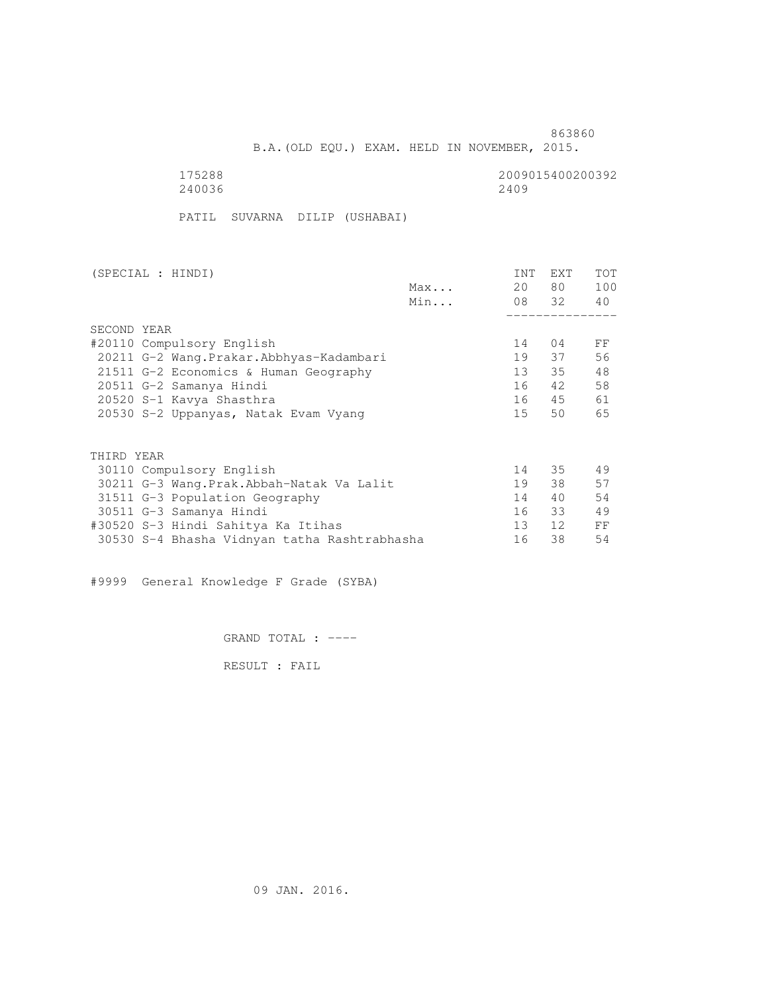B.A.(OLD EQU.) EXAM. HELD IN NOVEMBER, 2015.

| 175288 | 2009015400200392 |
|--------|------------------|
| 240036 | 2409             |

PATIL SUVARNA DILIP (USHABAI)

| (SPECIAL : HINDI)                            |     | <b>INT</b> | <b>EXT</b> | TOT |
|----------------------------------------------|-----|------------|------------|-----|
|                                              | Max | 20         | 80 —       | 100 |
|                                              | Min |            | 08 32      | 40  |
|                                              |     |            |            |     |
| SECOND YEAR                                  |     |            |            |     |
| #20110 Compulsory English                    |     | 14         | 04         | FF  |
| 20211 G-2 Wang.Prakar.Abbhyas-Kadambari      |     | 19         | 37         | 56  |
| 21511 G-2 Economics & Human Geography        |     | 13         | 35         | 48  |
| 20511 G-2 Samanya Hindi                      |     | 16         | 42         | 58  |
| 20520 S-1 Kavya Shasthra                     |     | 16         | 45         | 61  |
| 20530 S-2 Uppanyas, Natak Evam Vyang         |     | 15         | 50         | 65  |
|                                              |     |            |            |     |
| THIRD YEAR                                   |     |            |            |     |
| 30110 Compulsory English                     |     | 14         | 35         | 49  |
| 30211 G-3 Wang.Prak.Abbah-Natak Va Lalit     |     | 19         | 38         | 57  |
| 31511 G-3 Population Geography               |     | 14         | 40         | 54  |
| 30511 G-3 Samanya Hindi                      |     | 16         | 33         | 49  |
| #30520 S-3 Hindi Sahitya Ka Itihas           |     | 13         | 12         | FF  |
| 30530 S-4 Bhasha Vidnyan tatha Rashtrabhasha |     | 16         | 38         | 54  |

#9999 General Knowledge F Grade (SYBA)

GRAND TOTAL : ----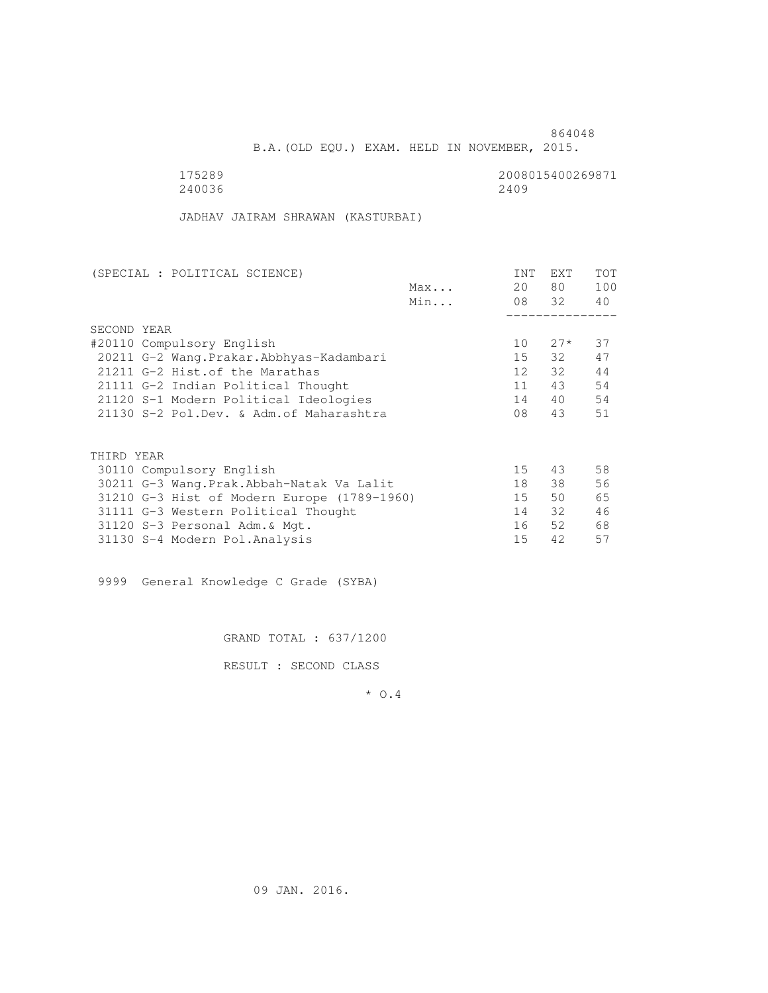B.A.(OLD EQU.) EXAM. HELD IN NOVEMBER, 2015.

240036 2409

175289<br>240036 240036 240036 25008015400269871

JADHAV JAIRAM SHRAWAN (KASTURBAI)

| (SPECIAL : POLITICAL SCIENCE)               |     | <b>INT</b>      | <b>EXT</b> | TOT |
|---------------------------------------------|-----|-----------------|------------|-----|
|                                             | Max | 20              | 80 —       | 100 |
|                                             | Min |                 | 08 32      | 40  |
|                                             |     |                 |            |     |
| SECOND YEAR                                 |     |                 |            |     |
| #20110 Compulsory English                   |     | 10              | $27*$      | 37  |
| 20211 G-2 Wang. Prakar. Abbhyas-Kadambari   |     | 15              | 32         | 47  |
| 21211 G-2 Hist. of the Marathas             |     | 12 <sup>°</sup> | 32         | 44  |
| 21111 G-2 Indian Political Thought          |     | 11              | 43         | 54  |
| 21120 S-1 Modern Political Ideologies       |     | 14              | 40         | 54  |
| 21130 S-2 Pol.Dev. & Adm. of Maharashtra    |     | 08              | 43         | 51  |
|                                             |     |                 |            |     |
| THIRD YEAR                                  |     |                 |            |     |
| 30110 Compulsory English                    |     | 15              | 43         | 58  |
| 30211 G-3 Wang.Prak.Abbah-Natak Va Lalit    |     | 18              | 38         | 56  |
| 31210 G-3 Hist of Modern Europe (1789-1960) |     | 15              | 50         | 65  |
| 31111 G-3 Western Political Thought         |     | 14              | 32         | 46  |
| 31120 S-3 Personal Adm. & Mgt.              |     | 16              | 52         | 68  |
| 31130 S-4 Modern Pol.Analysis               |     | 15              | 42         | 57  |
|                                             |     |                 |            |     |

9999 General Knowledge C Grade (SYBA)

GRAND TOTAL : 637/1200

RESULT : SECOND CLASS

\* O.4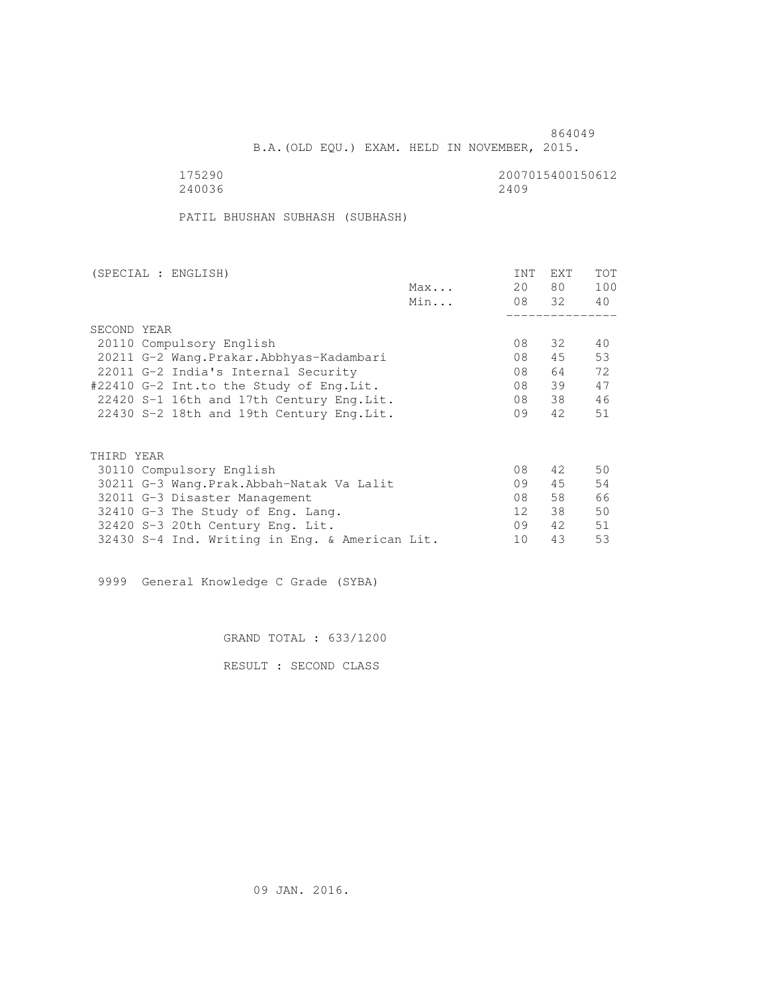B.A.(OLD EQU.) EXAM. HELD IN NOVEMBER, 2015.

175290<br>240036 240036 240036 2500 2600 2710 272 2809 240036 2409

PATIL BHUSHAN SUBHASH (SUBHASH)

| (SPECIAL : ENGLISH)                            |     | <b>INT</b>      | <b>EXT</b> | TOT |
|------------------------------------------------|-----|-----------------|------------|-----|
|                                                | Max | 20              | 80         | 100 |
|                                                | Min |                 | 08 32      | 40  |
|                                                |     |                 |            |     |
| SECOND YEAR                                    |     |                 |            |     |
| 20110 Compulsory English                       |     | 08              | 32         | 40  |
| 20211 G-2 Wang. Prakar. Abbhyas-Kadambari      |     | 08              | 45         | 53  |
| 22011 G-2 India's Internal Security            |     | 08              | 64         | 72  |
| #22410 G-2 Int.to the Study of Eng.Lit.        |     | 08              | 39         | 47  |
| 22420 S-1 16th and 17th Century Eng. Lit.      |     | 08              | 38         | 46  |
| 22430 S-2 18th and 19th Century Eng. Lit.      |     | 09              | 42         | 51  |
|                                                |     |                 |            |     |
| THIRD YEAR                                     |     |                 |            |     |
| 30110 Compulsory English                       |     | 08              | 42         | 50  |
| 30211 G-3 Wang.Prak.Abbah-Natak Va Lalit       |     | 09              | 45         | 54  |
| 32011 G-3 Disaster Management                  |     | 08              | 58         | 66  |
| 32410 G-3 The Study of Eng. Lang.              |     | 12 <sup>°</sup> | 38         | 50  |
| 32420 S-3 20th Century Eng. Lit.               |     | 09              | 42         | 51  |
| 32430 S-4 Ind. Writing in Eng. & American Lit. |     | 10              | 43         | 53  |

9999 General Knowledge C Grade (SYBA)

GRAND TOTAL : 633/1200

RESULT : SECOND CLASS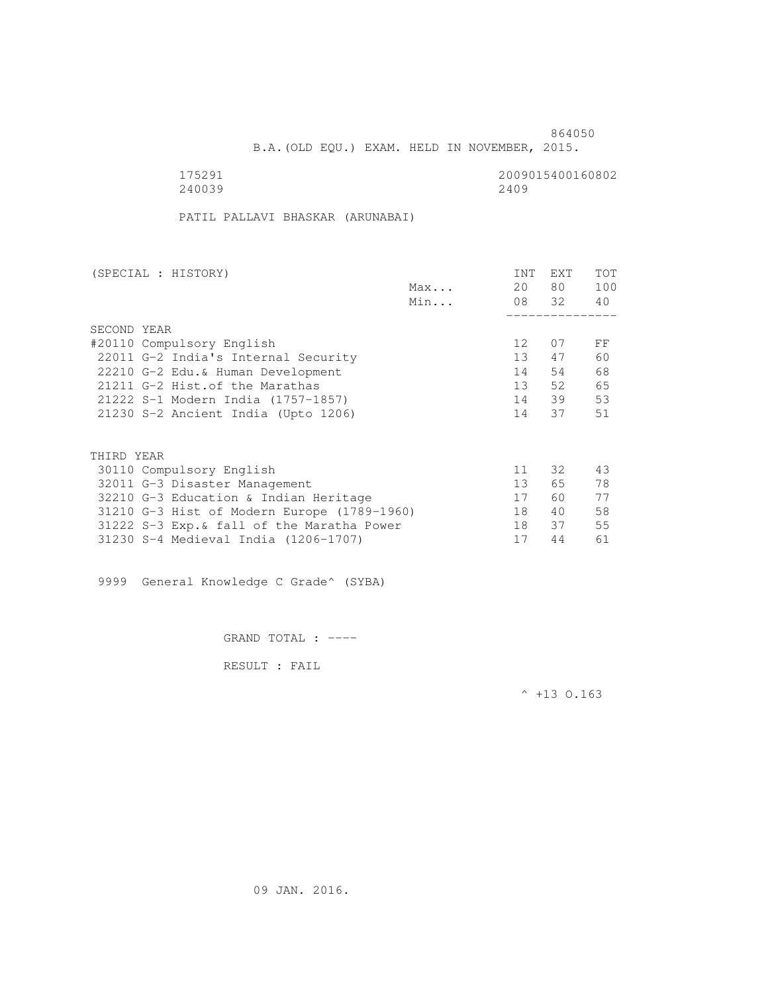B.A.(OLD EQU.) EXAM. HELD IN NOVEMBER, 2015.

175291<br>240039 240039 240039 240039

PATIL PALLAVI BHASKAR (ARUNABAI)

| (SPECIAL : HISTORY)                         |     | <b>INT</b>        | EXT   | TOT |
|---------------------------------------------|-----|-------------------|-------|-----|
|                                             | Max | 20                | 80    | 100 |
|                                             | Min |                   | 08 32 | 40  |
|                                             |     |                   |       |     |
| SECOND YEAR                                 |     |                   |       |     |
| #20110 Compulsory English                   |     | $12 \overline{ }$ | 07    | FF  |
| 22011 G-2 India's Internal Security         |     | 13                | 47    | 60  |
| 22210 G-2 Edu.& Human Development           |     | 14                | 54    | 68  |
| 21211 G-2 Hist. of the Marathas             |     | 13                | 52    | 65  |
| 21222 S-1 Modern India (1757-1857)          |     | 14                | 39    | 53  |
| 21230 S-2 Ancient India (Upto 1206)         |     | 14                | 37    | 51  |
|                                             |     |                   |       |     |
| THIRD YEAR                                  |     |                   |       |     |
| 30110 Compulsory English                    |     | 11                | 32    | 43  |
| 32011 G-3 Disaster Management               |     | 13                | 65    | 78  |
| 32210 G-3 Education & Indian Heritage       |     | 17                | 60    | 77  |
| 31210 G-3 Hist of Modern Europe (1789-1960) |     | 18                | 40    | 58  |
| 31222 S-3 Exp. & fall of the Maratha Power  |     | 18                | 37    | 55  |
| 31230 S-4 Medieval India (1206-1707)        |     | 17                | 44    | 61  |

9999 General Knowledge C Grade^ (SYBA)

GRAND TOTAL : ----

RESULT : FAIL

 $^{\wedge}$  +13 O.163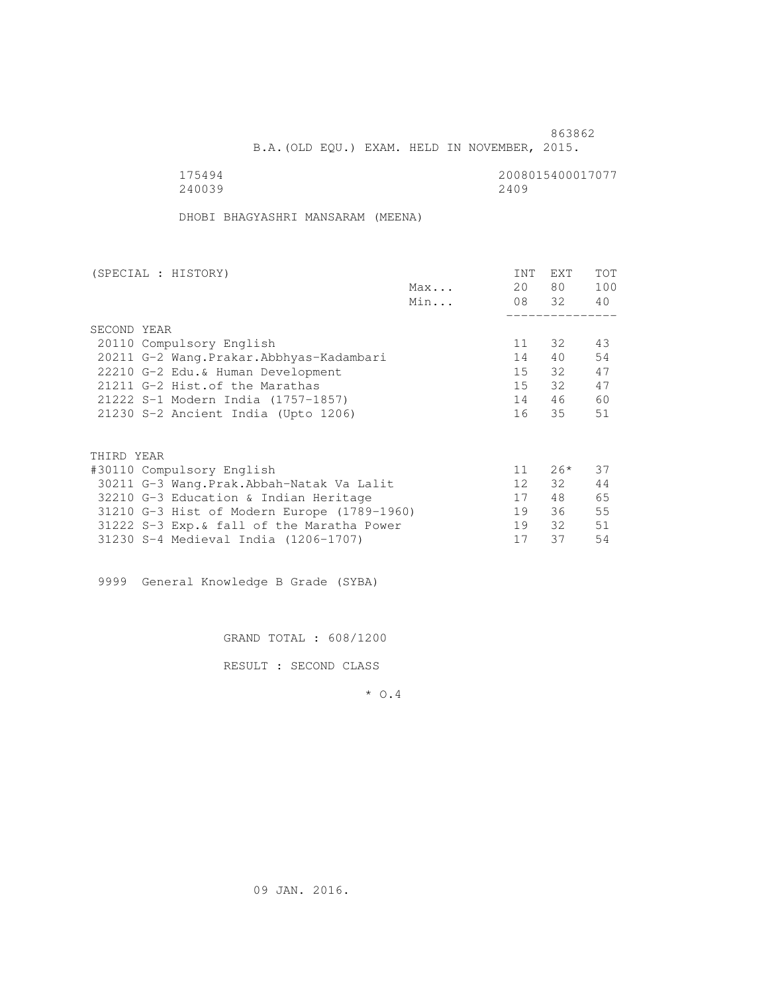B.A.(OLD EQU.) EXAM. HELD IN NOVEMBER, 2015.

240039 2409

175494<br>240039 240039 2400

DHOBI BHAGYASHRI MANSARAM (MEENA)

| (SPECIAL : HISTORY)       |                                             |     | INT | <b>EXT</b> | TOT |
|---------------------------|---------------------------------------------|-----|-----|------------|-----|
|                           |                                             | Max | 20  | 80 —       | 100 |
|                           |                                             | Min |     | 08 32      | 40  |
|                           |                                             |     |     |            |     |
| SECOND YEAR               |                                             |     |     |            |     |
|                           | 20110 Compulsory English                    |     | 11  | 32         | 43  |
|                           | 20211 G-2 Wang. Prakar. Abbhyas-Kadambari   |     | 14  | 40         | 54  |
|                           | 22210 G-2 Edu.& Human Development           |     | 15  | - 32       | 47  |
|                           | 21211 G-2 Hist. of the Marathas             |     | 15  | 32         | 47  |
|                           | 21222 S-1 Modern India (1757-1857)          |     | 14  | 46         | 60  |
|                           | 21230 S-2 Ancient India (Upto 1206)         |     | 16  | 35         | 51  |
|                           |                                             |     |     |            |     |
| THIRD YEAR                |                                             |     |     |            |     |
| #30110 Compulsory English |                                             |     | 11  | $26*$      | 37  |
|                           | 30211 G-3 Wang.Prak.Abbah-Natak Va Lalit    |     | 12  | 32         | 44  |
|                           | 32210 G-3 Education & Indian Heritage       |     | 17  | 48         | 65  |
|                           | 31210 G-3 Hist of Modern Europe (1789-1960) |     | 19  | 36         | 55  |
|                           | 31222 S-3 Exp. & fall of the Maratha Power  |     | 19  | 32         | 51  |
|                           | 31230 S-4 Medieval India (1206-1707)        |     | 17  | 37         | 54  |
|                           |                                             |     |     |            |     |

9999 General Knowledge B Grade (SYBA)

GRAND TOTAL : 608/1200

RESULT : SECOND CLASS

\* O.4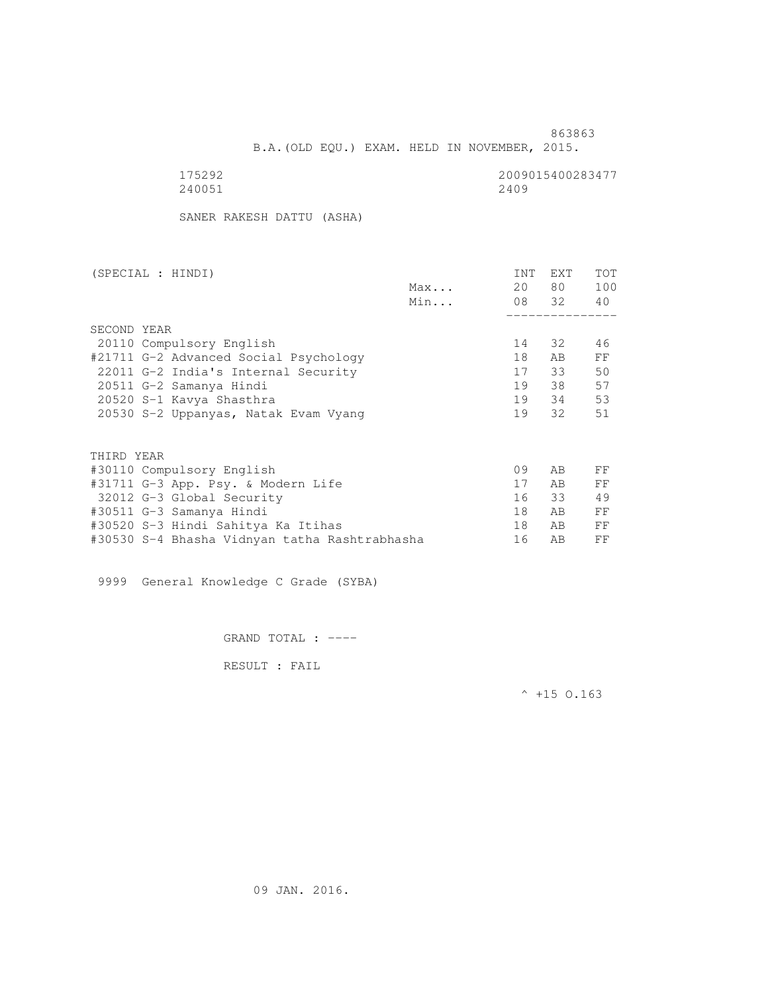B.A.(OLD EQU.) EXAM. HELD IN NOVEMBER, 2015.

| 175292 | 2009015400283477 |
|--------|------------------|
| 240051 | 2409             |

SANER RAKESH DATTU (ASHA)

| (SPECIAL : HINDI)                             |     | INT | EXT      | TOT |
|-----------------------------------------------|-----|-----|----------|-----|
|                                               | Max | 20  | 80 —     | 100 |
|                                               | Min |     | 08 32 40 |     |
|                                               |     |     |          |     |
| SECOND YEAR                                   |     |     |          |     |
| 20110 Compulsory English                      |     | 14  | 32       | 46  |
| #21711 G-2 Advanced Social Psychology         |     | 18  | AB.      | FF  |
| 22011 G-2 India's Internal Security           |     | 17  | 33       | 50  |
| 20511 G-2 Samanya Hindi                       |     | 19  | 38       | 57  |
| 20520 S-1 Kavya Shasthra                      |     | 19  | 34       | 53  |
| 20530 S-2 Uppanyas, Natak Evam Vyang          |     | 19  | 32       | 51  |
|                                               |     |     |          |     |
| THIRD YEAR                                    |     | 09  | AB       |     |
| #30110 Compulsory English                     |     |     |          | FF  |
| #31711 G-3 App. Psy. & Modern Life            |     | 17  | AB.      | FF  |
| 32012 G-3 Global Security                     |     | 16  | 33       | 49  |
| #30511 G-3 Samanya Hindi                      |     | 18  | AB       | FF  |
| #30520 S-3 Hindi Sahitya Ka Itihas            |     | 18  | AB.      | FF  |
| #30530 S-4 Bhasha Vidnyan tatha Rashtrabhasha |     | 16  | AB       | FF  |

9999 General Knowledge C Grade (SYBA)

GRAND TOTAL : ----

RESULT : FAIL

 $^{\wedge}$  +15 O.163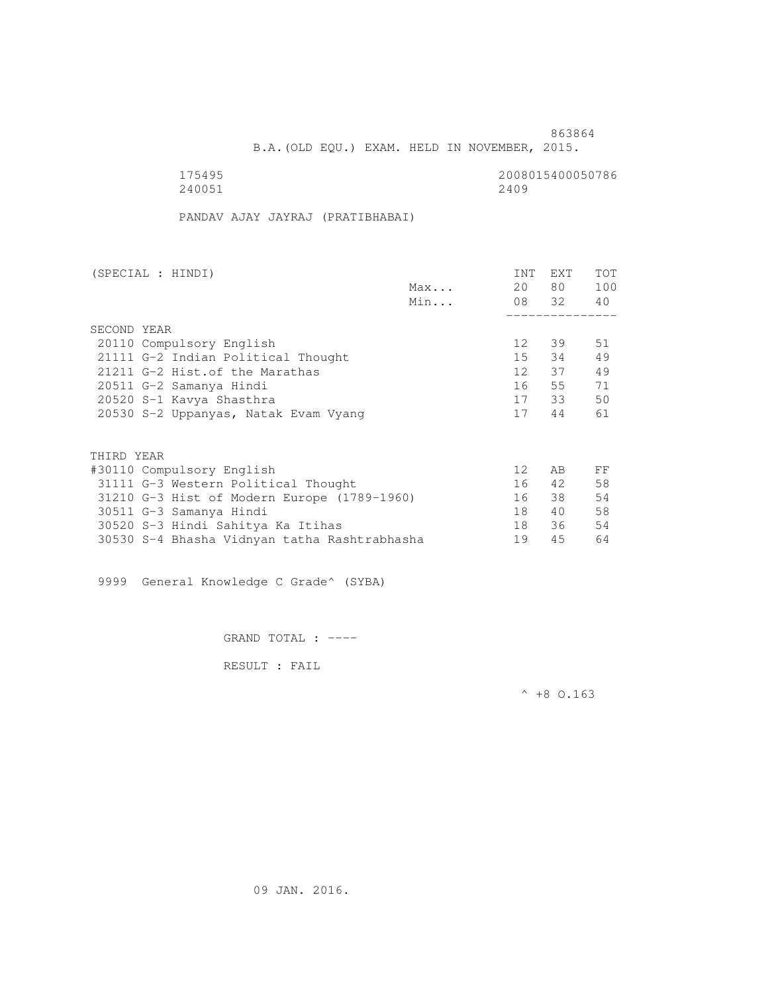B.A.(OLD EQU.) EXAM. HELD IN NOVEMBER, 2015.

175495<br>240051 240051 240051 240051 240051 2400 2400 22400 22400 22400 22400 22400 22400 22400 22400 22400 22400 22400 22400 22400 22400 22

PANDAV AJAY JAYRAJ (PRATIBHABAI)

| (SPECIAL : HINDI)                            |     | INT             | <b>EXT</b> | TOT |
|----------------------------------------------|-----|-----------------|------------|-----|
|                                              | Max | 20              | 80 —       | 100 |
|                                              | Min |                 | 08 32 40   |     |
|                                              |     |                 |            |     |
| SECOND YEAR                                  |     |                 |            |     |
| 20110 Compulsory English                     |     | 12              | 39         | 51  |
| 21111 G-2 Indian Political Thought           |     | 15              | 34         | 49  |
| 21211 G-2 Hist. of the Marathas              |     | 12              | 37         | 49  |
| 20511 G-2 Samanya Hindi                      |     | 16              | 55         | 71  |
| 20520 S-1 Kavya Shasthra                     |     |                 | 17 33      | 50  |
| 20530 S-2 Uppanyas, Natak Evam Vyang         |     | 17              | 44         | 61  |
|                                              |     |                 |            |     |
| THIRD YEAR                                   |     |                 |            |     |
| #30110 Compulsory English                    |     | 12 <sup>°</sup> | AB.        | FF  |
| 31111 G-3 Western Political Thought          |     | 16              | 42         | 58  |
| 31210 G-3 Hist of Modern Europe (1789-1960)  |     | 16              | 38         | 54  |
| 30511 G-3 Samanya Hindi                      |     | 18              | 40         | 58  |
| 30520 S-3 Hindi Sahitya Ka Itihas            |     | 18              | - 36       | 54  |
| 30530 S-4 Bhasha Vidnyan tatha Rashtrabhasha |     | 19              | 45         | 64  |
|                                              |     |                 |            |     |

9999 General Knowledge C Grade^ (SYBA)

GRAND TOTAL : ----

RESULT : FAIL

 $^{\wedge}$  +8 O.163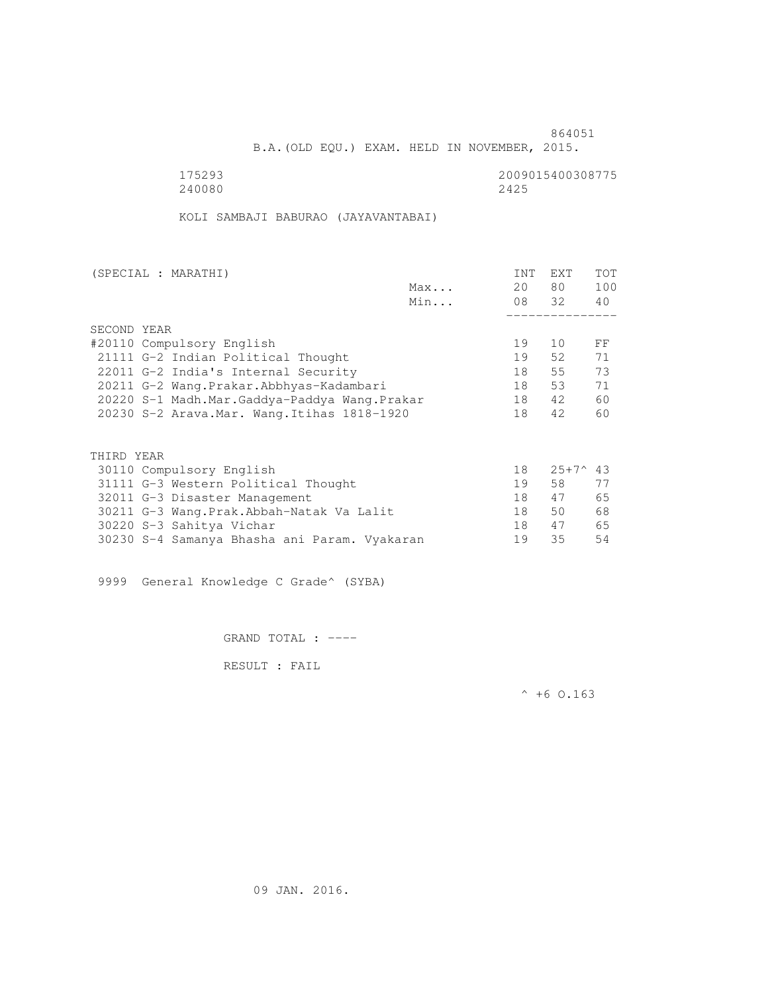B.A.(OLD EQU.) EXAM. HELD IN NOVEMBER, 2015.

 175293 2009015400308775 240080 2425

KOLI SAMBAJI BABURAO (JAYAVANTABAI)

| (SPECIAL : MARATHI)                          |     | <b>INT</b> | <b>EXT</b>        | <b>TOT</b> |
|----------------------------------------------|-----|------------|-------------------|------------|
|                                              | Max | 20         | 80                | 100        |
|                                              | Min | 08 32      |                   | 40         |
|                                              |     |            |                   |            |
| SECOND YEAR                                  |     |            |                   |            |
| #20110 Compulsory English                    |     | 19         | 10                | FF         |
| 21111 G-2 Indian Political Thought           |     | 19         | 52                | 71         |
| 22011 G-2 India's Internal Security          |     | 18         | 55                | 73         |
| 20211 G-2 Wang.Prakar.Abbhyas-Kadambari      |     | 18         | 53                | 71         |
| 20220 S-1 Madh.Mar.Gaddya-Paddya Wang.Prakar |     | 18         | 42                | 60         |
| 20230 S-2 Arava. Mar. Wang. Itihas 1818-1920 |     | 18         | 42                | 60         |
|                                              |     |            |                   |            |
|                                              |     |            |                   |            |
| THIRD YEAR                                   |     |            |                   |            |
| 30110 Compulsory English                     |     | 18         | $25+7^{\circ}$ 43 |            |
| 31111 G-3 Western Political Thought          |     | 19         | 58                | 77         |
| 32011 G-3 Disaster Management                |     | 18         | 47                | 65         |
| 30211 G-3 Wang.Prak.Abbah-Natak Va Lalit     |     | 18         | 50                | 68         |
| 30220 S-3 Sahitya Vichar                     |     | 18         | 47                | 65         |

30230 S-4 Samanya Bhasha ani Param. Vyakaran 19 35 54

9999 General Knowledge C Grade^ (SYBA)

GRAND TOTAL : ----

RESULT : FAIL

 $^{\wedge}$  +6 O.163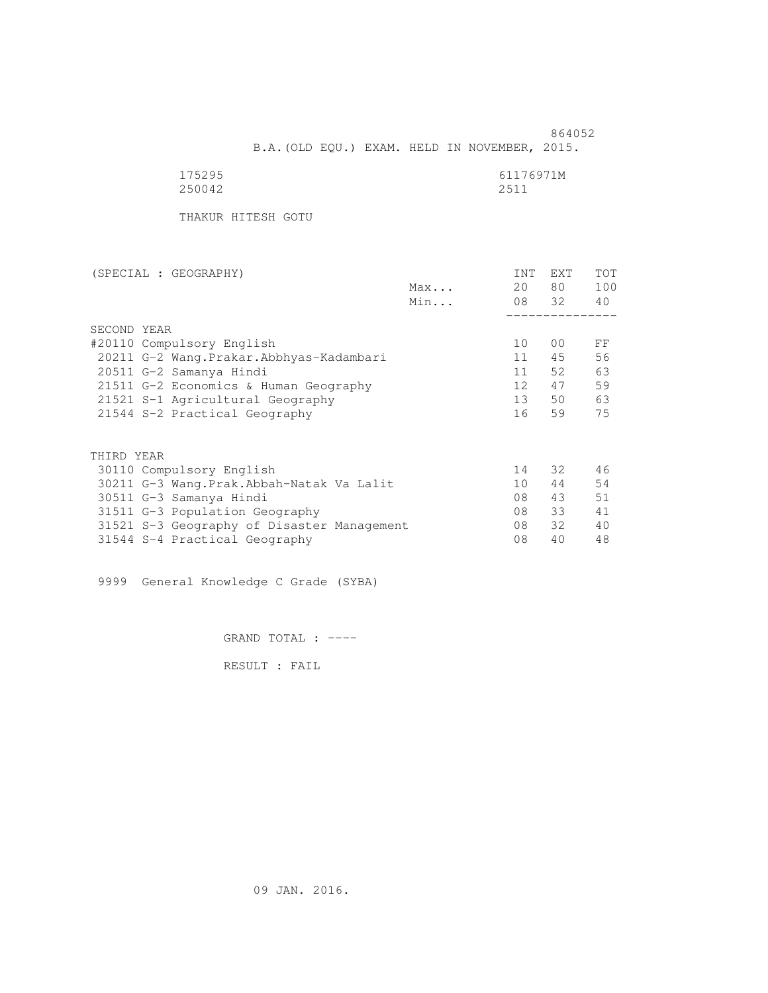864052 B.A.(OLD EQU.) EXAM. HELD IN NOVEMBER, 2015.

| 175295 | 61176971M |
|--------|-----------|
| 250042 | 2511      |

THAKUR HITESH GOTU

| (SPECIAL : GEOGRAPHY)                      |     | INT             | <b>EXT</b>     | TOT |
|--------------------------------------------|-----|-----------------|----------------|-----|
|                                            | Max | 20              | 80 —           | 100 |
|                                            | Min |                 | 08 32          | 40  |
|                                            |     |                 |                |     |
| SECOND YEAR                                |     |                 |                |     |
| #20110 Compulsory English                  |     | 10              | 0 <sup>0</sup> | FF  |
| 20211 G-2 Wang.Prakar.Abbhyas-Kadambari    |     | 11              | 45             | 56  |
| 20511 G-2 Samanya Hindi                    |     | 11              | 52             | 63  |
| 21511 G-2 Economics & Human Geography      |     | 12 <sup>7</sup> | 47             | 59  |
| 21521 S-1 Agricultural Geography           |     | 13              | 50             | 63  |
| 21544 S-2 Practical Geography              |     | 16              | 59             | 75  |
|                                            |     |                 |                |     |
| THIRD YEAR                                 |     |                 |                |     |
| 30110 Compulsory English                   |     | 14              | 32             | 46  |
| 30211 G-3 Wang.Prak.Abbah-Natak Va Lalit   |     | 10              | 44             | 54  |
| 30511 G-3 Samanya Hindi                    |     | 08              | 43             | 51  |
| 31511 G-3 Population Geography             |     | 08              | 33             | 41  |
| 31521 S-3 Geography of Disaster Management |     | 08              | 32             | 40  |
| 31544 S-4 Practical Geography              |     | 08              | 40             | 48  |
|                                            |     |                 |                |     |

9999 General Knowledge C Grade (SYBA)

GRAND TOTAL : ----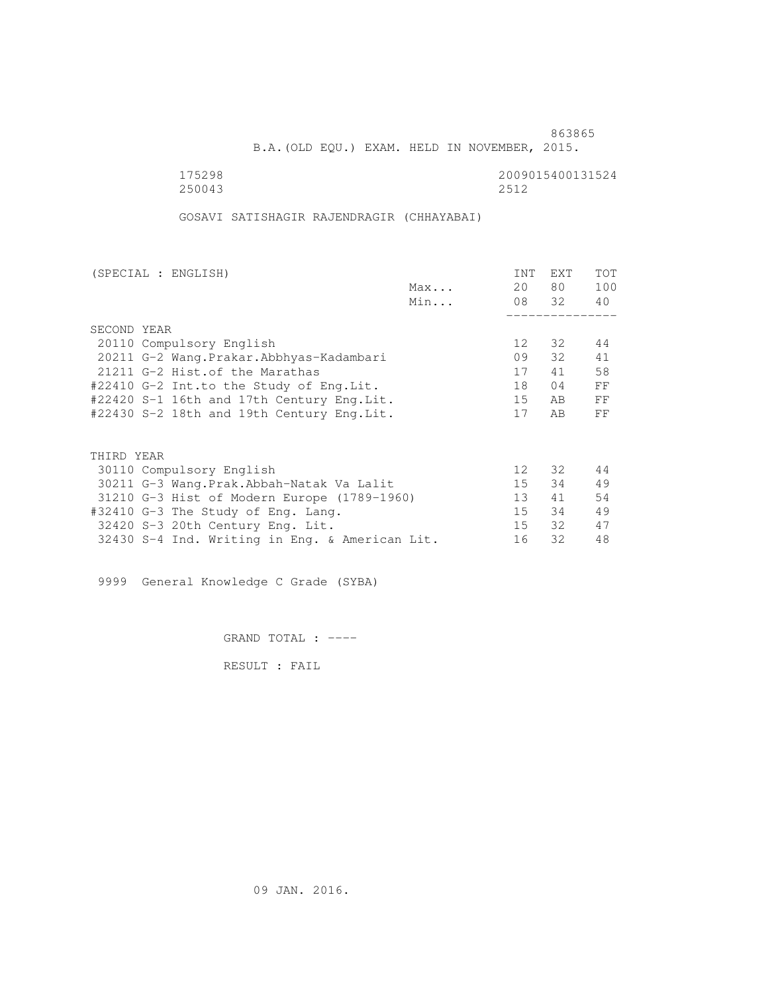B.A.(OLD EQU.) EXAM. HELD IN NOVEMBER, 2015.

 175298 2009015400131524 250043 2512

GOSAVI SATISHAGIR RAJENDRAGIR (CHHAYABAI)

| (SPECIAL : ENGLISH)                            |     | INT             | EXT    | <b>TOT</b> |
|------------------------------------------------|-----|-----------------|--------|------------|
|                                                | Max | 20              | 80 —   | 100        |
|                                                | Min |                 | 08 32  | 40         |
|                                                |     |                 |        |            |
| SECOND YEAR                                    |     |                 |        |            |
| 20110 Compulsory English                       |     | 12 <sup>°</sup> | 32     | 44         |
| 20211 G-2 Wang. Prakar. Abbhyas-Kadambari      |     | 09              | $32 -$ | 41         |
| 21211 G-2 Hist. of the Marathas                |     | 17              | 41     | 58         |
| #22410 G-2 Int.to the Study of Eng.Lit.        |     | 18              | 04     | FF         |
| #22420 S-1 16th and 17th Century Eng.Lit.      |     | 15              | AB.    | FF         |
| #22430 S-2 18th and 19th Century Eng.Lit.      |     | 17              | AB.    | FF         |
|                                                |     |                 |        |            |
| THIRD YEAR                                     |     |                 |        |            |
| 30110 Compulsory English                       |     | 12 <sup>°</sup> | 32     | 44         |
| 30211 G-3 Wang.Prak.Abbah-Natak Va Lalit       |     | 15              | 34     | 49         |
| 31210 G-3 Hist of Modern Europe (1789-1960)    |     | 13 <sup>1</sup> | 41     | 54         |
| #32410 G-3 The Study of Eng. Lang.             |     | $15 -$          | 34     | 49         |
| 32420 S-3 20th Century Eng. Lit.               |     | 15              | 32     | 47         |
| 32430 S-4 Ind. Writing in Eng. & American Lit. |     | 16              | 32     | 48         |
|                                                |     |                 |        |            |

9999 General Knowledge C Grade (SYBA)

GRAND TOTAL : ----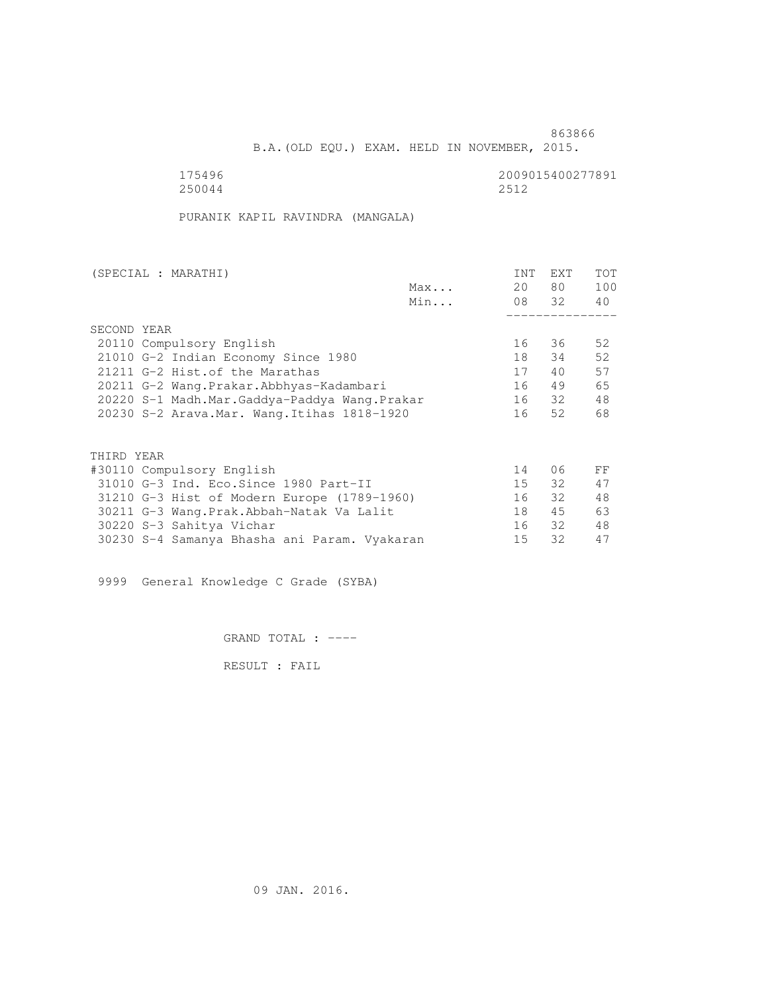B.A.(OLD EQU.) EXAM. HELD IN NOVEMBER, 2015.

175496<br>250044 250044 250044 250044 2512

PURANIK KAPIL RAVINDRA (MANGALA)

| (SPECIAL : MARATHI)                          |     | INT | EXT   | <b>TOT</b> |
|----------------------------------------------|-----|-----|-------|------------|
|                                              | Max | 20  | 80 —  | 100        |
|                                              | Min |     | 08 32 | 40         |
|                                              |     |     |       |            |
| SECOND YEAR                                  |     |     |       |            |
| 20110 Compulsory English                     |     | 16  | 36    | 52         |
| 21010 G-2 Indian Economy Since 1980          |     | 18  | 34    | 52         |
| 21211 G-2 Hist. of the Marathas              |     | 17  | 40    | 57         |
| 20211 G-2 Wang.Prakar.Abbhyas-Kadambari      |     | 16  | 49    | 65         |
| 20220 S-1 Madh.Mar.Gaddya-Paddya Wang.Prakar |     | 16  | 32    | 48         |
| 20230 S-2 Arava. Mar. Wang. Itihas 1818-1920 |     | 16  | 52    | 68         |
|                                              |     |     |       |            |
| THIRD YEAR                                   |     |     |       |            |
|                                              |     | 14  | 06    | FF         |
| #30110 Compulsory English                    |     |     |       |            |
| 31010 G-3 Ind. Eco. Since 1980 Part-II       |     | 15  | 32    | 47         |
| 31210 G-3 Hist of Modern Europe (1789-1960)  |     | 16  | 32    | 48         |
| 30211 G-3 Wang. Prak. Abbah-Natak Va Lalit   |     | 18  | 45    | 63         |
| 30220 S-3 Sahitya Vichar                     |     | 16  | 32    | 48         |
| 30230 S-4 Samanya Bhasha ani Param. Vyakaran |     | 15  | 32    | 47         |

9999 General Knowledge C Grade (SYBA)

GRAND TOTAL : ----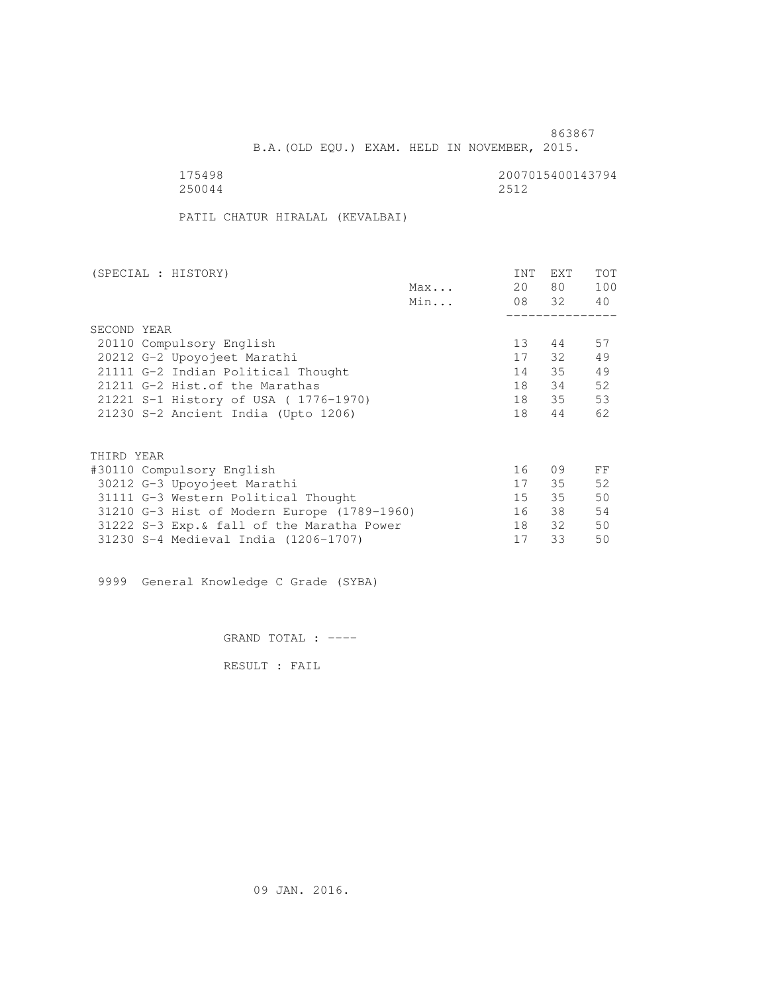B.A.(OLD EQU.) EXAM. HELD IN NOVEMBER, 2015.

175498 2007015400143794 2007015400143794 250044 2512

PATIL CHATUR HIRALAL (KEVALBAI)

| (SPECIAL : HISTORY)                         |     | INT | EXT      | TOT |
|---------------------------------------------|-----|-----|----------|-----|
|                                             | Max | 20  | 80 —     | 100 |
|                                             | Min |     | 08 32 40 |     |
|                                             |     |     |          |     |
| SECOND YEAR                                 |     |     |          |     |
| 20110 Compulsory English                    |     | 13  | 44       | 57  |
| 20212 G-2 Upoyojeet Marathi                 |     | 17  | 32       | 49  |
| 21111 G-2 Indian Political Thought          |     | 14  | 35       | 49  |
| 21211 G-2 Hist. of the Marathas             |     | 18  | 34       | 52  |
| 21221 S-1 History of USA (1776-1970)        |     | 18  | 35       | 53  |
| 21230 S-2 Ancient India (Upto 1206)         |     | 18  | 44       | 62  |
|                                             |     |     |          |     |
| THIRD YEAR                                  |     |     |          |     |
| #30110 Compulsory English                   |     | 16  | 09       | FF  |
| 30212 G-3 Upoyojeet Marathi                 |     | 17  | 35       | 52  |
| 31111 G-3 Western Political Thought         |     | 15  | 35       | 50  |
| 31210 G-3 Hist of Modern Europe (1789-1960) |     | 16  | 38       | 54  |
| 31222 S-3 Exp. & fall of the Maratha Power  |     | 18  | 32       | 50  |
| 31230 S-4 Medieval India (1206-1707)        |     | 17  | 33       | 50  |
|                                             |     |     |          |     |

9999 General Knowledge C Grade (SYBA)

GRAND TOTAL : ----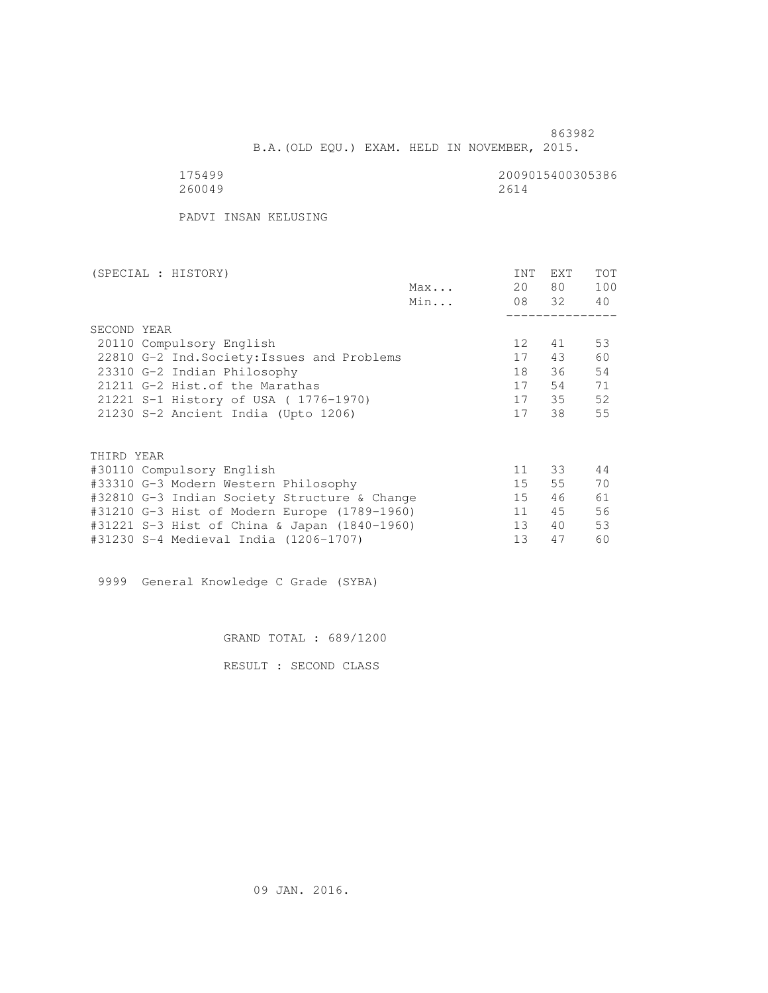B.A.(OLD EQU.) EXAM. HELD IN NOVEMBER, 2015.

| 5.<br>499  |  |
|------------|--|
| 2600<br>49 |  |

2009015400305386<br>2614

PADVI INSAN KELUSING

| (SPECIAL : HISTORY)                          |     | INT             | <b>EXT</b> | <b>TOT</b> |
|----------------------------------------------|-----|-----------------|------------|------------|
|                                              | Max | 20              | 80 —       | 100        |
|                                              | Min |                 | 08 32      | 40         |
|                                              |     |                 |            |            |
| SECOND YEAR                                  |     |                 |            |            |
| 20110 Compulsory English                     |     | 12 <sup>°</sup> | 41         | 53         |
| 22810 G-2 Ind. Society: Issues and Problems  |     | 17              | 43         | 60         |
| 23310 G-2 Indian Philosophy                  |     | 18              | 36         | 54         |
| 21211 G-2 Hist. of the Marathas              |     | 17              | 54         | 71         |
| 21221 S-1 History of USA (1776-1970)         |     | 17              | 35         | 52         |
| 21230 S-2 Ancient India (Upto 1206)          |     | 17              | 38         | 55         |
|                                              |     |                 |            |            |
|                                              |     |                 |            |            |
| THIRD YEAR                                   |     |                 |            |            |
| #30110 Compulsory English                    |     | 11              | 33         | 44         |
| #33310 G-3 Modern Western Philosophy         |     | 15              | 55         | 70         |
| #32810 G-3 Indian Society Structure & Change |     | 15              | 46         | 61         |
| #31210 G-3 Hist of Modern Europe (1789-1960) |     | 11              | 45         | 56         |
| #31221 S-3 Hist of China & Japan (1840-1960) |     | 13              | 40         | 53         |
| #31230 S-4 Medieval India (1206-1707)        |     | 13              | 47         | 60         |

9999 General Knowledge C Grade (SYBA)

GRAND TOTAL : 689/1200

RESULT : SECOND CLASS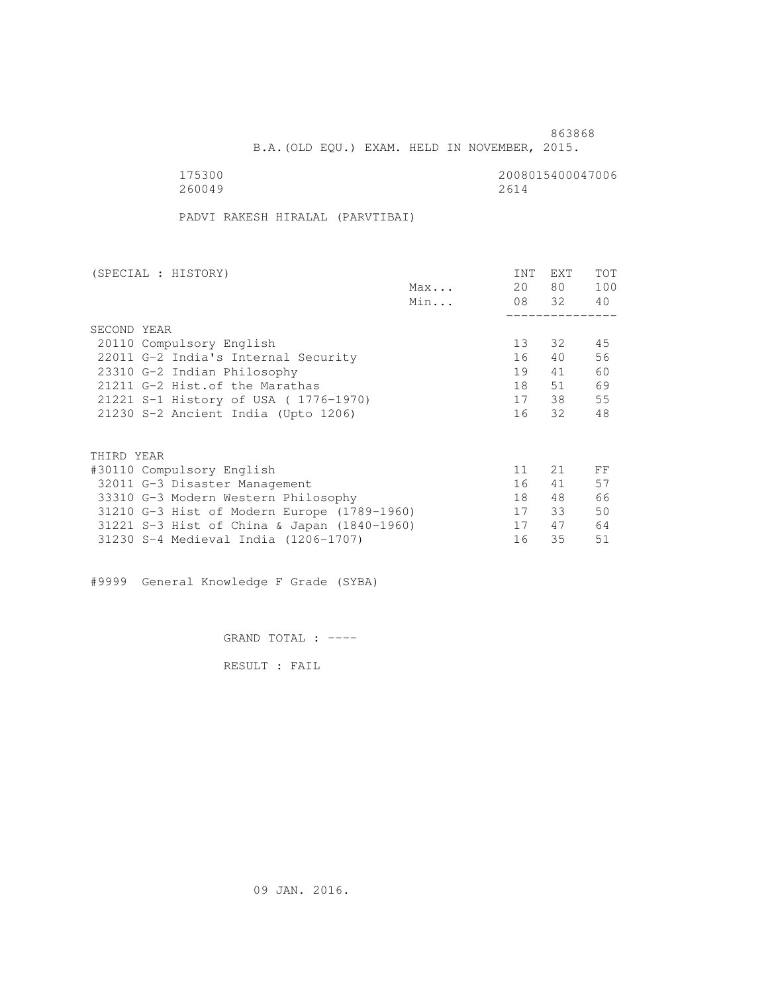B.A.(OLD EQU.) EXAM. HELD IN NOVEMBER, 2015.

175300<br>260049 2008015400047006 260049 2614

PADVI RAKESH HIRALAL (PARVTIBAI)

| (SPECIAL : HISTORY)                         |     | <b>INT</b> | <b>EXT</b> | TOT |
|---------------------------------------------|-----|------------|------------|-----|
|                                             | Max | 20         | 80         | 100 |
|                                             | Min |            | 08 32      | 40  |
|                                             |     |            |            |     |
| SECOND YEAR                                 |     |            |            |     |
| 20110 Compulsory English                    |     | 13         | 32         | 45  |
| 22011 G-2 India's Internal Security         |     | 16         | 40         | 56  |
| 23310 G-2 Indian Philosophy                 |     | 19         | 41         | 60  |
| 21211 G-2 Hist. of the Marathas             |     | 18         | 51         | 69  |
| 21221 S-1 History of USA (1776-1970)        |     | 17         | 38         | 55  |
| 21230 S-2 Ancient India (Upto 1206)         |     | 16         | 32         | 48  |
|                                             |     |            |            |     |
| THIRD YEAR                                  |     |            |            |     |
| #30110 Compulsory English                   |     | 11         | 21         | FF  |
| 32011 G-3 Disaster Management               |     | 16         | 41         | 57  |
| 33310 G-3 Modern Western Philosophy         |     | 18         | 48         | 66  |
| 31210 G-3 Hist of Modern Europe (1789-1960) |     | 17         | 33         | 50  |
| 31221 S-3 Hist of China & Japan (1840-1960) |     | 17         | 47         | 64  |
| 31230 S-4 Medieval India (1206-1707)        |     | 16         | 35         | 51  |
|                                             |     |            |            |     |

#9999 General Knowledge F Grade (SYBA)

GRAND TOTAL : ----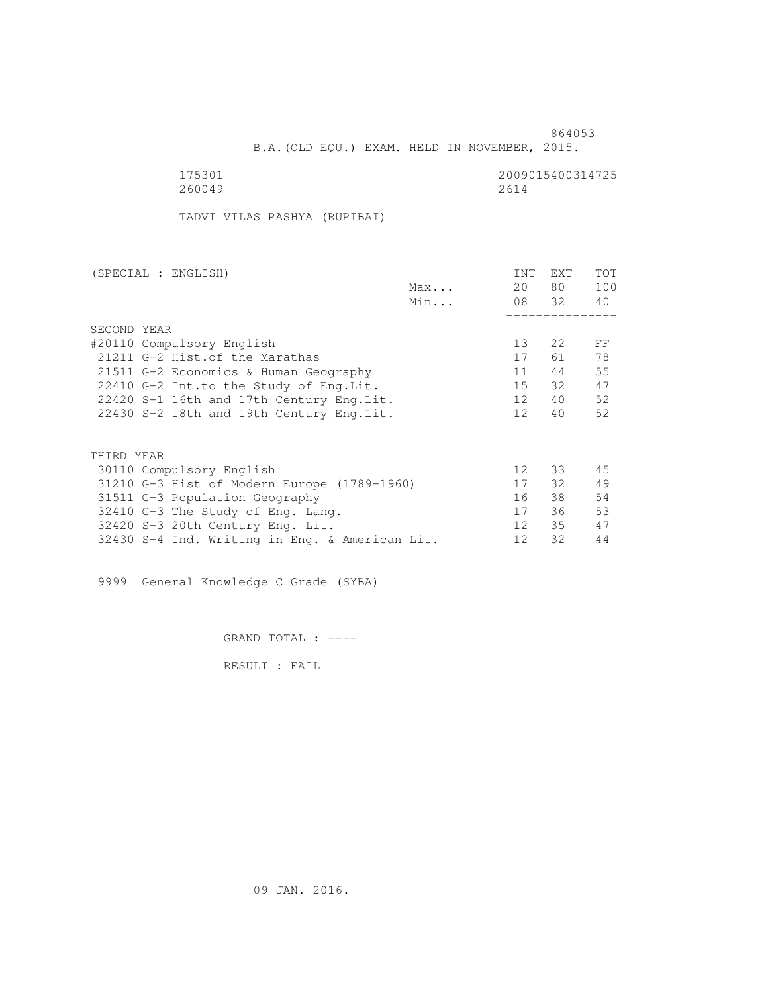B.A.(OLD EQU.) EXAM. HELD IN NOVEMBER, 2015.

 175301 2009015400314725 260049 2614

TADVI VILAS PASHYA (RUPIBAI)

| (SPECIAL : ENGLISH)                            |     | INT             | EXT   | TOT |
|------------------------------------------------|-----|-----------------|-------|-----|
|                                                | Max | 20              | 80 —  | 100 |
|                                                | Min |                 | 08 32 | 40  |
|                                                |     |                 |       |     |
| SECOND YEAR                                    |     |                 |       |     |
| #20110 Compulsory English                      |     | 13 <sup>°</sup> | 2.2   | FF  |
| 21211 G-2 Hist. of the Marathas                |     | 17              | 61    | 78  |
| 21511 G-2 Economics & Human Geography          |     | 11              | 44    | 55  |
| 22410 G-2 Int.to the Study of Eng. Lit.        |     | 15              | 32    | 47  |
| 22420 S-1 16th and 17th Century Eng. Lit.      |     | 12              | 40    | 52  |
| 22430 S-2 18th and 19th Century Eng. Lit.      |     | 12 <sup>°</sup> | 40    | 52  |
|                                                |     |                 |       |     |
| THIRD YEAR                                     |     |                 |       |     |
| 30110 Compulsory English                       |     | 12 <sup>°</sup> | 33    | 45  |
| 31210 G-3 Hist of Modern Europe (1789-1960)    |     | 17              | 32 F  | 49  |
| 31511 G-3 Population Geography                 |     | 16              | 38    | 54  |
| 32410 G-3 The Study of Eng. Lang.              |     | 17              | 36    | 53  |
| 32420 S-3 20th Century Eng. Lit.               |     | 12 <sup>°</sup> | 35    | 47  |
| 32430 S-4 Ind. Writing in Eng. & American Lit. |     | 12              | 32    | 44  |

9999 General Knowledge C Grade (SYBA)

GRAND TOTAL : ----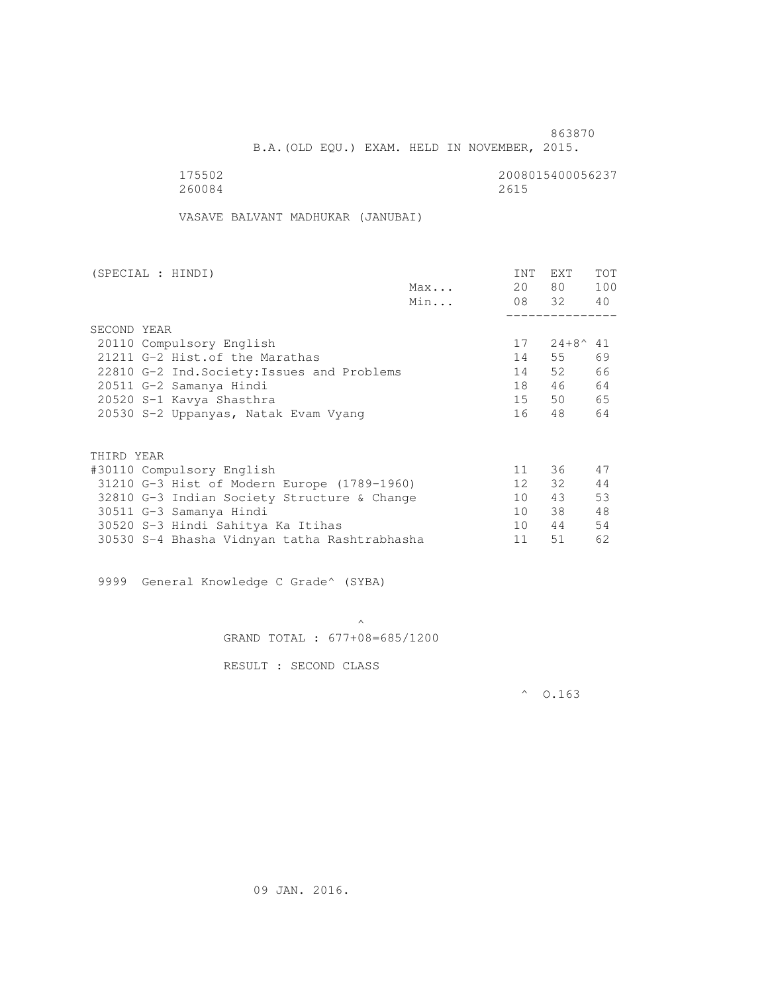B.A.(OLD EQU.) EXAM. HELD IN NOVEMBER, 2015.

175502<br>260084 260084 260084 260084 2615

VASAVE BALVANT MADHUKAR (JANUBAI)

| (SPECIAL : HINDI) |                                              |     | INT             | EXT               | <b>TOT</b> |
|-------------------|----------------------------------------------|-----|-----------------|-------------------|------------|
|                   |                                              | Max | 20              | 80 —              | 100        |
|                   |                                              | Min |                 | 08 32 40          |            |
|                   |                                              |     |                 |                   |            |
| SECOND YEAR       |                                              |     |                 |                   |            |
|                   | 20110 Compulsory English                     |     | 17              | $24+8^{\wedge}41$ |            |
|                   | 21211 G-2 Hist. of the Marathas              |     | 14              | 55                | 69         |
|                   | 22810 G-2 Ind. Society: Issues and Problems  |     | 14              | 52                | 66         |
|                   | 20511 G-2 Samanya Hindi                      |     | 18              | 46                | 64         |
|                   | 20520 S-1 Kavya Shasthra                     |     | 15              | 50                | 65         |
|                   | 20530 S-2 Uppanyas, Natak Evam Vyang         |     | 16              | 48                | 64         |
|                   |                                              |     |                 |                   |            |
| THIRD YEAR        |                                              |     |                 |                   |            |
|                   | #30110 Compulsory English                    |     | 11              | 36                | 47         |
|                   | 31210 G-3 Hist of Modern Europe (1789-1960)  |     | 12 <sup>7</sup> | 32                | 44         |
|                   | 32810 G-3 Indian Society Structure & Change  |     | 10              | 43                | 53         |
|                   | 30511 G-3 Samanya Hindi                      |     | 10              | 38                | 48         |
|                   | 30520 S-3 Hindi Sahitya Ka Itihas            |     | 10              | 44                | 54         |
|                   | 30530 S-4 Bhasha Vidnyan tatha Rashtrabhasha |     | 11              | 51                | 62         |

9999 General Knowledge C Grade^ (SYBA)

 $\mathcal{A}$  and  $\mathcal{A}$  are the set of  $\mathcal{A}$ GRAND TOTAL : 677+08=685/1200

RESULT : SECOND CLASS

 $^{\circ}$  0.163

09 JAN. 2016.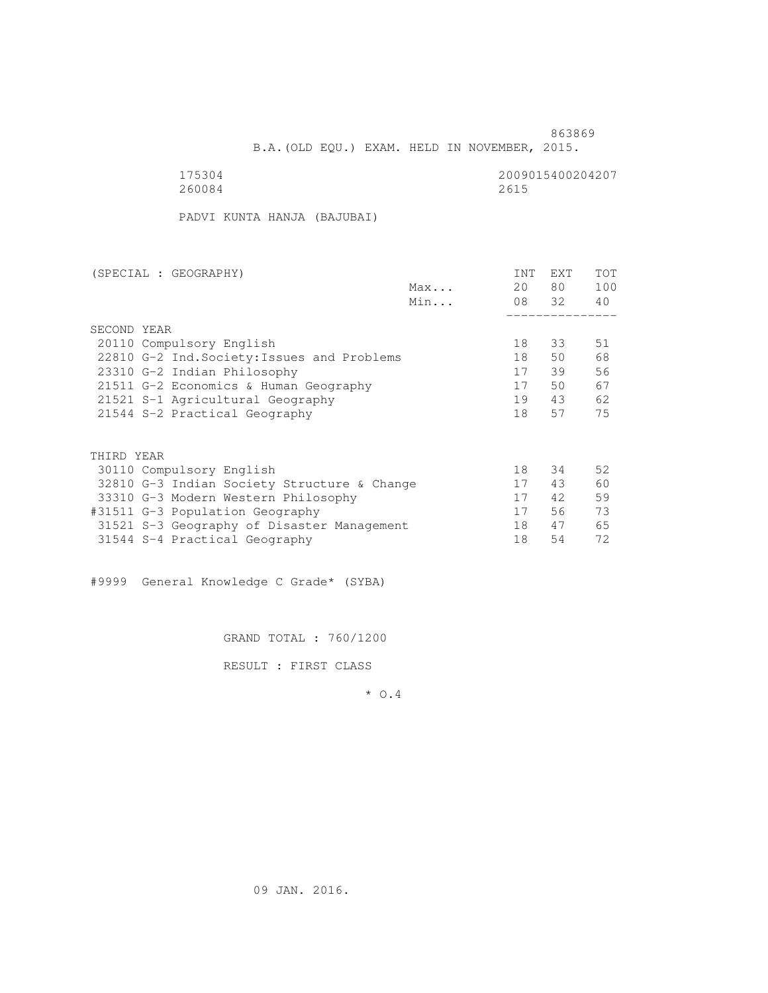B.A.(OLD EQU.) EXAM. HELD IN NOVEMBER, 2015.

175304<br>260084 260084 260084 260084 2615

PADVI KUNTA HANJA (BAJUBAI)

|     | INT                                                                                                                                                                               | <b>EXT</b> | <b>TOT</b> |
|-----|-----------------------------------------------------------------------------------------------------------------------------------------------------------------------------------|------------|------------|
| Max | 20                                                                                                                                                                                | 80         | 100        |
| Min |                                                                                                                                                                                   |            | 40         |
|     |                                                                                                                                                                                   |            |            |
|     |                                                                                                                                                                                   |            |            |
|     | 18                                                                                                                                                                                | 33         | 51         |
|     | 18                                                                                                                                                                                | 50         | 68         |
|     | 17                                                                                                                                                                                | 39         | 56         |
|     | 17                                                                                                                                                                                | 50         | 67         |
|     | 19                                                                                                                                                                                | 43         | 62         |
|     | 18                                                                                                                                                                                | 57         | 75         |
|     |                                                                                                                                                                                   |            |            |
|     |                                                                                                                                                                                   |            |            |
|     | 18                                                                                                                                                                                | 34         | 52         |
|     | 17                                                                                                                                                                                | 43         | 60         |
|     | 17                                                                                                                                                                                | 42         | 59         |
|     | 17                                                                                                                                                                                | 56         | 73         |
|     | 18                                                                                                                                                                                | 47         | 65         |
|     | 18                                                                                                                                                                                | 54         | 72         |
|     | 22810 G-2 Ind. Society: Issues and Problems<br>21511 G-2 Economics & Human Geography<br>32810 G-3 Indian Society Structure & Change<br>31521 S-3 Geography of Disaster Management |            | 08 32      |

#9999 General Knowledge C Grade\* (SYBA)

GRAND TOTAL : 760/1200

RESULT : FIRST CLASS

\* O.4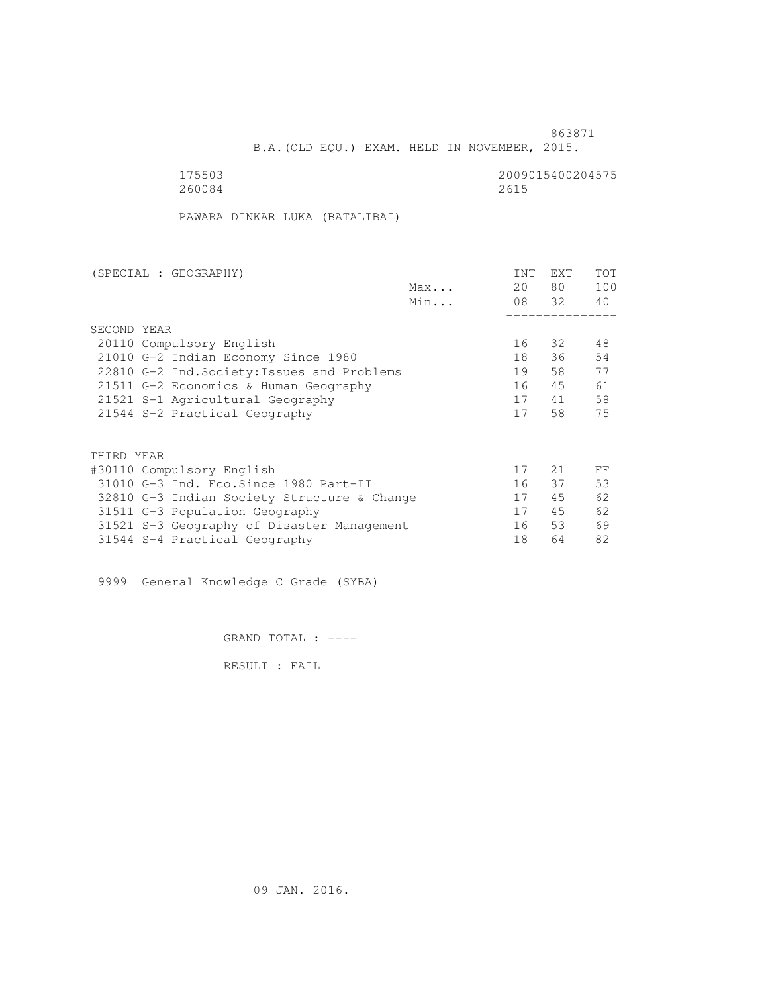B.A.(OLD EQU.) EXAM. HELD IN NOVEMBER, 2015.

175503<br>260084 2009015400204575 260084 2615

PAWARA DINKAR LUKA (BATALIBAI)

| (SPECIAL : GEOGRAPHY)                       |     | INT | <b>EXT</b> | TOT |
|---------------------------------------------|-----|-----|------------|-----|
|                                             | Max | 20  | 80 —       | 100 |
|                                             | Min |     | 08 32      | 40  |
|                                             |     |     |            |     |
| SECOND YEAR                                 |     |     |            |     |
| 20110 Compulsory English                    |     | 16  | 32         | 48  |
| 21010 G-2 Indian Economy Since 1980         |     | 18  | 36         | 54  |
| 22810 G-2 Ind. Society: Issues and Problems |     | 19  | 58         | 77  |
| 21511 G-2 Economics & Human Geography       |     | 16  | 45         | 61  |
| 21521 S-1 Agricultural Geography            |     | 17  | 41         | 58  |
| 21544 S-2 Practical Geography               |     | 17  | 58         | 75  |
|                                             |     |     |            |     |
| THIRD YEAR                                  |     |     |            |     |
| #30110 Compulsory English                   |     | 17  | 21         | FF  |
| 31010 G-3 Ind. Eco. Since 1980 Part-II      |     | 16  | 37         | 53  |
| 32810 G-3 Indian Society Structure & Change |     | 17  | 45         | 62  |
| 31511 G-3 Population Geography              |     | 17  | 45         | 62  |
| 31521 S-3 Geography of Disaster Management  |     | 16  | 53         | 69  |
| 31544 S-4 Practical Geography               |     | 18  | 64         | 82  |
|                                             |     |     |            |     |

9999 General Knowledge C Grade (SYBA)

GRAND TOTAL : ----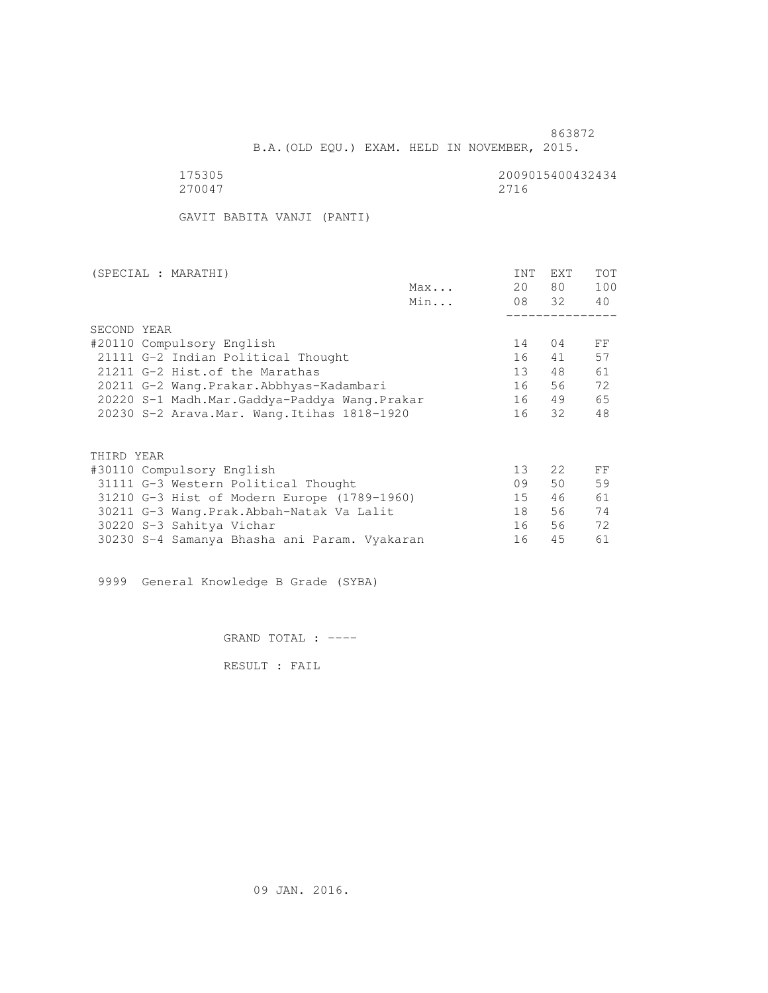<u>863872</u>

B.A.(OLD EQU.) EXAM. HELD IN NOVEMBER, 2015.

 175305 2009015400432434 270047 2716

GAVIT BABITA VANJI (PANTI)

| (SPECIAL : MARATHI)                          |     | INT             | EXT   | <b>TOT</b> |
|----------------------------------------------|-----|-----------------|-------|------------|
|                                              | Max | 20              | 80 —  | 100        |
|                                              | Min |                 | 08 32 | 40         |
|                                              |     |                 |       |            |
| SECOND YEAR                                  |     |                 |       |            |
| #20110 Compulsory English                    |     | 14              | 04    | FF         |
| 21111 G-2 Indian Political Thought           |     | 16              | 41    | 57         |
| 21211 G-2 Hist. of the Marathas              |     | 13              | 48    | 61         |
| 20211 G-2 Wang.Prakar.Abbhyas-Kadambari      |     | 16              | 56    | 72         |
| 20220 S-1 Madh.Mar.Gaddya-Paddya Wang.Prakar |     | 16              | 49    | 65         |
| 20230 S-2 Arava. Mar. Wang. Itihas 1818-1920 |     | 16              | 32    | 48         |
|                                              |     |                 |       |            |
| THIRD YEAR                                   |     |                 |       |            |
| #30110 Compulsory English                    |     | 13 <sup>°</sup> | 2.2   | FF         |
| 31111 G-3 Western Political Thought          |     | 09              | 50    | 59         |
| 31210 G-3 Hist of Modern Europe (1789-1960)  |     | 15              | 46    | 61         |
| 30211 G-3 Wang. Prak. Abbah-Natak Va Lalit   |     | 18              | 56    | 74         |
| 30220 S-3 Sahitya Vichar                     |     | 16              | 56    | 72         |
| 30230 S-4 Samanya Bhasha ani Param. Vyakaran |     | 16              | 45    | 61         |

9999 General Knowledge B Grade (SYBA)

GRAND TOTAL : ----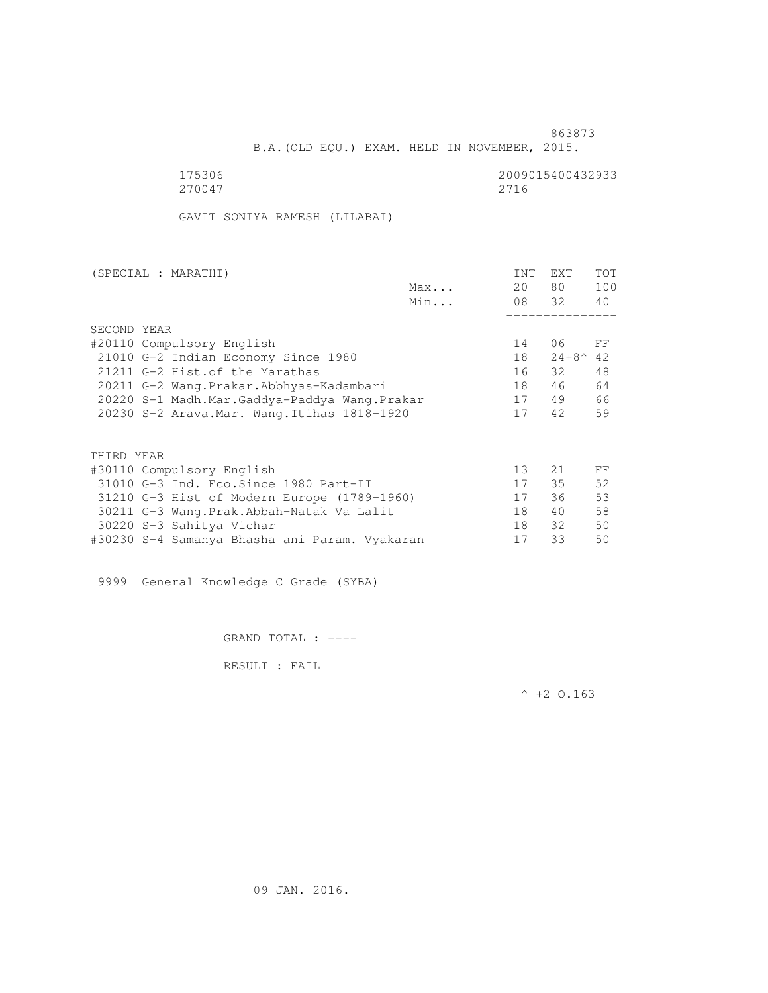<u>863873</u>

B.A.(OLD EQU.) EXAM. HELD IN NOVEMBER, 2015.

 175306 2009015400432933 270047 2716

GAVIT SONIYA RAMESH (LILABAI)

| (SPECIAL : MARATHI)                           |     | INT | EXT                | <b>TOT</b> |
|-----------------------------------------------|-----|-----|--------------------|------------|
|                                               | Max | 20  | 80 —               | 100        |
|                                               | Min |     | 08 32              | 40         |
|                                               |     |     |                    |            |
| SECOND YEAR                                   |     |     |                    |            |
| #20110 Compulsory English                     |     | 14  | 06                 | FF         |
| 21010 G-2 Indian Economy Since 1980           |     | 18  | $24+8^{\wedge} 42$ |            |
| 21211 G-2 Hist. of the Marathas               |     | 16  | 32                 | 48         |
| 20211 G-2 Wang.Prakar.Abbhyas-Kadambari       |     | 18  | 46                 | 64         |
| 20220 S-1 Madh.Mar.Gaddya-Paddya Wang.Prakar  |     | 17  | 49                 | 66         |
| 20230 S-2 Arava. Mar. Wang. Itihas 1818-1920  |     | 17  | 42                 | 59         |
|                                               |     |     |                    |            |
| THIRD YEAR                                    |     |     |                    |            |
| #30110 Compulsory English                     |     | 13  | 21                 | FF         |
| 31010 G-3 Ind. Eco. Since 1980 Part-II        |     | 17  | 35                 | 52         |
|                                               |     |     |                    |            |
| 31210 G-3 Hist of Modern Europe (1789-1960)   |     | 17  | 36                 | 53         |
| 30211 G-3 Wang. Prak. Abbah-Natak Va Lalit    |     | 18  | 40                 | 58         |
| 30220 S-3 Sahitya Vichar                      |     | 18  | 32                 | 50         |
| #30230 S-4 Samanya Bhasha ani Param. Vyakaran |     | 17  | 33                 | 50         |

9999 General Knowledge C Grade (SYBA)

GRAND TOTAL : ----

RESULT : FAIL

 $^{\wedge}$  +2 O.163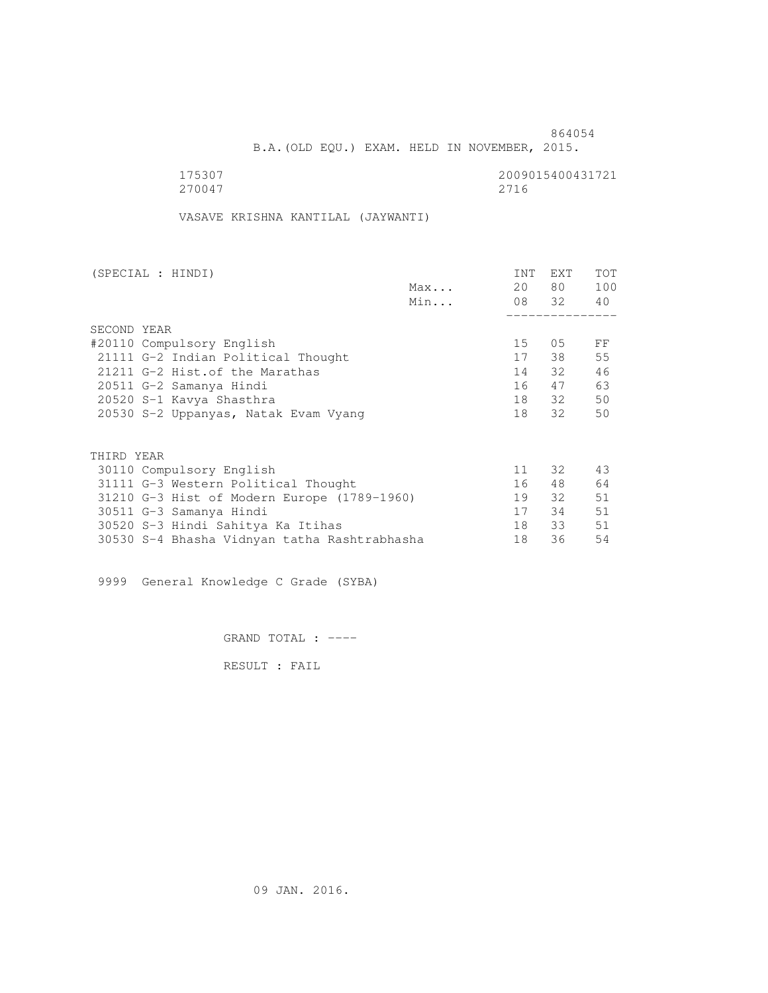B.A.(OLD EQU.) EXAM. HELD IN NOVEMBER, 2015.

175307<br>270047 270047 270047 270047 2716

VASAVE KRISHNA KANTILAL (JAYWANTI)

| (SPECIAL : HINDI)                            |     | INT | <b>EXT</b> | TOT |
|----------------------------------------------|-----|-----|------------|-----|
|                                              | Max | 20  | 80 —       | 100 |
|                                              | Min |     | 08 32 40   |     |
|                                              |     |     |            |     |
| SECOND YEAR                                  |     |     |            |     |
| #20110 Compulsory English                    |     | 15  | 05         | FF  |
| 21111 G-2 Indian Political Thought           |     | 17  | 38         | 55  |
| 21211 G-2 Hist. of the Marathas              |     |     | 14 32      | 46  |
| 20511 G-2 Samanya Hindi                      |     | 16  | 47         | 63  |
| 20520 S-1 Kavya Shasthra                     |     |     | 18 32      | 50  |
| 20530 S-2 Uppanyas, Natak Evam Vyang         |     | 18  | 32         | 50  |
|                                              |     |     |            |     |
| THIRD YEAR                                   |     |     |            |     |
| 30110 Compulsory English                     |     | 11  | 32         | 43  |
| 31111 G-3 Western Political Thought          |     | 16  | 48         | 64  |
| 31210 G-3 Hist of Modern Europe (1789-1960)  |     | 19  | 32         | 51  |
| 30511 G-3 Samanya Hindi                      |     | 17  | 34         | 51  |
| 30520 S-3 Hindi Sahitya Ka Itihas            |     | 18  | 33         | 51  |
| 30530 S-4 Bhasha Vidnyan tatha Rashtrabhasha |     | 18  | 36         | 54  |
|                                              |     |     |            |     |

9999 General Knowledge C Grade (SYBA)

GRAND TOTAL : ----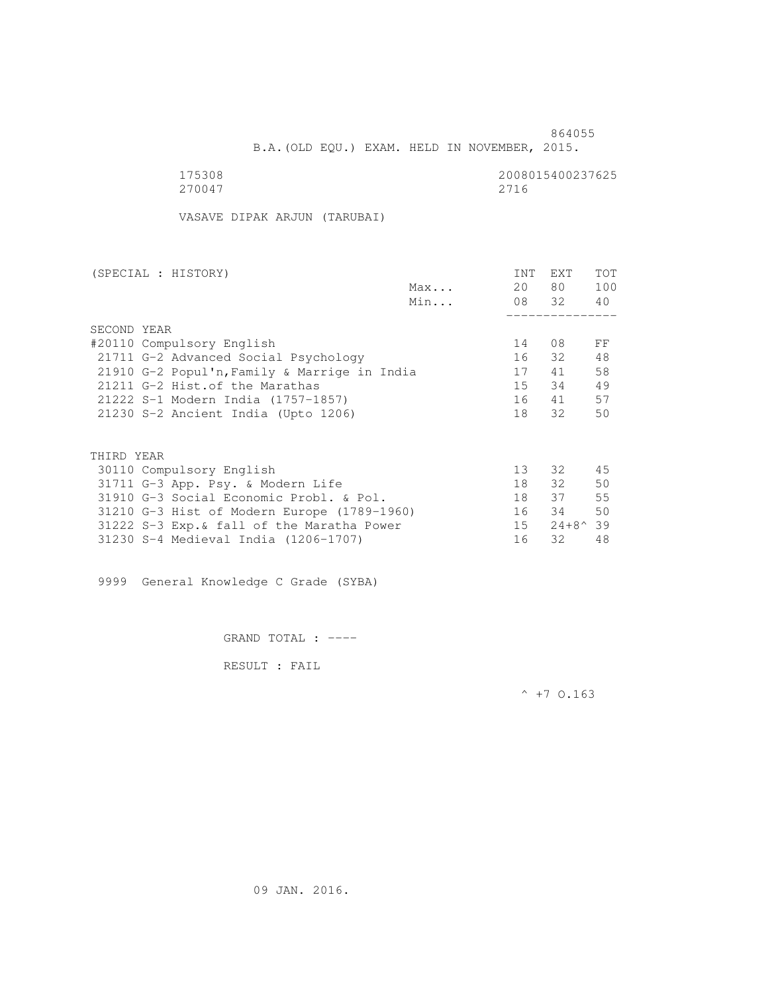B.A.(OLD EQU.) EXAM. HELD IN NOVEMBER, 2015.

 175308 2008015400237625 270047 2716

VASAVE DIPAK ARJUN (TARUBAI)

| (SPECIAL : HISTORY) |                                              |     | INT | EXT              | <b>TOT</b> |
|---------------------|----------------------------------------------|-----|-----|------------------|------------|
|                     |                                              | Max | 20  | 80 —             | 100        |
|                     |                                              | Min |     | 08 32 40         |            |
|                     |                                              |     |     |                  |            |
| SECOND YEAR         |                                              |     |     |                  |            |
|                     | #20110 Compulsory English                    |     | 14  | 08               | FF         |
|                     | 21711 G-2 Advanced Social Psychology         |     |     | 16 32            | 48         |
|                     | 21910 G-2 Popul'n, Family & Marrige in India |     | 17  | 41               | 58         |
|                     | 21211 G-2 Hist.of the Marathas               |     | 15  | 34               | 49         |
|                     | 21222 S-1 Modern India (1757-1857)           |     | 16  | 41               | 57         |
|                     | 21230 S-2 Ancient India (Upto 1206)          |     | 18  | 32               | 50         |
|                     |                                              |     |     |                  |            |
| THIRD YEAR          |                                              |     |     |                  |            |
|                     | 30110 Compulsory English                     |     | 13  | 32               | 45         |
|                     | 31711 G-3 App. Psy. & Modern Life            |     | 18  | 32               | 50         |
|                     | 31910 G-3 Social Economic Probl. & Pol.      |     | 18  | 37               | 55         |
|                     | 31210 G-3 Hist of Modern Europe (1789-1960)  |     | 16  | 34               | 50         |
|                     | 31222 S-3 Exp. & fall of the Maratha Power   |     | 15  | $24+8^{\circ}39$ |            |
|                     | 31230 S-4 Medieval India (1206-1707)         |     | 16  | 32               | 48         |

9999 General Knowledge C Grade (SYBA)

GRAND TOTAL : ----

RESULT : FAIL

 $^{\wedge}$  +7 0.163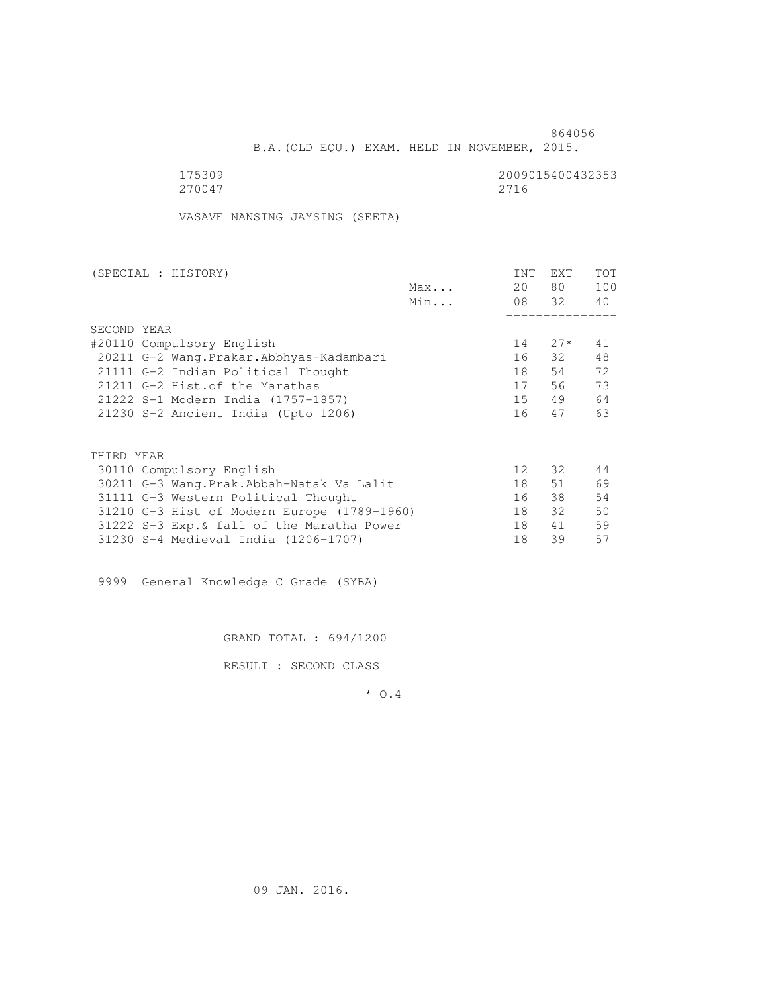B.A.(OLD EQU.) EXAM. HELD IN NOVEMBER, 2015.

| 175309 | 2009015400432353 |
|--------|------------------|
| 270047 | 2716             |

VASAVE NANSING JAYSING (SEETA)

| (SPECIAL : HISTORY)                         |     | INT             | <b>EXT</b> | TOT |
|---------------------------------------------|-----|-----------------|------------|-----|
|                                             | Max | 20              | 80 —       | 100 |
|                                             | Min |                 | 08 32      | 40  |
|                                             |     |                 |            |     |
| SECOND YEAR                                 |     |                 |            |     |
| #20110 Compulsory English                   |     | 14              | $27*$      | 41  |
| 20211 G-2 Wang. Prakar. Abbhyas-Kadambari   |     | 16              | 32         | 48  |
| 21111 G-2 Indian Political Thought          |     | 18              | 54         | 72  |
| 21211 G-2 Hist. of the Marathas             |     | 17              | 56         | 73  |
| 21222 S-1 Modern India (1757-1857)          |     | 15              | 49         | 64  |
| 21230 S-2 Ancient India (Upto 1206)         |     | 16              | 47         | 63  |
|                                             |     |                 |            |     |
| THIRD YEAR                                  |     |                 |            |     |
|                                             |     | 12 <sup>°</sup> |            | 44  |
| 30110 Compulsory English                    |     |                 | 32         |     |
| 30211 G-3 Wang.Prak.Abbah-Natak Va Lalit    |     | 18              | 51         | 69  |
| 31111 G-3 Western Political Thought         |     | 16              | 38         | 54  |
| 31210 G-3 Hist of Modern Europe (1789-1960) |     | 18              | 32         | 50  |
| 31222 S-3 Exp. & fall of the Maratha Power  |     | 18              | 41         | 59  |
| 31230 S-4 Medieval India (1206-1707)        |     | 18              | 39         | 57  |
|                                             |     |                 |            |     |

9999 General Knowledge C Grade (SYBA)

GRAND TOTAL : 694/1200

RESULT : SECOND CLASS

\* O.4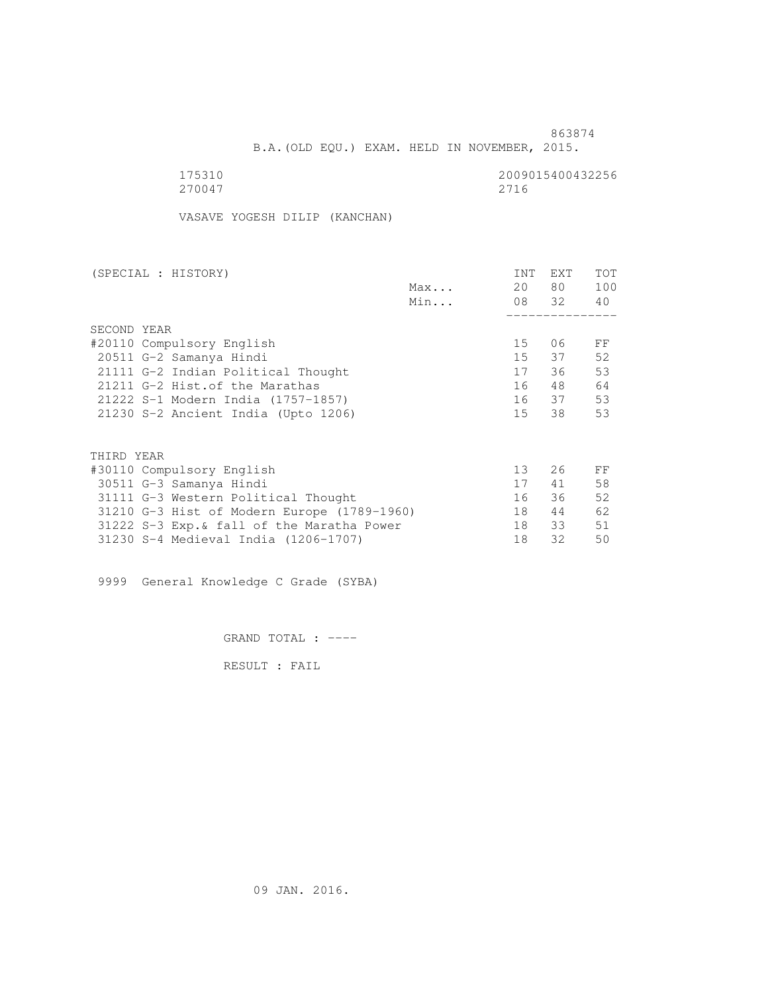B.A.(OLD EQU.) EXAM. HELD IN NOVEMBER, 2015.

| 175310 | 2009015400432256 |
|--------|------------------|
| 270047 | 2716             |

VASAVE YOGESH DILIP (KANCHAN)

| (SPECIAL : HISTORY)                         |     | <b>INT</b>      | <b>EXT</b> | TOT |
|---------------------------------------------|-----|-----------------|------------|-----|
|                                             | Max | 20              | 80 —       | 100 |
|                                             | Min |                 | 08 32      | 40  |
|                                             |     |                 |            |     |
| SECOND YEAR                                 |     |                 |            |     |
| #20110 Compulsory English                   |     | 15              | 06         | FF  |
| 20511 G-2 Samanya Hindi                     |     | 15              | 37         | 52  |
| 21111 G-2 Indian Political Thought          |     | 17              | 36         | 53  |
| 21211 G-2 Hist. of the Marathas             |     | 16              | 48         | 64  |
| 21222 S-1 Modern India (1757-1857)          |     |                 | 16 37      | 53  |
| 21230 S-2 Ancient India (Upto 1206)         |     | 15              | 38         | 53  |
|                                             |     |                 |            |     |
| THIRD YEAR                                  |     |                 |            |     |
| #30110 Compulsory English                   |     | 13 <sup>°</sup> | 26         | FF  |
| 30511 G-3 Samanya Hindi                     |     | 17              | 41         | 58  |
| 31111 G-3 Western Political Thought         |     | 16              | 36         | 52  |
| 31210 G-3 Hist of Modern Europe (1789-1960) |     | 18              | 44         | 62  |
| 31222 S-3 Exp. & fall of the Maratha Power  |     | 18              | 33         | 51  |
| 31230 S-4 Medieval India (1206-1707)        |     | 18              | 32         | 50  |
|                                             |     |                 |            |     |

9999 General Knowledge C Grade (SYBA)

GRAND TOTAL : ----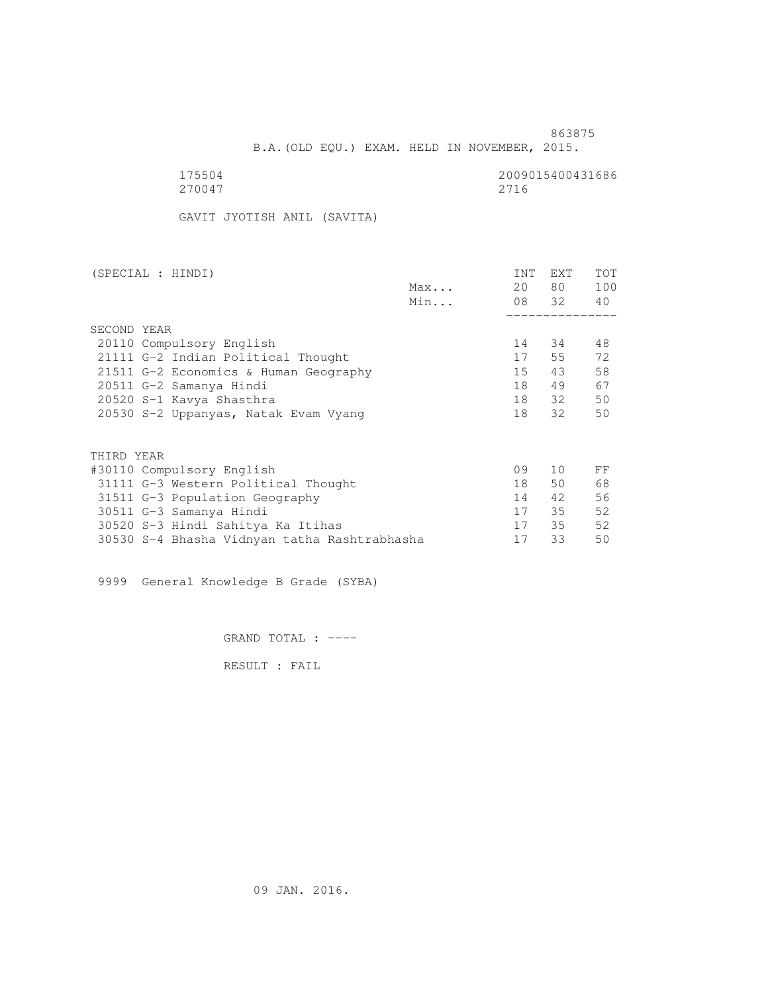B.A.(OLD EQU.) EXAM. HELD IN NOVEMBER, 2015.

270047 2716

175504 2009015400431686

GAVIT JYOTISH ANIL (SAVITA)

| (SPECIAL : HINDI)                            |     | <b>INT</b> | EXT   | TOT |
|----------------------------------------------|-----|------------|-------|-----|
|                                              | Max | 20         | 80 —  | 100 |
|                                              | Min |            | 08 32 | 40  |
|                                              |     |            |       |     |
| SECOND YEAR                                  |     |            |       |     |
| 20110 Compulsory English                     |     | 14         | 34    | 48  |
| 21111 G-2 Indian Political Thought           |     | 17         | 55    | 72  |
| 21511 G-2 Economics & Human Geography        |     | 15         | 43    | 58  |
| 20511 G-2 Samanya Hindi                      |     | 18         | 49    | 67  |
| 20520 S-1 Kavya Shasthra                     |     | 18         | 32    | 50  |
| 20530 S-2 Uppanyas, Natak Evam Vyang         |     | 18         | 32    | 50  |
|                                              |     |            |       |     |
| THIRD YEAR                                   |     |            |       |     |
| #30110 Compulsory English                    |     | 09         | 10    | FF  |
| 31111 G-3 Western Political Thought          |     | 18         | 50    | 68  |
| 31511 G-3 Population Geography               |     | 14         | 42    | 56  |
| 30511 G-3 Samanya Hindi                      |     | 17         | 35    | 52  |
| 30520 S-3 Hindi Sahitya Ka Itihas            |     | 17         | 35    | 52  |
| 30530 S-4 Bhasha Vidnyan tatha Rashtrabhasha |     | 17         | 33    | 50  |

9999 General Knowledge B Grade (SYBA)

GRAND TOTAL : ----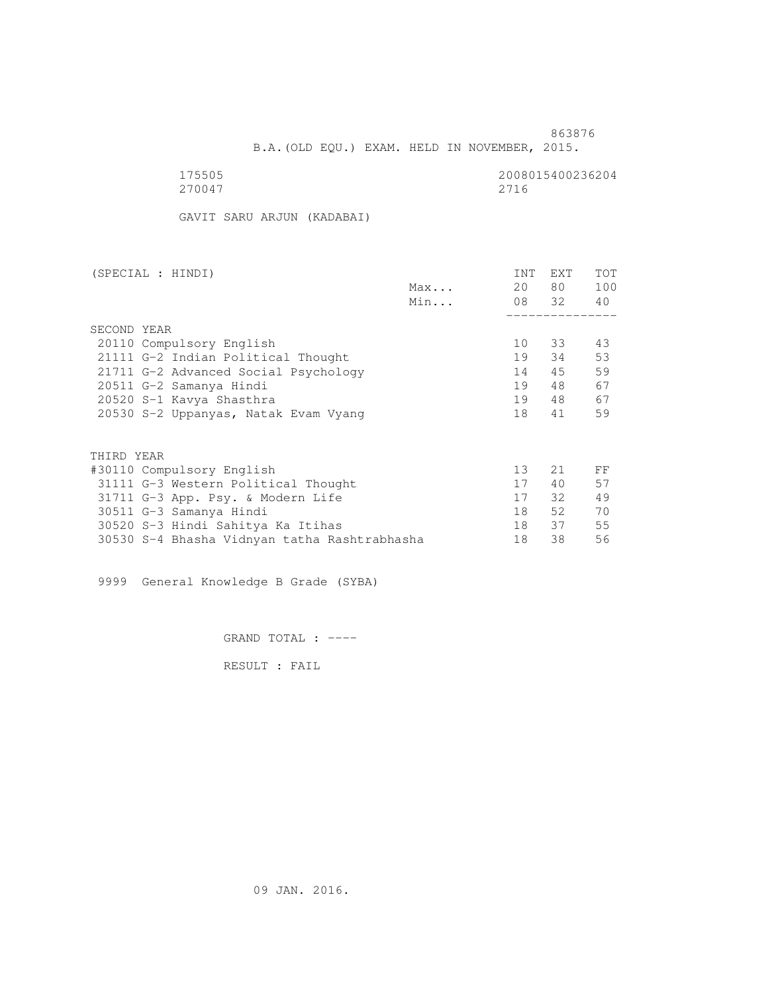B.A.(OLD EQU.) EXAM. HELD IN NOVEMBER, 2015.

| 175505 | 2008015400236204 |
|--------|------------------|
| 270047 | 2716             |

GAVIT SARU ARJUN (KADABAI)

| (SPECIAL : HINDI)                            |     | INT | EXT      | TOT |
|----------------------------------------------|-----|-----|----------|-----|
|                                              | Max | 20  | 80 —     | 100 |
|                                              | Min |     | 08 32 40 |     |
|                                              |     |     |          |     |
| SECOND YEAR                                  |     |     |          |     |
| 20110 Compulsory English                     |     | 10  | 33       | 43  |
| 21111 G-2 Indian Political Thought           |     | 19  | 34       | 53  |
| 21711 G-2 Advanced Social Psychology         |     | 14  | 45       | 59  |
| 20511 G-2 Samanya Hindi                      |     | 19  | 48       | 67  |
| 20520 S-1 Kavya Shasthra                     |     | 19  | 48       | 67  |
| 20530 S-2 Uppanyas, Natak Evam Vyang         |     | 18  | 41       | 59  |
| THIRD YEAR                                   |     |     |          |     |
|                                              |     | 13  | 21       | FF  |
| #30110 Compulsory English                    |     |     |          |     |
| 31111 G-3 Western Political Thought          |     | 17  | 40       | 57  |
| 31711 G-3 App. Psy. & Modern Life            |     | 17  | $32 -$   | 49  |
| 30511 G-3 Samanya Hindi                      |     | 18  | 52       | 70  |
| 30520 S-3 Hindi Sahitya Ka Itihas            |     | 18  | 37       | 55  |
| 30530 S-4 Bhasha Vidnyan tatha Rashtrabhasha |     | 18  | 38       | 56  |

9999 General Knowledge B Grade (SYBA)

GRAND TOTAL : ----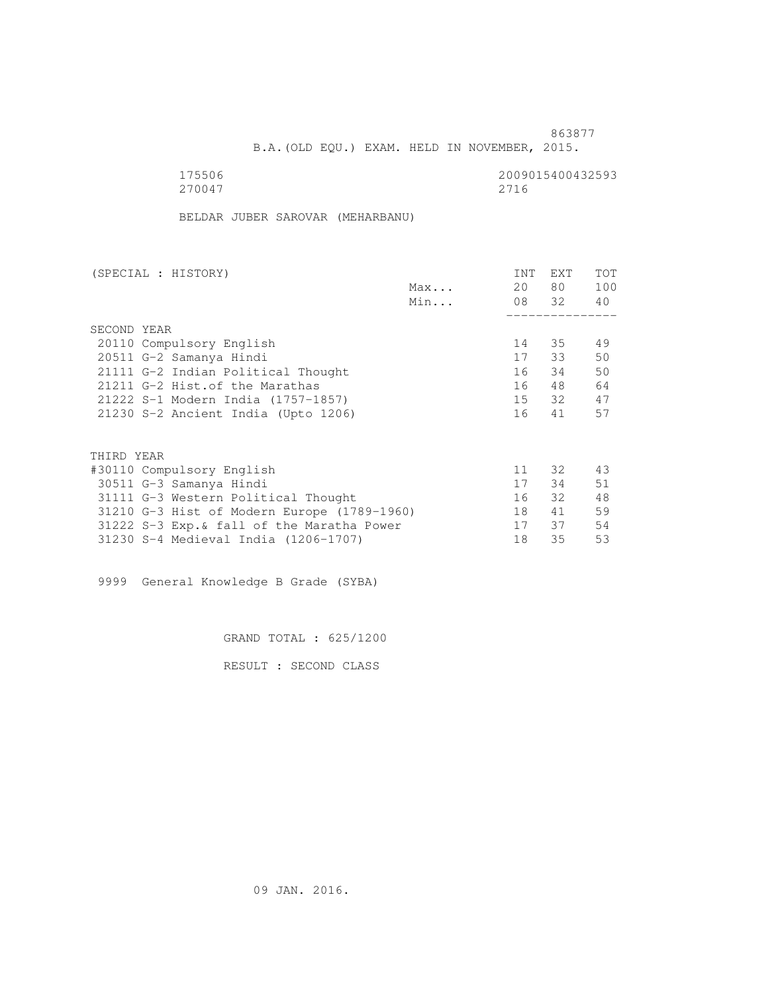<u>863877</u>

B.A.(OLD EQU.) EXAM. HELD IN NOVEMBER, 2015.

 175506 2009015400432593 270047 2716

BELDAR JUBER SAROVAR (MEHARBANU)

| (SPECIAL : HISTORY)                         |              | <b>INT</b> | EXT   | TOT |
|---------------------------------------------|--------------|------------|-------|-----|
|                                             | $Max \ldots$ | 20         | 80 —  | 100 |
|                                             | Min          |            | 08 32 | 40  |
|                                             |              |            |       |     |
| SECOND YEAR                                 |              |            |       |     |
| 20110 Compulsory English                    |              | 14         | 35    | 49  |
| 20511 G-2 Samanya Hindi                     |              | 17         | 33    | 50  |
| 21111 G-2 Indian Political Thought          |              | 16         | 34    | 50  |
| 21211 G-2 Hist. of the Marathas             |              | 16         | 48    | 64  |
| 21222 S-1 Modern India (1757-1857)          |              |            | 15 32 | 47  |
| 21230 S-2 Ancient India (Upto 1206)         |              | 16         | 41    | 57  |
|                                             |              |            |       |     |
| THIRD YEAR                                  |              |            |       |     |
| #30110 Compulsory English                   |              | 11         | 32    | 43  |
| 30511 G-3 Samanya Hindi                     |              | 17         | 34    | 51  |
| 31111 G-3 Western Political Thought         |              | 16         | 32    | 48  |
| 31210 G-3 Hist of Modern Europe (1789-1960) |              | 18         | 41    | 59  |
| 31222 S-3 Exp. & fall of the Maratha Power  |              | 17         | 37    | 54  |
| 31230 S-4 Medieval India (1206-1707)        |              | 18         | 35    | 53  |
|                                             |              |            |       |     |

9999 General Knowledge B Grade (SYBA)

GRAND TOTAL : 625/1200

RESULT : SECOND CLASS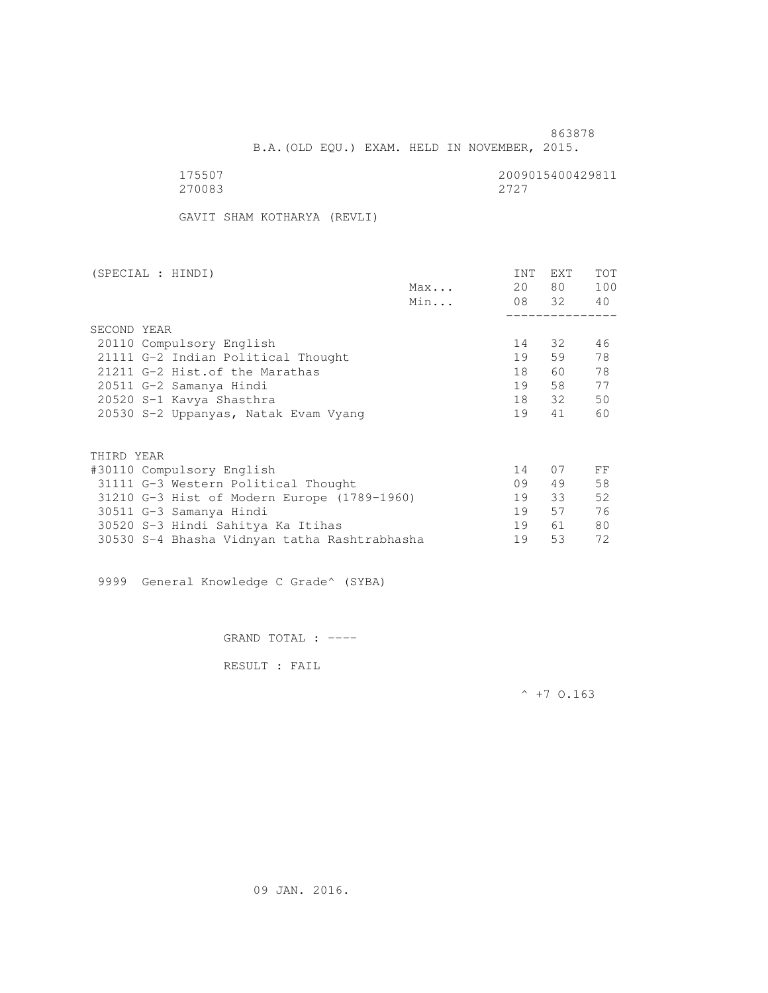863878 B.A.(OLD EQU.) EXAM. HELD IN NOVEMBER, 2015.

| 175507 | 2009015400429811 |
|--------|------------------|
| 270083 | 2727             |

GAVIT SHAM KOTHARYA (REVLI)

| (SPECIAL : HINDI)                            |     | INT | EXT      | <b>TOT</b> |
|----------------------------------------------|-----|-----|----------|------------|
|                                              | Max | 20  | 80 —     | 100        |
|                                              | Min |     | 08 32 40 |            |
|                                              |     |     |          |            |
| SECOND YEAR                                  |     |     |          |            |
| 20110 Compulsory English                     |     | 14  | 32       | 46         |
| 21111 G-2 Indian Political Thought           |     | 19  | 59       | 78         |
| 21211 G-2 Hist. of the Marathas              |     | 18  | 60       | 78         |
| 20511 G-2 Samanya Hindi                      |     | 19  |          | 77         |
| 20520 S-1 Kavya Shasthra                     |     | 18  | 32       | 50         |
| 20530 S-2 Uppanyas, Natak Evam Vyang         |     | 19  | 41       | 60         |
|                                              |     |     |          |            |
| THIRD YEAR                                   |     |     |          |            |
| #30110 Compulsory English                    |     | 14  | 07       | FF         |
| 31111 G-3 Western Political Thought          |     | 09  | 49       | 58         |
| 31210 G-3 Hist of Modern Europe (1789-1960)  |     | 19  | 33       | 52         |
| 30511 G-3 Samanya Hindi                      |     | 19  | 57       | 76         |
| 30520 S-3 Hindi Sahitya Ka Itihas            |     | 19  | 61       | 80         |
| 30530 S-4 Bhasha Vidnyan tatha Rashtrabhasha |     | 19  | 53       | 72         |

9999 General Knowledge C Grade^ (SYBA)

GRAND TOTAL : ----

RESULT : FAIL

 $^{\wedge}$  +7 0.163